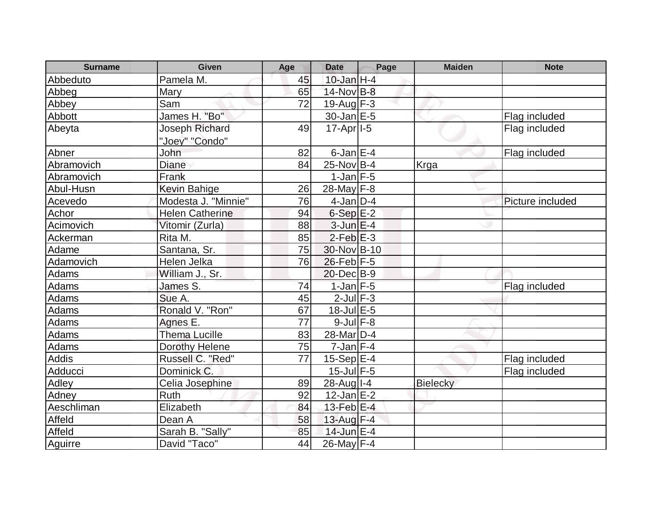| <b>Surname</b> | Given                  | Age | <b>Date</b>             | Page | <b>Maiden</b> | <b>Note</b>      |
|----------------|------------------------|-----|-------------------------|------|---------------|------------------|
| Abbeduto       | Pamela M.              | 45  | $10$ -Jan $H-4$         |      |               |                  |
| Abbeg          | Mary                   | 65  | $14$ -Nov $B-8$         |      |               |                  |
| Abbey          | Sam                    | 72  | $19$ -Aug $F-3$         |      |               |                  |
| Abbott         | James H. "Bo"          |     | 30-Jan E-5              |      |               | Flag included    |
| Abeyta         | <b>Joseph Richard</b>  | 49  | $17-Apr$ <sup>1-5</sup> |      |               | Flag included    |
|                | "Joey" "Condo"         |     |                         |      |               |                  |
| Abner          | John                   | 82  | $6$ -Jan $E-4$          |      |               | Flag included    |
| Abramovich     | Diane                  | 84  | $25$ -Nov B-4           |      | Krga          |                  |
| Abramovich     | Frank                  |     | $1$ -Jan $F-5$          |      |               |                  |
| Abul-Husn      | <b>Kevin Bahige</b>    | 26  | 28-May F-8              |      |               |                  |
| Acevedo        | Modesta J. "Minnie"    | 76  | $4$ -Jan D-4            |      |               | Picture included |
| Achor          | <b>Helen Catherine</b> | 94  | $6-Sep$ E-2             |      |               |                  |
| Acimovich      | Vitomir (Zurla)        | 88  | $3$ -Jun $E-4$          |      |               |                  |
| Ackerman       | Rita M.                | 85  | $2$ -Feb $E-3$          |      |               |                  |
| Adame          | Santana, Sr.           | 75  | 30-Nov B-10             |      |               |                  |
| Adamovich      | Helen Jelka            | 76  | $26$ -Feb $F-5$         |      |               |                  |
| <b>Adams</b>   | William J., Sr.        |     | 20-Dec B-9              |      |               |                  |
| <b>Adams</b>   | James S.               | 74  | $1$ -Jan F-5            |      |               | Flag included    |
| Adams          | Sue A.                 | 45  | $2$ -Jul $F-3$          |      |               |                  |
| Adams          | Ronald V. "Ron"        | 67  | $18$ -Jul $E$ -5        |      |               |                  |
| Adams          | Agnes E.               | 77  | $9$ -Jul $F-8$          |      |               |                  |
| Adams          | <b>Thema Lucille</b>   | 83  | 28-Mar <sub>D-4</sub>   |      |               |                  |
| Adams          | Dorothy Helene         | 75  | $7$ -Jan $F-4$          |      |               |                  |
| <b>Addis</b>   | Russell C. "Red"       | 77  | $15-Sep$ E-4            |      |               | Flag included    |
| Adducci        | Dominick C.            |     | $15$ -Jul $F-5$         |      |               | Flag included    |
| Adley          | Celia Josephine        | 89  | $28$ -Aug $I - 4$       |      | Bielecky      |                  |
| Adney          | Ruth                   | 92  | $12$ -Jan $E-2$         |      |               |                  |
| Aeschliman     | Elizabeth              | 84  | 13-Feb $E-4$            |      |               |                  |
| Affeld         | Dean A                 | 58  | $13$ -Aug $F-4$         |      |               |                  |
| Affeld         | Sarah B. "Sally"       | 85  | 14-Jun E-4              |      |               |                  |
| Aguirre        | David "Taco"           | 44  | 26-May F-4              |      |               |                  |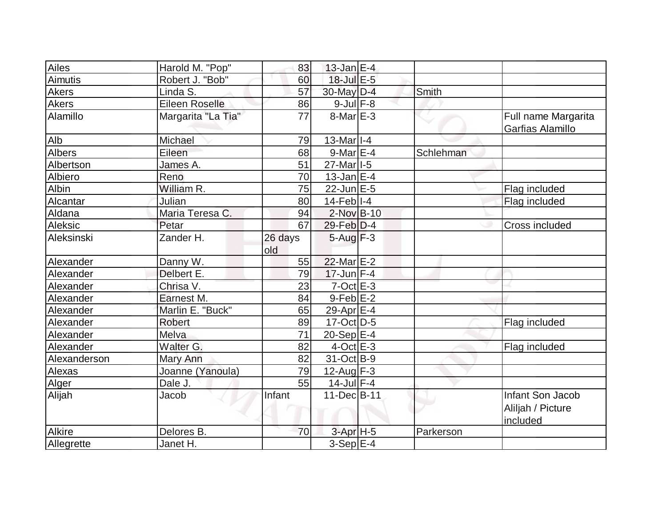| Ailes          | Harold M. "Pop"    | 83             | $13$ -Jan E-4         |           |                                                   |
|----------------|--------------------|----------------|-----------------------|-----------|---------------------------------------------------|
| <b>Aimutis</b> | Robert J. "Bob"    | 60             | 18-Jul E-5            |           |                                                   |
| Akers          | Linda S.           | 57             | 30-May D-4            | Smith     |                                                   |
| <b>Akers</b>   | Eileen Roselle     | 86             | $9$ -Jul $F-8$        |           |                                                   |
| Alamillo       | Margarita "La Tia" | 77             | $8$ -Mar $E-3$        |           | Full name Margarita<br>Garfias Alamillo           |
| Alb            | Michael            | 79             | $13$ -Mar $ I-4 $     |           |                                                   |
| <b>Albers</b>  | Eileen             | 68             | $9$ -Mar $E-4$        | Schlehman |                                                   |
| Albertson      | James A.           | 51             | 27-Mar <sub>1-5</sub> |           |                                                   |
| Albiero        | Reno               | 70             | $13$ -Jan E-4         |           |                                                   |
| Albin          | William R.         | 75             | $22$ -Jun $E-5$       |           | Flag included                                     |
| Alcantar       | Julian             | 80             | $14$ -Feb $ I-4 $     |           | Flag included                                     |
| Aldana         | Maria Teresa C.    | 94             | $2$ -Nov $B-10$       |           |                                                   |
| Aleksic        | Petar              | 67             | $29$ -Feb $ D-4 $     |           | <b>Cross included</b>                             |
| Aleksinski     | Zander H.          | 26 days<br>old | $5 - Aug$ $F-3$       |           |                                                   |
| Alexander      | Danny W.           | 55             | $22$ -Mar $E-2$       |           |                                                   |
| Alexander      | Delbert E.         | 79             | $17$ -Jun F-4         |           |                                                   |
| Alexander      | Chrisa V.          | 23             | $7$ -Oct $E - 3$      |           |                                                   |
| Alexander      | Earnest M.         | 84             | $9$ -Feb $E-2$        |           |                                                   |
| Alexander      | Marlin E. "Buck"   | 65             | 29-Apr $E-4$          |           |                                                   |
| Alexander      | <b>Robert</b>      | 89             | $17-Oct$ D-5          |           | Flag included                                     |
| Alexander      | Melva              | 71             | $20-Sep$ $E-4$        |           |                                                   |
| Alexander      | Walter G.          | 82             | $4$ -Oct $E - 3$      |           | Flag included                                     |
| Alexanderson   | <b>Mary Ann</b>    | 82             | 31-Oct B-9            |           |                                                   |
| <b>Alexas</b>  | Joanne (Yanoula)   | 79             | $12$ -Aug F-3         |           |                                                   |
| Alger          | Dale J.            | 55             | $14$ -Jul $F-4$       |           |                                                   |
| Alijah         | Jacob              | Infant         | 11-Dec B-11           |           | Infant Son Jacob<br>Aliljah / Picture<br>included |
| Alkire         | Delores B.         | 70             | $3-Apr$ H-5           | Parkerson |                                                   |
| Allegrette     | Janet H.           |                | $3-Sep$ $E-4$         |           |                                                   |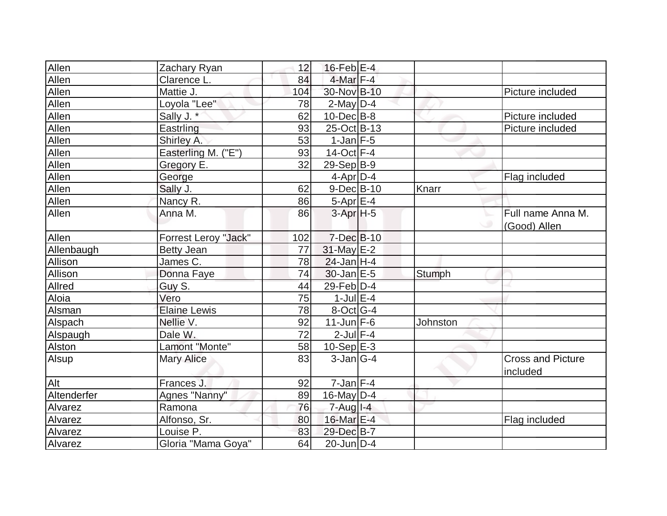| Allen        | Zachary Ryan         | 12  | $16$ -Feb $E-4$      |               |                                      |
|--------------|----------------------|-----|----------------------|---------------|--------------------------------------|
| Allen        | Clarence L.          | 84  | $4$ -Mar $F-4$       |               |                                      |
| Allen        | Mattie J.            | 104 | 30-Nov B-10          |               | Picture included                     |
| Allen        | Loyola "Lee"         | 78  | $2$ -May $D-4$       |               |                                      |
| Allen        | Sally J. *           | 62  | $10$ -Dec $ B-8 $    |               | Picture included                     |
| Allen        | Eastrling            | 93  | $25$ -Oct B-13       |               | Picture included                     |
| Allen        | Shirley A.           | 53  | $1$ -Jan $F-5$       |               |                                      |
| Allen        | Easterling M. ("E")  | 93  | 14-Oct F-4           |               |                                      |
| <b>Allen</b> | Gregory E.           | 32  | $29-Sep B-9$         |               |                                      |
| Allen        | George               |     | $4$ -Apr $D-4$       |               | Flag included                        |
| Allen        | Sally J.             | 62  | $9-Dec$ B-10         | Knarr         |                                      |
| Allen        | Nancy R.             | 86  | $5-Apr$ E-4          |               |                                      |
| Allen        | Anna M.              | 86  | 3-Apr <sub>H-5</sub> |               | Full name Anna M.                    |
|              |                      |     |                      |               | (Good) Allen                         |
| Allen        | Forrest Leroy "Jack" | 102 | 7-Dec B-10           |               |                                      |
| Allenbaugh   | <b>Betty Jean</b>    | 77  | 31-May E-2           |               |                                      |
| Allison      | James C.             | 78  | $24$ -Jan H-4        |               |                                      |
| Allison      | Donna Faye           | 74  | $30$ -Jan $E-5$      | <b>Stumph</b> |                                      |
| Allred       | Guy S.               | 44  | 29-Feb D-4           |               |                                      |
| Aloia        | Vero                 | 75  | $1$ -Jul $E-4$       |               |                                      |
| Alsman       | <b>Elaine Lewis</b>  | 78  | $8$ -Oct $ G-4 $     |               |                                      |
| Alspach      | Nellie V.            | 92  | $11$ -Jun $F-6$      | Johnston      |                                      |
| Alspaugh     | Dale W.              | 72  | $2$ -Jul $F-4$       |               |                                      |
| Alston       | Lamont "Monte"       | 58  | $10-Sep$ $E-3$       |               |                                      |
| Alsup        | <b>Mary Alice</b>    | 83  | $3-Jan G-4$          |               | <b>Cross and Picture</b><br>included |
| Alt          | Frances J.           | 92  | $7 - Jan$ $F-4$      |               |                                      |
| Altenderfer  | Agnes "Nanny"        | 89  | $16$ -May D-4        |               |                                      |
| Alvarez      | Ramona               | 76  | $7 - Aug$ $1 - 4$    |               |                                      |
| Alvarez      | Alfonso, Sr.         | 80  | 16-Mar E-4           |               | Flag included                        |
| Alvarez      | Louise P.            | 83  | 29-Dec B-7           |               |                                      |
| Alvarez      | Gloria "Mama Goya"   | 64  | $20$ -Jun $ D-4$     |               |                                      |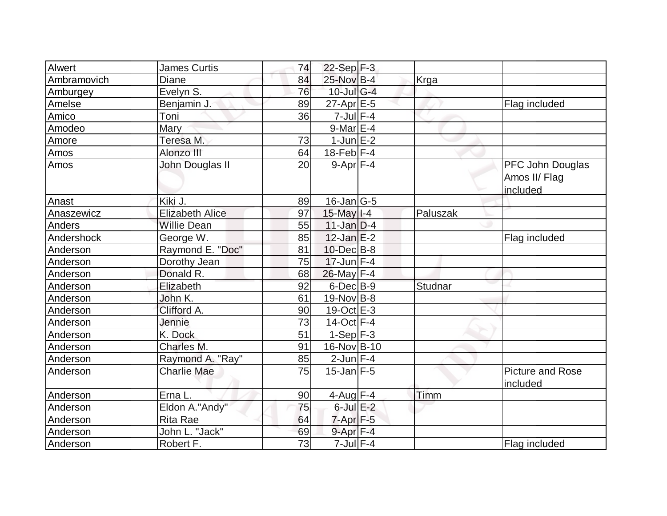| Alwert      | <b>James Curtis</b>    | 74 | $22-Sep$ F-3      |          |                                               |
|-------------|------------------------|----|-------------------|----------|-----------------------------------------------|
| Ambramovich | <b>Diane</b>           | 84 | 25-Nov B-4        | Krga     |                                               |
| Amburgey    | Evelyn S.              | 76 | $10$ -Jul G-4     |          |                                               |
| Amelse      | Benjamin J.            | 89 | $27$ -Apr $E - 5$ |          | Flag included                                 |
| Amico       | Toni                   | 36 | $7$ -Jul $F-4$    |          |                                               |
| Amodeo      | <b>Mary</b>            |    | $9$ -Mar $E-4$    |          |                                               |
| Amore       | Teresa M.              | 73 | $1$ -Jun $E-2$    |          |                                               |
| <b>Amos</b> | Alonzo III             | 64 | $18$ -Feb $ F-4 $ |          |                                               |
| Amos        | John Douglas II        | 20 | $9-Apr$ F-4       |          | PFC John Douglas<br>Amos II/ Flag<br>included |
| Anast       | Kiki J.                | 89 | $16$ -Jan $ G-5 $ |          |                                               |
| Anaszewicz  | <b>Elizabeth Alice</b> | 97 | $15$ -May $I - 4$ | Paluszak |                                               |
| Anders      | <b>Willie Dean</b>     | 55 | $11$ -Jan $D-4$   |          |                                               |
| Andershock  | George W.              | 85 | $12$ -Jan $E-2$   |          | Flag included                                 |
| Anderson    | Raymond E. "Doc"       | 81 | 10-Dec B-8        |          |                                               |
| Anderson    | Dorothy Jean           | 75 | $17$ -Jun F-4     |          |                                               |
| Anderson    | Donald R.              | 68 | $26$ -May F-4     |          |                                               |
| Anderson    | Elizabeth              | 92 | $6$ -Dec $B$ -9   | Studnar  |                                               |
| Anderson    | John K.                | 61 | $19-Nov B-8$      |          |                                               |
| Anderson    | Clifford A.            | 90 | $19-Oct$ $E-3$    |          |                                               |
| Anderson    | Jennie                 | 73 | 14-Oct $F-4$      |          |                                               |
| Anderson    | K. Dock                | 51 | $1-Sep$ F-3       |          |                                               |
| Anderson    | Charles M.             | 91 | 16-Nov B-10       |          |                                               |
| Anderson    | Raymond A. "Ray"       | 85 | $2$ -Jun $F-4$    |          |                                               |
| Anderson    | <b>Charlie Mae</b>     | 75 | $15$ -Jan F-5     |          | <b>Picture and Rose</b><br>included           |
| Anderson    | Erna L.                | 90 | $4$ -Aug F-4      | Timm     |                                               |
| Anderson    | Eldon A."Andy"         | 75 | $6$ -Jul $E-2$    |          |                                               |
| Anderson    | Rita Rae               | 64 | $7$ -Apr $F-5$    |          |                                               |
| Anderson    | John L. "Jack"         | 69 | $9 - Apr$ F-4     |          |                                               |
| Anderson    | Robert F.              | 73 | $7$ -Jul $F-4$    |          | Flag included                                 |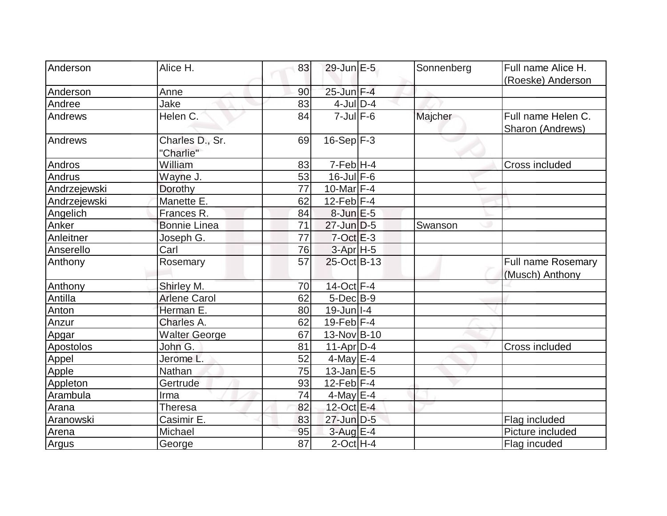| <b>Anderson</b> | Alice H.                     | 83              | 29-Jun E-5        | Sonnenberg | Full name Alice H.                     |
|-----------------|------------------------------|-----------------|-------------------|------------|----------------------------------------|
|                 |                              |                 |                   |            | (Roeske) Anderson                      |
| Anderson        | Anne                         | 90              | 25-Jun F-4        |            |                                        |
| Andree          | Jake                         | 83              | $4$ -JulD-4       |            |                                        |
| Andrews         | Helen C.                     | 84              | $7$ -Jul $F$ -6   | Majcher    | Full name Helen C.<br>Sharon (Andrews) |
| <b>Andrews</b>  | Charles D., Sr.<br>"Charlie" | 69              | $16-Sep$ F-3      |            |                                        |
| Andros          | William                      | 83              | $7-Feb$ H-4       |            | Cross included                         |
| Andrus          | Wayne J.                     | 53              | $16$ -Jul $F-6$   |            |                                        |
| Andrzejewski    | Dorothy                      | 77              | 10-Mar $F-4$      |            |                                        |
| Andrzejewski    | Manette E.                   | 62              | $12$ -Feb $ F-4$  |            |                                        |
| Angelich        | Frances R.                   | 84              | $8$ -Jun $E - 5$  |            |                                        |
| Anker           | <b>Bonnie Linea</b>          | 71              | $27$ -Jun $D-5$   | Swanson    |                                        |
| Anleitner       | Joseph G.                    | $\overline{77}$ | $7-Oct$ $E-3$     |            |                                        |
| Anserello       | Carl                         | 76              | $3-Apr$ H-5       |            |                                        |
| Anthony         | Rosemary                     | 57              | 25-Oct B-13       |            | Full name Rosemary<br>(Musch) Anthony  |
| Anthony         | Shirley M.                   | 70              | 14-Oct F-4        |            |                                        |
| Antilla         | <b>Arlene Carol</b>          | 62              | $5$ -Dec $B$ -9   |            |                                        |
| Anton           | Herman E.                    | 80              | $19$ -Jun $ I-4 $ |            |                                        |
| Anzur           | Charles A.                   | 62              | 19-Feb $F-4$      |            |                                        |
| Apgar           | <b>Walter George</b>         | 67              | 13-Nov B-10       |            |                                        |
| Apostolos       | John G.                      | 81              | $11-Apr D-4$      |            | Cross included                         |
| Appel           | Jerome <sub>L</sub>          | 52              | $4$ -May $E-4$    |            |                                        |
| Apple           | Nathan                       | 75              | $13$ -Jan $E-5$   |            |                                        |
| Appleton        | Gertrude                     | 93              | $12$ -Feb $ F-4$  |            |                                        |
| Arambula        | Irma                         | 74              | $4$ -May E-4      |            |                                        |
| Arana           | Theresa                      | 82              | 12-Oct E-4        |            |                                        |
| Aranowski       | Casimir E.                   | 83              | 27-Jun D-5        |            | Flag included                          |
| Arena           | Michael                      | 95              | $3$ -Aug E-4      |            | Picture included                       |
| <b>Argus</b>    | George                       | 87              | $2$ -Oct H-4      |            | Flag incuded                           |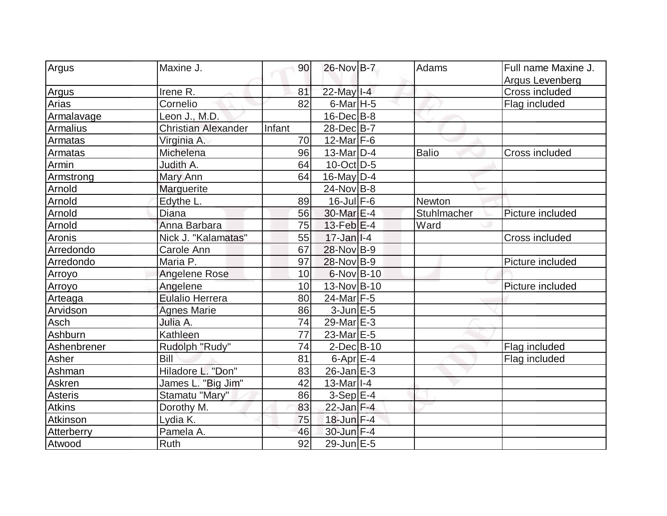| Argus           | Maxine J.                  | 90     | 26-Nov B-7                | Adams        | Full name Maxine J.               |
|-----------------|----------------------------|--------|---------------------------|--------------|-----------------------------------|
|                 |                            |        |                           |              |                                   |
|                 | Irene R.                   | 81     | 22-May I-4                |              | Argus Levenberg<br>Cross included |
| Argus           |                            | 82     |                           |              |                                   |
| Arias           | Cornelio                   |        | $6$ -Mar H-5              |              | Flag included                     |
| Armalavage      | Leon J., M.D.              |        | $16$ -Dec $B$ -8          |              |                                   |
| <b>Armalius</b> | <b>Christian Alexander</b> | Infant | 28-Dec B-7                |              |                                   |
| Armatas         | Virginia A.                | 70     | $12$ -Mar F-6             |              |                                   |
| Armatas         | Michelena                  | 96     | 13-Mar D-4                | <b>Balio</b> | Cross included                    |
| Armin           | Judith A.                  | 64     | $10$ -Oct $ D-5 $         |              |                                   |
| Armstrong       | Mary Ann                   | 64     | $16$ -May $ D-4$          |              |                                   |
| Arnold          | Marguerite                 |        | $24$ -Nov B-8             |              |                                   |
| Arnold          | Edythe L.                  | 89     | $16$ -Jul $F-6$           | Newton       |                                   |
| Arnold          | Diana                      | 56     | 30-Mar E-4                | Stuhlmacher  | Picture included                  |
| Arnold          | Anna Barbara               | 75     | 13-Feb E-4                | Ward         |                                   |
| Aronis          | Nick J. "Kalamatas"        | 55     | $17 - Jan$ <sup>1-4</sup> |              | Cross included                    |
| Arredondo       | Carole Ann                 | 67     | 28-Nov B-9                |              |                                   |
| Arredondo       | Maria P.                   | 97     | 28-Nov B-9                |              | Picture included                  |
| Arroyo          | <b>Angelene Rose</b>       | 10     | $6$ -Nov $B$ -10          |              |                                   |
| Arroyo          | Angelene                   | 10     | 13-Nov B-10               |              | Picture included                  |
| Arteaga         | <b>Eulalio Herrera</b>     | 80     | 24-Mar F-5                |              |                                   |
| Arvidson        | <b>Agnes Marie</b>         | 86     | $3$ -Jun $E-5$            |              |                                   |
| Asch            | Julia A.                   | 74     | $29$ -Mar $E-3$           |              |                                   |
| Ashburn         | Kathleen                   | 77     | 23-Mar <sub>E-5</sub>     |              |                                   |
| Ashenbrener     | Rudolph "Rudy"             | 74     | $2$ -Dec $B$ -10          |              | Flag included                     |
| Asher           | Bill                       | 81     | 6-Apr $E-4$               |              | Flag included                     |
| Ashman          | Hiladore L. "Don"          | 83     | 26-Jan E-3                |              |                                   |
| Askren          | James L. "Big Jim"         | 42     | $13-Mar$ <sup>1-4</sup>   |              |                                   |
| Asteris         | Stamatu "Mary"             | 86     | $3-Sep$ $E-4$             |              |                                   |
| <b>Atkins</b>   | Dorothy M.                 | 83     | $22$ -Jan F-4             |              |                                   |
| Atkinson        | Lydia K.                   | 75     | 18-Jun F-4                |              |                                   |
| Atterberry      | Pamela A.                  | 46     | 30-Jun F-4                |              |                                   |
| Atwood          | <b>Ruth</b>                | 92     | 29-Jun E-5                |              |                                   |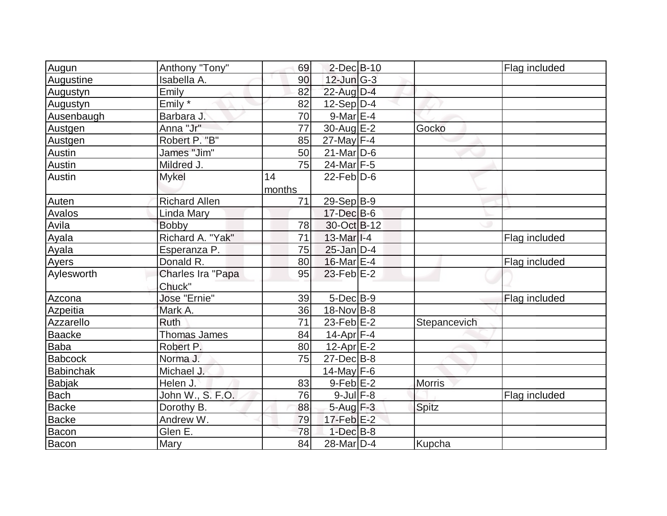| Augun            | Anthony "Tony"       | 69     | $2$ -Dec $B$ -10      |               | Flag included |
|------------------|----------------------|--------|-----------------------|---------------|---------------|
| Augustine        | Isabella A.          | 90     | $12$ -Jun $G-3$       |               |               |
| Augustyn         | Emily                | 82     | $22$ -Aug $D-4$       |               |               |
| Augustyn         | Emily $*$            | 82     | $12-Sep D-4$          |               |               |
| Ausenbaugh       | Barbara J.           | 70     | $9-Mar \E-4$          |               |               |
| Austgen          | Anna "Jr"            | 77     | 30-Aug E-2            | Gocko         |               |
| Austgen          | Robert P. "B"        | 85     | $27$ -May F-4         |               |               |
| Austin           | James "Jim"          | 50     | $21$ -Mar $ D-6$      |               |               |
| Austin           | Mildred J.           | 75     | $24$ -Mar F-5         |               |               |
| Austin           | <b>Mykel</b>         | 14     | $22$ -Feb $ D-6$      |               |               |
|                  |                      | months |                       |               |               |
| Auten            | <b>Richard Allen</b> | 71     | $29-Sep B-9$          |               |               |
| Avalos           | Linda Mary           |        | $17 - Dec$ B-6        |               |               |
| Avila            | <b>Bobby</b>         | 78     | 30-Oct B-12           |               |               |
| Ayala            | Richard A. "Yak"     | 71     | $13$ -Mar $ I-4 $     |               | Flag included |
| Ayala            | Esperanza P.         | 75     | $25$ -Jan $D-4$       |               |               |
| Ayers            | Donald R.            | 80     | $16$ -Mar $E-4$       |               | Flag included |
| Aylesworth       | Charles Ira "Papa    | 95     | $23$ -Feb $E-2$       |               |               |
|                  | Chuck"               |        |                       |               |               |
| Azcona           | Jose "Ernie"         | 39     | $5$ -Dec $B$ -9       |               | Flag included |
| Azpeitia         | Mark A.              | 36     | $18-Nov B-8$          |               |               |
| Azzarello        | <b>Ruth</b>          | 71     | $23$ -Feb $E-2$       | Stepancevich  |               |
| <b>Baacke</b>    | <b>Thomas James</b>  | 84     | 14-Apr $F-4$          |               |               |
| Baba             | Robert P.            | 80     | $12$ -Apr $E-2$       |               |               |
| <b>Babcock</b>   | Norma J.             | 75     | $27 - Dec$ B-8        |               |               |
| <b>Babinchak</b> | Michael J.           |        | 14-May $F-6$          |               |               |
| <b>Babjak</b>    | Helen J.             | 83     | $9-Feb$ $E-2$         | <b>Morris</b> |               |
| <b>Bach</b>      | John W., S. F.O.     | 76     | $9$ -Jul $F-8$        |               | Flag included |
| <b>Backe</b>     | Dorothy B.           | 88     | 5-Aug F-3             | <b>Spitz</b>  |               |
| <b>Backe</b>     | Andrew W.            | 79     | $17$ -Feb $E-2$       |               |               |
| Bacon            | Glen E.              | 78     | $1-Dec$ B-8           |               |               |
| Bacon            | Mary                 | 84     | 28-Mar <sub>D-4</sub> | Kupcha        |               |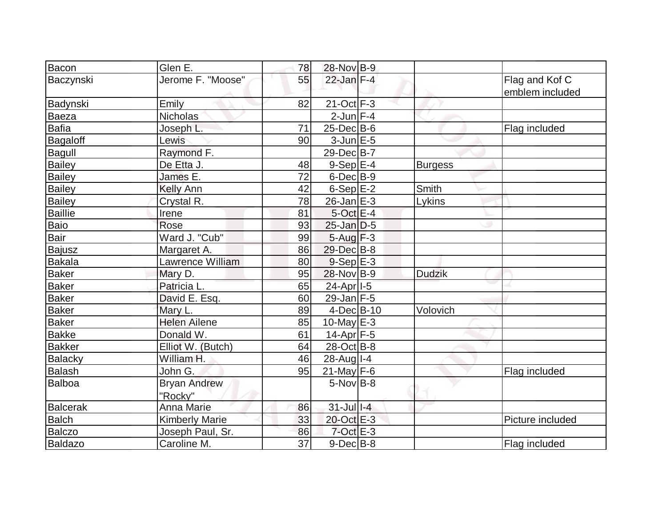| Bacon          | Glen E.               | 78              | 28-Nov B-9            |                |                                   |
|----------------|-----------------------|-----------------|-----------------------|----------------|-----------------------------------|
| Baczynski      | Jerome F. "Moose"     | 55              | $22$ -Jan $F-4$       |                | Flag and Kof C<br>emblem included |
| Badynski       | Emily                 | 82              | $21-Oct$ F-3          |                |                                   |
| Baeza          | Nicholas              |                 | $2$ -Jun $F-4$        |                |                                   |
| Bafia          | Joseph L.             | 71              | $25$ -Dec $B$ -6      |                | Flag included                     |
| Bagaloff       | Lewis                 | 90              | $3$ -Jun $E - 5$      |                |                                   |
| Bagull         | Raymond F.            |                 | 29-Dec B-7            |                |                                   |
| <b>Bailey</b>  | De Etta J.            | 48              | $9-Sep$ E-4           | <b>Burgess</b> |                                   |
| <b>Bailey</b>  | James E.              | 72              | $6$ -Dec $B-9$        |                |                                   |
| Bailey         | <b>Kelly Ann</b>      | 42              | $6-SepE-2$            | Smith          |                                   |
| <b>Bailey</b>  | Crystal R.            | 78              | $26$ -Jan $E-3$       | Lykins         |                                   |
| <b>Baillie</b> | Irene                 | 81              | $5$ -Oct $E-4$        |                |                                   |
| Baio           | Rose                  | 93              | $25$ -Jan $D-5$       |                |                                   |
| Bair           | Ward J. "Cub"         | 99              | $5 - Aug$ $F-3$       |                |                                   |
| <b>Bajusz</b>  | Margaret A.           | 86              | 29-Dec B-8            |                |                                   |
| Bakala         | Lawrence William      | 80              | $9-Sep$ $E-3$         |                |                                   |
| Baker          | Mary D.               | 95              | 28-Nov B-9            | <b>Dudzik</b>  |                                   |
| <b>Baker</b>   | Patricia L.           | 65              | 24-Apr <sub>1-5</sub> |                |                                   |
| Baker          | David E. Esq.         | 60              | $29$ -Jan F-5         |                |                                   |
| Baker          | Mary L.               | 89              | $4$ -Dec $B$ -10      | Volovich       |                                   |
| <b>Baker</b>   | <b>Helen Ailene</b>   | 85              | 10-May $E-3$          |                |                                   |
| <b>Bakke</b>   | Donald W.             | 61              | $14$ -Apr $ F-5 $     |                |                                   |
| <b>Bakker</b>  | Elliot W. (Butch)     | 64              | $28-Oct$ B-8          |                |                                   |
| <b>Balacky</b> | William H.            | 46              | $28$ -Aug I-4         |                |                                   |
| Balash         | John G.               | 95              | $21$ -May F-6         |                | Flag included                     |
| <b>Balboa</b>  | <b>Bryan Andrew</b>   |                 | $5$ -Nov $B$ -8       |                |                                   |
|                | "Rocky"               |                 |                       |                |                                   |
| Balcerak       | Anna Marie            | 86              | $31$ -Jul $1-4$       |                |                                   |
| <b>Balch</b>   | <b>Kimberly Marie</b> | 33              | 20-Oct E-3            |                | Picture included                  |
| <b>Balczo</b>  | Joseph Paul, Sr.      | 86              | $7$ -Oct $E - 3$      |                |                                   |
| <b>Baldazo</b> | Caroline M.           | $\overline{37}$ | $9$ -Dec $B$ -8       |                | Flag included                     |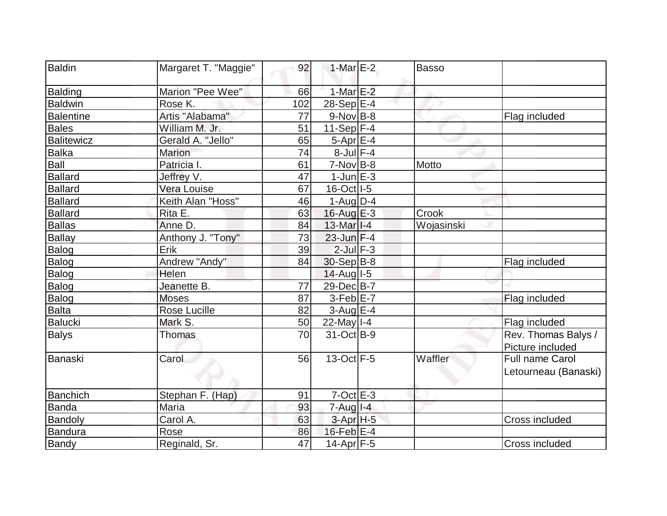| Baldin           | Margaret T. "Maggie" | 92  | 1-Mar $E-2$             | Basso      |                       |
|------------------|----------------------|-----|-------------------------|------------|-----------------------|
| Balding          | Marion "Pee Wee"     | 66  | $1-MarE-2$              |            |                       |
| <b>Baldwin</b>   | Rose K.              | 102 | $28-Sep$ $E-4$          |            |                       |
| <b>Balentine</b> | Artis "Alabama"      | 77  | $9-Nov$ B-8             |            | Flag included         |
| Bales            | William M. Jr.       | 51  | $11-Sep$ F-4            |            |                       |
| Balitewicz       | Gerald A. "Jello"    | 65  | $5-Apr$ $E-4$           |            |                       |
| Balka            | Marion               | 74  | $8$ -Jul $F-4$          |            |                       |
| Ball             | Patricia I.          | 61  | 7-Nov B-8               | Motto      |                       |
| <b>Ballard</b>   | Jeffrey V.           | 47  | $1$ -Jun $E-3$          |            |                       |
| <b>Ballard</b>   | Vera Louise          | 67  | 16-Oct I-5              |            |                       |
| <b>Ballard</b>   | Keith Alan "Hoss"    | 46  | $1-Auq$ D-4             |            |                       |
| <b>Ballard</b>   | Rita E.              | 63  | $16$ -Aug $E-3$         | Crook      |                       |
| <b>Ballas</b>    | Anne D.              | 84  | $13-Mar$ <sup>1-4</sup> | Wojasinski |                       |
| <b>Ballay</b>    | Anthony J. "Tony"    | 73  | $23$ -Jun $F-4$         |            |                       |
| Balog            | Erik                 | 39  | $2$ -Jul $F-3$          |            |                       |
| Balog            | Andrew "Andy"        | 84  | $30-Sep B-8$            |            | Flag included         |
| Balog            | Helen                |     | $14$ -Aug $I$ -5        |            |                       |
| Balog            | Jeanette B.          | 77  | 29-Dec B-7              |            |                       |
| Balog            | <b>Moses</b>         | 87  | $3-Feb$ $E-7$           |            | Flag included         |
| <b>Balta</b>     | <b>Rose Lucille</b>  | 82  | $3-Aug$ $E-4$           |            |                       |
| <b>Balucki</b>   | Mark S.              | 50  | $22$ -May $I - 4$       |            | Flag included         |
| <b>Balys</b>     | <b>Thomas</b>        | 70  | 31-Oct B-9              |            | Rev. Thomas Balys /   |
|                  |                      |     |                         |            | Picture included      |
| Banaski          | Carol                | 56  | $13-Oct$ F-5            | Waffler    | Full name Carol       |
|                  |                      |     |                         |            | Letourneau (Banaski)  |
| Banchich         | Stephan F. (Hap)     | 91  | $7$ -Oct $E-3$          |            |                       |
| <b>Banda</b>     | Maria                | 93  | $7 - Aug$ $1 - 4$       |            |                       |
| Bandoly          | Carol A.             | 63  | $3-Apr$ H-5             |            | Cross included        |
| <b>Bandura</b>   | Rose                 | 86  | $16$ -Feb $E-4$         |            |                       |
| Bandy            | Reginald, Sr.        | 47  | $14$ -Apr $ F-5 $       |            | <b>Cross included</b> |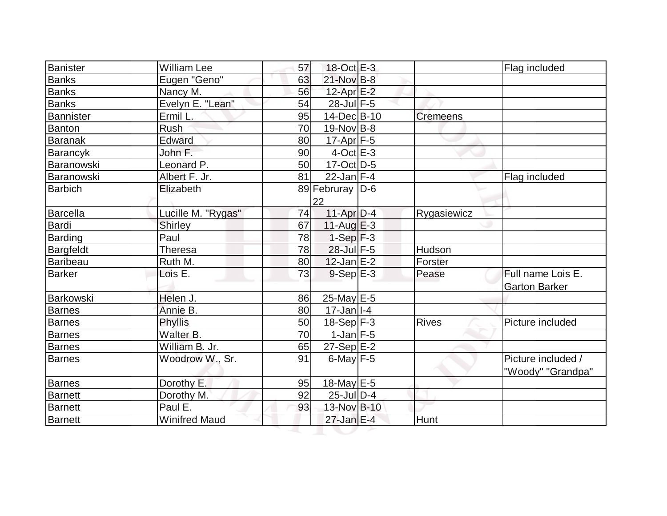| Banister        | <b>William Lee</b>   | 57 | 18-Oct E-3                |                 | Flag included        |
|-----------------|----------------------|----|---------------------------|-----------------|----------------------|
| <b>Banks</b>    | Eugen "Geno"         | 63 | 21-Nov B-8                |                 |                      |
| Banks           | Nancy M.             | 56 | $12$ -Apr $E-2$           |                 |                      |
| Banks           | Evelyn E. "Lean"     | 54 | $28$ -Jul $F-5$           |                 |                      |
| Bannister       | Ermil L.             | 95 | 14-Dec B-10               | <b>Cremeens</b> |                      |
| Banton          | <b>Rush</b>          | 70 | $19-Nov B-8$              |                 |                      |
| <b>Baranak</b>  | Edward               | 80 | $17$ -Apr $ F-5 $         |                 |                      |
| Barancyk        | John F.              | 90 | $4$ -Oct $E-3$            |                 |                      |
| Baranowski      | Leonard P.           | 50 | 17-Oct D-5                |                 |                      |
| Baranowski      | Albert F. Jr.        | 81 | $22$ -Jan F-4             |                 | Flag included        |
| <b>Barbich</b>  | Elizabeth            |    | 89 Februray   D-6         |                 |                      |
|                 |                      |    | 22                        |                 |                      |
| Barcella        | Lucille M. "Rygas"   | 74 | 11-Apr D-4                | Rygasiewicz     |                      |
| Bardi           | Shirley              | 67 | $11$ -Aug $E-3$           |                 |                      |
| Barding         | Paul                 | 78 | $1-Sep$ $F-3$             |                 |                      |
| Bargfeldt       | Theresa              | 78 | 28-Jul F-5                | Hudson          |                      |
| <b>Baribeau</b> | Ruth M.              | 80 | $12$ -Jan $E-2$           | Forster         |                      |
| <b>Barker</b>   | Lois E.              | 73 | $9-Sep$ $E-3$             | Pease           | Full name Lois E.    |
|                 |                      |    |                           |                 | <b>Garton Barker</b> |
| Barkowski       | Helen J.             | 86 | $25$ -May E-5             |                 |                      |
| <b>Barnes</b>   | Annie B.             | 80 | $17 - Jan$ <sup>1-4</sup> |                 |                      |
| <b>Barnes</b>   | Phyllis              | 50 | $18-Sep$ F-3              | <b>Rives</b>    | Picture included     |
| Barnes          | Walter B.            | 70 | $1-Jan$ $F-5$             |                 |                      |
| <b>Barnes</b>   | William B. Jr.       | 65 | $27-Sep$ E-2              |                 |                      |
| Barnes          | Woodrow W., Sr.      | 91 | $6$ -May $F - 5$          |                 | Picture included /   |
|                 |                      |    |                           |                 | "Woody" "Grandpa"    |
| <b>Barnes</b>   | Dorothy E.           | 95 | $18$ -May E-5             |                 |                      |
| Barnett         | Dorothy M.           | 92 | $25$ -Jul $D-4$           |                 |                      |
| <b>Barnett</b>  | Paul E.              | 93 | 13-Nov B-10               |                 |                      |
| <b>Barnett</b>  | <b>Winifred Maud</b> |    | 27-Jan E-4                | Hunt            |                      |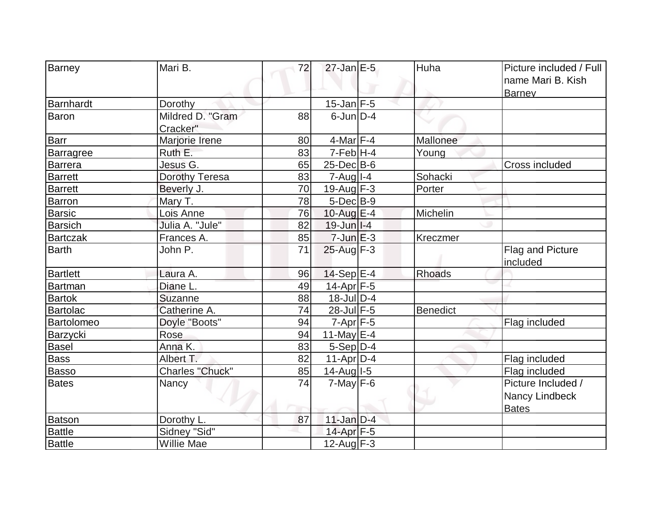| Mari B.                            |                       | $27$ -Jan $E-5$                 |                 | Picture included / Full |
|------------------------------------|-----------------------|---------------------------------|-----------------|-------------------------|
| Barney                             | 72                    |                                 | Huha            |                         |
|                                    |                       |                                 |                 | name Mari B. Kish       |
|                                    |                       |                                 |                 | <b>Barney</b>           |
| Barnhardt<br>Dorothy               | Mildred D. "Gram      | $15$ -Jan F-5<br>$6$ -Jun $D-4$ |                 |                         |
| Baron                              | 88                    |                                 |                 |                         |
| Cracker"                           |                       |                                 |                 |                         |
| <b>Barr</b><br>Marjorie Irene      | 80                    | $4$ -Mar $F-4$                  | Mallonee        |                         |
| Ruth E.<br><b>Barragree</b>        | 83                    | $7-Feb$ H-4                     | Young           |                         |
| Jesus G.<br>Barrera                | 65                    | $25$ -Dec $B$ -6                |                 | Cross included          |
| Dorothy Teresa<br><b>Barrett</b>   | 83                    | $7 - Aug$ <sub>1-4</sub>        | Sohacki         |                         |
| <b>Barrett</b><br>Beverly J.       | 70                    | 19-Aug $F-3$                    | Porter          |                         |
| Barron<br>Mary T.                  | 78                    | $5$ -Dec $B$ -9                 |                 |                         |
| <b>Barsic</b><br>Lois Anne         | 76                    | $10$ -Aug $E$ -4                | Michelin        |                         |
| Barsich<br>Julia A. "Jule"         | 82                    | $19$ -Jun $ I-4 $               |                 |                         |
| <b>Bartczak</b><br>Frances A.      | 85                    | $7$ -Jun $E-3$                  | Kreczmer        |                         |
| Barth<br>John P.                   | 71                    | $25$ -Aug F-3                   |                 | Flag and Picture        |
|                                    |                       |                                 |                 | included                |
| <b>Bartlett</b><br>Laura A.        | 96                    | $14-Sep$ $E-4$                  | <b>Rhoads</b>   |                         |
| Diane L.<br>Bartman                | 49                    | 14-Apr <sub>F-5</sub>           |                 |                         |
| <b>Bartok</b><br>Suzanne           | 88                    | 18-Jul D-4                      |                 |                         |
| Bartolac<br>Catherine A.           | 74                    | 28-Jul F-5                      | <b>Benedict</b> |                         |
| Doyle "Boots"<br>Bartolomeo        | 94                    | $7 - Apr$ $F - 5$               |                 | Flag included           |
| Rose<br>Barzycki                   | 94                    | 11-May $E-4$                    |                 |                         |
| Anna K.<br><b>Basel</b>            | 83                    | $5-Sep D-4$                     |                 |                         |
| Albert T.<br><b>Bass</b>           | 82                    | $11-Apr D-4$                    |                 | Flag included           |
| <b>Basso</b>                       | Charles "Chuck"<br>85 | 14-Aug I-5                      |                 | Flag included           |
| <b>Bates</b><br>Nancy              | 74                    | $7$ -May $F-6$                  |                 | Picture Included /      |
|                                    |                       |                                 |                 | Nancy Lindbeck          |
|                                    |                       |                                 |                 | <b>Bates</b>            |
| Batson<br>Dorothy L.               | 87                    | $11$ -Jan $D-4$                 |                 |                         |
| <b>Battle</b><br>Sidney "Sid"      |                       | 14-Apr F-5                      |                 |                         |
| <b>Battle</b><br><b>Willie Mae</b> |                       | $12$ -Aug F-3                   |                 |                         |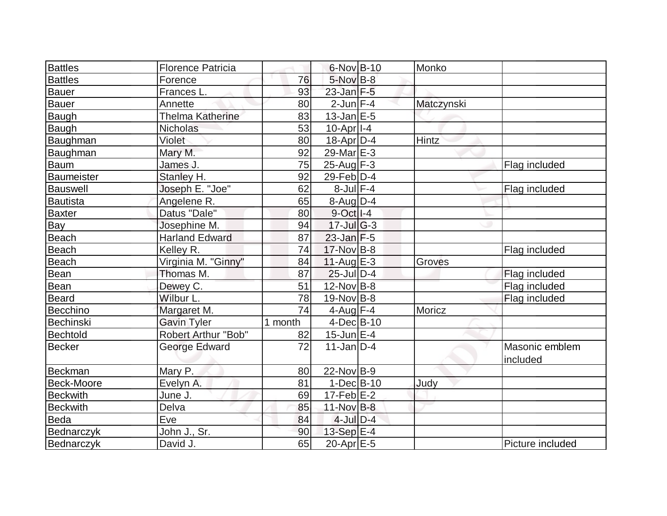| Battles         | <b>Florence Patricia</b>   |         | $6$ -Nov $B$ -10   | Monko      |                  |
|-----------------|----------------------------|---------|--------------------|------------|------------------|
| <b>Battles</b>  | Forence                    | 76      | $5$ -Nov $B$ -8    |            |                  |
| Bauer           | Frances L.                 | 93      | $23$ -Jan $F-5$    |            |                  |
| <b>Bauer</b>    | Annette                    | 80      | $2$ -Jun $F-4$     | Matczynski |                  |
| Baugh           | <b>Thelma Katherine</b>    | 83      | $13$ -Jan $E-5$    |            |                  |
| Baugh           | <b>Nicholas</b>            | 53      | $10$ -Apr $ I-4 $  |            |                  |
| Baughman        | Violet                     | 80      | $18$ -Apr $ D-4$   | Hintz      |                  |
| Baughman        | Mary M.                    | 92      | 29-Mar $E-3$       |            |                  |
| <b>Baum</b>     | James J.                   | 75      | $25$ -Aug F-3      |            | Flag included    |
| Baumeister      | Stanley H.                 | 92      | $29$ -Feb $ D-4$   |            |                  |
| Bauswell        | Joseph E. "Joe"            | 62      | $8$ -Jul $F-4$     |            | Flag included    |
| Bautista        | Angelene R.                | 65      | $8$ -Aug D-4       |            |                  |
| <b>Baxter</b>   | Datus "Dale"               | 80      | $9$ -Oct $ I - 4 $ |            |                  |
| Bay             | Josephine M.               | 94      | $17 -$ JulG-3      |            |                  |
| Beach           | <b>Harland Edward</b>      | 87      | $23$ -Jan $F-5$    |            |                  |
| Beach           | Kelley R.                  | 74      | 17-Nov B-8         |            | Flag included    |
| Beach           | Virginia M. "Ginny"        | 84      | $11-Auq$ $E-3$     | Groves     |                  |
| Bean            | Thomas M.                  | 87      | $25$ -Jul $D-4$    |            | Flag included    |
| <b>Bean</b>     | Dewey C.                   | 51      | $12$ -Nov B-8      |            | Flag included    |
| Beard           | Wilbur L.                  | 78      | $19-Nov$ B-8       |            | Flag included    |
| Becchino        | Margaret M.                | 74      | $4$ -Aug $F-4$     | Moricz     |                  |
| Bechinski       | <b>Gavin Tyler</b>         | 1 month | $4$ -Dec $B$ -10   |            |                  |
| Bechtold        | <b>Robert Arthur "Bob"</b> | 82      | $15$ -Jun $E-4$    |            |                  |
| Becker          | George Edward              | 72      | $11$ -Jan D-4      |            | Masonic emblem   |
|                 |                            |         |                    |            | included         |
| <b>Beckman</b>  | Mary P.                    | 80      | $22$ -Nov B-9      |            |                  |
| Beck-Moore      | Evelyn A.                  | 81      | $1-Dec$ B-10       | Judy       |                  |
| <b>Beckwith</b> | June J.                    | 69      | $17$ -Feb $E-2$    |            |                  |
| <b>Beckwith</b> | Delva                      | 85      | $11$ -Nov $B-8$    |            |                  |
| <b>Beda</b>     | Eve                        | 84      | $4$ -Jul $D-4$     |            |                  |
| Bednarczyk      | John J., Sr.               | 90      | 13-Sep E-4         |            |                  |
| Bednarczyk      | David J.                   | 65      | $20$ -Apr $E-5$    |            | Picture included |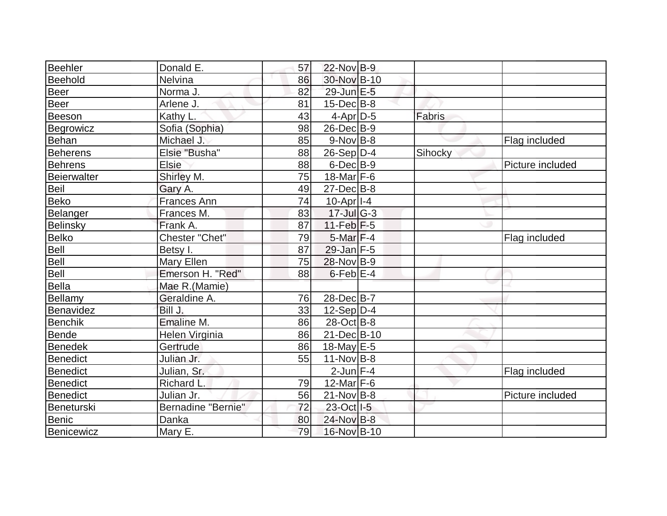| Beehler            | Donald E.          | 57 | 22-Nov B-9            |         |                  |
|--------------------|--------------------|----|-----------------------|---------|------------------|
| Beehold            | Nelvina            | 86 | 30-Nov B-10           |         |                  |
| Beer               | Norma J.           | 82 | 29-Jun E-5            |         |                  |
| Beer               | Arlene J.          | 81 | $15$ -Dec $B$ -8      |         |                  |
| Beeson             | Kathy L.           | 43 | $4$ -Apr $D-5$        | Fabris  |                  |
| Begrowicz          | Sofia (Sophia)     | 98 | 26-Dec B-9            |         |                  |
| <b>Behan</b>       | Michael J.         | 85 | $9-Nov$ B-8           |         | Flag included    |
| <b>Beherens</b>    | Elsie "Busha"      | 88 | $26-Sep D-4$          | Sihocky |                  |
| <b>Behrens</b>     | <b>Elsie</b>       | 88 | $6$ -Dec $B-9$        |         | Picture included |
| <b>Beierwalter</b> | Shirley M.         | 75 | 18-Mar <sub>F-6</sub> |         |                  |
| Beil               | Gary A.            | 49 | $27$ -Dec $B-8$       |         |                  |
| Beko               | <b>Frances Ann</b> | 74 | $10$ -Apr $ I-4 $     |         |                  |
| Belanger           | Frances M.         | 83 | $17 -$ JulG-3         |         |                  |
| Belinsky           | Frank A.           | 87 | $11-Feb$ $F-5$        |         |                  |
| Belko              | Chester "Chet"     | 79 | $5$ -Mar $F-4$        |         | Flag included    |
| Bell               | Betsy I.           | 87 | 29-Jan F-5            |         |                  |
| Bell               | Mary Ellen         | 75 | 28-Nov B-9            |         |                  |
| Bell               | Emerson H. "Red"   | 88 | $6$ -Feb $E-4$        |         |                  |
| Bella              | Mae R.(Mamie)      |    |                       |         |                  |
| Bellamy            | Geraldine A.       | 76 | 28-Dec B-7            |         |                  |
| Benavidez          | Bill J.            | 33 | $12-Sep D-4$          |         |                  |
| Benchik            | Emaline M.         | 86 | $28-Oct$ B-8          |         |                  |
| Bende              | Helen Virginia     | 86 | 21-Dec B-10           |         |                  |
| <b>Benedek</b>     | Gertrude           | 86 | $18$ -May E-5         |         |                  |
| Benedict           | Julian Jr.         | 55 | $11-Nov B-8$          |         |                  |
| <b>Benedict</b>    | Julian, Sr.        |    | $2$ -Jun $F-4$        |         | Flag included    |
| <b>Benedict</b>    | <b>Richard L</b>   | 79 | $12$ -Mar F-6         |         |                  |
| Benedict           | Julian Jr.         | 56 | $21-Nov B-8$          |         | Picture included |
| Beneturski         | Bernadine "Bernie" | 72 | 23-Oct I-5            |         |                  |
| Benic              | Danka              | 80 | 24-Nov B-8            |         |                  |
| Benicewicz         | Mary E.            | 79 | 16-Nov B-10           |         |                  |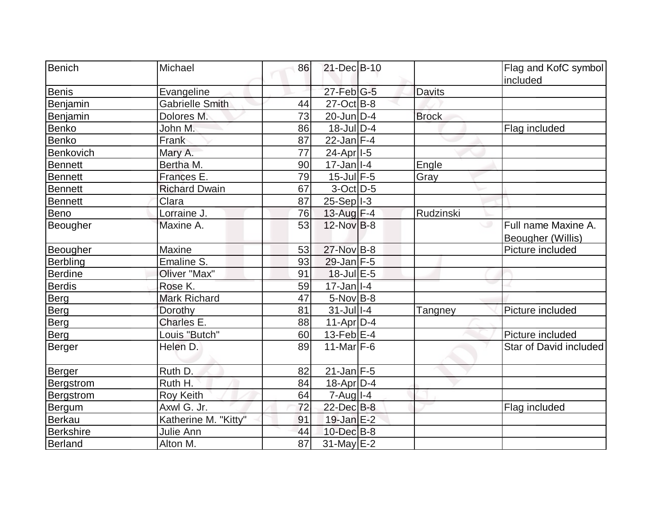| Benich           | Michael                | 86 | 21-Dec B-10               |                | Flag and KofC symbol                     |
|------------------|------------------------|----|---------------------------|----------------|------------------------------------------|
|                  |                        |    |                           |                | included                                 |
| <b>Benis</b>     | Evangeline             |    | $27$ -Feb $ G-5 $         | <b>Davits</b>  |                                          |
| Benjamin         | <b>Gabrielle Smith</b> | 44 | 27-Oct B-8                |                |                                          |
| Benjamin         | Dolores M.             | 73 | 20-Jun D-4                | <b>Brock</b>   |                                          |
| <b>Benko</b>     | John M.                | 86 | 18-Jul D-4                |                | Flag included                            |
| <b>Benko</b>     | Frank                  | 87 | $22$ -Jan F-4             |                |                                          |
| Benkovich        | Mary A.                | 77 | 24-Apr <sub>1-5</sub>     |                |                                          |
| <b>Bennett</b>   | Bertha M.              | 90 | $17 - Jan$ <sup>1-4</sup> | Engle          |                                          |
| <b>Bennett</b>   | Frances E.             | 79 | 15-Jul F-5                | Gray           |                                          |
| <b>Bennett</b>   | <b>Richard Dwain</b>   | 67 | $3$ -Oct $ D-5 $          |                |                                          |
| <b>Bennett</b>   | Clara                  | 87 | $25-Sep$  -3              |                |                                          |
| Beno             | Lorraine J.            | 76 | 13-Aug F-4                | Rudzinski      |                                          |
| Beougher         | Maxine A.              | 53 | $12$ -Nov $ B-8$          |                | Full name Maxine A.<br>Beougher (Willis) |
| Beougher         | <b>Maxine</b>          | 53 | 27-Nov B-8                |                | Picture included                         |
| <b>Berbling</b>  | Emaline S.             | 93 | $29$ -Jan F-5             |                |                                          |
| <b>Berdine</b>   | Oliver "Max"           | 91 | $18$ -Jul $E$ -5          |                |                                          |
| <b>Berdis</b>    | Rose K.                | 59 | $17 - Jan$ <sup>1-4</sup> |                |                                          |
| Berg             | <b>Mark Richard</b>    | 47 | 5-Nov B-8                 |                |                                          |
| Berg             | Dorothy                | 81 | $31$ -Jull-4              | <b>Tangney</b> | Picture included                         |
| <b>Berg</b>      | Charles E.             | 88 | $11-Apr\overline{D-4}$    |                |                                          |
| Berg             | Louis "Butch"          | 60 | 13-Feb $E$ -4             |                | Picture included                         |
| Berger           | Helen D.               | 89 | 11-Mar $F-6$              |                | Star of David included                   |
| <b>Berger</b>    | Ruth D.                | 82 | 21-Jan F-5                |                |                                          |
| Bergstrom        | Ruth H.                | 84 | $18$ -Apr $ D-4$          |                |                                          |
| Bergstrom        | Roy Keith              | 64 | $7 - Aug$   $1 - 4$       |                |                                          |
| Bergum           | Axwl G. Jr.            | 72 | 22-Dec B-8                |                | Flag included                            |
| <b>Berkau</b>    | Katherine M. "Kitty"   | 91 | $19$ -Jan $E-2$           |                |                                          |
| <b>Berkshire</b> | Julie Ann              | 44 | 10-Dec B-8                |                |                                          |
| Berland          | Alton M.               | 87 | $31$ -May $E-2$           |                |                                          |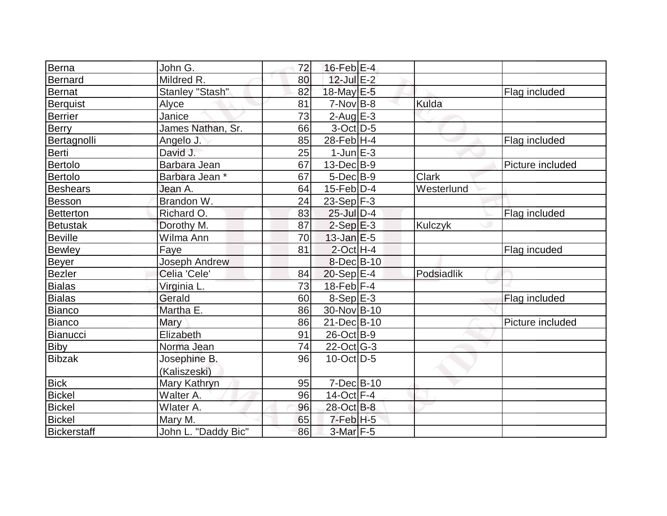| Berna              | John G.              | 72 | $16$ -Feb $E-4$   |                |                  |
|--------------------|----------------------|----|-------------------|----------------|------------------|
| Bernard            | Mildred R.           | 80 | 12-Jul E-2        |                |                  |
| Bernat             | Stanley "Stash"      | 82 | 18-May E-5        |                | Flag included    |
| Berquist           | Alyce                | 81 | $7-Nov B-8$       | Kulda          |                  |
| <b>Berrier</b>     | Janice               | 73 | $2$ -Aug E-3      |                |                  |
| <b>Berry</b>       | James Nathan, Sr.    | 66 | $3$ -Oct $ D-5 $  |                |                  |
| Bertagnolli        | Angelo J.            | 85 | 28-Feb $ H-4 $    |                | Flag included    |
| Berti              | David J.             | 25 | $1$ -Jun $E-3$    |                |                  |
| Bertolo            | Barbara Jean         | 67 | $13$ -Dec $B-9$   |                | Picture included |
| Bertolo            | Barbara Jean *       | 67 | $5$ -Dec $B$ -9   | Clark          |                  |
| Beshears           | Jean A.              | 64 | $15$ -Feb $ D-4$  | Westerlund     |                  |
| Besson             | Brandon W.           | 24 | 23-Sep $F-3$      |                |                  |
| Betterton          | Richard O.           | 83 | $25$ -Jul $D-4$   |                | Flag included    |
| <b>Betustak</b>    | Dorothy M.           | 87 | $2-Sep$ $E-3$     | <b>Kulczyk</b> |                  |
| <b>Beville</b>     | Wilma Ann            | 70 | $13$ -Jan $E-5$   |                |                  |
| <b>Bewley</b>      | Faye                 | 81 | $2$ -Oct H-4      |                | Flag incuded     |
| Beyer              | <b>Joseph Andrew</b> |    | $8$ -Dec $B$ -10  |                |                  |
| Bezler             | Celia 'Cele'         | 84 | $20-Sep$ $E-4$    | Podsiadlik     |                  |
| <b>Bialas</b>      | Virginia L.          | 73 | $18$ -Feb F-4     |                |                  |
| Bialas             | Gerald               | 60 | $8-Sep$ $E-3$     |                | Flag included    |
| Bianco             | Martha E.            | 86 | 30-Nov B-10       |                |                  |
| Bianco             | Mary                 | 86 | 21-Dec B-10       |                | Picture included |
| Bianucci           | Elizabeth            | 91 | $26$ -Oct B-9     |                |                  |
| Biby               | Norma Jean           | 74 | $22$ -Oct G-3     |                |                  |
| <b>Bibzak</b>      | Josephine B.         | 96 | $10$ -Oct $ D-5 $ |                |                  |
|                    | (Kaliszeski)         |    |                   |                |                  |
| <b>Bick</b>        | Mary Kathryn         | 95 | $7 - Dec$ B-10    |                |                  |
| <b>Bickel</b>      | Walter A.            | 96 | $14$ -Oct F-4     |                |                  |
| <b>Bickel</b>      | Wlater A.            | 96 | 28-Oct B-8        |                |                  |
| <b>Bickel</b>      | Mary M.              | 65 | $7-Feb$ H-5       |                |                  |
| <b>Bickerstaff</b> | John L. "Daddy Bic"  | 86 | $3-Mar$ F-5       |                |                  |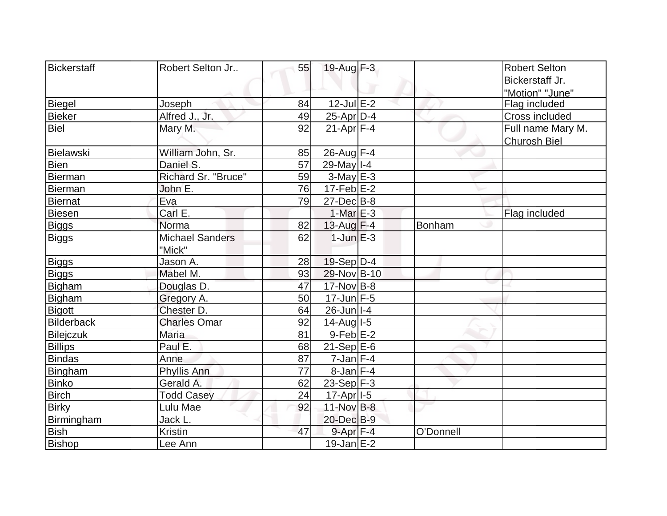| Bickerstaff       | Robert Selton Jr       | 55 | $19$ -Aug $F-3$       |           | <b>Robert Selton</b> |
|-------------------|------------------------|----|-----------------------|-----------|----------------------|
|                   |                        |    |                       |           | Bickerstaff Jr.      |
|                   |                        |    |                       |           | "Motion" "June"      |
| <b>Biegel</b>     | Joseph                 | 84 | $12$ -Jul $E-2$       |           | Flag included        |
| Bieker            | Alfred J., Jr.         | 49 | 25-Apr D-4            |           | Cross included       |
| <b>Biel</b>       | Mary M.                | 92 | $21-Apr$ F-4          |           | Full name Mary M.    |
|                   |                        |    |                       |           | <b>Churosh Biel</b>  |
| Bielawski         | William John, Sr.      | 85 | $26$ -Aug F-4         |           |                      |
| <b>Bien</b>       | Daniel S.              | 57 | 29-May   I-4          |           |                      |
| Bierman           | Richard Sr. "Bruce"    | 59 | $3-May$ $E-3$         |           |                      |
| Bierman           | John E.                | 76 | $17$ -Feb $E-2$       |           |                      |
| <b>Biernat</b>    | Eva                    | 79 | $27 - Dec$ B-8        |           |                      |
| Biesen            | Carl E.                |    | $1-MarE-3$            |           | Flag included        |
| <b>Biggs</b>      | Norma                  | 82 | $13$ -Aug F-4         | Bonham    |                      |
| Biggs             | <b>Michael Sanders</b> | 62 | $1$ -Jun $E-3$        |           |                      |
|                   | "Mick"                 |    |                       |           |                      |
| <b>Biggs</b>      | Jason A.               | 28 | $19-Sep D-4$          |           |                      |
| <b>Biggs</b>      | Mabel M.               | 93 | 29-Nov B-10           |           |                      |
| Bigham            | Douglas D.             | 47 | 17-Nov B-8            |           |                      |
| Bigham            | Gregory A.             | 50 | $17$ -Jun F-5         |           |                      |
| Bigott            | Chester D.             | 64 | 26-Jun I-4            |           |                      |
| <b>Bilderback</b> | <b>Charles Omar</b>    | 92 | $14$ -Aug $I$ -5      |           |                      |
| <b>Bilejczuk</b>  | Maria                  | 81 | $9$ -Feb $E-2$        |           |                      |
| <b>Billips</b>    | Paul E.                | 68 | $21-Sep$ $E-6$        |           |                      |
| <b>Bindas</b>     | Anne                   | 87 | $7$ -Jan $ F-4 $      |           |                      |
| Bingham           | Phyllis Ann            | 77 | $8$ -Jan $F-4$        |           |                      |
| <b>Binko</b>      | Gerald A.              | 62 | $23-Sep$ F-3          |           |                      |
| <b>Birch</b>      | <b>Todd Casey</b>      | 24 | 17-Apr <sub>1-5</sub> |           |                      |
| <b>Birky</b>      | Lulu Mae               | 92 | 11-Nov B-8            |           |                      |
| Birmingham        | Jack L.                |    | 20-Dec B-9            |           |                      |
| <b>Bish</b>       | <b>Kristin</b>         | 47 | $9$ -Apr $F-4$        | O'Donnell |                      |
| Bishop            | Lee Ann                |    | $19$ -Jan $E-2$       |           |                      |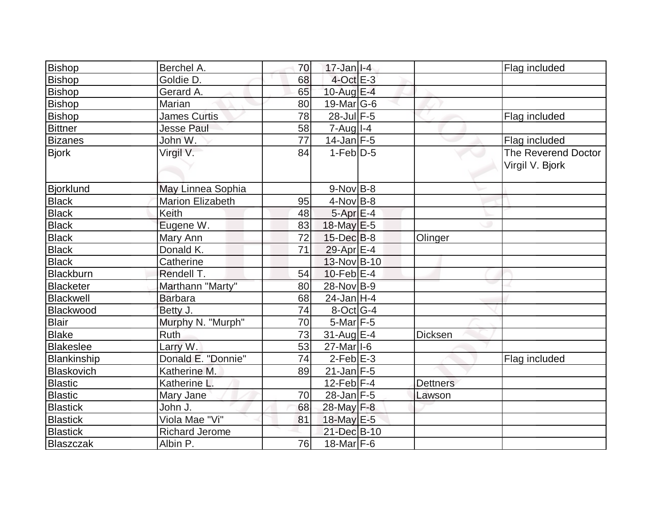| Bishop           | Berchel A.              | 70 | $17$ -Jan $I-4$           |                 | Flag included                          |
|------------------|-------------------------|----|---------------------------|-----------------|----------------------------------------|
| <b>Bishop</b>    | Goldie D.               | 68 | $4$ -Oct $E-3$            |                 |                                        |
| <b>Bishop</b>    | Gerard A.               | 65 | 10-Aug $E-4$              |                 |                                        |
| <b>Bishop</b>    | Marian                  | 80 | 19-Mar G-6                |                 |                                        |
| <b>Bishop</b>    | <b>James Curtis</b>     | 78 | $28 - \overline{Jul}$ F-5 |                 | Flag included                          |
| Bittner          | <b>Jesse Paul</b>       | 58 | $7 - Aug$   $1 - 4$       |                 |                                        |
| <b>Bizanes</b>   | John W.                 | 77 | 14-Jan F-5                |                 | Flag included                          |
| <b>Bjork</b>     | Virgil V.               | 84 | $1-Feb D-5$               |                 | The Reverend Doctor<br>Virgil V. Bjork |
| Bjorklund        | May Linnea Sophia       |    | $9-NovB-8$                |                 |                                        |
| <b>Black</b>     | <b>Marion Elizabeth</b> | 95 | 4-Nov B-8                 |                 |                                        |
| <b>Black</b>     | Keith                   | 48 | 5-Apr E-4                 |                 |                                        |
| <b>Black</b>     | Eugene W.               | 83 | $18$ -May $E$ -5          |                 |                                        |
| <b>Black</b>     | Mary Ann                | 72 | $15$ -Dec $B$ -8          | Olinger         |                                        |
| <b>Black</b>     | Donald K.               | 71 | 29-Apr $E-4$              |                 |                                        |
| <b>Black</b>     | Catherine               |    | 13-Nov B-10               |                 |                                        |
| Blackburn        | Rendell T.              | 54 | $10$ -Feb $E-4$           |                 |                                        |
| <b>Blacketer</b> | Marthann "Marty"        | 80 | 28-Nov B-9                |                 |                                        |
| Blackwell        | <b>Barbara</b>          | 68 | $24$ -Jan H-4             |                 |                                        |
| Blackwood        | Betty J.                | 74 | $8$ -Oct $ G-4 $          |                 |                                        |
| <b>Blair</b>     | Murphy N. "Murph"       | 70 | $5$ -Mar $F - 5$          |                 |                                        |
| <b>Blake</b>     | <b>Ruth</b>             | 73 | 31-Aug E-4                | <b>Dicksen</b>  |                                        |
| <b>Blakeslee</b> | Larry W.                | 53 | 27-Mar I-6                |                 |                                        |
| Blankinship      | Donald E. "Donnie"      | 74 | $2$ -Feb $E-3$            |                 | Flag included                          |
| Blaskovich       | Katherine M.            | 89 | $21$ -Jan F-5             |                 |                                        |
| <b>Blastic</b>   | Katherine L.            |    | $12$ -Feb $ F-4$          | <b>Dettners</b> |                                        |
| <b>Blastic</b>   | Mary Jane               | 70 | $28$ -Jan F-5             | Lawson          |                                        |
| <b>Blastick</b>  | John J.                 | 68 | 28-May F-8                |                 |                                        |
| <b>Blastick</b>  | Viola Mae "Vi"          | 81 | 18-May E-5                |                 |                                        |
| <b>Blastick</b>  | <b>Richard Jerome</b>   |    | 21-Dec B-10               |                 |                                        |
| Blaszczak        | Albin P.                | 76 | $18$ -Mar F-6             |                 |                                        |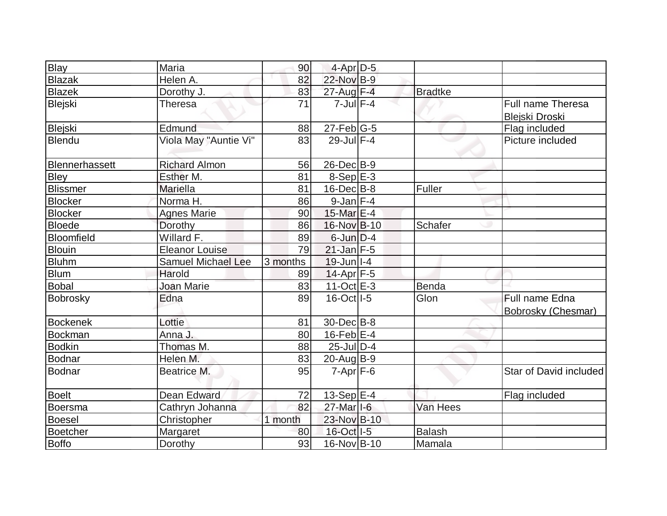| Blay            | Maria                 | 90       | 4-Apr D-5         |                |                                                   |
|-----------------|-----------------------|----------|-------------------|----------------|---------------------------------------------------|
| <b>Blazak</b>   | Helen A.              | 82       | 22-Nov B-9        |                |                                                   |
| <b>Blazek</b>   | Dorothy J.            | 83       | 27-Aug F-4        | <b>Bradtke</b> |                                                   |
| Blejski         | <b>Theresa</b>        | 71       | $7$ -Jul $F-4$    |                | <b>Full name Theresa</b><br><b>Blejski Droski</b> |
| Blejski         | Edmund                | 88       | $27$ -Feb $ G-5$  |                | Flag included                                     |
| Blendu          | Viola May "Auntie Vi" | 83       | $29$ -Jul $F-4$   |                | Picture included                                  |
| Blennerhassett  | <b>Richard Almon</b>  | 56       | $26$ -Dec $B-9$   |                |                                                   |
| Bley            | Esther M.             | 81       | $8-Sep$ $E-3$     |                |                                                   |
| <b>Blissmer</b> | <b>Mariella</b>       | 81       | $16$ -Dec $B$ -8  | Fuller         |                                                   |
| <b>Blocker</b>  | Norma H.              | 86       | $9$ -Jan $F-4$    |                |                                                   |
| <b>Blocker</b>  | <b>Agnes Marie</b>    | 90       | 15-Mar E-4        |                |                                                   |
| <b>Bloede</b>   | Dorothy               | 86       | 16-Nov B-10       | <b>Schafer</b> |                                                   |
| Bloomfield      | Willard F.            | 89       | $6$ -Jun $D-4$    |                |                                                   |
| Blouin          | <b>Eleanor Louise</b> | 79       | $21$ -Jan $F-5$   |                |                                                   |
| <b>Bluhm</b>    | Samuel Michael Lee    | 3 months | $19$ -Jun $ I-4 $ |                |                                                   |
| <b>Blum</b>     | Harold                | 89       | 14-Apr F-5        |                |                                                   |
| <b>Bobal</b>    | <b>Joan Marie</b>     | 83       | 11-Oct $E-3$      | <b>Benda</b>   |                                                   |
| Bobrosky        | Edna                  | 89       | 16-Oct I-5        | Glon           | Full name Edna<br><b>Bobrosky (Chesmar)</b>       |
| <b>Bockenek</b> | Lottie                | 81       | 30-Dec B-8        |                |                                                   |
| <b>Bockman</b>  | Anna J.               | 80       | $16$ -Feb $E-4$   |                |                                                   |
| <b>Bodkin</b>   | Thomas M.             | 88       | $25$ -Jul $D-4$   |                |                                                   |
| <b>Bodnar</b>   | Helen M.              | 83       | $20$ -Aug $B-9$   |                |                                                   |
| Bodnar          | Beatrice M.           | 95       | $7 - Apr$ $F-6$   |                | Star of David included                            |
| <b>Boelt</b>    | <b>Dean Edward</b>    | 72       | $13-Sep$ E-4      |                | Flag included                                     |
| <b>Boersma</b>  | Cathryn Johanna       | 82       | 27-Mar I-6        | Van Hees       |                                                   |
| <b>Boesel</b>   | Christopher           | 1 month  | 23-Nov B-10       |                |                                                   |
| Boetcher        | <b>Margaret</b>       | 80       | 16-Oct I-5        | <b>Balash</b>  |                                                   |
| Boffo           | Dorothy               | 93       | 16-Nov B-10       | Mamala         |                                                   |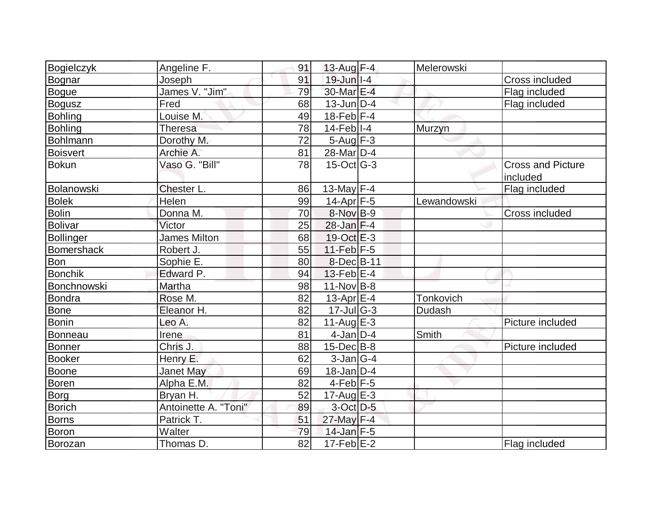| Bogielczyk        | Angeline F.          | 91 | 13-Aug F-4                    | Melerowski    |                          |
|-------------------|----------------------|----|-------------------------------|---------------|--------------------------|
| Bognar            | Joseph               | 91 | $19$ -Jun $ I-4$              |               | Cross included           |
| Bogue             | James V. "Jim"       | 79 | 30-Mar E-4                    |               | Flag included            |
| Bogusz            | Fred                 | 68 | $13$ -Jun $D-4$               |               | Flag included            |
| Bohling           | Louise M.            | 49 | $18$ -Feb $ F-4 $             |               |                          |
| Bohling           | <b>Theresa</b>       | 78 | $14$ -Feb $ I-4$              | Murzyn        |                          |
| Bohlmann          | Dorothy M.           | 72 | $5 - Aug$ $F-3$               |               |                          |
| Boisvert          | Archie A.            | 81 | 28-Mar <sub>D-4</sub>         |               |                          |
| Bokun             | Vaso G. "Bill"       | 78 | $15$ -Oct $ G-3 $             |               | <b>Cross and Picture</b> |
|                   |                      |    |                               |               | included                 |
| Bolanowski        | Chester L.           | 86 | 13-May $F-4$                  |               | Flag included            |
| <b>Bolek</b>      | Helen                | 99 | 14-Apr $F-5$                  | Lewandowski   |                          |
| Bolin             | Donna M.             | 70 | 8-Nov B-9                     |               | <b>Cross included</b>    |
| Bolivar           | Victor               | 25 | $28$ -Jan $F-4$               |               |                          |
| Bollinger         | <b>James Milton</b>  | 68 | $19-Oct$ $E-3$                |               |                          |
| <b>Bomershack</b> | Robert J.            | 55 | $11-Feb$ $F-5$                |               |                          |
| Bon               | Sophie E.            | 80 | $8$ -Dec $B$ -11              |               |                          |
| <b>Bonchik</b>    | Edward P.            | 94 | $13$ -Feb $ E-4$              |               |                          |
| Bonchnowski       | Martha               | 98 | $11$ -Nov $B$ -8              |               |                          |
| Bondra            | Rose M.              | 82 | 13-Apr $E-4$                  | Tonkovich     |                          |
| <b>Bone</b>       | Eleanor H.           | 82 | $17 -$ Jul $\overline{G} - 3$ | <b>Dudash</b> |                          |
| Bonin             | Leo A.               | 82 | $11-Auq$ $E-3$                |               | Picture included         |
| Bonneau           | Irene                | 81 | $4$ -Jan $D-4$                | Smith         |                          |
| Bonner            | Chris J.             | 88 | $15$ -Dec $B$ -8              |               | Picture included         |
| Booker            | Henry E.             | 62 | $3$ -Jan $ G-4 $              |               |                          |
| Boone             | Janet May            | 69 | $18$ -Jan $D-4$               |               |                          |
| Boren             | Alpha E.M.           | 82 | $4$ -Feb $ F-5 $              |               |                          |
| Borg              | Bryan H.             | 52 | $17$ -Aug $E-3$               |               |                          |
| Borich            | Antoinette A. "Toni" | 89 | $3$ -Oct $D-5$                |               |                          |
| Borns             | Patrick T.           | 51 | 27-May F-4                    |               |                          |
| <b>Boron</b>      | Walter               | 79 | $14$ -Jan F-5                 |               |                          |
| Borozan           | Thomas D.            | 82 | $17-Feb$ E-2                  |               | Flag included            |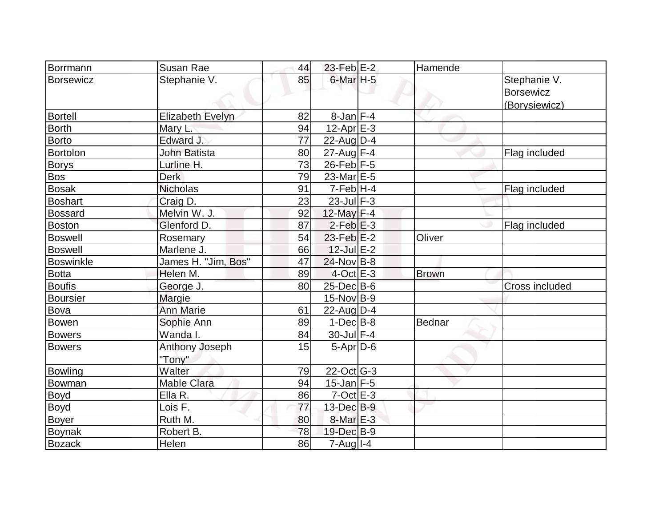| Borrmann         | Susan Rae           | 44 | $23$ -Feb $E-2$        | Hamende      |                       |
|------------------|---------------------|----|------------------------|--------------|-----------------------|
| <b>Borsewicz</b> | Stephanie V.        | 85 | $6$ -Mar $H - 5$       |              | Stephanie V.          |
|                  |                     |    |                        |              | <b>Borsewicz</b>      |
|                  |                     |    |                        |              | (Borysiewicz)         |
| Bortell          | Elizabeth Evelyn    | 82 | $8$ -Jan $F-4$         |              |                       |
| <b>Borth</b>     | Mary L.             | 94 | $12$ -Apr $E-3$        |              |                       |
| Borto            | Edward J.           | 77 | $22$ -Aug $D-4$        |              |                       |
| Bortolon         | John Batista        | 80 | 27-Aug F-4             |              | Flag included         |
| <b>Borys</b>     | Lurline H.          | 73 | $26$ -Feb $F-5$        |              |                       |
| <b>Bos</b>       | <b>Derk</b>         | 79 | 23-Mar <sub>IE-5</sub> |              |                       |
| <b>Bosak</b>     | <b>Nicholas</b>     | 91 | $7-Feb$ H-4            |              | Flag included         |
| <b>Boshart</b>   | Craig D.            | 23 | $23$ -Jul F-3          |              |                       |
| <b>Bossard</b>   | Melvin W. J.        | 92 | 12-May F-4             |              |                       |
| <b>Boston</b>    | Glenford D.         | 87 | $2$ -Feb $E-3$         |              | Flag included         |
| Boswell          | Rosemary            | 54 | $23$ -Feb $E-2$        | Oliver       |                       |
| <b>Boswell</b>   | Marlene J.          | 66 | $12$ -Jul $E-2$        |              |                       |
| Boswinkle        | James H. "Jim, Bos" | 47 | 24-Nov B-8             |              |                       |
| <b>Botta</b>     | Helen M.            | 89 | $4$ -Oct $E - 3$       | <b>Brown</b> |                       |
| <b>Boufis</b>    | George J.           | 80 | $25$ -Dec $B$ -6       |              | <b>Cross included</b> |
| Boursier         | Margie              |    | $15$ -Nov B-9          |              |                       |
| Bova             | <b>Ann Marie</b>    | 61 | $22$ -Aug $D-4$        |              |                       |
| Bowen            | Sophie Ann          | 89 | $1-Dec$ B-8            | Bednar       |                       |
| <b>Bowers</b>    | Wanda I.            | 84 | $30$ -Jul $F-4$        |              |                       |
| <b>Bowers</b>    | Anthony Joseph      | 15 | $5-Apr D-6$            |              |                       |
|                  | "Tony"              |    |                        |              |                       |
| <b>Bowling</b>   | Walter              | 79 | 22-Oct G-3             |              |                       |
| Bowman           | <b>Mable Clara</b>  | 94 | $15$ -Jan $F-5$        |              |                       |
| <b>Boyd</b>      | Ella R.             | 86 | $7$ -Oct $E - 3$       |              |                       |
| Boyd             | Lois F.             | 77 | 13-Dec B-9             |              |                       |
| <b>Boyer</b>     | Ruth M.             | 80 | $8$ -Mar $E-3$         |              |                       |
| <b>Boynak</b>    | Robert B.           | 78 | 19-Dec B-9             |              |                       |
| <b>Bozack</b>    | Helen               | 86 | 7-Aug I-4              |              |                       |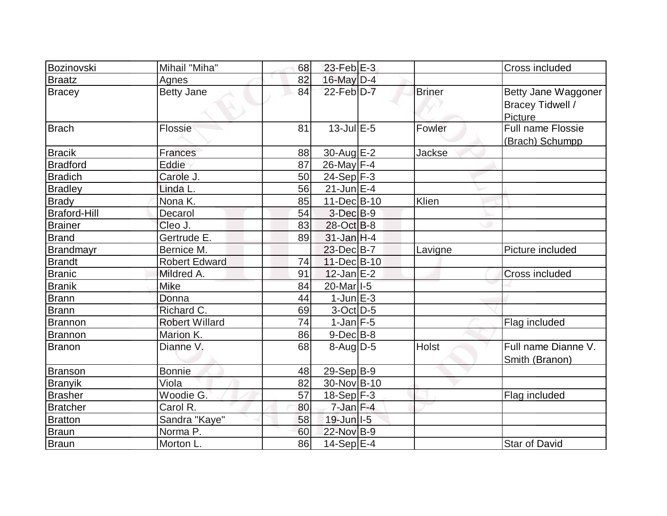| Bozinovski          | Mihail "Miha"         | 68 | $23$ -Feb $E-3$          |               | Cross included                                                   |
|---------------------|-----------------------|----|--------------------------|---------------|------------------------------------------------------------------|
| Braatz              | <b>Agnes</b>          | 82 | 16-May D-4               |               |                                                                  |
| <b>Bracey</b>       | <b>Betty Jane</b>     | 84 | $22$ -Feb $D-7$          | <b>Briner</b> | Betty Jane Waggoner<br><b>Bracey Tidwell /</b><br><b>Picture</b> |
| Brach               | Flossie               | 81 | $13$ -Jul $E-5$          | Fowler        | Full name Flossie<br>(Brach) Schumpp                             |
| <b>Bracik</b>       | <b>Frances</b>        | 88 | 30-Aug E-2               | <b>Jackse</b> |                                                                  |
| <b>Bradford</b>     | Eddie                 | 87 | 26-May $F-4$             |               |                                                                  |
| <b>Bradich</b>      | Carole J.             | 50 | $24-Sep$ F-3             |               |                                                                  |
| <b>Bradley</b>      | Linda L.              | 56 | $\overline{2}$ 1-Jun E-4 |               |                                                                  |
| <b>Brady</b>        | Nona K.               | 85 | 11-Dec B-10              | Klien         |                                                                  |
| <b>Braford-Hill</b> | Decarol               | 54 | $3-Dec B-9$              |               |                                                                  |
| <b>Brainer</b>      | Cleo J.               | 83 | $28-Oct$ B-8             |               |                                                                  |
| <b>Brand</b>        | Gertrude E.           | 89 | $31$ -Jan H-4            |               |                                                                  |
| <b>Brandmayr</b>    | Bernice M.            |    | 23-Dec B-7               | Lavigne       | Picture included                                                 |
| <b>Brandt</b>       | <b>Robert Edward</b>  | 74 | 11-Dec B-10              |               |                                                                  |
| <b>Branic</b>       | Mildred A.            | 91 | $12$ -Jan $E-2$          |               | <b>Cross included</b>                                            |
| <b>Branik</b>       | Mike                  | 84 | 20-Mar <sub>1-5</sub>    |               |                                                                  |
| <b>Brann</b>        | Donna                 | 44 | $1$ -Jun $E-3$           |               |                                                                  |
| <b>Brann</b>        | Richard C.            | 69 | $3-Oct$ D-5              |               |                                                                  |
| Brannon             | <b>Robert Willard</b> | 74 | $1$ -Jan $F-5$           |               | Flag included                                                    |
| Brannon             | Marion K.             | 86 | $9-Dec B-8$              |               |                                                                  |
| <b>Branon</b>       | Dianne V.             | 68 | $8$ -Aug $D-5$           | <b>Holst</b>  | Full name Dianne V.<br>Smith (Branon)                            |
| <b>Branson</b>      | <b>Bonnie</b>         | 48 | $29-Sep$ B-9             |               |                                                                  |
| <b>Branyik</b>      | Viola                 | 82 | 30-Nov B-10              |               |                                                                  |
| <b>Brasher</b>      | Woodie G.             | 57 | $18-Sep$ F-3             |               | Flag included                                                    |
| Bratcher            | Carol R.              | 80 | $7$ -Jan $F-4$           |               |                                                                  |
| <b>Bratton</b>      | Sandra "Kaye"         | 58 | $19$ -Jun $ I-5 $        |               |                                                                  |
| <b>Braun</b>        | Norma P.              | 60 | 22-Nov B-9               |               |                                                                  |
| Braun               | Morton L.             | 86 | $14-Sep$ E-4             |               | <b>Star of David</b>                                             |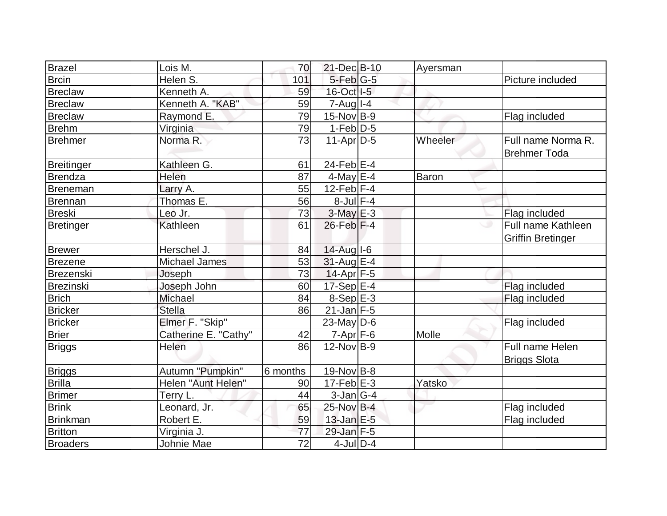| Brazel            | Lois M.              | 70              | 21-Dec B-10         | Ayersman |                                                |
|-------------------|----------------------|-----------------|---------------------|----------|------------------------------------------------|
| <b>Brcin</b>      | Helen S.             | 101             | $5$ -Feb $ G-5 $    |          | Picture included                               |
| <b>Breclaw</b>    | Kenneth A.           | 59              | 16-Oct I-5          |          |                                                |
| <b>Breclaw</b>    | Kenneth A. "KAB"     | 59              | $7 - Aug$   $1 - 4$ |          |                                                |
| <b>Breclaw</b>    | Raymond E.           | 79              | $15$ -Nov B-9       |          | Flag included                                  |
| <b>Brehm</b>      | Virginia             | 79              | $1-Feb D-5$         |          |                                                |
| <b>Brehmer</b>    | Norma <sub>R</sub> . | 73              | $11-Apr D-5$        | Wheeler  | Full name Norma R.<br><b>Brehmer Toda</b>      |
| <b>Breitinger</b> | Kathleen G.          | 61              | 24-Feb $E-4$        |          |                                                |
| <b>Brendza</b>    | Helen                | 87              | 4-May $E-4$         | Baron    |                                                |
| Breneman          | Larry A.             | 55              | $12$ -Feb F-4       |          |                                                |
| Brennan           | Thomas E.            | 56              | $8$ -Jul $F-4$      |          |                                                |
| <b>Breski</b>     | Leo Jr.              | 73              | $3-MayE-3$          |          | Flag included                                  |
| Bretinger         | Kathleen             | 61              | $26$ -Feb $ F-4$    |          | Full name Kathleen<br><b>Griffin Bretinger</b> |
| <b>Brewer</b>     | Herschel J.          | 84              | 14-Aug I-6          |          |                                                |
| Brezene           | <b>Michael James</b> | 53              | $31$ -Aug $E-4$     |          |                                                |
| Brezenski         | Joseph               | 73              | $14$ -Apr $F-5$     |          |                                                |
| <b>Brezinski</b>  | Joseph John          | 60              | $17-Sep$ E-4        |          | Flag included                                  |
| <b>Brich</b>      | Michael              | 84              | $8-Sep$ $E-3$       |          | Flag included                                  |
| <b>Bricker</b>    | <b>Stella</b>        | 86              | $21$ -Jan F-5       |          |                                                |
| Bricker           | Elmer F. "Skip"      |                 | 23-May $D-6$        |          | Flag included                                  |
| <b>Brier</b>      | Catherine E. "Cathy" | 42              | $7-Apr$ $F-6$       | Molle    |                                                |
| <b>Briggs</b>     | <b>Helen</b>         | 86              | $12$ -Nov $ B-9 $   |          | Full name Helen<br><b>Briggs Slota</b>         |
| <b>Briggs</b>     | Autumn "Pumpkin"     | 6 months        | $19$ -Nov B-8       |          |                                                |
| <b>Brilla</b>     | Helen "Aunt Helen"   | 90              | $17$ -Feb $E-3$     | Yatsko   |                                                |
| <b>Brimer</b>     | Terry L.             | 44              | $3$ -Jan $ G-4 $    |          |                                                |
| <b>Brink</b>      | Leonard, Jr.         | 65              | $25$ -Nov B-4       |          | Flag included                                  |
| Brinkman          | Robert E.            | 59              | $13$ -Jan $E-5$     |          | Flag included                                  |
| <b>Britton</b>    | Virginia J.          | 77              | 29-Jan F-5          |          |                                                |
| <b>Broaders</b>   | Johnie Mae           | $\overline{72}$ | $4$ -JulD-4         |          |                                                |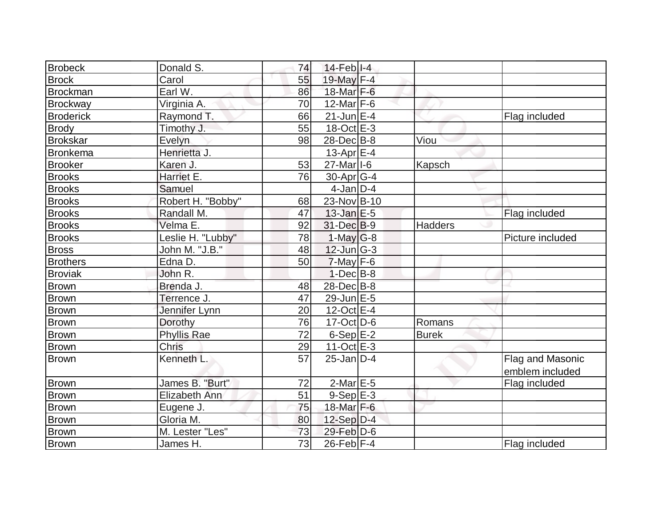| <b>Brobeck</b>   | Donald S.          | 74 | $14$ -Feb $ I-4$      |              |                  |
|------------------|--------------------|----|-----------------------|--------------|------------------|
| <b>Brock</b>     | Carol              | 55 | 19-May F-4            |              |                  |
| <b>Brockman</b>  | Earl W.            | 86 | 18-Mar F-6            |              |                  |
| Brockway         | Virginia A.        | 70 | 12-Mar $F-6$          |              |                  |
| <b>Broderick</b> | Raymond T.         | 66 | $21$ -Jun $E-4$       |              | Flag included    |
| Brody            | Timothy J.         | 55 | $18-Oct$ $E-3$        |              |                  |
| Brokskar         | Evelyn             | 98 | 28-Dec B-8            | Viou         |                  |
| <b>Bronkema</b>  | Henrietta J.       |    | 13-Apr $E-4$          |              |                  |
| <b>Brooker</b>   | Karen J.           | 53 | 27-Mar <sub>1-6</sub> | Kapsch       |                  |
| <b>Brooks</b>    | Harriet E.         | 76 | $30$ -Apr $G-4$       |              |                  |
| <b>Brooks</b>    | Samuel             |    | $4$ -Jan $D-4$        |              |                  |
| <b>Brooks</b>    | Robert H. "Bobby"  | 68 | 23-Nov B-10           |              |                  |
| <b>Brooks</b>    | Randall M.         | 47 | $13$ -Jan $E-5$       |              | Flag included    |
| <b>Brooks</b>    | Velma E.           | 92 | 31-Dec B-9            | Hadders      |                  |
| <b>Brooks</b>    | Leslie H. "Lubby"  | 78 | $1-May G-8$           |              | Picture included |
| <b>Bross</b>     | John M. "J.B."     | 48 | $12$ -Jun $ G-3 $     |              |                  |
| <b>Brothers</b>  | Edna D.            | 50 | $7$ -May $F-6$        |              |                  |
| <b>Broviak</b>   | John R.            |    | $1-Dec$ B-8           |              |                  |
| <b>Brown</b>     | Brenda J.          | 48 | 28-Dec B-8            |              |                  |
| Brown            | Terrence J.        | 47 | 29-Jun E-5            |              |                  |
| <b>Brown</b>     | Jennifer Lynn      | 20 | $12$ -Oct $E-4$       |              |                  |
| Brown            | Dorothy            | 76 | $17$ -Oct $ D-6 $     | Romans       |                  |
| Brown            | <b>Phyllis Rae</b> | 72 | $6-Sep$ $E-2$         | <b>Burek</b> |                  |
| <b>Brown</b>     | <b>Chris</b>       | 29 | $11-Oct$ $E-3$        |              |                  |
| Brown            | Kenneth L.         | 57 | $25$ -Jan $D-4$       |              | Flag and Masonic |
|                  |                    |    |                       |              | emblem included  |
| <b>Brown</b>     | James B. "Burt"    | 72 | $2$ -Mar $E-5$        |              | Flag included    |
| <b>Brown</b>     | Elizabeth Ann      | 51 | $9-Sep$ $E-3$         |              |                  |
| <b>Brown</b>     | Eugene J.          | 75 | 18-Mar F-6            |              |                  |
| Brown            | Gloria M.          | 80 | $12-Sep D-4$          |              |                  |
| <b>Brown</b>     | M. Lester "Les"    | 73 | $29$ -Feb $D$ -6      |              |                  |
| Brown            | James H.           | 73 | $26$ -Feb F-4         |              | Flag included    |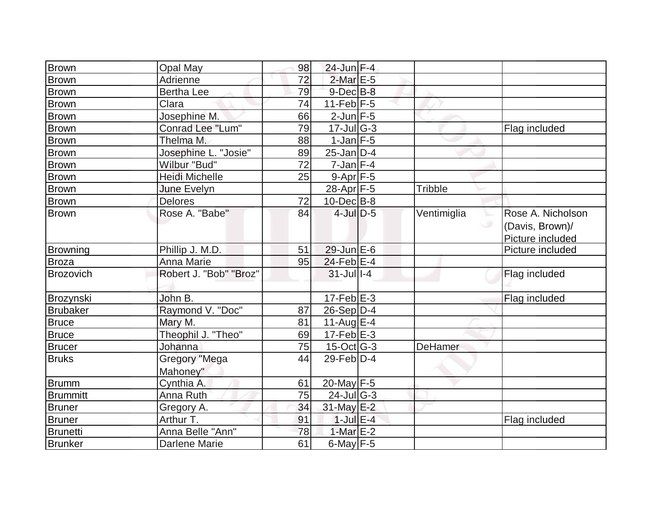| <b>Brown</b>    | Opal May               | 98 | 24-Jun F-4                  |                |                                     |
|-----------------|------------------------|----|-----------------------------|----------------|-------------------------------------|
| <b>Brown</b>    | Adrienne               | 72 | $2$ -Mar $E-5$              |                |                                     |
| <b>Brown</b>    | <b>Bertha Lee</b>      | 79 | $9$ -Dec $B$ -8             |                |                                     |
| <b>Brown</b>    | Clara                  | 74 | $11-Feb$ F-5                |                |                                     |
| <b>Brown</b>    | Josephine M.           | 66 | $2$ -Jun $F-5$              |                |                                     |
| <b>Brown</b>    | Conrad Lee "Lum"       | 79 | $17$ -Jul $\overline{G}$ -3 |                | Flag included                       |
| <b>Brown</b>    | Thelma M.              | 88 | $1-Jan$ $F-5$               |                |                                     |
| <b>Brown</b>    | Josephine L. "Josie"   | 89 | $25$ -Jan $D-4$             |                |                                     |
| <b>Brown</b>    | Wilbur "Bud"           | 72 | $7$ -Jan $ F-4 $            |                |                                     |
| <b>Brown</b>    | <b>Heidi Michelle</b>  | 25 | $9-Apr$ F-5                 |                |                                     |
| <b>Brown</b>    | June Evelyn            |    | 28-Apr F-5                  | <b>Tribble</b> |                                     |
| <b>Brown</b>    | Delores                | 72 | $10$ -Dec $ B-8 $           |                |                                     |
| <b>Brown</b>    | Rose A. "Babe"         | 84 | $4$ -Jul $D-5$              | Ventimiglia    | Rose A. Nicholson                   |
|                 |                        |    |                             |                | (Davis, Brown)/<br>Picture included |
| <b>Browning</b> | Phillip J. M.D.        | 51 | $29$ -Jun $E-6$             |                | Picture included                    |
| <b>Broza</b>    | Anna Marie             | 95 | $24$ -Feb $E-4$             |                |                                     |
| Brozovich       | Robert J. "Bob" "Broz" |    | $31$ -Jull-4                |                | Flag included                       |
|                 |                        |    |                             |                |                                     |
| Brozynski       | John B.                |    | $17-Feb$ $E-3$              |                | Flag included                       |
| <b>Brubaker</b> | Raymond V. "Doc"       | 87 | $26-Sep D-4$                |                |                                     |
| <b>Bruce</b>    | Mary M.                | 81 | 11-Aug $E-4$                |                |                                     |
| Bruce           | Theophil J. "Theo"     | 69 | $17-Feb$ E-3                |                |                                     |
| <b>Brucer</b>   | Johanna                | 75 | $15$ -Oct G-3               | DeHamer        |                                     |
| <b>Bruks</b>    | Gregory "Mega          | 44 | $29$ -Feb $\overline{D}$ -4 |                |                                     |
|                 | Mahoney"               |    |                             |                |                                     |
| <b>Brumm</b>    | Cynthia A.             | 61 | 20-May F-5                  |                |                                     |
| <b>Brummitt</b> | Anna Ruth              | 75 | $24$ -Jul $ G-3 $           |                |                                     |
| <b>Bruner</b>   | Gregory A.             | 34 | 31-May E-2                  |                |                                     |
| Bruner          | Arthur T.              | 91 | $1$ -Jul $E-4$              |                | Flag included                       |
| <b>Brunetti</b> | Anna Belle "Ann"       | 78 | 1-Mar $E-2$                 |                |                                     |
| <b>Brunker</b>  | <b>Darlene Marie</b>   | 61 | $6$ -May $F-5$              |                |                                     |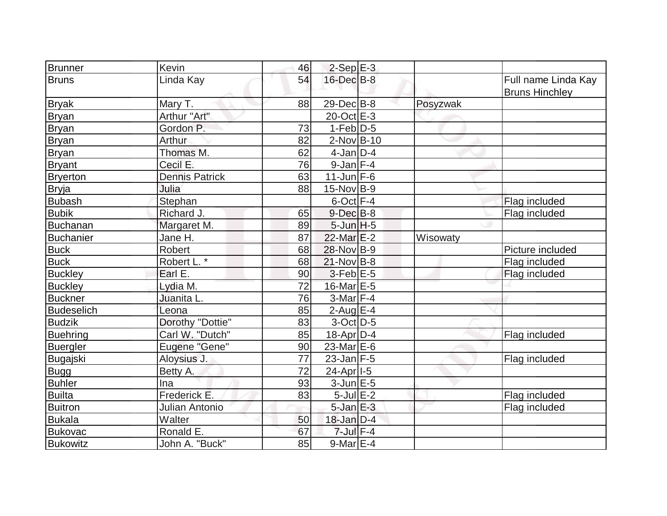| <b>Brunner</b>    | Kevin                  | 46 | $2-Sep$ $E-3$    |          |                                              |
|-------------------|------------------------|----|------------------|----------|----------------------------------------------|
| <b>Bruns</b>      | Linda Kay              | 54 | 16-Dec B-8       |          | Full name Linda Kay<br><b>Bruns Hinchley</b> |
| <b>Bryak</b>      | Mary T.                | 88 | 29-Dec B-8       | Posyzwak |                                              |
| Bryan             | Arthur "Art"           |    | 20-Oct E-3       |          |                                              |
| <b>Bryan</b>      | Gordon P.              | 73 | $1-Feb D-5$      |          |                                              |
| <b>Bryan</b>      | Arthur                 | 82 | 2-Nov B-10       |          |                                              |
| Bryan             | Thomas M.              | 62 | $4$ -Jan D-4     |          |                                              |
| <b>Bryant</b>     | Cecil E.               | 76 | $9$ -Jan $F-4$   |          |                                              |
| <b>Bryerton</b>   | <b>Dennis Patrick</b>  | 63 | $11$ -Jun F-6    |          |                                              |
| Bryja             | Julia                  | 88 | 15-Nov B-9       |          |                                              |
| <b>Bubash</b>     | Stephan                |    | $6$ -Oct $F-4$   |          | Flag included                                |
| <b>Bubik</b>      | Richard J.             | 65 | $9$ -Dec $B$ -8  |          | Flag included                                |
| <b>Buchanan</b>   | Margaret M.            | 89 | $5 - Jim$ H-5    |          |                                              |
| <b>Buchanier</b>  | Jane H.                | 87 | $22$ -Mar $E-2$  | Wisowaty |                                              |
| <b>Buck</b>       | Robert                 | 68 | 28-Nov B-9       |          | Picture included                             |
| <b>Buck</b>       | Robert L. <sup>*</sup> | 68 | $21-Nov B-8$     |          | Flag included                                |
| <b>Buckley</b>    | Earl E.                | 90 | $3$ -Feb $E$ -5  |          | Flag included                                |
| <b>Buckley</b>    | Lydia M.               | 72 | 16-Mar E-5       |          |                                              |
| Buckner           | Juanita L.             | 76 | $3-Mar$ F-4      |          |                                              |
| <b>Budeselich</b> | Leona                  | 85 | 2-Aug $E-4$      |          |                                              |
| <b>Budzik</b>     | Dorothy "Dottie"       | 83 | $3$ -Oct $ D-5 $ |          |                                              |
| Buehring          | Carl W. "Dutch"        | 85 | $18$ -Apr $D-4$  |          | Flag included                                |
| <b>Buergler</b>   | Eugene "Gene"          | 90 | $23$ -Mar $E$ -6 |          |                                              |
| Bugajski          | Aloysius J.            | 77 | $23$ -Jan F-5    |          | Flag included                                |
| <b>Bugg</b>       | Betty A.               | 72 | $24-Apr$  -5     |          |                                              |
| <b>Buhler</b>     | Ina                    | 93 | $3$ -Jun $E - 5$ |          |                                              |
| <b>Builta</b>     | Frederick E.           | 83 | $5$ -Jul $E-2$   |          | Flag included                                |
| <b>Buitron</b>    | Julian Antonio         |    | $5$ -Jan $E$ -3  |          | Flag included                                |
| Bukala            | Walter                 | 50 | $18$ -Jan $D-4$  |          |                                              |
| <b>Bukovac</b>    | Ronald E.              | 67 | $7$ -Jul $F-4$   |          |                                              |
| <b>Bukowitz</b>   | John A. "Buck"         | 85 | $9$ -Mar $E-4$   |          |                                              |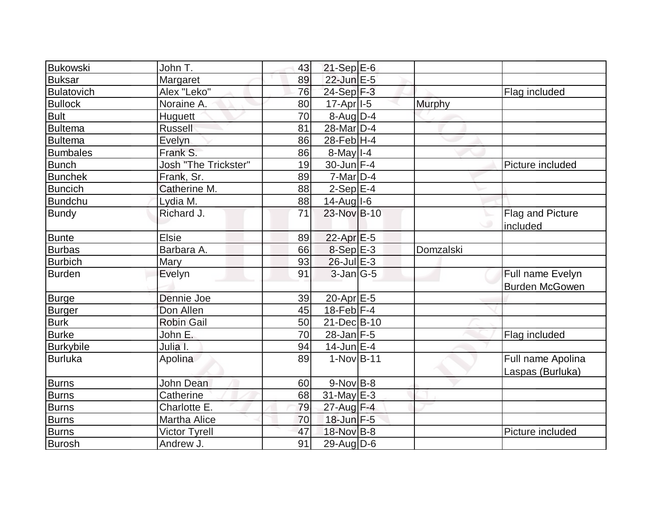| Margaret                    | 89                                                                  |                      |                                                                                                                                                                                                                                                                                                                                                                                                                                                                                                     |                              |
|-----------------------------|---------------------------------------------------------------------|----------------------|-----------------------------------------------------------------------------------------------------------------------------------------------------------------------------------------------------------------------------------------------------------------------------------------------------------------------------------------------------------------------------------------------------------------------------------------------------------------------------------------------------|------------------------------|
| Alex "Leko"                 | 76                                                                  |                      |                                                                                                                                                                                                                                                                                                                                                                                                                                                                                                     | Flag included                |
| Noraine A.                  | 80                                                                  |                      | <b>Murphy</b>                                                                                                                                                                                                                                                                                                                                                                                                                                                                                       |                              |
|                             | 70                                                                  |                      |                                                                                                                                                                                                                                                                                                                                                                                                                                                                                                     |                              |
| <b>Russell</b>              | 81                                                                  |                      |                                                                                                                                                                                                                                                                                                                                                                                                                                                                                                     |                              |
|                             | 86                                                                  |                      |                                                                                                                                                                                                                                                                                                                                                                                                                                                                                                     |                              |
| Frank S.                    | 86                                                                  |                      |                                                                                                                                                                                                                                                                                                                                                                                                                                                                                                     |                              |
| <b>Josh "The Trickster"</b> | 19                                                                  |                      |                                                                                                                                                                                                                                                                                                                                                                                                                                                                                                     | Picture included             |
| Frank, Sr.                  | 89                                                                  |                      |                                                                                                                                                                                                                                                                                                                                                                                                                                                                                                     |                              |
| Catherine M.                | 88                                                                  |                      |                                                                                                                                                                                                                                                                                                                                                                                                                                                                                                     |                              |
| Lydia M.                    | 88                                                                  |                      |                                                                                                                                                                                                                                                                                                                                                                                                                                                                                                     |                              |
| Richard J.                  | 71                                                                  |                      |                                                                                                                                                                                                                                                                                                                                                                                                                                                                                                     | Flag and Picture<br>included |
| <b>Elsie</b>                |                                                                     |                      |                                                                                                                                                                                                                                                                                                                                                                                                                                                                                                     |                              |
|                             |                                                                     |                      |                                                                                                                                                                                                                                                                                                                                                                                                                                                                                                     |                              |
|                             |                                                                     |                      |                                                                                                                                                                                                                                                                                                                                                                                                                                                                                                     |                              |
|                             | 91                                                                  |                      |                                                                                                                                                                                                                                                                                                                                                                                                                                                                                                     | Full name Evelyn             |
|                             |                                                                     |                      |                                                                                                                                                                                                                                                                                                                                                                                                                                                                                                     | <b>Burden McGowen</b>        |
| Dennie Joe                  | 39                                                                  |                      |                                                                                                                                                                                                                                                                                                                                                                                                                                                                                                     |                              |
| Don Allen                   | 45                                                                  |                      |                                                                                                                                                                                                                                                                                                                                                                                                                                                                                                     |                              |
| <b>Robin Gail</b>           | 50                                                                  |                      |                                                                                                                                                                                                                                                                                                                                                                                                                                                                                                     |                              |
| John E.                     | 70                                                                  |                      |                                                                                                                                                                                                                                                                                                                                                                                                                                                                                                     | Flag included                |
| Julia I.                    | 94                                                                  |                      |                                                                                                                                                                                                                                                                                                                                                                                                                                                                                                     |                              |
| Apolina                     | 89                                                                  |                      |                                                                                                                                                                                                                                                                                                                                                                                                                                                                                                     | Full name Apolina            |
|                             |                                                                     |                      |                                                                                                                                                                                                                                                                                                                                                                                                                                                                                                     | Laspas (Burluka)             |
| John Dean                   | 60                                                                  |                      |                                                                                                                                                                                                                                                                                                                                                                                                                                                                                                     |                              |
| Catherine                   | 68                                                                  |                      |                                                                                                                                                                                                                                                                                                                                                                                                                                                                                                     |                              |
| Charlotte E.                | 79                                                                  |                      |                                                                                                                                                                                                                                                                                                                                                                                                                                                                                                     |                              |
| <b>Martha Alice</b>         | 70                                                                  |                      |                                                                                                                                                                                                                                                                                                                                                                                                                                                                                                     |                              |
| <b>Victor Tyrell</b>        | 47                                                                  |                      |                                                                                                                                                                                                                                                                                                                                                                                                                                                                                                     | Picture included             |
| Andrew J.                   | 91                                                                  |                      |                                                                                                                                                                                                                                                                                                                                                                                                                                                                                                     |                              |
|                             | John T.<br><b>Huguett</b><br>Evelyn<br>Barbara A.<br>Mary<br>Evelyn | 43<br>89<br>66<br>93 | $21-Sep$ E-6<br>22-Jun E-5<br>24-Sep F-3<br>17-Apr <sub>1-5</sub><br>$8$ -Aug D-4<br>28-Mar <sub>D-4</sub><br>28-Feb H-4<br>$8$ -May $I - 4$<br>30-Jun F-4<br>$7$ -Mar $D-4$<br>$2-Sep E-4$<br>$14$ -Aug I-6<br>23-Nov B-10<br>$22$ -Apr $E-5$<br>8-Sep E-3<br>$26$ -Jul $E-3$<br>$3$ -Jan $ G-5 $<br>$20$ -Apr $E$ -5<br>$18$ -Feb F-4<br>21-Dec B-10<br>$28$ -Jan $F-5$<br>$14$ -Jun $E-4$<br>$1-NovB-11$<br>$9-Nov$ B-8<br>$31$ -May E-3<br>27-Aug F-4<br>18-Jun F-5<br>18-Nov B-8<br>29-Aug D-6 | Domzalski                    |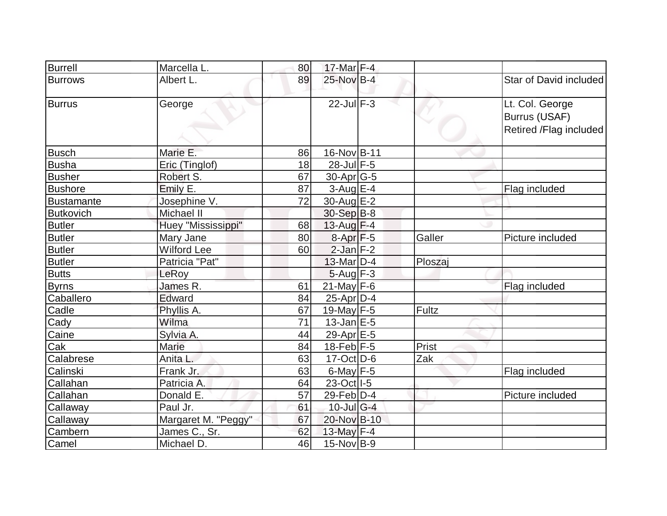| <b>Burrell</b>    | Marcella L.         | 80 | $17$ -Mar $F-4$  |         |                                                            |
|-------------------|---------------------|----|------------------|---------|------------------------------------------------------------|
| <b>Burrows</b>    | Albert L.           | 89 | 25-Nov B-4       |         | Star of David included                                     |
| <b>Burrus</b>     | George              |    | $22$ -Jul $F-3$  |         | Lt. Col. George<br>Burrus (USAF)<br>Retired /Flag included |
| <b>Busch</b>      | Marie E.            | 86 | 16-Nov B-11      |         |                                                            |
| <b>Busha</b>      | Eric (Tinglof)      | 18 | 28-Jul F-5       |         |                                                            |
| <b>Busher</b>     | Robert S.           | 67 | 30-Apr G-5       |         |                                                            |
| <b>Bushore</b>    | Emily E.            | 87 | $3$ -Aug $E-4$   |         | Flag included                                              |
| <b>Bustamante</b> | Josephine V.        | 72 | 30-Aug E-2       |         |                                                            |
| <b>Butkovich</b>  | Michael II          |    | 30-Sep B-8       |         |                                                            |
| <b>Butler</b>     | Huey "Mississippi"  | 68 | 13-Aug F-4       |         |                                                            |
| <b>Butler</b>     | Mary Jane           | 80 | $8-Apr$ $F-5$    | Galler  | Picture included                                           |
| <b>Butler</b>     | <b>Wilford Lee</b>  | 60 | $2$ -Jan $F-2$   |         |                                                            |
| <b>Butler</b>     | Patricia "Pat"      |    | $13$ -Mar $D-4$  | Ploszaj |                                                            |
| <b>Butts</b>      | LeRoy               |    | $5 - Aug$ F-3    |         |                                                            |
| <b>Byrns</b>      | James R.            | 61 | $21$ -May F-6    |         | Flag included                                              |
| Caballero         | Edward              | 84 | $25$ -Apr $ D-4$ |         |                                                            |
| Cadle             | Phyllis A.          | 67 | 19-May $F-5$     | Fultz   |                                                            |
| Cady              | Wilma               | 71 | $13$ -Jan $E-5$  |         |                                                            |
| Caine             | Sylvia A.           | 44 | 29-Apr E-5       |         |                                                            |
| Cak               | Marie               | 84 | $18$ -Feb $F-5$  | Prist   |                                                            |
| Calabrese         | Anita L.            | 63 | $17-Oct$ D-6     | Zak     |                                                            |
| Calinski          | Frank Jr.           | 63 | 6-May $F-5$      |         | Flag included                                              |
| Callahan          | Patricia A.         | 64 | 23-Oct I-5       |         |                                                            |
| Callahan          | Donald E.           | 57 | $29$ -Feb $ D-4$ |         | Picture included                                           |
| Callaway          | Paul Jr.            | 61 | $10$ -Jul G-4    |         |                                                            |
| Callaway          | Margaret M. "Peggy" | 67 | 20-Nov B-10      |         |                                                            |
| Cambern           | James C., Sr.       | 62 | 13-May F-4       |         |                                                            |
| Camel             | Michael D.          | 46 | 15-Nov B-9       |         |                                                            |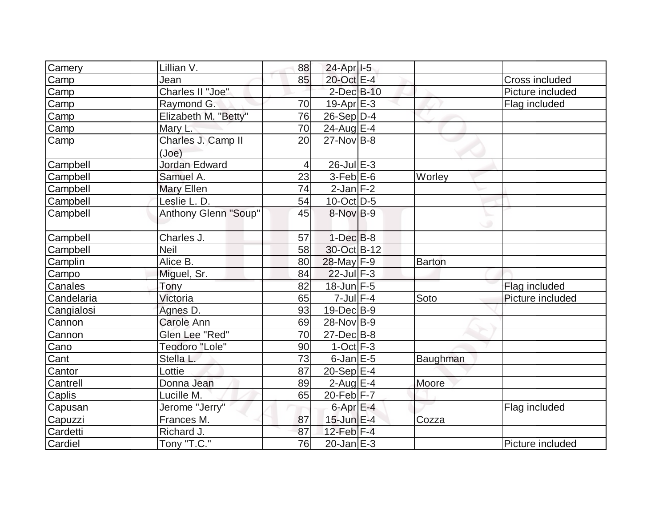| Camery     | Lillian V.           | 88              | 24-Apr <sub>1-5</sub> |          |                  |
|------------|----------------------|-----------------|-----------------------|----------|------------------|
| Camp       | Jean                 | 85              | 20-Oct E-4            |          | Cross included   |
| Camp       | Charles II "Joe"     |                 | $2$ -Dec $B-10$       |          | Picture included |
| Camp       | Raymond G.           | 70              | $19-Apr \, E-3$       |          | Flag included    |
| Camp       | Elizabeth M. "Betty" | 76              | $26-Sep D-4$          |          |                  |
| Camp       | Mary L.              | 70              | 24-Aug $E-4$          |          |                  |
| Camp       | Charles J. Camp II   | 20              | $27$ -Nov $ B-8 $     |          |                  |
|            | (Joe)                |                 |                       |          |                  |
| Campbell   | Jordan Edward        | 4               | $26$ -Jul $E-3$       |          |                  |
| Campbell   | Samuel A.            | 23              | $3-Feb$ $E-6$         | Worley   |                  |
| Campbell   | Mary Ellen           | 74              | $2$ -Jan $F-2$        |          |                  |
| Campbell   | Leslie L. D.         | 54              | 10-Oct D-5            |          |                  |
| Campbell   | Anthony Glenn "Soup" | 45              | 8-Nov B-9             |          |                  |
|            |                      |                 |                       |          |                  |
| Campbell   | Charles J.           | 57              | $1-Dec$ $B-8$         |          |                  |
| Campbell   | <b>Neil</b>          | 58              | 30-Oct B-12           |          |                  |
| Camplin    | Alice B.             | 80              | 28-May F-9            | Barton   |                  |
| Campo      | Miguel, Sr.          | 84              | $22$ -Jul $F-3$       |          |                  |
| Canales    | Tony                 | 82              | 18-Jun F-5            |          | Flag included    |
| Candelaria | Victoria             | 65              | $7$ -Jul $F-4$        | Soto     | Picture included |
| Cangialosi | Agnes D.             | 93              | $19$ -Dec $B - 9$     |          |                  |
| Cannon     | Carole Ann           | 69              | 28-Nov B-9            |          |                  |
| Cannon     | Glen Lee "Red"       | 70              | $27 - Dec$ B-8        |          |                  |
| Cano       | Teodoro "Lole"       | 90              | $1-Oct$ $F-3$         |          |                  |
| Cant       | Stella L.            | $\overline{73}$ | $6$ -Jan $E$ -5       | Baughman |                  |
| Cantor     | Lottie               | 87              | $20-Sep$ E-4          |          |                  |
| Cantrell   | Donna Jean           | 89              | $2$ -Aug $E-4$        | Moore    |                  |
| Caplis     | Lucille M.           | 65              | 20-Feb F-7            |          |                  |
| Capusan    | Jerome "Jerry"       |                 | $6$ -Apr $E$ -4       |          | Flag included    |
| Capuzzi    | Frances M.           | 87              | $15$ -Jun $E-4$       | Cozza    |                  |
| Cardetti   | Richard J.           | 87              | $12$ -Feb $F-4$       |          |                  |
| Cardiel    | Tony "T.C."          | 76              | $20$ -Jan $E-3$       |          | Picture included |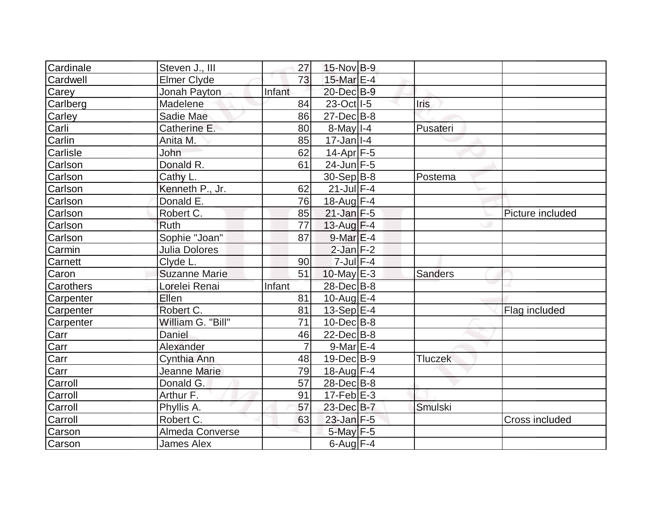| Cardinale      | Steven J., III       | 27              | 15-Nov B-9              |                |                  |
|----------------|----------------------|-----------------|-------------------------|----------------|------------------|
| Cardwell       | <b>Elmer Clyde</b>   | 73              | 15-Mar E-4              |                |                  |
| Carey          | Jonah Payton         | Infant          | 20-Dec B-9              |                |                  |
| Carlberg       | Madelene             | 84              | 23-Oct   I-5            | <b>Iris</b>    |                  |
| Carley         | Sadie Mae            | 86              | $27 - Dec$ B-8          |                |                  |
| Carli          | Catherine E.         | 80              | $8$ -May $I - 4$        | Pusateri       |                  |
| Carlin         | Anita M.             | 85              | $17$ -Jan   $-4$        |                |                  |
| Carlisle       | John                 | 62              | $14$ -Apr $ F-5 $       |                |                  |
| Carlson        | Donald R.            | 61              | $24$ -Jun F-5           |                |                  |
| Carlson        | Cathy L.             |                 | $30-Sep B-8$            | Postema        |                  |
| Carlson        | Kenneth P., Jr.      | 62              | $21$ -Jul $F-4$         |                |                  |
| Carlson        | Donald E.            | 76              | $18$ -Aug F-4           |                |                  |
| Carlson        | Robert C.            | 85              | $21$ -Jan F-5           |                | Picture included |
| Carlson        | <b>Ruth</b>          | 77              | $13$ -Aug F-4           |                |                  |
| Carlson        | Sophie "Joan"        | 87              | $9$ -Mar $E-4$          |                |                  |
| Carmin         | Julia Dolores        |                 | $2$ -Jan $F-2$          |                |                  |
| <b>Carnett</b> | Clyde L.             | 90              | $7$ -Jul $F-4$          |                |                  |
| Caron          | <b>Suzanne Marie</b> | 51              | $10$ -May $E-3$         | <b>Sanders</b> |                  |
| Carothers      | Lorelei Renai        | Infant          | 28-Dec B-8              |                |                  |
| Carpenter      | Ellen                | 81              | $10$ -Aug $E-4$         |                |                  |
| Carpenter      | Robert C.            | 81              | $13-Sep$ <sup>E-4</sup> |                | Flag included    |
| Carpenter      | William G. "Bill"    | $\overline{71}$ | $10$ -Dec $B$ -8        |                |                  |
| Carr           | Daniel               | 46              | $22$ -Dec $B$ -8        |                |                  |
| Carr           | Alexander            | $\overline{7}$  | $9$ -Mar $E-4$          |                |                  |
| Carr           | Cynthia Ann          | 48              | $19$ -Dec $B$ -9        | <b>Tluczek</b> |                  |
| Carr           | Jeanne Marie         | 79              | 18-Aug F-4              |                |                  |
| Carroll        | Donald G.            | 57              | $28$ -Dec $B$ -8        |                |                  |
| Carroll        | Arthur F.            | 91              | $17$ -Feb $E-3$         |                |                  |
| Carroll        | Phyllis A.           | 57              | 23-Dec B-7              | <b>Smulski</b> |                  |
| Carroll        | Robert C.            | 63              | $23$ -Jan F-5           |                | Cross included   |
| Carson         | Almeda Converse      |                 | $5$ -May $F - 5$        |                |                  |
| Carson         | James Alex           |                 | $6$ -Aug $F-4$          |                |                  |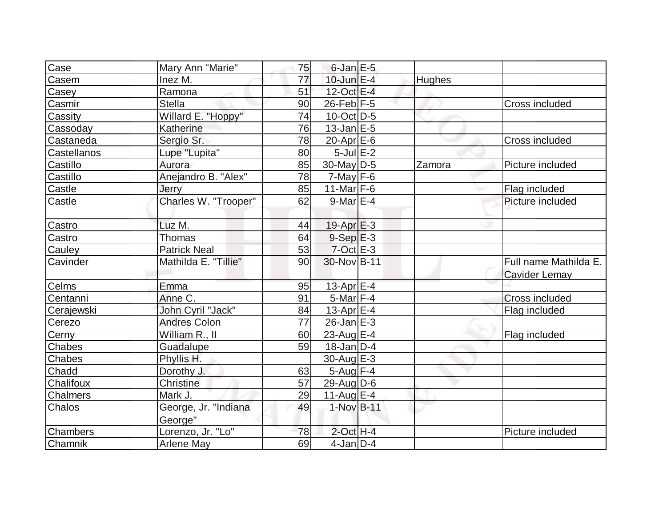| Case            | Mary Ann "Marie"                | 75 | $6$ -Jan $E$ -5   |        |                                        |
|-----------------|---------------------------------|----|-------------------|--------|----------------------------------------|
| Casem           | Inez M.                         | 77 | $10$ -Jun $E-4$   | Hughes |                                        |
| Casey           | Ramona                          | 51 | 12-Oct E-4        |        |                                        |
| Casmir          | <b>Stella</b>                   | 90 | $26$ -Feb $F-5$   |        | Cross included                         |
| Cassity         | Willard E. "Hoppy"              | 74 | $10$ -Oct $ D-5 $ |        |                                        |
| Cassoday        | Katherine                       | 76 | $13$ -Jan $E-5$   |        |                                        |
| Castaneda       | Sergio Sr.                      | 78 | $20$ -Apr $E$ -6  |        | <b>Cross included</b>                  |
| Castellanos     | Lupe "Lupita"                   | 80 | $5$ -Jul $E-2$    |        |                                        |
| Castillo        | Aurora                          | 85 | 30-May D-5        | Zamora | Picture included                       |
| Castillo        | Anejandro B. "Alex"             | 78 | $7$ -May $F$ -6   |        |                                        |
| Castle          | Jerry                           | 85 | $11$ -Mar F-6     |        | Flag included                          |
| Castle          | Charles W. "Trooper"            | 62 | $9$ -Mar $E-4$    |        | Picture included                       |
| Castro          | Luz M.                          | 44 | $19-Apr \, E-3$   |        |                                        |
| Castro          | <b>Thomas</b>                   | 64 | $9-Sep$ $E-3$     |        |                                        |
| Cauley          | <b>Patrick Neal</b>             | 53 | $7$ -Oct $E-3$    |        |                                        |
| Cavinder        | Mathilda E. "Tillie"            | 90 | 30-Nov B-11       |        | Full name Mathilda E.<br>Cavider Lemay |
| Celms           | Emma                            | 95 | 13-Apr $E-4$      |        |                                        |
| Centanni        | Anne C.                         | 91 | $5$ -Mar $F-4$    |        | Cross included                         |
| Cerajewski      | John Cyril "Jack"               | 84 | 13-Apr $E-4$      |        | Flag included                          |
| Cerezo          | <b>Andres Colon</b>             | 77 | $26$ -Jan $E-3$   |        |                                        |
| Cerny           | William R., II                  | 60 | 23-Aug $E-4$      |        | Flag included                          |
| <b>Chabes</b>   | Guadalupe                       | 59 | $18$ -Jan D-4     |        |                                        |
| <b>Chabes</b>   | Phyllis H.                      |    | $30$ -Aug $E-3$   |        |                                        |
| Chadd           | Dorothy J.                      | 63 | $5-Aug$ F-4       |        |                                        |
| Chalifoux       | <b>Christine</b>                | 57 | $29$ -Aug $D$ -6  |        |                                        |
| <b>Chalmers</b> | Mark J.                         | 29 | $11-Auq$ $E-4$    |        |                                        |
| <b>Chalos</b>   | George, Jr. "Indiana<br>George" | 49 | 1-Nov B-11        |        |                                        |
| <b>Chambers</b> | Lorenzo, Jr. "Lo"               | 78 | $2$ -Oct H-4      |        | Picture included                       |
| Chamnik         | <b>Arlene May</b>               | 69 | $4$ -Jan D-4      |        |                                        |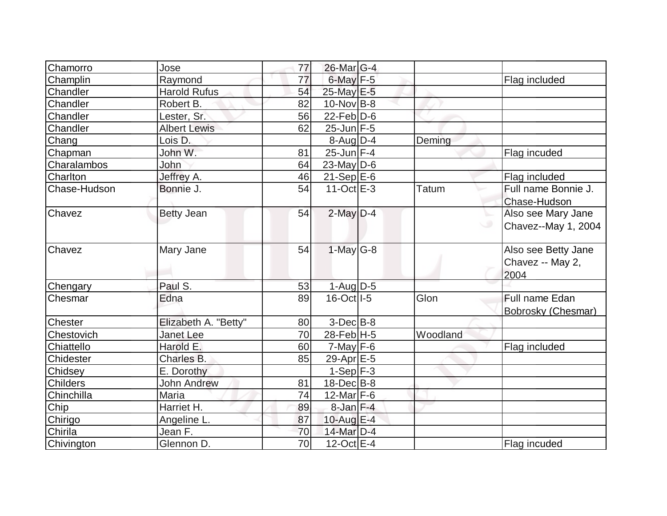| Chamorro         | Jose                 | 77              | 26-Mar G-4        |              |                     |
|------------------|----------------------|-----------------|-------------------|--------------|---------------------|
| Champlin         | Raymond              | 77              | $6$ -May $F-5$    |              | Flag included       |
| Chandler         | <b>Harold Rufus</b>  | 54              | 25-May E-5        |              |                     |
| Chandler         | Robert B.            | 82              | $10$ -Nov B-8     |              |                     |
| Chandler         | Lester, Sr.          | 56              | $22$ -Feb $ D-6$  |              |                     |
| Chandler         | <b>Albert Lewis</b>  | 62              | 25-Jun F-5        |              |                     |
| Chang            | Lois D.              |                 | $8$ -Aug $D-4$    | Deming       |                     |
| Chapman          | John W.              | 81              | $25$ -Jun $F-4$   |              | Flag incuded        |
| Charalambos      | John                 | 64              | $23$ -May D-6     |              |                     |
| Charlton         | Jeffrey A.           | 46              | $21-Sep$ $E-6$    |              | Flag included       |
| Chase-Hudson     | Bonnie J.            | 54              | $11-Oct$ $E-3$    | <b>Tatum</b> | Full name Bonnie J. |
|                  |                      |                 |                   |              | Chase-Hudson        |
| Chavez           | <b>Betty Jean</b>    | 54              | $2$ -May $D-4$    |              | Also see Mary Jane  |
|                  |                      |                 |                   | $\circ$      | Chavez--May 1, 2004 |
|                  |                      |                 |                   |              |                     |
| Chavez           | Mary Jane            | 54              | $1-May$ G-8       |              | Also see Betty Jane |
|                  |                      |                 |                   |              | Chavez -- May 2,    |
|                  |                      |                 |                   |              | 2004                |
| Chengary         | Paul S.              | 53              | $1-Aug$ $D-5$     |              |                     |
| Chesmar          | Edna                 | 89              | $16$ -Oct $ I-5 $ | Glon         | Full name Edan      |
|                  |                      |                 |                   |              | Bobrosky (Chesmar)  |
| <b>Chester</b>   | Elizabeth A. "Betty" | 80              | $3-Dec$ $B-8$     |              |                     |
| Chestovich       | <b>Janet Lee</b>     | 70              | $28$ -Feb H-5     | Woodland     |                     |
| Chiattello       | Harold E.            | 60              | $7$ -May $F-6$    |              | Flag included       |
| <b>Chidester</b> | Charles B.           | 85              | 29-Apr E-5        |              |                     |
| Chidsey          | E. Dorothy           |                 | $1-Sep$ F-3       |              |                     |
| <b>Childers</b>  | <b>John Andrew</b>   | 81              | $18$ -Dec $ B-8$  |              |                     |
| Chinchilla       | Maria                | 74              | $12$ -Mar F-6     |              |                     |
| Chip             | Harriet H.           | 89              | $8$ -Jan $F-4$    |              |                     |
| Chirigo          | Angeline L.          | 87              | $10$ -Aug $E-4$   |              |                     |
| Chirila          | Jean F.              | 70              | 14-Mar $D-4$      |              |                     |
| Chivington       | Glennon D.           | $\overline{70}$ | $12$ -Oct $E-4$   |              | Flag incuded        |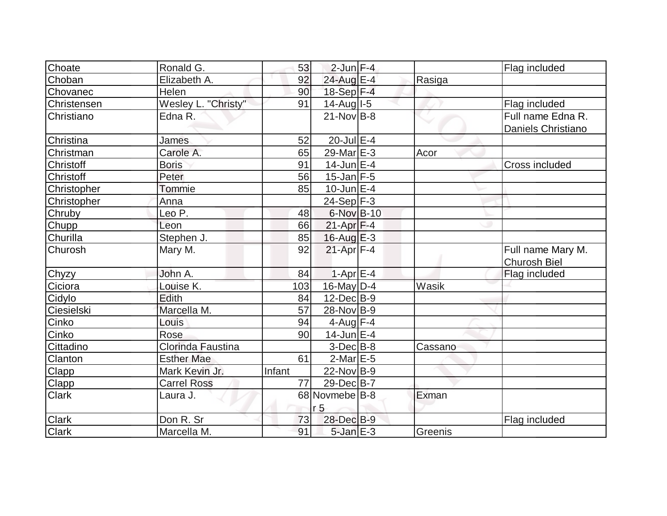| Choate       | Ronald G.           | 53     | $2$ -Jun $F-4$  |         | Flag included       |
|--------------|---------------------|--------|-----------------|---------|---------------------|
| Choban       | Elizabeth A.        | 92     | $24$ -Aug E-4   | Rasiga  |                     |
| Chovanec     | Helen               | 90     | 18-Sep F-4      |         |                     |
| Christensen  | Wesley L. "Christy" | 91     | $14$ -Aug I-5   |         | Flag included       |
| Christiano   | Edna R.             |        | $21$ -Nov B-8   |         | Full name Edna R.   |
|              |                     |        |                 |         | Daniels Christiano  |
| Christina    | <b>James</b>        | 52     | $20$ -Jul $E-4$ |         |                     |
| Christman    | Carole A.           | 65     | 29-Mar E-3      | Acor    |                     |
| Christoff    | <b>Boris</b>        | 91     | $14$ -Jun $E-4$ |         | Cross included      |
| Christoff    | Peter               | 56     | $15$ -Jan F-5   |         |                     |
| Christopher  | Tommie              | 85     | $10$ -Jun $E-4$ |         |                     |
| Christopher  | Anna                |        | $24-Sep$ F-3    |         |                     |
| Chruby       | Leo P.              | 48     | 6-Nov B-10      |         |                     |
| Chupp        | Leon                | 66     | $21-Apr$ F-4    |         |                     |
| Churilla     | Stephen J.          | 85     | $16$ -Aug $E-3$ |         |                     |
| Churosh      | Mary M.             | 92     | $21-Apr$ F-4    |         | Full name Mary M.   |
|              |                     |        |                 |         | <b>Churosh Biel</b> |
| Chyzy        | John A.             | 84     | $1-Apr$ E-4     |         | Flag included       |
| Ciciora      | Louise K.           | 103    | $16$ -May D-4   | Wasik   |                     |
| Cidylo       | Edith               | 84     | $12$ -Dec $B-9$ |         |                     |
| Ciesielski   | Marcella M.         | 57     | 28-Nov B-9      |         |                     |
| Cinko        | Louis               | 94     | 4-Aug $F-4$     |         |                     |
| Cinko        | Rose                | 90     | $14$ -Jun $E-4$ |         |                     |
| Cittadino    | Clorinda Faustina   |        | $3-Dec B-8$     | Cassano |                     |
| Clanton      | <b>Esther Mae</b>   | 61     | $2$ -Mar $E$ -5 |         |                     |
| <b>Clapp</b> | Mark Kevin Jr.      | Infant | $22$ -Nov B-9   |         |                     |
| <b>Clapp</b> | <b>Carrel Ross</b>  | 77     | 29-Dec B-7      |         |                     |
| <b>Clark</b> | Laura J.            |        | 68 Novmebe B-8  | Exman   |                     |
|              |                     |        | r <sub>5</sub>  |         |                     |
| <b>Clark</b> | Don R. Sr           | 73     | 28-Dec B-9      |         | Flag included       |
| <b>Clark</b> | Marcella M.         | 91     | $5$ -Jan $E-3$  | Greenis |                     |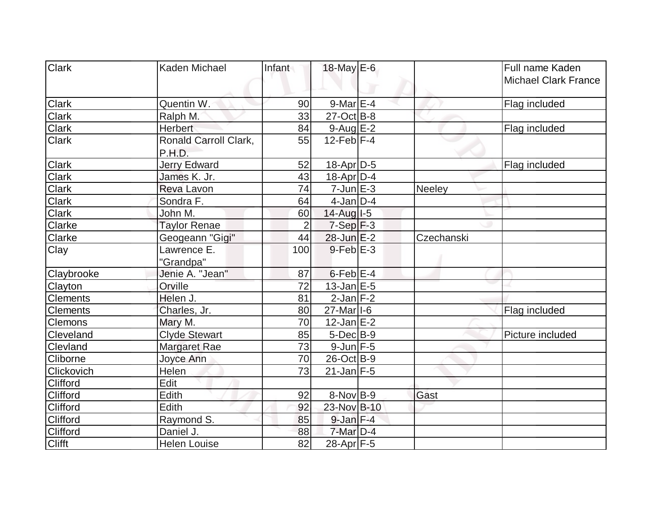| <b>Clark</b>    | Kaden Michael                   | Infant         | 18-May E-6            |            | Full name Kaden             |
|-----------------|---------------------------------|----------------|-----------------------|------------|-----------------------------|
|                 |                                 |                |                       |            | <b>Michael Clark France</b> |
| <b>Clark</b>    | Quentin W.                      | 90             | $9$ -Mar $E-4$        |            | Flag included               |
| <b>Clark</b>    | Ralph M.                        | 33             | $27-Oct$ B-8          |            |                             |
| <b>Clark</b>    | <b>Herbert</b>                  | 84             | $9$ -Aug $E-2$        |            | Flag included               |
| <b>Clark</b>    | Ronald Carroll Clark,<br>P.H.D. | 55             | $12$ -Feb $ F-4$      |            |                             |
| <b>Clark</b>    | <b>Jerry Edward</b>             | 52             | 18-Apr D-5            |            | Flag included               |
| <b>Clark</b>    | James K. Jr.                    | 43             | $18$ -Apr $D-4$       |            |                             |
| <b>Clark</b>    | Reva Lavon                      | 74             | $7$ -Jun $E-3$        | Neeley     |                             |
| <b>Clark</b>    | Sondra F.                       | 64             | $4$ -Jan $D-4$        |            |                             |
| Clark           | John M.                         | 60             | 14-Aug I-5            |            |                             |
| Clarke          | <b>Taylor Renae</b>             | $\overline{2}$ | $7-Sep$ $F-3$         |            |                             |
| <b>Clarke</b>   | Geogeann "Gigi"                 | 44             | $28$ -Jun $E-2$       | Czechanski |                             |
| Clay            | Lawrence E.                     | 100            | $9$ -Feb $E-3$        |            |                             |
|                 | "Grandpa"                       |                |                       |            |                             |
| Claybrooke      | Jenie A. "Jean"                 | 87             | $6$ -Feb $E-4$        |            |                             |
| Clayton         | Orville                         | 72             | $13$ -Jan $E-5$       |            |                             |
| <b>Clements</b> | Helen J.                        | 81             | $2$ -Jan $F-2$        |            |                             |
| <b>Clements</b> | Charles, Jr.                    | 80             | 27-Mar <sub>1-6</sub> |            | Flag included               |
| <b>Clemons</b>  | Mary M.                         | 70             | $12$ -Jan $E-2$       |            |                             |
| Cleveland       | <b>Clyde Stewart</b>            | 85             | $5$ -Dec $B$ -9       |            | Picture included            |
| Clevland        | <b>Margaret Rae</b>             | 73             | $9$ -Jun $F-5$        |            |                             |
| <b>Cliborne</b> | Joyce Ann                       | 70             | 26-Oct B-9            |            |                             |
| Clickovich      | <b>Helen</b>                    | 73             | $21$ -Jan F-5         |            |                             |
| Clifford        | Edit                            |                |                       |            |                             |
| <b>Clifford</b> | Edith                           | 92             | $8-Nov$ B-9           | Gast       |                             |
| Clifford        | Edith                           | 92             | 23-Nov B-10           |            |                             |
| Clifford        | Raymond S.                      | 85             | $9$ -Jan $F-4$        |            |                             |
| <b>Clifford</b> | Daniel J.                       | 88             | $7$ -Mar $D-4$        |            |                             |
| <b>Clifft</b>   | <b>Helen Louise</b>             | 82             | $28$ -Apr $F-5$       |            |                             |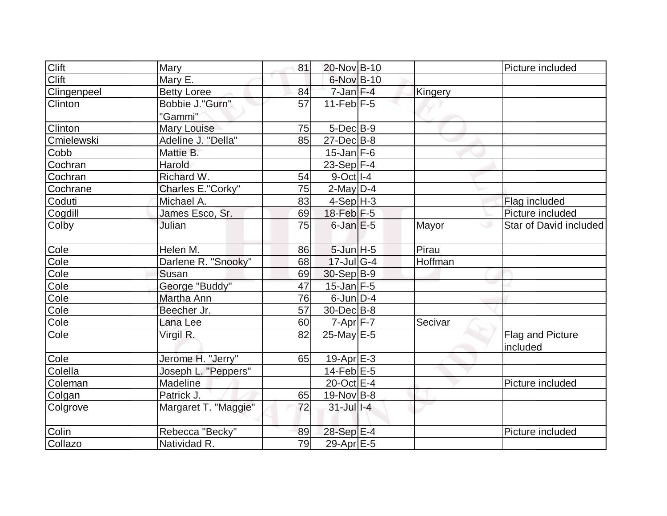| Clift       | Mary                       | 81 | 20-Nov B-10            |         | Picture included             |
|-------------|----------------------------|----|------------------------|---------|------------------------------|
| Clift       | Mary E.                    |    | 6-Nov B-10             |         |                              |
| Clingenpeel | <b>Betty Loree</b>         | 84 | $7$ -Jan $F-4$         | Kingery |                              |
| Clinton     | Bobbie J."Gurn"<br>"Gammi" | 57 | $11$ -Feb $F-5$        |         |                              |
| Clinton     | Mary Louise                | 75 | $5$ -Dec $B$ -9        |         |                              |
| Cmielewski  | Adeline J. "Della"         | 85 | $27$ -Dec $ B-8$       |         |                              |
| Cobb        | Mattie B.                  |    | $15$ -Jan F-6          |         |                              |
| Cochran     | Harold                     |    | 23-Sep F-4             |         |                              |
| Cochran     | Richard W.                 | 54 | $9-Oct$ <sup>1-4</sup> |         |                              |
| Cochrane    | Charles E."Corky"          | 75 | $2$ -May $D-4$         |         |                              |
| Coduti      | Michael A.                 | 83 | $4-Sep$ H-3            |         | Flag included                |
| Cogdill     | James Esco, Sr.            | 69 | 18-Feb F-5             |         | Picture included             |
| Colby       | Julian                     | 75 | $6$ -Jan $E$ -5        | Mayor   | Star of David included       |
| Cole        | Helen M.                   | 86 | $5$ -Jun $H - 5$       | Pirau   |                              |
| Cole        | Darlene R. "Snooky"        | 68 | $17$ -Jul G-4          | Hoffman |                              |
| Cole        | Susan                      | 69 | $30-Sep B-9$           |         |                              |
| Cole        | George "Buddy"             | 47 | $15$ -Jan $F-5$        |         |                              |
| Cole        | Martha Ann                 | 76 | $6$ -Jun $D-4$         |         |                              |
| Cole        | Beecher Jr.                | 57 | 30-Dec B-8             |         |                              |
| Cole        | Lana Lee                   | 60 | $7 - Apr$ $F - 7$      | Secivar |                              |
| Cole        | Virgil R.                  | 82 | $25$ -May E-5          |         | Flag and Picture<br>included |
| Cole        | Jerome H. "Jerry"          | 65 | $19-Apr \tE-3$         |         |                              |
| Colella     | Joseph L. "Peppers"        |    | $14$ -Feb $E$ -5       |         |                              |
| Coleman     | Madeline                   |    | $20$ -Oct $E-4$        |         | Picture included             |
| Colgan      | Patrick J.                 | 65 | $19-Nov B-8$           |         |                              |
| Colgrove    | Margaret T. "Maggie"       | 72 | $31$ -Jul $1-4$        |         |                              |
| Colin       | Rebecca "Becky"            | 89 | $28-Sep$ $E-4$         |         | Picture included             |
| Collazo     | Natividad R.               | 79 | 29-Apr E-5             |         |                              |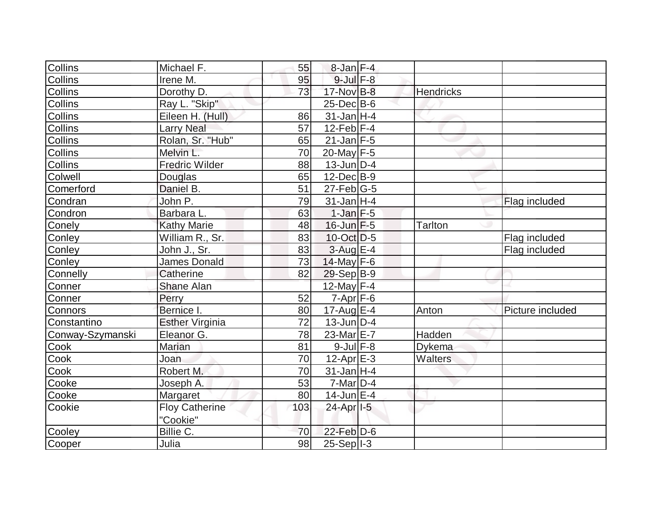| Collins          | Michael F.             | 55  | $8$ -Jan $F-4$          |                  |                  |
|------------------|------------------------|-----|-------------------------|------------------|------------------|
| <b>Collins</b>   | Irene M.               | 95  | $9$ -Jul $F-8$          |                  |                  |
| Collins          | Dorothy D.             | 73  | 17-Nov B-8              | <b>Hendricks</b> |                  |
| <b>Collins</b>   | Ray L. "Skip"          |     | $25$ -Dec $B$ -6        |                  |                  |
| Collins          | Eileen H. (Hull)       | 86  | $31$ -Jan H-4           |                  |                  |
| <b>Collins</b>   | <b>Larry Neal</b>      | 57  | 12-Feb $F-4$            |                  |                  |
| <b>Collins</b>   | Rolan, Sr. "Hub"       | 65  | $21$ -Jan F-5           |                  |                  |
| <b>Collins</b>   | Melvin L.              | 70  | $20$ -May F-5           |                  |                  |
| Collins          | <b>Fredric Wilder</b>  | 88  | $13$ -Jun $D-4$         |                  |                  |
| Colwell          | Douglas                | 65  | $12$ -Dec $B-9$         |                  |                  |
| Comerford        | Daniel B.              | 51  | $27$ -Feb $ G-5$        |                  |                  |
| Condran          | John P.                | 79  | $31$ -Jan H-4           |                  | Flag included    |
| Condron          | Barbara L.             | 63  | $1$ -Jan $F-5$          |                  |                  |
| Conely           | <b>Kathy Marie</b>     | 48  | $16$ -Jun $F-5$         | <b>Tarlton</b>   |                  |
| Conley           | William R., Sr.        | 83  | $10$ -Oct $ D-5 $       |                  | Flag included    |
| Conley           | John J., Sr.           | 83  | $3$ -Aug E-4            |                  | Flag included    |
| Conley           | <b>James Donald</b>    | 73  | 14-May $F-6$            |                  |                  |
| Connelly         | Catherine              | 82  | $29-Sep B-9$            |                  |                  |
| Conner           | <b>Shane Alan</b>      |     | 12-May F-4              |                  |                  |
| Conner           | Perry                  | 52  | $7-Apr$ $F-6$           |                  |                  |
| Connors          | Bernice I.             | 80  | $17$ -Aug E-4           | Anton            | Picture included |
| Constantino      | <b>Esther Virginia</b> | 72  | $13$ -Jun $ D-4$        |                  |                  |
| Conway-Szymanski | Eleanor G.             | 78  | 23-Mar <sub>IE</sub> -7 | Hadden           |                  |
| Cook             | Marian                 | 81  | $9$ -Jul $F-8$          | Dykema           |                  |
| Cook             | Joan                   | 70  | $12$ -Apr $E-3$         | <b>Walters</b>   |                  |
| Cook             | Robert M.              | 70  | $31$ -Jan H-4           |                  |                  |
| Cooke            | Joseph A.              | 53  | $7$ -Mar $ D-4$         |                  |                  |
| Cooke            | Margaret               | 80  | $14$ -Jun $E-4$         |                  |                  |
| Cookie           | <b>Floy Catherine</b>  | 103 | 24-Apr <sub>1-5</sub>   |                  |                  |
|                  | "Cookie"               |     |                         |                  |                  |
| Cooley           | Billie C.              | 70  | $22$ -Feb $D-6$         |                  |                  |
| Cooper           | Julia                  | 98  | $25-Sep$ $1-3$          |                  |                  |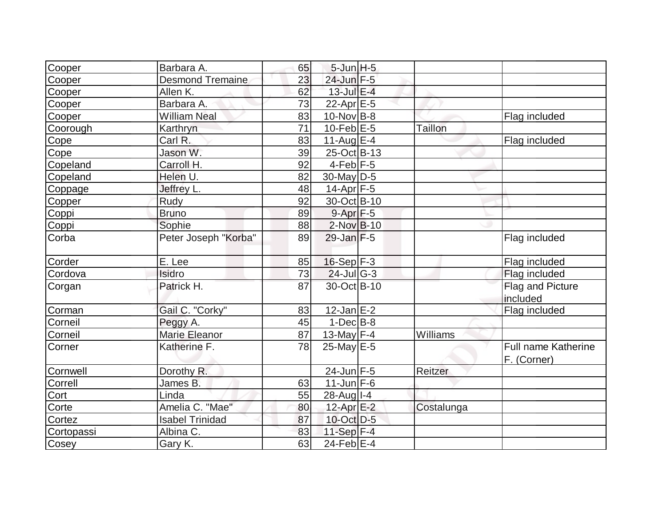| Cooper     | Barbara A.              | 65 | $5$ -Jun $H - 5$  |            |                                           |
|------------|-------------------------|----|-------------------|------------|-------------------------------------------|
| Cooper     | <b>Desmond Tremaine</b> | 23 | 24-Jun F-5        |            |                                           |
| Cooper     | Allen K.                | 62 | $13$ -Jul $E-4$   |            |                                           |
| Cooper     | Barbara A.              | 73 | 22-Apr $E-5$      |            |                                           |
| Cooper     | <b>William Neal</b>     | 83 | $10$ -Nov B-8     |            | Flag included                             |
| Coorough   | Karthryn                | 71 | $10$ -Feb $E-5$   | Taillon    |                                           |
| Cope       | Carl R.                 | 83 | $11-Auq$ $E-4$    |            | Flag included                             |
| Cope       | Jason W.                | 39 | 25-Oct B-13       |            |                                           |
| Copeland   | Carroll H.              | 92 | $4$ -Feb $F-5$    |            |                                           |
| Copeland   | Helen U.                | 82 | 30-May D-5        |            |                                           |
| Coppage    | Jeffrey L.              | 48 | $14$ -Apr $ F-5 $ |            |                                           |
| Copper     | Rudy                    | 92 | 30-Oct B-10       |            |                                           |
| Coppi      | <b>Bruno</b>            | 89 | $9 - Apr$ $F - 5$ |            |                                           |
| Coppi      | Sophie                  | 88 | $2$ -Nov $B-10$   |            |                                           |
| Corba      | Peter Joseph "Korba"    | 89 | $29$ -Jan $F-5$   |            | Flag included                             |
| Corder     | E. Lee                  | 85 | $16-Sep$ F-3      |            | Flag included                             |
| Cordova    | Isidro                  | 73 | $24$ -Jul G-3     |            | Flag included                             |
| Corgan     | Patrick H.              | 87 | 30-Oct B-10       |            | Flag and Picture<br>included              |
| Corman     | Gail C. "Corky"         | 83 | $12$ -Jan $E-2$   |            | Flag included                             |
| Corneil    | Peggy A.                | 45 | $1-Dec$ B-8       |            |                                           |
| Corneil    | <b>Marie Eleanor</b>    | 87 | 13-May $F-4$      | Williams   |                                           |
| Corner     | Katherine F.            | 78 | $25$ -May E-5     |            | <b>Full name Katherine</b><br>F. (Corner) |
| Cornwell   | Dorothy R.              |    | 24-Jun F-5        | Reitzer    |                                           |
| Correll    | James B.                | 63 | $11$ -Jun F-6     |            |                                           |
| Cort       | Linda                   | 55 | 28-Aug I-4        |            |                                           |
| Corte      | Amelia C. "Mae"         | 80 | $12$ -Apr $E-2$   | Costalunga |                                           |
| Cortez     | <b>Isabel Trinidad</b>  | 87 | 10-Oct D-5        |            |                                           |
| Cortopassi | Albina C.               | 83 | 11-Sep $F-4$      |            |                                           |
| Cosey      | Gary K.                 | 63 | $24$ -Feb $ E-4$  |            |                                           |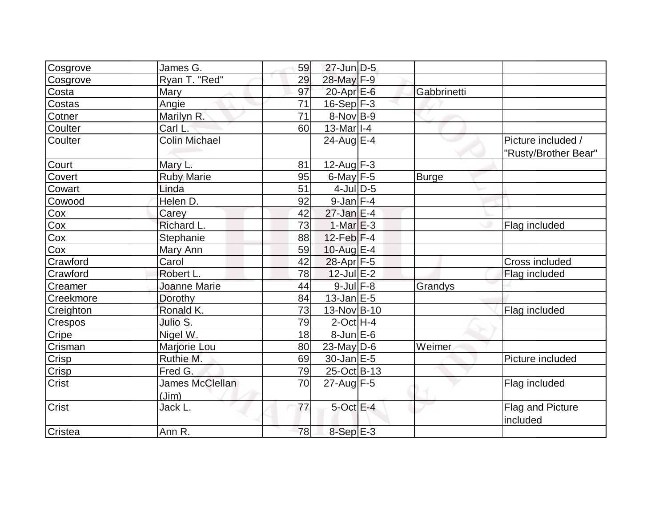| Cosgrove     | James G.                 | 59 | $27$ -Jun $D-5$   |              |                                            |
|--------------|--------------------------|----|-------------------|--------------|--------------------------------------------|
| Cosgrove     | Ryan T. "Red"            | 29 | 28-May F-9        |              |                                            |
| Costa        | Mary                     | 97 | $20$ -Apr $E$ -6  | Gabbrinetti  |                                            |
| Costas       | Angie                    | 71 | $16-Sep$ F-3      |              |                                            |
| Cotner       | Marilyn R.               | 71 | $8-Nov B-9$       |              |                                            |
| Coulter      | Carl L.                  | 60 | $13$ -Mar $ I-4 $ |              |                                            |
| Coulter      | <b>Colin Michael</b>     |    | 24-Aug E-4        |              | Picture included /<br>"Rusty/Brother Bear" |
| Court        | Mary L.                  | 81 | $12$ -Aug F-3     |              |                                            |
| Covert       | <b>Ruby Marie</b>        | 95 | $6$ -May $F-5$    | <b>Burge</b> |                                            |
| Cowart       | Linda                    | 51 | $4$ -Jul $D$ -5   |              |                                            |
| Cowood       | Helen D.                 | 92 | $9$ -Jan $F-4$    |              |                                            |
| Cox          | Carey                    | 42 | $27$ -Jan $E-4$   |              |                                            |
| Cox          | Richard L.               | 73 | $1-MarE-3$        |              | Flag included                              |
| Cox          | Stephanie                | 88 | 12-Feb $F-4$      |              |                                            |
| Cox          | Mary Ann                 | 59 | 10-Aug $E-4$      |              |                                            |
| Crawford     | Carol                    | 42 | 28-Apr F-5        |              | Cross included                             |
| Crawford     | Robert L.                | 78 | $12$ -Jul $E-2$   |              | Flag included                              |
| Creamer      | <b>Joanne Marie</b>      | 44 | $9$ -Jul $F-8$    | Grandys      |                                            |
| Creekmore    | Dorothy                  | 84 | $13$ -Jan $E-5$   |              |                                            |
| Creighton    | Ronald K.                | 73 | 13-Nov B-10       |              | Flag included                              |
| Crespos      | Julio S.                 | 79 | $2$ -Oct H-4      |              |                                            |
| Cripe        | Nigel W.                 | 18 | $8$ -Jun $E$ -6   |              |                                            |
| Crisman      | Marjorie Lou             | 80 | $23$ -May D-6     | Weimer       |                                            |
| <b>Crisp</b> | Ruthie M.                | 69 | $30$ -Jan $E-5$   |              | Picture included                           |
| <b>Crisp</b> | Fred G.                  | 79 | 25-Oct B-13       |              |                                            |
| Crist        | James McClellan<br>(Jim) | 70 | $27$ -Aug F-5     |              | Flag included                              |
| <b>Crist</b> | Jack L.                  | 77 | $5$ -Oct $E-4$    |              | Flag and Picture<br>included               |
| Cristea      | Ann R.                   | 78 | 8-Sep E-3         |              |                                            |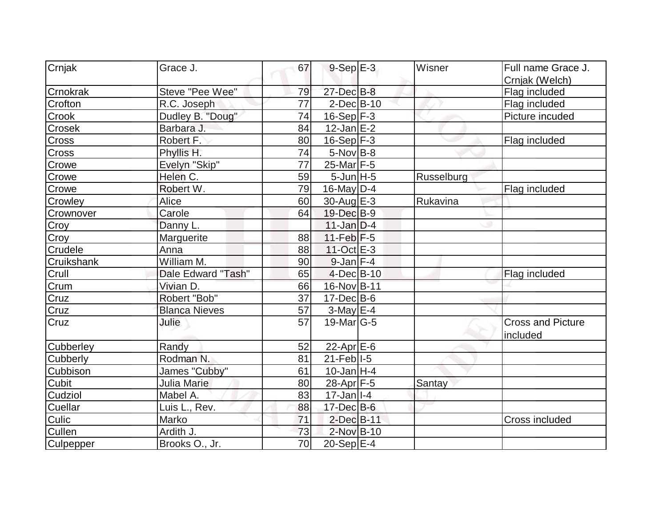| Crnjak           | Grace J.             | 67 | $9-Sep$ E-3               | Wisner     | Full name Grace J.       |
|------------------|----------------------|----|---------------------------|------------|--------------------------|
|                  |                      |    |                           |            | Crnjak (Welch)           |
| Crnokrak         | Steve "Pee Wee"      | 79 | 27-Dec B-8                |            | Flag included            |
| Crofton          | R.C. Joseph          | 77 | $2$ -Dec $B$ -10          |            | Flag included            |
| Crook            | Dudley B. "Doug"     | 74 | $16-Sep$ F-3              |            | Picture incuded          |
| Crosek           | Barbara J.           | 84 | $12$ -Jan $E-2$           |            |                          |
| <b>Cross</b>     | Robert F.            | 80 | $16-Sep$ F-3              |            | Flag included            |
| Cross            | Phyllis H.           | 74 | $5$ -Nov $B$ -8           |            |                          |
| Crowe            | Evelyn "Skip"        | 77 | 25-Mar F-5                |            |                          |
| Crowe            | Helen C.             | 59 | $5$ -Jun $H - 5$          | Russelburg |                          |
| Crowe            | Robert W.            | 79 | $16$ -May D-4             |            | Flag included            |
| Crowley          | Alice                | 60 | 30-Aug $E-3$              | Rukavina   |                          |
| Crownover        | Carole               | 64 | 19-Dec B-9                |            |                          |
| Croy             | Danny L.             |    | $11$ -Jan D-4             |            |                          |
| Croy             | Marguerite           | 88 | $11-Feb$ F-5              |            |                          |
| Crudele          | Anna                 | 88 | $11-Oct$ $E-3$            |            |                          |
| Cruikshank       | William M.           | 90 | $9$ -Jan F-4              |            |                          |
| Crull            | Dale Edward "Tash"   | 65 | $4$ -Dec $B$ -10          |            | Flag included            |
| Crum             | Vivian D.            | 66 | 16-Nov B-11               |            |                          |
| Cruz             | Robert "Bob"         | 37 | $17$ -Dec $B$ -6          |            |                          |
| Cruz             | <b>Blanca Nieves</b> | 57 | $3-May$ $E-4$             |            |                          |
| Cruz             | Julie                | 57 | $19$ -Mar $ G-5$          |            | <b>Cross and Picture</b> |
|                  |                      |    |                           |            | included                 |
| <b>Cubberley</b> | Randy                | 52 | $22$ -Apr $E$ -6          |            |                          |
| Cubberly         | Rodman N.            | 81 | $21$ -Feb $ I-5 $         |            |                          |
| Cubbison         | James "Cubby"        | 61 | $10$ -Jan H-4             |            |                          |
| <b>Cubit</b>     | <b>Julia Marie</b>   | 80 | $28$ -Apr $F-5$           | Santay     |                          |
| Cudziol          | Mabel A.             | 83 | $17 - Jan$ <sup>1-4</sup> |            |                          |
| Cuellar          | Luis L., Rev.        | 88 | $17 - Dec$ B-6            |            |                          |
| Culic            | Marko                | 71 | $2$ -Dec $B-11$           |            | <b>Cross included</b>    |
| <b>Cullen</b>    | Ardith J.            | 73 | 2-Nov B-10                |            |                          |
| Culpepper        | Brooks O., Jr.       | 70 | 20-Sep E-4                |            |                          |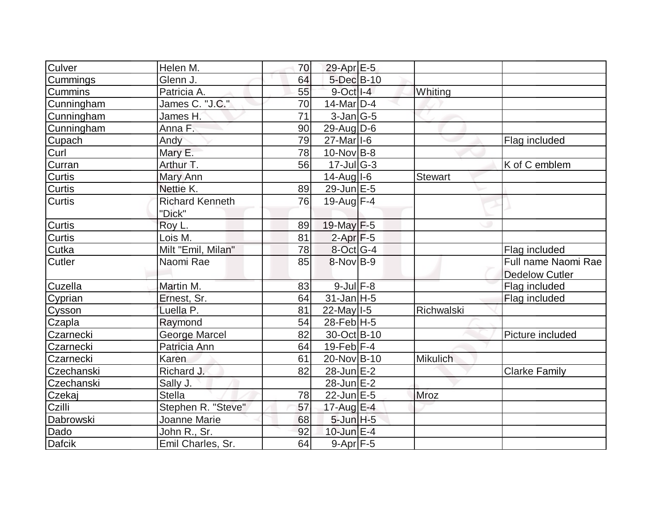| Culver         | Helen M.               | 70 | $29$ -Apr $E$ -5           |                 |                       |
|----------------|------------------------|----|----------------------------|-----------------|-----------------------|
| Cummings       | Glenn J.               | 64 | $5$ -Dec $B$ -10           |                 |                       |
| <b>Cummins</b> | Patricia A.            | 55 | $9$ -Oct $  $ -4           | Whiting         |                       |
| Cunningham     | James C. "J.C."        | 70 | $14$ -Mar $ D-4$           |                 |                       |
| Cunningham     | James H.               | 71 | $3$ -Jan $ G-5 $           |                 |                       |
| Cunningham     | Anna F.                | 90 | $29$ -Aug $\overline{D-6}$ |                 |                       |
| Cupach         | Andy                   | 79 | $27$ -Mar <sub>1</sub> -6  |                 | Flag included         |
| Curl           | Mary E.                | 78 | $10$ -Nov B-8              |                 |                       |
| Curran         | Arthur T.              | 56 | $17$ -Jul G-3              |                 | K of C emblem         |
| <b>Curtis</b>  | Mary Ann               |    | $14$ -Aug I-6              | <b>Stewart</b>  |                       |
| <b>Curtis</b>  | Nettie K.              | 89 | $29$ -Jun $E - 5$          |                 |                       |
| Curtis         | <b>Richard Kenneth</b> | 76 | 19-Aug $F-4$               |                 |                       |
|                | "Dick"                 |    |                            |                 |                       |
| Curtis         | Roy L.                 | 89 | 19-May $F-5$               |                 |                       |
| Curtis         | Lois M.                | 81 | $2-Apr$ F-5                |                 |                       |
| Cutka          | Milt "Emil, Milan"     | 78 | 8-Oct G-4                  |                 | Flag included         |
| <b>Cutler</b>  | Naomi Rae              | 85 | $8-Nov$ B-9                |                 | Full name Naomi Rae   |
|                |                        |    |                            |                 | <b>Dedelow Cutler</b> |
| Cuzella        | Martin M.              | 83 | $9$ -Jul $F-8$             |                 | Flag included         |
| Cyprian        | Ernest, Sr.            | 64 | $31$ -Jan H-5              |                 | Flag included         |
| Cysson         | Luella P.              | 81 | $22$ -May $I - 5$          | Richwalski      |                       |
| Czapla         | Raymond                | 54 | $28$ -Feb H-5              |                 |                       |
| Czarnecki      | <b>George Marcel</b>   | 82 | 30-Oct B-10                |                 | Picture included      |
| Czarnecki      | Patricia Ann           | 64 | $19$ -Feb $ F-4$           |                 |                       |
| Czarnecki      | Karen                  | 61 | 20-Nov B-10                | <b>Mikulich</b> |                       |
| Czechanski     | Richard J.             | 82 | 28-Jun E-2                 |                 | <b>Clarke Family</b>  |
| Czechanski     | Sally J.               |    | 28-Jun E-2                 |                 |                       |
| Czekaj         | <b>Stella</b>          | 78 | $22$ -Jun $E-5$            | Mroz            |                       |
| Czilli         | Stephen R. "Steve"     | 57 | 17-Aug E-4                 |                 |                       |
| Dabrowski      | Joanne Marie           | 68 | $5$ -Jun $H$ -5            |                 |                       |
| Dado           | John R., Sr.           | 92 | 10-Jun $E-4$               |                 |                       |
| <b>Dafcik</b>  | Emil Charles, Sr.      | 64 | $9-Apr$ F-5                |                 |                       |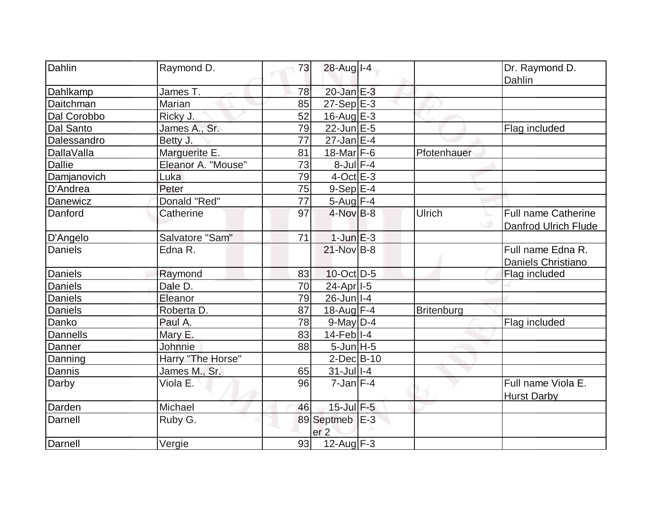| Dahlin            | Raymond D.         | 73 | 28-Aug I-4            |             | Dr. Raymond D.             |
|-------------------|--------------------|----|-----------------------|-------------|----------------------------|
|                   |                    |    |                       |             | Dahlin                     |
| Dahlkamp          | James T.           | 78 | $20$ -Jan $E-3$       |             |                            |
| Daitchman         | Marian             | 85 | $27-Sep$ $E-3$        |             |                            |
| Dal Corobbo       | Ricky J.           | 52 | 16-Aug $E-3$          |             |                            |
| Dal Santo         | James A., Sr.      | 79 | $22$ -Jun $E-5$       |             | Flag included              |
| Dalessandro       | Betty J.           | 77 | $27$ -Jan $E-4$       |             |                            |
| <b>DallaValla</b> | Marguerite E.      | 81 | 18-Mar $F-6$          | Pfotenhauer |                            |
| <b>Dallie</b>     | Eleanor A. "Mouse" | 73 | $8$ -Jul $F-4$        |             |                            |
| Damjanovich       | Luka               | 79 | $4$ -Oct $E-3$        |             |                            |
| D'Andrea          | Peter              | 75 | $9-Sep$ $E-4$         |             |                            |
| Danewicz          | Donald "Red"       | 77 | $5-Aug$ F-4           |             |                            |
| Danford           | Catherine          | 97 | $4$ -Nov $B-8$        | Ulrich      | <b>Full name Catherine</b> |
|                   |                    |    |                       |             | Danfrod Ulrich Flude       |
| D'Angelo          | Salvatore "Sam"    | 71 | $1$ -Jun $E-3$        |             |                            |
| <b>Daniels</b>    | Edna R.            |    | 21-Nov B-8            |             | Full name Edna R.          |
|                   |                    |    |                       |             | Daniels Christiano         |
| Daniels           | Raymond            | 83 | 10-Oct D-5            |             | Flag included              |
| <b>Daniels</b>    | Dale D.            | 70 | 24-Apr <sub>1-5</sub> |             |                            |
| Daniels           | Eleanor            | 79 | $26$ -Jun $ I-4 $     |             |                            |
| Daniels           | Roberta D.         | 87 | 18-Aug $F-4$          | Britenburg  |                            |
| Danko             | Paul A.            | 78 | $9$ -May $D-4$        |             | Flag included              |
| Dannells          | Mary E.            | 83 | $14$ -Feb $ I-4 $     |             |                            |
| Danner            | Johnnie            | 88 | $5$ -Jun $H - 5$      |             |                            |
| Danning           | Harry "The Horse"  |    | $2$ -Dec $B$ -10      |             |                            |
| Dannis            | James M., Sr.      | 65 | 31-Jul 1-4            |             |                            |
| Darby             | Viola E.           | 96 | $7$ -Jan $F-4$        |             | Full name Viola E.         |
|                   |                    |    |                       |             | <b>Hurst Darby</b>         |
| Darden            | Michael            | 46 | 15-Jul F-5            |             |                            |
| Darnell           | Ruby G.            |    | 89 Septmeb E-3        |             |                            |
|                   |                    |    | er <sub>2</sub>       |             |                            |
| Darnell           | Vergie             | 93 | 12-Aug $F-3$          |             |                            |
|                   |                    |    |                       |             |                            |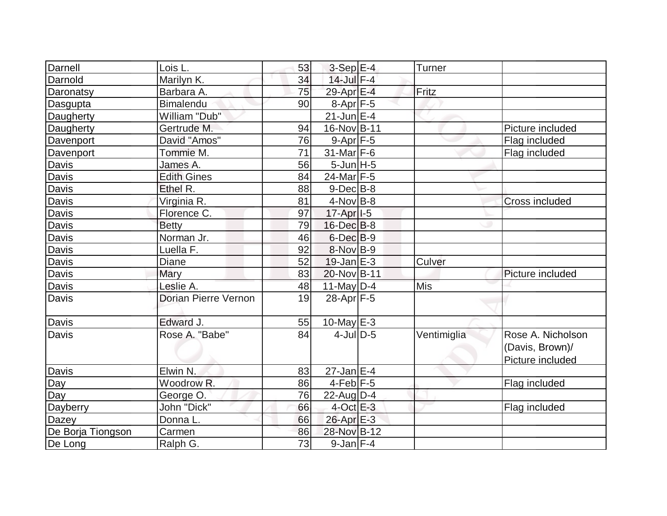| Darnell           | Lois L.                     | 53              | $3-Sep$ E-4           | Turner      |                                                          |
|-------------------|-----------------------------|-----------------|-----------------------|-------------|----------------------------------------------------------|
| Darnold           | Marilyn K.                  | 34              | $14$ -Jul $F-4$       |             |                                                          |
| Daronatsy         | Barbara A.                  | 75              | 29-Apr E-4            | Fritz       |                                                          |
| Dasgupta          | <b>Bimalendu</b>            | 90              | 8-Apr F-5             |             |                                                          |
| Daugherty         | William "Dub"               |                 | $21$ -Jun E-4         |             |                                                          |
| Daugherty         | Gertrude M.                 | 94              | 16-Nov B-11           |             | Picture included                                         |
| Davenport         | David "Amos"                | 76              | $9-Apr$ $F-5$         |             | Flag included                                            |
| Davenport         | Tommie M.                   | $\overline{71}$ | $31$ -Mar F-6         |             | Flag included                                            |
| Davis             | James A.                    | 56              | $5$ -Jun $H - 5$      |             |                                                          |
| Davis             | <b>Edith Gines</b>          | 84              | 24-Mar F-5            |             |                                                          |
| Davis             | Ethel R.                    | 88              | $9$ -Dec $B$ -8       |             |                                                          |
| Davis             | Virginia R.                 | 81              | $4$ -Nov B-8          |             | <b>Cross included</b>                                    |
| Davis             | Florence C.                 | 97              | 17-Apr <sub>1-5</sub> |             |                                                          |
| Davis             | <b>Betty</b>                | 79              | $16$ -Dec $B$ -8      |             |                                                          |
| Davis             | Norman Jr.                  | 46              | $6$ -Dec $B-9$        |             |                                                          |
| Davis             | Luella F.                   | 92              | 8-Nov B-9             |             |                                                          |
| Davis             | <b>Diane</b>                | 52              | $19$ -Jan $E-3$       | Culver      |                                                          |
| Davis             | Mary                        | 83              | 20-Nov B-11           |             | Picture included                                         |
| Davis             | Leslie A.                   | 48              | 11-May $D-4$          | <b>Mis</b>  |                                                          |
| Davis             | <b>Dorian Pierre Vernon</b> | 19              | $28-Apr$ F-5          |             |                                                          |
| Davis             | Edward J.                   | 55              | $10$ -May $E-3$       |             |                                                          |
| Davis             | Rose A. "Babe"              | 84              | $4$ -JulD-5           | Ventimiglia | Rose A. Nicholson<br>(Davis, Brown)/<br>Picture included |
| Davis             | Elwin N.                    | 83              | 27-Jan E-4            |             |                                                          |
| Day               | Woodrow <sub>R.</sub>       | 86              | $4-Feb$ $F-5$         |             | Flag included                                            |
| Day               | George O.                   | 76              | $22$ -Aug $D-4$       |             |                                                          |
| Dayberry          | John "Dick"                 | 66              | $4$ -Oct E-3          |             | Flag included                                            |
| Dazey             | Donna L.                    | 66              | 26-Apr E-3            |             |                                                          |
| De Borja Tiongson | Carmen                      | 86              | 28-Nov B-12           |             |                                                          |
| De Long           | Ralph G.                    | 73              | $9$ -Jan $F-4$        |             |                                                          |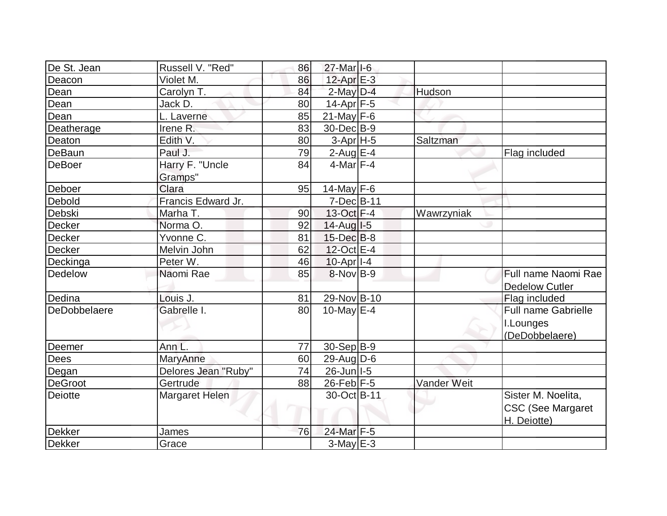| De St. Jean    | Russell V. "Red"    | 86 | 27-Mar I-6        |             |                          |
|----------------|---------------------|----|-------------------|-------------|--------------------------|
| Deacon         | Violet M.           | 86 | $12$ -Apr $E-3$   |             |                          |
| Dean           | Carolyn T.          | 84 | $2$ -May $D-4$    | Hudson      |                          |
| Dean           | Jack D.             | 80 | $14$ -Apr $F-5$   |             |                          |
| Dean           | L. Laverne          | 85 | $21$ -May $F-6$   |             |                          |
| Deatherage     | Irene R.            | 83 | 30-Dec B-9        |             |                          |
| Deaton         | Edith V.            | 80 | $3-Apr$ H-5       | Saltzman    |                          |
| DeBaun         | Paul J.             | 79 | 2-Aug $E-4$       |             | Flag included            |
| <b>DeBoer</b>  | Harry F. "Uncle     | 84 | $4$ -Mar $ F-4 $  |             |                          |
|                | Gramps"             |    |                   |             |                          |
| Deboer         | Clara               | 95 | 14-May $F-6$      |             |                          |
| Debold         | Francis Edward Jr.  |    | 7-Dec B-11        |             |                          |
| Debski         | Marha T.            | 90 | 13-Oct F-4        | Wawrzyniak  |                          |
| Decker         | Norma O.            | 92 | $14$ -Aug $I$ -5  |             |                          |
| Decker         | Yvonne C.           | 81 | $15$ -Dec $B$ -8  |             |                          |
| Decker         | Melvin John         | 62 | 12-Oct E-4        |             |                          |
| Deckinga       | Peter W.            | 46 | $10$ -Apr $ I-4 $ |             |                          |
| Dedelow        | Naomi Rae           | 85 | $8-Nov$ B-9       |             | Full name Naomi Rae      |
|                |                     |    |                   |             | <b>Dedelow Cutler</b>    |
| Dedina         | Louis J.            | 81 | 29-Nov B-10       |             | Flag included            |
| DeDobbelaere   | Gabrelle I.         | 80 | $10$ -May $E-4$   |             | Full name Gabrielle      |
|                |                     |    |                   |             | I.Lounges                |
|                |                     |    |                   |             | (DeDobbelaere)           |
| Deemer         | Ann L.              | 77 | $30-Sep B-9$      |             |                          |
| <b>Dees</b>    | MaryAnne            | 60 | $29$ -AugD-6      |             |                          |
| Degan          | Delores Jean "Ruby" | 74 | 26-Jun   I-5      |             |                          |
| <b>DeGroot</b> | Gertrude            | 88 | $26$ -Feb F-5     | Vander Weit |                          |
| <b>Deiotte</b> | Margaret Helen      |    | 30-Oct B-11       |             | Sister M. Noelita,       |
|                |                     |    |                   |             | <b>CSC (See Margaret</b> |
|                |                     |    |                   |             | H. Deiotte)              |
| <b>Dekker</b>  | James               | 76 | 24-Mar F-5        |             |                          |
| <b>Dekker</b>  | Grace               |    | $3$ -May $E-3$    |             |                          |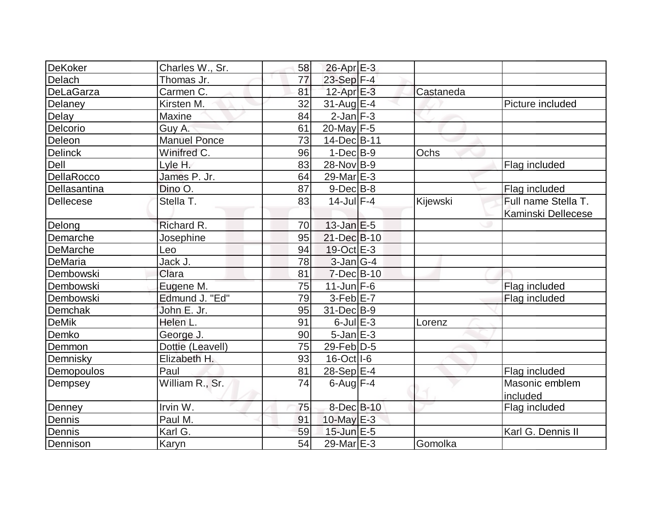| DeKoker          | Charles W., Sr.     | 58 | $26$ -Apr $E-3$         |           |                           |
|------------------|---------------------|----|-------------------------|-----------|---------------------------|
| Delach           | Thomas Jr.          | 77 | $23-Sep$ F-4            |           |                           |
| <b>DeLaGarza</b> | Carmen C.           | 81 | $12$ -Apr $E-3$         | Castaneda |                           |
| Delaney          | Kirsten M.          | 32 | $31$ -Aug E-4           |           | Picture included          |
| Delay            | Maxine              | 84 | $2$ -Jan $F-3$          |           |                           |
| Delcorio         | Guy A.              | 61 | 20-May $F-5$            |           |                           |
| Deleon           | <b>Manuel Ponce</b> | 73 | 14-Dec B-11             |           |                           |
| <b>Delinck</b>   | Winifred C.         | 96 | $1-Dec$ B-9             | Ochs      |                           |
| Dell             | Lyle H.             | 83 | 28-Nov B-9              |           | Flag included             |
| DellaRocco       | James P. Jr.        | 64 | 29-Mar <sub>IE</sub> -3 |           |                           |
| Dellasantina     | Dino O.             | 87 | $9-Dec B-8$             |           | Flag included             |
| <b>Dellecese</b> | Stella T.           | 83 | $14$ -Jul $F-4$         | Kijewski  | Full name Stella T.       |
|                  |                     |    |                         |           | <b>Kaminski Dellecese</b> |
| Delong           | Richard R.          | 70 | $13$ -Jan $E-5$         |           |                           |
| Demarche         | Josephine           | 95 | 21-Dec B-10             |           |                           |
| <b>DeMarche</b>  | Leo                 | 94 | 19-Oct E-3              |           |                           |
| DeMaria          | Jack J.             | 78 | $3$ -Jan $ G-4 $        |           |                           |
| Dembowski        | Clara               | 81 | $7$ -Dec $B$ -10        |           |                           |
| Dembowski        | Eugene M.           | 75 | $11$ -Jun F-6           |           | Flag included             |
| Dembowski        | Edmund J. "Ed"      | 79 | $3-Feb$ $E-7$           |           | Flag included             |
| Demchak          | John E. Jr.         | 95 | 31-Dec B-9              |           |                           |
| <b>DeMik</b>     | Helen L.            | 91 | $6$ -Jul $E$ -3         | Lorenz    |                           |
| Demko            | George J.           | 90 | $5$ -Jan $E-3$          |           |                           |
| Demmon           | Dottie (Leavell)    | 75 | 29-Feb D-5              |           |                           |
| Demnisky         | Elizabeth H.        | 93 | $16$ -Oct $\vert$ I-6   |           |                           |
| Demopoulos       | Paul                | 81 | 28-Sep E-4              |           | Flag included             |
| Dempsey          | William R., Sr.     | 74 | $6$ -Aug $F-4$          |           | Masonic emblem            |
|                  |                     |    |                         |           | included                  |
| Denney           | Irvin W.            | 75 | 8-Dec B-10              |           | Flag included             |
| Dennis           | Paul M.             | 91 | 10-May $E-3$            |           |                           |
| Dennis           | Karl G.             | 59 | $15$ -Jun $E$ -5        |           | Karl G. Dennis II         |
| Dennison         | <b>Karyn</b>        | 54 | 29-Mar <sub>IE</sub> -3 | Gomolka   |                           |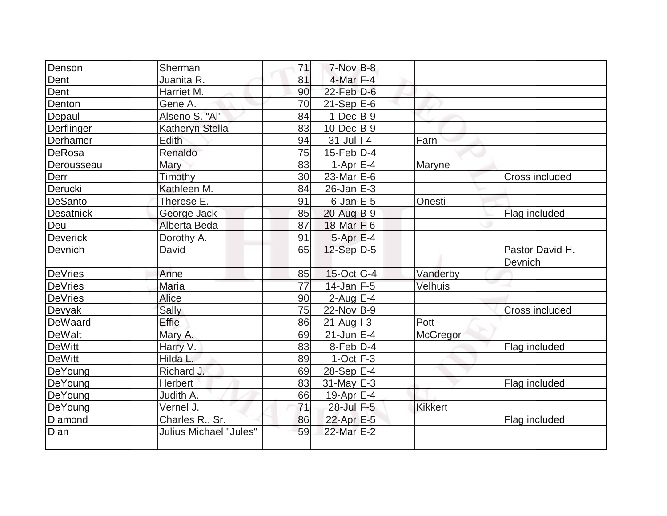|                  | Sherman                | 71 | $7-Nov$ B-8       |                |                            |
|------------------|------------------------|----|-------------------|----------------|----------------------------|
| Denson           |                        | 81 | $4$ -Mar $F-4$    |                |                            |
| Dent             | Juanita R.             |    |                   |                |                            |
| Dent             | Harriet M.             | 90 | $22$ -Feb $D-6$   |                |                            |
| Denton           | Gene A.                | 70 | $21-Sep$ $E-6$    |                |                            |
| Depaul           | Alseno S. "Al"         | 84 | $1-Dec$ B-9       |                |                            |
| Derflinger       | <b>Katheryn Stella</b> | 83 | $10$ -Dec $B-9$   |                |                            |
| Derhamer         | <b>Edith</b>           | 94 | $31$ -Jul I-4     | Farn           |                            |
| <b>DeRosa</b>    | Renaldo                | 75 | $15$ -Feb $ D-4$  |                |                            |
| Derousseau       | Mary                   | 83 | 1-Apr $E-4$       | Maryne         |                            |
| Derr             | Timothy                | 30 | 23-Mar E-6        |                | Cross included             |
| Derucki          | Kathleen M.            | 84 | $26$ -Jan $E-3$   |                |                            |
| DeSanto          | Therese E.             | 91 | $6$ -Jan $E$ -5   | Onesti         |                            |
| <b>Desatnick</b> | George Jack            | 85 | $20$ -Aug $B-9$   |                | Flag included              |
| Deu              | Alberta Beda           | 87 | $18$ -Mar F-6     |                |                            |
| Deverick         | Dorothy A.             | 91 | $5-Apr$ $E-4$     |                |                            |
| Devnich          | David                  | 65 | $12-Sep$ D-5      |                | Pastor David H.<br>Devnich |
| DeVries          | Anne                   | 85 | 15-Oct G-4        | Vanderby       |                            |
| <b>DeVries</b>   | Maria                  | 77 | $14$ -Jan F-5     | Velhuis        |                            |
| <b>DeVries</b>   | <b>Alice</b>           | 90 | $2$ -Aug $E-4$    |                |                            |
| Devyak           | Sally                  | 75 | $22$ -Nov B-9     |                | <b>Cross included</b>      |
| DeWaard          | Effie                  | 86 | $21$ -Aug $ I-3 $ | Pott           |                            |
| De <u>Walt</u>   | Mary A.                | 69 | $21$ -Jun $E-4$   | McGregor       |                            |
| <b>DeWitt</b>    | Harry V.               | 83 | $8$ -Feb $D-4$    |                | Flag included              |
| <b>DeWitt</b>    | Hilda L.               | 89 | $1-Oct$ F-3       |                |                            |
| DeYoung          | Richard J.             | 69 | $28-Sep$ $E-4$    |                |                            |
| DeYoung          | Herbert                | 83 | $31$ -May E-3     |                | Flag included              |
| DeYoung          | Judith A.              | 66 | 19-Apr $E-4$      |                |                            |
| DeYoung          | Vernel J.              | 71 | 28-Jul F-5        | <b>Kikkert</b> |                            |
| Diamond          | Charles R., Sr.        | 86 | 22-Apr E-5        |                | Flag included              |
| Dian             | Julius Michael "Jules" | 59 | 22-Mar E-2        |                |                            |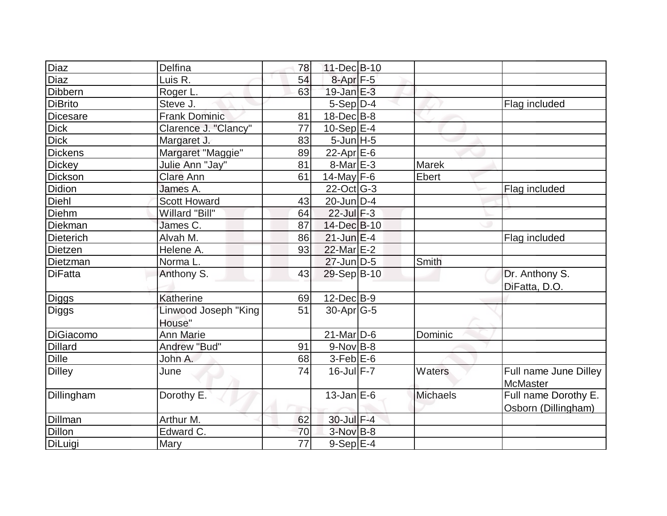| Diaz             | Delfina                        | 78              | 11-Dec B-10       |                 |                                             |
|------------------|--------------------------------|-----------------|-------------------|-----------------|---------------------------------------------|
| Diaz             | Luis R.                        | 54              | 8-Apr F-5         |                 |                                             |
| Dibbern          | Roger L.                       | 63              | $19$ -Jan $E-3$   |                 |                                             |
| <b>DiBrito</b>   | Steve J.                       |                 | $5-Sep D-4$       |                 | Flag included                               |
| <b>Dicesare</b>  | <b>Frank Dominic</b>           | 81              | $18$ -Dec $B$ -8  |                 |                                             |
| <b>Dick</b>      | Clarence J. "Clancy"           | 77              | $10-Sep$ E-4      |                 |                                             |
| <b>Dick</b>      | Margaret J.                    | 83              | $5$ -Jun $H - 5$  |                 |                                             |
| <b>Dickens</b>   | Margaret "Maggie"              | 89              | $22$ -Apr $E$ -6  |                 |                                             |
| <b>Dickey</b>    | Julie Ann "Jay"                | 81              | $8$ -Mar $E - 3$  | <b>Marek</b>    |                                             |
| Dickson          | <b>Clare Ann</b>               | 61              | 14-May F-6        | Ebert           |                                             |
| Didion           | James A.                       |                 | $22$ -Oct G-3     |                 | Flag included                               |
| Diehl            | <b>Scott Howard</b>            | 43              | 20-Jun D-4        |                 |                                             |
| Diehm            | Willard "Bill"                 | 64              | $22$ -Jul $F-3$   |                 |                                             |
| Diekman          | James C.                       | 87              | 14-Dec B-10       |                 |                                             |
| <b>Dieterich</b> | Alvah M.                       | 86              | $21$ -Jun $E-4$   |                 | Flag included                               |
| Dietzen          | Helene A.                      | 93              | 22-Mar E-2        |                 |                                             |
| Dietzman         | Norma L.                       |                 | $27$ -Jun $D-5$   | Smith           |                                             |
| <b>DiFatta</b>   | Anthony S.                     | 43              | 29-Sep B-10       |                 | Dr. Anthony S.                              |
|                  |                                |                 |                   |                 | DiFatta, D.O.                               |
| <b>Diggs</b>     | Katherine                      | 69              | $12$ -Dec $B-9$   |                 |                                             |
| Diggs            | Linwood Joseph "King<br>House" | 51              | $30$ -Apr $ G-5$  |                 |                                             |
| <b>DiGiacomo</b> | <b>Ann Marie</b>               |                 | $21$ -Mar $ D-6$  | Dominic         |                                             |
| <b>Dillard</b>   | Andrew "Bud"                   | 91              | $9-Nov$ B-8       |                 |                                             |
| Dille            | John A.                        | 68              | $3-Feb$ $E-6$     |                 |                                             |
| <b>Dilley</b>    | June                           | 74              | $16$ -Jul $F - 7$ | Waters          | Full name June Dilley<br>McMaster           |
| Dillingham       | Dorothy E.                     |                 | $13$ -Jan $E$ -6  | <b>Michaels</b> | Full name Dorothy E.<br>Osborn (Dillingham) |
| Dillman          | Arthur M.                      | 62              | 30-Jul F-4        |                 |                                             |
| <b>Dillon</b>    | Edward C.                      | 70              | $3-Nov$ B-8       |                 |                                             |
| DiLuigi          | Mary                           | $\overline{77}$ | 9-Sep E-4         |                 |                                             |
|                  |                                |                 |                   |                 |                                             |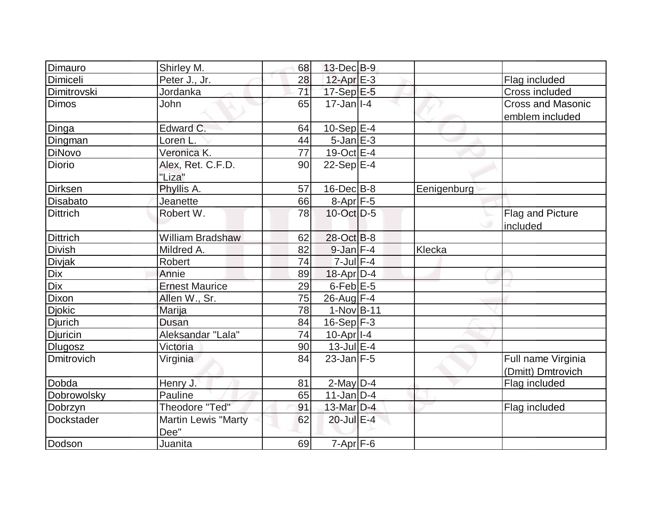| Dimauro         | Shirley M.                 | 68              | $13$ -Dec $B-9$           |             |                          |
|-----------------|----------------------------|-----------------|---------------------------|-------------|--------------------------|
| Dimiceli        | Peter J., Jr.              | 28              | $12$ -Apr $E-3$           |             | Flag included            |
| Dimitrovski     | Jordanka                   | 71              | $17-Sep$ $E-5$            |             | Cross included           |
| <b>Dimos</b>    | John                       | 65              | $17 - Jan$ <sup>1-4</sup> |             | <b>Cross and Masonic</b> |
|                 |                            |                 |                           |             | emblem included          |
| Dinga           | Edward C.                  | 64              | 10-Sep $E-4$              |             |                          |
| Dingman         | Loren <sub>L</sub>         | 44              | $5$ -Jan $E-3$            |             |                          |
| <b>DiNovo</b>   | Veronica K.                | $\overline{77}$ | 19-Oct E-4                |             |                          |
| Diorio          | Alex, Ret. C.F.D.          | 90              | $22-Sep$ E-4              |             |                          |
|                 | "Liza"                     |                 |                           |             |                          |
| <b>Dirksen</b>  | Phyllis A.                 | 57              | $16$ -Dec $B$ -8          | Eenigenburg |                          |
| Disabato        | Jeanette                   | 66              | $8-Apr$ F-5               |             |                          |
| <b>Dittrich</b> | Robert W.                  | 78              | $10$ -Oct $D-5$           |             | Flag and Picture         |
|                 |                            |                 |                           |             | included                 |
| <b>Dittrich</b> | <b>William Bradshaw</b>    | 62              | 28-Oct B-8                |             |                          |
| <b>Divish</b>   | Mildred A.                 | 82              | $9$ -Jan $F-4$            | Klecka      |                          |
| <b>Divjak</b>   | Robert                     | 74              | $7$ -Jul $F-4$            |             |                          |
| Dix             | Annie                      | 89              | $18$ -Apr $ D-4$          |             |                          |
| Dix             | <b>Ernest Maurice</b>      | 29              | 6-Feb <sup>E-5</sup>      |             |                          |
| <b>Dixon</b>    | Allen W., Sr.              | 75              | $26$ -Aug F-4             |             |                          |
| <b>Djokic</b>   | Marija                     | 78              | $1-Nov$ B-11              |             |                          |
| <b>Djurich</b>  | Dusan                      | 84              | $16-Sep$ F-3              |             |                          |
| Djuricin        | Aleksandar "Lala"          | 74              | $10$ -Apr $ I-4 $         |             |                          |
| <b>Dlugosz</b>  | Victoria                   | 90              | $13$ -Jul $E-4$           |             |                          |
| Dmitrovich      | Virginia                   | 84              | $23$ -Jan $F-5$           |             | Full name Virginia       |
|                 |                            |                 |                           |             | (Dmitt) Dmtrovich        |
| Dobda           | Henry J.                   | 81              | $2$ -May $D-4$            |             | Flag included            |
| Dobrowolsky     | Pauline                    | 65              | $11$ -Jan D-4             |             |                          |
| Dobrzyn         | Theodore "Ted"             | 91              | 13-Mar D-4                |             | Flag included            |
| Dockstader      | <b>Martin Lewis "Marty</b> | 62              | $20$ -Jul $E-4$           |             |                          |
|                 | Dee"                       |                 |                           |             |                          |
| Dodson          | Juanita                    | 69              | $7 - Apr$ $F-6$           |             |                          |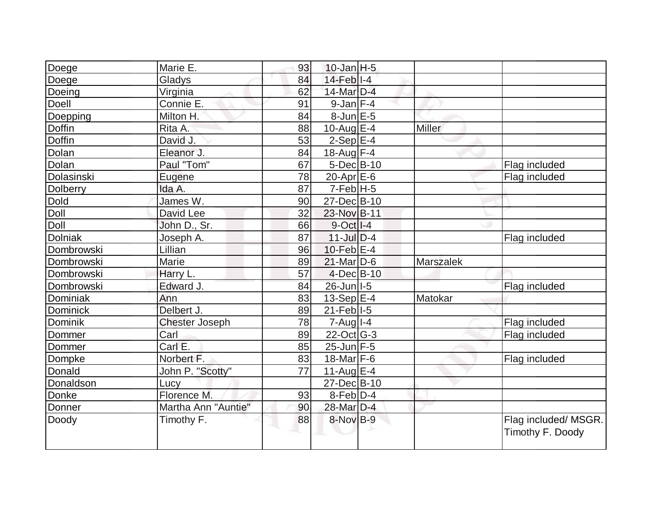| Donner          | Martha Ann "Auntie"   | 90 | 28-Mar D-4                         |                  |               |
|-----------------|-----------------------|----|------------------------------------|------------------|---------------|
| Donke           | Florence M.           | 93 | $8-Feb D-4$                        |                  |               |
| Donaldson       | Lucy                  |    | $27 - Dec$ B-10                    |                  |               |
| Donald          | John P. "Scotty"      | 77 | $11-Aug$ E-4                       |                  |               |
| Dompke          | Norbert F.            | 83 | 18-Mar $F-6$                       |                  | Flag included |
| Dommer          | Carl E.               | 85 | $25$ -Jun $F-5$                    |                  |               |
| Dommer          | Carl                  | 89 | 22-Oct G-3                         |                  | Flag included |
| Dominik         | <b>Chester Joseph</b> | 78 | $7 - Aug$   $1 - 4$                |                  | Flag included |
| <b>Dominick</b> | Delbert J.            | 89 | $21$ -Feb $ I-5 $                  |                  |               |
| Dominiak        | Ann                   | 83 | $13-Sep$ $E-4$                     | Matokar          |               |
| Dombrowski      | Edward J.             | 84 | 26-Jun   I-5                       |                  | Flag included |
| Dombrowski      | Harry L.              | 57 | $4$ -Dec $B$ -10                   |                  |               |
| Dombrowski      | Marie                 | 89 | $21$ -Mar $ D-6$                   | <b>Marszalek</b> |               |
| Dombrowski      | Lillian               | 96 | $10$ -Feb $E$ -4                   |                  |               |
| <b>Dolniak</b>  | Joseph A.             | 87 | $11$ -Jul $D-4$                    |                  | Flag included |
| Doll            | John D., Sr.          | 66 | $9-Oct$ <sup>1-4</sup>             |                  |               |
| Doll            | David Lee             | 32 | 23-Nov B-11                        |                  |               |
| <b>Dold</b>     | James W.              | 90 | $27 - Dec$ B-10                    |                  |               |
| Dolberry        | Ida A.                | 87 | $7-FebH-5$                         |                  |               |
| Dolasinski      | Eugene                | 78 | $20$ -Apr $E$ -6                   |                  | Flag included |
| Dolan           | Paul "Tom"            | 67 | $5$ -Dec $B$ -10                   |                  | Flag included |
| Dolan           | Eleanor J.            | 84 | $18$ -Aug F-4                      |                  |               |
| <b>Doffin</b>   | David J.              | 53 | $2-Sep$ $E-4$                      |                  |               |
| <b>Doffin</b>   | Rita A.               | 88 | $10$ -Aug E-4                      | Miller           |               |
| Doepping        | Milton H.             | 84 | $8$ -Jun $E - 5$                   |                  |               |
| Doell           | Connie E.             | 91 | $9$ -Jan $F-4$                     |                  |               |
| Doeing          | Virginia              | 62 | 14-Mar D-4                         |                  |               |
| Doege<br>Doege  | Gladys                | 84 | $10$ -Jan H-5<br>$14$ -Feb $ I-4 $ |                  |               |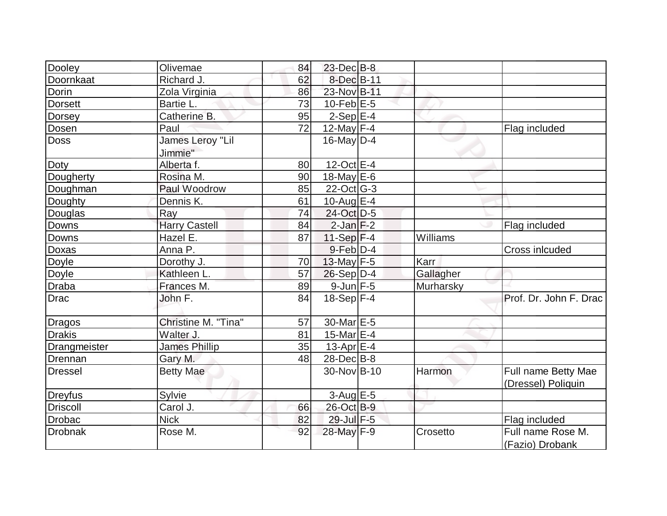| Dooley          | Olivemae                    | 84 | $23$ -Dec $B$ -8 |           |                                           |
|-----------------|-----------------------------|----|------------------|-----------|-------------------------------------------|
| Doornkaat       | Richard J.                  | 62 | 8-Dec B-11       |           |                                           |
| Dorin           | Zola Virginia               | 86 | 23-Nov B-11      |           |                                           |
| <b>Dorsett</b>  | Bartie L.                   | 73 | $10$ -Feb $E-5$  |           |                                           |
| Dorsey          | Catherine B.                | 95 | $2-Sep$ E-4      |           |                                           |
| Dosen           | Paul                        | 72 | 12-May F-4       |           | Flag included                             |
| <b>Doss</b>     | James Leroy "Lil<br>Jimmie" |    | $16$ -May D-4    |           |                                           |
| Doty            | Alberta f.                  | 80 | 12-Oct E-4       |           |                                           |
| Dougherty       | Rosina M.                   | 90 | $18$ -May E-6    |           |                                           |
| Doughman        | Paul Woodrow                | 85 | $22$ -Oct G-3    |           |                                           |
| Doughty         | Dennis K.                   | 61 | 10-Aug $E-4$     |           |                                           |
| Douglas         | Ray                         | 74 | 24-Oct D-5       |           |                                           |
| Downs           | <b>Harry Castell</b>        | 84 | $2$ -Jan $F-2$   |           | Flag included                             |
| Downs           | Hazel E.                    | 87 | 11-Sep $F-4$     | Williams  |                                           |
| Doxas           | Anna P.                     |    | $9$ -Feb $D-4$   |           | Cross inlcuded                            |
| Doyle           | Dorothy J.                  | 70 | 13-May $F-5$     | Karr      |                                           |
| Doyle           | Kathleen L.                 | 57 | $26-Sep D-4$     | Gallagher |                                           |
| <b>Draba</b>    | Frances M.                  | 89 | $9$ -Jun $F-5$   | Murharsky |                                           |
| <b>Drac</b>     | John F.                     | 84 | $18-Sep$ F-4     |           | Prof. Dr. John F. Drac                    |
| <b>Dragos</b>   | Christine M. "Tina"         | 57 | 30-Mar E-5       |           |                                           |
| <b>Drakis</b>   | Walter J.                   | 81 | 15-Mar $E-4$     |           |                                           |
| Drangmeister    | <b>James Phillip</b>        | 35 | $13$ -Apr $E-4$  |           |                                           |
| Drennan         | Gary M.                     | 48 | $28$ -Dec $B$ -8 |           |                                           |
| <b>Dressel</b>  | <b>Betty Mae</b>            |    | 30-Nov B-10      | Harmon    | Full name Betty Mae<br>(Dressel) Poliquin |
| Dreyfus         | Sylvie                      |    | $3$ -Aug E-5     |           |                                           |
| <b>Driscoll</b> | Carol J.                    | 66 | 26-Oct B-9       |           |                                           |
| <b>Drobac</b>   | <b>Nick</b>                 | 82 | 29-Jul F-5       |           | Flag included                             |
| <b>Drobnak</b>  | Rose M.                     | 92 | 28-May F-9       | Crosetto  | Full name Rose M.<br>(Fazio) Drobank      |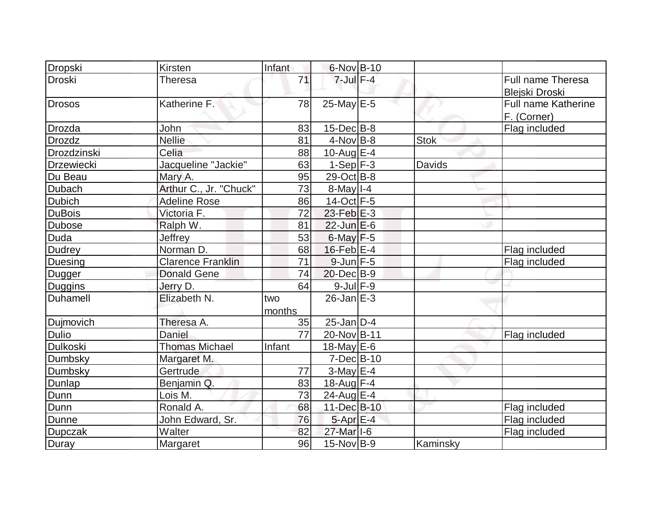| Dropski           | Kirsten                  | Infant        | $6$ -Nov $B$ -10      |             |                                     |
|-------------------|--------------------------|---------------|-----------------------|-------------|-------------------------------------|
| <b>Droski</b>     | <b>Theresa</b>           | 71            | $7$ -Jul $F-4$        |             | Full name Theresa<br>Blejski Droski |
| <b>Drosos</b>     | Katherine F:             | 78            | $25$ -May E-5         |             | Full name Katherine<br>F. (Corner)  |
| Drozda            | John                     | 83            | $15$ -Dec $B$ -8      |             | Flag included                       |
| <b>Drozdz</b>     | <b>Nellie</b>            | 81            | $4$ -Nov B-8          | <b>Stok</b> |                                     |
| Drozdzinski       | Celia                    | 88            | 10-Aug $E-4$          |             |                                     |
| <b>Drzewiecki</b> | Jacqueline "Jackie"      | 63            | $1-Sep$ $F-3$         | Davids      |                                     |
| Du Beau           | Mary A.                  | 95            | $29-Oct$ B-8          |             |                                     |
| <b>Dubach</b>     | Arthur C., Jr. "Chuck"   | 73            | $8$ -May $1-4$        |             |                                     |
| <b>Dubich</b>     | <b>Adeline Rose</b>      | 86            | 14-Oct F-5            |             |                                     |
| <b>DuBois</b>     | Victoria F.              | 72            | $23$ -Feb $E-3$       |             |                                     |
| <b>Dubose</b>     | Ralph W.                 | 81            | $22$ -Jun $E-6$       |             |                                     |
| Duda              | Jeffrey                  | 53            | $6$ -May $F-5$        |             |                                     |
| <b>Dudrey</b>     | Norman D.                | 68            | $16$ -Feb $E-4$       |             | Flag included                       |
| Duesing           | <b>Clarence Franklin</b> | 71            | $9$ -Jun $F - 5$      |             | Flag included                       |
| Dugger            | <b>Donald Gene</b>       | 74            | 20-Dec B-9            |             |                                     |
| <b>Duggins</b>    | Jerry D.                 | 64            | $9$ -Jul $F-9$        |             |                                     |
| Duhamell          | Elizabeth N.             | two<br>months | $26$ -Jan $E-3$       |             |                                     |
| Dujmovich         | Theresa A.               | 35            | $25$ -Jan D-4         |             |                                     |
| <b>Dulio</b>      | Daniel                   | 77            | 20-Nov B-11           |             | Flag included                       |
| Dulkoski          | <b>Thomas Michael</b>    | Infant        | $18$ -May E-6         |             |                                     |
| Dumbsky           | Margaret M.              |               | $7$ -Dec $B$ -10      |             |                                     |
| Dumbsky           | Gertrude                 | 77            | $3-May$ $E-4$         |             |                                     |
| Dunlap            | Benjamin Q.              | 83            | $18$ -Aug F-4         |             |                                     |
| Dunn              | Lois M.                  | 73            | $24$ -Aug $E-4$       |             |                                     |
| Dunn              | Ronald A.                | 68            | 11-Dec B-10           |             | Flag included                       |
| Dunne             | John Edward, Sr.         | 76            | $5 - Apr$ $E - 4$     |             | Flag included                       |
| <b>Dupczak</b>    | Walter                   | 82            | 27-Mar <sub>1-6</sub> |             | Flag included                       |
| Duray             | Margaret                 | 96            | $15$ -Nov $ B-9 $     | Kaminsky    |                                     |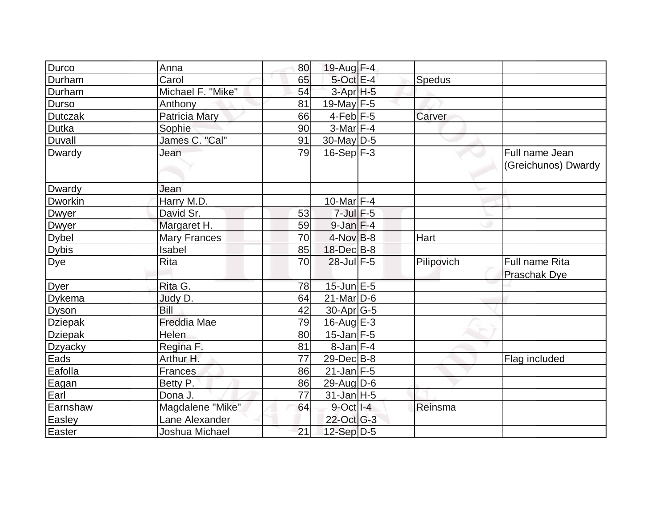| Durco            | Anna                | 80 | 19-Aug F-4         |            |                     |
|------------------|---------------------|----|--------------------|------------|---------------------|
| Durham           | Carol               | 65 | 5-Oct E-4          | Spedus     |                     |
| Durham           | Michael F. "Mike"   | 54 | $3-Apr$ H-5        |            |                     |
| <b>Durso</b>     | Anthony             | 81 | 19-May $F-5$       |            |                     |
| <b>Dutczak</b>   | Patricia Mary       | 66 | $4$ -Feb F-5       | Carver     |                     |
| Dutka            | Sophie              | 90 | $3-Mar$ F-4        |            |                     |
| <b>Duvall</b>    | James C. "Cal"      | 91 | $30$ -May D-5      |            |                     |
| Dwardy           | Jean                | 79 | $16-Sep$ F-3       |            | Full name Jean      |
|                  |                     |    |                    |            | (Greichunos) Dwardy |
|                  |                     |    |                    |            |                     |
| Dwardy           | Jean                |    |                    |            |                     |
| <b>Dworkin</b>   | Harry M.D.          |    | $10$ -Mar $F-4$    |            |                     |
| Dwyer            | David Sr.           | 53 | $7$ -Jul $F$ -5    |            |                     |
| Dwyer            | Margaret H.         | 59 | $9$ -Jan $F-4$     |            |                     |
| <b>Dybel</b>     | <b>Mary Frances</b> | 70 | $4$ -Nov B-8       | Hart       |                     |
| <b>Dybis</b>     | Isabel              | 85 | 18-Dec B-8         |            |                     |
| $\overline{Dye}$ | <b>Rita</b>         | 70 | $28$ -Jul $F-5$    | Pilipovich | Full name Rita      |
|                  |                     |    |                    |            | <b>Praschak Dye</b> |
| Dyer             | Rita G.             | 78 | $15$ -Jun $E$ -5   |            |                     |
| Dykema           | Judy D.             | 64 | $21$ -Mar $D-6$    |            |                     |
| <b>Dyson</b>     | Bill                | 42 | $30$ -Apr $G-5$    |            |                     |
| <b>Dziepak</b>   | <b>Freddia Mae</b>  | 79 | 16-Aug $E-3$       |            |                     |
| Dziepak          | Helen               | 80 | $15$ -Jan $F-5$    |            |                     |
| Dzyacky          | Regina F.           | 81 | $8$ -Jan $F-4$     |            |                     |
| Eads             | Arthur H.           | 77 | $29$ -Dec $ B-8$   |            | Flag included       |
| Eafolla          | Frances             | 86 | $21$ -Jan F-5      |            |                     |
| Eagan            | Betty P.            | 86 | $29$ -Aug $D$ -6   |            |                     |
| Earl             | Dona J.             | 77 | $31$ -Jan H-5      |            |                     |
| Earnshaw         | Magdalene "Mike"    | 64 | $9$ -Oct $ I - 4 $ | Reinsma    |                     |
| Easley           | Lane Alexander      |    | 22-Oct G-3         |            |                     |
| Easter           | Joshua Michael      | 21 | 12-Sep D-5         |            |                     |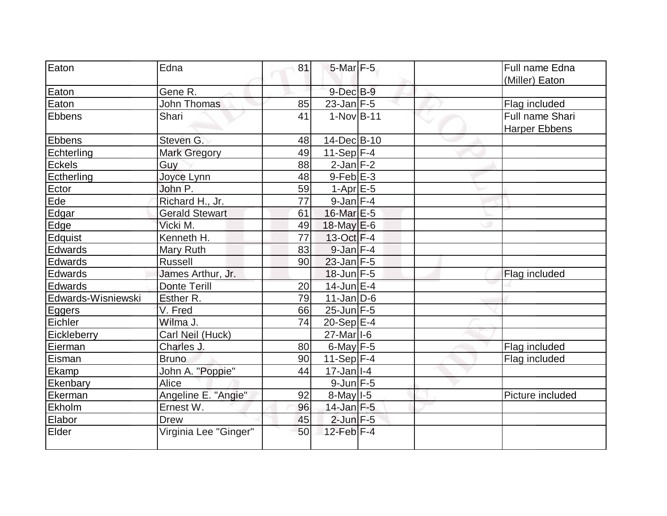| Eaton              | Edna                  | 81 | $5$ -Mar $F - 5$                       |  | Full name Edna       |
|--------------------|-----------------------|----|----------------------------------------|--|----------------------|
|                    |                       |    |                                        |  | (Miller) Eaton       |
| Eaton              | Gene R.               |    | $9$ -Dec $B$ -9                        |  |                      |
| Eaton              | <b>John Thomas</b>    | 85 | $23$ -Jan $ F-5 $                      |  | Flag included        |
| Ebbens             | Shari                 | 41 | $1-Nov$ B-11                           |  | Full name Shari      |
|                    |                       |    |                                        |  | <b>Harper Ebbens</b> |
| <b>Ebbens</b>      | Steven G.             | 48 | 14-Dec B-10                            |  |                      |
| Echterling         | <b>Mark Gregory</b>   | 49 | $11-Sep$ F-4                           |  |                      |
| <b>Eckels</b>      | Guy                   | 88 | $2$ -Jan $F-2$                         |  |                      |
| Ectherling         | Joyce Lynn            | 48 | $9$ -Feb $E-3$                         |  |                      |
| Ector              | John P.               | 59 | $1-Apr$ $E-5$                          |  |                      |
| Ede                | Richard H., Jr.       | 77 | $9$ -Jan $F-4$                         |  |                      |
| Edgar              | <b>Gerald Stewart</b> | 61 | 16-Mar E-5                             |  |                      |
| Edge               | Vicki M.              | 49 | 18-May $E-6$                           |  |                      |
| Edquist            | Kenneth H.            | 77 | 13-Oct F-4                             |  |                      |
| Edwards            | Mary Ruth             | 83 | $9$ -Jan $F-4$                         |  |                      |
| Edwards            | <b>Russell</b>        | 90 | $23$ -Jan F-5                          |  |                      |
| Edwards            | James Arthur, Jr.     |    | $18$ -Jun $F-5$                        |  | Flag included        |
| Edwards            | <b>Donte Terill</b>   | 20 | 14-Jun E-4                             |  |                      |
| Edwards-Wisniewski | Esther R.             | 79 | $11$ -Jan $D-6$                        |  |                      |
| Eggers             | V. Fred               | 66 | $25$ -Jun $F-5$                        |  |                      |
| Eichler            | Wilma J.              | 74 | $20-Sep$ $E-4$                         |  |                      |
| Eickleberry        | Carl Neil (Huck)      |    | $27$ -Mar <sub><math> I-6</math></sub> |  |                      |
| Eierman            | Charles J.            | 80 | 6-May $F-5$                            |  | Flag included        |
| Eisman             | <b>Bruno</b>          | 90 | 11-Sep $ F-4$                          |  | Flag included        |
| Ekamp              | John A. "Poppie"      | 44 | $17 - Jan$ <sup>1-4</sup>              |  |                      |
| Ekenbary           | Alice                 |    | $9$ -Jun $F - 5$                       |  |                      |
| Ekerman            | Angeline E. "Angie"   | 92 | $8$ -May $1-5$                         |  | Picture included     |
| Ekholm             | Ernest W.             | 96 | 14-Jan F-5                             |  |                      |
| Elabor             | <b>Drew</b>           | 45 | $2$ -Jun $F - 5$                       |  |                      |
| Elder              | Virginia Lee "Ginger" | 50 | $12$ -Feb $ F-4$                       |  |                      |
|                    |                       |    |                                        |  |                      |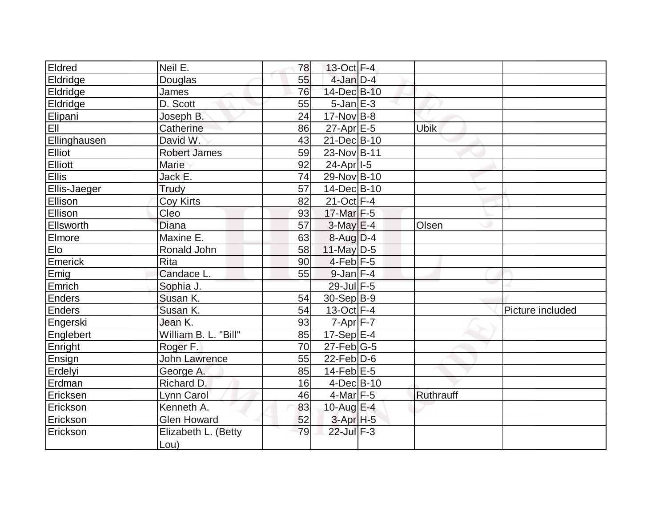| Eldred       | Neil E.              | 78 | 13-Oct F-4              |             |                  |
|--------------|----------------------|----|-------------------------|-------------|------------------|
| Eldridge     | Douglas              | 55 | $4$ -Jan $D-4$          |             |                  |
| Eldridge     | James                | 76 | 14-Dec B-10             |             |                  |
| Eldridge     | D. Scott             | 55 | $5$ -Jan $E-3$          |             |                  |
| Elipani      | Joseph B.            | 24 | $17$ -Nov B-8           |             |                  |
| EII          | Catherine            | 86 | $27$ -Apr $E$ -5        | <b>Ubik</b> |                  |
| Ellinghausen | David W.             | 43 | 21-Dec B-10             |             |                  |
| Elliot       | <b>Robert James</b>  | 59 | 23-Nov B-11             |             |                  |
| Elliott      | <b>Marie</b>         | 92 | 24-Apr <sub>1-5</sub>   |             |                  |
| Ellis        | Jack E.              | 74 | 29-Nov B-10             |             |                  |
| Ellis-Jaeger | Trudy                | 57 | 14-Dec B-10             |             |                  |
| Ellison      | Coy Kirts            | 82 | $21-Oct$ F-4            |             |                  |
| Ellison      | Cleo                 | 93 | 17-Mar F-5              |             |                  |
| Ellsworth    | <b>Diana</b>         | 57 | $3-May$ $E-4$           | Olsen       |                  |
| Elmore       | Maxine E.            | 63 | $8-Auq$ D-4             |             |                  |
| Elo          | Ronald John          | 58 | 11-May D-5              |             |                  |
| Emerick      | <b>Rita</b>          | 90 | $4-Feb$ $F-5$           |             |                  |
| Emig         | Candace L.           | 55 | $9$ -Jan $F-4$          |             |                  |
| Emrich       | Sophia J.            |    | 29-Jul F-5              |             |                  |
| Enders       | Susan K.             | 54 | $30-Sep B-9$            |             |                  |
| Enders       | Susan K.             | 54 | $13-Oct$ F-4            |             | Picture included |
| Engerski     | Jean K.              | 93 | $7 - Apr$ $F - 7$       |             |                  |
| Englebert    | William B. L. "Bill" | 85 | $17-Sep$ <sup>E-4</sup> |             |                  |
| Enright      | Roger F.             | 70 | $27$ -Feb $ G-5$        |             |                  |
| Ensign       | <b>John Lawrence</b> | 55 | $22$ -Feb $D-6$         |             |                  |
| Erdelyi      | George A.            | 85 | 14-Feb $E-5$            |             |                  |
| Erdman       | Richard D.           | 16 | $4$ -Dec $B$ -10        |             |                  |
| Ericksen     | Lynn Carol           | 46 | $4$ -Mar F-5            | Ruthrauff   |                  |
| Erickson     | Kenneth A.           | 83 | 10-Aug $E-4$            |             |                  |
| Erickson     | <b>Glen Howard</b>   | 52 | $3-Apr$ H-5             |             |                  |
| Erickson     | Elizabeth L. (Betty  | 79 | 22-Jul F-3              |             |                  |
|              | Lou)                 |    |                         |             |                  |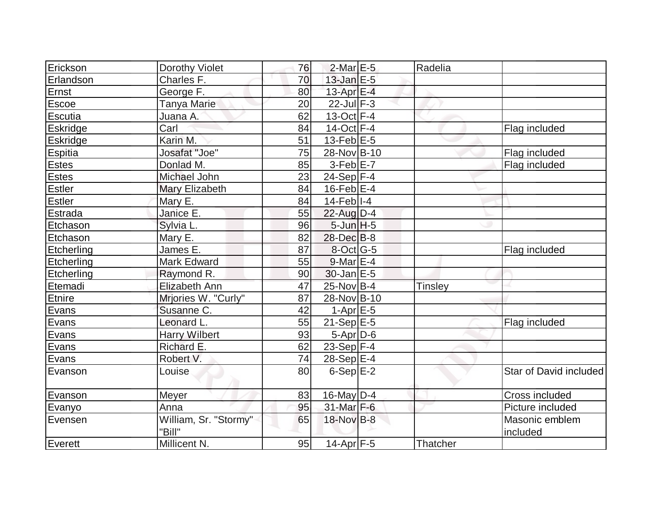| Erickson        | Dorothy Violet                  | 76 | $2$ -Mar $E-5$        | Radelia        |                            |
|-----------------|---------------------------------|----|-----------------------|----------------|----------------------------|
| Erlandson       | Charles F.                      | 70 | $13$ -Jan $E-5$       |                |                            |
| Ernst           | George F.                       | 80 | 13-Apr $E-4$          |                |                            |
| <b>Escoe</b>    | Tanya Marie                     | 20 | $22$ -Jul $F-3$       |                |                            |
| Escutia         | Juana A.                        | 62 | $13-Oct$ F-4          |                |                            |
| Eskridge        | Carl                            | 84 | $14$ -Oct F-4         |                | Flag included              |
| <b>Eskridge</b> | Karin M.                        | 51 | $13$ -Feb $E-5$       |                |                            |
| Espitia         | Josafat "Joe"                   | 75 | 28-Nov B-10           |                | Flag included              |
| <b>Estes</b>    | Donlad M.                       | 85 | $3-Feb$ $E-7$         |                | Flag included              |
| Estes           | Michael John                    | 23 | $24-Sep$ F-4          |                |                            |
| Estler          | Mary Elizabeth                  | 84 | $16$ -Feb $E-4$       |                |                            |
| Estler          | Mary E.                         | 84 | $14$ -Feb $ I-4$      |                |                            |
| Estrada         | Janice E.                       | 55 | $22$ -Aug $D-4$       |                |                            |
| Etchason        | Sylvia L.                       | 96 | $5$ -Jun $H$ -5       |                |                            |
| Etchason        | Mary E.                         | 82 | $28$ -Dec $B$ -8      |                |                            |
| Etcherling      | James E.                        | 87 | $8$ -Oct $ G-5 $      |                | Flag included              |
| Etcherling      | Mark Edward                     | 55 | $9$ -Mar $E-4$        |                |                            |
| Etcherling      | Raymond R.                      | 90 | $30$ -Jan $E-5$       |                |                            |
| Etemadi         | Elizabeth Ann                   | 47 | 25-Nov B-4            | <b>Tinsley</b> |                            |
| Etnire          | Mrjories W. "Curly"             | 87 | 28-Nov B-10           |                |                            |
| Evans           | Susanne C.                      | 42 | $1-Apr \, E-5$        |                |                            |
| Evans           | Leonard L.                      | 55 | $21-Sep$ $E-5$        |                | Flag included              |
| Evans           | <b>Harry Wilbert</b>            | 93 | $5-Apr$ D-6           |                |                            |
| Evans           | Richard E.                      | 62 | $23-Sep$ F-4          |                |                            |
| Evans           | Robert V.                       | 74 | $28-Sep$ $E-4$        |                |                            |
| Evanson         | Louise                          | 80 | $6-Sep$ $E-2$         |                | Star of David included     |
| Evanson         | <b>Meyer</b>                    | 83 | 16-May D-4            |                | Cross included             |
| Evanyo          | Anna                            | 95 | $31$ -Mar F-6         |                | Picture included           |
| Evensen         | William, Sr. "Stormy"<br>"Bill" | 65 | 18-Nov B-8            |                | Masonic emblem<br>included |
| Everett         | Millicent N.                    | 95 | 14-Apr <sub>F-5</sub> | Thatcher       |                            |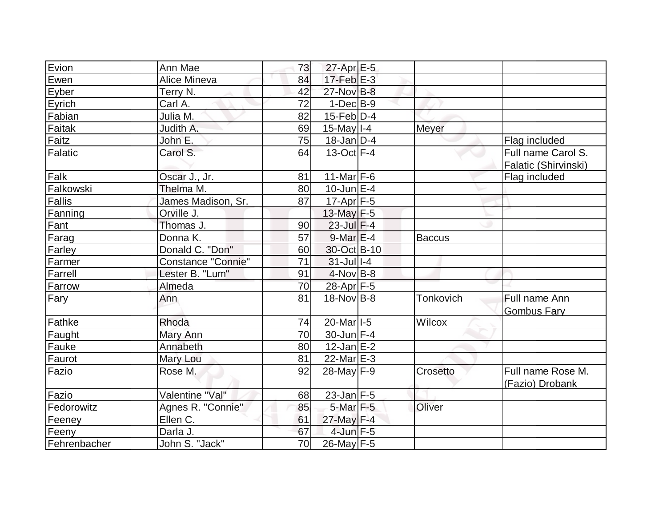| Evion          | Ann Mae                   | 73 | $27$ -Apr $E$ -5  |               |                      |
|----------------|---------------------------|----|-------------------|---------------|----------------------|
| Ewen           | Alice Mineva              | 84 | $17$ -Feb $E-3$   |               |                      |
| Eyber          | Terry N.                  | 42 | 27-Nov B-8        |               |                      |
| Eyrich         | Carl A.                   | 72 | $1-Dec$ $B-9$     |               |                      |
| Fabian         | Julia M.                  | 82 | $15$ -Feb $ D-4$  |               |                      |
| Faitak         | Judith A.                 | 69 | $15$ -May $I - 4$ | Meyer         |                      |
| Faitz          | John E.                   | 75 | $18$ -Jan $D-4$   |               | Flag included        |
| <b>Falatic</b> | Carol S.                  | 64 | $13-Oct$ F-4      |               | Full name Carol S.   |
|                |                           |    |                   |               | Falatic (Shirvinski) |
| Falk           | Oscar J., Jr.             | 81 | 11-Mar $F-6$      |               | Flag included        |
| Falkowski      | Thelma M.                 | 80 | $10$ -Jun $E-4$   |               |                      |
| <b>Fallis</b>  | James Madison, Sr.        | 87 | $17$ -Apr $ F-5 $ |               |                      |
| Fanning        | Orville J.                |    | 13-May F-5        |               |                      |
| Fant           | Thomas J.                 | 90 | $23$ -Jul $F-4$   |               |                      |
| Farag          | Donna K.                  | 57 | $9$ -Mar $E-4$    | <b>Baccus</b> |                      |
| Farley         | Donald C. "Don"           | 60 | 30-Oct B-10       |               |                      |
| Farmer         | <b>Constance "Connie"</b> | 71 | $31$ -Jul I-4     |               |                      |
| Farrell        | Lester B. "Lum"           | 91 | $4$ -Nov B-8      |               |                      |
| Farrow         | Almeda                    | 70 | 28-Apr F-5        |               |                      |
| Fary           | Ann                       | 81 | $18-NovIB-8$      | Tonkovich     | Full name Ann        |
|                |                           |    |                   |               | <b>Gombus Fary</b>   |
| Fathke         | Rhoda                     | 74 | 20-Marl-5         | Wilcox        |                      |
| Faught         | Mary Ann                  | 70 | $30$ -Jun $F-4$   |               |                      |
| Fauke          | Annabeth                  | 80 | $12$ -Jan $E-2$   |               |                      |
| Faurot         | Mary Lou                  | 81 | $22$ -Mar $E-3$   |               |                      |
| Fazio          | Rose M.                   | 92 | 28-May F-9        | Crosetto      | Full name Rose M.    |
|                |                           |    |                   |               | (Fazio) Drobank      |
| Fazio          | Valentine "Val"           | 68 | 23-Jan F-5        |               |                      |
| Fedorowitz     | Agnes R. "Connie"         | 85 | $5$ -Mar $F - 5$  | Oliver        |                      |
| Feeney         | Ellen C.                  | 61 | $27$ -May F-4     |               |                      |
| Feeny          | Darla J.                  | 67 | $4$ -Jun F-5      |               |                      |
| Fehrenbacher   | John S. "Jack"            | 70 | $26$ -May F-5     |               |                      |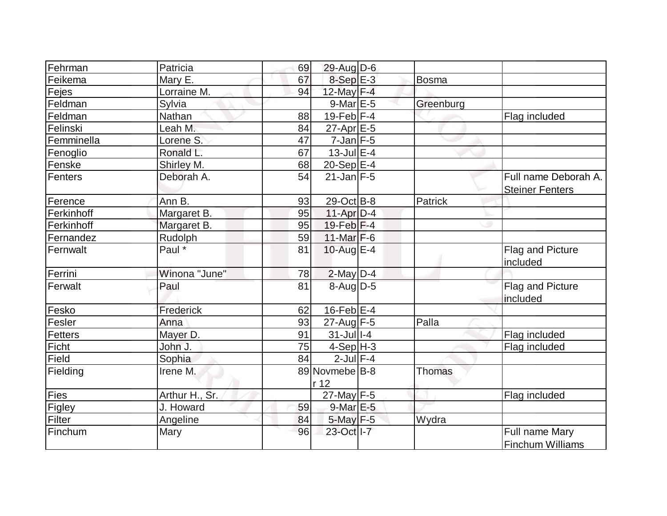| Fehrman        | Patricia       | 69 | 29-Aug D-6             |              |                                                |
|----------------|----------------|----|------------------------|--------------|------------------------------------------------|
| Feikema        | Mary E.        | 67 | $8-SepE-3$             | <b>Bosma</b> |                                                |
| Fejes          | Lorraine M.    | 94 | 12-May F-4             |              |                                                |
| Feldman        | Sylvia         |    | $9$ -Mar $E-5$         | Greenburg    |                                                |
| Feldman        | Nathan         | 88 | $19$ -Feb $ F-4 $      |              | Flag included                                  |
| Felinski       | Leah M.        | 84 | $27$ -Apr $E$ -5       |              |                                                |
| Femminella     | Lorene S.      | 47 | $7$ -Jan $F-5$         |              |                                                |
| Fenoglio       | Ronald L.      | 67 | $13$ -Jul $E-4$        |              |                                                |
| Fenske         | Shirley M.     | 68 | $20-Sep$ E-4           |              |                                                |
| <b>Fenters</b> | Deborah A.     | 54 | $21$ -Jan F-5          |              | Full name Deborah A.<br><b>Steiner Fenters</b> |
| Ference        | Ann B.         | 93 | 29-Oct B-8             | Patrick      |                                                |
| Ferkinhoff     | Margaret B.    | 95 | 11-Apr D-4             |              |                                                |
| Ferkinhoff     | Margaret B.    | 95 | $19$ -Feb $ F-4 $      |              |                                                |
| Fernandez      | Rudolph        | 59 | 11-Mar $F-6$           |              |                                                |
| Fernwalt       | Paul *         | 81 | 10-Aug $E-4$           |              | Flag and Picture<br>included                   |
| Ferrini        | Winona "June"  | 78 | $2$ -May $D-4$         |              |                                                |
| Ferwalt        | Paul           | 81 | 8-Aug D-5              |              | Flag and Picture<br>included                   |
| Fesko          | Frederick      | 62 | $16$ -Feb $E$ -4       |              |                                                |
| Fesler         | Anna           | 93 | $27$ -Aug F-5          | Palla        |                                                |
| <b>Fetters</b> | Mayer D.       | 91 | $31 -$ Jul $1 - 4$     |              | Flag included                                  |
| Ficht          | John J.        | 75 | $4-Sep H-3$            |              | Flag included                                  |
| Field          | Sophia         | 84 | $2$ -Jul $F-4$         |              |                                                |
| Fielding       | Irene M.       |    | 89 Novmebe B-8<br>r 12 | Thomas       |                                                |
| Fies           | Arthur H., Sr. |    | $27$ -May F-5          |              | Flag included                                  |
| Figley         | J. Howard      | 59 | 9-Mar E-5              |              |                                                |
| Filter         | Angeline       | 84 | $5$ -May $F-5$         | Wydra        |                                                |
| Finchum        | Mary           | 96 | 23-Oct I-7             |              | Full name Mary<br><b>Finchum Williams</b>      |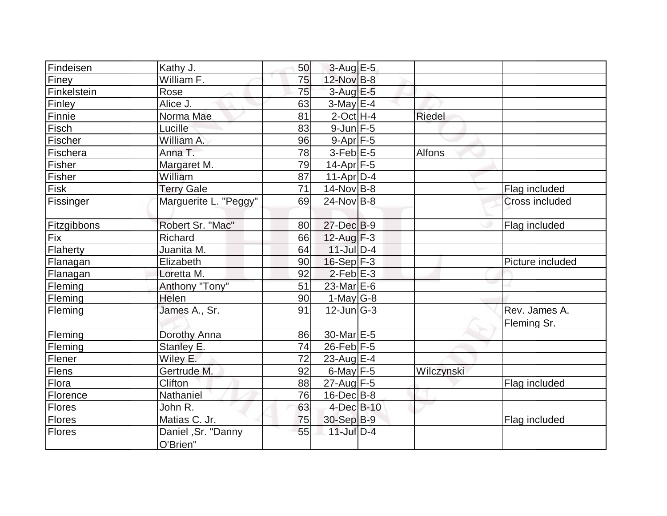| Findeisen     | Kathy J.                       | 50 | $3-Aug$ $E-5$     |               |                              |
|---------------|--------------------------------|----|-------------------|---------------|------------------------------|
| Finey         | William F.                     | 75 | 12-Nov B-8        |               |                              |
| Finkelstein   | Rose                           | 75 | $3$ -Aug $E$ -5   |               |                              |
| Finley        | Alice J.                       | 63 | $3$ -May $E-4$    |               |                              |
| Finnie        | Norma Mae                      | 81 | $2$ -Oct $H-4$    | <b>Riedel</b> |                              |
| Fisch         | Lucille                        | 83 | $9$ -Jun $F$ -5   |               |                              |
| Fischer       | William A.                     | 96 | $9-Apr$ F-5       |               |                              |
| Fischera      | Anna T.                        | 78 | $3-Feb$ $E-5$     | Alfons        |                              |
| Fisher        | Margaret M.                    | 79 | 14-Apr F-5        |               |                              |
| Fisher        | William                        | 87 | $11-Apr D-4$      |               |                              |
| Fisk          | <b>Terry Gale</b>              | 71 | $14$ -Nov B-8     |               | Flag included                |
| Fissinger     | Marguerite L. "Peggy"          | 69 | $24$ -Nov B-8     |               | <b>Cross included</b>        |
| Fitzgibbons   | Robert Sr. "Mac"               | 80 | $27$ -Dec $B-9$   |               | Flag included                |
| Fix           | <b>Richard</b>                 | 66 | $12$ -Aug $F-3$   |               |                              |
| Flaherty      | Juanita M.                     | 64 | $11$ -Jul $D-4$   |               |                              |
| Flanagan      | Elizabeth                      | 90 | $16-Sep$ F-3      |               | Picture included             |
| Flanagan      | Loretta M.                     | 92 | $2$ -Feb $E-3$    |               |                              |
| Fleming       | Anthony "Tony"                 | 51 | 23-Mar $E-6$      |               |                              |
| Fleming       | Helen                          | 90 | 1-May $G-8$       |               |                              |
| Fleming       | James A., Sr.                  | 91 | $12$ -Jun $ G-3 $ |               | Rev. James A.<br>Fleming Sr. |
| Fleming       | Dorothy Anna                   | 86 | 30-Mar E-5        |               |                              |
| Fleming       | Stanley E.                     | 74 | $26$ -Feb F-5     |               |                              |
| Flener        | Wiley E.                       | 72 | 23-Aug $E-4$      |               |                              |
| Flens         | Gertrude M.                    | 92 | $6$ -May $F-5$    | Wilczynski    |                              |
| Flora         | Clifton                        | 88 | $27$ -Aug F-5     |               | Flag included                |
| Florence      | Nathaniel                      | 76 | $16$ -Dec $ B-8$  |               |                              |
| <b>Flores</b> | John R.                        | 63 | 4-Dec B-10        |               |                              |
| Flores        | Matias C. Jr.                  | 75 | 30-Sep B-9        |               | Flag included                |
| Flores        | Daniel, Sr. "Danny<br>O'Brien" | 55 | $11$ -Jul $D-4$   |               |                              |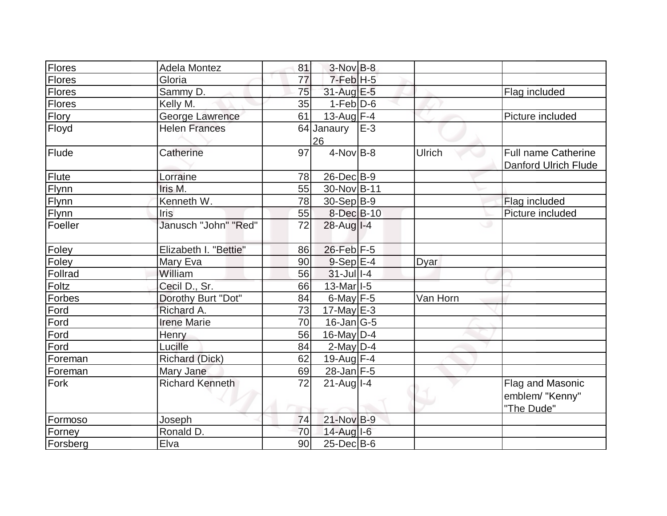| Flores        | <b>Adela Montez</b>    | 81 | $3-Nov$ B-8       |       |          |                             |
|---------------|------------------------|----|-------------------|-------|----------|-----------------------------|
| Flores        | Gloria                 | 77 | $7$ -Feb $ H$ -5  |       |          |                             |
| <b>Flores</b> | Sammy D.               | 75 | 31-Aug E-5        |       |          | Flag included               |
| Flores        | Kelly M.               | 35 | $1-Feb D-6$       |       |          |                             |
| <b>Flory</b>  | <b>George Lawrence</b> | 61 | $13$ -Aug F-4     |       |          | Picture included            |
| Floyd         | <b>Helen Frances</b>   |    | 64 Janaury        | $E-3$ |          |                             |
|               |                        |    | 26                |       |          |                             |
| Flude         | Catherine              | 97 | $4-NovB-8$        |       | Ulrich   | <b>Full name Catherine</b>  |
|               |                        |    |                   |       |          | <b>Danford Ulrich Flude</b> |
| Flute         | Lorraine               | 78 | $26$ -Dec $B-9$   |       |          |                             |
| Flynn         | Iris M.                | 55 | 30-Nov B-11       |       |          |                             |
| Flynn         | Kenneth W.             | 78 | 30-Sep B-9        |       |          | Flag included               |
| Flynn         | <b>Iris</b>            | 55 | 8-Dec B-10        |       |          | Picture included            |
| Foeller       | Janusch "John" "Red"   | 72 | $28$ -Aug $I - 4$ |       |          |                             |
| Foley         | Elizabeth I. "Bettie"  | 86 | 26-Feb F-5        |       |          |                             |
| Foley         | Mary Eva               | 90 | $9-Sep$ E-4       |       | Dyar     |                             |
| Follrad       | William                | 56 | $31$ -Jul I-4     |       |          |                             |
| Foltz         | Cecil D., Sr.          | 66 | 13-Mar 1-5        |       |          |                             |
| Forbes        | Dorothy Burt "Dot"     | 84 | 6-May $F-5$       |       | Van Horn |                             |
| Ford          | Richard A.             | 73 | $17$ -May E-3     |       |          |                             |
| Ford          | <b>Irene Marie</b>     | 70 | $16$ -Jan $ G-5 $ |       |          |                             |
| Ford          | Henry                  | 56 | 16-May $D-4$      |       |          |                             |
| Ford          | Lucille                | 84 | $2$ -May $D-4$    |       |          |                             |
| Foreman       | <b>Richard (Dick)</b>  | 62 | 19-Aug $F-4$      |       |          |                             |
| Foreman       | Mary Jane              | 69 | $28$ -Jan F-5     |       |          |                             |
| Fork          | <b>Richard Kenneth</b> | 72 | $21$ -Aug I-4     |       |          | Flag and Masonic            |
|               |                        |    |                   |       |          | emblem/ "Kenny"             |
|               |                        |    |                   |       |          | "The Dude"                  |
| Formoso       | Joseph                 | 74 | 21-Nov B-9        |       |          |                             |
| Forney        | Ronald D.              | 70 | 14-Aug I-6        |       |          |                             |
| Forsberg      | Elva                   | 90 | $25$ -Dec $B$ -6  |       |          |                             |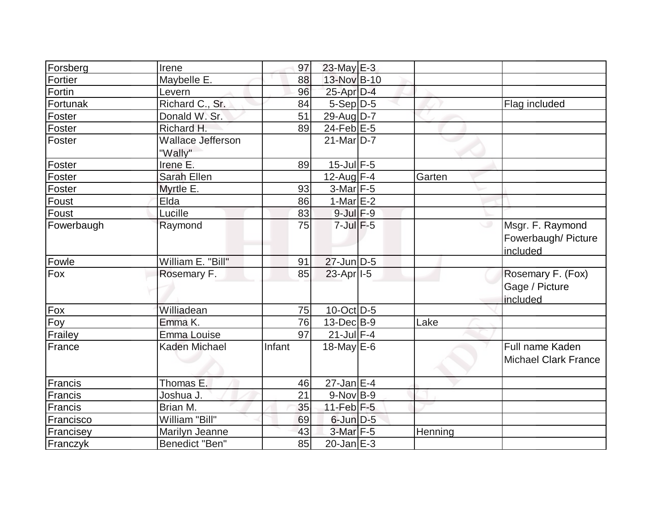| Forsberg   | Irene                               | 97     | $23$ -May $E-3$   |         |                                                     |
|------------|-------------------------------------|--------|-------------------|---------|-----------------------------------------------------|
| Fortier    | Maybelle E.                         | 88     | 13-Nov B-10       |         |                                                     |
| Fortin     | Levern                              | 96     | 25-Apr D-4        |         |                                                     |
| Fortunak   | Richard C., Sr.                     | 84     | $5-Sep D-5$       |         | Flag included                                       |
| Foster     | Donald W. Sr.                       | 51     | 29-Aug $D-7$      |         |                                                     |
| Foster     | Richard H.                          | 89     | 24-Feb $E-5$      |         |                                                     |
| Foster     | <b>Wallace Jefferson</b><br>"Wally" |        | $21$ -Mar $D-7$   |         |                                                     |
| Foster     | Irene E.                            | 89     | $15$ -Jul $F-5$   |         |                                                     |
| Foster     | Sarah Ellen                         |        | $12$ -Aug F-4     | Garten  |                                                     |
| Foster     | Myrtle E.                           | 93     | $3-Mar$ F-5       |         |                                                     |
| Foust      | Elda                                | 86     | $1-Mar$ $E-2$     |         |                                                     |
| Foust      | Lucille                             | 83     | $9$ -Jul $F-9$    |         |                                                     |
| Fowerbaugh | Raymond                             | 75     | $7$ -Jul $F$ -5   |         | Msgr. F. Raymond<br>Fowerbaugh/ Picture<br>included |
| Fowle      | William E. "Bill"                   | 91     | $27$ -Jun $D-5$   |         |                                                     |
| Fox        | Rosemary F.                         | 85     | $23$ -Apr $ I-5 $ |         | Rosemary F. (Fox)<br>Gage / Picture<br>included     |
| Fox        | Williadean                          | 75     | $10$ -Oct $ D-5 $ |         |                                                     |
| $F_{OY}$   | Emma K.                             | 76     | $13$ -Dec $B-9$   | Lake    |                                                     |
| Frailey    | Emma Louise                         | 97     | $21$ -Jul $F-4$   |         |                                                     |
| France     | <b>Kaden Michael</b>                | Infant | 18-May $E-6$      |         | Full name Kaden<br><b>Michael Clark France</b>      |
| Francis    | Thomas E.                           | 46     | $27$ -Jan $E-4$   |         |                                                     |
| Francis    | Joshua J.                           | 21     | $9-Nov B-9$       |         |                                                     |
| Francis    | Brian M.                            | 35     | $11-Feb$ $F-5$    |         |                                                     |
| Francisco  | William "Bill"                      | 69     | $6$ -Jun $D-5$    |         |                                                     |
| Francisey  | Marilyn Jeanne                      | 43     | $3-Mar$ F-5       | Henning |                                                     |
| Franczyk   | Benedict "Ben"                      | 85     | $20$ -Jan $E-3$   |         |                                                     |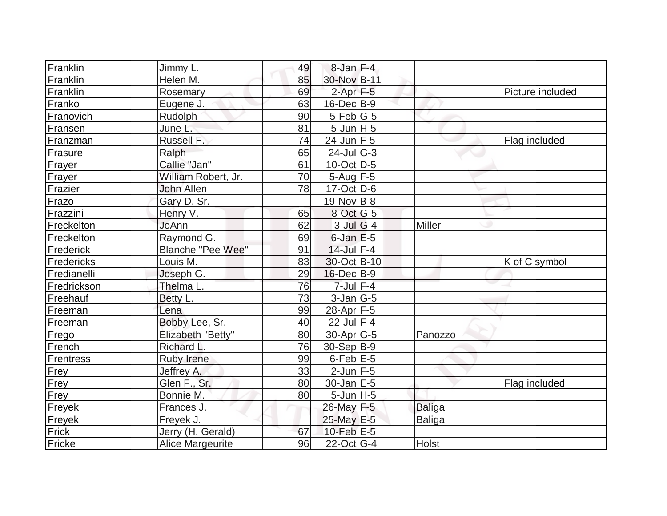| Franklin         | Jimmy L.                 | 49 | $8$ -Jan $F-4$            |               |                  |
|------------------|--------------------------|----|---------------------------|---------------|------------------|
| Franklin         | Helen M.                 | 85 | 30-Nov B-11               |               |                  |
| Franklin         | Rosemary                 | 69 | $2$ -Apr $F-5$            |               | Picture included |
| Franko           | Eugene J.                | 63 | $16$ -Dec $B$ -9          |               |                  |
| Franovich        | Rudolph                  | 90 | $5$ -Feb $ G-5 $          |               |                  |
| Fransen          | June L.                  | 81 | $5$ -Jun $H$ -5           |               |                  |
| Franzman         | Russell F.               | 74 | $24$ -Jun F-5             |               | Flag included    |
| Frasure          | Ralph                    | 65 | $24$ -Jul <sub>G</sub> -3 |               |                  |
| Frayer           | Callie "Jan"             | 61 | $10$ -Oct $ D-5 $         |               |                  |
| Frayer           | William Robert, Jr.      | 70 | $5 - Aug$ F-5             |               |                  |
| Frazier          | John Allen               | 78 | $17-Oct$ D-6              |               |                  |
| Frazo            | Gary D. Sr.              |    | $19-Nov$ B-8              |               |                  |
| Frazzini         | Henry V.                 | 65 | $8$ -Oct G-5              |               |                  |
| Freckelton       | JoAnn                    | 62 | $3$ -Jul $ G-4 $          | <b>Miller</b> |                  |
| Freckelton       | Raymond G.               | 69 | $6$ -Jan $E$ -5           |               |                  |
| Frederick        | <b>Blanche "Pee Wee"</b> | 91 | $14$ -Jul $F-4$           |               |                  |
| Fredericks       | Louis M.                 | 83 | 30-Oct B-10               |               | K of C symbol    |
| Fredianelli      | Joseph G.                | 29 | $16$ -Dec $B-9$           |               |                  |
| Fredrickson      | Thelma L.                | 76 | $7$ -Jul $F-4$            |               |                  |
| Freehauf         | Betty L.                 | 73 | $3-Jan G-5$               |               |                  |
| Freeman          | Lena                     | 99 | 28-Apr F-5                |               |                  |
| Freeman          | Bobby Lee, Sr.           | 40 | $22$ -Jul F-4             |               |                  |
| Frego            | Elizabeth "Betty"        | 80 | $30$ -Apr $G-5$           | Panozzo       |                  |
| French           | Richard L.               | 76 | 30-Sep B-9                |               |                  |
| <b>Frentress</b> | <b>Ruby Irene</b>        | 99 | $6$ -Feb $E$ -5           |               |                  |
| Frey             | Jeffrey A.               | 33 | $2$ -Jun $F - 5$          |               |                  |
| Frey             | Glen F., Sr.             | 80 | $30$ -Jan $ E-5 $         |               | Flag included    |
| Frey             | Bonnie M.                | 80 | $5$ -Jun $H$ -5           |               |                  |
| Freyek           | Frances J.               |    | 26-May F-5                | <b>Baliga</b> |                  |
| Freyek           | Freyek J.                |    | $25$ -May $E$ -5          | Baliga        |                  |
| Frick            | Jerry (H. Gerald)        | 67 | $10$ -Feb $E-5$           |               |                  |
| Fricke           | Alice Margeurite         | 96 | $22$ -Oct $ G-4 $         | <b>Holst</b>  |                  |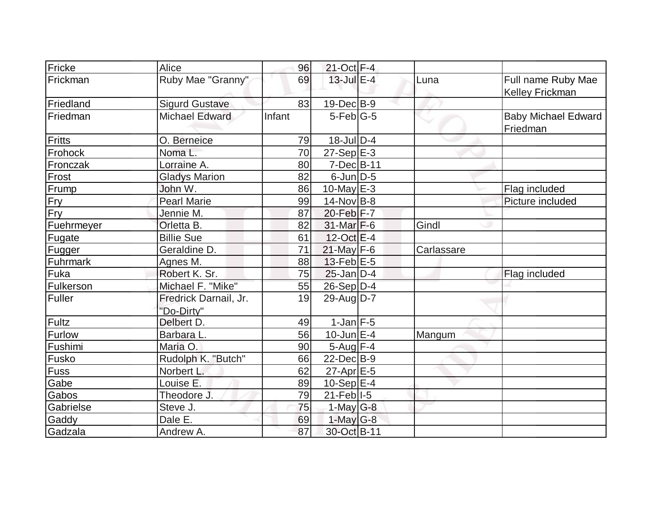| Fricke        | Alice                               | 96     | $21$ -Oct F-4      |            |                                              |
|---------------|-------------------------------------|--------|--------------------|------------|----------------------------------------------|
| Frickman      | Ruby Mae "Granny"                   | 69     | $13$ -Jul $E-4$    | Luna       | Full name Ruby Mae<br><b>Kelley Frickman</b> |
| Friedland     | <b>Sigurd Gustave</b>               | 83     | 19-Dec B-9         |            |                                              |
| Friedman      | <b>Michael Edward</b>               | Infant | $5-Feb G-5$        |            | <b>Baby Michael Edward</b><br>Friedman       |
| Fritts        | O. Berneice                         | 79     | 18-Jul D-4         |            |                                              |
| Frohock       | Noma L.                             | 70     | $27-Sep$ $E-3$     |            |                                              |
| Fronczak      | Lorraine A.                         | 80     | $7$ -Dec $B$ -11   |            |                                              |
| Frost         | <b>Gladys Marion</b>                | 82     | $6$ -Jun $D-5$     |            |                                              |
| Frump         | John W.                             | 86     | 10-May $E-3$       |            | Flag included                                |
| <b>Fry</b>    | <b>Pearl Marie</b>                  | 99     | $14$ -Nov B-8      |            | Picture included                             |
| Fry           | Jennie M.                           | 87     | $20$ -Feb $ F - 7$ |            |                                              |
| Fuehrmeyer    | Orletta B.                          | 82     | $31$ -Mar $F-6$    | Gindl      |                                              |
| Fugate        | <b>Billie Sue</b>                   | 61     | $12$ -Oct $E-4$    |            |                                              |
| Fugger        | Geraldine D.                        | 71     | $21$ -May F-6      | Carlassare |                                              |
| Fuhrmark      | Agnes M.                            | 88     | $13$ -Feb $E$ -5   |            |                                              |
| Fuka          | Robert K. Sr.                       | 75     | $25$ -Jan D-4      |            | Flag included                                |
| Fulkerson     | Michael F. "Mike"                   | 55     | $26-Sep D-4$       |            |                                              |
| Fuller        | Fredrick Darnail, Jr.<br>"Do-Dirty" | 19     | 29-Aug $D-7$       |            |                                              |
| Fultz         | Delbert D.                          | 49     | $1$ -Jan $F-5$     |            |                                              |
| <b>Furlow</b> | Barbara L.                          | 56     | $10$ -Jun $E-4$    | Mangum     |                                              |
| Fushimi       | Maria O.                            | 90     | $5-Aug$ F-4        |            |                                              |
| Fusko         | Rudolph K. "Butch"                  | 66     | $22$ -Dec $B-9$    |            |                                              |
| <b>Fuss</b>   | Norbert L.                          | 62     | $27$ -Apr $E$ -5   |            |                                              |
| Gabe          | Louise E.                           | 89     | 10-Sep $E-4$       |            |                                              |
| Gabos         | Theodore J.                         | 79     | $21$ -Feb $I-5$    |            |                                              |
| Gabrielse     | Steve J.                            | 75     | $1$ -May G-8       |            |                                              |
| Gaddy         | Dale E.                             | 69     | $1$ -May G-8       |            |                                              |
| Gadzala       | Andrew A.                           | 87     | 30-Oct B-11        |            |                                              |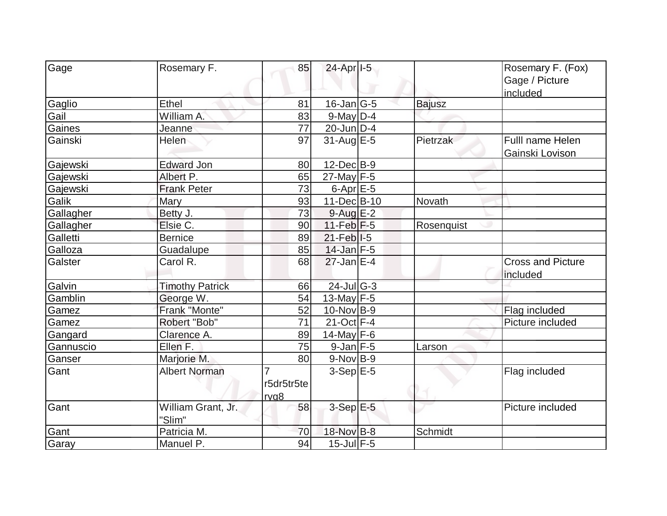| Gage      | Rosemary F.                  | 85                                   | 24-Apr <sub>1-5</sub>    |               | Rosemary F. (Fox)<br>Gage / Picture<br>included |
|-----------|------------------------------|--------------------------------------|--------------------------|---------------|-------------------------------------------------|
| Gaglio    | Ethel                        | 81                                   | $16$ -Jan $ G-5 $        | <b>Bajusz</b> |                                                 |
| Gail      | William A.                   | 83                                   | $9$ -May $D-4$           |               |                                                 |
| Gaines    | Jeanne                       | 77                                   | 20-Jun D-4               |               |                                                 |
| Gainski   | Helen                        | 97                                   | $31$ -Aug $E-5$          | Pietrzak      | Fulll name Helen<br>Gainski Lovison             |
| Gajewski  | <b>Edward Jon</b>            | 80                                   | $12$ -Dec $B-9$          |               |                                                 |
| Gajewski  | Albert P.                    | 65                                   | $27$ -May F-5            |               |                                                 |
| Gajewski  | <b>Frank Peter</b>           | 73                                   | $6$ -Apr $E$ -5          |               |                                                 |
| Galik     | Mary                         | 93                                   | 11-Dec B-10              | Novath        |                                                 |
| Gallagher | Betty J.                     | 73                                   | $9$ -Aug $E-2$           |               |                                                 |
| Gallagher | Elsie C.                     | 90                                   | $11-Feb$ F-5             | Rosenquist    |                                                 |
| Galletti  | <b>Bernice</b>               | 89                                   | $21$ -Feb I-5            |               |                                                 |
| Galloza   | Guadalupe                    | 85                                   | $14$ -Jan F-5            |               |                                                 |
| Galster   | Carol R.                     | 68                                   | $27$ -Jan E-4            |               | <b>Cross and Picture</b><br>included            |
| Galvin    | <b>Timothy Patrick</b>       | 66                                   | $24$ -Jul G-3            |               |                                                 |
| Gamblin   | George W.                    | 54                                   | $13$ -May F-5            |               |                                                 |
| Gamez     | Frank "Monte"                | 52                                   | $10$ -Nov B-9            |               | Flag included                                   |
| Gamez     | Robert "Bob"                 | 71                                   | 21-Oct F-4               |               | Picture included                                |
| Gangard   | Clarence A.                  | 89                                   | $14$ -May F-6            |               |                                                 |
| Gannuscio | Ellen F.                     | 75                                   | $9$ -Jan F-5             | Larson        |                                                 |
| Ganser    | Marjorie M.                  | 80                                   | $9-Nov B-9$              |               |                                                 |
| Gant      | <b>Albert Norman</b>         | $\overline{7}$<br>r5dr5tr5te<br>rvg8 | $3-Sep$ $E-5$            |               | Flag included                                   |
| Gant      | William Grant, Jr.<br>"Slim" | 58                                   | $3-Sep \, E-5$           |               | Picture included                                |
| Gant      | Patricia M.                  | 70                                   | 18-Nov B-8               | Schmidt       |                                                 |
| Garay     | Manuel P.                    | 94                                   | $\overline{15}$ -Jul F-5 |               |                                                 |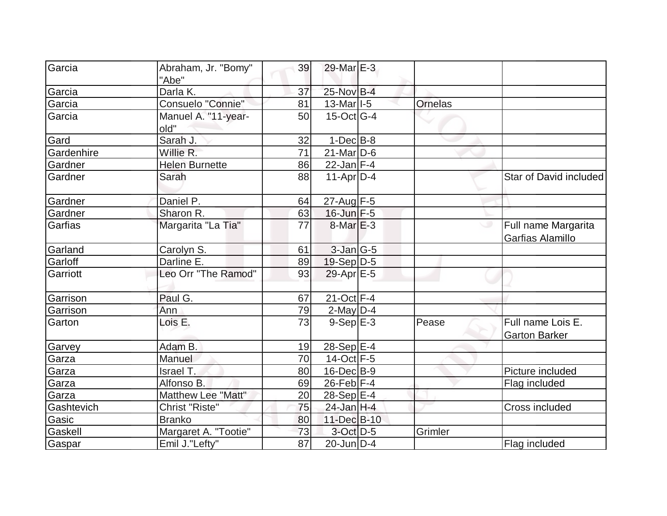| Garcia     | Abraham, Jr. "Bomy"<br>"Abe" | 39              | $29$ -Mar $E-3$          |                |                                           |
|------------|------------------------------|-----------------|--------------------------|----------------|-------------------------------------------|
| Garcia     | Darla K.                     | 37              | 25-Nov B-4               |                |                                           |
| Garcia     | Consuelo "Connie"            | 81              | $13$ -Mar <sub>1-5</sub> | <b>Ornelas</b> |                                           |
| Garcia     | Manuel A. "11-year-<br>old"  | 50              | $15$ -Oct $ G-4 $        |                |                                           |
| Gard       | Sarah J.                     | 32              | $1-Dec$ B-8              |                |                                           |
| Gardenhire | Willie R.                    | 71              | $21$ -Mar $ D-6 $        |                |                                           |
| Gardner    | <b>Helen Burnette</b>        | 86              | 22-Jan F-4               |                |                                           |
| Gardner    | Sarah                        | 88              | $11-Apr D-4$             |                | Star of David included                    |
| Gardner    | Daniel P.                    | 64              | 27-Aug F-5               |                |                                           |
| Gardner    | Sharon R.                    | 63              | $16$ -Jun $F - 5$        |                |                                           |
| Garfias    | Margarita "La Tia"           | 77              | $8$ -Mar $E-3$           |                | Full name Margarita<br>Garfias Alamillo   |
| Garland    | Carolyn S.                   | 61              | $3$ -Jan $ G-5 $         |                |                                           |
| Garloff    | Darline E.                   | 89              | $19-Sep D-5$             |                |                                           |
| Garriott   | Leo Orr "The Ramod"          | 93              | 29-Apr E-5               |                |                                           |
| Garrison   | Paul G.                      | 67              | $21-Oct$ F-4             |                |                                           |
| Garrison   | Ann                          | 79              | $2$ -May $D-4$           |                |                                           |
| Garton     | Lois E.                      | 73              | $9-Sep$ $E-3$            | Pease          | Full name Lois E.<br><b>Garton Barker</b> |
| Garvey     | Adam B.                      | 19              | $28-Sep$ $E-4$           |                |                                           |
| Garza      | Manuel                       | 70              | $14$ -Oct F-5            |                |                                           |
| Garza      | Israel T.                    | 80              | $16$ -Dec $B-9$          |                | Picture included                          |
| Garza      | Alfonso B.                   | 69              | $26$ -Feb $F-4$          |                | Flag included                             |
| Garza      | Matthew Lee "Matt"           | 20              | $28-Sep$ $E-4$           |                |                                           |
| Gashtevich | Christ "Riste"               | 75              | $24$ -Jan H-4            |                | Cross included                            |
| Gasic      | <b>Branko</b>                | 80              | 11-Dec B-10              |                |                                           |
| Gaskell    | Margaret A. "Tootie"         | 73              | $3$ -Oct $D-5$           | Grimler        |                                           |
| Gaspar     | Emil J."Lefty"               | $\overline{87}$ | $20$ -Jun $D-4$          |                | Flag included                             |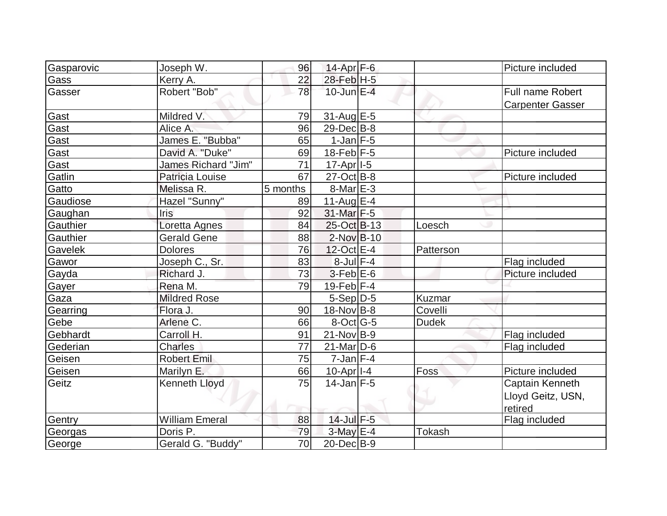| Gasparovic | Joseph W.             | 96       | 14-Apr F-6            |               | Picture included        |
|------------|-----------------------|----------|-----------------------|---------------|-------------------------|
| Gass       | Kerry A.              | 22       | 28-Feb H-5            |               |                         |
| Gasser     | Robert "Bob"          | 78       | $10$ -Jun $E-4$       |               | Full name Robert        |
|            |                       |          |                       |               | <b>Carpenter Gasser</b> |
| Gast       | Mildred V.            | 79       | 31-Aug E-5            |               |                         |
| Gast       | Alice A.              | 96       | 29-Dec B-8            |               |                         |
| Gast       | James E. "Bubba"      | 65       | $1-Jan$ $F-5$         |               |                         |
| Gast       | David A. "Duke"       | 69       | $18$ -Feb $F-5$       |               | Picture included        |
| Gast       | James Richard "Jim"   | 71       | 17-Apr <sub>1-5</sub> |               |                         |
| Gatlin     | Patricia Louise       | 67       | $27-Oct$ B-8          |               | Picture included        |
| Gatto      | Melissa R.            | 5 months | $8$ -Mar $E - 3$      |               |                         |
| Gaudiose   | Hazel "Sunny"         | 89       | 11-Aug $E-4$          |               |                         |
| Gaughan    | <b>Iris</b>           | 92       | 31-Mar F-5            |               |                         |
| Gauthier   | Loretta Agnes         | 84       | 25-Oct B-13           | Loesch        |                         |
| Gauthier   | <b>Gerald Gene</b>    | 88       | $2$ -Nov $B-10$       |               |                         |
| Gavelek    | <b>Dolores</b>        | 76       | 12-Oct E-4            | Patterson     |                         |
| Gawor      | Joseph C., Sr.        | 83       | $8$ -Jul $F-4$        |               | Flag included           |
| Gayda      | Richard J.            | 73       | $3$ -Feb $E$ -6       |               | Picture included        |
| Gayer      | Rena M.               | 79       | $19$ -Feb $ F-4$      |               |                         |
| Gaza       | <b>Mildred Rose</b>   |          | $5-Sep D-5$           | Kuzmar        |                         |
| Gearring   | Flora J.              | 90       | $18-Nov$ B-8          | Covelli       |                         |
| Gebe       | Arlene C.             | 66       | $8$ -Oct $ G-5 $      | <b>Dudek</b>  |                         |
| Gebhardt   | Carroll H.            | 91       | $21-Nov B-9$          |               | Flag included           |
| Gederian   | <b>Charles</b>        | 77       | $21$ -Mar $ D-6$      |               | Flag included           |
| Geisen     | <b>Robert Emil</b>    | 75       | $7$ -Jan $ F-4 $      |               |                         |
| Geisen     | Marilyn E.            | 66       | 10-Apr <sub>1-4</sub> | Foss          | Picture included        |
| Geitz      | <b>Kenneth Lloyd</b>  | 75       | $14$ -Jan $F-5$       |               | Captain Kenneth         |
|            |                       |          |                       |               | Lloyd Geitz, USN,       |
|            |                       |          |                       |               | retired                 |
| Gentry     | <b>William Emeral</b> | 88       | $14$ -Jul $F-5$       |               | Flag included           |
| Georgas    | Doris P.              | 79       | $3-May$ $E-4$         | <b>Tokash</b> |                         |
| George     | Gerald G. "Buddy"     | 70       | 20-Dec B-9            |               |                         |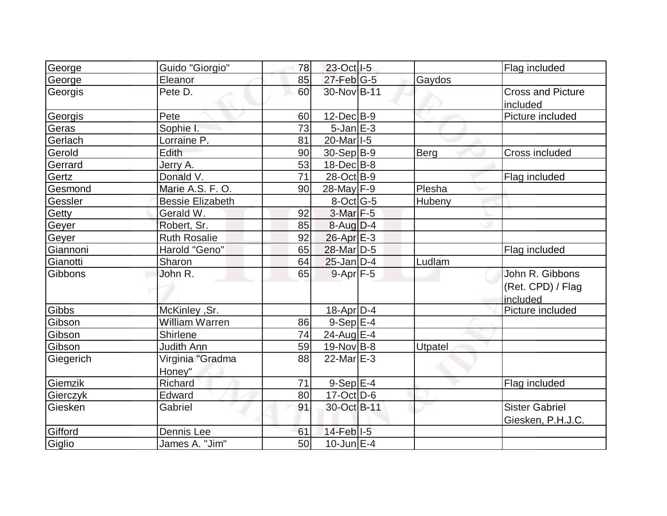| George    | Guido "Giorgio"         | 78 | 23-Oct   I-5                          |         | Flag included            |
|-----------|-------------------------|----|---------------------------------------|---------|--------------------------|
| George    | Eleanor                 | 85 | $27$ -Feb $ G-5 $                     | Gaydos  |                          |
| Georgis   | Pete D.                 | 60 | 30-Nov B-11                           |         | <b>Cross and Picture</b> |
|           |                         |    |                                       |         | included                 |
| Georgis   | Pete                    | 60 | $12$ -Dec $B-9$                       |         | Picture included         |
| Geras     | Sophie I.               | 73 | $5$ -Jan $E-3$                        |         |                          |
| Gerlach   | Lorraine P.             | 81 | 20-Mar <sub>1-5</sub>                 |         |                          |
| Gerold    | Edith                   | 90 | $30-Sep B-9$                          | Berg    | Cross included           |
| Gerrard   | Jerry A.                | 53 | $18$ -Dec $B$ -8                      |         |                          |
| Gertz     | Donald V.               | 71 | 28-Oct B-9                            |         | Flag included            |
| Gesmond   | Marie A.S. F. O.        | 90 | $28$ -May F-9                         | Plesha  |                          |
| Gessler   | <b>Bessie Elizabeth</b> |    | 8-Oct G-5                             | Hubeny  |                          |
| Getty     | Gerald W.               | 92 | $3$ -Mar $F-5$                        |         |                          |
| Geyer     | Robert, Sr.             | 85 | $8-Auq$ D-4                           |         |                          |
| Geyer     | <b>Ruth Rosalie</b>     | 92 | $26$ -Apr $E-3$                       |         |                          |
| Giannoni  | Harold "Geno"           | 65 | 28-Mar D-5                            |         | Flag included            |
| Gianotti  | Sharon                  | 64 | $25$ -Jan $D-4$                       | Ludlam  |                          |
| Gibbons   | John R.                 | 65 | $9-Apr$ F-5                           |         | John R. Gibbons          |
|           |                         |    |                                       |         | (Ret. CPD) / Flag        |
|           |                         |    |                                       |         | included                 |
| Gibbs     | McKinley , Sr.          |    | $18$ -Apr $D-4$                       |         | Picture included         |
| Gibson    | <b>William Warren</b>   | 86 | $9-Sep$ $E-4$                         |         |                          |
| Gibson    | <b>Shirlene</b>         | 74 | 24-Aug E-4                            |         |                          |
| Gibson    | <b>Judith Ann</b>       | 59 | $19-Nov B-8$                          | Utpatel |                          |
| Giegerich | Virginia "Gradma        | 88 | $22$ -Mar $E-3$                       |         |                          |
|           | Honey"                  |    |                                       |         |                          |
| Giemzik   | Richard                 | 71 | $9-SepE-4$                            |         | Flag included            |
| Gierczyk  | Edward                  | 80 | $17$ -Oct $ D-6 $                     |         |                          |
| Giesken   | Gabriel                 | 91 | 30-Oct B-11                           |         | <b>Sister Gabriel</b>    |
|           |                         |    |                                       |         | Giesken, P.H.J.C.        |
| Gifford   | Dennis Lee              | 61 | $14$ -Feb <sup><math>1-5</math></sup> |         |                          |
| Giglio    | James A. "Jim"          | 50 | $10$ -Jun $E-4$                       |         |                          |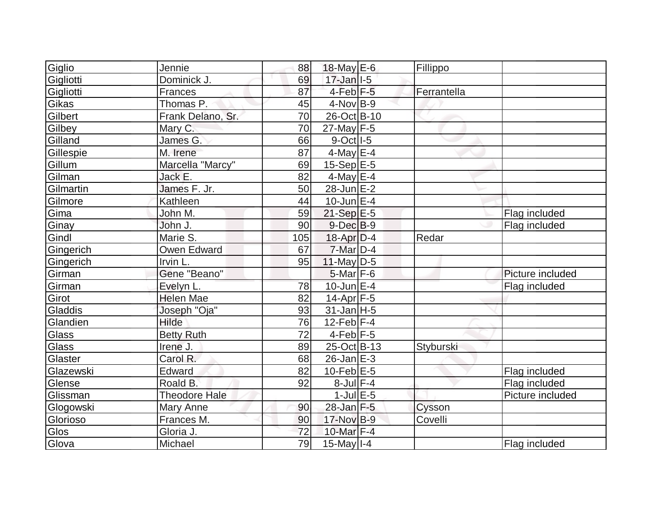| Giglio    | Jennie               | 88  | 18-May E-6                          | Fillippo    |                  |
|-----------|----------------------|-----|-------------------------------------|-------------|------------------|
| Gigliotti | Dominick J.          | 69  | $17 - Jan$ <sup>1-5</sup>           |             |                  |
| Gigliotti | Frances              | 87  | 4-Feb <sup>F-5</sup>                | Ferrantella |                  |
| Gikas     | Thomas P.            | 45  | $4$ -Nov $B-9$                      |             |                  |
| Gilbert   | Frank Delano, Sr.    | 70  | 26-Oct B-10                         |             |                  |
| Gilbey    | Mary C.              | 70  | $27$ -May F-5                       |             |                  |
| Gilland   | James G.             | 66  | $9-Oct$ <sup><math>1-5</math></sup> |             |                  |
| Gillespie | M. Irene             | 87  | $4$ -May $E-4$                      |             |                  |
| Gillum    | Marcella "Marcy"     | 69  | $15-Sep$ E-5                        |             |                  |
| Gilman    | Jack E.              | 82  | 4-May E-4                           |             |                  |
| Gilmartin | James F. Jr.         | 50  | 28-Jun E-2                          |             |                  |
| Gilmore   | Kathleen             | 44  | $10$ -Jun $E-4$                     |             |                  |
| Gima      | John M.              | 59  | $21-Sep$ $E-5$                      |             | Flag included    |
| Ginay     | John J.              | 90  | $9$ -Dec $B$ -9                     |             | Flag included    |
| Gindl     | Marie S.             | 105 | $18$ -Apr $D-4$                     | Redar       |                  |
| Gingerich | Owen Edward          | 67  | $7$ -Mar $D-4$                      |             |                  |
| Gingerich | Irvin L.             | 95  | 11-May $D-5$                        |             |                  |
| Girman    | Gene "Beano"         |     | $5$ -Mar $F$ -6                     |             | Picture included |
| Girman    | Evelyn L.            | 78  | $10$ -Jun $E-4$                     |             | Flag included    |
| Girot     | <b>Helen Mae</b>     | 82  | $14$ -Apr $F$ -5                    |             |                  |
| Gladdis   | Joseph "Oja"         | 93  | $31$ -Jan H-5                       |             |                  |
| Glandien  | Hilde                | 76  | $12$ -Feb $ F-4$                    |             |                  |
| Glass     | <b>Betty Ruth</b>    | 72  | $4-Feb$ $F-5$                       |             |                  |
| Glass     | Irene J.             | 89  | 25-Oct B-13                         | Styburski   |                  |
| Glaster   | Carol R.             | 68  | $26$ -Jan $E-3$                     |             |                  |
| Glazewski | Edward               | 82  | 10-Feb $E-5$                        |             | Flag included    |
| Glense    | Roald B.             | 92  | $8$ -Jul $F-4$                      |             | Flag included    |
| Glissman  | <b>Theodore Hale</b> |     | $1$ -Jul $E$ -5                     |             | Picture included |
| Glogowski | Mary Anne            | 90  | 28-Jan F-5                          | Cysson      |                  |
| Glorioso  | Frances M.           | 90  | 17-Nov B-9                          | Covelli     |                  |
| Glos      | Gloria J.            | 72  | 10-Mar F-4                          |             |                  |
| Glova     | Michael              | 79  | $15$ -May $I - 4$                   |             | Flag included    |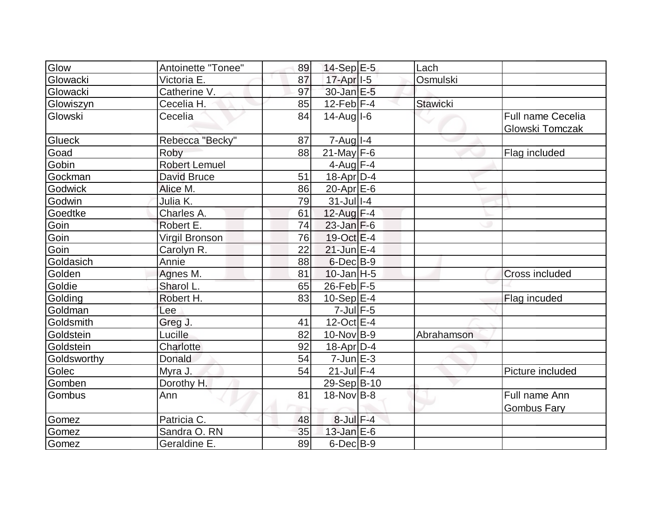| Glow        | Antoinette "Tonee"   | 89 | 14-Sep E-5            | Lach            |                                             |
|-------------|----------------------|----|-----------------------|-----------------|---------------------------------------------|
| Glowacki    | Victoria E.          | 87 | 17-Apr <sub>1-5</sub> | Osmulski        |                                             |
| Glowacki    | Catherine V.         | 97 | 30-Jan E-5            |                 |                                             |
| Glowiszyn   | Cecelia H.           | 85 | $12$ -Feb F-4         | <b>Stawicki</b> |                                             |
| Glowski     | Cecelia              | 84 | $14$ -Augl $-6$       |                 | <b>Full name Cecelia</b><br>Glowski Tomczak |
| Glueck      | Rebecca "Becky"      | 87 | $7 - Aug$   $1 - 4$   |                 |                                             |
| Goad        | Roby                 | 88 | $21$ -May F-6         |                 | Flag included                               |
| Gobin       | <b>Robert Lemuel</b> |    | $4$ -Aug $F-4$        |                 |                                             |
| Gockman     | <b>David Bruce</b>   | 51 | $18$ -Apr $ D-4$      |                 |                                             |
| Godwick     | Alice M.             | 86 | $20$ -Apr $E$ -6      |                 |                                             |
| Godwin      | Julia K.             | 79 | $31$ -Jull-4          |                 |                                             |
| Goedtke     | Charles A.           | 61 | 12-Aug F-4            |                 |                                             |
| Goin        | Robert E.            | 74 | $23$ -Jan $F-6$       |                 |                                             |
| Goin        | Virgil Bronson       | 76 | 19-Oct E-4            |                 |                                             |
| Goin        | Carolyn R.           | 22 | $21$ -Jun $E-4$       |                 |                                             |
| Goldasich   | Annie                | 88 | $6$ -Dec $B$ -9       |                 |                                             |
| Golden      | Agnes M.             | 81 | $10$ -Jan H-5         |                 | <b>Cross included</b>                       |
| Goldie      | Sharol L.            | 65 | $26$ -Feb $F-5$       |                 |                                             |
| Golding     | Robert H.            | 83 | $10-Sep$ $E-4$        |                 | Flag incuded                                |
| Goldman     | Lee                  |    | $7$ -Jul $F$ -5       |                 |                                             |
| Goldsmith   | Greg J.              | 41 | $12$ -Oct $E-4$       |                 |                                             |
| Goldstein   | Lucille              | 82 | $10$ -Nov B-9         | Abrahamson      |                                             |
| Goldstein   | Charlotte            | 92 | $18$ -Apr $D-4$       |                 |                                             |
| Goldsworthy | Donald               | 54 | $7$ -Jun $E-3$        |                 |                                             |
| Golec       | Myra J.              | 54 | $21$ -Jul F-4         |                 | Picture included                            |
| Gomben      | Dorothy H.           |    | 29-Sep B-10           |                 |                                             |
| Gombus      | Ann                  | 81 | $18-Nov$ B-8          |                 | Full name Ann                               |
|             |                      |    |                       |                 | <b>Gombus Fary</b>                          |
| Gomez       | Patricia C.          | 48 | $8$ -Jul $F-4$        |                 |                                             |
| Gomez       | Sandra O. RN         | 35 | $13$ -Jan $E$ -6      |                 |                                             |
| Gomez       | Geraldine E.         | 89 | $6$ -Dec $B-9$        |                 |                                             |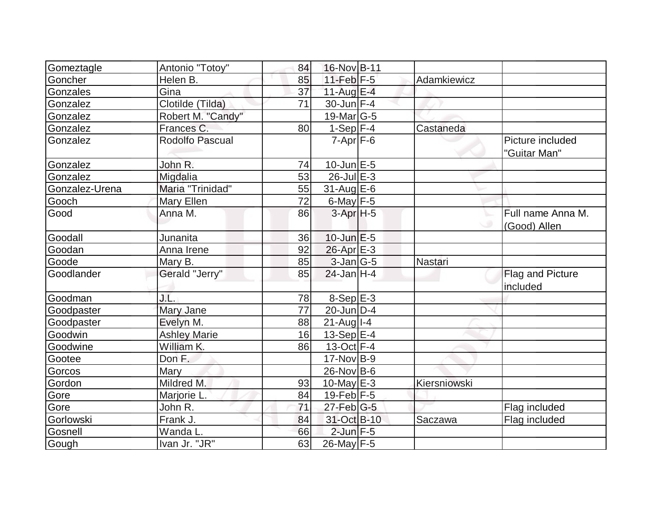| Gomeztagle     | Antonio "Totoy"     | 84 | 16-Nov B-11           |              |                                     |
|----------------|---------------------|----|-----------------------|--------------|-------------------------------------|
| Goncher        | Helen B.            | 85 | $11$ -Feb $F-5$       | Adamkiewicz  |                                     |
| Gonzales       | Gina                | 37 | 11-Aug $E-4$          |              |                                     |
| Gonzalez       | Clotilde (Tilda)    | 71 | $30$ -Jun $F-4$       |              |                                     |
| Gonzalez       | Robert M. "Candy"   |    | $19$ -Mar $ G-5 $     |              |                                     |
| Gonzalez       | Frances C.          | 80 | $1-Sep$ $\boxed{F-4}$ | Castaneda    |                                     |
| Gonzalez       | Rodolfo Pascual     |    | $7 - Apr$ $F - 6$     |              | Picture included<br>"Guitar Man"    |
| Gonzalez       | John R.             | 74 | $10$ -Jun $E - 5$     |              |                                     |
| Gonzalez       | Migdalia            | 53 | $26$ -Jul $E-3$       |              |                                     |
| Gonzalez-Urena | Maria "Trinidad"    | 55 | $31$ -Aug E-6         |              |                                     |
| Gooch          | Mary Ellen          | 72 | 6-May $F-5$           |              |                                     |
| Good           | Anna M.             | 86 | 3-Apr <sub>H-5</sub>  |              | Full name Anna M.<br>(Good) Allen   |
| Goodall        | Junanita            | 36 | $10$ -Jun $E-5$       |              |                                     |
| Goodan         | Anna Irene          | 92 | $26$ -Apr $E-3$       |              |                                     |
| Goode          | Mary B.             | 85 | $3$ -Jan $ G-5 $      | Nastari      |                                     |
| Goodlander     | Gerald "Jerry"      | 85 | $24$ -Jan H-4         |              | <b>Flag and Picture</b><br>included |
| Goodman        | J.L.                | 78 | $8-Sep$ E-3           |              |                                     |
| Goodpaster     | Mary Jane           | 77 | $20$ -Jun $ D-4$      |              |                                     |
| Goodpaster     | Evelyn M.           | 88 | $21$ -Aug I-4         |              |                                     |
| Goodwin        | <b>Ashley Marie</b> | 16 | $13-Sep$ $E-4$        |              |                                     |
| Goodwine       | William K.          | 86 | $13-Oct$ F-4          |              |                                     |
| Gootee         | Don F.              |    | $17$ -Nov $ B-9 $     |              |                                     |
| Gorcos         | Mary                |    | 26-Nov B-6            |              |                                     |
| Gordon         | Mildred M.          | 93 | $10$ -May $E-3$       | Kiersniowski |                                     |
| Gore           | Marjorie L.         | 84 | $19$ -Feb $ F-5 $     |              |                                     |
| Gore           | John R.             | 71 | $27$ -Feb $ G-5 $     |              | Flag included                       |
| Gorlowski      | Frank J.            | 84 | 31-Oct B-10           | Saczawa      | Flag included                       |
| Gosnell        | Wanda L.            | 66 | $2$ -Jun $F - 5$      |              |                                     |
| Gough          | Ivan Jr. "JR"       | 63 | 26-May F-5            |              |                                     |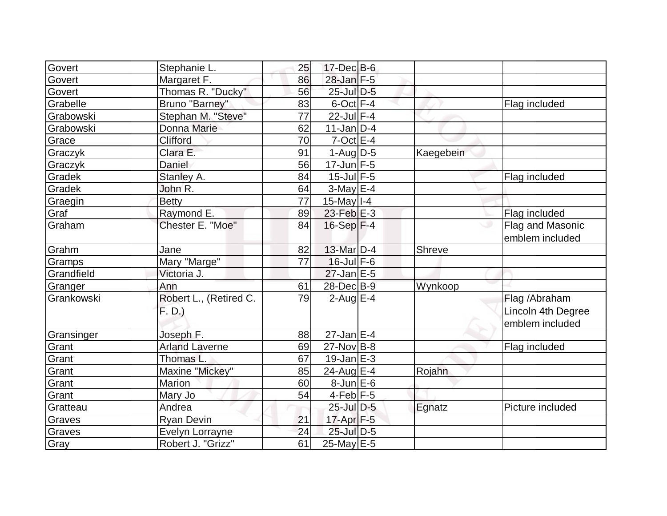| Govert     | Stephanie L.                     | 25 | $17$ -Dec $B$ -6  |           |                                                         |
|------------|----------------------------------|----|-------------------|-----------|---------------------------------------------------------|
| Govert     | Margaret F.                      | 86 | 28-Jan F-5        |           |                                                         |
| Govert     | Thomas R. "Ducky"                | 56 | 25-Jul D-5        |           |                                                         |
| Grabelle   | Bruno "Barney"                   | 83 | $6$ -Oct $F-4$    |           | Flag included                                           |
| Grabowski  | Stephan M. "Steve"               | 77 | $22$ -Jul $F-4$   |           |                                                         |
| Grabowski  | Donna Marie                      | 62 | $11$ -Jan $ D-4 $ |           |                                                         |
| Grace      | Clifford                         | 70 | $7$ -Oct $E-4$    |           |                                                         |
| Graczyk    | Clara E.                         | 91 | $1-Aug D-5$       | Kaegebein |                                                         |
| Graczyk    | Daniel                           | 56 | $17 - Jun$ $F-5$  |           |                                                         |
| Gradek     | Stanley A.                       | 84 | $15$ -Jul $F-5$   |           | Flag included                                           |
| Gradek     | John R.                          | 64 | $3-May$ $E-4$     |           |                                                         |
| Graegin    | <b>Betty</b>                     | 77 | $15$ -May $I - 4$ |           |                                                         |
| Graf       | Raymond E.                       | 89 | $23$ -Feb $E-3$   |           | Flag included                                           |
| Graham     | Chester E. "Moe"                 | 84 | $16-Sep$ F-4      |           | Flag and Masonic<br>emblem included                     |
| Grahm      | Jane                             | 82 | $13$ -Mar $D-4$   | Shreve    |                                                         |
| Gramps     | Mary "Marge"                     | 77 | $16$ -Jul $F-6$   |           |                                                         |
| Grandfield | Victoria J.                      |    | $27$ -Jan $E-5$   |           |                                                         |
| Granger    | Ann                              | 61 | 28-Dec B-9        | Wynkoop   |                                                         |
| Grankowski | Robert L., (Retired C.<br>F. D.) | 79 | $2$ -Aug E-4      |           | Flag / Abraham<br>Lincoln 4th Degree<br>emblem included |
| Gransinger | Joseph F.                        | 88 | $27$ -Jan E-4     |           |                                                         |
| Grant      | <b>Arland Laverne</b>            | 69 | $27$ -Nov $ B-8$  |           | Flag included                                           |
| Grant      | Thomas L.                        | 67 | $19$ -Jan $E-3$   |           |                                                         |
| Grant      | Maxine "Mickey"                  | 85 | 24-Aug E-4        | Rojahn    |                                                         |
| Grant      | <b>Marion</b>                    | 60 | $8$ -Jun $E$ -6   |           |                                                         |
| Grant      | Mary Jo                          | 54 | $4$ -Feb $F-5$    |           |                                                         |
| Gratteau   | Andrea                           |    | $25$ -Jul $D-5$   | Egnatz    | Picture included                                        |
| Graves     | <b>Ryan Devin</b>                | 21 | $17$ -Apr $F-5$   |           |                                                         |
| Graves     | Evelyn Lorrayne                  | 24 | 25-Jul D-5        |           |                                                         |
| Gray       | Robert J. "Grizz"                | 61 | 25-May E-5        |           |                                                         |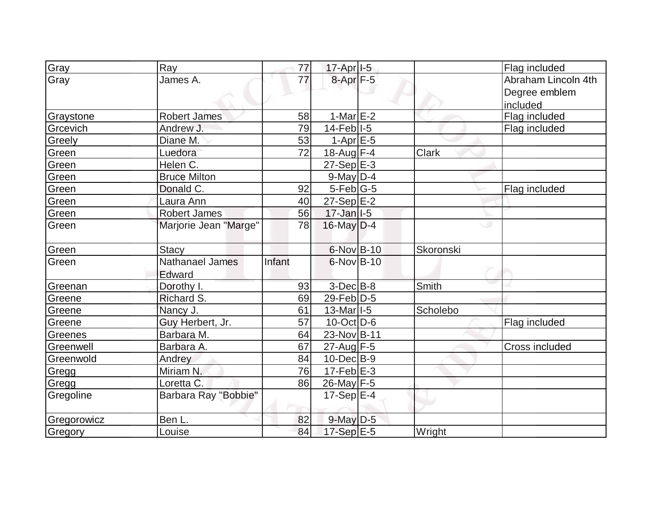| Gray        | Ray                    | 77     | $17$ -Apr $ I-5 $         |              | Flag included         |
|-------------|------------------------|--------|---------------------------|--------------|-----------------------|
| Gray        | James A.               | 77     | 8-Apr <sub>F-5</sub>      |              | Abraham Lincoln 4th   |
|             |                        |        |                           |              | Degree emblem         |
|             |                        |        |                           |              | included              |
| Graystone   | <b>Robert James</b>    | 58     | 1-Mar $E-2$               |              | Flag included         |
| Grcevich    | Andrew J.              | 79     | $14$ -Feb $ I-5 $         |              | Flag included         |
| Greely      | Diane M.               | 53     | $1-AprE-5$                |              |                       |
| Green       | Luedora                | 72     | 18-Aug F-4                | <b>Clark</b> |                       |
| Green       | Helen C.               |        | $27-Sep$ $E-3$            |              |                       |
| Green       | <b>Bruce Milton</b>    |        | $9$ -May $D-4$            |              |                       |
| Green       | Donald C.              | 92     | $5$ -Feb $ G-5 $          |              | Flag included         |
| Green       | Laura Ann              | 40     | $27-Sep$ E-2              |              |                       |
| Green       | <b>Robert James</b>    | 56     | $17 - Jan$ <sup>1-5</sup> |              |                       |
| Green       | Marjorie Jean "Marge"  | 78     | $16$ -May $D-4$           |              | ۰                     |
| Green       | <b>Stacy</b>           |        | 6-Nov B-10                | Skoronski    |                       |
| Green       | <b>Nathanael James</b> | Infant | $6$ -Nov $B$ -10          |              |                       |
|             | Edward                 |        |                           |              |                       |
| Greenan     | Dorothy I.             | 93     | $3$ -Dec $B$ -8           | <b>Smith</b> |                       |
| Greene      | Richard S.             | 69     | $29$ -Feb $ D-5$          |              |                       |
| Greene      | Nancy J.               | 61     | $13$ -Mar <sub>1-5</sub>  | Scholebo     |                       |
| Greene      | Guy Herbert, Jr.       | 57     | $10$ -Oct $ D-6 $         |              | Flag included         |
| Greenes     | Barbara M.             | 64     | 23-Nov B-11               |              |                       |
| Greenwell   | Barbara A.             | 67     | 27-Aug F-5                |              | <b>Cross included</b> |
| Greenwold   | Andrey                 | 84     | $10$ -Dec $B - 9$         |              |                       |
| Gregg       | Miriam N.              | 76     | $17-Feb$ $E-3$            |              |                       |
| Gregg       | Loretta C.             | 86     | 26-May F-5                |              |                       |
| Gregoline   | Barbara Ray "Bobbie"   |        | 17-Sep $ E-4 $            |              |                       |
| Gregorowicz | Ben L.                 | 82     | $9$ -May $D-5$            |              |                       |
| Gregory     | Louise                 | 84     | 17-Sep E-5                | Wright       |                       |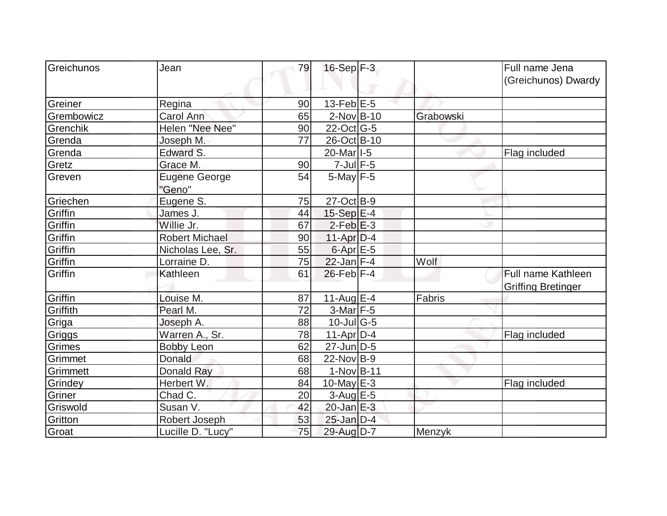| Greichunos | Jean                           | 79 | $16-Sep$ F-3                |           | Full name Jena<br>(Greichunos) Dwardy           |
|------------|--------------------------------|----|-----------------------------|-----------|-------------------------------------------------|
| Greiner    | Regina                         | 90 | 13-Feb $E-5$                |           |                                                 |
| Grembowicz | Carol Ann                      | 65 | $2$ -Nov $B$ -10            | Grabowski |                                                 |
| Grenchik   | Helen "Nee Nee"                | 90 | $22$ -Oct G-5               |           |                                                 |
| Grenda     | Joseph M.                      | 77 | 26-Oct B-10                 |           |                                                 |
| Grenda     | Edward S.                      |    | 20-Mar <sub>1-5</sub>       |           | Flag included                                   |
| Gretz      | Grace M.                       | 90 | $7$ -Jul $F$ -5             |           |                                                 |
| Greven     | <b>Eugene George</b><br>"Geno" | 54 | $5$ -May $F-5$              |           |                                                 |
| Griechen   | Eugene S.                      | 75 | $27-Oct$ B-9                |           |                                                 |
| Griffin    | James J.                       | 44 | $15-Sep$ $E-4$              |           |                                                 |
| Griffin    | Willie Jr.                     | 67 | $2$ -Feb $E-3$              |           |                                                 |
| Griffin    | <b>Robert Michael</b>          | 90 | $11-Apr D-4$                |           |                                                 |
| Griffin    | Nicholas Lee, Sr.              | 55 | $6 - Apr$ $E - 5$           |           |                                                 |
| Griffin    | Lorraine D.                    | 75 | $22$ -Jan F-4               | Wolf      |                                                 |
| Griffin    | Kathleen                       | 61 | $26$ -Feb $ F-4$            |           | Full name Kathleen<br><b>Griffing Bretinger</b> |
| Griffin    | Louise M.                      | 87 | 11-Aug $E-4$                | Fabris    |                                                 |
| Griffith   | Pearl M.                       | 72 | $3-Mar$ F-5                 |           |                                                 |
| Griga      | Joseph A.                      | 88 | $10$ -Jul $\overline{G}$ -5 |           |                                                 |
| Griggs     | Warren A., Sr.                 | 78 | $11-Apr D-4$                |           | Flag included                                   |
| Grimes     | <b>Bobby Leon</b>              | 62 | $27$ -Jun $D-5$             |           |                                                 |
| Grimmet    | Donald                         | 68 | $22$ -Nov B-9               |           |                                                 |
| Grimmett   | <b>Donald Ray</b>              | 68 | $1-Nov B-11$                |           |                                                 |
| Grindey    | Herbert W.                     | 84 | 10-May $E-3$                |           | Flag included                                   |
| Griner     | Chad C.                        | 20 | $3$ -Aug E-5                |           |                                                 |
| Griswold   | Susan V.                       | 42 | $20$ -Jan $E-3$             |           |                                                 |
| Gritton    | Robert Joseph                  | 53 | $25$ -Jan $D-4$             |           |                                                 |
| Groat      | Lucille D. "Lucy"              | 75 | 29-Aug D-7                  | Menzyk    |                                                 |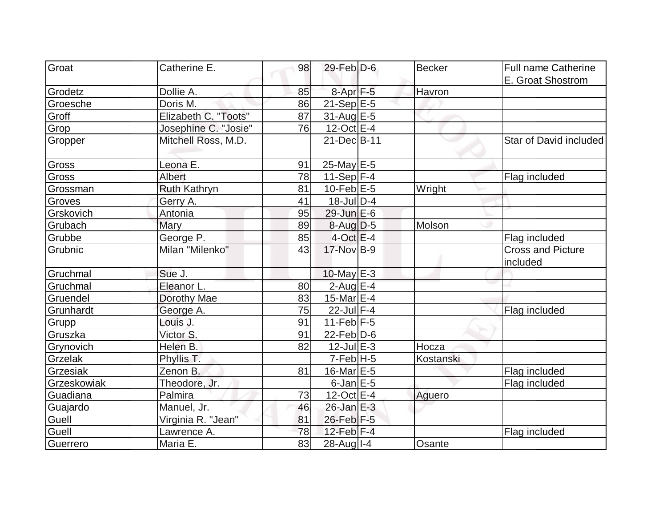| Groat       |                      |    |                      |               |                                      |
|-------------|----------------------|----|----------------------|---------------|--------------------------------------|
|             | Catherine E.         | 98 | $29$ -Feb $D$ -6     | <b>Becker</b> | <b>Full name Catherine</b>           |
|             |                      |    |                      |               | E. Groat Shostrom                    |
| Grodetz     | Dollie A.            | 85 | 8-Apr <sub>F-5</sub> | Havron        |                                      |
| Groesche    | Doris M.             | 86 | $21-Sep$ E-5         |               |                                      |
| Groff       | Elizabeth C. "Toots" | 87 | 31-Aug E-5           |               |                                      |
| Grop        | Josephine C. "Josie" | 76 | $12$ -Oct $E-4$      |               |                                      |
| Gropper     | Mitchell Ross, M.D.  |    | 21-Dec B-11          |               | Star of David included               |
| Gross       | Leona E.             | 91 | $25$ -May E-5        |               |                                      |
| Gross       | <b>Albert</b>        | 78 | 11-Sep $ F-4 $       |               | Flag included                        |
| Grossman    | Ruth Kathryn         | 81 | $10$ -Feb $E-5$      | Wright        |                                      |
| Groves      | Gerry A.             | 41 | $18$ -JulD-4         |               |                                      |
| Grskovich   | Antonia              | 95 | 29-Jun E-6           |               |                                      |
| Grubach     | Mary                 | 89 | $8-Aug$ D-5          | Molson        |                                      |
| Grubbe      | George <sub>P.</sub> | 85 | $4$ -Oct $E-4$       |               | Flag included                        |
| Grubnic     | Milan "Milenko"      | 43 | 17-Nov B-9           |               | <b>Cross and Picture</b><br>included |
| Gruchmal    | Sue J.               |    | $10$ -May $E-3$      |               |                                      |
| Gruchmal    | Eleanor L.           | 80 | $2$ -Aug E-4         |               |                                      |
| Gruendel    | Dorothy Mae          | 83 | 15-Mar $E-4$         |               |                                      |
| Grunhardt   | George A.            | 75 | $22$ -Jul $F-4$      |               | Flag included                        |
| Grupp       | Louis J.             | 91 | $11-Feb$ F-5         |               |                                      |
| Gruszka     | Victor S.            | 91 | $22$ -Feb $ D-6$     |               |                                      |
| Grynovich   | Helen B.             | 82 | $12$ -Jul $E-3$      | Hocza         |                                      |
| Grzelak     | Phyllis T.           |    | $7-Feb$ H-5          | Kostanski     |                                      |
| Grzesiak    | Zenon B.             | 81 | $16$ -Mar $E-5$      |               | Flag included                        |
| Grzeskowiak | Theodore, Jr.        |    | $6$ -Jan $E$ -5      |               | Flag included                        |
| Guadiana    | Palmira              | 73 | $12-Oct$ E-4         | Aguero        |                                      |
| Guajardo    | Manuel, Jr.          | 46 | $26$ -Jan $E-3$      |               |                                      |
| Guell       | Virginia R. "Jean"   | 81 | 26-Feb F-5           |               |                                      |
| Guell       | Lawrence A.          | 78 | 12-Feb $F-4$         |               | Flag included                        |
| Guerrero    | Maria E.             | 83 | 28-Aug I-4           | Osante        |                                      |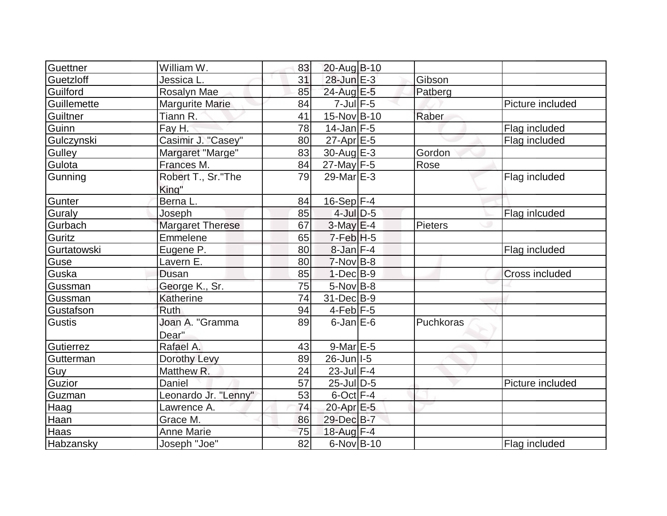| Guettner    | William W.               | 83 | 20-Aug B-10      |           |                       |
|-------------|--------------------------|----|------------------|-----------|-----------------------|
| Guetzloff   | Jessica L.               | 31 | $28$ -Jun $E-3$  | Gibson    |                       |
| Guilford    | Rosalyn Mae              | 85 | 24-Aug E-5       | Patberg   |                       |
| Guillemette | <b>Margurite Marie</b>   | 84 | $7$ -Jul $F$ -5  |           | Picture included      |
| Guiltner    | Tiann R.                 | 41 | 15-Nov B-10      | Raber     |                       |
| Guinn       | Fay H.                   | 78 | $14$ -Jan F-5    |           | Flag included         |
| Gulczynski  | Casimir J. "Casey"       | 80 | $27$ -Apr $E$ -5 |           | Flag included         |
| Gulley      | Margaret "Marge"         | 83 | $30$ -Aug $E-3$  | Gordon    |                       |
| Gulota      | Frances M.               | 84 | $27$ -May F-5    | Rose      |                       |
| Gunning     | Robert T., Sr."The       | 79 | $29$ -Mar $E-3$  |           | Flag included         |
|             | King"                    |    |                  |           |                       |
| Gunter      | Berna L.                 | 84 | $16-Sep$ F-4     |           |                       |
| Guraly      | Joseph                   | 85 | $4$ -Jul $D-5$   |           | Flag inlcuded         |
| Gurbach     | <b>Margaret Therese</b>  | 67 | $3-May$ $E-4$    | Pieters   |                       |
| Guritz      | Emmelene                 | 65 | $7-Feb$ H-5      |           |                       |
| Gurtatowski | Eugene P.                | 80 | $8$ -Jan $F-4$   |           | Flag included         |
| Guse        | Lavern E.                | 80 | $7-Nov$ B-8      |           |                       |
| Guska       | Dusan                    | 85 | $1-Dec$ B-9      |           | <b>Cross included</b> |
| Gussman     | George K., Sr.           | 75 | $5$ -Nov $B$ -8  |           |                       |
| Gussman     | Katherine                | 74 | $31$ -Dec $B-9$  |           |                       |
| Gustafson   | <b>Ruth</b>              | 94 | $4$ -Feb $ F-5 $ |           |                       |
| Gustis      | Joan A. "Gramma<br>Dear" | 89 | $6$ -Jan $E$ -6  | Puchkoras |                       |
| Gutierrez   | Rafael A.                | 43 | $9$ -Mar $E-5$   |           |                       |
| Gutterman   | Dorothy Levy             | 89 | 26-Jun I-5       |           |                       |
| Guy         | Matthew R.               | 24 | $23$ -Jul $F-4$  |           |                       |
| Guzior      | Daniel                   | 57 | $25$ -Jul $ D-5$ |           | Picture included      |
| Guzman      | Leonardo Jr. "Lenny"     | 53 | $6$ -Oct $F-4$   |           |                       |
| Haag        | Lawrence A.              | 74 | 20-Apr E-5       |           |                       |
| Haan        | Grace M.                 | 86 | 29-Dec B-7       |           |                       |
| Haas        | <b>Anne Marie</b>        | 75 | 18-Aug F-4       |           |                       |
| Habzansky   | Joseph "Joe"             | 82 | $6$ -Nov $B$ -10 |           | Flag included         |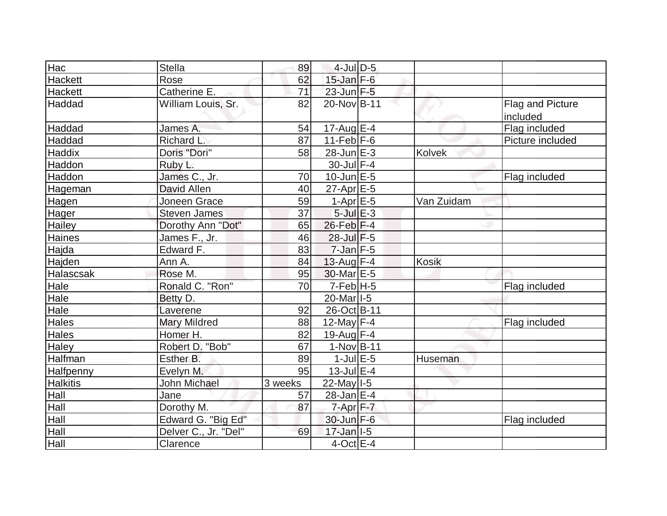| Hac              | <b>Stella</b>        | 89      | $4$ -Jul $D-5$        |            |                                     |
|------------------|----------------------|---------|-----------------------|------------|-------------------------------------|
| Hackett          | Rose                 | 62      | $15$ -Jan $F-6$       |            |                                     |
| <b>Hackett</b>   | Catherine E.         | 71      | $23$ -Jun $F-5$       |            |                                     |
| Haddad           | William Louis, Sr.   | 82      | 20-Nov B-11           |            | <b>Flag and Picture</b><br>included |
| Haddad           | James A.             | 54      | 17-Aug $E-4$          |            | Flag included                       |
| Haddad           | <b>Richard L</b>     | 87      | $11-Feb$ $F-6$        |            | Picture included                    |
| Haddix           | Doris "Dori"         | 58      | $28$ -Jun $E-3$       | Kolvek     |                                     |
| Haddon           | Ruby L.              |         | 30-Jul F-4            |            |                                     |
| Haddon           | James C., Jr.        | 70      | $10$ -Jun $E - 5$     |            | Flag included                       |
| Hageman          | David Allen          | 40      | $27$ -Apr $E$ -5      |            |                                     |
| Hagen            | Joneen Grace         | 59      | $1-Apr$ E-5           | Van Zuidam |                                     |
| Hager            | <b>Steven James</b>  | 37      | $5$ -Jul $E-3$        |            |                                     |
| <b>Hailey</b>    | Dorothy Ann "Dot"    | 65      | $26$ -Feb $ F-4$      |            |                                     |
| Haines           | James F., Jr.        | 46      | 28-Jul F-5            |            |                                     |
| Hajda            | Edward F.            | 83      | $7$ -Jan $F-5$        |            |                                     |
| Hajden           | Ann A.               | 84      | 13-Aug $F-4$          | Kosik      |                                     |
| Halascsak        | Rose M.              | 95      | 30-Mar E-5            |            |                                     |
| Hale             | Ronald C. "Ron"      | 70      | $7-Feb$ H-5           |            | Flag included                       |
| Hale             | Betty D.             |         | 20-Mar <sub>1-5</sub> |            |                                     |
| Hale             | Laverene             | 92      | 26-Oct B-11           |            |                                     |
| <b>Hales</b>     | <b>Mary Mildred</b>  | 88      | 12-May $F-4$          |            | Flag included                       |
| <b>Hales</b>     | Homer H.             | 82      | $19$ -Aug F-4         |            |                                     |
| <b>Haley</b>     | Robert D. "Bob"      | 67      | $1-Nov B-11$          |            |                                     |
| Halfman          | Esther B.            | 89      | $1$ -Jul $E$ -5       | Huseman    |                                     |
| <b>Halfpenny</b> | Evelyn M.            | 95      | 13-Jul E-4            |            |                                     |
| <b>Halkitis</b>  | John Michael         | 3 weeks | $22$ -May $I - 5$     |            |                                     |
| Hall             | Jane                 | 57      | $28$ -Jan $E-4$       |            |                                     |
| Hall             | Dorothy M.           | 87      | $7$ -Apr $F - 7$      |            |                                     |
| Hall             | Edward G. "Big Ed"   |         | 30-Jun F-6            |            | Flag included                       |
| Hall             | Delver C., Jr. "Del" | 69      | $17$ -Jan $ I-5 $     |            |                                     |
| Hall             | Clarence             |         | $4$ -Oct $E - 4$      |            |                                     |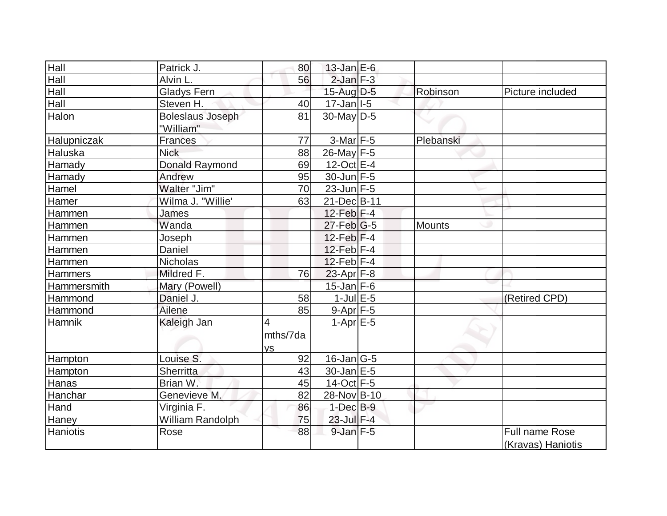| Hall           | Patrick J.                           | 80                         | $13$ -Jan $E$ -6          |           |                                            |
|----------------|--------------------------------------|----------------------------|---------------------------|-----------|--------------------------------------------|
| Hall           | Alvin L.                             | 56                         | $2$ -Jan $F-3$            |           |                                            |
| Hall           | <b>Gladys Fern</b>                   |                            | $15$ -Aug $D-5$           | Robinson  | Picture included                           |
| Hall           | Steven H.                            | 40                         | $17 - Jan$ <sup>1-5</sup> |           |                                            |
| Halon          | <b>Boleslaus Joseph</b><br>"William" | 81                         | $30$ -May D-5             |           |                                            |
| Halupniczak    | <b>Frances</b>                       | 77                         | $3-Mar$ F-5               | Plebanski |                                            |
| <b>Haluska</b> | <b>Nick</b>                          | 88                         | $26$ -May F-5             |           |                                            |
| Hamady         | Donald Raymond                       | 69                         | 12-Oct E-4                |           |                                            |
| Hamady         | Andrew                               | 95                         | $30$ -Jun F-5             |           |                                            |
| Hamel          | Walter "Jim"                         | 70                         | $23$ -Jun $F-5$           |           |                                            |
| Hamer          | Wilma J. "Willie'                    | 63                         | 21-Dec B-11               |           |                                            |
| Hammen         | James                                |                            | 12-Feb $F-4$              |           |                                            |
| Hammen         | Wanda                                |                            | $27$ -Feb $ G-5$          | Mounts    |                                            |
| Hammen         | Joseph                               |                            | $12$ -Feb $ F-4$          |           |                                            |
| Hammen         | Daniel                               |                            | $12$ -Feb $ F-4$          |           |                                            |
| Hammen         | Nicholas                             |                            | $12$ -Feb F-4             |           |                                            |
| <b>Hammers</b> | Mildred F.                           | 76                         | $23$ -Apr $F-8$           |           |                                            |
| Hammersmith    | Mary (Powell)                        |                            | $15$ -Jan F-6             |           |                                            |
| Hammond        | Daniel J.                            | 58                         | $1$ -Jul $E$ -5           |           | (Retired CPD)                              |
| Hammond        | Ailene                               | 85                         | $9-Apr$ F-5               |           |                                            |
| Hamnik         | Kaleigh Jan                          | 4<br>mths/7da<br><b>VS</b> | $1-Apr$ $E-5$             |           |                                            |
| Hampton        | Louise S.                            | 92                         | $16$ -Jan $ G-5 $         |           |                                            |
| Hampton        | Sherritta                            | 43                         | $30 - Jan \, E - 5$       |           |                                            |
| Hanas          | Brian W.                             | 45                         | $14$ -Oct $F-5$           |           |                                            |
| Hanchar        | Genevieve M.                         | 82                         | 28-Nov B-10               |           |                                            |
| Hand           | Virginia F.                          | 86                         | $1-Dec$ B-9               |           |                                            |
| Haney          | William Randolph                     | 75                         | 23-Jul F-4                |           |                                            |
| Haniotis       | Rose                                 | 88                         | $9$ -Jan $F-5$            |           | <b>Full name Rose</b><br>(Kravas) Haniotis |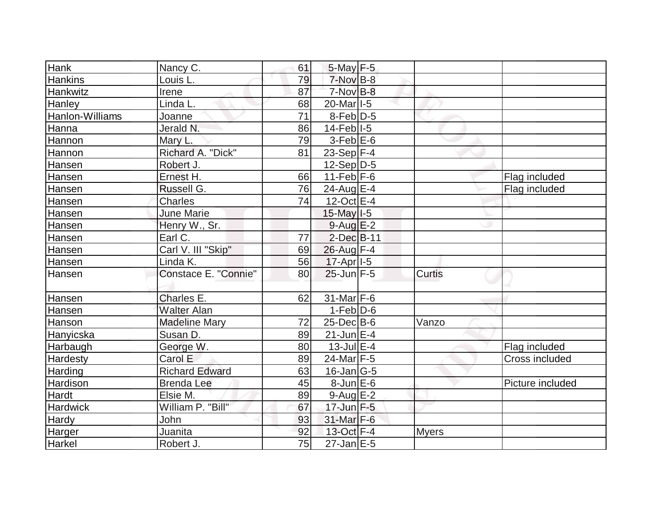| Hank            | Nancy C.              | 61 | $5$ -May $F-5$        |               |                  |
|-----------------|-----------------------|----|-----------------------|---------------|------------------|
| <b>Hankins</b>  | Louis L.              | 79 | $7-Nov$ B-8           |               |                  |
| Hankwitz        | Irene                 | 87 | $7-NovB-8$            |               |                  |
| Hanley          | Linda L.              | 68 | 20-Mar <sub>1-5</sub> |               |                  |
| Hanlon-Williams | Joanne                | 71 | $8-Feb D-5$           |               |                  |
| Hanna           | Jerald N.             | 86 | $14$ -Feb $ I-5 $     |               |                  |
| Hannon          | Mary L.               | 79 | $3-Feb$ $E-6$         |               |                  |
| Hannon          | Richard A. "Dick"     | 81 | 23-Sep $F-4$          |               |                  |
| Hansen          | Robert J.             |    | $12-Sep D-5$          |               |                  |
| Hansen          | Ernest H.             | 66 | $11-Feb$ $F-6$        |               | Flag included    |
| Hansen          | Russell G.            | 76 | $24$ -Aug E-4         |               | Flag included    |
| Hansen          | Charles               | 74 | $12$ -Oct $E-4$       |               |                  |
| Hansen          | <b>June Marie</b>     |    | $15$ -May $I-5$       |               |                  |
| Hansen          | Henry W., Sr.         |    | $9$ -Aug $E-2$        |               |                  |
| Hansen          | Earl C.               | 77 | $2$ -Dec $B-11$       |               |                  |
| Hansen          | Carl V. III "Skip"    | 69 | 26-Aug F-4            |               |                  |
| Hansen          | Linda K.              | 56 | $17$ -Apr $ I-5 $     |               |                  |
| Hansen          | Constace E. "Connie"  | 80 | $25$ -Jun $F-5$       | <b>Curtis</b> |                  |
|                 |                       |    |                       |               |                  |
| Hansen          | Charles E.            | 62 | $31$ -Mar F-6         |               |                  |
| Hansen          | <b>Walter Alan</b>    |    | $1-Feb D-6$           |               |                  |
| Hanson          | <b>Madeline Mary</b>  | 72 | $25$ -Dec $B$ -6      | Vanzo         |                  |
| Hanyicska       | Susan D.              | 89 | $21$ -Jun $E-4$       |               |                  |
| Harbaugh        | George W.             | 80 | $13$ -Jul $E-4$       |               | Flag included    |
| Hardesty        | Carol E               | 89 | 24-Mar F-5            |               | Cross included   |
| Harding         | <b>Richard Edward</b> | 63 | $16$ -Jan $ G-5 $     |               |                  |
| Hardison        | <b>Brenda Lee</b>     | 45 | $8$ -Jun $E$ -6       |               | Picture included |
| Hardt           | Elsie M.              | 89 | 9-Aug E-2             |               |                  |
| <b>Hardwick</b> | William P. "Bill"     | 67 | $17$ -Jun $F - 5$     |               |                  |
| Hardy           | John                  | 93 | 31-Mar F-6            |               |                  |
| Harger          | Juanita               | 92 | 13-Oct F-4            | <b>Myers</b>  |                  |
| Harkel          | Robert J.             | 75 | $27$ -Jan $E$ -5      |               |                  |
|                 |                       |    |                       |               |                  |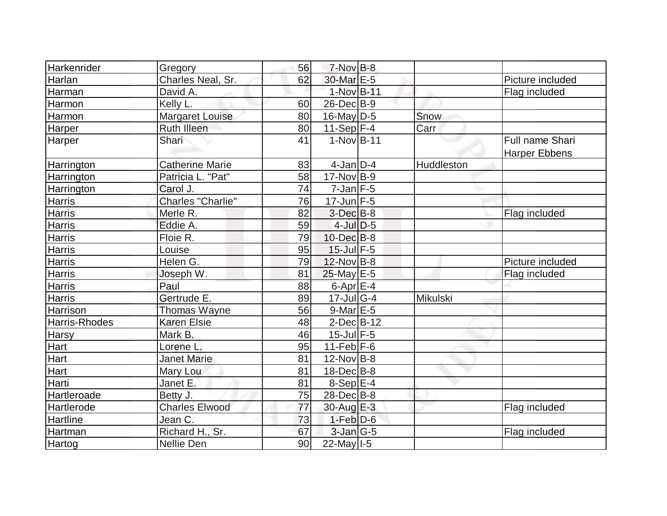| Harkenrider       | Gregory                  | 56 | $7-Nov$ B-8       |            |                                         |
|-------------------|--------------------------|----|-------------------|------------|-----------------------------------------|
| Harlan            | Charles Neal, Sr.        | 62 | 30-Mar E-5        |            | Picture included                        |
| Harman            | David A.                 |    | 1-Nov B-11        |            | Flag included                           |
| Harmon            | Kelly L.                 | 60 | $26$ -Dec $B-9$   |            |                                         |
| Harmon            | Margaret Louise          | 80 | $16$ -May D-5     | Snow       |                                         |
| Harper            | <b>Ruth Illeen</b>       | 80 | $11-Sep$ F-4      | Carr       |                                         |
| Harper            | Shari                    | 41 | $1-Nov B-11$      |            | Full name Shari<br><b>Harper Ebbens</b> |
| <b>Harrington</b> | <b>Catherine Marie</b>   | 83 | $4$ -Jan D-4      | Huddleston |                                         |
| Harrington        | Patricia L. "Pat"        | 58 | $17$ -Nov $ B-9 $ |            |                                         |
| Harrington        | Carol J.                 | 74 | $7$ -Jan $ F-5 $  |            |                                         |
| <b>Harris</b>     | <b>Charles "Charlie"</b> | 76 | $17$ -Jun $F-5$   |            |                                         |
| <b>Harris</b>     | Merle R.                 | 82 | $3-Dec B-8$       |            | Flag included                           |
| <b>Harris</b>     | Eddie A.                 | 59 | $4$ -JulD-5       |            |                                         |
| Harris            | Floie R.                 | 79 | $10$ -Dec $B$ -8  |            |                                         |
| <b>Harris</b>     | Louise                   | 95 | $15$ -Jul $F-5$   |            |                                         |
| <b>Harris</b>     | Helen G.                 | 79 | $12$ -Nov B-8     |            | Picture included                        |
| <b>Harris</b>     | Joseph W.                | 81 | $25$ -May E-5     |            | Flag included                           |
| <b>Harris</b>     | Paul                     | 88 | $6$ -Apr $E$ -4   |            |                                         |
| <b>Harris</b>     | Gertrude E.              | 89 | $17$ -Jul G-4     | Mikulski   |                                         |
| Harrison          | Thomas Wayne             | 56 | $9$ -Mar $E - 5$  |            |                                         |
| Harris-Rhodes     | <b>Karen Elsie</b>       | 48 | $2$ -Dec $B$ -12  |            |                                         |
| <b>Harsy</b>      | Mark B.                  | 46 | $15$ -Jul $F-5$   |            |                                         |
| Hart              | Lorene L.                | 95 | $11-Feb$ F-6      |            |                                         |
| Hart              | <b>Janet Marie</b>       | 81 | $12$ -Nov B-8     |            |                                         |
| Hart              | Mary Lou                 | 81 | $18$ -Dec $B$ -8  |            |                                         |
| Harti             | Janet E.                 | 81 | $8-Sep E-4$       |            |                                         |
| Hartleroade       | Betty J.                 | 75 | $28$ -Dec $B$ -8  |            |                                         |
| <b>Hartlerode</b> | <b>Charles Elwood</b>    | 77 | $30$ -Aug $E-3$   |            | Flag included                           |
| Hartline          | Jean C.                  | 73 | $1-Feb D-6$       |            |                                         |
| Hartman           | Richard H., Sr.          | 67 | $3$ -Jan $G-5$    |            | Flag included                           |
| Hartog            | Nellie Den               | 90 | $22$ -May I-5     |            |                                         |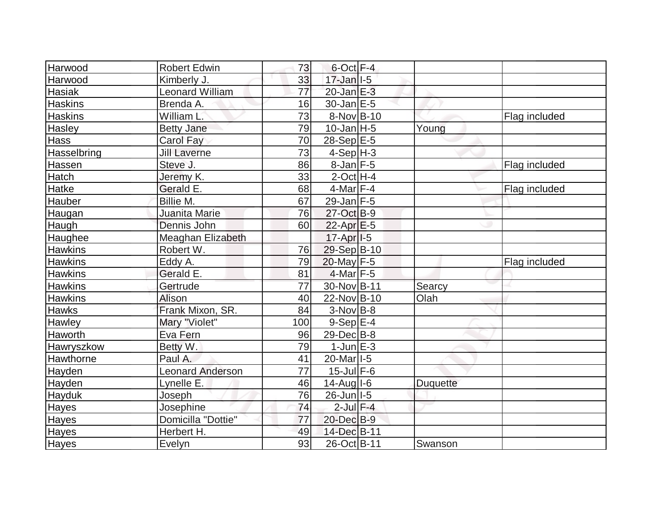| <b>Harwood</b> | <b>Robert Edwin</b>     | 73              | $6$ -Oct $F-4$          |                 |               |
|----------------|-------------------------|-----------------|-------------------------|-----------------|---------------|
| Harwood        | Kimberly J.             | 33              | $17$ -Jan $ I-5 $       |                 |               |
| Hasiak         | <b>Leonard William</b>  | $\overline{77}$ | $20$ -Jan $E-3$         |                 |               |
| <b>Haskins</b> | Brenda A.               | 16              | $30$ -Jan $E-5$         |                 |               |
| <b>Haskins</b> | William L.              | 73              | 8-Nov B-10              |                 | Flag included |
| Hasley         | <b>Betty Jane</b>       | 79              | $10$ -Jan $ H-5 $       | Young           |               |
| Hass           | Carol Fay               | 70              | $28-Sep$ <sup>E-5</sup> |                 |               |
| Hasselbring    | <b>Jill Laverne</b>     | 73              | $4-Sep H-3$             |                 |               |
| Hassen         | Steve J.                | 86              | $8$ -Jan F-5            |                 | Flag included |
| Hatch          | Jeremy K.               | 33              | $2$ -Oct H-4            |                 |               |
| Hatke          | Gerald E.               | 68              | $4$ -Mar $ F-4 $        |                 | Flag included |
| Hauber         | Billie M.               | 67              | $29$ -Jan F-5           |                 |               |
| Haugan         | Juanita Marie           | 76              | 27-Oct B-9              |                 |               |
| Haugh          | Dennis John             | 60              | $22$ -Apr $E-5$         |                 |               |
| Haughee        | Meaghan Elizabeth       |                 | $17-Apr$ <sup>1-5</sup> |                 |               |
| <b>Hawkins</b> | Robert W.               | 76              | 29-Sep B-10             |                 |               |
| <b>Hawkins</b> | Eddy A.                 | 79              | 20-May F-5              |                 | Flag included |
| <b>Hawkins</b> | Gerald E.               | 81              | $4$ -Mar $ F-5 $        |                 |               |
| <b>Hawkins</b> | Gertrude                | 77              | 30-Nov B-11             | Searcy          |               |
| <b>Hawkins</b> | Alison                  | 40              | 22-Nov B-10             | Olah            |               |
| <b>Hawks</b>   | Frank Mixon, SR.        | 84              | $3-Nov$ B-8             |                 |               |
| Hawley         | Mary "Violet"           | 100             | $9-Sep$ $E-4$           |                 |               |
| Haworth        | Eva Fern                | 96              | 29-Dec B-8              |                 |               |
| Hawryszkow     | Betty W.                | 79              | $1$ -Jun $E-3$          |                 |               |
| Hawthorne      | Paul A.                 | 41              | 20-Mar <sub>1-5</sub>   |                 |               |
| Hayden         | <b>Leonard Anderson</b> | 77              | $15$ -Jul $F$ -6        |                 |               |
| Hayden         | Lynelle E.              | 46              | $14$ -Aug I-6           | <b>Duquette</b> |               |
| Hayduk         | Joseph                  | 76              | $26$ -Jun I-5           |                 |               |
| <b>Hayes</b>   | Josephine               | 74              | $2$ -Jul $F-4$          |                 |               |
| Hayes          | Domicilla "Dottie"      | 77              | 20-Dec B-9              |                 |               |
| <b>Hayes</b>   | Herbert H.              | 49              | 14-Dec B-11             |                 |               |
| Hayes          | Evelyn                  | 93              | 26-Oct B-11             | Swanson         |               |
|                |                         |                 |                         |                 |               |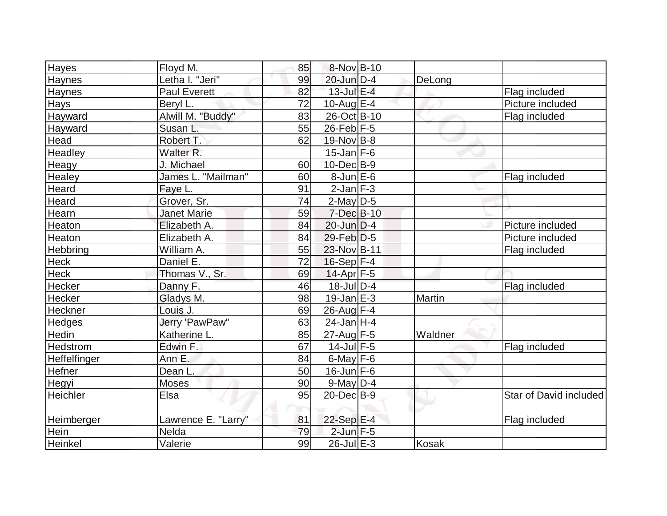| <b>Hayes</b>   | Floyd M.             | 85 | 8-Nov B-10        |              |                        |
|----------------|----------------------|----|-------------------|--------------|------------------------|
| <b>Haynes</b>  | Letha I. "Jeri"      | 99 | 20-Jun D-4        | DeLong       |                        |
| Haynes         | Paul Everett         | 82 | $13$ -Jul $E-4$   |              | Flag included          |
| <b>Hays</b>    | Beryl L.             | 72 | $10$ -Aug $E-4$   |              | Picture included       |
| Hayward        | Alwill M. "Buddy"    | 83 | 26-Oct B-10       |              | Flag included          |
| Hayward        | Susan L.             | 55 | $26$ -Feb $F-5$   |              |                        |
| Head           | Robert T.            | 62 | $19-Nov$ B-8      |              |                        |
| Headley        | Walter <sub>R.</sub> |    | $15$ -Jan F-6     |              |                        |
| Heagy          | J. Michael           | 60 | $10$ -Dec $B - 9$ |              |                        |
| Healey         | James L. "Mailman"   | 60 | $8$ -Jun $E$ -6   |              | Flag included          |
| Heard          | Faye L.              | 91 | $2$ -Jan $F-3$    |              |                        |
| Heard          | Grover, Sr.          | 74 | $2$ -May D-5      |              |                        |
| Hearn          | <b>Janet Marie</b>   | 59 | $7$ -Dec $B$ -10  |              |                        |
| Heaton         | Elizabeth A.         | 84 | $20$ -Jun $D-4$   |              | Picture included       |
| Heaton         | Elizabeth A.         | 84 | $29$ -Feb $D-5$   |              | Picture included       |
| Hebbring       | William A.           | 55 | 23-Nov B-11       |              | Flag included          |
| <b>Heck</b>    | Daniel E.            | 72 | $16-Sep$ F-4      |              |                        |
| <b>Heck</b>    | Thomas V., Sr.       | 69 | $14$ -Apr $F-5$   |              |                        |
| <b>Hecker</b>  | Danny F.             | 46 | $18$ -Jul $D-4$   |              | Flag included          |
| Hecker         | Gladys M.            | 98 | $19$ -Jan $E-3$   | Martin       |                        |
| <b>Heckner</b> | Louis J.             | 69 | $26$ -Aug $F-4$   |              |                        |
| <b>Hedges</b>  | Jerry 'PawPaw"       | 63 | $24$ -Jan H-4     |              |                        |
| Hedin          | Katherine L.         | 85 | 27-Aug F-5        | Waldner      |                        |
| Hedstrom       | Edwin F.             | 67 | $14$ -Jul $F-5$   |              | Flag included          |
| Heffelfinger   | Ann E.               | 84 | $6$ -May $F-6$    |              |                        |
| <b>Hefner</b>  | Dean L.              | 50 | $16$ -Jun $F-6$   |              |                        |
| Hegyi          | Moses                | 90 | $9$ -May $D-4$    |              |                        |
| Heichler       | Elsa                 | 95 | $20$ -Dec $B-9$   |              | Star of David included |
| Heimberger     | Lawrence E. "Larry"  | 81 | 22-Sep E-4        |              | Flag included          |
| Hein           | Nelda                | 79 | $2$ -Jun $F-5$    |              |                        |
| Heinkel        | Valerie              | 99 | $26$ -Jul $E-3$   | <b>Kosak</b> |                        |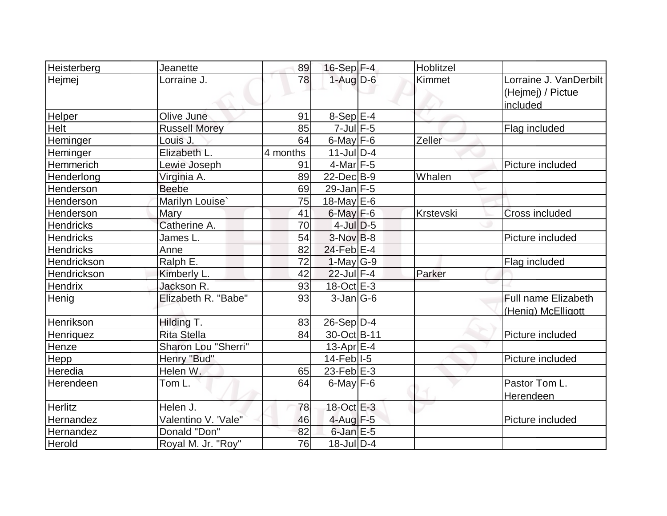| Heisterberg      | Jeanette             | 89       | $16-Sep$ F-4      | Hoblitzel |                                                         |
|------------------|----------------------|----------|-------------------|-----------|---------------------------------------------------------|
| Hejmej           | Lorraine J.          | 78       | $1-Aug$ D-6       | Kimmet    | Lorraine J. VanDerbilt<br>(Hejmej) / Pictue<br>included |
| Helper           | Olive June           | 91       | $8-Sep$ $E-4$     |           |                                                         |
| Helt             | <b>Russell Morey</b> | 85       | $7$ -Jul $F$ -5   |           | Flag included                                           |
| Heminger         | Louis J.             | 64       | $6$ -May $F-6$    | Zeller    |                                                         |
| Heminger         | Elizabeth L.         | 4 months | $11$ -Jul D-4     |           |                                                         |
| Hemmerich        | Lewie Joseph         | 91       | $4$ -Mar $ F-5 $  |           | Picture included                                        |
| Henderlong       | Virginia A.          | 89       | $22$ -Dec $B-9$   | Whalen    |                                                         |
| Henderson        | <b>Beebe</b>         | 69       | $29$ -Jan F-5     |           |                                                         |
| Henderson        | Marilyn Louise'      | 75       | 18-May $E-6$      |           |                                                         |
| Henderson        | Mary                 | 41       | $6$ -May $F-6$    | Krstevski | <b>Cross included</b>                                   |
| <b>Hendricks</b> | Catherine A.         | 70       | $4$ -Jul $D-5$    |           |                                                         |
| <b>Hendricks</b> | James L.             | 54       | $3-NovB-8$        |           | Picture included                                        |
| <b>Hendricks</b> | Anne                 | 82       | 24-Feb E-4        |           |                                                         |
| Hendrickson      | Ralph E.             | 72       | $1-May G-9$       |           | Flag included                                           |
| Hendrickson      | Kimberly L.          | 42       | $22$ -Jul $F-4$   | Parker    |                                                         |
| Hendrix          | Jackson R.           | 93       | 18-Oct E-3        |           |                                                         |
| Henig            | Elizabeth R. "Babe"  | 93       | $3-Jan G-6$       |           | Full name Elizabeth<br>(Henig) McElligott               |
| Henrikson        | Hilding T.           | 83       | $26-Sep D-4$      |           |                                                         |
| Henriquez        | <b>Rita Stella</b>   | 84       | 30-Oct B-11       |           | Picture included                                        |
| Henze            | Sharon Lou "Sherri"  |          | 13-Apr $E-4$      |           |                                                         |
| Hepp             | Henry "Bud"          |          | $14$ -Feb $ I-5 $ |           | Picture included                                        |
| Heredia          | Helen W.             | 65       | 23-Feb $E-3$      |           |                                                         |
| Herendeen        | Tom L.               | 64       | $6$ -May $F-6$    |           | Pastor Tom L.<br>Herendeen                              |
| <b>Herlitz</b>   | Helen J.             | 78       | 18-Oct E-3        |           |                                                         |
| Hernandez        | Valentino V. 'Vale"  | 46       | $4$ -Aug $F-5$    |           | Picture included                                        |
| Hernandez        | Donald "Don"         | 82       | $6$ -Jan $E$ -5   |           |                                                         |
| Herold           | Royal M. Jr. "Roy"   | 76       | $18$ -JulD-4      |           |                                                         |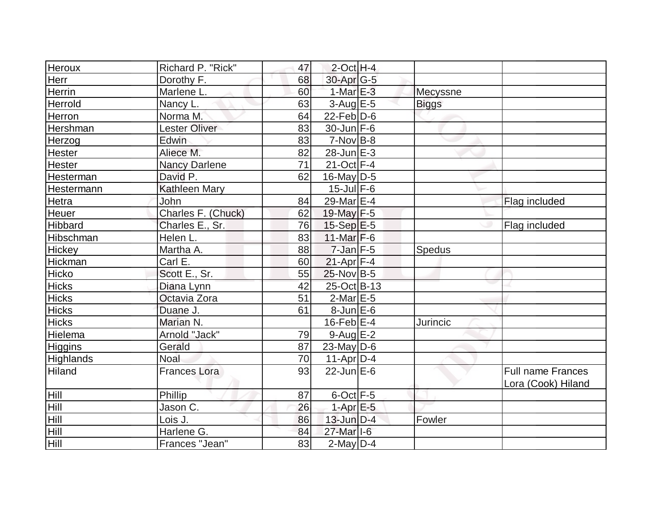| <b>Heroux</b>    | Richard P. "Rick"    | 47 | $2$ -Oct H-4          |              |                                                |
|------------------|----------------------|----|-----------------------|--------------|------------------------------------------------|
| Herr             | Dorothy F.           | 68 | 30-Apr G-5            |              |                                                |
| <b>Herrin</b>    | Marlene L.           | 60 | $1-MarE-3$            | Mecyssne     |                                                |
| Herrold          | Nancy L.             | 63 | $3$ -Aug E-5          | <b>Biggs</b> |                                                |
| Herron           | Norma M.             | 64 | $22$ -Feb $ D-6$      |              |                                                |
| Hershman         | <b>Lester Oliver</b> | 83 | $30$ -Jun F-6         |              |                                                |
| Herzog           | Edwin                | 83 | $7-Nov B-8$           |              |                                                |
| <b>Hester</b>    | Aliece M.            | 82 | $28$ -Jun $E-3$       |              |                                                |
| <b>Hester</b>    | <b>Nancy Darlene</b> | 71 | 21-Oct F-4            |              |                                                |
| Hesterman        | David P.             | 62 | $16$ -May D-5         |              |                                                |
| Hestermann       | <b>Kathleen Mary</b> |    | $15$ -Jul $F-6$       |              |                                                |
| Hetra            | John                 | 84 | 29-Mar <sub>E-4</sub> |              | Flag included                                  |
| Heuer            | Charles F. (Chuck)   | 62 | 19-May F-5            |              |                                                |
| <b>Hibbard</b>   | Charles E., Sr.      | 76 | $15-Sep$ $E-5$        |              | Flag included                                  |
| Hibschman        | Helen L.             | 83 | $11$ -Mar $F-6$       |              |                                                |
| <b>Hickey</b>    | Martha A.            | 88 | $7$ -Jan $F-5$        | Spedus       |                                                |
| Hickman          | Carl E.              | 60 | $21-Apr$ F-4          |              |                                                |
| Hicko            | Scott E., Sr.        | 55 | $25$ -Nov B-5         |              |                                                |
| Hicks            | Diana Lynn           | 42 | 25-Oct B-13           |              |                                                |
| <b>Hicks</b>     | Octavia Zora         | 51 | $2$ -Mar $E$ -5       |              |                                                |
| <b>Hicks</b>     | Duane J.             | 61 | $8$ -Jun $E$ -6       |              |                                                |
| <b>Hicks</b>     | Marian N.            |    | $16$ -Feb $E-4$       | Jurincic     |                                                |
| Hielema          | Arnold "Jack"        | 79 | $9$ -Aug E-2          |              |                                                |
| <b>Higgins</b>   | Gerald               | 87 | $23$ -May D-6         |              |                                                |
| <b>Highlands</b> | <b>Noal</b>          | 70 | $11$ -Apr $D-4$       |              |                                                |
| Hiland           | <b>Frances Lora</b>  | 93 | $22$ -Jun $E-6$       |              | <b>Full name Frances</b><br>Lora (Cook) Hiland |
| Hill             | Phillip              | 87 | $6$ -Oct $F-5$        |              |                                                |
| Hill             | Jason C.             | 26 | $1-AprE-5$            |              |                                                |
| Hill             | Lois J.              | 86 | 13-Jun D-4            | Fowler       |                                                |
| Hill             | Harlene G.           | 84 | 27-Mar I-6            |              |                                                |
| Hill             | Frances "Jean"       | 83 | $2$ -May $D-4$        |              |                                                |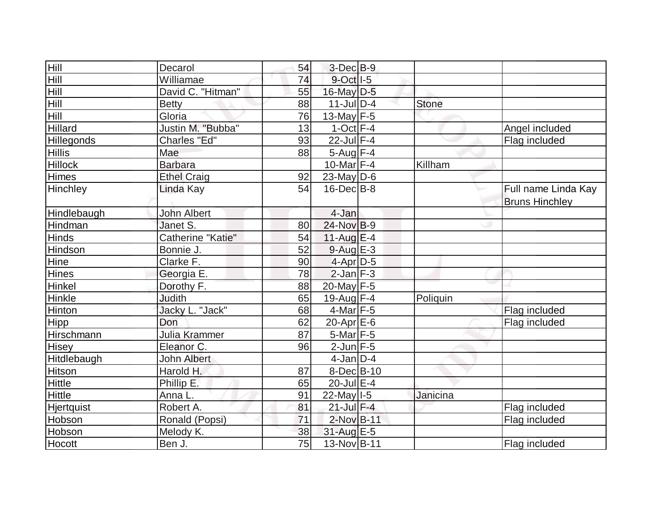| Hill           | Decarol            | 54 | 3-Dec B-9         |              |                       |
|----------------|--------------------|----|-------------------|--------------|-----------------------|
| Hill           | Williamae          | 74 | $9$ -Oct $ I-5 $  |              |                       |
| Hill           | David C. "Hitman"  | 55 | 16-May D-5        |              |                       |
| Hill           | <b>Betty</b>       | 88 | $11$ -JulD-4      | <b>Stone</b> |                       |
| Hill           | Gloria             | 76 | $13$ -May $F-5$   |              |                       |
| <b>Hillard</b> | Justin M. "Bubba"  | 13 | $1$ -Oct $F-4$    |              | Angel included        |
| Hillegonds     | Charles "Ed"       | 93 | 22-Jul F-4        |              | Flag included         |
| <b>Hillis</b>  | Mae                | 88 | $5$ -Aug $F-4$    |              |                       |
| <b>Hillock</b> | <b>Barbara</b>     |    | 10-Mar F-4        | Killham      |                       |
| Himes          | <b>Ethel Craig</b> | 92 | $23$ -May D-6     |              |                       |
| Hinchley       | Linda Kay          | 54 | $16$ -Dec $B$ -8  |              | Full name Linda Kay   |
|                |                    |    |                   |              | <b>Bruns Hinchley</b> |
| Hindlebaugh    | <b>John Albert</b> |    | 4-Jan             |              |                       |
| Hindman        | Janet S.           | 80 | 24-Nov B-9        |              |                       |
| <b>Hinds</b>   | Catherine "Katie"  | 54 | $11$ -Aug $E-4$   |              |                       |
| Hindson        | Bonnie J.          | 52 | $9$ -Aug $E-3$    |              |                       |
| Hine           | Clarke F.          | 90 | $4$ -Apr $D-5$    |              |                       |
| <b>Hines</b>   | Georgia E.         | 78 | $2$ -Jan $F-3$    |              |                       |
| Hinkel         | Dorothy F.         | 88 | 20-May F-5        |              |                       |
| Hinkle         | <b>Judith</b>      | 65 | 19-Aug F-4        | Poliquin     |                       |
| Hinton         | Jacky L. "Jack"    | 68 | $4$ -Mar $ F-5 $  |              | Flag included         |
| Hipp           | Don                | 62 | $20$ -Apr $E$ -6  |              | Flag included         |
| Hirschmann     | Julia Krammer      | 87 | 5-Mar F-5         |              |                       |
| Hisey          | Eleanor C.         | 96 | $2$ -Jun $F-5$    |              |                       |
| Hitdlebaugh    | <b>John Albert</b> |    | $4$ -Jan $D-4$    |              |                       |
| <b>Hitson</b>  | Harold H.          | 87 | $8$ -Dec $B$ -10  |              |                       |
| Hittle         | Phillip E.         | 65 | $20$ -Jul $E-4$   |              |                       |
| <b>Hittle</b>  | Anna L.            | 91 | $22$ -May $I - 5$ | Janicina     |                       |
| Hjertquist     | Robert A.          | 81 | $21$ -Jul $F-4$   |              | Flag included         |
| Hobson         | Ronald (Popsi)     | 71 | 2-Nov B-11        |              | Flag included         |
| Hobson         | Melody K.          | 38 | 31-Aug E-5        |              |                       |
| Hocott         | Ben J.             | 75 | 13-Nov B-11       |              | Flag included         |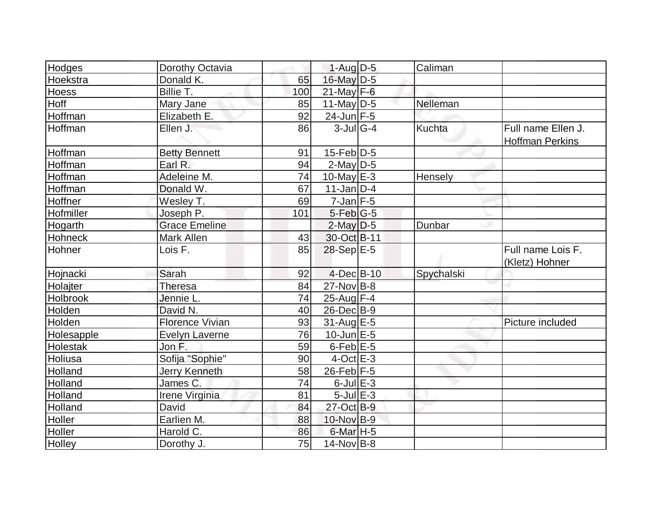| Hodges           | Dorothy Octavia        |     | $1-Auq$ D-5       | Caliman       |                                              |
|------------------|------------------------|-----|-------------------|---------------|----------------------------------------------|
| Hoekstra         | Donald K.              | 65  | 16-May D-5        |               |                                              |
| <b>Hoess</b>     | Billie T.              | 100 | $21$ -May F-6     |               |                                              |
| Hoff             | Mary Jane              | 85  | $11$ -May D-5     | Nelleman      |                                              |
| Hoffman          | Elizabeth E.           | 92  | $24$ -Jun $F-5$   |               |                                              |
| Hoffman          | Ellen J.               | 86  | $3$ -Jul G-4      | <b>Kuchta</b> | Full name Ellen J.<br><b>Hoffman Perkins</b> |
| Hoffman          | <b>Betty Bennett</b>   | 91  | $15$ -Feb $ D-5$  |               |                                              |
| Hoffman          | Earl R.                | 94  | $2$ -May $D-5$    |               |                                              |
| Hoffman          | Adeleine M.            | 74  | $10$ -May $E-3$   | Hensely       |                                              |
| Hoffman          | Donald W.              | 67  | $11$ -Jan $ D-4$  |               |                                              |
| Hoffner          | Wesley T.              | 69  | $7$ -Jan $ F-5 $  |               |                                              |
| <b>Hofmiller</b> | Joseph P.              | 101 | $5-Feb G-5$       |               |                                              |
| Hogarth          | <b>Grace Emeline</b>   |     | $2$ -May $D-5$    | Dunbar        |                                              |
| Hohneck          | Mark Allen             | 43  | 30-Oct B-11       |               |                                              |
| Hohner           | Lois F.                | 85  | 28-Sep E-5        |               | Full name Lois F.<br>(Kletz) Hohner          |
| Hojnacki         | Sarah                  | 92  | $4$ -Dec $B$ -10  | Spychalski    |                                              |
| Holajter         | Theresa                | 84  | $27$ -Nov B-8     |               |                                              |
| Holbrook         | Jennie L.              | 74  | 25-Aug F-4        |               |                                              |
| Holden           | David N.               | 40  | $26$ -Dec $B-9$   |               |                                              |
| Holden           | <b>Florence Vivian</b> | 93  | $31$ -Aug $E-5$   |               | Picture included                             |
| Holesapple       | <b>Evelyn Laverne</b>  | 76  | $10$ -Jun $E - 5$ |               |                                              |
| <b>Holestak</b>  | Jon F.                 | 59  | $6$ -Feb $E$ -5   |               |                                              |
| Holiusa          | Sofija "Sophie"        | 90  | $4$ -Oct $E - 3$  |               |                                              |
| Holland          | Jerry Kenneth          | 58  | $26$ -Feb F-5     |               |                                              |
| Holland          | James C.               | 74  | $6$ -Jul $E-3$    |               |                                              |
| Holland          | Irene Virginia         | 81  | $5$ -Jul $E-3$    |               |                                              |
| Holland          | David                  | 84  | 27-Oct B-9        |               |                                              |
| Holler           | Earlien M.             | 88  | 10-Nov B-9        |               |                                              |
| Holler           | Harold C.              | 86  | $6$ -Mar $H - 5$  |               |                                              |
| Holley           | Dorothy J.             | 75  | $14$ -Nov B-8     |               |                                              |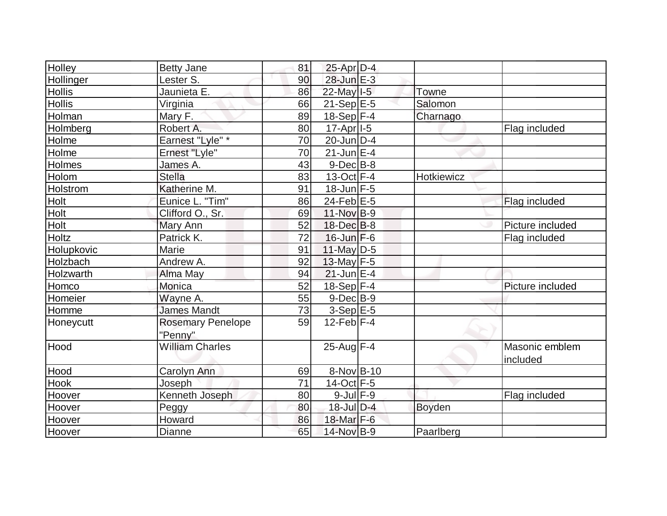| Holley        | <b>Betty Jane</b>                   | 81 | $25$ -Apr $D-4$  |               |                            |
|---------------|-------------------------------------|----|------------------|---------------|----------------------------|
| Hollinger     | Lester S.                           | 90 | 28-Jun E-3       |               |                            |
| <b>Hollis</b> | Jaunieta E.                         | 86 | 22-May I-5       | Towne         |                            |
| <b>Hollis</b> | Virginia                            | 66 | $21-Sep$ $E-5$   | Salomon       |                            |
| Holman        | Mary F.                             | 89 | 18-Sep F-4       | Charnago      |                            |
| Holmberg      | Robert A.                           | 80 | $17-Apr$   $-5$  |               | Flag included              |
| Holme         | Earnest "Lyle" *                    | 70 | $20$ -Jun $D$ -4 |               |                            |
| Holme         | Ernest "Lyle"                       | 70 | $21$ -Jun $E$ -4 |               |                            |
| Holmes        | James A.                            | 43 | $9$ -Dec $B$ -8  |               |                            |
| Holom         | <b>Stella</b>                       | 83 | $13-Oct$ F-4     | Hotkiewicz    |                            |
| Holstrom      | Katherine M.                        | 91 | $18$ -Jun $F-5$  |               |                            |
| Holt          | Eunice L. "Tim"                     | 86 | 24-Feb $E-5$     |               | Flag included              |
| Holt          | Clifford O., Sr.                    | 69 | 11-Nov B-9       |               |                            |
| Holt          | Mary Ann                            | 52 | $18$ -Dec $B$ -8 |               | Picture included           |
| Holtz         | Patrick K.                          | 72 | $16$ -Jun $F-6$  |               | Flag included              |
| Holupkovic    | Marie                               | 91 | $11$ -May D-5    |               |                            |
| Holzbach      | Andrew A.                           | 92 | 13-May $F-5$     |               |                            |
| Holzwarth     | Alma May                            | 94 | $21$ -Jun $E-4$  |               |                            |
| Homco         | Monica                              | 52 | $18-Sep$ F-4     |               | Picture included           |
| Homeier       | Wayne A.                            | 55 | $9$ -Dec $B$ -9  |               |                            |
| Homme         | <b>James Mandt</b>                  | 73 | $3-Sep$ E-5      |               |                            |
| Honeycutt     | <b>Rosemary Penelope</b><br>"Penny" | 59 | $12$ -Feb $F-4$  |               |                            |
| Hood          | <b>William Charles</b>              |    | 25-Aug F-4       |               | Masonic emblem<br>included |
| Hood          | Carolyn Ann                         | 69 | 8-Nov B-10       |               |                            |
| Hook          | Joseph                              | 71 | $14$ -Oct F-5    |               |                            |
| Hoover        | Kenneth Joseph                      | 80 | $9$ -Jul $F-9$   |               | Flag included              |
| Hoover        | Peggy                               | 80 | $18$ -Jul $D-4$  | <b>Boyden</b> |                            |
| Hoover        | Howard                              | 86 | 18-Mar F-6       |               |                            |
| Hoover        | <b>Dianne</b>                       | 65 | 14-Nov B-9       | Paarlberg     |                            |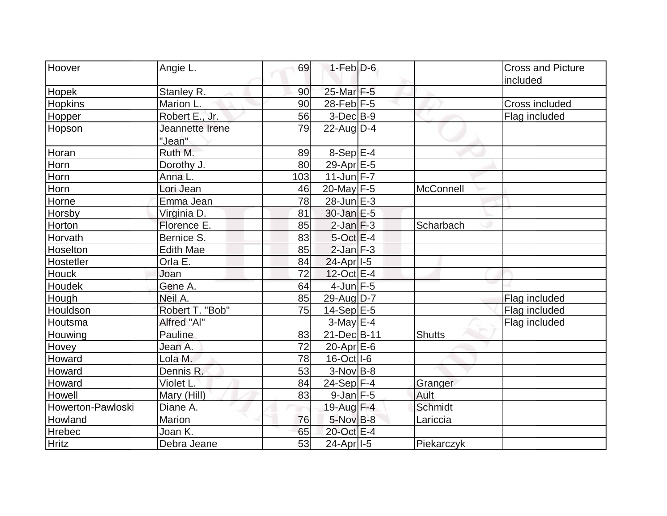|                   |                  |     | $1-Feb D-6$           |                |                          |
|-------------------|------------------|-----|-----------------------|----------------|--------------------------|
| Hoover            | Angie L.         | 69  |                       |                | <b>Cross and Picture</b> |
| <b>Hopek</b>      | Stanley R.       | 90  | 25-Mar F-5            |                | included                 |
| <b>Hopkins</b>    | Marion L.        | 90  | 28-Feb F-5            |                | Cross included           |
|                   | Robert E., Jr.   | 56  | $3-Dec B-9$           |                | Flag included            |
| Hopper<br>Hopson  | Jeannette Irene  | 79  | $22$ -Aug $D-4$       |                |                          |
|                   | "Jean"           |     |                       |                |                          |
| Horan             | Ruth M.          | 89  | $8-Sep$ E-4           |                |                          |
| Horn              | Dorothy J.       | 80  | 29-Apr <sub>E-5</sub> |                |                          |
| Horn              | Anna L.          | 103 | $11$ -Jun $F - 7$     |                |                          |
| Horn              | Lori Jean        | 46  | $20$ -May F-5         | McConnell      |                          |
| Horne             | Emma Jean        | 78  | $28$ -Jun $E-3$       |                |                          |
| Horsby            | Virginia D.      | 81  | $30$ -Jan $E-5$       |                |                          |
| Horton            | Florence E.      | 85  | $2$ -Jan $ F-3 $      | Scharbach      |                          |
| Horvath           | Bernice S.       | 83  | $5$ -Oct $E-4$        |                |                          |
| Hoselton          | <b>Edith Mae</b> | 85  | $2$ -Jan $F-3$        |                |                          |
| Hostetler         | Orla E.          | 84  | 24-Apr <sub>1-5</sub> |                |                          |
| <b>Houck</b>      | Joan             | 72  | $12$ -Oct $E-4$       |                |                          |
| Houdek            | Gene A.          | 64  | $4$ -Jun $F - 5$      |                |                          |
| Hough             | Neil A.          | 85  | 29-Aug D-7            |                | Flag included            |
| Houldson          | Robert T. "Bob"  | 75  | $14-Sep$ E-5          |                | Flag included            |
| Houtsma           | Alfred "Al"      |     | $3-May$ $E-4$         |                | Flag included            |
| Houwing           | Pauline          | 83  | 21-Dec B-11           | <b>Shutts</b>  |                          |
| Hovey             | Jean A.          | 72  | $20$ -Apr $E$ -6      |                |                          |
| Howard            | Lola M.          | 78  | $16$ -Oct $ I-6 $     |                |                          |
| Howard            | Dennis R.        | 53  | 3-Nov B-8             |                |                          |
| Howard            | Violet L.        | 84  | $24-Sep$ F-4          | Granger        |                          |
| Howell            | Mary (Hill)      | 83  | $9$ -Jan $F-5$        | Ault           |                          |
| Howerton-Pawloski | Diane A.         |     | 19-Aug F-4            | <b>Schmidt</b> |                          |
| Howland           | Marion           | 76  | $5-Nov$ B-8           | Lariccia       |                          |
| <b>Hrebec</b>     | Joan K.          | 65  | 20-Oct E-4            |                |                          |
| <b>Hritz</b>      | Debra Jeane      | 53  | 24-Apr <sub>1-5</sub> | Piekarczyk     |                          |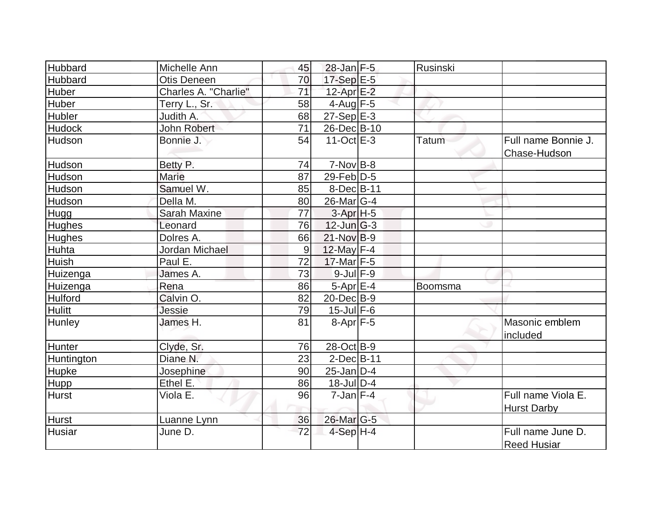| Hubbard        | Michelle Ann         | 45 | 28-Jan F-5            | Rusinski     |                                          |
|----------------|----------------------|----|-----------------------|--------------|------------------------------------------|
| Hubbard        | <b>Otis Deneen</b>   | 70 | $17-Sep$ E-5          |              |                                          |
| Huber          | Charles A. "Charlie" | 71 | $12$ -Apr $E-2$       |              |                                          |
| Huber          | Terry L., Sr.        | 58 | $4$ -Aug F-5          |              |                                          |
| Hubler         | Judith A.            | 68 | $27-Sep$ $E-3$        |              |                                          |
| <b>Hudock</b>  | John Robert          | 71 | 26-Dec B-10           |              |                                          |
| Hudson         | Bonnie J.            | 54 | $11-Oct$ E-3          | <b>Tatum</b> | Full name Bonnie J.<br>Chase-Hudson      |
| Hudson         | Betty P.             | 74 | $7-Nov B-8$           |              |                                          |
| Hudson         | Marie                | 87 | $29$ -Feb $D-5$       |              |                                          |
| Hudson         | Samuel W.            | 85 | 8-Dec B-11            |              |                                          |
| Hudson         | Della M.             | 80 | $26$ -Mar $ G-4 $     |              |                                          |
| Hugg           | <b>Sarah Maxine</b>  | 77 | $3-Apr$ H-5           |              |                                          |
| Hughes         | Leonard              | 76 | $12$ -Jun $ G-3 $     |              |                                          |
| <b>Hughes</b>  | Dolres A.            | 66 | $21-Nov$ B-9          |              |                                          |
| Huhta          | Jordan Michael       | 9  | 12-May F-4            |              |                                          |
| Huish          | Paul E.              | 72 | $17$ -Mar F-5         |              |                                          |
| Huizenga       | James A.             | 73 | $9$ -Jul $F-9$        |              |                                          |
| Huizenga       | Rena                 | 86 | 5-Apr E-4             | Boomsma      |                                          |
| <b>Hulford</b> | Calvin O.            | 82 | $20$ -Dec $B-9$       |              |                                          |
| <b>Hulitt</b>  | Jessie               | 79 | $15$ -Jul $F-6$       |              |                                          |
| Hunley         | James H.             | 81 | $8-Apr$ F-5           |              | Masonic emblem<br>included               |
| Hunter         | Clyde, Sr.           | 76 | 28-Oct B-9            |              |                                          |
| Huntington     | Diane N.             | 23 | $2$ -Dec $B$ -11      |              |                                          |
| Hupke          | Josephine            | 90 | $25$ -Jan $D-4$       |              |                                          |
| <b>Hupp</b>    | Ethel E.             | 86 | $18$ -JulD-4          |              |                                          |
| <b>Hurst</b>   | Viola E.             | 96 | $7$ -Jan $ F-4 $      |              | Full name Viola E.<br><b>Hurst Darby</b> |
| <b>Hurst</b>   | Luanne Lynn          | 36 | 26-Mar <sub>G-5</sub> |              |                                          |
| <b>Husiar</b>  | June D.              | 72 | $4-Sep$ H-4           |              | Full name June D.<br><b>Reed Husiar</b>  |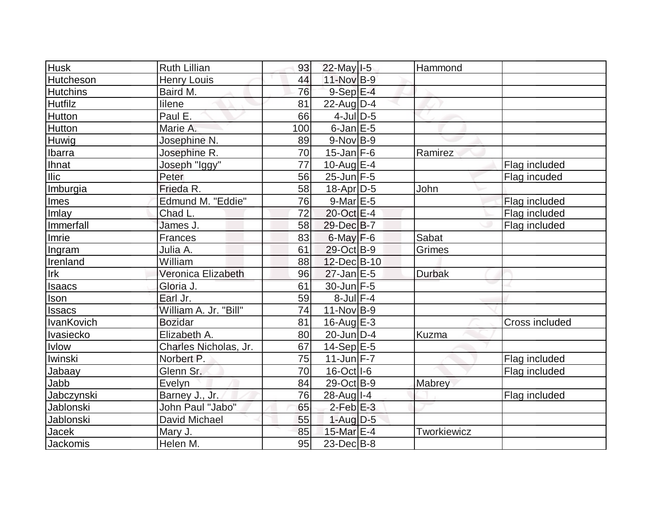| <b>Husk</b>       | <b>Ruth Lillian</b>   | 93  | 22-May I-5        | Hammond            |                       |
|-------------------|-----------------------|-----|-------------------|--------------------|-----------------------|
| Hutcheson         | <b>Henry Louis</b>    | 44  | 11-Nov B-9        |                    |                       |
| <b>Hutchins</b>   | Baird M.              | 76  | $9-Sep$ $E-4$     |                    |                       |
| <b>Hutfilz</b>    | lilene                | 81  | $22$ -Aug $D-4$   |                    |                       |
| Hutton            | Paul E.               | 66  | $4$ -JulD-5       |                    |                       |
| Hutton            | Marie A.              | 100 | $6$ -Jan $E$ -5   |                    |                       |
| Huwig             | Josephine N.          | 89  | $9-Nov B-9$       |                    |                       |
| <b>Ibarra</b>     | Josephine R.          | 70  | $15$ -Jan F-6     | Ramirez            |                       |
| <b>Ihnat</b>      | Joseph "Iggy"         | 77  | $10$ -Aug $E-4$   |                    | Flag included         |
| $l$ llic          | Peter                 | 56  | $25$ -Jun $F-5$   |                    | Flag incuded          |
| Imburgia          | Frieda R.             | 58  | $18$ -Apr $ D-5$  | John               |                       |
| Imes              | Edmund M. "Eddie"     | 76  | $9$ -Mar $E-5$    |                    | Flag included         |
| <b>Imlay</b>      | Chad L.               | 72  | 20-Oct E-4        |                    | Flag included         |
| Immerfall         | James J.              | 58  | 29-Dec B-7        |                    | Flag included         |
| Imrie             | Frances               | 83  | $6$ -May $F-6$    | Sabat              |                       |
| Ingram            | Julia A.              | 61  | 29-Oct B-9        | Grimes             |                       |
| Irenland          | William               | 88  | 12-Dec B-10       |                    |                       |
| Irk               | Veronica Elizabeth    | 96  | $27$ -Jan $E-5$   | <b>Durbak</b>      |                       |
| <b>Isaacs</b>     | Gloria J              | 61  | 30-Jun F-5        |                    |                       |
| <u>Ison</u>       | Earl Jr.              | 59  | $8$ -Jul $F-4$    |                    |                       |
| <b>Issacs</b>     | William A. Jr. "Bill" | 74  | $11-Nov B-9$      |                    |                       |
| <b>IvanKovich</b> | <b>Bozidar</b>        | 81  | $16$ -Aug $E-3$   |                    | <b>Cross included</b> |
| Ivasiecko         | Elizabeth A.          | 80  | $20$ -Jun $ D-4$  | Kuzma              |                       |
| <b>Ivlow</b>      | Charles Nicholas, Jr. | 67  | $14-Sep$ $E-5$    |                    |                       |
| Iwinski           | Norbert P.            | 75  | $11$ -Jun F-7     |                    | Flag included         |
| Jabaay            | Glenn Sr.             | 70  | 16-Oct I-6        |                    | Flag included         |
| Jabb              | Evelyn                | 84  | 29-Oct B-9        | Mabrey             |                       |
| Jabczynski        | Barney J., Jr.        | 76  | $28$ -Aug $I - 4$ |                    | Flag included         |
| Jablonski         | John Paul "Jabo"      | 65  | $2$ -Feb $E-3$    |                    |                       |
| Jablonski         | David Michael         | 55  | $1-Aug$ D-5       |                    |                       |
| Jacek             | Mary J.               | 85  | 15-Mar E-4        | <b>Tworkiewicz</b> |                       |
| Jackomis          | Helen M.              | 95  | $23$ -Dec $B$ -8  |                    |                       |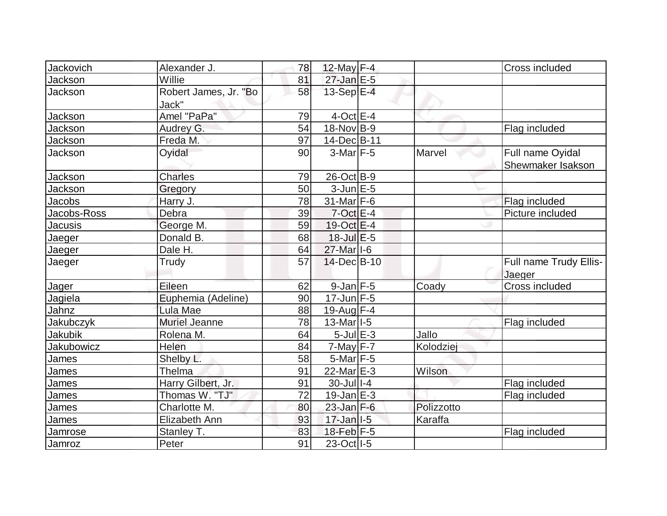| Jackovich   | Alexander J.                   | 78 | 12-May $F-4$                            |            | Cross included                   |
|-------------|--------------------------------|----|-----------------------------------------|------------|----------------------------------|
| Jackson     | Willie                         | 81 | $27$ -Jan E-5                           |            |                                  |
| Jackson     | Robert James, Jr. "Bo<br>Jack" | 58 | 13-Sep $E-4$                            |            |                                  |
| Jackson     | Amel "PaPa"                    | 79 | $4$ -Oct $E$ -4                         |            |                                  |
| Jackson     | Audrey G.                      | 54 | 18-Nov B-9                              |            | Flag included                    |
| Jackson     | Freda M.                       | 97 | 14-Dec <sup>B-11</sup>                  |            |                                  |
| Jackson     | Oyidal                         | 90 | $3-Mar$ F-5                             | Marvel     | Full name Oyidal                 |
|             |                                |    |                                         |            | Shewmaker Isakson                |
| Jackson     | <b>Charles</b>                 | 79 | 26-Oct B-9                              |            |                                  |
| Jackson     | Gregory                        | 50 | $3$ -Jun $E$ -5                         |            |                                  |
| Jacobs      | Harry J.                       | 78 | 31-Mar F-6                              |            | Flag included                    |
| Jacobs-Ross | Debra                          | 39 | $7$ -Oct $E - 4$                        |            | Picture included                 |
| Jacusis     | George M.                      | 59 | $19-Oct$ $E-4$                          |            |                                  |
| Jaeger      | Donald B.                      | 68 | $18$ -Jul $E$ -5                        |            |                                  |
| Jaeger      | Dale H.                        | 64 | 27-Mar I-6                              |            |                                  |
| Jaeger      | Trudy                          | 57 | 14-Dec B-10                             |            | Full name Trudy Ellis-<br>Jaeger |
| Jager       | Eileen                         | 62 | $9$ -Jan $F$ -5                         | Coady      | Cross included                   |
| Jagiela     | Euphemia (Adeline)             | 90 | $17$ -Jun $F-5$                         |            |                                  |
| Jahnz       | Lula Mae                       | 88 | $19$ -Aug F-4                           |            |                                  |
| Jakubczyk   | <b>Muriel Jeanne</b>           | 78 | $13$ -Mar <sub><math> I-5 </math></sub> |            | Flag included                    |
| Jakubik     | Rolena M.                      | 64 | $5$ -Jul $E-3$                          | Jallo      |                                  |
| Jakubowicz  | Helen                          | 84 | 7-May F-7                               | Kolodziej  |                                  |
| James       | Shelby L.                      | 58 | $5$ -Mar $ F-5 $                        |            |                                  |
| James       | Thelma                         | 91 | 22-Mar E-3                              | Wilson     |                                  |
| James       | Harry Gilbert, Jr.             | 91 | 30-Jul   I-4                            |            | Flag included                    |
| James       | Thomas W. "TJ"                 | 72 | $19$ -Jan $E-3$                         |            | Flag included                    |
| James       | Charlotte M.                   | 80 | $23$ -Jan F-6                           | Polizzotto |                                  |
| James       | Elizabeth Ann                  | 93 | $17 - Jan$ <sup>1-5</sup>               | Karaffa    |                                  |
| Jamrose     | Stanley T.                     | 83 | 18-Feb F-5                              |            | Flag included                    |
| Jamroz      | Peter                          | 91 | 23-Oct   I-5                            |            |                                  |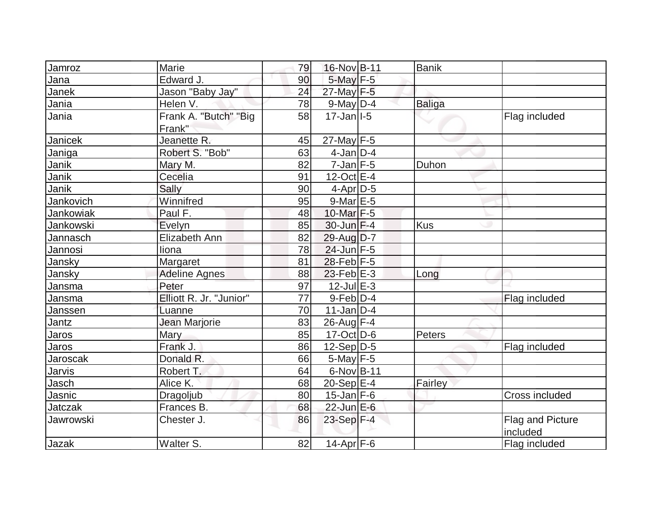| Jamroz         | Marie                   | 79              | 16-Nov B-11               | <b>Banik</b>  |                  |
|----------------|-------------------------|-----------------|---------------------------|---------------|------------------|
| Jana           | Edward J.               | 90              | $5$ -May $F-5$            |               |                  |
| Janek          | Jason "Baby Jay"        | 24              | 27-May F-5                |               |                  |
| Jania          | Helen V.                | 78              | $9$ -May $D-4$            | <b>Baliga</b> |                  |
| Jania          | Frank A. "Butch" "Big   | 58              | $17 - Jan$ <sup>1-5</sup> |               | Flag included    |
|                | Frank"                  |                 |                           |               |                  |
| Janicek        | Jeanette R.             | 45              | 27-May F-5                |               |                  |
| Janiga         | Robert S. "Bob"         | 63              | $4$ -Jan $D-4$            |               |                  |
| Janik          | Mary M.                 | 82              | $7$ -Jan $F-5$            | Duhon         |                  |
| Janik          | Cecelia                 | 91              | $12$ -Oct $E-4$           |               |                  |
| Janik          | Sally                   | 90              | $4$ -Apr $D-5$            |               |                  |
| Jankovich      | Winnifred               | 95              | $9$ -Mar $E - 5$          |               |                  |
| Jankowiak      | Paul F.                 | 48              | 10-Mar F-5                |               |                  |
| Jankowski      | Evelyn                  | 85              | $30$ -Jun F-4             | <b>Kus</b>    |                  |
| Jannasch       | Elizabeth Ann           | 82              | 29-Aug D-7                |               |                  |
| Jannosi        | liona                   | 78              | 24-Jun F-5                |               |                  |
| Jansky         | Margaret                | 81              | $28$ -Feb F-5             |               |                  |
| Jansky         | <b>Adeline Agnes</b>    | 88              | $23$ -Feb $E-3$           | Long          |                  |
| Jansma         | Peter                   | 97              | 12-Jul E-3                |               |                  |
| Jansma         | Elliott R. Jr. "Junior" | $\overline{77}$ | $9$ -Feb $D-4$            |               | Flag included    |
| Janssen        | Luanne                  | 70              | $11$ -Jan $ D-4$          |               |                  |
| Jantz          | Jean Marjorie           | 83              | $26$ -Aug F-4             |               |                  |
| Jaros          | Mary                    | 85              | $17-Cct$ D-6              | Peters        |                  |
| Jaros          | Frank J.                | 86              | $12-Sep D-5$              |               | Flag included    |
| Jaroscak       | Donald R.               | 66              | $5$ -May $F - 5$          |               |                  |
| Jarvis         | Robert T.               | 64              | $6$ -Nov $B$ -11          |               |                  |
| Jasch          | Alice K.                | 68              | 20-Sep $E-4$              | Fairley       |                  |
| Jasnic         | Dragoljub               | 80              | $15$ -Jan F-6             |               | Cross included   |
| <b>Jatczak</b> | Frances B.              | 68              | $22$ -Jun $E-6$           |               |                  |
| Jawrowski      | Chester J.              | 86              | 23-Sep F-4                |               | Flag and Picture |
|                |                         |                 |                           |               | included         |
| Jazak          | Walter S.               | 82              | $14$ -Apr $F-6$           |               | Flag included    |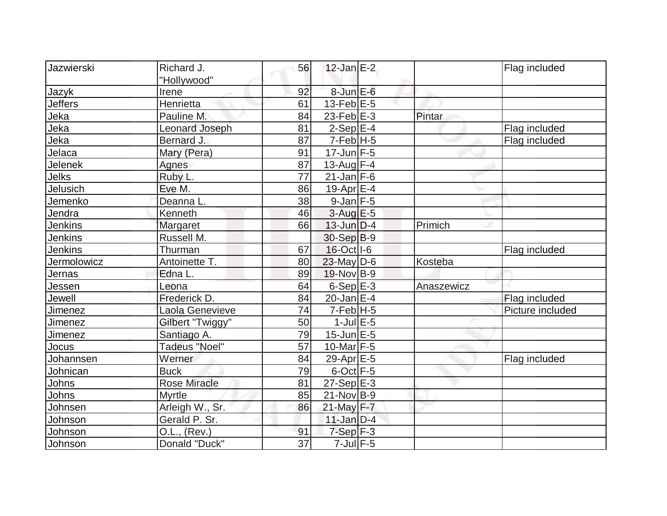| Jazwierski         | Richard J.            |                 | $12$ -Jan $E-2$         |            |                  |
|--------------------|-----------------------|-----------------|-------------------------|------------|------------------|
|                    |                       | 56              |                         |            | Flag included    |
|                    | "Hollywood"           |                 |                         |            |                  |
| Jazyk              | Irene                 | 92              | $8$ -Jun $E$ -6         |            |                  |
| <b>Jeffers</b>     | Henrietta             | 61              | $13$ -Feb $ E-5 $       |            |                  |
| Jeka               | Pauline M.            | 84              | $23$ -Feb $E-3$         | Pintar     |                  |
| Jeka               | <b>Leonard Joseph</b> | 81              | $2-Sep$ $E-4$           |            | Flag included    |
| Jeka               | Bernard J.            | 87              | $7-Feb$ H-5             |            | Flag included    |
| Jelaca             | Mary (Pera)           | 91              | $17$ -Jun F-5           |            |                  |
| Jelenek            | Agnes                 | 87              | 13-Aug F-4              |            |                  |
| Jelks              | Ruby L.               | 77              | $21$ -Jan $F-6$         |            |                  |
| Jelusich           | Eve M.                | 86              | 19-Apr $E-4$            |            |                  |
| Jemenko            | Deanna L.             | 38              | $9$ -Jan $ F-5 $        |            |                  |
| Jendra             | Kenneth               | 46              | $3$ -Aug $E$ -5         |            |                  |
| Jenkins            | Margaret              | 66              | $13$ -Jun $D-4$         | Primich    |                  |
| <b>Jenkins</b>     | Russell M.            |                 | 30-Sep B-9              |            |                  |
| <b>Jenkins</b>     | Thurman               | 67              | 16-Oct I-6              |            | Flag included    |
| <b>Jermolowicz</b> | Antoinette T.         | 80              | $23$ -May D-6           | Kosteba    |                  |
| Jernas             | Edna L.               | 89              | $19-Nov B-9$            |            |                  |
| Jessen             | Leona                 | 64              | $6-Sep$ E-3             | Anaszewicz |                  |
| Jewell             | Frederick D.          | 84              | $20$ -Jan $E-4$         |            | Flag included    |
| Jimenez            | Laola Genevieve       | 74              | $7-Feb$ H-5             |            | Picture included |
| Jimenez            | Gilbert "Twiggy"      | 50              | $1$ -Jul $E$ -5         |            |                  |
| Jimenez            | Santiago A.           | 79              | $15$ -Jun $E$ -5        |            |                  |
| Jocus              | <b>Tadeus "Noel"</b>  | 57              | $10$ -Mar $F-5$         |            |                  |
| Johannsen          | Werner                | 84              | 29-Apr E-5              |            | Flag included    |
| Johnican           | <b>Buck</b>           | 79              | $6$ -Oct $F - 5$        |            |                  |
| Johns              | Rose Miracle          | 81              | $27-Sep$ <sup>E-3</sup> |            |                  |
| Johns              | <b>Myrtle</b>         | 85              | $21$ -Nov $ B-9 $       |            |                  |
| Johnsen            | Arleigh W., Sr.       | 86              | 21-May F-7              |            |                  |
| Johnson            | Gerald P. Sr.         |                 | $11$ -Jan $D-4$         |            |                  |
| Johnson            | O.L., (Rev.)          | 91              | $7-Sep$ $F-3$           |            |                  |
| Johnson            | Donald "Duck"         | $\overline{37}$ | $7$ -Jul $F$ -5         |            |                  |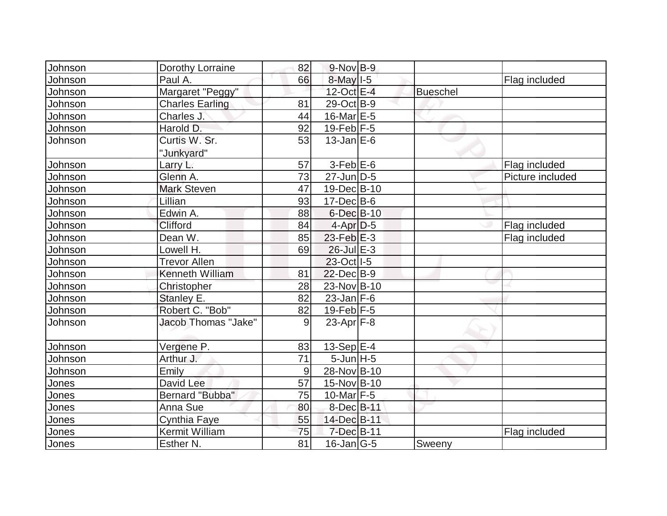| Johnson | Dorothy Lorraine       | 82 | $9-Nov$ B-9       |                 |                  |
|---------|------------------------|----|-------------------|-----------------|------------------|
| Johnson | Paul A.                | 66 | $8$ -May $1-5$    |                 | Flag included    |
| Johnson | Margaret "Peggy"       |    | $12$ -Oct $E-4$   | <b>Bueschel</b> |                  |
| Johnson | <b>Charles Earling</b> | 81 | 29-Oct B-9        |                 |                  |
| Johnson | Charles J.             | 44 | $16$ -Mar $E-5$   |                 |                  |
| Johnson | Harold D.              | 92 | $19$ -Feb F-5     |                 |                  |
| Johnson | Curtis W. Sr.          | 53 | $13$ -Jan $E$ -6  |                 |                  |
|         | "Junkyard"             |    |                   |                 |                  |
| Johnson | Larry L.               | 57 | $3-Feb$ $E-6$     |                 | Flag included    |
| Johnson | Glenn A.               | 73 | $27$ -Jun $D-5$   |                 | Picture included |
| Johnson | <b>Mark Steven</b>     | 47 | $19$ -Dec $ B-10$ |                 |                  |
| Johnson | Lillian                | 93 | $17 - Dec$ B-6    |                 |                  |
| Johnson | Edwin A.               | 88 | $6$ -Dec $B$ -10  |                 |                  |
| Johnson | <b>Clifford</b>        | 84 | $4-Apr D-5$       |                 | Flag included    |
| Johnson | Dean W.                | 85 | $23$ -Feb $E-3$   |                 | Flag included    |
| Johnson | Lowell H.              | 69 | $26$ -Jul $E-3$   |                 |                  |
| Johnson | <b>Trevor Allen</b>    |    | 23-Oct I-5        |                 |                  |
| Johnson | <b>Kenneth William</b> | 81 | $22$ -Dec $B-9$   |                 |                  |
| Johnson | Christopher            | 28 | 23-Nov B-10       |                 |                  |
| Johnson | Stanley E.             | 82 | $23$ -Jan F-6     |                 |                  |
| Johnson | Robert C. "Bob"        | 82 | $19$ -Feb F-5     |                 |                  |
| Johnson | Jacob Thomas "Jake"    | 9  | $23$ -Apr $F-8$   |                 |                  |
| Johnson | Vergene P.             | 83 | 13-Sep $E-4$      |                 |                  |
| Johnson | Arthur J.              | 71 | $5$ -Jun $H - 5$  |                 |                  |
| Johnson | Emily                  | 9  | 28-Nov B-10       |                 |                  |
| Jones   | David Lee              | 57 | 15-Nov B-10       |                 |                  |
| Jones   | Bernard "Bubba"        | 75 | 10-Mar $F-5$      |                 |                  |
| Jones   | Anna Sue               | 80 | 8-Dec B-11        |                 |                  |
| Jones   | Cynthia Faye           | 55 | 14-Dec B-11       |                 |                  |
| Jones   | Kermit William         | 75 | 7-Dec B-11        |                 | Flag included    |
| Jones   | Esther N.              | 81 | $16$ -Jan $ G-5 $ | Sweeny          |                  |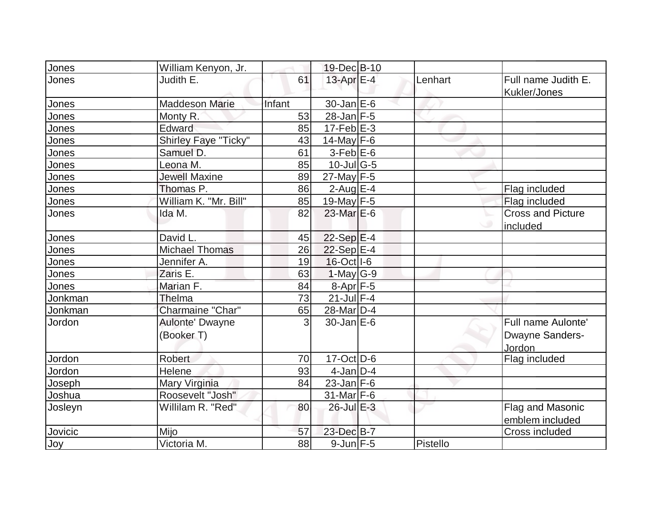| <b>Jones</b> | William Kenyon, Jr.           |        | 19-Dec B-10           |          |                                                 |
|--------------|-------------------------------|--------|-----------------------|----------|-------------------------------------------------|
| Jones        | Judith E.                     | 61     | 13-Apr E-4            | Lenhart  | Full name Judith E.<br>Kukler/Jones             |
| Jones        | <b>Maddeson Marie</b>         | Infant | $30$ -Jan $E$ -6      |          |                                                 |
| Jones        | Monty R.                      | 53     | $28$ -Jan F-5         |          |                                                 |
| Jones        | Edward                        | 85     | $17-Feb$ $E-3$        |          |                                                 |
| Jones        | Shirley Faye "Ticky"          | 43     | 14-May $F-6$          |          |                                                 |
| Jones        | Samuel D.                     | 61     | $3-Feb$ $E-6$         |          |                                                 |
| <b>Jones</b> | Leona M.                      | 85     | $10$ -Jul G-5         |          |                                                 |
| Jones        | <b>Jewell Maxine</b>          | 89     | $27$ -May F-5         |          |                                                 |
| <u>Jones</u> | Thomas P.                     | 86     | $2$ -Aug $E-4$        |          | Flag included                                   |
| Jones        | William K. "Mr. Bill"         | 85     | 19-May F-5            |          | Flag included                                   |
| Jones        | Ida M.                        | 82     | $23$ -Mar $E-6$       |          | <b>Cross and Picture</b><br>included            |
| Jones        | David L.                      | 45     | $22-Sep$ E-4          |          |                                                 |
| Jones        | <b>Michael Thomas</b>         | 26     | 22-Sep E-4            |          |                                                 |
| Jones        | Jennifer A.                   | 19     | $16$ -Oct $ I-6 $     |          |                                                 |
| Jones        | Zaris E.                      | 63     | $1-May G-9$           |          |                                                 |
| Jones        | Marian F.                     | 84     | 8-Apr F-5             |          |                                                 |
| Jonkman      | Thelma                        | 73     | $21$ -Jul F-4         |          |                                                 |
| Jonkman      | Charmaine "Char"              | 65     | 28-Mar <sub>D-4</sub> |          |                                                 |
| Jordon       | Aulonte' Dwayne<br>(Booker T) | 3      | $30$ -Jan $E$ -6      |          | Full name Aulonte'<br>Dwayne Sanders-<br>Jordon |
| Jordon       | <b>Robert</b>                 | 70     | $17-Oct$ D-6          |          | Flag included                                   |
| Jordon       | Helene                        | 93     | $4$ -Jan $D-4$        |          |                                                 |
| Joseph       | Mary Virginia                 | 84     | $23$ -Jan F-6         |          |                                                 |
| Joshua       | Roosevelt "Josh"              |        | $31$ -Mar F-6         |          |                                                 |
| Josleyn      | Willilam R. "Red"             | 80     | $26$ -Jul $E-3$       |          | Flag and Masonic<br>emblem included             |
| Jovicic      | Mijo                          | 57     | 23-Dec B-7            |          | Cross included                                  |
| Joy          | Victoria M.                   | 88     | $9$ -Jun $F - 5$      | Pistello |                                                 |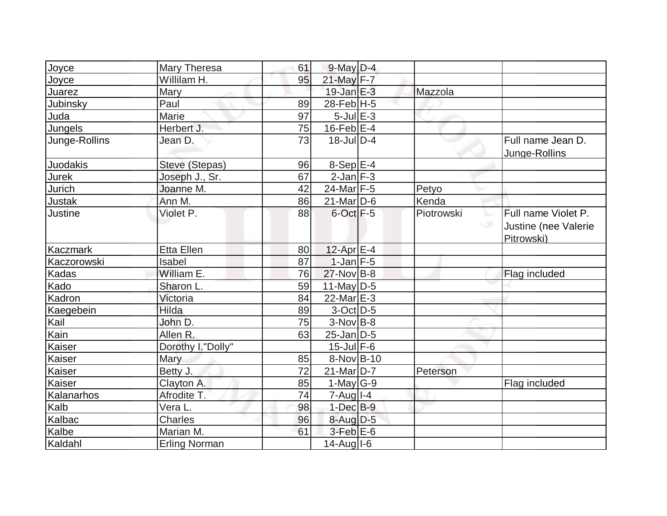| Joyce           | <b>Mary Theresa</b>  | 61 | $9$ -May $D-4$           |            |                                                                     |
|-----------------|----------------------|----|--------------------------|------------|---------------------------------------------------------------------|
| Joyce           | Willilam H.          | 95 | $21$ -May F-7            |            |                                                                     |
| Juarez          | Mary                 |    | $19$ -Jan $E-3$          | Mazzola    |                                                                     |
| Jubinsky        | Paul                 | 89 | $28$ -Feb $H - 5$        |            |                                                                     |
| Juda            | Marie                | 97 | $5$ -Jul $E$ -3          |            |                                                                     |
| Jungels         | Herbert J.           | 75 | $16$ -Feb $E-4$          |            |                                                                     |
| Junge-Rollins   | Jean D.              | 73 | $18$ -JulD-4             |            | Full name Jean D.<br>Junge-Rollins                                  |
| <b>Juodakis</b> | Steve (Stepas)       | 96 | $8-Sep$ E-4              |            |                                                                     |
| Jurek           | Joseph J., Sr.       | 67 | $2$ -Jan $F-3$           |            |                                                                     |
| Jurich          | Joanne M.            | 42 | $24$ -Mar F-5            | Petyo      |                                                                     |
| <b>Justak</b>   | Ann M.               | 86 | $21$ -Mar $ D-6$         | Kenda      |                                                                     |
| Justine         | Violet P.            | 88 | $6$ -Oct $F - 5$         | Piotrowski | Full name Violet P.<br>╰<br>پ<br>Justine (nee Valerie<br>Pitrowski) |
| Kaczmark        | <b>Etta Ellen</b>    | 80 | 12-Apr $E-4$             |            |                                                                     |
| Kaczorowski     | Isabel               | 87 | $1$ -Jan $ F-5 $         |            |                                                                     |
| Kadas           | William E.           | 76 | $27$ -Nov B-8            |            | Flag included                                                       |
| Kado            | Sharon L.            | 59 | $11$ -May D-5            |            |                                                                     |
| Kadron          | Victoria             | 84 | $22$ -Mar $E-3$          |            |                                                                     |
| Kaegebein       | Hilda                | 89 | $3-Oct$ D-5              |            |                                                                     |
| Kail            | John D.              | 75 | $3-Nov$ B-8              |            |                                                                     |
| Kain            | Allen R.             | 63 | $25$ -Jan $D-5$          |            |                                                                     |
| <b>Kaiser</b>   | Dorothy I."Dolly"    |    | $15$ -Jul $F-6$          |            |                                                                     |
| Kaiser          | Mary                 | 85 | 8-Nov B-10               |            |                                                                     |
| Kaiser          | Betty J.             | 72 | $21$ -Mar $D-7$          | Peterson   |                                                                     |
| Kaiser          | Clayton A.           | 85 | $1-May G-9$              |            | Flag included                                                       |
| Kalanarhos      | Afrodite T.          | 74 | $7 - Aug$ <sub>1-4</sub> |            |                                                                     |
| Kalb            | Vera <sub>L.</sub>   | 98 | $1$ -Dec $B-9$           |            |                                                                     |
| Kalbac          | <b>Charles</b>       | 96 | $8$ -Aug $D$ -5          |            |                                                                     |
| Kalbe           | Marian M.            | 61 | $3$ -Feb $E$ -6          |            |                                                                     |
| Kaldahl         | <b>Erling Norman</b> |    | $14$ -Aug $I$ -6         |            |                                                                     |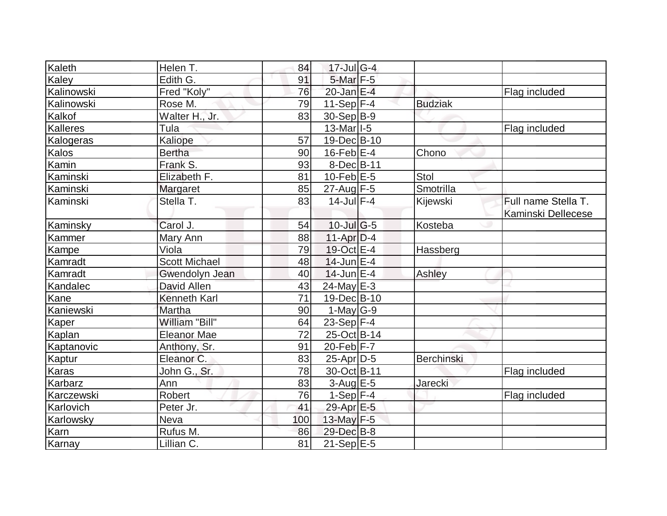| Kaleth          | Helen T.             | 84  | $17$ -Jul G-4     |                |                     |
|-----------------|----------------------|-----|-------------------|----------------|---------------------|
| Kaley           | Edith G.             | 91  | $5$ -Mar $F - 5$  |                |                     |
| Kalinowski      | Fred "Koly"          | 76  | $20$ -Jan $E-4$   |                | Flag included       |
| Kalinowski      | Rose M.              | 79  | $11-Sep$ F-4      | <b>Budziak</b> |                     |
| Kalkof          | Walter H., Jr.       | 83  | 30-Sep B-9        |                |                     |
| <b>Kalleres</b> | Tula                 |     | $13$ -Mar $ I-5 $ |                | Flag included       |
| Kalogeras       | Kaliope              | 57  | 19-Dec B-10       |                |                     |
| Kalos           | <b>Bertha</b>        | 90  | $16$ -Feb $E-4$   | Chono          |                     |
| Kamin           | Frank S.             | 93  | 8-Dec B-11        |                |                     |
| Kaminski        | Elizabeth F.         | 81  | $10$ -Feb $E$ -5  | Stol           |                     |
| Kaminski        | Margaret             | 85  | $27$ -Aug F-5     | Smotrilla      |                     |
| Kaminski        | Stella T.            | 83  | $14$ -Jul $F-4$   | Kijewski       | Full name Stella T. |
|                 |                      |     |                   |                | Kaminski Dellecese  |
| Kaminsky        | Carol J.             | 54  | 10-Jul G-5        | Kosteba        |                     |
| Kammer          | Mary Ann             | 88  | $11-Apr D-4$      |                |                     |
| Kampe           | Viola                | 79  | 19-Oct E-4        | Hassberg       |                     |
| Kamradt         | <b>Scott Michael</b> | 48  | $14$ -Jun $E-4$   |                |                     |
| Kamradt         | Gwendolyn Jean       | 40  | $14$ -Jun $E-4$   | Ashley         |                     |
| Kandalec        | David Allen          | 43  | 24-May E-3        |                |                     |
| Kane            | <b>Kenneth Karl</b>  | 71  | 19-Dec B-10       |                |                     |
| Kaniewski       | Martha               | 90  | $1-May G-9$       |                |                     |
| Kaper           | William "Bill"       | 64  | 23-Sep $F-4$      |                |                     |
| Kaplan          | <b>Eleanor Mae</b>   | 72  | 25-Oct B-14       |                |                     |
| Kaptanovic      | Anthony, Sr.         | 91  | $20$ -Feb $ F-7 $ |                |                     |
| Kaptur          | Eleanor C.           | 83  | $25$ -Apr $D-5$   | Berchinski     |                     |
| Karas           | John G., Sr.         | 78  | 30-Oct B-11       |                | Flag included       |
| Karbarz         | Ann                  | 83  | $3$ -Aug $E - 5$  | Jarecki        |                     |
| Karczewski      | Robert               | 76  | $1-Sep$ F-4       |                | Flag included       |
| Karlovich       | Peter Jr.            | 41  | 29-Apr E-5        |                |                     |
| Karlowsky       | Neva                 | 100 | 13-May F-5        |                |                     |
| Karn            | Rufus M.             | 86  | 29-Dec B-8        |                |                     |
| Karnay          | Lillian C.           | 81  | $21-SepE-5$       |                |                     |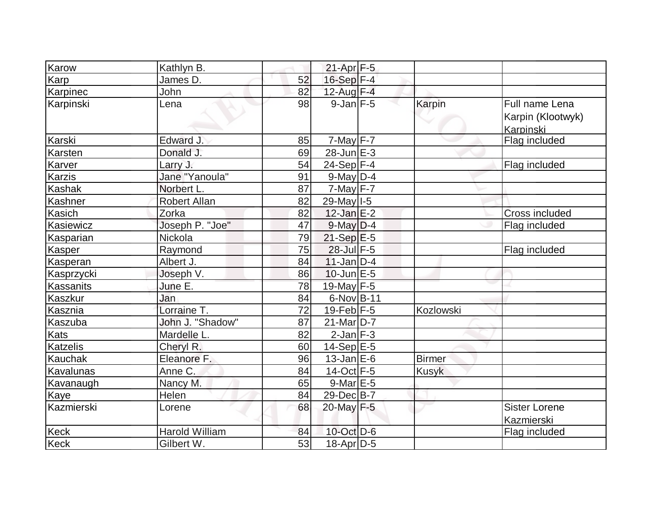| Karow           | Kathlyn B.       |    | $21-Apr$ F-5          |               |                                                  |
|-----------------|------------------|----|-----------------------|---------------|--------------------------------------------------|
| Karp            | James D.         | 52 | 16-Sep F-4            |               |                                                  |
| Karpinec        | John             | 82 | 12-Aug F-4            |               |                                                  |
| Karpinski       | Lena             | 98 | $9$ -Jan $F-5$        | Karpin        | Full name Lena<br>Karpin (Klootwyk)<br>Karpinski |
| Karski          | Edward J.        | 85 | $7-May$ F-7           |               | Flag included                                    |
| Karsten         | Donald J.        | 69 | $28$ -Jun $E-3$       |               |                                                  |
| Karver          | Larry J.         | 54 | 24-Sep $F-4$          |               | Flag included                                    |
| <b>Karzis</b>   | Jane "Yanoula"   | 91 | $9$ -May $D-4$        |               |                                                  |
| Kashak          | Norbert L.       | 87 | $7$ -May $F - 7$      |               |                                                  |
| Kashner         | Robert Allan     | 82 | 29-May I-5            |               |                                                  |
| Kasich          | Zorka            | 82 | $12$ -Jan $E-2$       |               | <b>Cross included</b>                            |
| Kasiewicz       | Joseph P. "Joe"  | 47 | $9$ -May $D-4$        |               | Flag included                                    |
| Kasparian       | Nickola          | 79 | $21-Sep$ $E-5$        |               |                                                  |
| <b>Kasper</b>   | Raymond          | 75 | 28-Jul F-5            |               | Flag included                                    |
| Kasperan        | Albert J.        | 84 | $11$ -Jan $ D-4 $     |               |                                                  |
| Kasprzycki      | Joseph V.        | 86 | $10$ -Jun $E - 5$     |               |                                                  |
| Kassanits       | June E.          | 78 | 19-May $F-5$          |               |                                                  |
| <b>Kaszkur</b>  | Jan              | 84 | 6-Nov B-11            |               |                                                  |
| Kasznia         | Lorraine T.      | 72 | $19$ -Feb $F-5$       | Kozlowski     |                                                  |
| Kaszuba         | John J. "Shadow" | 87 | 21-Mar <sub>D-7</sub> |               |                                                  |
| Kats            | Mardelle L.      | 82 | $2$ -Jan $F-3$        |               |                                                  |
| <b>Katzelis</b> | Cheryl R.        | 60 | $14-Sep$ E-5          |               |                                                  |
| Kauchak         | Eleanore F.      | 96 | $13$ -Jan $E$ -6      | <b>Birmer</b> |                                                  |
| Kavalunas       | Anne C.          | 84 | $14$ -Oct F-5         | <b>Kusyk</b>  |                                                  |
| Kavanaugh       | Nancy M.         | 65 | $9$ -Mar $E-5$        |               |                                                  |
| <b>Kaye</b>     | Helen            | 84 | 29-Dec B-7            |               |                                                  |
| Kazmierski      | Lorene           | 68 | 20-May F-5            |               | <b>Sister Lorene</b><br>Kazmierski               |
| <b>Keck</b>     | Harold William   | 84 | 10-Oct D-6            |               | Flag included                                    |
| Keck            | Gilbert W.       | 53 | $18$ -Apr $D-5$       |               |                                                  |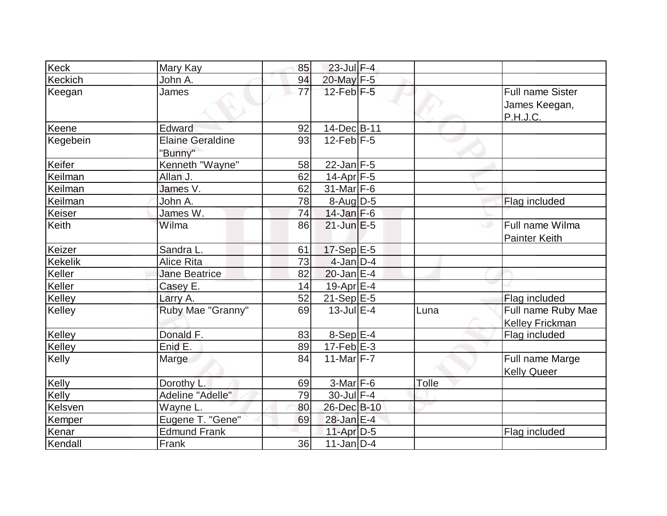| Keck           | Mary Kay                           | 85              | $23$ -Jul $F-4$   |       |                                                      |
|----------------|------------------------------------|-----------------|-------------------|-------|------------------------------------------------------|
| Keckich        | John A.                            | 94              | 20-May F-5        |       |                                                      |
| Keegan         | James                              | $\overline{77}$ | $12$ -Feb $F-5$   |       | <b>Full name Sister</b><br>James Keegan,<br>P.H.J.C. |
| Keene          | Edward                             | 92              | 14-Dec B-11       |       |                                                      |
| Kegebein       | <b>Elaine Geraldine</b><br>"Bunny" | 93              | $12$ -Feb $ F-5 $ |       |                                                      |
| Keifer         | Kenneth "Wayne"                    | 58              | $22$ -Jan F-5     |       |                                                      |
| Keilman        | Allan J.                           | 62              | $14$ -Apr $ F-5 $ |       |                                                      |
| Keilman        | James $\overline{V}$ .             | 62              | $31$ -Mar F-6     |       |                                                      |
| Keilman        | John A.                            | 78              | $8$ -Aug D-5      |       | Flag included                                        |
| Keiser         | James W.                           | 74              | $14$ -Jan F-6     |       |                                                      |
| Keith          | Wilma                              | 86              | $21$ -Jun $E-5$   |       | Full name Wilma<br>ی<br><b>Painter Keith</b>         |
| Keizer         | Sandra L.                          | 61              | $17-Sep$ E-5      |       |                                                      |
| <b>Kekelik</b> | <b>Alice Rita</b>                  | 73              | $4$ -Jan D-4      |       |                                                      |
| Keller         | <b>Jane Beatrice</b>               | 82              | $20$ -Jan $E-4$   |       |                                                      |
| Keller         | Casey E.                           | 14              | 19-Apr E-4        |       |                                                      |
| Kelley         | Larry A.                           | 52              | $21-Sep$ E-5      |       | Flag included                                        |
| Kelley         | Ruby Mae "Granny"                  | 69              | $13$ -Jul $E-4$   | Luna  | Full name Ruby Mae<br><b>Kelley Frickman</b>         |
| Kelley         | Donald F.                          | 83              | $8-SepE-4$        |       | Flag included                                        |
| Kelley         | Enid E.                            | 89              | $17-Feb$ $E-3$    |       |                                                      |
| Kelly          | Marge                              | 84              | $11-Mar$ F-7      |       | Full name Marge<br><b>Kelly Queer</b>                |
| Kelly          | Dorothy L.                         | 69              | 3-Mar F-6         | Tolle |                                                      |
| Kelly          | Adeline "Adelle"                   | 79              | 30-Jul F-4        |       |                                                      |
| Kelsven        | Wayne L.                           | 80              | 26-Dec B-10       |       |                                                      |
| Kemper         | Eugene T. "Gene"                   | 69              | 28-Jan E-4        |       |                                                      |
| Kenar          | <b>Edmund Frank</b>                |                 | $11-Apr$ $D-5$    |       | Flag included                                        |
| Kendall        | Frank                              | 36              | $11$ -Jan D-4     |       |                                                      |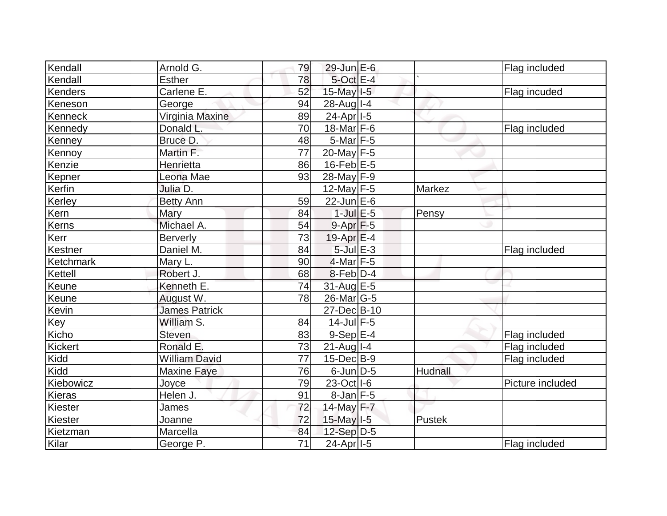| Kendall        | Arnold G.            | 79 | $29$ -Jun $E$ -6      |                | Flag included    |
|----------------|----------------------|----|-----------------------|----------------|------------------|
| Kendall        | <b>Esther</b>        | 78 | 5-Oct E-4             |                |                  |
| Kenders        | Carlene E.           | 52 | 15-May I-5            |                | Flag incuded     |
| Keneson        | George               | 94 | 28-Aug I-4            |                |                  |
| Kenneck        | Virginia Maxine      | 89 | $24-Apr$  -5          |                |                  |
| Kennedy        | Donald L.            | 70 | 18-Mar $F-6$          |                | Flag included    |
| Kenney         | Bruce D.             | 48 | $5$ -Mar $ F-5 $      |                |                  |
| Kennoy         | Martin F.            | 77 | 20-May F-5            |                |                  |
| Kenzie         | Henrietta            | 86 | $16$ -Feb $E-5$       |                |                  |
| Kepner         | Leona Mae            | 93 | 28-May F-9            |                |                  |
| Kerfin         | Julia D.             |    | $12$ -May F-5         | Markez         |                  |
| Kerley         | <b>Betty Ann</b>     | 59 | $22$ -Jun $E-6$       |                |                  |
| Kern           | Mary                 | 84 | $1$ -Jul $E$ -5       | Pensy          |                  |
| Kerns          | Michael A.           | 54 | $9-Apr$ F-5           |                |                  |
| Kerr           | <b>Berverly</b>      | 73 | $19-Apr \mathsf{E-4}$ |                |                  |
| Kestner        | Daniel M.            | 84 | $5$ -Jul $E-3$        |                | Flag included    |
| Ketchmark      | Mary L.              | 90 | $4$ -Mar $ F-5 $      |                |                  |
| Kettell        | Robert J.            | 68 | $8$ -Feb $D-4$        |                |                  |
| Keune          | Kenneth E.           | 74 | 31-Aug E-5            |                |                  |
| Keune          | August W.            | 78 | $26$ -Mar $ G-5 $     |                |                  |
| Kevin          | <b>James Patrick</b> |    | 27-Dec B-10           |                |                  |
| Key            | William S.           | 84 | $14$ -Jul $F-5$       |                |                  |
| Kicho          | Steven               | 83 | $9-Sep$ $E-4$         |                | Flag included    |
| <b>Kickert</b> | Ronald E.            | 73 | $21$ -Aug I-4         |                | Flag included    |
| Kidd           | <b>William David</b> | 77 | $15$ -Dec $B$ -9      |                | Flag included    |
| Kidd           | <b>Maxine Faye</b>   | 76 | $6$ -Jun $D-5$        | <b>Hudnall</b> |                  |
| Kiebowicz      | Joyce                | 79 | 23-Oct I-6            |                | Picture included |
| Kieras         | Helen J.             | 91 | $8$ -Jan F-5          |                |                  |
| Kiester        | James                | 72 | 14-May F-7            |                |                  |
| Kiester        | Joanne               | 72 | $15$ -May $I$ -5      | Pustek         |                  |
| Kietzman       | Marcella             | 84 | $12-Sep D-5$          |                |                  |
| Kilar          | George P.            | 71 | $24-Apr$  -5          |                | Flag included    |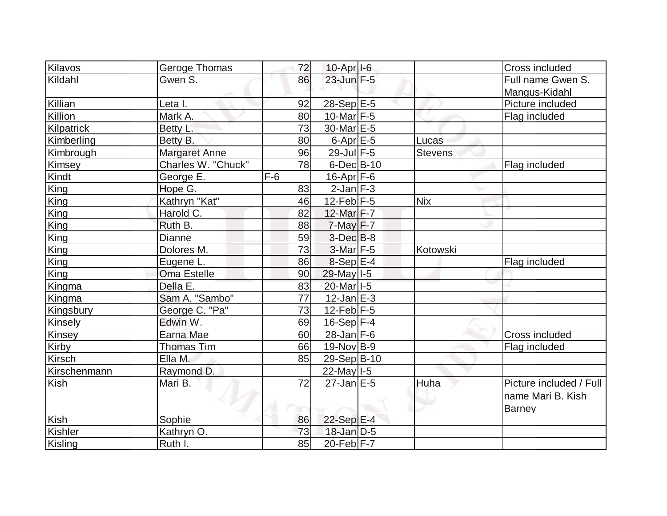| Kilavos       | Geroge Thomas      | 72    | $10$ -Apr $ I-6 $ |                | Cross included          |
|---------------|--------------------|-------|-------------------|----------------|-------------------------|
|               |                    |       |                   |                |                         |
| Kildahl       | Gwen S.            | 86    | $23$ -Jun $F - 5$ |                | Full name Gwen S.       |
|               |                    |       |                   |                | Mangus-Kidahl           |
| Killian       | Leta I.            | 92    | $28-Sep$ E-5      |                | Picture included        |
| Killion       | Mark A.            | 80    | 10-Mar $F-5$      |                | Flag included           |
| Kilpatrick    | Betty L.           | 73    | 30-Mar E-5        |                |                         |
| Kimberling    | Betty B.           | 80    | $6$ -Apr $E$ -5   | Lucas          |                         |
| Kimbrough     | Margaret Anne      | 96    | 29-Jul F-5        | <b>Stevens</b> |                         |
| Kimsey        | Charles W. "Chuck" | 78    | $6$ -Dec $B$ -10  |                | Flag included           |
| Kindt         | George E.          | $F-6$ | $16$ -Apr $ F-6 $ |                |                         |
| King          | Hope G.            | 83    | $2$ -Jan $ F-3 $  |                |                         |
| King          | Kathryn "Kat"      | 46    | 12-Feb $F-5$      | <b>Nix</b>     |                         |
| King          | Harold C.          | 82    | 12-Mar F-7        |                |                         |
| King          | Ruth B.            | 88    | $7$ -May $F-7$    |                |                         |
| King          | Dianne             | 59    | $3$ -Dec $B$ -8   |                |                         |
| King          | Dolores M.         | 73    | $3-Mar$ F-5       | Kotowski       |                         |
| King          | Eugene L.          | 86    | $8-Sep$ $E-4$     |                | Flag included           |
| King          | <b>Oma Estelle</b> | 90    | 29-May I-5        |                |                         |
| Kingma        | Della E.           | 83    | 20-Mar I-5        |                |                         |
| Kingma        | Sam A. "Sambo"     | 77    | $12$ -Jan $E-3$   |                |                         |
| Kingsbury     | George C. "Pa"     | 73    | $12$ -Feb $ F-5$  |                |                         |
| Kinsely       | Edwin W.           | 69    | $16-Sep$ F-4      |                |                         |
| Kinsey        | Earna Mae          | 60    | $28$ -Jan F-6     |                | Cross included          |
| Kirby         | <b>Thomas Tim</b>  | 66    | $19-Nov$ B-9      |                | Flag included           |
| <b>Kirsch</b> | Ella M.            | 85    | 29-Sep B-10       |                |                         |
| Kirschenmann  | Raymond D.         |       | 22-May 1-5        |                |                         |
| <b>Kish</b>   | Mari B.            | 72    | $27$ -Jan $E-5$   | Huha           | Picture included / Full |
|               |                    |       |                   |                | name Mari B. Kish       |
|               |                    |       |                   |                | <b>Barney</b>           |
| Kish          | Sophie             | 86    | 22-Sep E-4        |                |                         |
| Kishler       | Kathryn O.         | 73    | $18$ -Jan D-5     |                |                         |
| Kisling       | Ruth I.            | 85    | $20$ -Feb F-7     |                |                         |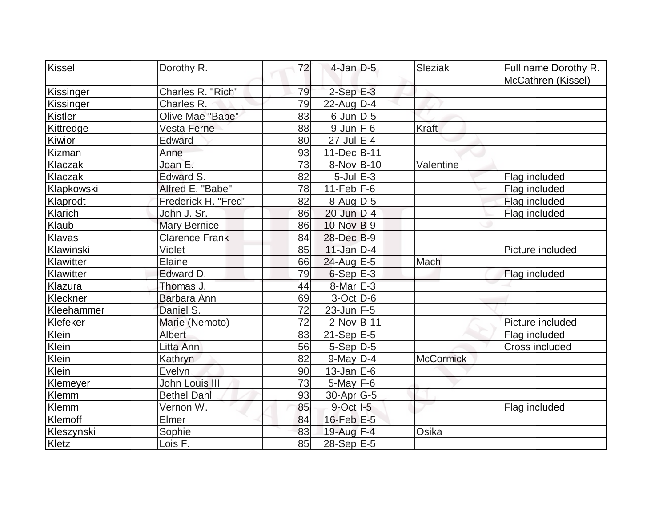| Kissel           | Dorothy R.            | 72 | $4$ -Jan $D-5$    | Sleziak          | Full name Dorothy R. |
|------------------|-----------------------|----|-------------------|------------------|----------------------|
|                  |                       |    |                   |                  | McCathren (Kissel)   |
| Kissinger        | Charles R. "Rich"     | 79 | $2-SepE-3$        |                  |                      |
| <b>Kissinger</b> | Charles R.            | 79 | 22-Aug $D-4$      |                  |                      |
| Kistler          | Olive Mae "Babe"      | 83 | $6$ -Jun $D-5$    |                  |                      |
| Kittredge        | Vesta Ferne           | 88 | $9$ -Jun $F$ -6   | Kraft            |                      |
| Kiwior           | Edward                | 80 | $27$ -Jul $E-4$   |                  |                      |
| Kizman           | Anne                  | 93 | 11-Dec B-11       |                  |                      |
| Klaczak          | Joan E.               | 73 | 8-Nov B-10        | Valentine        |                      |
| Klaczak          | Edward S.             | 82 | $5$ -Jul $E$ -3   |                  | Flag included        |
| Klapkowski       | Alfred E. "Babe"      | 78 | $11-Feb$ F-6      |                  | Flag included        |
| Klaprodt         | Frederick H. "Fred"   | 82 | 8-Aug D-5         |                  | Flag included        |
| Klarich          | John J. Sr.           | 86 | $20$ -Jun $D-4$   |                  | Flag included        |
| Klaub            | <b>Mary Bernice</b>   | 86 | $10$ -Nov $ B-9 $ |                  |                      |
| Klavas           | <b>Clarence Frank</b> | 84 | 28-Dec B-9        |                  |                      |
| Klawinski        | Violet                | 85 | $11$ -Jan $D-4$   |                  | Picture included     |
| Klawitter        | Elaine                | 66 | 24-Aug E-5        | Mach             |                      |
| Klawitter        | Edward D.             | 79 | $6-Sep$ $E-3$     |                  | Flag included        |
| Klazura          | Thomas J.             | 44 | 8-Mar E-3         |                  |                      |
| Kleckner         | Barbara Ann           | 69 | $3-Oct$ D-6       |                  |                      |
| Kleehammer       | Daniel S.             | 72 | $23$ -Jun $F-5$   |                  |                      |
| Klefeker         | Marie (Nemoto)        | 72 | $2$ -Nov B-11     |                  | Picture included     |
| Klein            | <b>Albert</b>         | 83 | $21-Sep$ E-5      |                  | Flag included        |
| Klein            | Litta Ann             | 56 | $5-Sep D-5$       |                  | Cross included       |
| Klein            | Kathryn               | 82 | $9$ -May $D-4$    | <b>McCormick</b> |                      |
| Klein            | Evelyn                | 90 | $13$ -Jan E-6     |                  |                      |
| Klemeyer         | John Louis III        | 73 | $5$ -May $F$ -6   |                  |                      |
| Klemm            | <b>Bethel Dahl</b>    | 93 | $30$ -Apr $ G-5 $ |                  |                      |
| Klemm            | Vernon W.             | 85 | $9$ -Oct $ I-5 $  |                  | Flag included        |
| Klemoff          | Elmer                 | 84 | $16$ -Feb $E-5$   |                  |                      |
| Kleszynski       | Sophie                | 83 | 19-Aug F-4        | Osika            |                      |
| Kletz            | Lois F.               | 85 | 28-Sep E-5        |                  |                      |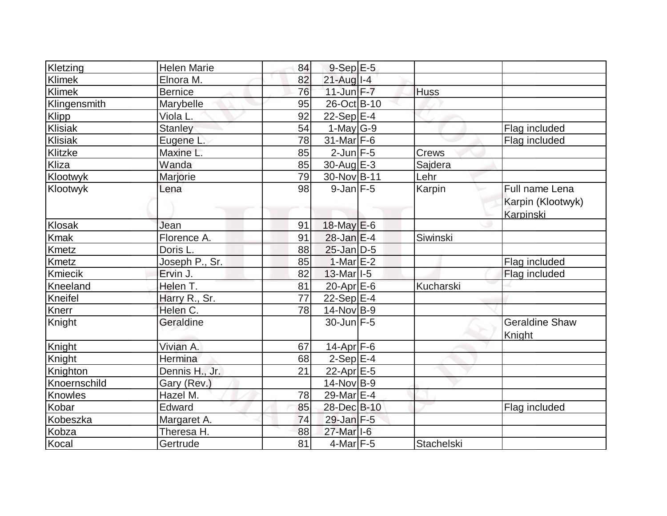| Kletzing      | <b>Helen Marie</b> | 84              | $9-Sep$ $E-5$                          |                  |                                                  |
|---------------|--------------------|-----------------|----------------------------------------|------------------|--------------------------------------------------|
| Klimek        | Elnora M.          | 82              | $21$ -Aug I-4                          |                  |                                                  |
| <b>Klimek</b> | <b>Bernice</b>     | 76              | $11$ -Jun $F - 7$                      | <b>Huss</b>      |                                                  |
| Klingensmith  | Marybelle          | 95              | 26-Oct B-10                            |                  |                                                  |
| Klipp         | Viola L.           | 92              | 22-Sep $E-4$                           |                  |                                                  |
| Klisiak       | <b>Stanley</b>     | 54              | $1$ -May G-9                           |                  | Flag included                                    |
| Klisiak       | Eugene L.          | 78              | $31$ -Mar F-6                          |                  | Flag included                                    |
| Klitzke       | Maxine L.          | 85              | $2$ -Jun $F - 5$                       | Crews            |                                                  |
| Kliza         | Wanda              | 85              | $30$ -Aug $E-3$                        | Sajdera          |                                                  |
| Klootwyk      | Marjorie           | 79              | 30-Nov B-11                            | Lehr             |                                                  |
| Klootwyk      | Lena               | 98              | $9$ -Jan $F-5$                         | Karpin           | Full name Lena<br>Karpin (Klootwyk)<br>Karpinski |
| Klosak        | Jean               | 91              | $18$ -May $E$ -6                       |                  |                                                  |
| Kmak          | Florence A.        | 91              | $28$ -Jan $E-4$                        | Siwinski         |                                                  |
| <b>Kmetz</b>  | Doris L.           | 88              | $25$ -Jan $D-5$                        |                  |                                                  |
| Kmetz         | Joseph P., Sr.     | 85              | $1-MarE-2$                             |                  | Flag included                                    |
| Kmiecik       | Ervin J.           | 82              | $13$ -Mar <sub><math> I-5</math></sub> |                  | Flag included                                    |
| Kneeland      | Helen T.           | 81              | 20-Apr $E-6$                           | <b>Kucharski</b> |                                                  |
| Kneifel       | Harry R., Sr.      | $\overline{77}$ | $22-Sep$ E-4                           |                  |                                                  |
| Knerr         | Helen C.           | 78              | $14$ -Nov B-9                          |                  |                                                  |
| Knight        | Geraldine          |                 | $30$ -Jun F-5                          |                  | <b>Geraldine Shaw</b><br>Knight                  |
| Knight        | Vivian A.          | 67              | $14$ -Apr $ F-6$                       |                  |                                                  |
| Knight        | Hermina            | 68              | $2-Sep$ E-4                            |                  |                                                  |
| Knighton      | Dennis H., Jr.     | 21              | 22-Apr E-5                             |                  |                                                  |
| Knoernschild  | Gary (Rev.)        |                 | $14$ -Nov B-9                          |                  |                                                  |
| Knowles       | Hazel M.           | 78              | 29-Mar E-4                             |                  |                                                  |
| Kobar         | Edward             | 85              | 28-Dec B-10                            |                  | Flag included                                    |
| Kobeszka      | Margaret A.        | 74              | $29$ -Jan $F-5$                        |                  |                                                  |
| Kobza         | Theresa H.         | 88              | $27$ -Mar <sub>1-6</sub>               |                  |                                                  |
| Kocal         | Gertrude           | 81              | $4$ -Mar $ F-5 $                       | Stachelski       |                                                  |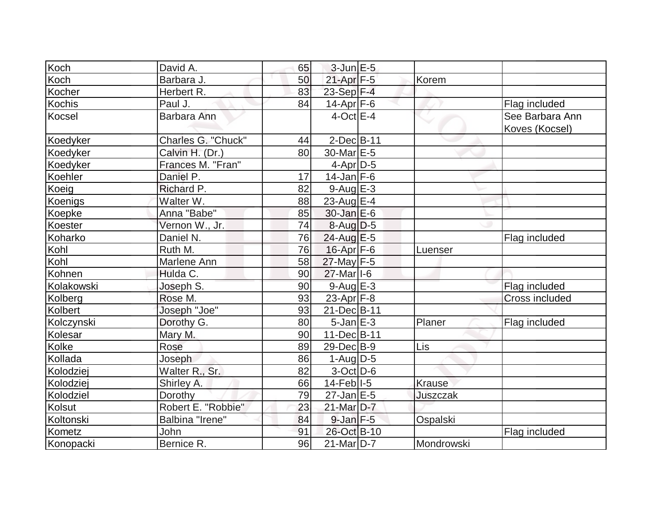| Koch          | David A.           | 65 | $3$ -Jun $E-5$          |            |                                   |
|---------------|--------------------|----|-------------------------|------------|-----------------------------------|
| Koch          | Barbara J.         | 50 | $21-Apr$ F-5            | Korem      |                                   |
| Kocher        | Herbert R.         | 83 | 23-Sep F-4              |            |                                   |
| <b>Kochis</b> | Paul J.            | 84 | $14$ -Apr $ F-6$        |            | Flag included                     |
| Kocsel        | Barbara Ann        |    | $4$ -Oct $E-4$          |            | See Barbara Ann<br>Koves (Kocsel) |
| Koedyker      | Charles G. "Chuck" | 44 | $2$ -Dec $B-11$         |            |                                   |
| Koedyker      | Calvin H. (Dr.)    | 80 | 30-Mar <sub>IE</sub> -5 |            |                                   |
| Koedyker      | Frances M. "Fran"  |    | $4$ -Apr $D-5$          |            |                                   |
| Koehler       | Daniel P.          | 17 | $14$ -Jan F-6           |            |                                   |
| Koeig         | Richard P.         | 82 | $9$ -Aug $E-3$          |            |                                   |
| Koenigs       | Walter W.          | 88 | $23$ -Aug $E-4$         |            |                                   |
| Koepke        | Anna "Babe"        | 85 | $30 - Jan \, E - 6$     |            |                                   |
| Koester       | Vernon W., Jr.     | 74 | $8-Aug D-5$             |            |                                   |
| Koharko       | Daniel N.          | 76 | 24-Aug E-5              |            | Flag included                     |
| Kohl          | Ruth M.            | 76 | 16-Apr F-6              | Luenser    |                                   |
| Kohl          | Marlene Ann        | 58 | 27-May F-5              |            |                                   |
| Kohnen        | Hulda C.           | 90 | 27-Mar I-6              |            |                                   |
| Kolakowski    | Joseph S.          | 90 | 9-Aug E-3               |            | Flag included                     |
| Kolberg       | Rose M.            | 93 | $23$ -Apr $F-8$         |            | <b>Cross included</b>             |
| Kolbert       | Joseph "Joe"       | 93 | 21-Dec B-11             |            |                                   |
| Kolczynski    | Dorothy G.         | 80 | $5$ -Jan $E-3$          | Planer     | Flag included                     |
| Kolesar       | Mary M.            | 90 | 11-Dec B-11             |            |                                   |
| Kolke         | Rose               | 89 | $29$ -Dec $B-9$         | Lis        |                                   |
| Kollada       | Joseph             | 86 | $1-Auq$ D-5             |            |                                   |
| Kolodziej     | Walter R., Sr.     | 82 | $3-Oct$ D-6             |            |                                   |
| Kolodziej     | Shirley A.         | 66 | $14$ -Feb $ I-5 $       | Krause     |                                   |
| Kolodziel     | Dorothy            | 79 | $27$ -Jan $E-5$         | Juszczak   |                                   |
| Kolsut        | Robert E. "Robbie" | 23 | 21-Mar D-7              |            |                                   |
| Koltonski     | Balbina "Irene"    | 84 | $9$ -Jan $F - 5$        | Ospalski   |                                   |
| Kometz        | <b>John</b>        | 91 | 26-Oct B-10             |            | Flag included                     |
| Konopacki     | Bernice R.         | 96 | $21$ -Mar $D-7$         | Mondrowski |                                   |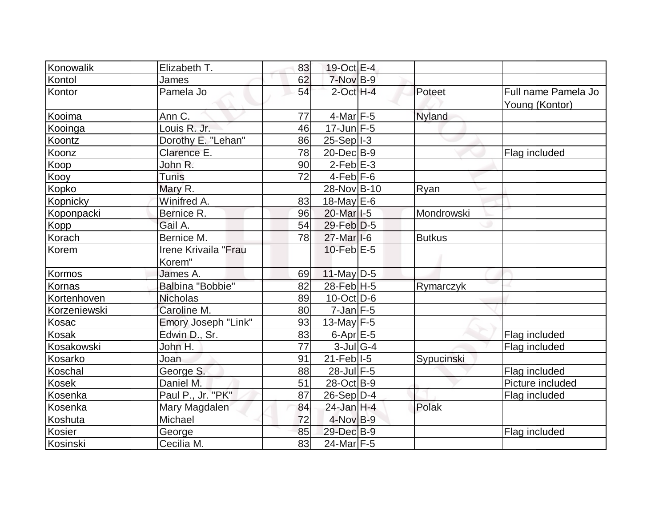| Konowalik    | Elizabeth T.         | 83 | 19-Oct E-4                             |               |                                       |
|--------------|----------------------|----|----------------------------------------|---------------|---------------------------------------|
| Kontol       | James                | 62 | 7-Nov B-9                              |               |                                       |
| Kontor       | Pamela Jo            | 54 | $2$ -Oct $H - 4$                       | Poteet        | Full name Pamela Jo<br>Young (Kontor) |
| Kooima       | Ann C.               | 77 | $4$ -Mar $ F-5 $                       | <b>Nyland</b> |                                       |
| Kooinga      | Louis R. Jr.         | 46 | $17$ -Jun $F-5$                        |               |                                       |
| Koontz       | Dorothy E. "Lehan"   | 86 | $25-Sep$  -3                           |               |                                       |
| Koonz        | Clarence E.          | 78 | 20-Dec B-9                             |               | Flag included                         |
| Koop         | John R.              | 90 | $2$ -Feb $E-3$                         |               |                                       |
| Kooy         | <b>Tunis</b>         | 72 | $4-Feb$ $F-6$                          |               |                                       |
| Kopko        | Mary R.              |    | 28-Nov B-10                            | Ryan          |                                       |
| Kopnicky     | Winifred A.          | 83 | $18$ -May E-6                          |               |                                       |
| Koponpacki   | Bernice R.           | 96 | 20-Mar <sub>1-5</sub>                  | Mondrowski    |                                       |
| <b>Kopp</b>  | Gail A.              | 54 | $29$ -Feb $ D-5$                       |               |                                       |
| Korach       | Bernice M.           | 78 | $27$ -Mar <sub><math> I-6</math></sub> | <b>Butkus</b> |                                       |
| Korem        | Irene Krivaila "Frau |    | $10$ -Feb $E-5$                        |               |                                       |
|              | Korem"               |    |                                        |               |                                       |
| Kormos       | James A.             | 69 | $11$ -May D-5                          |               |                                       |
| Kornas       | Balbina "Bobbie"     | 82 | $28$ -Feb $H - 5$                      | Rymarczyk     |                                       |
| Kortenhoven  | <b>Nicholas</b>      | 89 | $10$ -Oct $ D-6 $                      |               |                                       |
| Korzeniewski | Caroline M.          | 80 | $7$ -Jan $F-5$                         |               |                                       |
| Kosac        | Emory Joseph "Link"  | 93 | 13-May $F-5$                           |               |                                       |
| <b>Kosak</b> | Edwin D., Sr.        | 83 | $6$ -Apr $E$ -5                        |               | Flag included                         |
| Kosakowski   | John H.              | 77 | $3$ -Jul G-4                           |               | Flag included                         |
| Kosarko      | Joan                 | 91 | $21$ -Feb $ I-5 $                      | Sypucinski    |                                       |
| Koschal      | George S.            | 88 | 28-Jul F-5                             |               | Flag included                         |
| Kosek        | Daniel M.            | 51 | 28-Oct B-9                             |               | Picture included                      |
| Kosenka      | Paul P., Jr. "PK"    | 87 | $26-Sep D-4$                           |               | Flag included                         |
| Kosenka      | Mary Magdalen        | 84 | $24$ -Jan H-4                          | Polak         |                                       |
| Koshuta      | Michael              | 72 | $4$ -Nov B-9                           |               |                                       |
| Kosier       | George               | 85 | 29-Dec B-9                             |               | Flag included                         |
| Kosinski     | Cecilia M.           | 83 | $24$ -Mar F-5                          |               |                                       |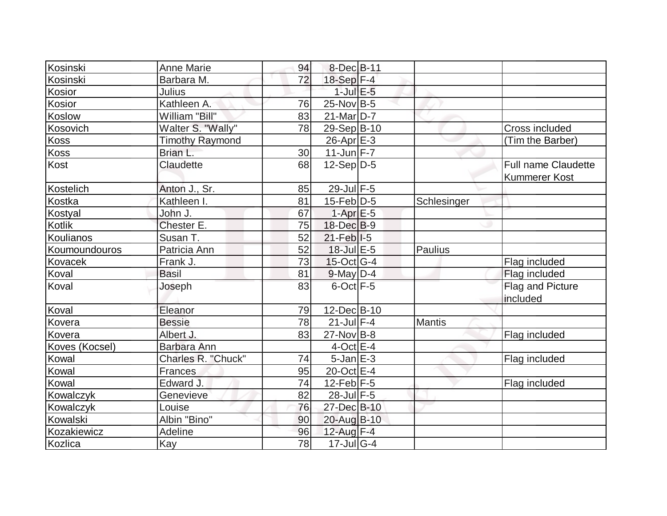| Kosinski       | <b>Anne Marie</b>      | 94 | 8-Dec B-11        |             |                            |
|----------------|------------------------|----|-------------------|-------------|----------------------------|
| Kosinski       | Barbara M.             | 72 | $18-Sep$ F-4      |             |                            |
| Kosior         | <b>Julius</b>          |    | $1$ -Jul $E$ -5   |             |                            |
| Kosior         | Kathleen A.            | 76 | $25$ -Nov B-5     |             |                            |
| Koslow         | William "Bill"         | 83 | $21$ -Mar $ D-7 $ |             |                            |
| Kosovich       | Walter S. "Wally"      | 78 | 29-Sep B-10       |             | <b>Cross included</b>      |
| Koss           | <b>Timothy Raymond</b> |    | $26$ -Apr $E-3$   |             | (Tim the Barber)           |
| Koss           | Brian L.               | 30 | $11$ -Jun $F - 7$ |             |                            |
| Kost           | Claudette              | 68 | $12-Sep D-5$      |             | <b>Full name Claudette</b> |
|                |                        |    |                   |             | <b>Kummerer Kost</b>       |
| Kostelich      | Anton J., Sr.          | 85 | 29-Jul F-5        |             |                            |
| Kostka         | Kathleen I.            | 81 | $15$ -Feb $ D-5 $ | Schlesinger |                            |
| Kostyal        | John J.                | 67 | $1-Apr$ E-5       |             |                            |
| <b>Kotlik</b>  | Chester E.             | 75 | $18$ -Dec $B$ -9  |             |                            |
| Koulianos      | Susan T.               | 52 | $21$ -Feb $ I-5 $ |             |                            |
| Koumoundouros  | Patricia Ann           | 52 | $18$ -Jul $E$ -5  | Paulius     |                            |
| Kovacek        | Frank J.               | 73 | $15$ -Oct G-4     |             | Flag included              |
| Koval          | <b>Basil</b>           | 81 | $9$ -May $D-4$    |             | Flag included              |
| Koval          | Joseph                 | 83 | $6$ -Oct $F - 5$  |             | Flag and Picture           |
|                |                        |    |                   |             | included                   |
| Koval          | Eleanor                | 79 | 12-Dec B-10       |             |                            |
| Kovera         | <b>Bessie</b>          | 78 | $21$ -Jul F-4     | Mantis      |                            |
| Kovera         | Albert J.              | 83 | $27$ -Nov $ B-8 $ |             | Flag included              |
| Koves (Kocsel) | Barbara Ann            |    | $4$ -Oct $E-4$    |             |                            |
| Kowal          | Charles R. "Chuck"     | 74 | $5$ -Jan $E-3$    |             | Flag included              |
| Kowal          | Frances                | 95 | 20-Oct E-4        |             |                            |
| Kowal          | Edward J.              | 74 | $12$ -Feb F-5     |             | Flag included              |
| Kowalczyk      | <b>Genevieve</b>       | 82 | $28$ -Jul $F-5$   |             |                            |
| Kowalczyk      | Louise                 | 76 | 27-Dec B-10       |             |                            |
| Kowalski       | Albin "Bino"           | 90 | 20-Aug B-10       |             |                            |
| Kozakiewicz    | Adeline                | 96 | $12$ -Aug $F-4$   |             |                            |
| Kozlica        | Kay                    | 78 | $17 -$ Jul G-4    |             |                            |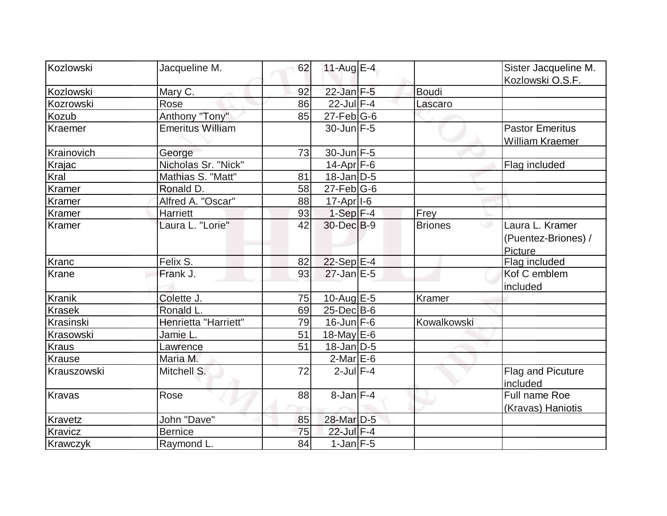| Kozlowski     | Jacqueline M.           | 62 | 11-Aug $E-4$            |                      | Sister Jacqueline M.                              |
|---------------|-------------------------|----|-------------------------|----------------------|---------------------------------------------------|
|               |                         |    |                         |                      | Kozlowski O.S.F.                                  |
| Kozlowski     | Mary C.                 | 92 | $22$ -Jan $F-5$         | <b>Boudi</b>         |                                                   |
| Kozrowski     | Rose                    | 86 | $22$ -Jul $F-4$         | Lascaro              |                                                   |
| <b>Kozub</b>  | Anthony "Tony"          | 85 | $27$ -Feb $ G-6 $       |                      |                                                   |
| Kraemer       | <b>Emeritus William</b> |    | $30$ -Jun $F-5$         |                      | <b>Pastor Emeritus</b><br><b>William Kraemer</b>  |
| Krainovich    | George                  | 73 | $30$ -Jun $F-5$         |                      |                                                   |
| Krajac        | Nicholas Sr. "Nick"     |    | $14$ -Apr $ F-6 $       |                      | Flag included                                     |
| Kral          | Mathias S. "Matt"       | 81 | $18$ -Jan $D-5$         |                      |                                                   |
| Kramer        | Ronald D.               | 58 | $27$ -Feb $ G$ -6       |                      |                                                   |
| Kramer        | Alfred A. "Oscar"       | 88 | $17-Apr$ <sup>1-6</sup> |                      |                                                   |
| <b>Kramer</b> | Harriett                | 93 | $1-Sep$ F-4             | Frey                 |                                                   |
| Kramer        | Laura L. "Lorie"        | 42 | $30$ -Dec $B-9$         | <b>Briones</b><br>ری | Laura L. Kramer<br>(Puentez-Briones) /<br>Picture |
| Kranc         | Felix S.                | 82 | 22-Sep $E-4$            |                      | Flag included                                     |
| <b>Krane</b>  | Frank J.                | 93 | $27$ -Jan $E-5$         |                      | Kof C emblem<br>included                          |
| <b>Kranik</b> | Colette J.              | 75 | 10-Aug $E$ -5           | Kramer               |                                                   |
| <b>Krasek</b> | Ronald L.               | 69 | $25$ -Dec $B$ -6        |                      |                                                   |
| Krasinski     | Henrietta "Harriett"    | 79 | $16$ -Jun $F - 6$       | Kowalkowski          |                                                   |
| Krasowski     | Jamie L.                | 51 | 18-May $E-6$            |                      |                                                   |
| <b>Kraus</b>  | Lawrence                | 51 | $18$ -Jan $D-5$         |                      |                                                   |
| Krause        | Maria M.                |    | $2$ -Mar $E$ -6         |                      |                                                   |
| Krauszowski   | Mitchell S.             | 72 | $2$ -Jul $F-4$          |                      | Flag and Picuture<br>included                     |
| Kravas        | Rose                    | 88 | $8$ -Jan $F-4$          |                      | Full name Roe<br>(Kravas) Haniotis                |
| Kravetz       | John "Dave"             | 85 | 28-Mar D-5              |                      |                                                   |
| Kravicz       | <b>Bernice</b>          | 75 | 22-Jul F-4              |                      |                                                   |
| Krawczyk      | Raymond L.              | 84 | $1$ -Jan $F-5$          |                      |                                                   |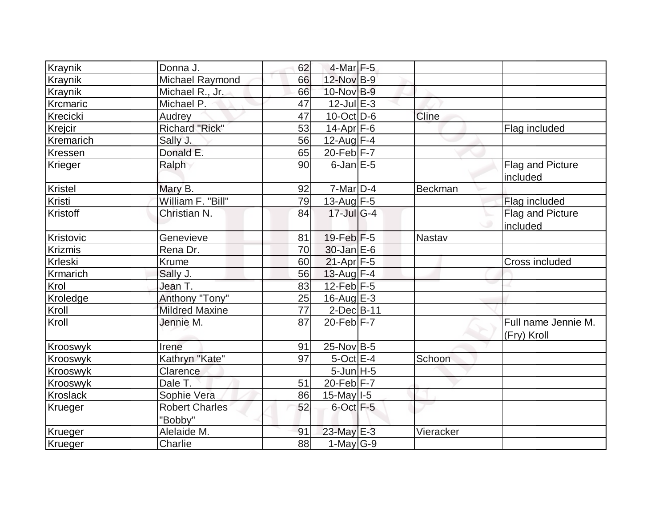|                | Donna J.              | 62 | $4$ -Mar $F-5$      |              |                     |
|----------------|-----------------------|----|---------------------|--------------|---------------------|
| Kraynik        |                       |    |                     |              |                     |
| Kraynik        | Michael Raymond       | 66 | 12-Nov B-9          |              |                     |
| Kraynik        | Michael R., Jr.       | 66 | 10-Nov B-9          |              |                     |
| Krcmaric       | Michael P.            | 47 | $12$ -Jul $E-3$     |              |                     |
| Krecicki       | <b>Audrey</b>         | 47 | $10$ -Oct $ D-6 $   | <b>Cline</b> |                     |
| Krejcir        | <b>Richard "Rick"</b> | 53 | $14$ -Apr $ F-6$    |              | Flag included       |
| Kremarich      | Sally J.              | 56 | 12-Aug $F-4$        |              |                     |
| Kressen        | Donald E.             | 65 | $20$ -Feb F-7       |              |                     |
| Krieger        | Ralph                 | 90 | $6$ -Jan $E$ -5     |              | Flag and Picture    |
|                |                       |    |                     |              | included            |
| Kristel        | Mary B.               | 92 | $7$ -Mar $ D-4$     | Beckman      |                     |
| Kristi         | William F. "Bill"     | 79 | 13-Aug $F-5$        |              | Flag included       |
| Kristoff       | Christian N.          | 84 | $17 -$ JulG-4       |              | Flag and Picture    |
|                |                       |    |                     |              | included            |
| Kristovic      | Genevieve             | 81 | $19$ -Feb $F-5$     | Nastav       |                     |
| <b>Krizmis</b> | Rena Dr.              | 70 | $30$ -Jan $E-6$     |              |                     |
| Krleski        | Krume                 | 60 | $21-Apr$ F-5        |              | Cross included      |
| Krmarich       | Sally J.              | 56 | 13-Aug $F-4$        |              |                     |
| Krol           | Jean T.               | 83 | $12$ -Feb $F-5$     |              |                     |
| Kroledge       | Anthony "Tony"        | 25 | 16-Aug $E-3$        |              |                     |
| Kroll          | <b>Mildred Maxine</b> | 77 | $2$ -Dec $B$ -11    |              |                     |
| Kroll          | Jennie M.             | 87 | $20$ -Feb $ F - 7 $ |              | Full name Jennie M. |
| Krooswyk       | Irene                 | 91 | $25$ -Nov B-5       |              | (Fry) Kroll         |
| Krooswyk       | Kathryn "Kate"        | 97 | $5$ -Oct $E-4$      | Schoon       |                     |
|                |                       |    |                     |              |                     |
| Krooswyk       | Clarence              |    | $5$ -Jun $H$ -5     |              |                     |
| Krooswyk       | Dale T.               | 51 | $20$ -Feb F-7       |              |                     |
| Kroslack       | Sophie Vera           | 86 | $15$ -May $ I-5 $   |              |                     |
| Krueger        | <b>Robert Charles</b> | 52 | $6$ -Oct $F-5$      |              |                     |
|                | "Bobby"               |    |                     |              |                     |
| Krueger        | Alelaide M.           | 91 | $23$ -May $E-3$     | Vieracker    |                     |
| Krueger        | Charlie               | 88 | 1-May G-9           |              |                     |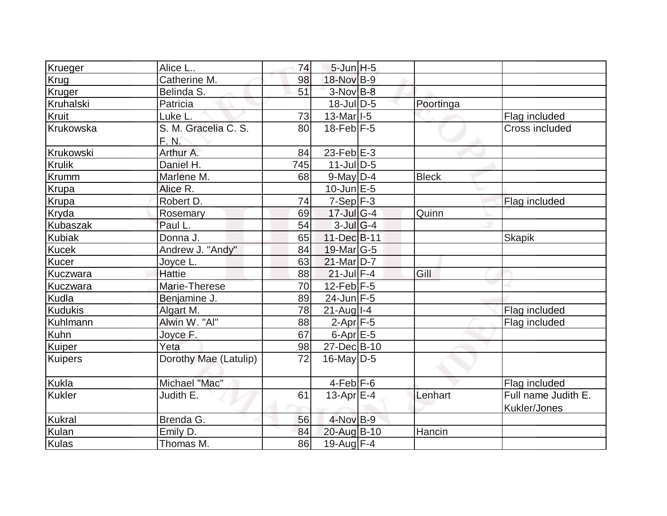| Krueger        | Alice L               | 74  | $5$ -Jun $H - 5$          |              |                                     |
|----------------|-----------------------|-----|---------------------------|--------------|-------------------------------------|
| Krug           | Catherine M.          | 98  | 18-Nov B-9                |              |                                     |
| Kruger         | Belinda S.            | 51  | $3-Nov$ B-8               |              |                                     |
| Kruhalski      | Patricia              |     | $18$ -Jul $D-5$           | Poortinga    |                                     |
| Kruit          | Luke L.               | 73  | $13$ -Mar <sup>1</sup> -5 |              | Flag included                       |
| Krukowska      | S. M. Gracelia C. S.  | 80  | $18-Feb$ F-5              |              | Cross included                      |
|                | F. N.                 |     |                           |              |                                     |
| Krukowski      | Arthur A.             | 84  | $23$ -Feb $E-3$           |              |                                     |
| <b>Krulik</b>  | Daniel H.             | 745 | $11$ -JulD-5              |              |                                     |
| Krumm          | Marlene M.            | 68  | $9$ -May $D-4$            | <b>Bleck</b> |                                     |
| Krupa          | Alice R.              |     | $10$ -Jun $E - 5$         |              |                                     |
| Krupa          | Robert D.             | 74  | $7-Sep$ F-3               |              | Flag included                       |
| Kryda          | Rosemary              | 69  | $17 -$ Jul G-4            | Quinn        |                                     |
| Kubaszak       | Paul L.               | 54  | $3$ -Jul G-4              |              |                                     |
| <b>Kubiak</b>  | Donna J.              | 65  | 11-Dec B-11               |              | <b>Skapik</b>                       |
| <b>Kucek</b>   | Andrew J. "Andy"      | 84  | 19-Mar G-5                |              |                                     |
| Kucer          | Joyce L.              | 63  | $21$ -Mar $D-7$           |              |                                     |
| Kuczwara       | <b>Hattie</b>         | 88  | $21$ -Jul F-4             | Gill         |                                     |
| Kuczwara       | Marie-Therese         | 70  | $12$ -Feb $ F-5 $         |              |                                     |
| Kudla          | Benjamine J.          | 89  | $24$ -Jun F-5             |              |                                     |
| <b>Kudukis</b> | Algart M.             | 78  | $21$ -Aug $I - 4$         |              | Flag included                       |
| Kuhlmann       | Alwin W. "Al"         | 88  | $2-Apr$ F-5               |              | Flag included                       |
| Kuhn           | Joyce F.              | 67  | $6$ -Apr $E$ -5           |              |                                     |
| Kuiper         | Yeta                  | 98  | 27-Dec B-10               |              |                                     |
| Kuipers        | Dorothy Mae (Latulip) | 72  | $16$ -May D-5             |              |                                     |
| Kukla          | Michael "Mac"         |     | $4-Feb$ $F-6$             |              | Flag included                       |
| Kukler         | Judith E.             | 61  | 13-Apr $E-4$              | Lenhart      | Full name Judith E.<br>Kukler/Jones |
| Kukral         | Brenda G.             | 56  | $4$ -Nov B-9              |              |                                     |
| Kulan          | Emily D.              | 84  | 20-Aug B-10               | Hancin       |                                     |
| Kulas          | Thomas M.             | 86  | 19-Aug $F-4$              |              |                                     |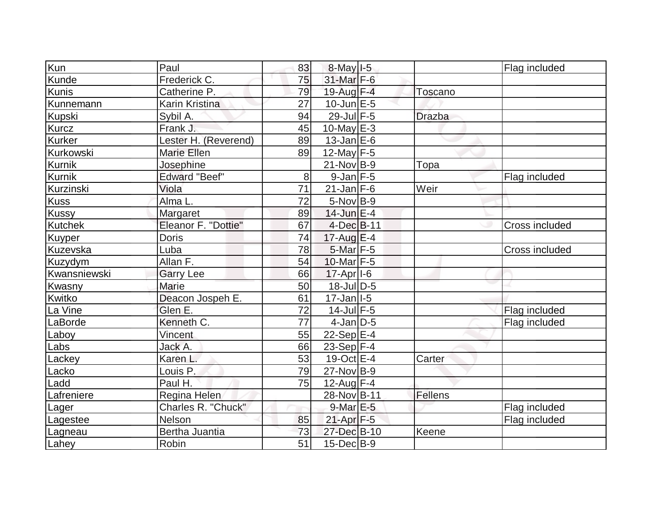| Kun            | Paul                 | 83              | $8$ -May $I$ -5           |               | Flag included  |
|----------------|----------------------|-----------------|---------------------------|---------------|----------------|
| Kunde          | Frederick C.         | 75              | $31$ -Mar $F-6$           |               |                |
| <b>Kunis</b>   | Catherine P.         | 79              | 19-Aug F-4                | Toscano       |                |
| Kunnemann      | Karin Kristina       | 27              | $10$ -Jun $E - 5$         |               |                |
| <b>Kupski</b>  | Sybil A.             | 94              | 29-Jul F-5                | <b>Drazba</b> |                |
| <b>Kurcz</b>   | Frank J.             | 45              | 10-May $E-3$              |               |                |
| <b>Kurker</b>  | Lester H. (Reverend) | 89              | $13$ -Jan $E$ -6          |               |                |
| Kurkowski      | <b>Marie Ellen</b>   | 89              | $12$ -May F-5             |               |                |
| Kurnik         | Josephine            |                 | $21-Nov B-9$              | Topa          |                |
| Kurnik         | <b>Edward "Beef"</b> | 8               | $9$ -Jan $F-5$            |               | Flag included  |
| Kurzinski      | Viola                | 71              | $21$ -Jan F-6             | Weir          |                |
| <b>Kuss</b>    | Alma L.              | 72              | $5-Nov$ B-9               |               |                |
| Kussy          | Margaret             | 89              | $14$ -Jun $E-4$           |               |                |
| <b>Kutchek</b> | Eleanor F. "Dottie"  | 67              | $4$ -Dec $B$ -11          |               | Cross included |
| Kuyper         | <b>Doris</b>         | 74              | $17$ -Aug $E-4$           |               |                |
| Kuzevska       | Luba                 | 78              | $5$ -Mar $F-5$            |               | Cross included |
| Kuzydym        | Allan F.             | 54              | 10-Mar F-5                |               |                |
| Kwansniewski   | <b>Garry Lee</b>     | 66              | $17$ -Apr $ I-6$          |               |                |
| Kwasny         | Marie                | 50              | 18-Jul D-5                |               |                |
| Kwitko         | Deacon Jospeh E.     | 61              | $17 - Jan$ <sup>1-5</sup> |               |                |
| La Vine        | Glen E.              | 72              | $14$ -Jul $F-5$           |               | Flag included  |
| LaBorde        | Kenneth C.           | 77              | $4$ -Jan D-5              |               | Flag included  |
| Laboy          | Vincent              | 55              | $22-Sep$ E-4              |               |                |
| Labs           | Jack A.              | 66              | $23-Sep$ F-4              |               |                |
| Lackey         | Karen L.             | 53              | $19-Oct$ $E-4$            | Carter        |                |
| Lacko          | Louis P.             | 79              | $27$ -Nov $ B-9 $         |               |                |
| Ladd           | Paul H.              | 75              | $12$ -Aug F-4             |               |                |
| Lafreniere     | Regina Helen         |                 | 28-Nov B-11               | Fellens       |                |
| Lager          | Charles R. "Chuck"   |                 | $9$ -Mar $E - 5$          |               | Flag included  |
| Lagestee       | Nelson               | 85              | $21-Apr$ F-5              |               | Flag included  |
| Lagneau        | Bertha Juantia       | 73              | 27-Dec B-10               | Keene         |                |
| Lahey          | Robin                | $\overline{51}$ | $15$ -Dec $B$ -9          |               |                |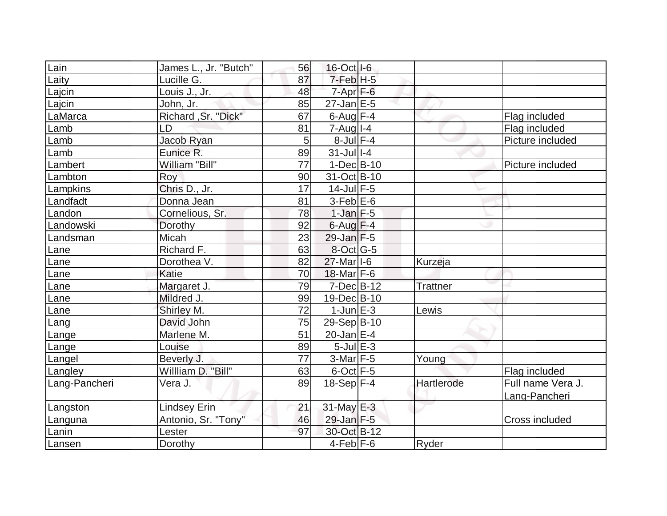| Lain          | James L., Jr. "Butch" | 56 | 16-Oct I-6          |                 |                   |
|---------------|-----------------------|----|---------------------|-----------------|-------------------|
| Laity         | Lucille G.            | 87 | $7-FebH-5$          |                 |                   |
| Lajcin        | Louis J., Jr.         | 48 | $7 - Apr$ $F-6$     |                 |                   |
| Lajcin        | John, Jr.             | 85 | $27$ -Jan $E$ -5    |                 |                   |
| LaMarca       | Richard, Sr. "Dick"   | 67 | $6$ -Aug $F-4$      |                 | Flag included     |
| Lamb          | LD                    | 81 | $7 - Aug$   $1 - 4$ |                 | Flag included     |
| Lamb          | Jacob Ryan            | 5  | $8$ -Jul $F-4$      |                 | Picture included  |
| Lamb          | Eunice R.             | 89 | $31$ -Jull-4        |                 |                   |
| Lambert       | William "Bill"        | 77 | $1-Dec B-10$        |                 | Picture included  |
| Lambton       | Roy                   | 90 | 31-Oct B-10         |                 |                   |
| Lampkins      | Chris D., Jr.         | 17 | $14$ -Jul $F-5$     |                 |                   |
| Landfadt      | Donna Jean            | 81 | $3-Feb$ $E-6$       |                 |                   |
| Landon        | Cornelious, Sr.       | 78 | $1$ -Jan $F-5$      |                 |                   |
| Landowski     | Dorothy               | 92 | $6$ -Aug $F-4$      |                 |                   |
| Landsman      | Micah                 | 23 | $29$ -Jan F-5       |                 |                   |
| Lane          | Richard F.            | 63 | $8$ -Oct G-5        |                 |                   |
| Lane          | Dorothea V.           | 82 | $27$ -Mar $ I-6 $   | Kurzeja         |                   |
| Lane          | <b>Katie</b>          | 70 | $18$ -Mar $F-6$     |                 |                   |
| Lane          | Margaret J.           | 79 | $7$ -Dec $B$ -12    | <b>Trattner</b> |                   |
| Lane          | Mildred J.            | 99 | 19-Dec B-10         |                 |                   |
| Lane          | Shirley M.            | 72 | $1$ -Jun $E-3$      | Lewis           |                   |
| Lang          | David John            | 75 | 29-Sep B-10         |                 |                   |
| Lange         | Marlene M.            | 51 | $20$ -Jan $ E-4 $   |                 |                   |
| Lange         | Louise                | 89 | $5$ -Jul $E-3$      |                 |                   |
| Langel        | Beverly J.            | 77 | $3-Mar$ F-5         | Young           |                   |
| Langley       | Willliam D. "Bill"    | 63 | $6$ -Oct $F-5$      |                 | Flag included     |
| Lang-Pancheri | Vera J.               | 89 | $18-Sep$ F-4        | Hartlerode      | Full name Vera J. |
|               |                       |    |                     |                 | Lang-Pancheri     |
| Langston      | <b>Lindsey Erin</b>   | 21 | $31$ -May E-3       |                 |                   |
| Languna       | Antonio, Sr. "Tony"   | 46 | $29$ -Jan $F-5$     |                 | Cross included    |
| Lanin         | Lester                | 97 | 30-Oct B-12         |                 |                   |
| Lansen        | Dorothy               |    | $4$ -Feb $ F-6$     | Ryder           |                   |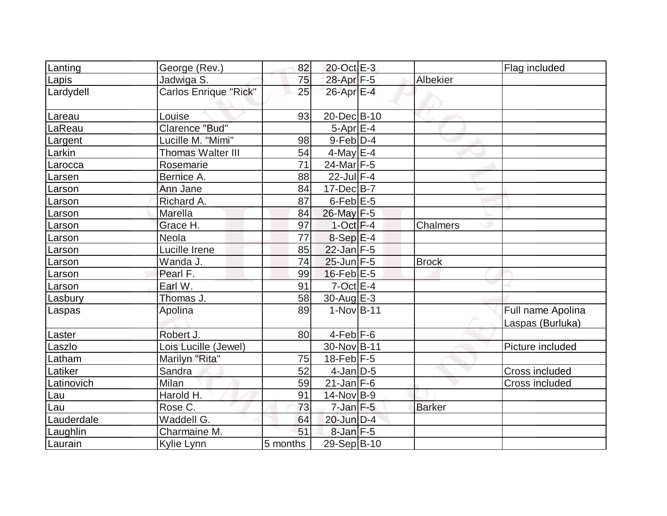| Lanting    | George (Rev.)            | 82       | $20$ -Oct $E-3$   |               | Flag included                         |
|------------|--------------------------|----------|-------------------|---------------|---------------------------------------|
| Lapis      | Jadwiga S.               | 75       | 28-Apr F-5        | Albekier      |                                       |
| Lardydell  | Carlos Enrique "Rick"    | 25       | 26-Apr E-4        |               |                                       |
| Lareau     | Louise                   | 93       | 20-Dec B-10       |               |                                       |
| LaReau     | Clarence "Bud"           |          | $5-Apr$ E-4       |               |                                       |
| Largent    | Lucille M. "Mimi"        | 98       | $9$ -Feb $D-4$    |               |                                       |
| Larkin     | <b>Thomas Walter III</b> | 54       | $4$ -May $E-4$    |               |                                       |
| Larocca    | Rosemarie                | 71       | 24-Mar F-5        |               |                                       |
| Larsen     | Bernice A.               | 88       | $22$ -Jul $F-4$   |               |                                       |
| Larson     | Ann Jane                 | 84       | $17 - Dec$ B-7    |               |                                       |
| Larson     | Richard A.               | 87       | $6$ -Feb $E$ -5   |               |                                       |
| Larson     | Marella                  | 84       | 26-May F-5        |               |                                       |
| Larson     | Grace H.                 | 97       | $1-Oct$ F-4       | Chalmers      |                                       |
| Larson     | <b>Neola</b>             | 77       | $8-Sep$ $E-4$     |               |                                       |
| Larson     | Lucille Irene            | 85       | $22$ -Jan F-5     |               |                                       |
| Larson     | Wanda J.                 | 74       | $25$ -Jun $F-5$   | <b>Brock</b>  |                                       |
| Larson     | Pearl F.                 | 99       | $16$ -Feb $E$ -5  |               |                                       |
| Larson     | Earl W.                  | 91       | $7$ -Oct $E - 4$  |               |                                       |
| Lasbury    | Thomas J.                | 58       | $30$ -Aug E-3     |               |                                       |
| Laspas     | Apolina                  | 89       | $1-Nov$ B-11      |               | Full name Apolina<br>Laspas (Burluka) |
| Laster     | Robert J.                | 80       | $4-Feb$ $F-6$     |               |                                       |
| Laszlo     | Lois Lucille (Jewel)     |          | 30-Nov B-11       |               | Picture included                      |
| Latham     | Marilyn "Rita"           | 75       | $18$ -Feb $ F-5 $ |               |                                       |
| Latiker    | Sandra                   | 52       | $4$ -Jan $D-5$    |               | Cross included                        |
| Latinovich | Milan                    | 59       | $21$ -Jan F-6     |               | Cross included                        |
| Lau        | Harold H.                | 91       | $14$ -Nov B-9     |               |                                       |
| Lau        | Rose C.                  | 73       | $7$ -Jan $F-5$    | <b>Barker</b> |                                       |
| Lauderdale | Waddell G.               | 64       | 20-Jun D-4        |               |                                       |
| Laughlin   | Charmaine M.             | 51       | $8$ -Jan $F-5$    |               |                                       |
| Laurain    | Kylie Lynn               | 5 months | 29-Sep B-10       |               |                                       |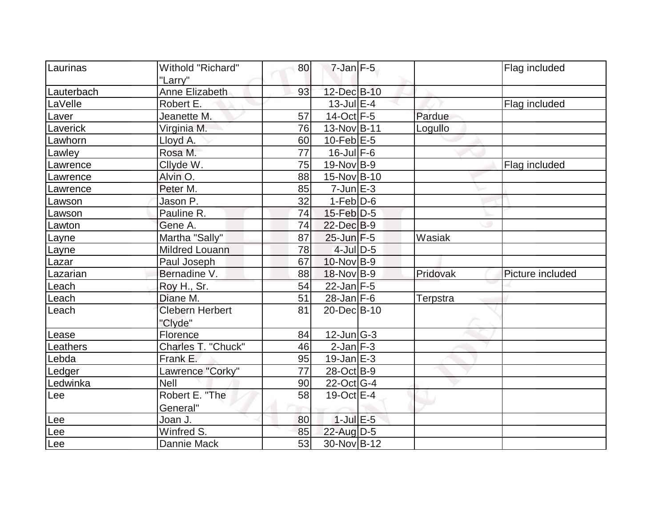| Laurinas   | Withold "Richard"                 | 80 | $7$ -Jan $F-5$    |          | Flag included    |
|------------|-----------------------------------|----|-------------------|----------|------------------|
|            | "Larry"                           |    |                   |          |                  |
| Lauterbach | Anne Elizabeth                    | 93 | 12-Dec B-10       |          |                  |
| LaVelle    | Robert E.                         |    | $13$ -Jul $E-4$   |          | Flag included    |
| Laver      | Jeanette M.                       | 57 | $14-Oct$ F-5      | Pardue   |                  |
| Laverick   | Virginia M.                       | 76 | 13-Nov B-11       | Logullo  |                  |
| Lawhorn    | Lloyd A.                          | 60 | $10$ -Feb $E - 5$ |          |                  |
| Lawley     | Rosa M.                           | 77 | $16$ -Jul $F-6$   |          |                  |
| Lawrence   | Cllyde W.                         | 75 | $19-Nov B-9$      |          | Flag included    |
| Lawrence   | Alvin O.                          | 88 | 15-Nov B-10       |          |                  |
| Lawrence   | Peter M.                          | 85 | $7$ -Jun $E-3$    |          |                  |
| Lawson     | Jason P.                          | 32 | $1-Feb D-6$       |          |                  |
| Lawson     | Pauline R.                        | 74 | $15$ -Feb $D-5$   |          |                  |
| Lawton     | Gene A.                           | 74 | $22$ -Dec $B-9$   |          |                  |
| Layne      | Martha "Sally"                    | 87 | $25$ -Jun $F-5$   | Wasiak   |                  |
| Layne      | <b>Mildred Louann</b>             | 78 | $4$ -Jul $D$ -5   |          |                  |
| Lazar      | Paul Joseph                       | 67 | $10$ -Nov B-9     |          |                  |
| Lazarian   | Bernadine V.                      | 88 | 18-Nov B-9        | Pridovak | Picture included |
| Leach      | Roy H., Sr.                       | 54 | $22$ -Jan F-5     |          |                  |
| Leach      | Diane M.                          | 51 | $28$ -Jan F-6     | Terpstra |                  |
| Leach      | <b>Clebern Herbert</b><br>"Clyde" | 81 | 20-Dec B-10       |          |                  |
| Lease      | Florence                          | 84 | $12$ -Jun $ G-3 $ |          |                  |
| Leathers   | Charles T. "Chuck"                | 46 | $2$ -Jan $F-3$    |          |                  |
| Lebda      | Frank E.                          | 95 | $19$ -Jan $E-3$   |          |                  |
| Ledger     | Lawrence "Corky"                  | 77 | 28-Oct B-9        |          |                  |
| Ledwinka   | <b>Nell</b>                       | 90 | $22$ -Oct G-4     |          |                  |
| Lee        | Robert E. "The                    | 58 | 19-Oct E-4        |          |                  |
|            | General"                          |    |                   |          |                  |
| Lee        | Joan J.                           | 80 | $1$ -Jul $E$ -5   |          |                  |
| Lee        | Winfred S.                        | 85 | $22$ -Aug $D-5$   |          |                  |
| Lee        | Dannie Mack                       | 53 | 30-Nov B-12       |          |                  |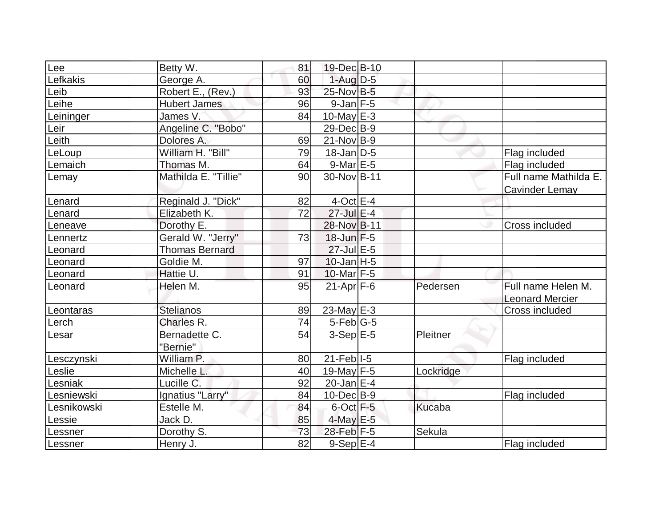| Lee         | Betty W.              | 81 | 19-Dec B-10       |               |                        |
|-------------|-----------------------|----|-------------------|---------------|------------------------|
| Lefkakis    | George A.             | 60 | $1-Aug D-5$       |               |                        |
| Leib        | Robert E., (Rev.)     | 93 | 25-Nov B-5        |               |                        |
| Leihe       | <b>Hubert James</b>   | 96 | $9$ -Jan $F-5$    |               |                        |
| Leininger   | James V.              | 84 | $10$ -May $E-3$   |               |                        |
| Leir        | Angeline C. "Bobo"    |    | 29-Dec B-9        |               |                        |
| Leith       | Dolores A.            | 69 | 21-Nov B-9        |               |                        |
| LeLoup      | William H. "Bill"     | 79 | $18$ -Jan D-5     |               | Flag included          |
| Lemaich     | Thomas M.             | 64 | $9$ -Mar $E$ -5   |               | Flag included          |
| Lemay       | Mathilda E. "Tillie"  | 90 | 30-Nov B-11       |               | Full name Mathilda E.  |
|             |                       |    |                   |               | <b>Cavinder Lemay</b>  |
| Lenard      | Reginald J. "Dick"    | 82 | $4$ -Oct $E-4$    |               |                        |
| Lenard      | Elizabeth K.          | 72 | 27-Jul E-4        |               |                        |
| Leneave     | Dorothy E.            |    | 28-Nov B-11       |               | Cross included         |
| Lennertz    | Gerald W. "Jerry"     | 73 | $18$ -Jun $F-5$   |               |                        |
| Leonard     | <b>Thomas Bernard</b> |    | 27-Jul E-5        |               |                        |
| Leonard     | Goldie M.             | 97 | $10$ -Jan H-5     |               |                        |
| Leonard     | Hattie U.             | 91 | $10$ -Mar $F-5$   |               |                        |
| Leonard     | Helen M.              | 95 | $21-Apr$ F-6      | Pedersen      | Full name Helen M.     |
|             |                       |    |                   |               | <b>Leonard Mercier</b> |
| Leontaras   | <b>Stelianos</b>      | 89 | $23$ -May $E-3$   |               | Cross included         |
| Lerch       | Charles R.            | 74 | $5$ -Feb $ G-5 $  |               |                        |
| Lesar       | Bernadette C.         | 54 | $3-Sep$ $E-5$     | Pleitner      |                        |
|             | "Bernie"              |    |                   |               |                        |
| Lesczynski  | William P.            | 80 | $21$ -Feb $ I-5 $ |               | Flag included          |
| Leslie      | Michelle L.           | 40 | 19-May F-5        | Lockridge     |                        |
| Lesniak     | Lucille C.            | 92 | $20$ -Jan $ E-4 $ |               |                        |
| Lesniewski  | Ignatius "Larry"      | 84 | $10$ -Dec $B-9$   |               | Flag included          |
| Lesnikowski | Estelle M.            | 84 | $6$ -Oct $F-5$    | <b>Kucaba</b> |                        |
| Lessie      | Jack D.               | 85 | $4$ -May E-5      |               |                        |
| Lessner     | Dorothy S.            | 73 | $28$ -Feb $F-5$   | Sekula        |                        |
| Lessner     | Henry J.              | 82 | $9-Sep$ $E-4$     |               | Flag included          |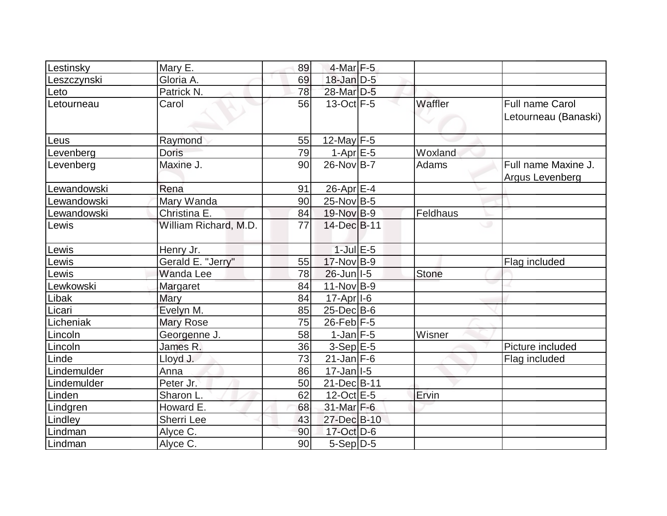| Lestinsky   | Mary E.               | 89 | 4-Mar F-5                 |              |                        |
|-------------|-----------------------|----|---------------------------|--------------|------------------------|
| Leszczynski | Gloria A.             | 69 | $18$ -Jan $D-5$           |              |                        |
| Leto        | Patrick N.            | 78 | 28-Mar D-5                |              |                        |
| Letourneau  | Carol                 | 56 | $13-Oct$ F-5              | Waffler      | <b>Full name Carol</b> |
|             |                       |    |                           |              | Letourneau (Banaski)   |
| Leus        | Raymond               | 55 | 12-May F-5                |              |                        |
| Levenberg   | <b>Doris</b>          | 79 | $1-Apr \nightharpoonup 5$ | Woxland      |                        |
| Levenberg   | Maxine J.             | 90 | $26$ -Nov $B$ -7          | Adams        | Full name Maxine J.    |
|             |                       |    |                           |              | Argus Levenberg        |
| Lewandowski | Rena                  | 91 | 26-Apr E-4                |              |                        |
| Lewandowski | Mary Wanda            | 90 | $25$ -Nov B-5             |              |                        |
| Lewandowski | Christina E.          | 84 | 19-Nov B-9                | Feldhaus     |                        |
| Lewis       | William Richard, M.D. | 77 | 14-Dec B-11               |              | ی                      |
| Lewis       | Henry Jr.             |    | $1$ -Jul $E$ -5           |              |                        |
| Lewis       | Gerald E. "Jerry"     | 55 | $17$ -Nov B-9             |              | Flag included          |
| Lewis       | Wanda Lee             | 78 | $26$ -Jun $ I-5 $         | <b>Stone</b> |                        |
| Lewkowski   | <b>Margaret</b>       | 84 | $11-Nov B-9$              |              |                        |
| Libak       | <b>Mary</b>           | 84 | $17$ -Apr $ I-6 $         |              |                        |
| Licari      | Evelyn M.             | 85 | $25$ -Dec $B$ -6          |              |                        |
| Licheniak   | <b>Mary Rose</b>      | 75 | $26$ -Feb $ F-5 $         |              |                        |
| Lincoln     | Georgenne J.          | 58 | $1$ -Jan $ F-5 $          | Wisner       |                        |
| Lincoln     | James R.              | 36 | $3-Sep$ $E-5$             |              | Picture included       |
| Linde       | Lloyd J.              | 73 | $21$ -Jan F-6             |              | Flag included          |
| Lindemulder | Anna                  | 86 | $17 - Jan$ <sup>1-5</sup> |              |                        |
| Lindemulder | Peter Jr.             | 50 | 21-Dec B-11               |              |                        |
| Linden      | Sharon L.             | 62 | $12$ -Oct $E-5$           | Ervin        |                        |
| Lindgren    | Howard E.             | 68 | $31$ -Mar F-6             |              |                        |
| Lindley     | Sherri Lee            | 43 | 27-Dec B-10               |              |                        |
| Lindman     | Alyce C.              | 90 | $17$ -Oct $D-6$           |              |                        |
| Lindman     | Alyce C.              | 90 | $5-Sep D-5$               |              |                        |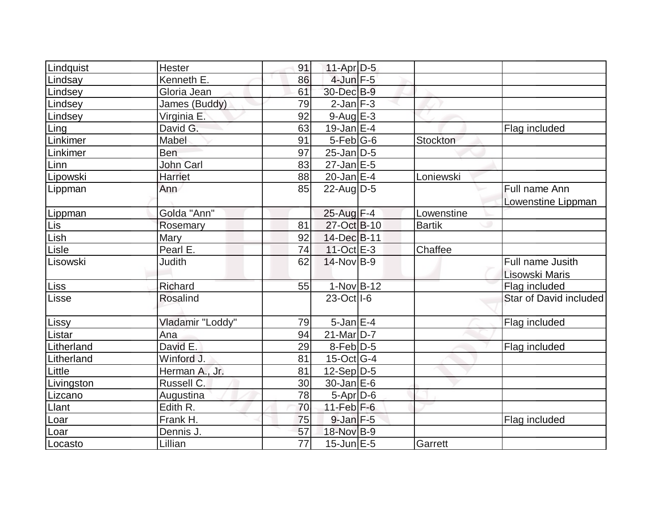| Lindquist  | <b>Hester</b>       | 91              | $11-Apr D-5$            |               |                        |
|------------|---------------------|-----------------|-------------------------|---------------|------------------------|
| Lindsay    | Kenneth E.          | 86              | $4$ -Jun $F-5$          |               |                        |
| Lindsey    | Gloria Jean         | 61              | 30-Dec B-9              |               |                        |
| Lindsey    | James (Buddy)       | 79              | $2$ -Jan $F-3$          |               |                        |
| Lindsey    | Virginia E.         | 92              | $9-Aug$ E-3             |               |                        |
| Ling       | David G.            | 63              | $19$ -Jan $E-4$         |               | Flag included          |
| Linkimer   | Mabel               | 91              | $5-Feb G-6$             | Stockton      |                        |
| Linkimer   | Ben                 | 97              | $25$ -Jan $D-5$         |               |                        |
| Linn       | John Carl           | 83              | $27$ -Jan $E-5$         |               |                        |
| Lipowski   | Harriet             | 88              | $20$ -Jan $E-4$         | Loniewski     |                        |
| Lippman    | Ann                 | 85              | $22$ -Aug $D-5$         |               | Full name Ann          |
|            |                     |                 |                         |               | Lowenstine Lippman     |
| Lippman    | Golda "Ann"         |                 | $25$ -Aug $F-4$         | Lowenstine    |                        |
| Lis        | Rosemary            | 81              | 27-Oct B-10             | <b>Bartik</b> |                        |
| Lish       | <b>Mary</b>         | 92              | 14-Dec B-11             |               |                        |
| Lisle      | Pearl E.            | 74              | $11-Oct$ <sub>E-3</sub> | Chaffee       |                        |
| Lisowski   | Judith              | 62              | $14$ -Nov B-9           |               | Full name Jusith       |
|            |                     |                 |                         |               | Lisowski Maris         |
| Liss       | Richard             | 55              | $1-Nov$ B-12            |               | Flag included          |
| Lisse      | <b>Rosalind</b>     |                 | 23-Oct I-6              |               | Star of David included |
| Lissy      | Vladamir "Loddy"    | 79              | $5$ -Jan $E-4$          |               | Flag included          |
| Listar     | Ana                 | 94              | $21$ -Mar $D-7$         |               |                        |
| Litherland | David E.            | 29              | $8$ -Feb $D-5$          |               | Flag included          |
| Litherland | Winford J.          | 81              | $15$ -Oct G-4           |               |                        |
| Little     | Herman A., Jr.      | 81              | $12-Sep D-5$            |               |                        |
| Livingston | Russell C.          | 30              | $30 - Jan \, E - 6$     |               |                        |
| Lizcano    | Augustina           | 78              | 5-Apr D-6               |               |                        |
| Llant      | Edith <sub>R.</sub> | 70              | $11-Feb$ $F-6$          |               |                        |
| Loar       | Frank H.            | 75              | $9$ -Jan $F-5$          |               | Flag included          |
| Loar       | Dennis J.           | 57              | 18-Nov B-9              |               |                        |
| Locasto    | Lillian             | $\overline{77}$ | $15$ -Jun $E - 5$       | Garrett       |                        |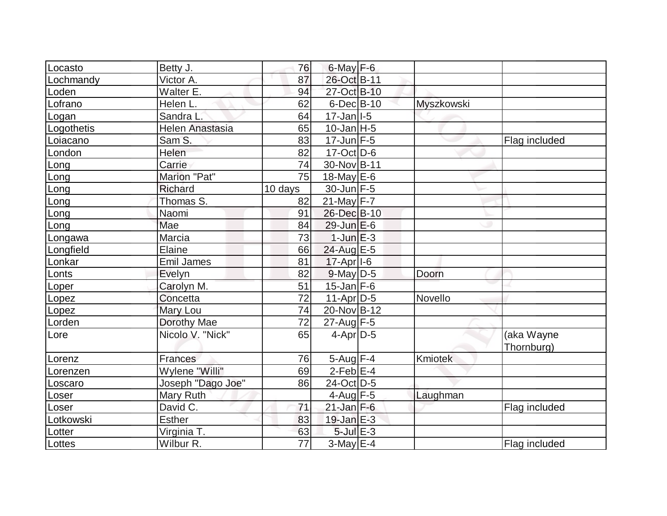| Locasto<br>Betty J.        |                   | 76              | $6$ -May $F$ -6           |                   |               |
|----------------------------|-------------------|-----------------|---------------------------|-------------------|---------------|
| Victor A.<br>Lochmandy     |                   | 87              | 26-Oct B-11               |                   |               |
| Loden                      | Walter E.         | 94              | 27-Oct B-10               |                   |               |
| Lofrano<br>Helen L.        |                   | 62              | $6$ -Dec $B$ -10          | <b>Myszkowski</b> |               |
| Logan                      | Sandra L.         | 64              | $17 - Jan$ <sup>1-5</sup> |                   |               |
| Logothetis                 | Helen Anastasia   | 65              | $10$ -Jan $ H-5$          |                   |               |
| Sam S.<br>Loiacano         |                   | 83              | $17$ -Jun $F-5$           |                   | Flag included |
| Helen<br>London            |                   | 82              | $17-Oct$ D-6              |                   |               |
| Carrie<br>Long             |                   | 74              | 30-Nov B-11               |                   |               |
| Long                       | Marion "Pat"      | 75              | 18-May $E-6$              |                   |               |
| Richard<br>Long            |                   | 10 days         | $30$ -Jun F-5             |                   |               |
| Long                       | Thomas S.         | 82              | $21$ -May F-7             |                   |               |
| Naomi<br>Long              |                   | 91              | 26-Dec B-10               |                   |               |
| Mae<br>Long                |                   | 84              | $29$ -Jun $E$ -6          |                   |               |
| Marcia<br>Longawa          |                   | 73              | $1$ -Jun $E-3$            |                   |               |
| Elaine<br>Longfield        |                   | 66              | 24-Aug E-5                |                   |               |
| Lonkar                     | <b>Emil James</b> | 81              | 17-Apr <sub>1-6</sub>     |                   |               |
| Lonts<br>Evelyn            |                   | 82              | $9$ -May $D$ -5           | Doorn             |               |
| Loper                      | Carolyn M.        | 51              | $15$ -Jan $F$ -6          |                   |               |
| Concetta<br>Lopez          |                   | $\overline{72}$ | $11-Apr D-5$              | Novello           |               |
| Mary Lou<br>Lopez          |                   | 74              | 20-Nov B-12               |                   |               |
| Lorden                     | Dorothy Mae       | 72              | $27$ -Aug F-5             |                   |               |
| Lore                       | Nicolo V. "Nick"  | 65              | $4$ -Apr $D-5$            |                   | (aka Wayne    |
|                            |                   |                 |                           |                   | Thornburg)    |
| Lorenz<br><b>Frances</b>   |                   | 76              | $5-Aug$ F-4               | <b>Kmiotek</b>    |               |
| Lorenzen                   | Wylene "Willi"    | 69              | $2$ -Feb $E-4$            |                   |               |
| Loscaro                    | Joseph "Dago Joe" | 86              | 24-Oct D-5                |                   |               |
| Loser                      | Mary Ruth         |                 | 4-Aug $F-5$               | Laughman          |               |
| David C.<br>Loser          |                   | 71              | $21$ -Jan F-6             |                   | Flag included |
| <b>Esther</b><br>Lotkowski |                   | 83              | $19$ -Jan $E-3$           |                   |               |
| Lotter                     | Virginia T.       | 63              | $5$ -Jul $E-3$            |                   |               |
| Wilbur R.<br>Lottes        |                   | $\overline{77}$ | $3-May$ $E-4$             |                   | Flag included |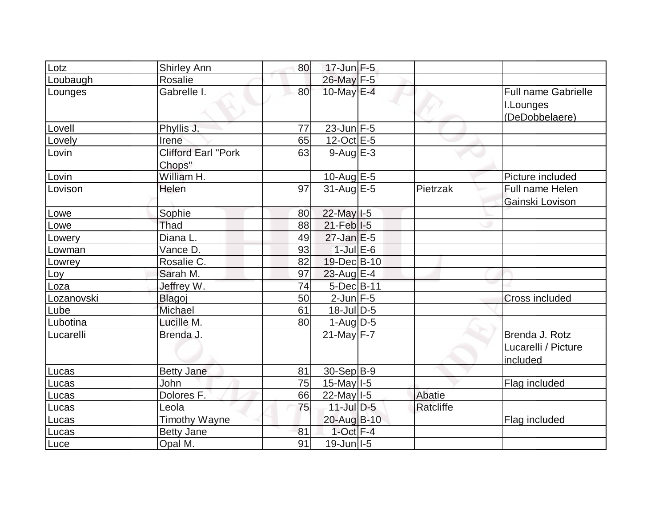| _otz       | <b>Shirley Ann</b>         | 80 | $17$ -Jun $F-5$   |           |                            |
|------------|----------------------------|----|-------------------|-----------|----------------------------|
| Loubaugh   | Rosalie                    |    | 26-May F-5        |           |                            |
| Lounges    | Gabrelle I.                | 80 | 10-May E-4        |           | <b>Full name Gabrielle</b> |
|            |                            |    |                   |           | I.Lounges                  |
|            |                            |    |                   |           | (DeDobbelaere)             |
| Lovell     | Phyllis J.                 | 77 | $23$ -Jun $F-5$   |           |                            |
| Lovely     | Irene                      | 65 | $12$ -Oct $E - 5$ |           |                            |
| Lovin      | <b>Clifford Earl "Pork</b> | 63 | $9-AugE-3$        |           |                            |
|            | Chops"                     |    |                   |           |                            |
| Lovin      | William H.                 |    | $10$ -Aug $E$ -5  |           | Picture included           |
| Lovison    | Helen                      | 97 | $31$ -Aug E-5     | Pietrzak  | Full name Helen            |
|            |                            |    |                   |           | Gainski Lovison            |
| _owe       | Sophie                     | 80 | 22-May I-5        |           |                            |
| owe.       | Thad                       | 88 | $21$ -Feb $ I-5 $ |           |                            |
| _owery     | Diana L.                   | 49 | $27$ -Jan $E-5$   |           |                            |
| _owman     | Vance D.                   | 93 | $1$ -Jul $E$ -6   |           |                            |
| _owrey     | Rosalie C.                 | 82 | 19-Dec B-10       |           |                            |
| _oy        | Sarah M.                   | 97 | 23-Aug $E-4$      |           |                            |
| _oza       | Jeffrey W.                 | 74 | 5-Dec B-11        |           |                            |
| Lozanovski | Blagoj                     | 50 | $2$ -Jun $F - 5$  |           | <b>Cross included</b>      |
| Lube       | Michael                    | 61 | $18$ -Jul $D-5$   |           |                            |
| Lubotina   | Lucille M.                 | 80 | $1-Aug$ $D-5$     |           |                            |
| Lucarelli  | Brenda J.                  |    | $21$ -May F-7     |           | Brenda J. Rotz             |
|            |                            |    |                   |           | Lucarelli / Picture        |
|            |                            |    |                   |           | included                   |
| Lucas      | <b>Betty Jane</b>          | 81 | $30-Sep B-9$      |           |                            |
| Lucas      | John                       | 75 | $15$ -May $I$ -5  |           | Flag included              |
| Lucas      | Dolores F.                 | 66 | $22$ -May $I-5$   | Abatie    |                            |
| Lucas      | Leola                      | 75 | $11$ -Jul $D-5$   | Ratcliffe |                            |
| Lucas      | <b>Timothy Wayne</b>       |    | 20-Aug B-10       |           | Flag included              |
| Lucas      | <b>Betty Jane</b>          | 81 | $1$ -Oct $F-4$    |           |                            |
| Luce       | Opal M.                    | 91 | $19$ -Jun $ I-5 $ |           |                            |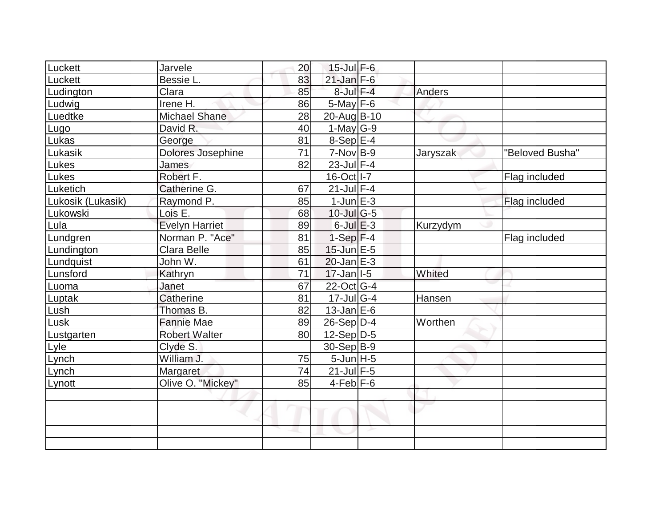| Luckett           | Jarvele               | 20 | 15-Jul F-6                        |               |                 |
|-------------------|-----------------------|----|-----------------------------------|---------------|-----------------|
| Luckett           | Bessie L.             | 83 | $21$ -Jan F-6                     |               |                 |
| Ludington         | Clara                 | 85 | $8$ -Jul $F-4$                    | Anders        |                 |
| Ludwig            | Irene H.              | 86 | $5$ -May $F$ -6                   |               |                 |
| Luedtke           | <b>Michael Shane</b>  | 28 | 20-Aug B-10                       |               |                 |
| Lugo              | David R.              | 40 | 1-May $G-9$                       |               |                 |
| Lukas             | George                | 81 | $8-Sep$ E-4                       |               |                 |
| Lukasik           | Dolores Josephine     | 71 | $7-Nov$ B-9                       | Jaryszak      | "Beloved Busha" |
| Lukes             | James                 | 82 | 23-Jul F-4                        |               |                 |
| Lukes             | Robert F.             |    | 16-Oct I-7                        |               | Flag included   |
| Luketich          | Catherine G.          | 67 | $21$ -Jul $F-4$                   |               |                 |
| Lukosik (Lukasik) | Raymond P.            | 85 | $1$ -Jun $E - 3$                  |               | Flag included   |
| Lukowski          | Lois E.               | 68 | $10$ -Jul $\overline{\text{G-5}}$ |               |                 |
| Lula              | <b>Evelyn Harriet</b> | 89 | $6$ -Jul $E$ -3                   | Kurzydym      |                 |
| Lundgren          | Norman P. "Ace"       | 81 | $1-Sep$ F-4                       |               | Flag included   |
| Lundington        | Clara Belle           | 85 | $15$ -Jun $E-5$                   |               |                 |
| Lundquist         | John W.               | 61 | $20$ -Jan $E-3$                   |               |                 |
| Lunsford          | <b>Kathryn</b>        | 71 | $17 - Jan$ <sup>1-5</sup>         | Whited        |                 |
| Luoma             | Janet                 | 67 | 22-Oct G-4                        |               |                 |
| Luptak            | Catherine             | 81 | $17 -$ Jul G-4                    | <b>Hansen</b> |                 |
| Lush              | Thomas B.             | 82 | $13$ -Jan $E-6$                   |               |                 |
| Lusk              | <b>Fannie Mae</b>     | 89 | $26-Sep D-4$                      | Worthen       |                 |
| Lustgarten        | <b>Robert Walter</b>  | 80 | $12-Sep D-5$                      |               |                 |
| Lyle              | Clyde S.              |    | $30-Sep B-9$                      |               |                 |
| Lynch             | William J.            | 75 | $5$ -Jun $H - 5$                  |               |                 |
| Lynch             | Margaret              | 74 | $21$ -Jul $F-5$                   |               |                 |
| Lynott            | Olive O. "Mickey"     | 85 | $4-Feb$ $F-6$                     |               |                 |
|                   |                       |    |                                   |               |                 |
|                   |                       |    |                                   |               |                 |
|                   |                       |    |                                   |               |                 |
|                   |                       |    |                                   |               |                 |
|                   |                       |    |                                   |               |                 |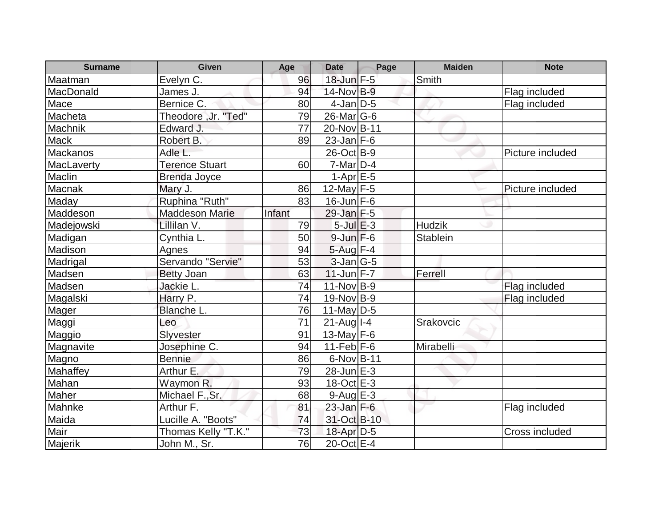| <b>Surname</b>  | <b>Given</b>          | Age    | <b>Date</b>             | Page | <b>Maiden</b>   | <b>Note</b>      |
|-----------------|-----------------------|--------|-------------------------|------|-----------------|------------------|
| Maatman         | Evelyn C.             | 96     | $18$ -Jun $F-5$         |      | Smith           |                  |
| MacDonald       | James J.              | 94     | 14-Nov B-9              |      |                 | Flag included    |
| Mace            | Bernice C.            | 80     | $4$ -Jan $ D-5 $        |      |                 | Flag included    |
| Macheta         | Theodore, Jr. "Ted"   | 79     | $26$ -Mar $ G-6$        |      |                 |                  |
| Machnik         | Edward J.             | 77     | 20-Nov B-11             |      |                 |                  |
| <b>Mack</b>     | Robert B.             | 89     | $23$ -Jan F-6           |      |                 |                  |
| <b>Mackanos</b> | Adle L.               |        | 26-Oct B-9              |      |                 | Picture included |
| MacLaverty      | <b>Terence Stuart</b> | 60     | $7-Mar$ D-4             |      |                 |                  |
| Maclin          | <b>Brenda Joyce</b>   |        | $1-Apr$ $E-5$           |      |                 |                  |
| <b>Macnak</b>   | Mary J.               | 86     | $12$ -May F-5           |      |                 | Picture included |
| Maday           | Ruphina "Ruth"        | 83     | $16$ -Jun $F-6$         |      |                 |                  |
| Maddeson        | <b>Maddeson Marie</b> | Infant | $29$ -Jan $F-5$         |      |                 |                  |
| Madejowski      | Lillilan V.           | 79     | $5$ -Jul $E$ -3         |      | <b>Hudzik</b>   |                  |
| Madigan         | Cynthia L.            | 50     | $9$ -Jun $F-6$          |      | <b>Stablein</b> |                  |
| Madison         | Agnes                 | 94     | $5$ -Aug $F-4$          |      |                 |                  |
| Madrigal        | Servando "Servie"     | 53     | $3$ -Jan $ G-5 $        |      |                 |                  |
| Madsen          | <b>Betty Joan</b>     | 63     | $11$ -Jun $F - 7$       |      | Ferrell         |                  |
| Madsen          | Jackie L.             | 74     | 11-Nov B-9              |      |                 | Flag included    |
| Magalski        | Harry P.              | 74     | 19-Nov B-9              |      |                 | Flag included    |
| Mager           | Blanche L.            | 76     | $11$ -May $ D-5$        |      |                 |                  |
| Maggi           | Leo                   | 71     | $21$ -Aug I-4           |      | Srakovcic       |                  |
| Maggio          | Slyvester             | 91     | 13-May $F-6$            |      |                 |                  |
| Magnavite       | Josephine C.          | 94     | $11-Feb$ F-6            |      | Mirabelli       |                  |
| Magno           | <b>Bennie</b>         | 86     | 6-Nov B-11              |      |                 |                  |
| Mahaffey        | Arthur E.             | 79     | $28$ -Jun $E-3$         |      |                 |                  |
| Mahan           | Waymon R.             | 93     | $18-Oct \overline{E-3}$ |      |                 |                  |
| Maher           | Michael F., Sr.       | 68     | $9-Auq$ $E-3$           |      |                 |                  |
| Mahnke          | Arthur F.             | 81     | $23$ -Jan F-6           |      |                 | Flag included    |
| Maida           | Lucille A. "Boots"    | 74     | 31-Oct B-10             |      |                 |                  |
| Mair            | Thomas Kelly "T.K."   | 73     | 18-Apr D-5              |      |                 | Cross included   |
| Majerik         | John M., Sr.          | 76     | $20$ -Oct $E-4$         |      |                 |                  |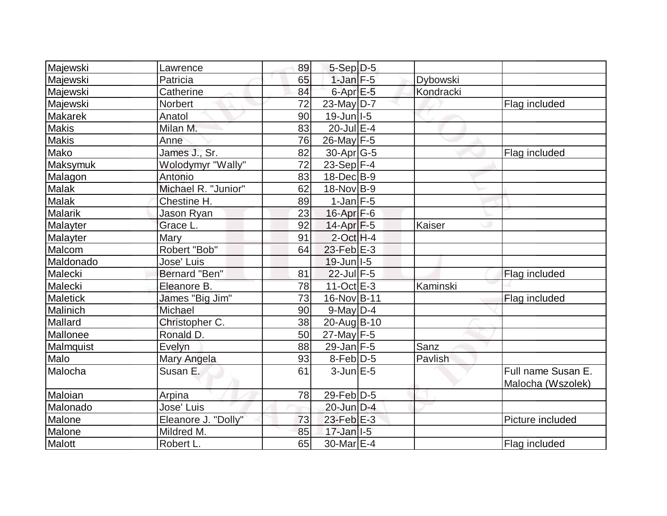| Majewski        | Lawrence             | 89              | $5-Sep D-5$       |           |                                         |
|-----------------|----------------------|-----------------|-------------------|-----------|-----------------------------------------|
| Majewski        | Patricia             | 65              | $1$ -Jan $F - 5$  | Dybowski  |                                         |
| Majewski        | Catherine            | 84              | 6-Apr E-5         | Kondracki |                                         |
| Majewski        | Norbert              | 72              | $23$ -May D-7     |           | Flag included                           |
| <b>Makarek</b>  | Anatol               | 90              | $19$ -Jun $ I-5 $ |           |                                         |
| <b>Makis</b>    | Milan M.             | 83              | 20-Jul E-4        |           |                                         |
| Makis           | Anne                 | 76              | $26$ -May F-5     |           |                                         |
| Mako            | James J., Sr.        | 82              | $30$ -Apr $ G-5 $ |           | Flag included                           |
| Maksymuk        | Wolodymyr "Wally"    | 72              | 23-Sep F-4        |           |                                         |
| Malagon         | Antonio              | 83              | $18$ -Dec $ B-9 $ |           |                                         |
| Malak           | Michael R. "Junior"  | 62              | 18-Nov B-9        |           |                                         |
| <b>Malak</b>    | Chestine H.          | 89              | $1$ -Jan $F-5$    |           |                                         |
| <b>Malarik</b>  | Jason Ryan           | 23              | $16$ -Apr $F-6$   |           |                                         |
| Malayter        | Grace L.             | 92              | $14$ -Apr $F-5$   | Kaiser    |                                         |
| Malayter        | Mary                 | 91              | $2$ -Oct H-4      |           |                                         |
| Malcom          | Robert "Bob"         | 64              | $23$ -Feb $E-3$   |           |                                         |
| Maldonado       | Jose' Luis           |                 | $19$ -Jun $ I-5 $ |           |                                         |
| Malecki         | <b>Bernard "Ben"</b> | 81              | 22-Jul F-5        |           | Flag included                           |
| Malecki         | Eleanore B.          | 78              | $11-Oct$ $E-3$    | Kaminski  |                                         |
| <b>Maletick</b> | James "Big Jim"      | $\overline{73}$ | 16-Nov B-11       |           | Flag included                           |
| Malinich        | Michael              | 90              | $9$ -May $D-4$    |           |                                         |
| Mallard         | Christopher C.       | 38              | 20-Aug B-10       |           |                                         |
| Mallonee        | Ronald D.            | 50              | $27$ -May F-5     |           |                                         |
| Malmquist       | Evelyn               | 88              | $29$ -Jan F-5     | Sanz      |                                         |
| Malo            | Mary Angela          | 93              | $8$ -Feb $D-5$    | Pavlish   |                                         |
| Malocha         | Susan E.             | 61              | $3$ -Jun $E - 5$  |           | Full name Susan E.<br>Malocha (Wszolek) |
| Maloian         | Arpina               | 78              | $29$ -Feb $ D-5$  |           |                                         |
| Malonado        | Jose' Luis           |                 | $20$ -Jun $D-4$   |           |                                         |
| Malone          | Eleanore J. "Dolly"  | 73              | $23$ -Feb $E-3$   |           | Picture included                        |
| Malone          | Mildred M.           | 85              | $17$ -Jan $ I-5 $ |           |                                         |
| Malott          | Robert L.            | 65              | 30-Mar E-4        |           | Flag included                           |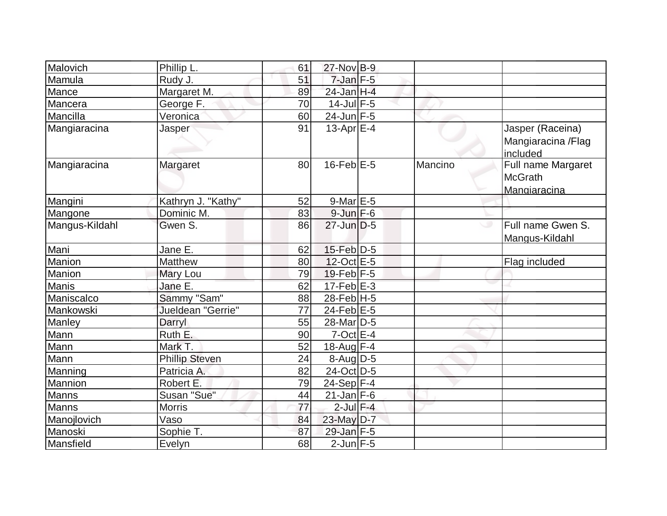| Malovich       | Phillip L.            | 61 | 27-Nov B-9            |         |                                                      |
|----------------|-----------------------|----|-----------------------|---------|------------------------------------------------------|
| Mamula         | Rudy J.               | 51 | $7$ -Jan $F - 5$      |         |                                                      |
| Mance          | Margaret M.           | 89 | 24-Jan H-4            |         |                                                      |
| Mancera        | George F.             | 70 | $14$ -Jul $F-5$       |         |                                                      |
| Mancilla       | Veronica              | 60 | $24$ -Jun F-5         |         |                                                      |
| Mangiaracina   | Jasper                | 91 | $13$ -Apr $E-4$       |         | Jasper (Raceina)<br>Mangiaracina / Flag<br>included  |
| Mangiaracina   | Margaret              | 80 | $16$ -Feb $E$ -5      | Mancino | Full name Margaret<br><b>McGrath</b><br>Mangiaracina |
| Mangini        | Kathryn J. "Kathy"    | 52 | $9$ -Mar $E-5$        |         |                                                      |
| Mangone        | Dominic M.            | 83 | $9$ -Jun $F - 6$      |         |                                                      |
| Mangus-Kildahl | Gwen S.               | 86 | $27$ -Jun $D-5$       |         | Full name Gwen S.<br>ی<br>Mangus-Kildahl             |
| Mani           | Jane E.               | 62 | 15-Feb D-5            |         |                                                      |
| Manion         | Matthew               | 80 | 12-Oct E-5            |         | Flag included                                        |
| Manion         | Mary Lou              | 79 | $19$ -Feb $F-5$       |         |                                                      |
| <b>Manis</b>   | Jane E.               | 62 | $17-Feb$ $E-3$        |         |                                                      |
| Maniscalco     | Sammy "Sam"           | 88 | 28-Feb H-5            |         |                                                      |
| Mankowski      | Jueldean "Gerrie"     | 77 | $24$ -Feb $E-5$       |         |                                                      |
| Manley         | Darryl                | 55 | 28-Mar <sub>D-5</sub> |         |                                                      |
| Mann           | Ruth E.               | 90 | $7$ -Oct $E-4$        |         |                                                      |
| Mann           | Mark T.               | 52 | 18-Aug F-4            |         |                                                      |
| Mann           | <b>Phillip Steven</b> | 24 | $8$ -Aug D-5          |         |                                                      |
| Manning        | Patricia A.           | 82 | 24-Oct D-5            |         |                                                      |
| Mannion        | Robert E.             | 79 | 24-Sep $F-4$          |         |                                                      |
| Manns          | Susan "Sue"           | 44 | $21$ -Jan F-6         |         |                                                      |
| Manns          | Morris                | 77 | $2$ -Jul $F-4$        |         |                                                      |
| Manojlovich    | Vaso                  | 84 | $23$ -May $D-7$       |         |                                                      |
| Manoski        | Sophie T.             | 87 | 29-Jan F-5            |         |                                                      |
| Mansfield      | Evelyn                | 68 | $2$ -Jun $F - 5$      |         |                                                      |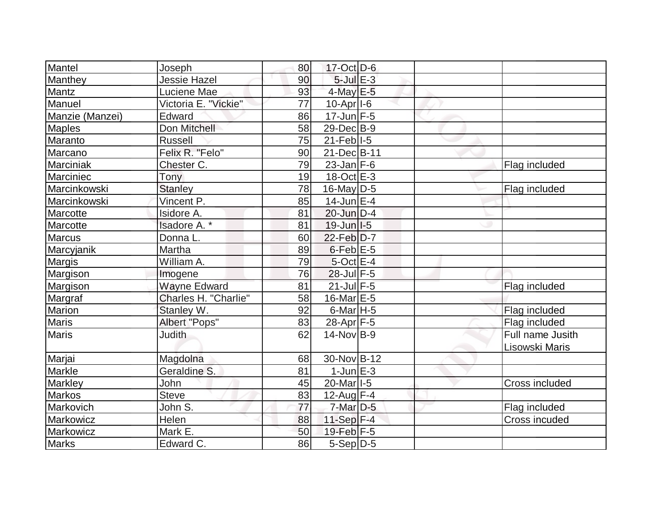| Mantel          | Joseph               | 80 | $17-Oct$ D-6                         |  |                  |
|-----------------|----------------------|----|--------------------------------------|--|------------------|
| Manthey         | <b>Jessie Hazel</b>  | 90 | $5$ -Jul $E-3$                       |  |                  |
| Mantz           | Luciene Mae          | 93 | $4$ -May $E$ -5                      |  |                  |
| Manuel          | Victoria E. "Vickie" | 77 | $10-Apr$  -6                         |  |                  |
| Manzie (Manzei) | Edward               | 86 | $17 - Jun$ F-5                       |  |                  |
| <b>Maples</b>   | Don Mitchell         | 58 | 29-Dec B-9                           |  |                  |
| Maranto         | <b>Russell</b>       | 75 | $21$ -Feb $ I-5 $                    |  |                  |
| Marcano         | Felix R. "Felo"      | 90 | 21-Dec B-11                          |  |                  |
| Marciniak       | Chester C.           | 79 | $23$ -Jan F-6                        |  | Flag included    |
| Marciniec       | Tony                 | 19 | $18-Oct$ <sub>E-3</sub>              |  |                  |
| Marcinkowski    | <b>Stanley</b>       | 78 | $16$ -May D-5                        |  | Flag included    |
| Marcinkowski    | Vincent P.           | 85 | $14$ -Jun $E-4$                      |  |                  |
| Marcotte        | Isidore A.           | 81 | $20$ -Jun $D-4$                      |  |                  |
| Marcotte        | Isadore A. *         | 81 | $19$ -Jun $ I-5 $                    |  |                  |
| Marcus          | Donna L.             | 60 | $22$ -Feb $D-7$                      |  |                  |
| Marcyjanik      | Martha               | 89 | $6$ -Feb $E$ -5                      |  |                  |
| Margis          | William A.           | 79 | $5$ -Oct $E - 4$                     |  |                  |
| Margison        | Imogene              | 76 | 28-Jul F-5                           |  |                  |
| Margison        | <b>Wayne Edward</b>  | 81 | $21$ -Jul F-5                        |  | Flag included    |
| Margraf         | Charles H. "Charlie" | 58 | 16-Mar $E-5$                         |  |                  |
| <b>Marion</b>   | Stanley W.           | 92 | $6$ -Mar <sub><math>H</math>-5</sub> |  | Flag included    |
| <b>Maris</b>    | Albert "Pops"        | 83 | $28$ -Apr $F-5$                      |  | Flag included    |
| <b>Maris</b>    | <b>Judith</b>        | 62 | $14$ -Nov $ B-9 $                    |  | Full name Jusith |
|                 |                      |    |                                      |  | Lisowski Maris   |
| Marjai          | Magdolna             | 68 | 30-Nov B-12                          |  |                  |
| Markle          | Geraldine S.         | 81 | $1$ -Jun $E-3$                       |  |                  |
| <b>Markley</b>  | <b>John</b>          | 45 | 20-Mar <sub>1-5</sub>                |  | Cross included   |
| <b>Markos</b>   | <b>Steve</b>         | 83 | $12$ -Aug F-4                        |  |                  |
| Markovich       | John S.              | 77 | $7$ -Mar $D-5$                       |  | Flag included    |
| Markowicz       | Helen                | 88 | $11-Sep$ F-4                         |  | Cross incuded    |
| Markowicz       | Mark E.              | 50 | $19$ -Feb $F-5$                      |  |                  |
| <b>Marks</b>    | Edward C.            | 86 | 5-Sep D-5                            |  |                  |
|                 |                      |    |                                      |  |                  |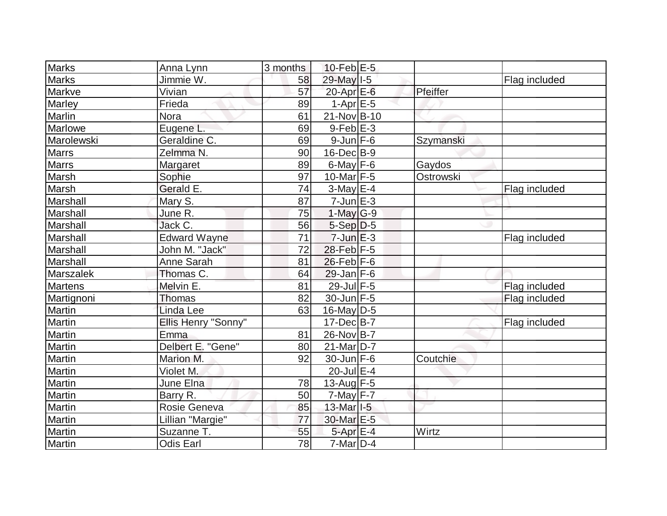| <b>Marks</b>   | Anna Lynn           | 3 months        | $10$ -Feb $E-5$        |           |               |
|----------------|---------------------|-----------------|------------------------|-----------|---------------|
| <b>Marks</b>   | Jimmie W.           | 58              | 29-May I-5             |           | Flag included |
| Markve         | Vivian              | 57              | $20$ -Apr $E$ -6       | Pfeiffer  |               |
| Marley         | Frieda              | 89              | $1-AprE-5$             |           |               |
| Marlin         | <b>Nora</b>         | 61              | 21-Nov B-10            |           |               |
| Marlowe        | Eugene L.           | 69              | $9-Feb$ $E-3$          |           |               |
| Marolewski     | Geraldine C.        | 69              | $9$ -Jun $F$ -6        | Szymanski |               |
| <b>Marrs</b>   | Zelmma N.           | 90              | $16$ -Dec $B-9$        |           |               |
| <b>Marrs</b>   | Margaret            | 89              | $6$ -May $F$ -6        | Gaydos    |               |
| Marsh          | Sophie              | 97              | 10-Mar $F-5$           | Ostrowski |               |
| Marsh          | Gerald E.           | 74              | $3-May$ $E-4$          |           | Flag included |
| Marshall       | Mary S.             | 87              | $7$ -Jun $E-3$         |           |               |
| Marshall       | June R.             | 75              | $1-May$ <sub>G-9</sub> |           |               |
| Marshall       | Jack C.             | 56              | $5-Sep D-5$            |           |               |
| Marshall       | <b>Edward Wayne</b> | $\overline{71}$ | $7 - Jun \nE - 3$      |           | Flag included |
| Marshall       | John M. "Jack"      | 72              | 28-Feb F-5             |           |               |
| Marshall       | Anne Sarah          | 81              | $26$ -Feb F-6          |           |               |
| Marszalek      | Thomas C.           | 64              | $29$ -Jan F-6          |           |               |
| <b>Martens</b> | Melvin E.           | 81              | 29-Jul F-5             |           | Flag included |
| Martignoni     | <b>Thomas</b>       | 82              | $30$ -Jun $F-5$        |           | Flag included |
| Martin         | Linda Lee           | 63              | 16-May D-5             |           |               |
| Martin         | Ellis Henry "Sonny" |                 | $17 - Dec$ B-7         |           | Flag included |
| Martin         | Emma                | 81              | 26-Nov B-7             |           |               |
| Martin         | Delbert E. "Gene"   | 80              | $21$ -Mar $ D-7 $      |           |               |
| Martin         | Marion M.           | 92              | $30$ -Jun F-6          | Coutchie  |               |
| Martin         | Violet M.           |                 | 20-Jul E-4             |           |               |
| Martin         | June Elna           | 78              | $13$ -Aug F-5          |           |               |
| Martin         | Barry R.            | 50              | $7$ -May $F - 7$       |           |               |
| Martin         | Rosie Geneva        | 85              | 13-Mar 1-5             |           |               |
| Martin         | Lillian "Margie"    | 77              | 30-Mar E-5             |           |               |
| Martin         | Suzanne T.          | 55              | 5-Apr E-4              | Wirtz     |               |
| Martin         | <b>Odis Earl</b>    | 78              | $7-Mar$ D-4            |           |               |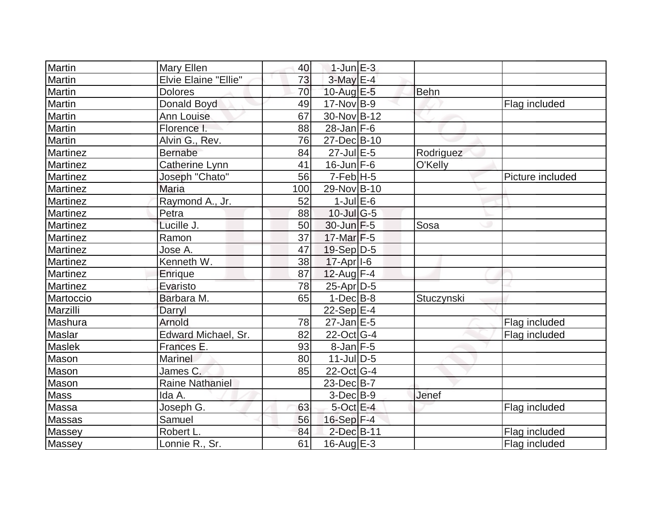| <b>Martin</b>   | Mary Ellen             | 40  | $1$ -Jun $E-3$          |            |                  |
|-----------------|------------------------|-----|-------------------------|------------|------------------|
| Martin          | Elvie Elaine "Ellie"   | 73  | $3$ -May $E-4$          |            |                  |
| Martin          | <b>Dolores</b>         | 70  | 10-Aug $E-5$            | Behn       |                  |
| Martin          | Donald Boyd            | 49  | $17-Nov B-9$            |            | Flag included    |
| Martin          | Ann Louise             | 67  | 30-Nov B-12             |            |                  |
| Martin          | Florence I.            | 88  | $28$ -Jan F-6           |            |                  |
| Martin          | Alvin G., Rev.         | 76  | 27-Dec B-10             |            |                  |
| Martinez        | <b>Bernabe</b>         | 84  | $27$ -Jul $E$ -5        | Rodriguez  |                  |
| <b>Martinez</b> | Catherine Lynn         | 41  | $16$ -Jun $F-6$         | O'Kelly    |                  |
| Martinez        | Joseph "Chato"         | 56  | $7-Feb$ H-5             |            | Picture included |
| <b>Martinez</b> | <b>Maria</b>           | 100 | 29-Nov B-10             |            |                  |
| Martinez        | Raymond A., Jr.        | 52  | $1$ -Jul $E$ -6         |            |                  |
| <b>Martinez</b> | Petra                  | 88  | $10$ -Jul G-5           |            |                  |
| <b>Martinez</b> | Lucille J.             | 50  | $30$ -Jun $F-5$         | Sosa       |                  |
| <b>Martinez</b> | Ramon                  | 37  | $17$ -Mar $F-5$         |            |                  |
| <b>Martinez</b> | Jose A.                | 47  | 19-Sep D-5              |            |                  |
| <b>Martinez</b> | Kenneth W.             | 38  | $17-Apr$ <sup>1-6</sup> |            |                  |
| <b>Martinez</b> | Enrique                | 87  | $12$ -Aug F-4           |            |                  |
| <b>Martinez</b> | Evaristo               | 78  | 25-Apr D-5              |            |                  |
| Martoccio       | Barbara M.             | 65  | $1-Dec$ B-8             | Stuczynski |                  |
| Marzilli        | Darryl                 |     | $22-Sep E-4$            |            |                  |
| Mashura         | Arnold                 | 78  | $27$ -Jan $E-5$         |            | Flag included    |
| <b>Maslar</b>   | Edward Michael, Sr.    | 82  | $22$ -Oct $ G-4 $       |            | Flag included    |
| Maslek          | Frances E.             | 93  | $8$ -Jan $F-5$          |            |                  |
| Mason           | <b>Marinel</b>         | 80  | $11$ -JulD-5            |            |                  |
| Mason           | James C.               | 85  | 22-Oct G-4              |            |                  |
| Mason           | <b>Raine Nathaniel</b> |     | $23$ -Dec $B$ -7        |            |                  |
| Mass            | Ida A.                 |     | $3-Dec$ $B-9$           | Jenef      |                  |
| Massa           | Joseph G.              | 63  | $5$ -Oct $E - 4$        |            | Flag included    |
| <b>Massas</b>   | Samuel                 | 56  | $16-Sep$ F-4            |            |                  |
| Massey          | Robert L.              | 84  | $2$ -Dec $B-11$         |            | Flag included    |
| Massey          | Lonnie R., Sr.         | 61  | 16-Aug $E-3$            |            | Flag included    |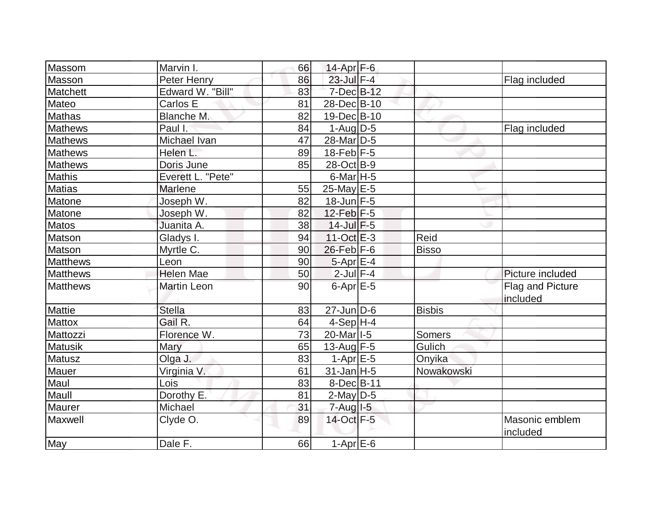|                  | Marvin I.          | 66 | 14-Apr $F-6$             |               |                                     |
|------------------|--------------------|----|--------------------------|---------------|-------------------------------------|
| Massom<br>Masson | Peter Henry        | 86 | 23-Jul F-4               |               | Flag included                       |
| Matchett         | Edward W. "Bill"   | 83 | 7-Dec B-12               |               |                                     |
| Mateo            | Carlos E           | 81 | 28-Dec B-10              |               |                                     |
| <b>Mathas</b>    | Blanche M.         | 82 | 19-Dec B-10              |               |                                     |
| <b>Mathews</b>   | Paul I:            | 84 | $1-Aug D-5$              |               |                                     |
| <b>Mathews</b>   | Michael Ivan       | 47 | 28-Mar <sub>D-5</sub>    |               | Flag included                       |
| <b>Mathews</b>   | Helen L.           | 89 | $18$ -Feb $F-5$          |               |                                     |
|                  |                    |    |                          |               |                                     |
| <b>Mathews</b>   | Doris June         | 85 | 28-Oct B-9               |               |                                     |
| Mathis           | Everett L. "Pete"  |    | $6$ -Mar <sub>H</sub> -5 |               |                                     |
| <b>Matias</b>    | Marlene            | 55 | $25$ -May $E$ -5         |               |                                     |
| Matone           | Joseph W.          | 82 | 18-Jun F-5               |               |                                     |
| Matone           | Joseph W.          | 82 | $12$ -Feb $F-5$          |               |                                     |
| <b>Matos</b>     | Juanita A.         | 38 | $14$ -Jul $F-5$          |               |                                     |
| Matson           | Gladys I.          | 94 | $11-Oct$ $E-3$           | Reid          |                                     |
| Matson           | Myrtle C.          | 90 | $26$ -Feb $F-6$          | <b>Bisso</b>  |                                     |
| <b>Matthews</b>  | Leon               | 90 | $5-Apr$ E-4              |               |                                     |
| Matthews         | <b>Helen Mae</b>   | 50 | $2$ -Jul $F-4$           |               | Picture included                    |
| <b>Matthews</b>  | <b>Martin Leon</b> | 90 | $6$ -Apr $E$ -5          |               | <b>Flag and Picture</b><br>included |
| <b>Mattie</b>    | <b>Stella</b>      | 83 | $27$ -Jun $ D-6$         | <b>Bisbis</b> |                                     |
| <b>Mattox</b>    | Gail R.            | 64 | $4-Sep H-4$              |               |                                     |
| Mattozzi         | Florence W.        | 73 | 20-Mar <sub>1-5</sub>    | <b>Somers</b> |                                     |
| <b>Matusik</b>   | Mary               | 65 | 13-Aug $F-5$             | Gulich        |                                     |
| Matusz           | Olga J.            | 83 | $1-Apr$ $E-5$            | Onyika        |                                     |
| Mauer            | Virginia V.        | 61 | $31$ -Jan H-5            | Nowakowski    |                                     |
| Maul             | Lois               | 83 | 8-Dec B-11               |               |                                     |
| Maull            | Dorothy E.         | 81 | $2$ -May $D-5$           |               |                                     |
| Maurer           | Michael            | 31 | $7 - Aug$ $1 - 5$        |               |                                     |
| Maxwell          | Clyde O.           | 89 | 14-Oct F-5               |               | Masonic emblem<br>included          |
| May              | Dale F.            | 66 | $1-Apr$ $E-6$            |               |                                     |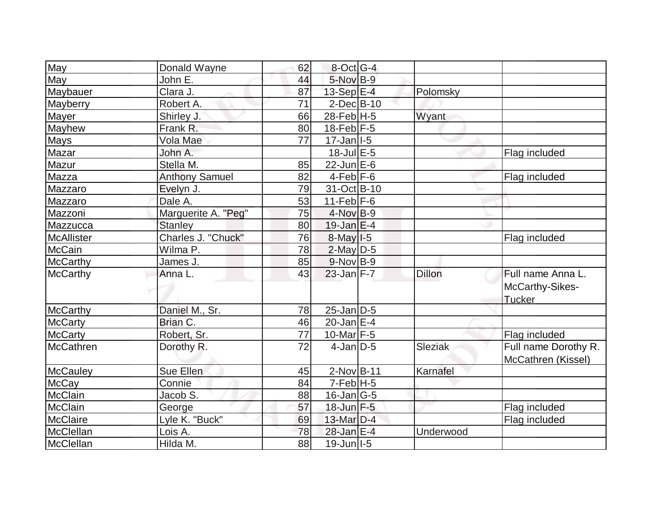| May               | Donald Wayne          | 62 | $8$ -Oct G-4              |                |                      |
|-------------------|-----------------------|----|---------------------------|----------------|----------------------|
| May               | John E.               | 44 | 5-Nov B-9                 |                |                      |
| Maybauer          | Clara J.              | 87 | $13-Sep$ $E-4$            | Polomsky       |                      |
| Mayberry          | Robert A.             | 71 | $2$ -Dec $B$ -10          |                |                      |
| <b>Mayer</b>      | Shirley J.            | 66 | $28 - \text{Feb}$ H-5     | Wyant          |                      |
| Mayhew            | Frank R.              | 80 | $18$ -Feb $F-5$           |                |                      |
| <b>Mays</b>       | Vola Mae              | 77 | $17 - Jan$ <sup>1-5</sup> |                |                      |
| Mazar             | John A.               |    | $18 -$ Jul $E - 5$        |                | Flag included        |
| Mazur             | Stella M.             | 85 | $22$ -Jun $E-6$           |                |                      |
| Mazza             | <b>Anthony Samuel</b> | 82 | $4-Feb$ $F-6$             |                | Flag included        |
| Mazzaro           | Evelyn J.             | 79 | 31-Oct B-10               |                |                      |
| Mazzaro           | Dale A.               | 53 | 11-Feb $F-6$              |                |                      |
| Mazzoni           | Marguerite A. "Peg"   | 75 | $4$ -Nov $B-9$            |                |                      |
| Mazzucca          | <b>Stanley</b>        | 80 | $19$ -Jan $E-4$           |                |                      |
| <b>McAllister</b> | Charles J. "Chuck"    | 76 | $8$ -May $1-5$            |                | Flag included        |
| <b>McCain</b>     | Wilma P.              | 78 | $2$ -May $D-5$            |                |                      |
| <b>McCarthy</b>   | James J.              | 85 | $9-Nov$ B-9               |                |                      |
| <b>McCarthy</b>   | Anna L.               | 43 | $23$ -Jan F-7             | Dillon         | Full name Anna L.    |
|                   |                       |    |                           |                | McCarthy-Sikes-      |
|                   |                       |    |                           |                | Tucker               |
| <b>McCarthy</b>   | Daniel M., Sr.        | 78 | $25$ -Jan D-5             |                |                      |
| <b>McCarty</b>    | Brian C.              | 46 | $20$ -Jan $E-4$           |                |                      |
| <b>McCarty</b>    | Robert, Sr.           | 77 | $10$ -Mar $F-5$           |                | Flag included        |
| <b>McCathren</b>  | Dorothy R.            | 72 | $4$ -Jan $ID-5$           | <b>Sleziak</b> | Full name Dorothy R. |
|                   |                       |    |                           |                | McCathren (Kissel)   |
| <b>McCauley</b>   | Sue Ellen             | 45 | $2$ -Nov $ B-11$          | Karnafel       |                      |
| <b>McCay</b>      | Connie                | 84 | $7-Feb$ H-5               |                |                      |
| McClain           | Jacob S.              | 88 | $16$ -Jan $ G-5 $         |                |                      |
| <b>McClain</b>    | George                | 57 | $18$ -Jun $F - 5$         |                | Flag included        |
| <b>McClaire</b>   | Lyle K. "Buck"        | 69 | $13$ -Mar $D-4$           |                | Flag included        |
| McClellan         | Lois A.               | 78 | 28-Jan E-4                | Underwood      |                      |
| McClellan         | Hilda M.              | 88 | $19$ -Jun I-5             |                |                      |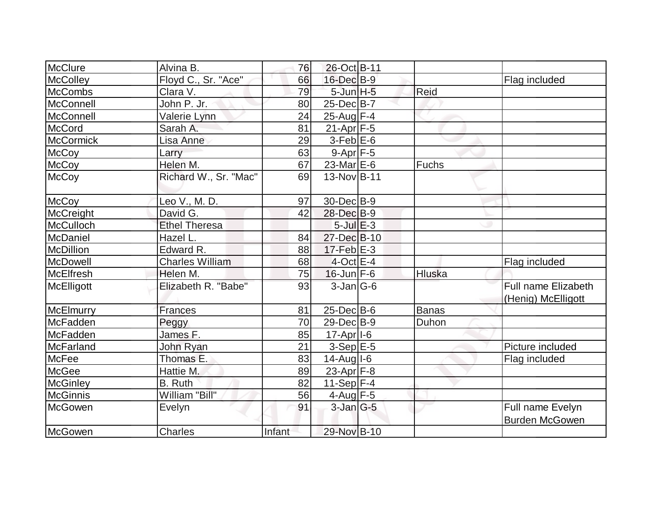| McClure          | Alvina B.              | 76     | 26-Oct B-11             |        |                                                  |
|------------------|------------------------|--------|-------------------------|--------|--------------------------------------------------|
| <b>McColley</b>  | Floyd C., Sr. "Ace"    | 66     | 16-Dec B-9              |        | Flag included                                    |
| <b>McCombs</b>   | Clara V.               | 79     | $5$ -Jun $H-5$          | Reid   |                                                  |
| McConnell        | John P. Jr.            | 80     | 25-Dec B-7              |        |                                                  |
| <b>McConnell</b> | Valerie Lynn           | 24     | 25-Aug F-4              |        |                                                  |
| McCord           | Sarah A.               | 81     | $21-Apr$ F-5            |        |                                                  |
| <b>McCormick</b> | Lisa Anne              | 29     | $3$ -Feb $E$ -6         |        |                                                  |
| <b>McCoy</b>     | Larry                  | 63     | $9-Apr$ $F-5$           |        |                                                  |
| <b>McCoy</b>     | Helen M.               | 67     | 23-Mar $E-6$            | Fuchs  |                                                  |
| <b>McCoy</b>     | Richard W., Sr. "Mac"  | 69     | 13-Nov B-11             |        |                                                  |
| McCoy            | Leo V., M. D.          | 97     | 30-Dec B-9              |        |                                                  |
| McCreight        | David G.               | 42     | 28-Dec B-9              |        |                                                  |
| McCulloch        | <b>Ethel Theresa</b>   |        | $5$ -Jul $E$ -3         |        |                                                  |
| McDaniel         | Hazel L.               | 84     | 27-Dec B-10             |        |                                                  |
| McDillion        | Edward R.              | 88     | $17$ -Feb $E-3$         |        |                                                  |
| McDowell         | <b>Charles William</b> | 68     | $4$ -Oct $E-4$          |        | Flag included                                    |
| McElfresh        | Helen M.               | 75     | $16$ -Jun $F-6$         | Hluska |                                                  |
| McElligott       | Elizabeth R. "Babe"    | 93     | $3$ -Jan $ G-6 $        |        | <b>Full name Elizabeth</b><br>(Henig) McElligott |
| McElmurry        | <b>Frances</b>         | 81     | $25$ -Dec $B$ -6        | Banas  |                                                  |
| McFadden         | Peggy                  | 70     | 29-Dec B-9              | Duhon  |                                                  |
| McFadden         | James F.               | 85     | $17-Apr$ <sup>1-6</sup> |        |                                                  |
| McFarland        | John Ryan              | 21     | $3-Sep$ E-5             |        | Picture included                                 |
| <b>McFee</b>     | Thomas E.              | 83     | $14$ -Aug $I$ -6        |        | Flag included                                    |
| McGee            | Hattie M.              | 89     | $23$ -Apr $F-8$         |        |                                                  |
| <b>McGinley</b>  | B. Ruth                | 82     | $11-Sep$ F-4            |        |                                                  |
| <b>McGinnis</b>  | William "Bill"         | 56     | 4-Aug F-5               |        |                                                  |
| <b>McGowen</b>   | Evelyn                 | 91     | $3$ -Jan $G-5$          |        | Full name Evelyn<br><b>Burden McGowen</b>        |
| McGowen          | Charles                | Infant | 29-Nov B-10             |        |                                                  |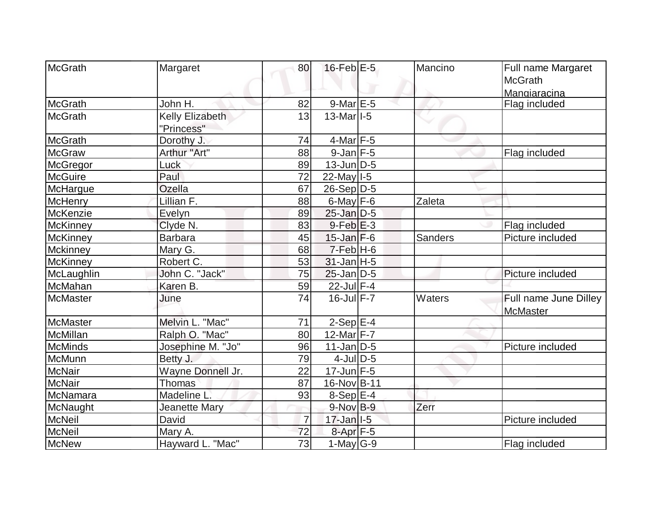| McGrath                        | Margaret               | 80             | $16$ -Feb $E-5$                        | Mancino        | Full name Margaret    |
|--------------------------------|------------------------|----------------|----------------------------------------|----------------|-----------------------|
|                                |                        |                |                                        |                | <b>McGrath</b>        |
|                                |                        |                |                                        |                | Mangiaracina          |
| McGrath                        | John H.                | 82             | $9$ -Mar $E$ -5                        |                | Flag included         |
| <b>McGrath</b>                 | <b>Kelly Elizabeth</b> | 13             | $13$ -Mar <sub><math> I-5</math></sub> |                |                       |
|                                | "Princess"             |                |                                        |                |                       |
| McGrath                        | Dorothy J.             | 74             | $4$ -Mar F-5                           |                |                       |
| <b>McGraw</b>                  | Arthur "Art"           | 88             | $9$ -Jan $F$ -5                        |                | Flag included         |
| McGregor                       | Luck                   | 89             | $13$ -Jun $ D-5$                       |                |                       |
| <b>McGuire</b>                 | Paul                   | 72             | $22$ -May $I - 5$                      |                |                       |
| McHargue                       | <b>Ozella</b>          | 67             | $26-Sep D-5$                           |                |                       |
| McHenry                        | Lillian F.             | 88             | $6$ -May $F-6$                         | Zaleta         |                       |
| McKenzie                       | Evelyn                 | 89             | $25$ -Jan $D-5$                        |                |                       |
| <b>McKinney</b>                | Clyde N.               | 83             | $9$ -Feb $E-3$                         |                | Flag included         |
| McKinney                       | <b>Barbara</b>         | 45             | $15$ -Jan $F-6$                        | <b>Sanders</b> | Picture included      |
| Mckinney                       | Mary G.                | 68             | $7-Feb$ H-6                            |                |                       |
| McKinney                       | Robert C.              | 53             | $31$ -Jan H-5                          |                |                       |
| McLaughlin                     | John C. "Jack"         | 75             | $25$ -Jan $D-5$                        |                | Picture included      |
| McMahan                        | Karen <sub>B.</sub>    | 59             | 22-Jul F-4                             |                |                       |
| <b>McMaster</b>                | June                   | 74             | $16$ -Jul $F - 7$                      | <b>Waters</b>  | Full name June Dilley |
|                                |                        |                |                                        |                | McMaster              |
| McMaster<br>McMillan           | Melvin L. "Mac"        | 71             | $2-Sep$ $E-4$<br>12-Mar $F-7$          |                |                       |
|                                | Ralph O. "Mac"         | 80             |                                        |                |                       |
| <b>McMinds</b>                 | Josephine M. "Jo"      | 96             | $11$ -Jan D-5                          |                | Picture included      |
| McMunn                         | Betty J.               | 79             | $4$ -JulD-5                            |                |                       |
| <b>McNair</b><br><b>McNair</b> | Wayne Donnell Jr.      | 22             | 17-Jun F-5                             |                |                       |
|                                | <b>Thomas</b>          | 87             | 16-Nov B-11                            |                |                       |
| McNamara                       | Madeline L.            | 93             | $8-Sep$ $E-4$                          |                |                       |
| McNaught                       | Jeanette Mary          |                | $9-Nov$ B-9                            | Zerr           |                       |
| <b>McNeil</b>                  | David                  | $\overline{7}$ | $17 - Jan$ <sup>1-5</sup>              |                | Picture included      |
| <b>McNeil</b>                  | Mary A.                | 72             | $8-Apr$ F-5                            |                |                       |
| McNew                          | Hayward L. "Mac"       | 73             | 1-May $G-9$                            |                | Flag included         |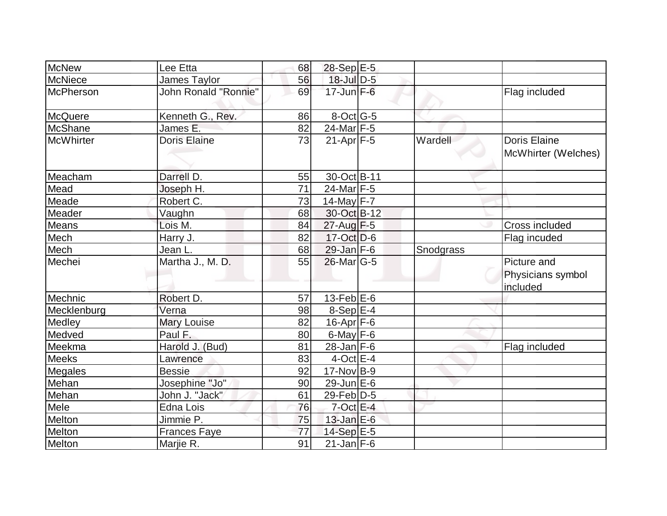| <b>McNew</b>   | Lee Etta             | 68 | 28-Sep E-5        |           |                                              |
|----------------|----------------------|----|-------------------|-----------|----------------------------------------------|
| <b>McNiece</b> | James Taylor         | 56 | $18$ -Jul $D-5$   |           |                                              |
| McPherson      | John Ronald "Ronnie" | 69 | $17 - Jun$ $F-6$  |           | Flag included                                |
| McQuere        | Kenneth G., Rev.     | 86 | $8$ -Oct G-5      |           |                                              |
| <b>McShane</b> | James E.             | 82 | 24-Mar F-5        |           |                                              |
| McWhirter      | <b>Doris Elaine</b>  | 73 | $21-Apr$ F-5      | Wardell   | <b>Doris Elaine</b><br>McWhirter (Welches)   |
| Meacham        | Darrell D.           | 55 | 30-Oct B-11       |           |                                              |
| Mead           | Joseph H.            | 71 | 24-Mar F-5        |           |                                              |
| Meade          | Robert C.            | 73 | 14-May $F-7$      |           |                                              |
| Meader         | Vaughn               | 68 | 30-Oct B-12       |           |                                              |
| Means          | Lois M.              | 84 | $27$ -Aug F-5     |           | Cross included                               |
| Mech           | Harry J.             | 82 | $17$ -Oct $D-6$   |           | Flag incuded                                 |
| Mech           | Jean L.              | 68 | $29$ -Jan $F-6$   | Snodgrass |                                              |
| Mechei         | Martha J., M. D.     | 55 | $26$ -Mar $ G-5 $ |           | Picture and<br>Physicians symbol<br>included |
| Mechnic        | Robert D.            | 57 | $13$ -Feb $E$ -6  |           |                                              |
| Mecklenburg    | Verna                | 98 | $8-Sep$ $E-4$     |           |                                              |
| Medley         | <b>Mary Louise</b>   | 82 | $16$ -Apr $F$ -6  |           |                                              |
| Medved         | Paul F.              | 80 | $6$ -May $F-6$    |           |                                              |
| Meekma         | Harold J. (Bud)      | 81 | $28$ -Jan F-6     |           | Flag included                                |
| <b>Meeks</b>   | Lawrence             | 83 | $4$ -Oct $E-4$    |           |                                              |
| Megales        | <b>Bessie</b>        | 92 | $17$ -Nov B-9     |           |                                              |
| Mehan          | Josephine "Jo"       | 90 | $29$ -Jun $E-6$   |           |                                              |
| Mehan          | John J. "Jack"       | 61 | $29$ -Feb $ D-5$  |           |                                              |
| Mele           | Edna Lois            | 76 | $7$ -Oct $E-4$    |           |                                              |
| <b>Melton</b>  | Jimmie P.            | 75 | $13$ -Jan $E-6$   |           |                                              |
| Melton         | <b>Frances Faye</b>  | 77 | $14-Sep$ $E-5$    |           |                                              |
| Melton         | Marjie R.            | 91 | $21$ -Jan F-6     |           |                                              |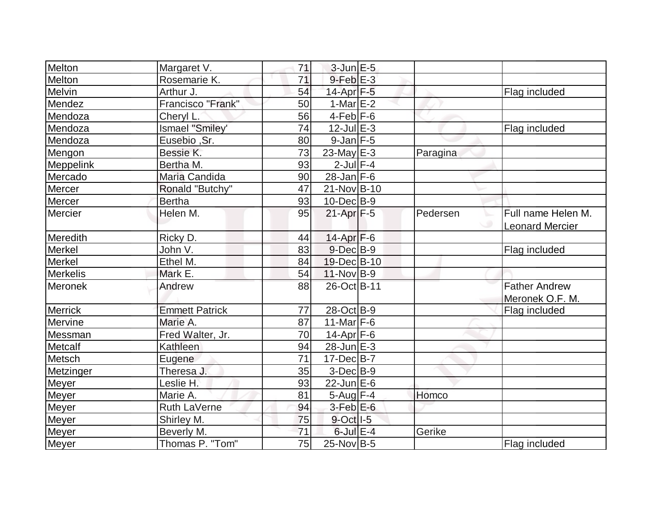| Melton           | Margaret V.           | 71 | $3$ -Jun $E-5$    |          |                        |
|------------------|-----------------------|----|-------------------|----------|------------------------|
| Melton           | Rosemarie K.          | 71 | $9$ -Feb $E-3$    |          |                        |
| Melvin           | Arthur J.             | 54 | $14$ -Apr $F-5$   |          | Flag included          |
| Mendez           | Francisco "Frank"     | 50 | $1-Mar$ $E-2$     |          |                        |
| Mendoza          | Cheryl L.             | 56 | $4$ -Feb $F-6$    |          |                        |
| Mendoza          | Ismael "Smiley'       | 74 | $12$ -Jul $E-3$   |          | Flag included          |
| Mendoza          | Eusebio, Sr.          | 80 | $9$ -Jan $F-5$    |          |                        |
| Mengon           | Bessie K.             | 73 | $23$ -May $E-3$   | Paragina |                        |
| <b>Meppelink</b> | Bertha M.             | 93 | $2$ -Jul $F-4$    |          |                        |
| Mercado          | Maria Candida         | 90 | $28$ -Jan F-6     |          |                        |
| Mercer           | Ronald "Butchy"       | 47 | 21-Nov B-10       |          |                        |
| Mercer           | <b>Bertha</b>         | 93 | $10$ -Dec $ B-9 $ |          |                        |
| Mercier          | Helen M.              | 95 | $21-Apr$ F-5      | Pedersen | Full name Helen M.     |
|                  |                       |    |                   |          | <b>Leonard Mercier</b> |
| Meredith         | Ricky D.              | 44 | 14-Apr F-6        |          |                        |
| <b>Merkel</b>    | John V.               | 83 | $9$ -Dec $B$ -9   |          | Flag included          |
| <b>Merkel</b>    | Ethel M.              | 84 | 19-Dec B-10       |          |                        |
| <b>Merkelis</b>  | Mark E.               | 54 | $11-Nov B-9$      |          |                        |
| Meronek          | Andrew                | 88 | 26-Oct B-11       |          | <b>Father Andrew</b>   |
|                  |                       |    |                   |          | Meronek O.F. M.        |
| <b>Merrick</b>   | <b>Emmett Patrick</b> | 77 | 28-Oct B-9        |          | Flag included          |
| Mervine          | Marie A.              | 87 | $11$ -Mar F-6     |          |                        |
| Messman          | Fred Walter, Jr.      | 70 | 14-Apr F-6        |          |                        |
| Metcalf          | Kathleen              | 94 | $28$ -Jun $E-3$   |          |                        |
| Metsch           | Eugene                | 71 | $17 - Dec$ B-7    |          |                        |
| Metzinger        | Theresa J.            | 35 | $3-Dec B-9$       |          |                        |
| Meyer            | Leslie H.             | 93 | $22$ -Jun $E-6$   |          |                        |
| <b>Meyer</b>     | Marie A.              | 81 | $5$ -Aug $F-4$    | Homco    |                        |
| <b>Meyer</b>     | Ruth LaVerne          | 94 | $3-Feb$ E-6       |          |                        |
| Meyer            | Shirley M.            | 75 | 9-Oct I-5         |          |                        |
| <b>Meyer</b>     | Beverly M.            | 71 | $6$ -Jul $E-4$    | Gerike   |                        |
| Meyer            | Thomas P. "Tom"       | 75 | $25$ -Nov $ B-5$  |          | Flag included          |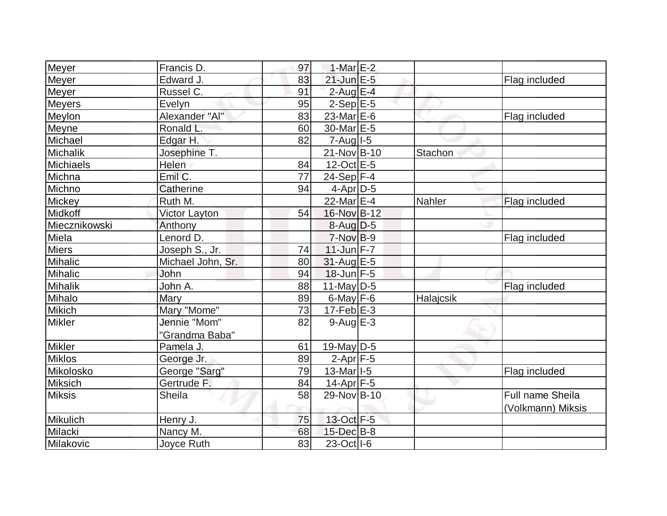| Meyer            | Francis D.           | 97 | 1-Mar $E-2$           |           |                   |
|------------------|----------------------|----|-----------------------|-----------|-------------------|
| <b>Meyer</b>     | Edward J.            | 83 | 21-Jun E-5            |           | Flag included     |
| Meyer            | Russel C.            | 91 | $2$ -Aug E-4          |           |                   |
| <b>Meyers</b>    | Evelyn               | 95 | $2-Sep$ E-5           |           |                   |
| Meylon           | Alexander "Al"       | 83 | $23$ -Mar $E-6$       |           | Flag included     |
| Meyne            | Ronald L.            | 60 | 30-Mar <sub>E-5</sub> |           |                   |
| Michael          | Edgar H.             | 82 | $7 - Aug$ $1 - 5$     |           |                   |
| Michalik         | Josephine T.         |    | 21-Nov B-10           | Stachon   |                   |
| <b>Michiaels</b> | Helen                | 84 | $12$ -Oct $E - 5$     |           |                   |
| Michna           | Emil C.              | 77 | $24-Sep$ F-4          |           |                   |
| Michno           | Catherine            | 94 | $4$ -Apr $D-5$        |           |                   |
| Mickey           | Ruth M.              |    | $22$ -Mar $E-4$       | Nahler    | Flag included     |
| Midkoff          | <b>Victor Layton</b> | 54 | 16-Nov B-12           |           |                   |
| Miecznikowski    | Anthony              |    | $8$ -Aug $D$ -5       |           |                   |
| Miela            | Lenord D.            |    | $7-NovB-9$            |           | Flag included     |
| <b>Miers</b>     | Joseph S., Jr.       | 74 | $11$ -Jun F-7         |           |                   |
| Mihalic          | Michael John, Sr.    | 80 | 31-Aug E-5            |           |                   |
| Mihalic          | John                 | 94 | $18$ -Jun $F-5$       |           |                   |
| Mihalik          | John A.              | 88 | $11$ -May D-5         |           | Flag included     |
| Mihalo           | Mary                 | 89 | $6$ -May $F-6$        | Halajcsik |                   |
| Mikich           | Mary "Mome"          | 73 | $17-Feb$ $E-3$        |           |                   |
| <b>Mikler</b>    | Jennie "Mom"         | 82 | $9-Aug$ $E-3$         |           |                   |
|                  | "Grandma Baba"       |    |                       |           |                   |
| <b>Mikler</b>    | Pamela J.            | 61 | $19$ -May $D-5$       |           |                   |
| <b>Miklos</b>    | George Jr.           | 89 | $2-Apr$ F-5           |           |                   |
| Mikolosko        | George "Sarg"        | 79 | 13-Mar I-5            |           | Flag included     |
| Miksich          | Gertrude F.          | 84 | $14$ -Apr $F$ -5      |           |                   |
| <b>Miksis</b>    | <b>Sheila</b>        | 58 | 29-Nov B-10           |           | Full name Sheila  |
|                  |                      |    |                       |           | (Volkmann) Miksis |
| Mikulich         | Henry J.             | 75 | 13-Oct F-5            |           |                   |
| Milacki          | Nancy M.             | 68 | 15-Dec B-8            |           |                   |
| Milakovic        | Joyce Ruth           | 83 | 23-Oct   I-6          |           |                   |
|                  |                      |    |                       |           |                   |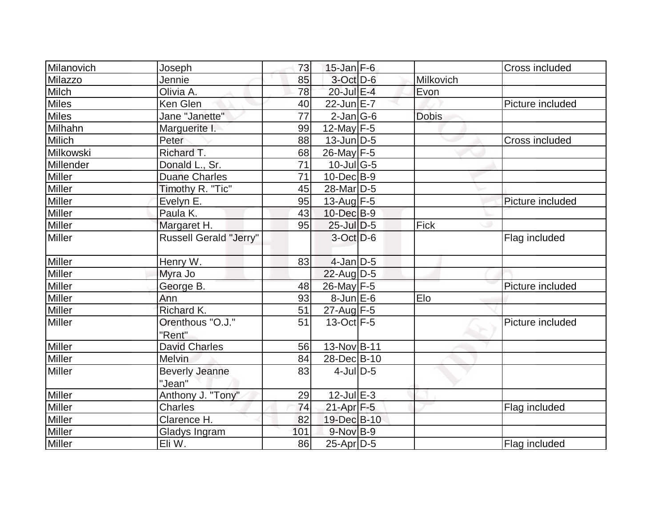| Milanovich    | Joseph                          | 73  | $15$ -Jan $F-6$             |              | Cross included   |
|---------------|---------------------------------|-----|-----------------------------|--------------|------------------|
| Milazzo       | Jennie                          | 85  | $3$ -Oct $D-6$              | Milkovich    |                  |
| <b>Milch</b>  | Olivia A.                       | 78  | 20-Jul E-4                  | Evon         |                  |
| <b>Miles</b>  | Ken Glen                        | 40  | $22$ -Jun $E-7$             |              | Picture included |
| <b>Miles</b>  | Jane "Janette"                  | 77  | $2$ -Jan $ G-6 $            | <b>Dobis</b> |                  |
| Milhahn       | Marguerite I.                   | 99  | 12-May $F-5$                |              |                  |
| <b>Milich</b> | Peter                           | 88  | $13$ -Jun $ D-5$            |              | Cross included   |
| Milkowski     | Richard T.                      | 68  | 26-May F-5                  |              |                  |
| Millender     | Donald L., Sr.                  | 71  | $10$ -Jul $\overline{G}$ -5 |              |                  |
| <b>Miller</b> | <b>Duane Charles</b>            | 71  | $10$ -Dec $ B-9 $           |              |                  |
| Miller        | Timothy R. "Tic"                | 45  | 28-Mar <sub>D-5</sub>       |              |                  |
| <b>Miller</b> | Evelyn E.                       | 95  | 13-Aug F-5                  |              | Picture included |
| <b>Miller</b> | Paula K.                        | 43  | 10-Dec B-9                  |              |                  |
| Miller        | Margaret H.                     | 95  | $25$ -Jul $D-5$             | Fick         |                  |
| <b>Miller</b> | <b>Russell Gerald "Jerry"</b>   |     | $3-Oct$ D-6                 |              | Flag included    |
| <b>Miller</b> | Henry W.                        | 83  | $4$ -Jan $D-5$              |              |                  |
| <b>Miller</b> | Myra Jo                         |     | $22$ -Aug D-5               |              |                  |
| <b>Miller</b> | George B.                       | 48  | 26-May F-5                  |              | Picture included |
| <b>Miller</b> | Ann                             | 93  | $8$ -Jun $E$ -6             | Elo          |                  |
| <b>Miller</b> | Richard K.                      | 51  | 27-Aug F-5                  |              |                  |
| <b>Miller</b> | Orenthous "O.J."<br>"Rent"      | 51  | $13-Oct$ F-5                |              | Picture included |
| <b>Miller</b> | <b>David Charles</b>            | 56  | 13-Nov B-11                 |              |                  |
| Miller        | Melvin                          | 84  | 28-Dec B-10                 |              |                  |
| <b>Miller</b> | <b>Beverly Jeanne</b><br>"Jean" | 83  | $4$ -JulD-5                 |              |                  |
| <b>Miller</b> | Anthony J. "Tony"               | 29  | $12$ -Jul $E-3$             |              |                  |
| <b>Miller</b> | <b>Charles</b>                  | 74  | $21-Apr$ F-5                |              | Flag included    |
| Miller        | Clarence H.                     | 82  | 19-Dec B-10                 |              |                  |
| <b>Miller</b> | Gladys Ingram                   | 101 | $9-Nov$ B-9                 |              |                  |
| Miller        | Eli W.                          | 86  | $25$ -Apr $ D-5$            |              | Flag included    |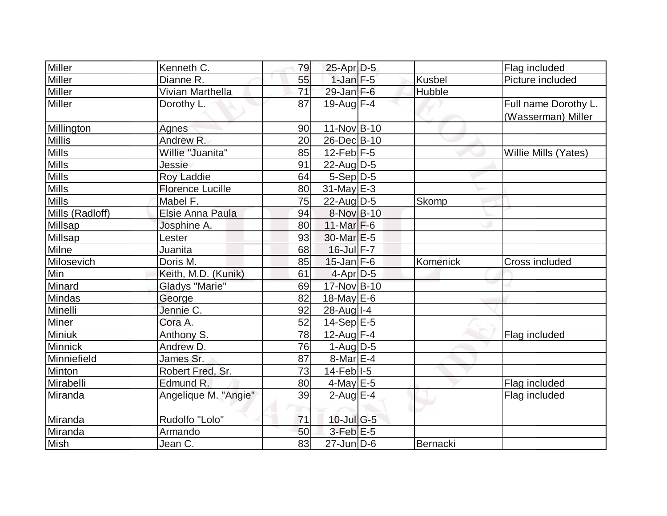|                 | Kenneth C.              |    |                        |               |                      |
|-----------------|-------------------------|----|------------------------|---------------|----------------------|
| Miller          |                         | 79 | $25$ -Apr $D-5$        |               | Flag included        |
| Miller          | Dianne R.               | 55 | $1$ -Jan $F - 5$       | <b>Kusbel</b> | Picture included     |
| <b>Miller</b>   | Vivian Marthella        | 71 | $29$ -Jan $F-6$        | Hubble        |                      |
| Miller          | Dorothy L.              | 87 | $19$ -Aug F-4          |               | Full name Dorothy L. |
|                 |                         |    |                        |               | (Wasserman) Miller   |
| Millington      | Agnes                   | 90 | 11-Nov B-10            |               |                      |
| <b>Millis</b>   | Andrew R.               | 20 | 26-Dec B-10            |               |                      |
| <b>Mills</b>    | Willie "Juanita"        | 85 | 12-Feb $F-5$           |               | Willie Mills (Yates) |
| <b>Mills</b>    | Jessie                  | 91 | $22$ -Aug $D-5$        |               |                      |
| <b>Mills</b>    | <b>Roy Laddie</b>       | 64 | $5-Sep D-5$            |               |                      |
| <b>Mills</b>    | <b>Florence Lucille</b> | 80 | $31$ -May E-3          |               |                      |
| <b>Mills</b>    | Mabel F.                | 75 | 22-Aug $D-5$           | Skomp         |                      |
| Mills (Radloff) | Elsie Anna Paula        | 94 | 8-Nov B-10             |               |                      |
| Millsap         | Josphine A.             | 80 | 11-Mar $F-6$           |               |                      |
| Millsap         | Lester                  | 93 | 30-Mar <sub>IE-5</sub> |               |                      |
| Milne           | Juanita                 | 68 | $16$ -Jul $F - 7$      |               |                      |
| Milosevich      | Doris M.                | 85 | $15$ -Jan $F-6$        | Komenick      | Cross included       |
| Min             | Keith, M.D. (Kunik)     | 61 | $4-Apr$ D-5            |               |                      |
| Minard          | <b>Gladys "Marie"</b>   | 69 | 17-Nov B-10            |               |                      |
| Mindas          | George                  | 82 | 18-May $E-6$           |               |                      |
| Minelli         | Jennie C.               | 92 | 28-Aug I-4             |               |                      |
| <b>Miner</b>    | Cora A.                 | 52 | $14-Sep$ E-5           |               |                      |
| Miniuk          | Anthony S.              | 78 | 12-Aug F-4             |               | Flag included        |
| Minnick         | Andrew D.               | 76 | $1-Auq$ D-5            |               |                      |
| Minniefield     | James Sr.               | 87 | $8$ -Mar $E - 4$       |               |                      |
| <b>Minton</b>   | Robert Fred, Sr.        | 73 | 14-Feb <sup>1-5</sup>  |               |                      |
| Mirabelli       | Edmund R.               | 80 | $4$ -May E-5           |               | Flag included        |
| Miranda         | Angelique M. "Angie"    | 39 | $2$ -Aug $E-4$         |               | Flag included        |
|                 |                         |    |                        |               |                      |
| Miranda         | Rudolfo "Lolo"          | 71 | $10$ -Jul G-5          |               |                      |
| Miranda         | Armando                 | 50 | $3$ -Feb $E - 5$       |               |                      |
| Mish            | Jean C.                 | 83 | $27$ -Jun $D$ -6       | Bernacki      |                      |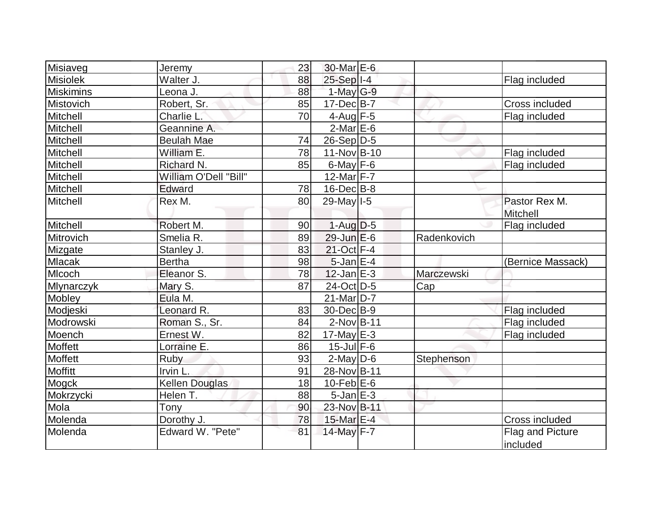| Misiaveg          | Jeremy                | 23 | 30-Mar E-6              |             |                                  |
|-------------------|-----------------------|----|-------------------------|-------------|----------------------------------|
| <b>Misiolek</b>   | Walter J.             | 88 | $25-Sep$ <sup>1-4</sup> |             | Flag included                    |
| <b>Miskimins</b>  | Leona J.              | 88 | $1-May$ <sub>G-9</sub>  |             |                                  |
| Mistovich         | Robert, Sr.           | 85 | $17 - Dec$ B-7          |             | <b>Cross included</b>            |
| Mitchell          | Charlie L.            | 70 | $4$ -Aug F-5            |             | Flag included                    |
| Mitchell          | Geannine A.           |    | $2$ -Mar $E$ -6         |             |                                  |
| Mitchell          | <b>Beulah Mae</b>     | 74 | $26-Sep D-5$            |             |                                  |
| Mitchell          | William E.            | 78 | 11-Nov B-10             |             | Flag included                    |
| Mitchell          | Richard N.            | 85 | $6$ -May $F-6$          |             | Flag included                    |
| Mitchell          | William O'Dell "Bill" |    | 12-Mar $F-7$            |             |                                  |
| Mitchell          | Edward                | 78 | $16$ -Dec $B$ -8        |             |                                  |
| Mitchell          | Rex M.                | 80 | 29-May   I-5            |             | Pastor Rex M.<br><b>Mitchell</b> |
| Mitchell          | Robert M.             | 90 | $1-Aug D-5$             |             | Flag included                    |
| Mitrovich         | Smelia R.             | 89 | $29$ -Jun $E-6$         | Radenkovich |                                  |
| Mizgate           | Stanley J.            | 83 | 21-Oct F-4              |             |                                  |
| <b>Mlacak</b>     | <b>Bertha</b>         | 98 | $5$ -Jan $E-4$          |             | (Bernice Massack)                |
| MIcoch            | Eleanor S.            | 78 | $12$ -Jan $E-3$         | Marczewski  |                                  |
| <b>Mlynarczyk</b> | Mary S.               | 87 | 24-Oct D-5              | Cap         |                                  |
| Mobley            | Eula M.               |    | 21-Mar <sub>D</sub> -7  |             |                                  |
| Modjeski          | Leonard R.            | 83 | 30-Dec B-9              |             | Flag included                    |
| Modrowski         | Roman S., Sr.         | 84 | $2$ -Nov $ B-11$        |             | Flag included                    |
| Moench            | Ernest W.             | 82 | $17$ -May E-3           |             | Flag included                    |
| <b>Moffett</b>    | Lorraine E.           | 86 | $15$ -Jul $F-6$         |             |                                  |
| Moffett           | Ruby                  | 93 | $2$ -May $D$ -6         | Stephenson  |                                  |
| <b>Moffitt</b>    | Irvin L.              | 91 | 28-Nov B-11             |             |                                  |
| Mogck             | <b>Kellen Douglas</b> | 18 | $10$ -Feb $E$ -6        |             |                                  |
| Mokrzycki         | Helen T.              | 88 | $5$ -Jan $E-3$          |             |                                  |
| Mola              | Tony                  | 90 | 23-Nov B-11             |             |                                  |
| Molenda           | Dorothy J.            | 78 | 15-Mar E-4              |             | Cross included                   |
| Molenda           | Edward W. "Pete"      | 81 | 14-May F-7              |             | Flag and Picture<br>included     |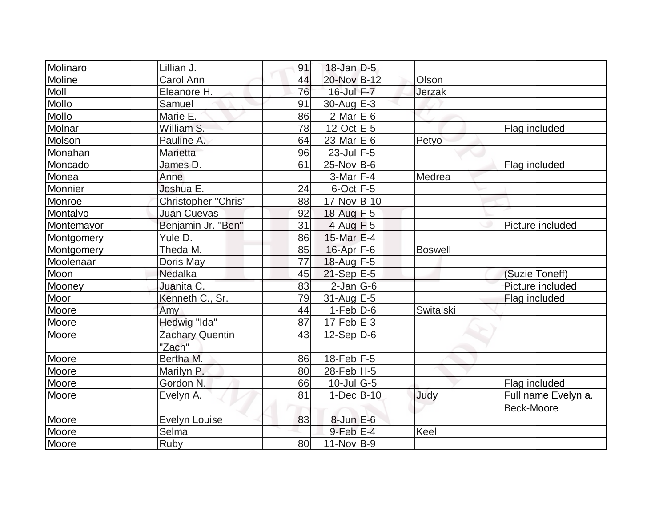| Molinaro       | Lillian J.                | 91 | $18$ -Jan D-5           |                |                                   |
|----------------|---------------------------|----|-------------------------|----------------|-----------------------------------|
| Moline         | Carol Ann                 | 44 | 20-Nov B-12             | Olson          |                                   |
| Moll           | Eleanore H.               | 76 | $16$ -Jul $F - 7$       | Jerzak         |                                   |
| Mollo          | Samuel                    | 91 | 30-Aug E-3              |                |                                   |
| Mollo          | Marie E.                  | 86 | $2$ -Mar $E$ -6         |                |                                   |
| Molnar         | William S.                | 78 | $12$ -Oct $E - 5$       |                | Flag included                     |
| Molson         | Pauline A.                | 64 | 23-Mar <sub>IE</sub> -6 | Petyo          |                                   |
| Monahan        | Marietta                  | 96 | $23$ -Jul $F-5$         |                |                                   |
| Moncado        | James D.                  | 61 | $25$ -Nov B-6           |                | Flag included                     |
| Monea<br>Anne  |                           |    | $3-Mar$ F-4             | Medrea         |                                   |
| Monnier        | Joshua E.                 | 24 | $6$ -Oct $F-5$          |                |                                   |
| Monroe         | Christopher "Chris"       | 88 | 17-Nov B-10             |                |                                   |
| Montalvo       | <b>Juan Cuevas</b>        | 92 | 18-Aug F-5              |                |                                   |
| Montemayor     | Benjamin Jr. "Ben"        | 31 | $4$ -Aug $F-5$          |                | Picture included                  |
| Montgomery     | Yule D.                   | 86 | 15-Mar $E-4$            |                |                                   |
| Montgomery     | Theda M.                  | 85 | $16$ -Apr $F$ -6        | <b>Boswell</b> |                                   |
| Moolenaar      | Doris May                 | 77 | 18-Aug $F-5$            |                |                                   |
| Moon           | Nedalka                   | 45 | $21-Sep$ <sup>E-5</sup> |                | (Suzie Toneff)                    |
| Mooney         | Juanita C.                | 83 | $2$ -Jan $ G-6 $        |                | Picture included                  |
| Moor           | Kenneth C., Sr.           | 79 | $31$ -Aug $E-5$         |                | Flag included                     |
| Moore<br>Amy   |                           | 44 | $1-Feb D-6$             | Switalski      |                                   |
| Moore          | Hedwig "Ida"              | 87 | $17-Feb$ $E-3$          |                |                                   |
| Moore          | Zachary Quentin<br>"Zach" | 43 | $12-Sep D-6$            |                |                                   |
| Moore          | Bertha M.                 | 86 | 18-Feb $F-5$            |                |                                   |
| Moore          | Marilyn P.                | 80 | 28-Feb H-5              |                |                                   |
| Moore          | Gordon <sub>N.</sub>      | 66 | $10$ -Jul G-5           |                | Flag included                     |
| Moore          | Evelyn A.                 | 81 | $1-Dec$ B-10            | Judy           | Full name Evelyn a.<br>Beck-Moore |
| Moore          | <b>Evelyn Louise</b>      | 83 | 8-Jun E-6               |                |                                   |
| Moore<br>Selma |                           |    | $9$ -Feb $E-4$          | Keel           |                                   |
| Ruby<br>Moore  |                           | 80 | $11-Nov B-9$            |                |                                   |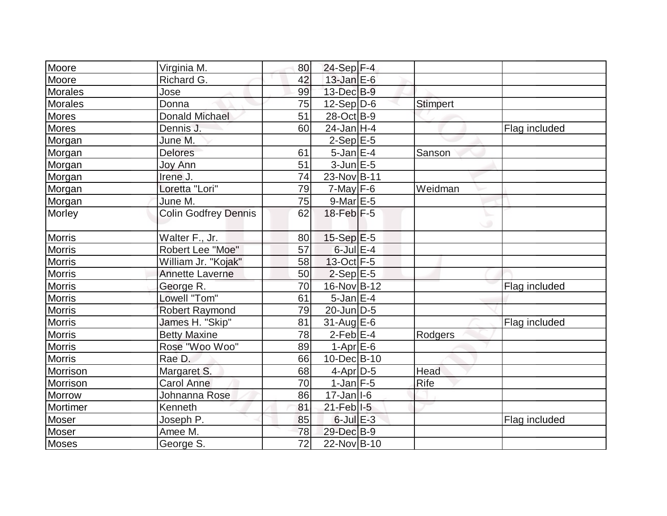| Moore          | Virginia M.                 | 80              | $24-Sep$ F-4              |                 |               |
|----------------|-----------------------------|-----------------|---------------------------|-----------------|---------------|
| Moore          | Richard G.                  | 42              | $13$ -Jan $E-6$           |                 |               |
| <b>Morales</b> | Jose                        | 99              | 13-Dec B-9                |                 |               |
| <b>Morales</b> | Donna                       | 75              | $12-Sep D-6$              | <b>Stimpert</b> |               |
| <b>Mores</b>   | <b>Donald Michael</b>       | 51              | 28-Oct B-9                |                 |               |
| <b>Mores</b>   | Dennis J.                   | 60              | $24$ -Jan H-4             |                 | Flag included |
| Morgan         | June M.                     |                 | $2-Sep$ $E-5$             |                 |               |
| Morgan         | <b>Delores</b>              | 61              | $5$ -Jan $E-4$            | Sanson          |               |
| Morgan         | <b>Joy Ann</b>              | 51              | $3$ -Jun $E$ -5           |                 |               |
| Morgan         | Irene J.                    | 74              | 23-Nov B-11               |                 |               |
| Morgan         | Loretta "Lori"              | 79              | $7$ -May $F-6$            | Weidman         |               |
| Morgan         | June M.                     | 75              | $9$ -Mar $E - 5$          |                 |               |
| Morley         | <b>Colin Godfrey Dennis</b> | 62              | $18$ -Feb $F-5$           |                 |               |
|                |                             |                 |                           | ی               |               |
| <b>Morris</b>  | Walter F., Jr.              | 80              | $15-Sep$ $E-5$            |                 |               |
| <b>Morris</b>  | Robert Lee "Moe"            | 57              | $6$ -Jul $E-4$            |                 |               |
| <b>Morris</b>  | William Jr. "Kojak"         | 58              | $13-Oct$ F-5              |                 |               |
| <b>Morris</b>  | <b>Annette Laverne</b>      | 50              | $2-Sep$ E-5               |                 |               |
| <b>Morris</b>  | George R.                   | 70              | 16-Nov B-12               |                 | Flag included |
| <b>Morris</b>  | Lowell "Tom"                | 61              | $5$ -Jan $E-4$            |                 |               |
| <b>Morris</b>  | <b>Robert Raymond</b>       | 79              | $20$ -Jun $D-5$           |                 |               |
| <b>Morris</b>  | James H. "Skip"             | 81              | $31$ -Aug E-6             |                 | Flag included |
| <b>Morris</b>  | <b>Betty Maxine</b>         | 78              | $2$ -Feb $E$ -4           | Rodgers         |               |
| <b>Morris</b>  | Rose "Woo Woo"              | 89              | $1-Apr$ E-6               |                 |               |
| <b>Morris</b>  | Rae D.                      | 66              | 10-Dec B-10               |                 |               |
| Morrison       | Margaret S.                 | 68              | 4-Apr D-5                 | Head            |               |
| Morrison       | <b>Carol Anne</b>           | 70              | $1$ -Jan $F-5$            | <b>Rife</b>     |               |
| <b>Morrow</b>  | Johnanna Rose               | 86              | $17 - Jan$ <sup>1-6</sup> |                 |               |
| Mortimer       | Kenneth                     | 81              | $21$ -Feb $ I-5 $         |                 |               |
| Moser          | Joseph P.                   | 85              | $6$ -Jul $E-3$            |                 | Flag included |
| Moser          | Amee M.                     | 78              | 29-Dec B-9                |                 |               |
| <b>Moses</b>   | George S.                   | $\overline{72}$ | 22-Nov B-10               |                 |               |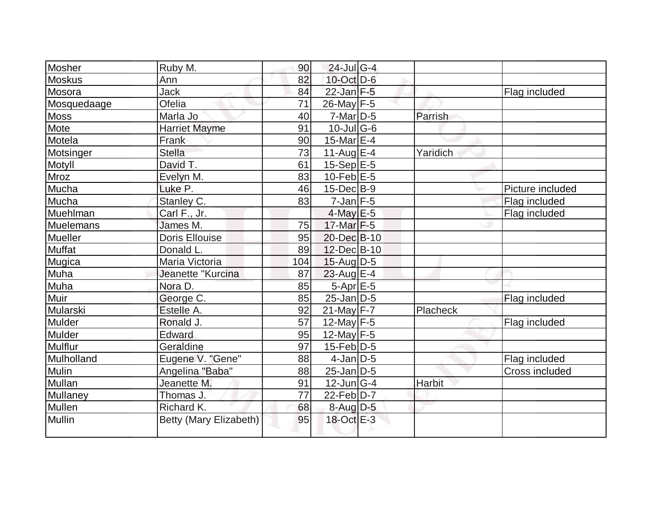| Mosher           | Ruby M.                | 90  | $24$ -Jul G-4     |          |                  |
|------------------|------------------------|-----|-------------------|----------|------------------|
| <b>Moskus</b>    | Ann                    | 82  | $10$ -Oct $D$ -6  |          |                  |
| Mosora           | Jack                   | 84  | $22$ -Jan $F-5$   |          | Flag included    |
| Mosquedaage      | Ofelia                 | 71  | 26-May F-5        |          |                  |
| <b>Moss</b>      | Marla Jo               | 40  | $7$ -Mar $ D-5 $  | Parrish  |                  |
| Mote             | <b>Harriet Mayme</b>   | 91  | $10$ -Jul G-6     |          |                  |
| Motela           | Frank                  | 90  | 15-Mar $E-4$      |          |                  |
| Motsinger        | <b>Stella</b>          | 73  | 11-Aug $E-4$      | Yaridich |                  |
| Motyll           | David T.               | 61  | $15-Sep$ $E-5$    |          |                  |
| Mroz             | Evelyn M.              | 83  | $10$ -Feb $E$ -5  |          |                  |
| Mucha            | Luke <sub>P.</sub>     | 46  | $15$ -Dec $B$ -9  |          | Picture included |
| Mucha            | Stanley C.             | 83  | $7$ -Jan $F-5$    |          | Flag included    |
| Muehlman         | Carl F., Jr.           |     | $4$ -May E-5      |          | Flag included    |
| <b>Muelemans</b> | James M.               | 75  | $17$ -Mar $F-5$   |          |                  |
| Mueller          | <b>Doris Ellouise</b>  | 95  | 20-Dec B-10       |          |                  |
| Muffat           | Donald L.              | 89  | 12-Dec B-10       |          |                  |
| Mugica           | Maria Victoria         | 104 | $15$ -Aug D-5     |          |                  |
| Muha             | Jeanette "Kurcina      | 87  | $23$ -Aug E-4     |          |                  |
| Muha             | Nora D.                | 85  | 5-Apr E-5         |          |                  |
| Muir             | George <sub>C.</sub>   | 85  | $25$ -Jan D-5     |          | Flag included    |
| Mularski         | Estelle A.             | 92  | $21$ -May F-7     | Placheck |                  |
| Mulder           | Ronald J.              | 57  | 12-May $F-5$      |          | Flag included    |
| <b>Mulder</b>    | Edward                 | 95  | 12-May $F-5$      |          |                  |
| Mulflur          | Geraldine              | 97  | $15$ -Feb $ D-5 $ |          |                  |
| Mulholland       | Eugene V. "Gene"       | 88  | $4$ -Jan $D-5$    |          | Flag included    |
| Mulin            | Angelina "Baba"        | 88  | $25$ -Jan $ D-5 $ |          | Cross included   |
| Mullan           | Jeanette M.            | 91  | $12$ -Jun $ G-4 $ | Harbit   |                  |
| Mullaney         | Thomas J.              | 77  | $22$ -Feb $D-7$   |          |                  |
| Mullen           | Richard K.             | 68  | 8-Aug D-5         |          |                  |
| <b>Mullin</b>    | Betty (Mary Elizabeth) | 95  | 18-Oct E-3        |          |                  |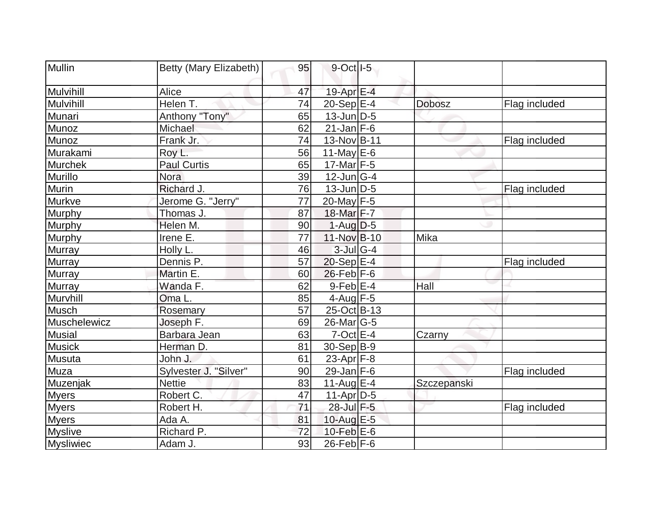| Mullin         | Betty (Mary Elizabeth) | 95 | $9$ -Oct $ I-5 $  |               |               |
|----------------|------------------------|----|-------------------|---------------|---------------|
| Mulvihill      | Alice                  | 47 | 19-Apr $E-4$      |               |               |
| Mulvihill      | Helen T.               | 74 | $20-Sep$ E-4      | <b>Dobosz</b> | Flag included |
| Munari         | Anthony "Tony"         | 65 | $13$ -Jun $D-5$   |               |               |
| Munoz          | Michael                | 62 | $21$ -Jan F-6     |               |               |
| Munoz          | Frank Jr.              | 74 | 13-Nov B-11       |               | Flag included |
| Murakami       | Roy L.                 | 56 | 11-May $E-6$      |               |               |
| <b>Murchek</b> | <b>Paul Curtis</b>     | 65 | $17$ -Mar $ F-5 $ |               |               |
| Murillo        | <b>Nora</b>            | 39 | $12$ -Jun $ G-4 $ |               |               |
| Murin          | Richard J.             | 76 | $13$ -Jun $D-5$   |               | Flag included |
| Murkve         | Jerome G. "Jerry"      | 77 | 20-May F-5        |               |               |
| Murphy         | Thomas J.              | 87 | 18-Mar F-7        |               |               |
| <b>Murphy</b>  | Helen M.               | 90 | $1-Aug D-5$       |               |               |
| <b>Murphy</b>  | Irene E.               | 77 | 11-Nov B-10       | Mika          |               |
| Murray         | Holly L.               | 46 | $3$ -Jul G-4      |               |               |
| Murray         | Dennis P.              | 57 | $20-Sep$ $E-4$    |               | Flag included |
| <b>Murray</b>  | Martin E.              | 60 | $26$ -Feb F-6     |               |               |
| <b>Murray</b>  | Wanda F.               | 62 | $9$ -Feb $E-4$    | Hall          |               |
| Murvhill       | Oma L.                 | 85 | $4$ -Aug F-5      |               |               |
| Musch          | Rosemary               | 57 | 25-Oct B-13       |               |               |
| Muschelewicz   | Joseph F.              | 69 | $26$ -Mar $ G-5 $ |               |               |
| <b>Musial</b>  | Barbara Jean           | 63 | $7$ -Oct $E - 4$  | Czarny        |               |
| <b>Musick</b>  | Herman D.              | 81 | $30-Sep B-9$      |               |               |
| Musuta         | John J.                | 61 | 23-Apr $F-8$      |               |               |
| Muza           | Sylvester J. "Silver"  | 90 | 29-Jan $F-6$      |               | Flag included |
| Muzenjak       | <b>Nettie</b>          | 83 | $11$ -Aug $E-4$   | Szczepanski   |               |
| <b>Myers</b>   | Robert C.              | 47 | $11-Apr D-5$      |               |               |
| <b>Myers</b>   | Robert H.              | 71 | 28-Jul F-5        |               | Flag included |
| <b>Myers</b>   | Ada A.                 | 81 | 10-Aug E-5        |               |               |
| <b>Myslive</b> | Richard P.             | 72 | $10$ -Feb $E$ -6  |               |               |
| Mysliwiec      | Adam J.                | 93 | $26$ -Feb F-6     |               |               |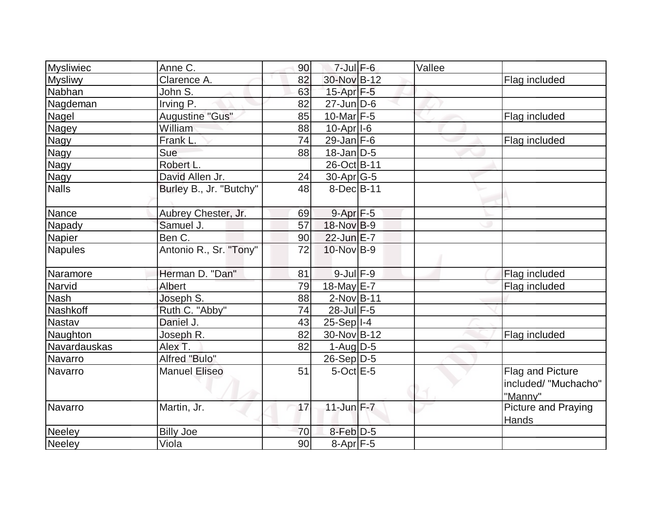| <b>Mysliwiec</b> | Anne C.                 | 90 | $7$ -Jul $F$ -6         | Vallee |                                                     |
|------------------|-------------------------|----|-------------------------|--------|-----------------------------------------------------|
| <b>Mysliwy</b>   | Clarence A.             | 82 | 30-Nov B-12             |        | Flag included                                       |
| Nabhan           | John S.                 | 63 | $15$ -Apr $F$ -5        |        |                                                     |
| Nagdeman         | Irving P.               | 82 | $27$ -Jun $ D-6$        |        |                                                     |
| Nagel            | Augustine "Gus"         | 85 | $10$ -Mar $F-5$         |        | Flag included                                       |
| Nagey            | William                 | 88 | $10-Apr$ <sup>1-6</sup> |        |                                                     |
| <b>Nagy</b>      | Frank L.                | 74 | 29-Jan $F-6$            |        | Flag included                                       |
| <b>Nagy</b>      | Sue                     | 88 | $18$ -Jan D-5           |        |                                                     |
| <b>Nagy</b>      | Robert L.               |    | 26-Oct B-11             |        |                                                     |
| Nagy             | David Allen Jr.         | 24 | $30$ -Apr $G$ -5        |        |                                                     |
| <b>Nalls</b>     | Burley B., Jr. "Butchy" | 48 | $8$ -Dec $B$ -11        |        |                                                     |
| Nance            | Aubrey Chester, Jr.     | 69 | $9 - Apr$ $F - 5$       |        |                                                     |
| Napady           | Samuel J.               | 57 | 18-Nov B-9              |        |                                                     |
| <b>Napier</b>    | Ben C.                  | 90 | $22$ -Jun $E-7$         |        |                                                     |
| <b>Napules</b>   | Antonio R., Sr. "Tony"  | 72 | 10-Nov B-9              |        |                                                     |
| Naramore         | Herman D. "Dan"         | 81 | $9$ -Jul $F-9$          |        | Flag included                                       |
| Narvid           | Albert                  | 79 | 18-May E-7              |        | Flag included                                       |
| Nash             | Joseph S.               | 88 | $2$ -Nov $ B-11$        |        |                                                     |
| Nashkoff         | Ruth C. "Abby"          | 74 | 28-Jul F-5              |        |                                                     |
| <b>Nastav</b>    | Daniel J.               | 43 | $25-Sep$  I-4           |        |                                                     |
| Naughton         | Joseph R.               | 82 | 30-Nov B-12             |        | Flag included                                       |
| Navardauskas     | Alex T.                 | 82 | $1-Auq$ D-5             |        |                                                     |
| Navarro          | Alfred "Bulo"           |    | $26-Sep D-5$            |        |                                                     |
| Navarro          | <b>Manuel Eliseo</b>    | 51 | $5$ -Oct $E - 5$        |        | Flag and Picture<br>included/ "Muchacho"<br>"Manny" |
| Navarro          | Martin, Jr.             | 17 | $11$ -Jun $F - 7$       |        | <b>Picture and Praying</b><br>Hands                 |
| <b>Neeley</b>    | <b>Billy Joe</b>        | 70 | $8$ -Feb $D-5$          |        |                                                     |
| Neeley           | Viola                   | 90 | $8-Apr$ F-5             |        |                                                     |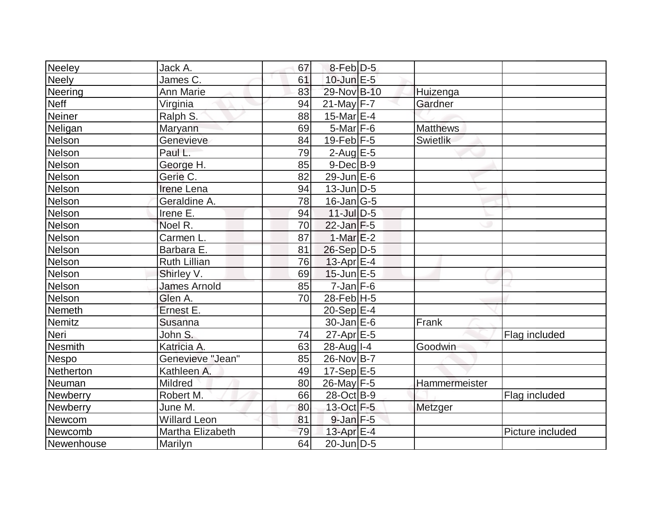| Neeley          | Jack A.             | 67 | $8$ -Feb $D-5$                       |                 |                  |
|-----------------|---------------------|----|--------------------------------------|-----------------|------------------|
| <b>Neely</b>    | James C.            | 61 | $10$ -Jun $E - 5$                    |                 |                  |
| <b>Neering</b>  | <b>Ann Marie</b>    | 83 | 29-Nov B-10                          | Huizenga        |                  |
| <b>Neff</b>     | Virginia            | 94 | $21$ -May F-7                        | Gardner         |                  |
| <b>Neiner</b>   | Ralph S.            | 88 | 15-Mar $E-4$                         |                 |                  |
| Neligan         | Maryann             | 69 | $5$ -Mar $ F-6$                      | <b>Matthews</b> |                  |
| Nelson          | Genevieve           | 84 | $19$ -Feb $ F-5$                     | Swietlik        |                  |
| Nelson          | Paul L.             | 79 | $2$ -Aug $E - 5$                     |                 |                  |
| <b>Nelson</b>   | George H.           | 85 | $9$ -Dec $B$ -9                      |                 |                  |
| <b>Nelson</b>   | Gerie C.            | 82 | $29$ -Jun $E-6$                      |                 |                  |
| <b>Nelson</b>   | <b>Irene Lena</b>   | 94 | $13$ -Jun $ D-5 $                    |                 |                  |
| <b>Nelson</b>   | Geraldine A.        | 78 | $16$ -Jan $ G-5 $                    |                 |                  |
| <b>Nelson</b>   | Irene E.            | 94 | $11$ -Jul $D-5$                      |                 |                  |
| Nelson          | Noel R.             | 70 | $22$ -Jan $F-5$                      |                 |                  |
| <b>Nelson</b>   | Carmen L.           | 87 | 1-Mar $E-2$                          |                 |                  |
| <b>Nelson</b>   | Barbara E.          | 81 | $26-Sep$ D-5                         |                 |                  |
| <b>Nelson</b>   | <b>Ruth Lillian</b> | 76 | $13$ -Apr $E-4$                      |                 |                  |
| <b>Nelson</b>   | Shirley V.          | 69 | $15$ -Jun $E$ -5                     |                 |                  |
| Nelson          | <b>James Arnold</b> | 85 | $7$ -Jan $F-6$                       |                 |                  |
| Nelson          | Glen A.             | 70 | $28$ -Feb $H - 5$                    |                 |                  |
| Nemeth          | Ernest E.           |    | $20-Sep$ <sup><math>E-4</math></sup> |                 |                  |
| <b>Nemitz</b>   | Susanna             |    | $30 - Jan \, E - 6$                  | Frank           |                  |
| Neri            | John S.             | 74 | $27$ -Apr $E$ -5                     |                 | Flag included    |
| <b>Nesmith</b>  | Katricia A.         | 63 | $28$ -Aug $I - 4$                    | Goodwin         |                  |
| <b>Nespo</b>    | Genevieve "Jean"    | 85 | 26-Nov B-7                           |                 |                  |
| Netherton       | Kathleen A.         | 49 | $17-Sep$ <sup>E-5</sup>              |                 |                  |
| Neuman          | Mildred             | 80 | 26-May F-5                           | Hammermeister   |                  |
| <b>Newberry</b> | Robert M.           | 66 | 28-Oct B-9                           |                 | Flag included    |
| Newberry        | June M.             | 80 | 13-Oct F-5                           | Metzger         |                  |
| Newcom          | <b>Willard Leon</b> | 81 | $9$ -Jan $F$ -5                      |                 |                  |
| Newcomb         | Martha Elizabeth    | 79 | 13-Apr $E-4$                         |                 | Picture included |
| Newenhouse      | Marilyn             | 64 | $20$ -Jun $ D-5 $                    |                 |                  |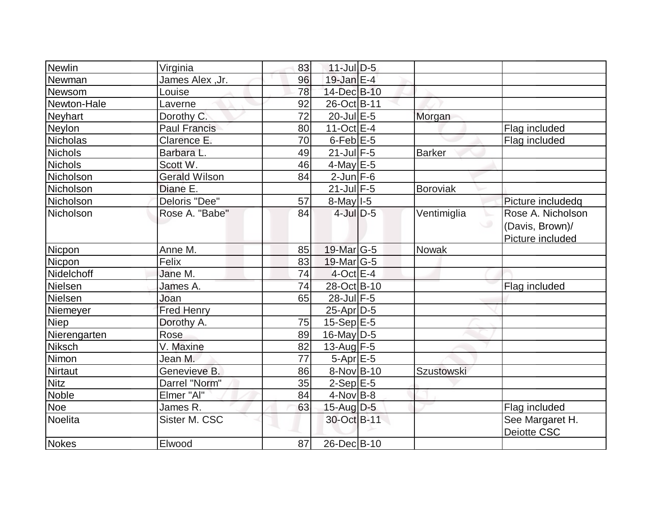| <b>Newlin</b>  | Virginia             | 83 | $11$ -Jul $D-5$        |                   |                   |
|----------------|----------------------|----|------------------------|-------------------|-------------------|
| Newman         | James Alex, Jr.      | 96 | $19$ -Jan $E-4$        |                   |                   |
| Newsom         | Louise               | 78 | 14-Dec B-10            |                   |                   |
| Newton-Hale    | Laverne              | 92 | 26-Oct B-11            |                   |                   |
| Neyhart        | Dorothy C.           | 72 | $20$ -Jul $E$ -5       | Morgan            |                   |
| Neylon         | <b>Paul Francis</b>  | 80 | 11-Oct $E-4$           |                   | Flag included     |
| Nicholas       | Clarence E.          | 70 | $6$ -Feb $E$ -5        |                   | Flag included     |
| Nichols        | Barbara L.           | 49 | $21$ -Jul F-5          | Barker            |                   |
| <b>Nichols</b> | Scott W.             | 46 | $4$ -May E-5           |                   |                   |
| Nicholson      | <b>Gerald Wilson</b> | 84 | $2$ -Jun $F-6$         |                   |                   |
| Nicholson      | Diane E.             |    | $21$ -Jul F-5          | <b>Boroviak</b>   |                   |
| Nicholson      | Deloris "Dee"        | 57 | $8-May$ <sup>1-5</sup> |                   | Picture includedq |
| Nicholson      | Rose A. "Babe"       | 84 | $4$ -Jul $D-5$         | Ventimiglia       | Rose A. Nicholson |
|                |                      |    |                        |                   | (Davis, Brown)/   |
|                |                      |    |                        |                   | Picture included  |
| <b>Nicpon</b>  | Anne M.              | 85 | 19-Mar G-5             | Nowak             |                   |
| Nicpon         | Felix                | 83 | $19$ -Mar $ G-5$       |                   |                   |
| Nidelchoff     | Jane M.              | 74 | $4$ -Oct $E-4$         |                   |                   |
| Nielsen        | James A.             | 74 | 28-Oct B-10            |                   | Flag included     |
| Nielsen        | Joan                 | 65 | 28-Jul F-5             |                   |                   |
| Niemeyer       | <b>Fred Henry</b>    |    | $25$ -Apr $ D-5$       |                   |                   |
| <b>Niep</b>    | Dorothy A.           | 75 | 15-Sep $E-5$           |                   |                   |
| Nierengarten   | Rose                 | 89 | $16$ -May D-5          |                   |                   |
| Niksch         | V. Maxine            | 82 | $13$ -Aug F-5          |                   |                   |
| Nimon          | Jean M.              | 77 | $5-Apr$ $E-5$          |                   |                   |
| Nirtaut        | Genevieve B.         | 86 | 8-Nov B-10             | <b>Szustowski</b> |                   |
| <b>Nitz</b>    | Darrel "Norm"        | 35 | $2-Sep$ $E-5$          |                   |                   |
| <b>Noble</b>   | Elmer "Al"           | 84 | $4$ -Nov B-8           |                   |                   |
| <b>Noe</b>     | James R.             | 63 | 15-Aug $D-5$           |                   | Flag included     |
| Noelita        | Sister M. CSC        |    | 30-Oct B-11            |                   | See Margaret H.   |
|                |                      |    |                        |                   | Deiotte CSC       |
| <b>Nokes</b>   | Elwood               | 87 | 26-Dec B-10            |                   |                   |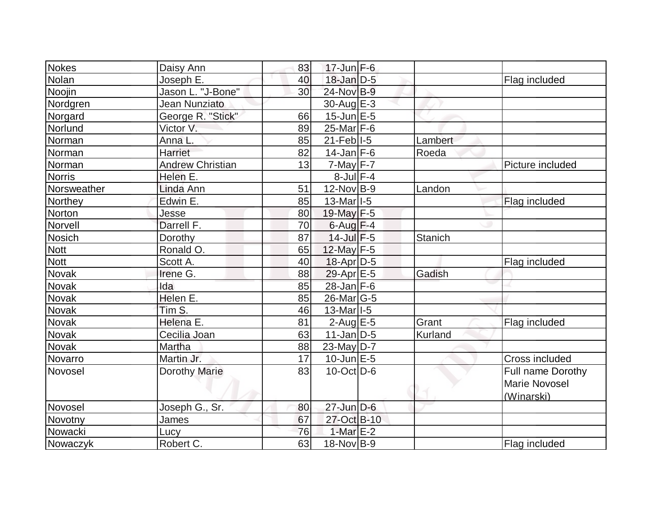| Nokes         | Daisy Ann               | 83 | $17$ -Jun F-6                           |         |                                    |
|---------------|-------------------------|----|-----------------------------------------|---------|------------------------------------|
| Nolan         | Joseph E.               | 40 | 18-Jan D-5                              |         | Flag included                      |
| Noojin        | Jason L. "J-Bone"       | 30 | 24-Nov B-9                              |         |                                    |
| Nordgren      | Jean Nunziato           |    | $30$ -Aug $E-3$                         |         |                                    |
| Norgard       | George R. "Stick"       | 66 | $15$ -Jun $E - 5$                       |         |                                    |
| Norlund       | Victor V.               | 89 | 25-Mar F-6                              |         |                                    |
| Norman        | Anna L.                 | 85 | $21$ -Feb $ I-5 $                       | Lambert |                                    |
| Norman        | Harriet                 | 82 | $14$ -Jan F-6                           | Roeda   |                                    |
| Norman        | <b>Andrew Christian</b> | 13 | $7$ -May $F - 7$                        |         | Picture included                   |
| Norris        | Helen E.                |    | $8$ -Jul $F-4$                          |         |                                    |
| Norsweather   | Linda Ann               | 51 | $12$ -Nov B-9                           | Landon  |                                    |
| Northey       | Edwin E.                | 85 | $13$ -Mar <sub><math> I-5 </math></sub> |         | Flag included                      |
| Norton        | Jesse                   | 80 | 19-May F-5                              |         |                                    |
| Norvell       | Darrell F.              | 70 | $6$ -Aug $F-4$                          |         |                                    |
| <b>Nosich</b> | Dorothy                 | 87 | $14$ -Jul $F-5$                         | Stanich |                                    |
| <b>Nott</b>   | Ronald O.               | 65 | 12-May F-5                              |         |                                    |
| Nott          | Scott A.                | 40 | 18-Apr D-5                              |         | Flag included                      |
| Novak         | Irene G.                | 88 | $29$ -Apr $E$ -5                        | Gadish  |                                    |
| <b>Novak</b>  | Ida                     | 85 | $28$ -Jan F-6                           |         |                                    |
| Novak         | Helen E.                | 85 | $26$ -Mar $ G-5$                        |         |                                    |
| Novak         | Tim S.                  | 46 | $13$ -Mar <sub><math> I-5 </math></sub> |         |                                    |
| Novak         | Helena E.               | 81 | $2$ -Aug E-5                            | Grant   | Flag included                      |
| Novak         | Cecilia Joan            | 63 | $11$ -Jan D-5                           | Kurland |                                    |
| Novak         | Martha                  | 88 | $23$ -May D-7                           |         |                                    |
| Novarro       | Martin Jr.              | 17 | $10$ -Jun $E - 5$                       |         | <b>Cross included</b>              |
| Novosel       | <b>Dorothy Marie</b>    | 83 | $10$ -Oct $ D-6 $                       |         | Full name Dorothy                  |
|               |                         |    |                                         |         | <b>Marie Novosel</b><br>(Winarski) |
| Novosel       | Joseph G., Sr.          | 80 | $27 - Jun$ $D-6$                        |         |                                    |
| Novotny       | James                   | 67 | 27-Oct B-10                             |         |                                    |
| Nowacki       | Lucy                    | 76 | 1-Mar $E-2$                             |         |                                    |
| Nowaczyk      | Robert C.               | 63 | $18-Nov B-9$                            |         | Flag included                      |
|               |                         |    |                                         |         |                                    |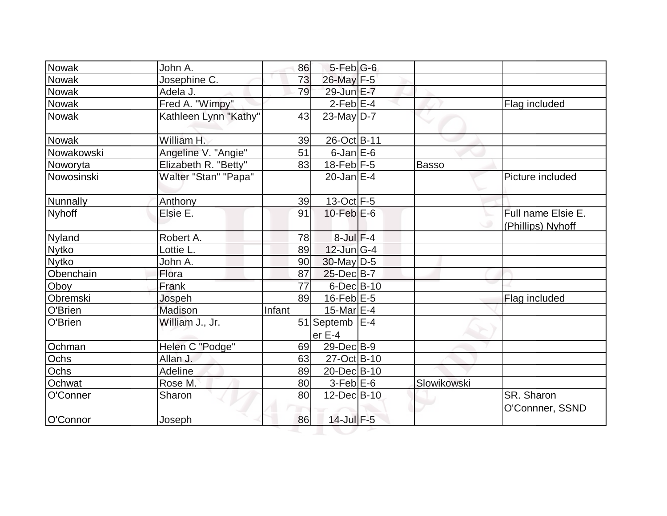| Nowak         | John A.               | 86     | $5$ -Feb $ G$ -6           |              |                                         |
|---------------|-----------------------|--------|----------------------------|--------------|-----------------------------------------|
| <b>Nowak</b>  | Josephine C.          | 73     | 26-May F-5                 |              |                                         |
| Nowak         | Adela J.              | 79     | 29-Jun E-7                 |              |                                         |
| Nowak         | Fred A. "Wimpy"       |        | $2-Feb$ $E-4$              |              | Flag included                           |
| <b>Nowak</b>  | Kathleen Lynn "Kathy" | 43     | $23$ -May D-7              |              |                                         |
| <b>Nowak</b>  | William H.            | 39     | 26-Oct B-11                |              |                                         |
| Nowakowski    | Angeline V. "Angie"   | 51     | $6$ -Jan $E$ -6            |              |                                         |
| Noworyta      | Elizabeth R. "Betty"  | 83     | $18$ -Feb $ F-5 $          | <b>Basso</b> |                                         |
| Nowosinski    | Walter "Stan" "Papa"  |        | 20-Jan $E-4$               |              | Picture included                        |
| Nunnally      | Anthony               | 39     | $13-Oct$ F-5               |              |                                         |
| <b>Nyhoff</b> | Elsie E.              | 91     | $10$ -Feb $E$ -6           |              | Full name Elsie E.<br>(Phillips) Nyhoff |
| Nyland        | Robert A.             | 78     | $8$ -Jul $F-4$             |              |                                         |
| <b>Nytko</b>  | Lottie L.             | 89     | $12$ -Jun $ G-4 $          |              |                                         |
| <b>Nytko</b>  | John A.               | 90     | $30$ -May D-5              |              |                                         |
| Obenchain     | Flora                 | 87     | 25-Dec B-7                 |              |                                         |
| Oboy          | Frank                 | 77     | $6$ -Dec $B$ -10           |              |                                         |
| Obremski      | Jospeh                | 89     | $16$ -Feb $E-5$            |              | Flag included                           |
| O'Brien       | Madison               | Infant | 15-Mar $E-4$               |              |                                         |
| O'Brien       | William J., Jr.       |        | 51 Septemb   E-4<br>er E-4 |              |                                         |
| Ochman        | Helen C "Podge"       | 69     | 29-Dec B-9                 |              |                                         |
| Ochs          | Allan J.              | 63     | 27-Oct B-10                |              |                                         |
| Ochs          | Adeline               | 89     | 20-Dec B-10                |              |                                         |
| Ochwat        | Rose <sub>M.</sub>    | 80     | $3-Feb$ $E-6$              | Slowikowski  |                                         |
| O'Conner      | Sharon                | 80     | 12-Dec B-10                |              | <b>SR. Sharon</b><br>O'Connner, SSND    |
| O'Connor      | Joseph                | 86     | 14-Jul F-5                 |              |                                         |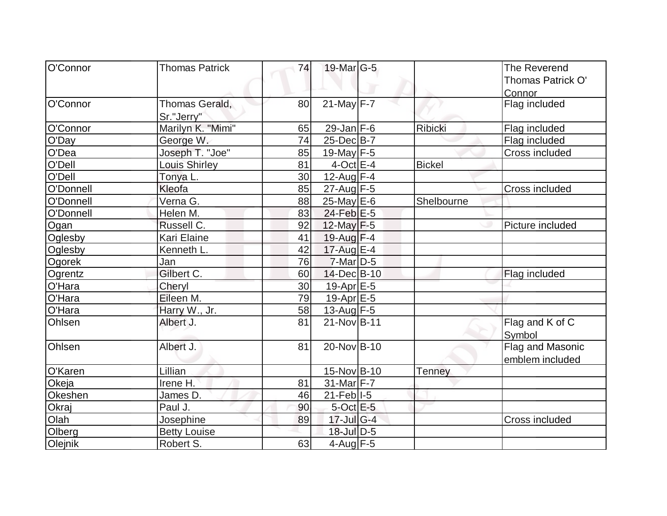| O'Connor                   | <b>Thomas Patrick</b><br>74 | 19-Mar G-5        |               | The Reverend          |
|----------------------------|-----------------------------|-------------------|---------------|-----------------------|
|                            |                             |                   |               | Thomas Patrick O'     |
|                            |                             |                   |               | Connor                |
| O'Connor                   | Thomas Gerald,<br>80        | $21$ -May F-7     |               | Flag included         |
| Sr."Jerry"                 |                             |                   |               |                       |
| O'Connor                   | Marilyn K. "Mimi"<br>65     | $29$ -Jan F-6     | Ribicki       | Flag included         |
| O'Day<br>George W.         | 74                          | 25-Dec B-7        |               | Flag included         |
| O'Dea                      | Joseph T. "Joe"<br>85       | 19-May $F-5$      |               | Cross included        |
| O'Dell                     | 81<br><b>Louis Shirley</b>  | $4$ -Oct $E-4$    | <b>Bickel</b> |                       |
| O'Dell<br>Tonya L.         | 30                          | $12$ -Aug F-4     |               |                       |
| O'Donnell<br>Kleofa        | 85                          | $27$ -Aug F-5     |               | <b>Cross included</b> |
| Verna G.<br>O'Donnell      | 88                          | 25-May E-6        | Shelbourne    |                       |
| O'Donnell<br>Helen M.      | 83                          | $24$ -Feb $E-5$   |               |                       |
| Russell C.<br>Ogan         | 92                          | 12-May $F-5$      |               | Picture included      |
| Kari Elaine<br>Oglesby     | 41                          | $19$ -Aug F-4     |               |                       |
| Kenneth L.<br>Oglesby      | 42                          | 17-Aug E-4        |               |                       |
| Ogorek<br>Jan              | 76                          | $7$ -Mar $D-5$    |               |                       |
| Gilbert C.<br>Ogrentz      | 60                          | 14-Dec B-10       |               | Flag included         |
| O'Hara<br>Cheryl           | 30                          | 19-Apr E-5        |               |                       |
| O'Hara<br>Eileen M.        | 79                          | $19-Apr$ $E-5$    |               |                       |
| O'Hara                     | Harry W., Jr.<br>58         | $13$ -Aug F-5     |               |                       |
| Ohlsen<br>Albert J.        | 81                          | 21-Nov B-11       |               | Flag and K of C       |
|                            |                             |                   |               | Symbol                |
| <b>Ohlsen</b><br>Albert J. | 81                          | 20-Nov B-10       |               | Flag and Masonic      |
|                            |                             |                   |               | emblem included       |
| O'Karen<br>Lillian         |                             | 15-Nov B-10       | <b>Tenney</b> |                       |
| Okeja<br>Irene H.          | 81                          | $31$ -Mar F-7     |               |                       |
| Okeshen<br>James D.        | 46                          | $21$ -Feb $ I-5 $ |               |                       |
| Paul J.<br>Okraj           | 90                          | $5$ -Oct $E - 5$  |               |                       |
| Olah<br>Josephine          | 89                          | $17$ -Jul G-4     |               | Cross included        |
| Olberg                     | <b>Betty Louise</b>         | 18-Jul D-5        |               |                       |
| Olejnik<br>Robert S.       | 63                          | $4$ -Aug $F-5$    |               |                       |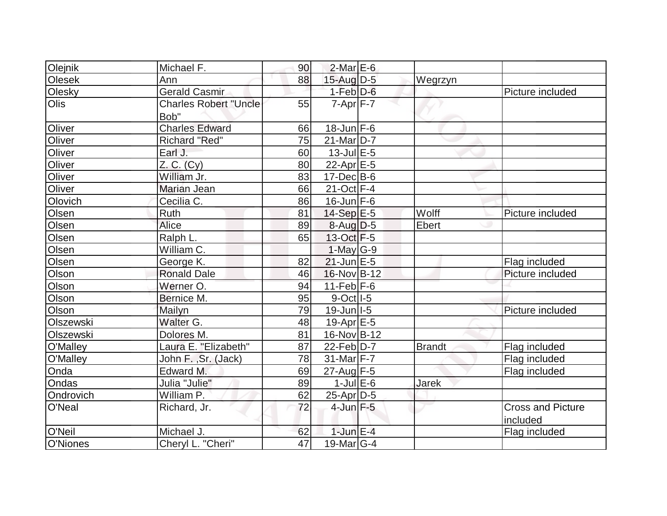| Olejnik      | Michael F.                   | 90 | $2$ -Mar $E$ -6        |               |                          |
|--------------|------------------------------|----|------------------------|---------------|--------------------------|
| Olesek       | Ann                          | 88 | $15$ -Aug D-5          | Wegrzyn       |                          |
| Olesky       | <b>Gerald Casmir</b>         |    | $1-Feb$ $D-6$          |               | Picture included         |
| <b>Olis</b>  | <b>Charles Robert "Uncle</b> | 55 | $7 - Apr$ $F - 7$      |               |                          |
|              | Bob"                         |    |                        |               |                          |
| Oliver       | <b>Charles Edward</b>        | 66 | $18$ -Jun F-6          |               |                          |
| Oliver       | Richard "Red"                | 75 | $21$ -Mar $ D-7 $      |               |                          |
| Oliver       | Earl J.                      | 60 | 13-Jul E-5             |               |                          |
| Oliver       | Z. C. (Cy)                   | 80 | 22-Apr E-5             |               |                          |
| Oliver       | William Jr.                  | 83 | $17 - Dec$ B-6         |               |                          |
| Oliver       | Marian Jean                  | 66 | $21-Oct$ F-4           |               |                          |
| Olovich      | Cecilia C.                   | 86 | $16$ -Jun $F-6$        |               |                          |
| Olsen        | Ruth                         | 81 | $14-Sep$ $E-5$         | Wolff         | Picture included         |
| Olsen        | Alice                        | 89 | $8-Auq$ D-5            | Ebert         |                          |
| Olsen        | Ralph L.                     | 65 | 13-Oct F-5             |               |                          |
| Olsen        | William C.                   |    | $1-May G-9$            |               |                          |
| Olsen        | George K.                    | 82 | $21$ -Jun $E-5$        |               | Flag included            |
| Olson        | <b>Ronald Dale</b>           | 46 | 16-Nov B-12            |               | Picture included         |
| Olson        | Werner O.                    | 94 | $11-Feb$ $F-6$         |               |                          |
| Olson        | Bernice M.                   | 95 | $9-Oct$ <sup>1-5</sup> |               |                          |
| Olson        | Mailyn                       | 79 | 19-Jun I-5             |               | Picture included         |
| Olszewski    | Walter G.                    | 48 | $19$ -Apr $E - 5$      |               |                          |
| Olszewski    | Dolores M.                   | 81 | 16-Nov B-12            |               |                          |
| O'Malley     | Laura E. "Elizabeth"         | 87 | 22-Feb D-7             | <b>Brandt</b> | Flag included            |
| O'Malley     | John F., Sr. (Jack)          | 78 | 31-Mar F-7             |               | Flag included            |
| Onda         | Edward M.                    | 69 | 27-Aug F-5             |               | Flag included            |
| <b>Ondas</b> | Julia "Julie"                | 89 | $1$ -Jul $E$ -6        | Jarek         |                          |
| Ondrovich    | William P.                   | 62 | $25$ -Apr $ D-5$       |               |                          |
| O'Neal       | Richard, Jr.                 | 72 | $4$ -Jun $F - 5$       |               | <b>Cross and Picture</b> |
|              |                              |    |                        |               | included                 |
| O'Neil       | Michael J.                   | 62 | $1$ -Jun $E-4$         |               | Flag included            |
| O'Niones     | Cheryl L. "Cheri"            | 47 | 19-Mar $ G-4 $         |               |                          |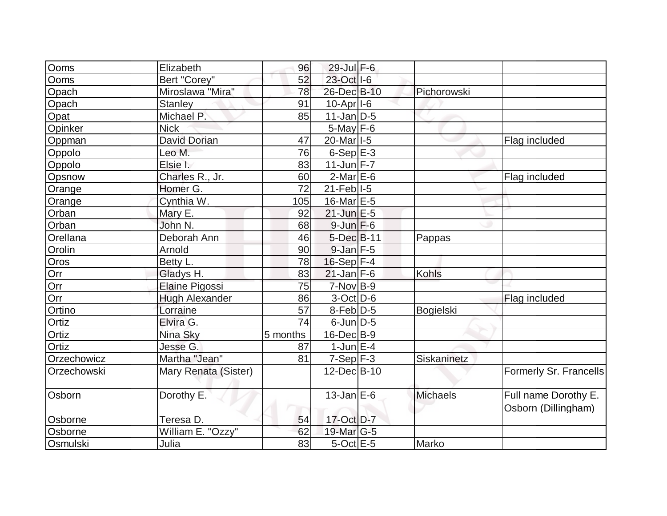| Ooms        | Elizabeth             | 96       | 29-Jul F-6            |              |                                             |
|-------------|-----------------------|----------|-----------------------|--------------|---------------------------------------------|
| Ooms        | Bert "Corey"          | 52       | 23-Oct I-6            |              |                                             |
| Opach       | Miroslawa "Mira"      | 78       | 26-Dec B-10           | Pichorowski  |                                             |
| Opach       | <b>Stanley</b>        | 91       | 10-Apr <sub>1-6</sub> |              |                                             |
| Opat        | Michael P.            | 85       | $11$ -Jan $ D-5 $     |              |                                             |
| Opinker     | <b>Nick</b>           |          | $5$ -May $F-6$        |              |                                             |
| Oppman      | <b>David Dorian</b>   | 47       | 20-Mar <sub>1-5</sub> |              | Flag included                               |
| Oppolo      | Leo M.                | 76       | $6-Sep$ $E-3$         |              |                                             |
| Oppolo      | Elsie I.              | 83       | $11$ -Jun F-7         |              |                                             |
| Opsnow      | Charles R., Jr.       | 60       | $2$ -Mar $E$ -6       |              | Flag included                               |
| Orange      | Homer G.              | 72       | $21$ -Feb $ I-5 $     |              |                                             |
| Orange      | Cynthia W.            | 105      | 16-Mar $E-5$          |              |                                             |
| Orban       | Mary E.               | 92       | $21$ -Jun $E-5$       |              |                                             |
| Orban       | John N.               | 68       | $9$ -Jun $F$ -6       |              |                                             |
| Orellana    | Deborah Ann           | 46       | 5-Dec B-11            | Pappas       |                                             |
| Orolin      | Arnold                | 90       | $9$ -Jan $F-5$        |              |                                             |
| Oros        | Betty L.              | 78       | 16-Sep F-4            |              |                                             |
| Orr         | Gladys H.             | 83       | $21$ -Jan $F-6$       | <b>Kohls</b> |                                             |
| Orr         | <b>Elaine Pigossi</b> | 75       | $7-Nov$ B-9           |              |                                             |
| Orr         | <b>Hugh Alexander</b> | 86       | $3-Oct$ D-6           |              | Flag included                               |
| Ortino      | Lorraine              | 57       | $8$ -Feb $D-5$        | Bogielski    |                                             |
| Ortiz       | Elvira G.             | 74       | $6$ -Jun $D-5$        |              |                                             |
| Ortiz       | Nina Sky              | 5 months | $16$ -Dec $B-9$       |              |                                             |
| Ortiz       | Jesse G.              | 87       | $1$ -Jun $E-4$        |              |                                             |
| Orzechowicz | Martha "Jean"         | 81       | $7-Sep$ F-3           | Siskaninetz  |                                             |
| Orzechowski | Mary Renata (Sister)  |          | 12-Dec B-10           |              | Formerly Sr. Francells                      |
| Osborn      | Dorothy E.            |          | $13$ -Jan $E-6$       | Michaels     | Full name Dorothy E.<br>Osborn (Dillingham) |
| Osborne     | Teresa D.             | 54       | 17-Oct D-7            |              |                                             |
| Osborne     | William E. "Ozzy"     | 62       | 19-Mar $ G-5 $        |              |                                             |
| Osmulski    | Julia                 | 83       | $5$ -Oct $E$ -5       | Marko        |                                             |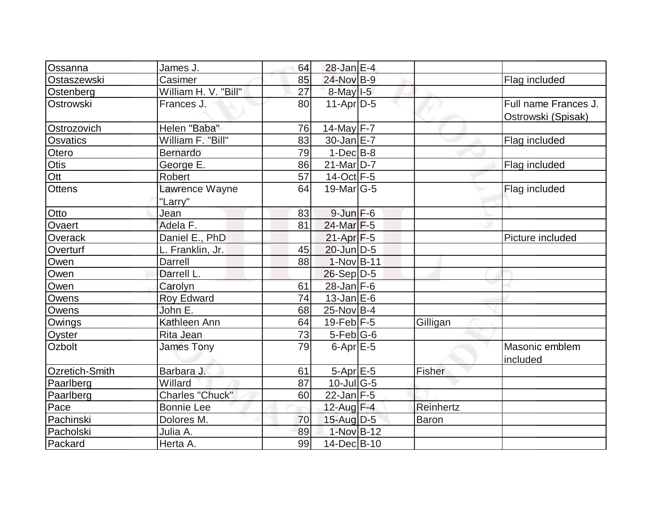| Ossanna         | James J.                  | 64 | $28$ -Jan $E-4$                   |           |                                            |
|-----------------|---------------------------|----|-----------------------------------|-----------|--------------------------------------------|
| Ostaszewski     | Casimer                   | 85 | 24-Nov B-9                        |           | Flag included                              |
| Ostenberg       | William H. V. "Bill"      | 27 | 8-May I-5                         |           |                                            |
| Ostrowski       | Frances J.                | 80 | $11-Apr D-5$                      |           | Full name Frances J.<br>Ostrowski (Spisak) |
| Ostrozovich     | Helen "Baba"              | 76 | 14-May F-7                        |           |                                            |
| <b>Osvatics</b> | William F. "Bill"         | 83 | 30-Jan E-7                        |           | Flag included                              |
| Otero           | Bernardo                  | 79 | $1$ -Dec $B$ -8                   |           |                                            |
| Otis            | George E.                 | 86 | $21$ -Mar $ D-7 $                 |           | Flag included                              |
| Ott             | Robert                    | 57 | 14-Oct $F-5$                      |           |                                            |
| <b>Ottens</b>   | Lawrence Wayne<br>"Larry" | 64 | $19$ -Mar $ G-5$                  |           | Flag included                              |
| Otto            | Jean                      | 83 | $9$ -Jun $F-6$                    |           |                                            |
| Ovaert          | Adela F.                  | 81 | $24$ -Mar F-5                     |           |                                            |
| Overack         | Daniel E., PhD            |    | $21-Apr$ F-5                      |           | Picture included                           |
| Overturf        | L. Franklin, Jr.          | 45 | $20$ -Jun $D-5$                   |           |                                            |
| Owen            | Darrell                   | 88 | $1-Nov B-11$                      |           |                                            |
| Owen            | Darrell L.                |    | $26-Sep D-5$                      |           |                                            |
| Owen            | Carolyn                   | 61 | $28$ -Jan F-6                     |           |                                            |
| <b>Owens</b>    | <b>Roy Edward</b>         | 74 | $13$ -Jan $E$ -6                  |           |                                            |
| Owens           | John E.                   | 68 | $25$ -Nov B-4                     |           |                                            |
| Owings          | Kathleen Ann              | 64 | 19-Feb $F-5$                      | Gilligan  |                                            |
| Oyster          | <b>Rita Jean</b>          | 73 | $5-Feb G-6$                       |           |                                            |
| Ozbolt          | <b>James Tony</b>         | 79 | $6$ -Apr $E$ -5                   |           | Masonic emblem<br>included                 |
| Ozretich-Smith  | Barbara J.                | 61 | 5-Apr E-5                         | Fisher    |                                            |
| Paarlberg       | Willard                   | 87 | $10$ -Jul $\overline{\text{G-5}}$ |           |                                            |
| Paarlberg       | Charles "Chuck"           | 60 | $22$ -Jan F-5                     |           |                                            |
| Pace            | <b>Bonnie Lee</b>         |    | 12-Aug $F-4$                      | Reinhertz |                                            |
| Pachinski       | Dolores M.                | 70 | $15$ -Aug $D-5$                   | Baron     |                                            |
| Pacholski       | Julia A.                  | 89 | 1-Nov B-12                        |           |                                            |
| Packard         | Herta A.                  | 99 | 14-Dec B-10                       |           |                                            |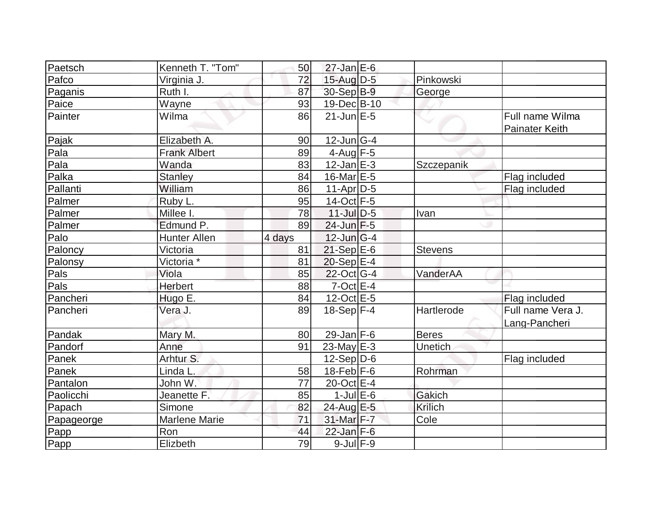| Paetsch    | Kenneth T. "Tom"      | 50     | $27$ -Jan E-6         |                |                                          |
|------------|-----------------------|--------|-----------------------|----------------|------------------------------------------|
| Pafco      | Virginia J.           | 72     | $15$ -Aug $D-5$       | Pinkowski      |                                          |
| Paganis    | Ruth I.               | 87     | 30-Sep B-9            | George         |                                          |
| Paice      | Wayne                 | 93     | 19-Dec B-10           |                |                                          |
| Painter    | Wilma                 | 86     | $21$ -Jun $E-5$       |                | Full name Wilma<br><b>Painater Keith</b> |
| Pajak      | Elizabeth A.          | 90     | $12$ -Jun $ G-4 $     |                |                                          |
| Pala       | <b>Frank Albert</b>   | 89     | $4$ -Aug $F - 5$      |                |                                          |
| Pala       | Wanda                 | 83     | $12$ -Jan $E-3$       | Szczepanik     |                                          |
| Palka      | <b>Stanley</b>        | 84     | $16$ -Mar $E-5$       |                | Flag included                            |
| Pallanti   | William               | 86     | $11-Apr D-5$          |                | Flag included                            |
| Palmer     | Ruby L.               | 95     | 14-Oct F-5            |                |                                          |
| Palmer     | Millee I.             | 78     | $11$ -Jul $D-5$       | Ivan           |                                          |
| Palmer     | Edmund P.             | 89     | $24$ -Jun $F-5$       |                |                                          |
| Palo       | <b>Hunter Allen</b>   | 4 days | $12$ -Jun $G-4$       |                |                                          |
| Paloncy    | Victoria              | 81     | $21-Sep$ E-6          | <b>Stevens</b> |                                          |
| Palonsy    | Victoria <sup>*</sup> | 81     | $20-Sep$ $E-4$        |                |                                          |
| Pals       | Viola                 | 85     | $22$ -Oct G-4         | VanderAA       |                                          |
| Pals       | <b>Herbert</b>        | 88     | $7$ -Oct $E - 4$      |                |                                          |
| Pancheri   | Hugo E.               | 84     | $12$ -Oct $E - 5$     |                | Flag included                            |
| Pancheri   | Vera J.               | 89     | $18-Sep$ F-4          | Hartlerode     | Full name Vera J.<br>Lang-Pancheri       |
| Pandak     | Mary M.               | 80     | 29-Jan $F-6$          | <b>Beres</b>   |                                          |
| Pandorf    | Anne                  | 91     | $23$ -May $E-3$       | Unetich        |                                          |
| Panek      | Arhtur S.             |        | $12-Sep D-6$          |                | Flag included                            |
| Panek      | Linda L.              | 58     | $18$ -Feb $F-6$       | Rohrman        |                                          |
| Pantalon   | John W.               | 77     | 20-Oct E-4            |                |                                          |
| Paolicchi  | Jeanette F.           | 85     | $1$ -Jul $E$ -6       | Gakich         |                                          |
| Papach     | Simone                | 82     | 24-Aug E-5            | Krilich        |                                          |
| Papageorge | <b>Marlene Marie</b>  | 71     | 31-Mar <sub>F-7</sub> | Cole           |                                          |
| Papp       | Ron                   | 44     | $22$ -Jan F-6         |                |                                          |
| Papp       | Elizbeth              | 79     | $9$ -Jul $F-9$        |                |                                          |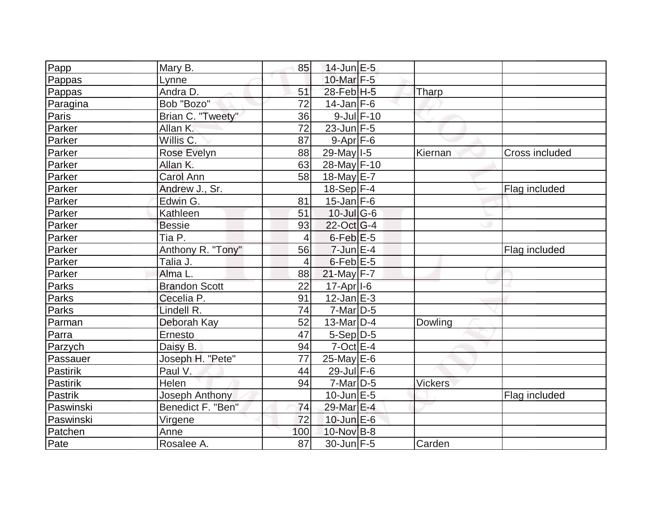| Papp         | Mary B.              | 85             | $14$ -Jun $E-5$       |                |                |
|--------------|----------------------|----------------|-----------------------|----------------|----------------|
| Pappas       | Lynne                |                | $10$ -Mar $F-5$       |                |                |
| Pappas       | Andra D.             | 51             | $28$ -Feb $H - 5$     | Tharp          |                |
| Paragina     | Bob "Bozo"           | 72             | $14$ -Jan F-6         |                |                |
| Paris        | Brian C. "Tweety"    | 36             | $9$ -Jul $F-10$       |                |                |
| Parker       | Allan K.             | 72             | $23$ -Jun $F-5$       |                |                |
| Parker       | Willis C.            | 87             | $9 - Apr$ F-6         |                |                |
| Parker       | Rose Evelyn          | 88             | 29-May 1-5            | Kiernan        | Cross included |
| Parker       | Allan K.             | 63             | 28-May F-10           |                |                |
| Parker       | Carol Ann            | 58             | 18-May E-7            |                |                |
| Parker       | Andrew J., Sr.       |                | $18-Sep$ F-4          |                | Flag included  |
| Parker       | Edwin G.             | 81             | $15$ -Jan $ F-6 $     |                |                |
| Parker       | Kathleen             | 51             | $10$ -Jul G-6         |                |                |
| Parker       | <b>Bessie</b>        | 93             | $22$ -Oct G-4         |                |                |
| Parker       | Tia P.               | $\overline{4}$ | $6$ -Feb $E-5$        |                |                |
| Parker       | Anthony R. "Tony"    | 56             | $7$ -Jun $E-4$        |                | Flag included  |
| Parker       | Talia J.             | 4              | $6$ -Feb $E$ -5       |                |                |
| Parker       | Alma L.              | 88             | $21$ -May F-7         |                |                |
| Parks        | <b>Brandon Scott</b> | 22             | 17-Apr <sub>1-6</sub> |                |                |
| <b>Parks</b> | Cecelia P.           | 91             | $12$ -Jan $E-3$       |                |                |
| Parks        | Lindell R.           | 74             | $7$ -Mar $ D-5$       |                |                |
| Parman       | Deborah Kay          | 52             | 13-Mar D-4            | Dowling        |                |
| Parra        | Ernesto              | 47             | $5-Sep D-5$           |                |                |
| Parzych      | Daisy B.             | 94             | $7$ -Oct $E-4$        |                |                |
| Passauer     | Joseph H. "Pete"     | 77             | $25$ -May E-6         |                |                |
| Pastirik     | Paul V.              | 44             | 29-Jul F-6            |                |                |
| Pastirik     | Helen                | 94             | $7$ -Mar $ D-5 $      | <b>Vickers</b> |                |
| Pastrik      | Joseph Anthony       |                | $10$ -Jun $E - 5$     |                | Flag included  |
| Paswinski    | Benedict F. "Ben"    | 74             | 29-Mar E-4            |                |                |
| Paswinski    | Virgene              | 72             | $10$ -Jun $E-6$       |                |                |
| Patchen      | Anne                 | 100            | 10-Nov B-8            |                |                |
| Pate         | Rosalee A.           | 87             | $30$ -Jun F-5         | Carden         |                |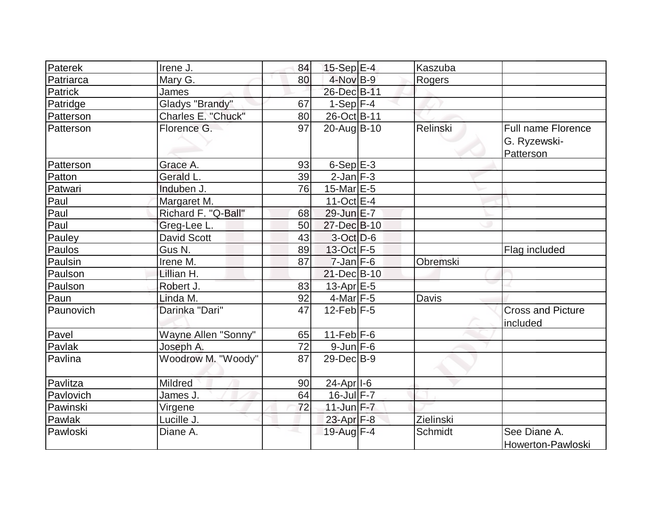| Paterek   | Irene J.            | 84 | $15-Sep$ E-4          | Kaszuba         |                                                        |
|-----------|---------------------|----|-----------------------|-----------------|--------------------------------------------------------|
| Patriarca | Mary G.             | 80 | 4-Nov B-9             | Rogers          |                                                        |
| Patrick   | James               |    | 26-Dec B-11           |                 |                                                        |
| Patridge  | Gladys "Brandy"     | 67 | $1-Sep$ F-4           |                 |                                                        |
| Patterson | Charles E. "Chuck"  | 80 | 26-Oct B-11           |                 |                                                        |
| Patterson | Florence G.         | 97 | 20-Aug B-10           | <b>Relinski</b> | <b>Full name Florence</b><br>G. Ryzewski-<br>Patterson |
| Patterson | Grace A.            | 93 | $6-SepE-3$            |                 |                                                        |
| Patton    | Gerald L.           | 39 | $2$ -Jan $F-3$        |                 |                                                        |
| Patwari   | Induben J.          | 76 | $15$ -Mar $E-5$       |                 |                                                        |
| Paul      | Margaret M.         |    | 11-Oct $E-4$          |                 |                                                        |
| Paul      | Richard F. "Q-Ball" | 68 | 29-Jun E-7            |                 |                                                        |
| Paul      | Greg-Lee L.         | 50 | 27-Dec B-10           |                 |                                                        |
| Pauley    | <b>David Scott</b>  | 43 | $3-Oct$ D-6           |                 |                                                        |
| Paulos    | Gus N.              | 89 | 13-Oct F-5            |                 | Flag included                                          |
| Paulsin   | Irene M.            | 87 | $7$ -Jan $F-6$        | Obremski        |                                                        |
| Paulson   | Lillian H.          |    | $21$ -Dec $B-10$      |                 |                                                        |
| Paulson   | Robert J.           | 83 | 13-Apr $E-5$          |                 |                                                        |
| Paun      | Linda M.            | 92 | $4$ -Mar $F-5$        | Davis           |                                                        |
| Paunovich | Darinka "Dari"      | 47 | $12$ -Feb $ F-5 $     |                 | <b>Cross and Picture</b><br>included                   |
| Pavel     | Wayne Allen "Sonny" | 65 | $11-Feb$ F-6          |                 |                                                        |
| Pavlak    | Joseph A.           | 72 | $9$ -Jun $F$ -6       |                 |                                                        |
| Pavlina   | Woodrow M. "Woody"  | 87 | $29$ -Dec $B-9$       |                 |                                                        |
| Pavlitza  | Mildred             | 90 | 24-Apr <sub>1-6</sub> |                 |                                                        |
| Pavlovich | James J.            | 64 | 16-Jul F-7            |                 |                                                        |
| Pawinski  | Virgene             | 72 | $11$ -Jun $F - 7$     |                 |                                                        |
| Pawlak    | Lucille J.          |    | 23-Apr $F-8$          | Zielinski       |                                                        |
| Pawloski  | Diane A.            |    | 19-Aug F-4            | Schmidt         | See Diane A.<br>Howerton-Pawloski                      |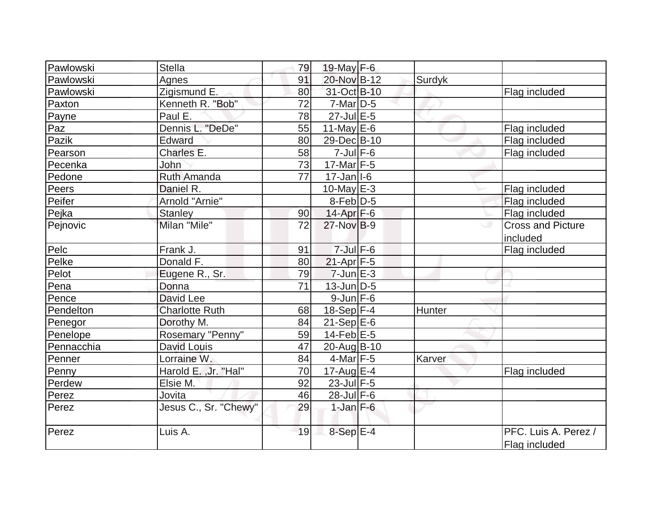| Pawlowski  | Stella                | 79 | 19-May $F-6$              |        |                                       |
|------------|-----------------------|----|---------------------------|--------|---------------------------------------|
| Pawlowski  | Agnes                 | 91 | 20-Nov B-12               | Surdyk |                                       |
| Pawlowski  | Zigismund E.          | 80 | 31-Oct B-10               |        | Flag included                         |
| Paxton     | Kenneth R. "Bob"      | 72 | $7$ -Mar $ D-5 $          |        |                                       |
| Payne      | Paul E.               | 78 | $27$ -Jul $E$ -5          |        |                                       |
| Paz        | Dennis L. "DeDe"      | 55 | 11-May $E-6$              |        | Flag included                         |
| Pazik      | Edward                | 80 | 29-Dec B-10               |        | Flag included                         |
| Pearson    | Charles E.            | 58 | $7$ -Jul $F$ -6           |        | Flag included                         |
| Pecenka    | John                  | 73 | 17-Mar F-5                |        |                                       |
| Pedone     | Ruth Amanda           | 77 | $17 - Jan$ <sup>1-6</sup> |        |                                       |
| Peers      | Daniel R.             |    | $10$ -May $E-3$           |        | Flag included                         |
| Peifer     | Arnold "Arnie"        |    | $8$ -Feb $D-5$            |        | Flag included                         |
| Pejka      | <b>Stanley</b>        | 90 | 14-Apr F-6                |        | Flag included                         |
| Pejnovic   | Milan "Mile"          | 72 | $27$ -Nov $B-9$           |        | <b>Cross and Picture</b><br>included  |
| Pelc       | Frank J.              | 91 | $7 -$ Jul $F - 6$         |        | Flag included                         |
| Pelke      | Donald F.             | 80 | $21-Apr$ F-5              |        |                                       |
| Pelot      | Eugene R., Sr.        | 79 | $7$ -Jun $E-3$            |        |                                       |
| Pena       | Donna                 | 71 | $13$ -Jun $D-5$           |        |                                       |
| Pence      | David Lee             |    | $9$ -Jun $F - 6$          |        |                                       |
| Pendelton  | <b>Charlotte Ruth</b> | 68 | $18-Sep$ F-4              | Hunter |                                       |
| Penegor    | Dorothy M.            | 84 | $21-SepE-6$               |        |                                       |
| Penelope   | Rosemary "Penny"      | 59 | $14$ -Feb $E$ -5          |        |                                       |
| Pennacchia | David Louis           | 47 | 20-Aug B-10               |        |                                       |
| Penner     | Lorraine W.           | 84 | $4$ -Mar $F-5$            | Karver |                                       |
| Penny      | Harold E., Jr. "Hal"  | 70 | $17$ -Aug E-4             |        | Flag included                         |
| Perdew     | Elsie M.              | 92 | $23$ -Jul $F-5$           |        |                                       |
| Perez      | Jovita                | 46 | $28$ -Jul $F-6$           |        |                                       |
| Perez      | Jesus C., Sr. "Chewy" | 29 | $1$ -Jan $F-6$            |        |                                       |
| Perez      | Luis A.               | 19 | $8-Sep$ E-4               |        | PFC. Luis A. Perez /<br>Flag included |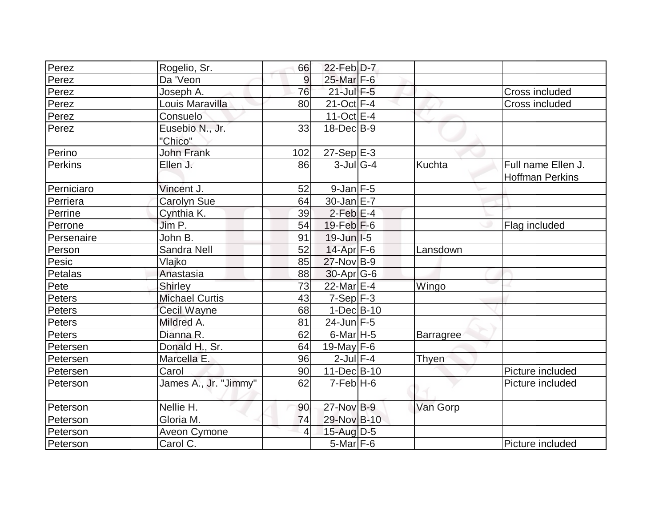| Perez      | Rogelio, Sr.          | 66             | 22-Feb D-7               |                  |                        |
|------------|-----------------------|----------------|--------------------------|------------------|------------------------|
| Perez      | Da 'Veon              | 9              | 25-Mar F-6               |                  |                        |
| Perez      | Joseph A.             | 76             | $21$ -Jul $F-5$          |                  | Cross included         |
| Perez      | Louis Maravilla       | 80             | $21-Oct$ F-4             |                  | Cross included         |
| Perez      | Consuelo              |                | $11-Oct$ E-4             |                  |                        |
| Perez      | Eusebio N., Jr.       | 33             | $18$ -Dec $B-9$          |                  |                        |
|            | "Chico"               |                |                          |                  |                        |
| Perino     | <b>John Frank</b>     | 102            | $27-SepE-3$              |                  |                        |
| Perkins    | Ellen J.              | 86             | $3$ -JulG-4              | Kuchta           | Full name Ellen J.     |
|            |                       |                |                          |                  | <b>Hoffman Perkins</b> |
| Perniciaro | Vincent J.            | 52             | $9$ -Jan $F-5$           |                  |                        |
| Perriera   | Carolyn Sue           | 64             | $30 - Jan \, E - 7$      |                  |                        |
| Perrine    | Cynthia K.            | 39             | $2$ -Feb $E-4$           |                  |                        |
| Perrone    | Jim P.                | 54             | $19$ -Feb $ F-6$         |                  | Flag included          |
| Persenaire | John B.               | 91             | $19$ -Jun $ I-5 $        |                  |                        |
| Person     | <b>Sandra Nell</b>    | 52             | 14-Apr F-6               | _ansdown         |                        |
| Pesic      | Vlajko                | 85             | $27$ -Nov B-9            |                  |                        |
| Petalas    | Anastasia             | 88             | $30$ -Apr $G$ -6         |                  |                        |
| Pete       | Shirley               | 73             | 22-Mar E-4               | Wingo            |                        |
| Peters     | <b>Michael Curtis</b> | 43             | $7-Sep$ F-3              |                  |                        |
| Peters     | <b>Cecil Wayne</b>    | 68             | $1-Dec B-10$             |                  |                        |
| Peters     | Mildred A.            | 81             | $24$ -Jun F-5            |                  |                        |
| Peters     | Dianna R.             | 62             | $6$ -Mar <sub>H</sub> -5 | <b>Barragree</b> |                        |
| Petersen   | Donald H., Sr.        | 64             | 19-May $F-6$             |                  |                        |
| Petersen   | Marcella E.           | 96             | $2$ -Jul $F-4$           | Thyen            |                        |
| Petersen   | Carol                 | 90             | 11-Dec B-10              |                  | Picture included       |
| Peterson   | James A., Jr. "Jimmy" | 62             | $7-FebH-6$               |                  | Picture included       |
| Peterson   | Nellie H.             | 90             | 27-Nov B-9               | Van Gorp         |                        |
| Peterson   | Gloria M.             | 74             | 29-Nov B-10              |                  |                        |
| Peterson   | Aveon Cymone          | $\overline{4}$ | $15$ -Aug $D-5$          |                  |                        |
| Peterson   | Carol C.              |                | $5$ -Mar $F$ -6          |                  | Picture included       |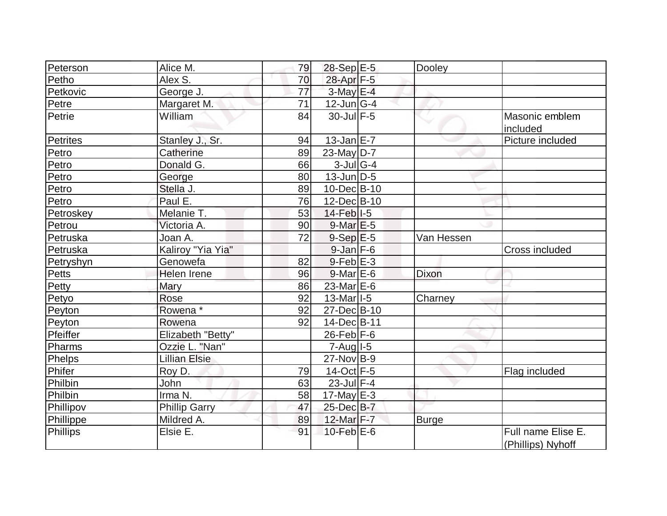| Peterson        | Alice M.             | 79 | $28-Sep$ $E-5$                          | Dooley       |                                         |
|-----------------|----------------------|----|-----------------------------------------|--------------|-----------------------------------------|
| Petho           | Alex S.              | 70 | 28-Apr F-5                              |              |                                         |
| Petkovic        | George J.            | 77 | $3$ -May E-4                            |              |                                         |
| Petre           | Margaret M.          | 71 | $12$ -Jun $ G-4 $                       |              |                                         |
| Petrie          | William              | 84 | $30$ -Jul $F-5$                         |              | Masonic emblem                          |
|                 |                      |    |                                         |              | included                                |
| <b>Petrites</b> | Stanley J., Sr.      | 94 | $13$ -Jan $E$ -7                        |              | Picture included                        |
| Petro           | Catherine            | 89 | $23$ -May D-7                           |              |                                         |
| Petro           | Donald G.            | 66 | $3$ -Jul G-4                            |              |                                         |
| Petro           | George               | 80 | $13$ -Jun $ D-5 $                       |              |                                         |
| Petro           | Stella J.            | 89 | $10$ -Dec $ B-10 $                      |              |                                         |
| Petro           | Paul E.              | 76 | 12-Dec B-10                             |              |                                         |
| Petroskey       | Melanie T.           | 53 | $14$ -Feb $ I-5 $                       |              |                                         |
| Petrou          | Victoria A.          | 90 | $9$ -Mar $E-5$                          |              |                                         |
| Petruska        | Joan A.              | 72 | $9-Sep$ $E-5$                           | Van Hessen   |                                         |
| Petruska        | Kaliroy "Yia Yia"    |    | $9$ -Jan $F$ -6                         |              | Cross included                          |
| Petryshyn       | Genowefa             | 82 | $9$ -Feb $E-3$                          |              |                                         |
| <b>Petts</b>    | Helen Irene          | 96 | $9$ -Mar $E$ -6                         | Dixon        |                                         |
| Petty           | Mary                 | 86 | 23-Mar E-6                              |              |                                         |
| Petyo           | Rose                 | 92 | $13$ -Mar <sub><math> I-5 </math></sub> | Charney      |                                         |
| Peyton          | Rowena <sup>*</sup>  | 92 | $27 - Dec$ B-10                         |              |                                         |
| Peyton          | Rowena               | 92 | $14$ -Dec $ B-11 $                      |              |                                         |
| Pfeiffer        | Elizabeth "Betty"    |    | $26$ -Feb $ F-6$                        |              |                                         |
| Pharms          | Ozzie L. "Nan"       |    | $7 - Aug$ $1 - 5$                       |              |                                         |
| Phelps          | <b>Lillian Elsie</b> |    | $27$ -Nov $B-9$                         |              |                                         |
| Phifer          | Roy D.               | 79 | 14-Oct F-5                              |              | Flag included                           |
| Philbin         | John                 | 63 | $23$ -Jul $F-4$                         |              |                                         |
| Philbin         | Irma N.              | 58 | $17$ -May E-3                           |              |                                         |
| Phillipov       | <b>Phillip Garry</b> | 47 | 25-Dec B-7                              |              |                                         |
| Phillippe       | Mildred A.           | 89 | 12-Mar F-7                              | <b>Burge</b> |                                         |
| Phillips        | Elsie E.             | 91 | $10$ -Feb $E$ -6                        |              | Full name Elise E.<br>(Phillips) Nyhoff |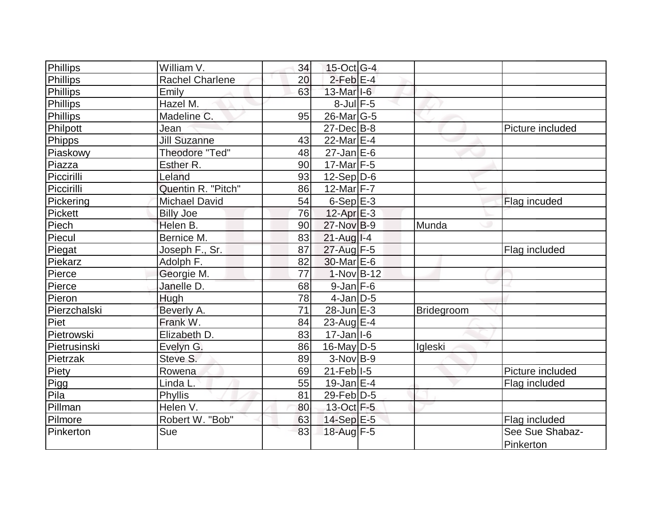| Phillips        | William V.             | 34 | $15$ -Oct G-4             |            |                  |
|-----------------|------------------------|----|---------------------------|------------|------------------|
| Phillips        | <b>Rachel Charlene</b> | 20 | $2$ -Feb $E-4$            |            |                  |
| Phillips        | Emily                  | 63 | $13$ -Mar $ I-6 $         |            |                  |
| Phillips        | Hazel M.               |    | $8$ -Jul $F$ -5           |            |                  |
| <b>Phillips</b> | Madeline C.            | 95 | $26$ -Mar $ G-5 $         |            |                  |
| Philpott        | Jean                   |    | $27$ -Dec $B$ -8          |            | Picture included |
| Phipps          | <b>Jill Suzanne</b>    | 43 | 22-Mar E-4                |            |                  |
| Piaskowy        | Theodore "Ted"         | 48 | $27$ -Jan $E$ -6          |            |                  |
| Piazza          | Esther R.              | 90 | $17$ -Mar $ F-5 $         |            |                  |
| Piccirilli      | Leland                 | 93 | $12-Sep D-6$              |            |                  |
| Piccirilli      | Quentin R. "Pitch"     | 86 | 12-Mar $F-7$              |            |                  |
| Pickering       | <b>Michael David</b>   | 54 | $6-Sep$ $E-3$             |            | Flag incuded     |
| <b>Pickett</b>  | <b>Billy Joe</b>       | 76 | $12$ -Apr $E-3$           |            |                  |
| Piech           | Helen B.               | 90 | $27$ -Nov B-9             | Munda      |                  |
| Piecul          | Bernice M.             | 83 | $21$ -Aug I-4             |            |                  |
| Piegat          | Joseph F., Sr.         | 87 | 27-Aug F-5                |            | Flag included    |
| Piekarz         | Adolph F.              | 82 | $30$ -Mar $E$ -6          |            |                  |
| Pierce          | Georgie M.             | 77 | $1-Nov$ B-12              |            |                  |
| Pierce          | Janelle D.             | 68 | $9$ -Jan $F$ -6           |            |                  |
| Pieron          | Hugh                   | 78 | $4$ -Jan D-5              |            |                  |
| Pierzchalski    | Beverly A.             | 71 | 28-Jun E-3                | Bridegroom |                  |
| Piet            | Frank W.               | 84 | $23$ -Aug $E-4$           |            |                  |
| Pietrowski      | Elizabeth D.           | 83 | $17 - Jan$ <sup>1-6</sup> |            |                  |
| Pietrusinski    | Evelyn G.              | 86 | $16$ -May D-5             | Igleski    |                  |
| Pietrzak        | Steve S.               | 89 | $3-Nov B-9$               |            |                  |
| Piety           | Rowena                 | 69 | $21$ -Feb I-5             |            | Picture included |
| Pigg            | Linda L.               | 55 | $19$ -Jan $ E-4 $         |            | Flag included    |
| Pila            | Phyllis                | 81 | $29$ -Feb $ D-5$          |            |                  |
| Pillman         | Helen V.               | 80 | 13-Oct F-5                |            |                  |
| Pilmore         | Robert W. "Bob"        | 63 | 14-Sep E-5                |            | Flag included    |
| Pinkerton       | Sue                    | 83 | 18-Aug F-5                |            | See Sue Shabaz-  |
|                 |                        |    |                           |            | Pinkerton        |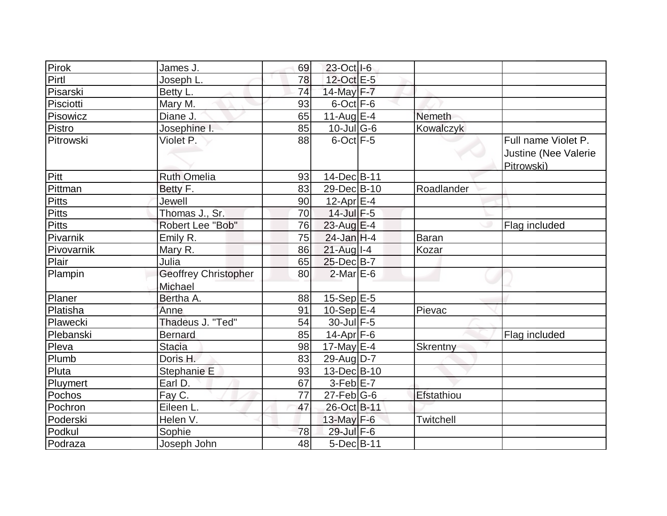| Pirok         | James J.                               | 69 | 23-Oct I-6                  |                  |                                                           |
|---------------|----------------------------------------|----|-----------------------------|------------------|-----------------------------------------------------------|
| Pirtl         | Joseph L.                              | 78 | 12-Oct E-5                  |                  |                                                           |
| Pisarski      | Betty L.                               | 74 | 14-May F-7                  |                  |                                                           |
| Pisciotti     | Mary M.                                | 93 | $6$ -Oct $F - 6$            |                  |                                                           |
| Pisowicz      | Diane J.                               | 65 | 11-Aug $E-4$                | <b>Nemeth</b>    |                                                           |
| Pistro        | Josephine I.                           | 85 | $10$ -Jul $\overline{G}$ -6 | Kowalczyk        |                                                           |
| Pitrowski     | Violet P.                              | 88 | $6$ -Oct $ F-5 $            |                  | Full name Violet P.<br>Justine (Nee Valerie<br>Pitrowski) |
| Pitt          | <b>Ruth Omelia</b>                     | 93 | 14-Dec B-11                 |                  |                                                           |
| Pittman       | Betty F.                               | 83 | 29-Dec B-10                 | Roadlander       |                                                           |
| Pitts         | Jewell                                 | 90 | $12$ -Apr $E-4$             |                  |                                                           |
| <b>Pitts</b>  | Thomas J., Sr.                         | 70 | $14$ -Jul $F-5$             |                  |                                                           |
| <b>Pitts</b>  | Robert Lee "Bob"                       | 76 | 23-Aug E-4                  |                  | Flag included                                             |
| Pivarnik      | Emily R.                               | 75 | $24$ -Jan H-4               | <b>Baran</b>     |                                                           |
| Pivovarnik    | Mary R.                                | 86 | $21$ -Aug I-4               | Kozar            |                                                           |
| Plair         | Julia                                  | 65 | 25-Dec B-7                  |                  |                                                           |
| Plampin       | <b>Geoffrey Christopher</b><br>Michael | 80 | $2$ -Mar $E$ -6             |                  |                                                           |
| <b>Planer</b> | Bertha A.                              | 88 | $15-Sep$ $E-5$              |                  |                                                           |
| Platisha      | Anne                                   | 91 | $10-Sep$ E-4                | Pievac           |                                                           |
| Plawecki      | Thadeus J. "Ted"                       | 54 | 30-Jul F-5                  |                  |                                                           |
| Plebanski     | <b>Bernard</b>                         | 85 | $14$ -Apr $ F-6 $           |                  | Flag included                                             |
| Pleva         | <b>Stacia</b>                          | 98 | 17-May $E-4$                | Skrentny         |                                                           |
| Plumb         | Doris H.                               | 83 | $29$ -AugD-7                |                  |                                                           |
| Pluta         | Stephanie E                            | 93 | 13-Dec B-10                 |                  |                                                           |
| Pluymert      | Earl D.                                | 67 | $3-Feb$ $E-7$               |                  |                                                           |
| Pochos        | Fay C.                                 | 77 | $27$ -Feb $ G$ -6           | Efstathiou       |                                                           |
| Pochron       | Eileen L.                              | 47 | 26-Oct B-11                 |                  |                                                           |
| Poderski      | Helen V.                               |    | $13$ -May F-6               | <b>Twitchell</b> |                                                           |
| Podkul        | Sophie                                 | 78 | 29-Jul F-6                  |                  |                                                           |
| Podraza       | Joseph John                            | 48 | $5$ -Dec $B$ -11            |                  |                                                           |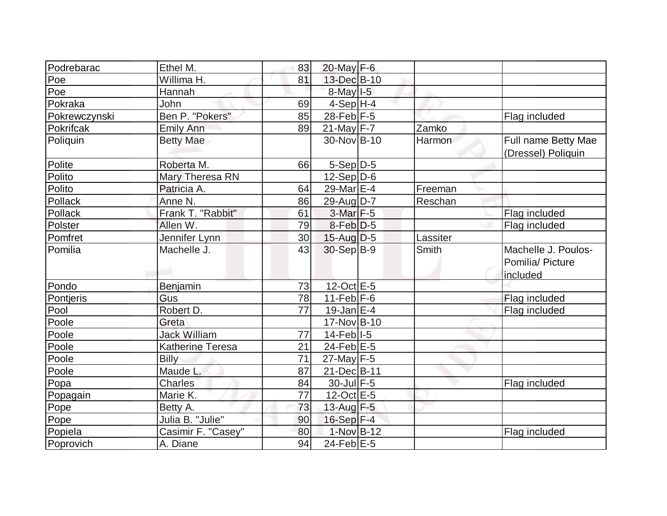| Podrebarac    | Ethel M.                | 83 | $20$ -May F-6                |          |                                                     |
|---------------|-------------------------|----|------------------------------|----------|-----------------------------------------------------|
| Poe           | Willima H.              | 81 | 13-Dec B-10                  |          |                                                     |
| Poe           | Hannah                  |    | $8$ -May $1-5$               |          |                                                     |
| Pokraka       | John                    | 69 | $4-Sep$ H-4                  |          |                                                     |
| Pokrewczynski | Ben P. "Pokers"         | 85 | $28$ -Feb F-5                |          | Flag included                                       |
| Pokrifcak     | <b>Emily Ann</b>        | 89 | 21-May F-7                   | Zamko    |                                                     |
| Poliquin      | <b>Betty Mae</b>        |    | 30-Nov B-10                  | Harmon   | Full name Betty Mae<br>(Dressel) Poliquin           |
| Polite        | Roberta M.              | 66 | $5-Sep$ D-5                  |          |                                                     |
| Polito        | Mary Theresa RN         |    | $12-Sep D-6$                 |          |                                                     |
| Polito        | Patricia A.             | 64 | 29-Mar E-4                   | Freeman  |                                                     |
| Pollack       | Anne N.                 | 86 | 29-Aug D-7                   | Reschan  |                                                     |
| Pollack       | Frank T. "Rabbit"       | 61 | 3-Mar F-5                    |          | Flag included                                       |
| Polster       | Allen W.                | 79 | $8-Feb D-5$                  |          | Flag included                                       |
| Pomfret       | Jennifer Lynn           | 30 | $15$ -Aug $D-5$              | Lassiter |                                                     |
| Pomilia       | Machelle J.             | 43 | 30-Sep B-9                   | Smith    | Machelle J. Poulos-<br>Pomilia/ Picture<br>included |
| Pondo         | Benjamin                | 73 | 12-Oct E-5                   |          |                                                     |
| Pontjeris     | Gus                     | 78 | 11-Feb $F-6$                 |          | Flag included                                       |
| Pool          | Robert D.               | 77 | $19$ -Jan E-4                |          | Flag included                                       |
| Poole         | Greta                   |    | 17-Nov B-10                  |          |                                                     |
| Poole         | <b>Jack William</b>     | 77 | $14$ -Feb $ I-5 $            |          |                                                     |
| Poole         | <b>Katherine Teresa</b> | 21 | 24-Feb <sup></sup> E-5       |          |                                                     |
| Poole         | <b>Billy</b>            | 71 | $27$ -May F-5                |          |                                                     |
| Poole         | Maude L.                | 87 | 21-Dec B-11                  |          |                                                     |
| Popa          | <b>Charles</b>          | 84 | $30$ -Jul $F-5$              |          | Flag included                                       |
| Popagain      | Marie K.                | 77 | $12-Oct$ $E-5$               |          |                                                     |
| Pope          | Betty A.                | 73 | 13-Aug F-5                   |          |                                                     |
| Pope          | Julia B. "Julie"        | 90 | $16-Sep$ F-4                 |          |                                                     |
| Popiela       | Casimir F. "Casey"      | 80 | 1-Nov B-12                   |          | Flag included                                       |
| Poprovich     | A. Diane                | 94 | $\overline{24}$ -Feb $ E-5 $ |          |                                                     |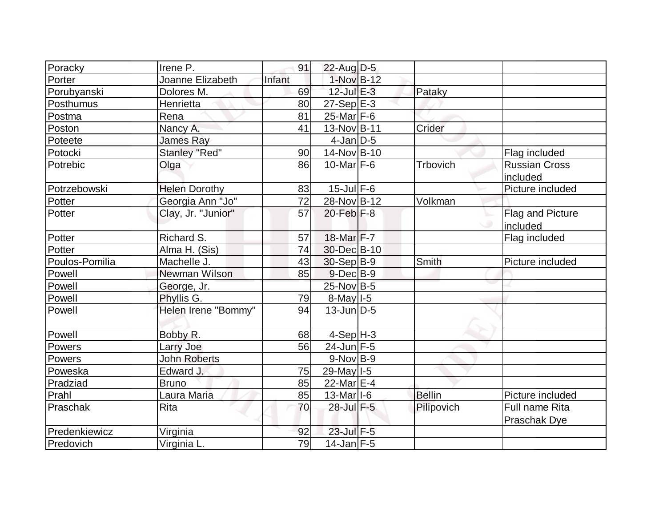| Poracky<br>Irene P.                  | 91     | $22$ -Aug D-5           |               |                         |
|--------------------------------------|--------|-------------------------|---------------|-------------------------|
| Porter<br>Joanne Elizabeth           | Infant | 1-Nov B-12              |               |                         |
| Porubyanski<br>Dolores M.            | 69     | $12$ -Jul $E-3$         | Pataky        |                         |
| Henrietta<br>Posthumus               | 80     | $27-Sep$ <sup>E-3</sup> |               |                         |
| Rena<br>Postma                       | 81     | $25$ -Mar $F-6$         |               |                         |
| Poston<br>Nancy A.                   | 41     | 13-Nov B-11             | Crider        |                         |
| <b>James Ray</b><br>Poteete          |        | $4$ -Jan $D-5$          |               |                         |
| <b>Stanley "Red"</b><br>Potocki      | 90     | 14-Nov B-10             |               | Flag included           |
| Potrebic<br>Olga                     | 86     | $10$ -Marl $F-6$        | Trbovich      | <b>Russian Cross</b>    |
|                                      |        |                         |               | included                |
| Potrzebowski<br><b>Helen Dorothy</b> | 83     | $15$ -Jul $F-6$         |               | Picture included        |
| Georgia Ann "Jo"<br>Potter           | 72     | 28-Nov B-12             | Volkman       |                         |
| Clay, Jr. "Junior"<br>Potter         | 57     | $20$ -Feb $ F-8$        |               | <b>Flag and Picture</b> |
|                                      |        |                         |               | included                |
| Potter<br>Richard S.                 | 57     | 18-Mar F-7              |               | Flag included           |
| Potter<br>Alma H. (Sis)              | 74     | 30-Dec B-10             |               |                         |
| Poulos-Pomilia<br>Machelle J.        | 43     | $30-Sep B-9$            | Smith         | Picture included        |
| Powell<br>Newman Wilson              | 85     | $9$ -Dec $B$ -9         |               |                         |
| Powell<br>George, Jr.                |        | 25-Nov B-5              |               |                         |
| Powell<br>Phyllis G.                 | 79     | $8$ -May $1-5$          |               |                         |
| Helen Irene "Bommy"<br>Powell        | 94     | $13$ -Jun $D-5$         |               |                         |
| Powell<br>Bobby R.                   | 68     | $4-Sep H-3$             |               |                         |
| Powers<br>Larry Joe                  | 56     | $24$ -Jun F-5           |               |                         |
| <b>John Roberts</b><br>Powers        |        | $9-Nov B-9$             |               |                         |
| Edward J.<br>Poweska                 | 75     | 29-May I-5              |               |                         |
| <b>Bruno</b><br>Pradziad             | 85     | 22-Mar $E-4$            |               |                         |
| Prahl<br>Laura Maria                 | 85     | $13-Mar$ <sup>1-6</sup> | <b>Bellin</b> | Picture included        |
| <b>Rita</b><br>Praschak              | 70     | 28-Jul F-5              | Pilipovich    | Full name Rita          |
|                                      |        |                         |               | Praschak Dye            |
| Predenkiewicz<br>Virginia            | 92     | 23-Jul F-5              |               |                         |
| Predovich<br>Virginia L.             | 79     | $14$ -Jan F-5           |               |                         |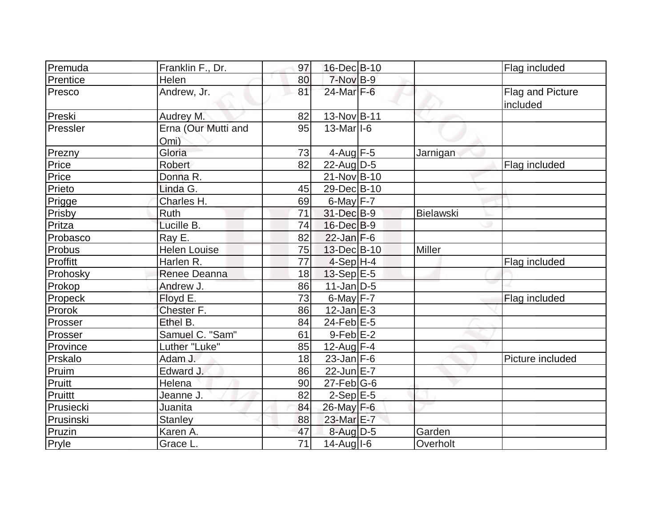| Premuda   | Franklin F., Dr.            | 97              | 16-Dec B-10                            |                  | Flag included                |
|-----------|-----------------------------|-----------------|----------------------------------------|------------------|------------------------------|
| Prentice  | Helen                       | 80              | $7-NovB-9$                             |                  |                              |
| Presco    | Andrew, Jr.                 | 81              | 24-Mar F-6                             |                  | Flag and Picture<br>included |
| Preski    | Audrey M.                   | 82              | $13-Nov B-11$                          |                  |                              |
| Pressler  | Erna (Our Mutti and<br>Omi) | 95              | $13$ -Mar <sub><math> I-6</math></sub> |                  |                              |
| Prezny    | Gloria                      | 73              | 4-Aug $F-5$                            | Jarnigan         |                              |
| Price     | Robert                      | 82              | $22$ -Aug $D-5$                        |                  | Flag included                |
| Price     | Donna R.                    |                 | $21-Nov B-10$                          |                  |                              |
| Prieto    | Linda G.                    | 45              | 29-Dec B-10                            |                  |                              |
| Prigge    | Charles H.                  | 69              | $6$ -May $F - 7$                       |                  |                              |
| Prisby    | Ruth                        | 71              | 31-Dec B-9                             | <b>Bielawski</b> |                              |
| Pritza    | Lucille B.                  | 74              | $16$ -Dec $B-9$                        |                  |                              |
| Probasco  | Ray E.                      | 82              | $22$ -Jan F-6                          |                  |                              |
| Probus    | <b>Helen Louise</b>         | 75              | 13-Dec B-10                            | Miller           |                              |
| Proffitt  | Harlen R.                   | $\overline{77}$ | $4-Sep$ H-4                            |                  | Flag included                |
| Prohosky  | Renee Deanna                | 18              | 13-Sep E-5                             |                  |                              |
| Prokop    | Andrew J.                   | 86              | $11$ -Jan D-5                          |                  |                              |
| Propeck   | Floyd E.                    | 73              | $6$ -May $F - 7$                       |                  | Flag included                |
| Prorok    | Chester F.                  | 86              | $12$ -Jan $ E-3 $                      |                  |                              |
| Prosser   | Ethel B.                    | 84              | $24$ -Feb $E-5$                        |                  |                              |
| Prosser   | Samuel C. "Sam"             | 61              | $9$ -Feb $E-2$                         |                  |                              |
| Province  | Luther "Luke"               | 85              | 12-Aug $F-4$                           |                  |                              |
| Prskalo   | Adam J.                     | 18              | $23$ -Jan $F-6$                        |                  | Picture included             |
| Pruim     | Edward J.                   | 86              | $22$ -Jun $E-7$                        |                  |                              |
| Pruitt    | Helena                      | 90              | $27$ -Feb $ G$ -6                      |                  |                              |
| Pruittt   | Jeanne J.                   | 82              | $2-Sep$ $E-5$                          |                  |                              |
| Prusiecki | Juanita                     | 84              | 26-May F-6                             |                  |                              |
| Prusinski | <b>Stanley</b>              | 88              | 23-Mar E-7                             |                  |                              |
| Pruzin    | Karen A.                    | 47              | $8$ -Aug $D-5$                         | Garden           |                              |
| Pryle     | Grace L.                    | 71              | $14$ -Aug $I$ -6                       | Overholt         |                              |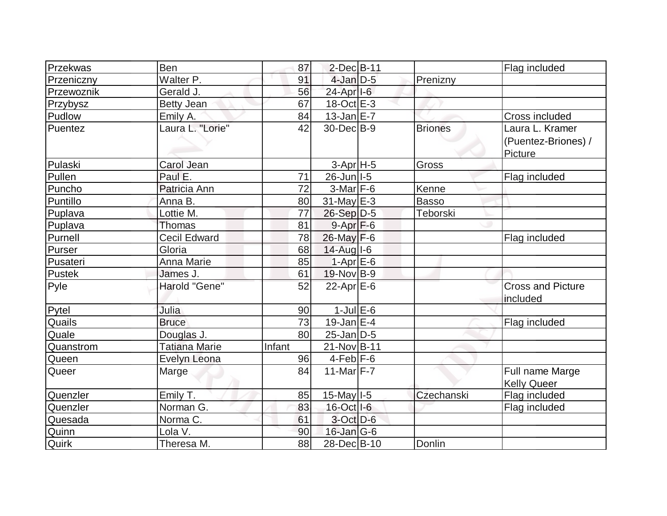| Przekwas   | Ben                  | 87     | 2-Dec B-11        |                | Flag included                          |
|------------|----------------------|--------|-------------------|----------------|----------------------------------------|
| Przeniczny | Walter P.            | 91     | $4$ -Jan $D-5$    | Prenizny       |                                        |
| Przewoznik | Gerald J.            | 56     | $24$ -Apr $ I-6 $ |                |                                        |
| Przybysz   | <b>Betty Jean</b>    | 67     | $18-Oct$ $E-3$    |                |                                        |
| Pudlow     | Emily A.             | 84     | $13$ -Jan $E-7$   |                | Cross included                         |
| Puentez    | Laura L. "Lorie"     | 42     | 30-Dec B-9        | <b>Briones</b> | Laura L. Kramer<br>(Puentez-Briones) / |
|            |                      |        |                   |                | Picture                                |
| Pulaski    | Carol Jean           |        | $3-Apr$ H-5       | Gross          |                                        |
| Pullen     | Paul E.              | 71     | 26-Jun I-5        |                | Flag included                          |
| Puncho     | Patricia Ann         | 72     | $3-Mar$ F-6       | Kenne          |                                        |
| Puntillo   | Anna B.              | 80     | $31$ -May E-3     | Basso          |                                        |
| Puplava    | Lottie M.            | 77     | $26-Sep$ D-5      | Teborski       |                                        |
| Puplava    | <b>Thomas</b>        | 81     | $9 - Apr$ $F-6$   |                |                                        |
| Purnell    | <b>Cecil Edward</b>  | 78     | $26$ -May F-6     |                | Flag included                          |
| Purser     | Gloria               | 68     | 14-Aug I-6        |                |                                        |
| Pusateri   | Anna Marie           | 85     | $1-Apr$ E-6       |                |                                        |
| Pustek     | James J.             | 61     | 19-Nov B-9        |                |                                        |
| Pyle       | Harold "Gene"        | 52     | 22-Apr E-6        |                | <b>Cross and Picture</b><br>included   |
| Pytel      | Julia                | 90     | $1$ -Jul $E$ -6   |                |                                        |
| Quails     | <b>Bruce</b>         | 73     | $19$ -Jan E-4     |                | Flag included                          |
| Quale      | Douglas J.           | 80     | $25$ -Jan $D-5$   |                |                                        |
| Quanstrom  | <b>Tatiana Marie</b> | Infant | $21-Nov B-11$     |                |                                        |
| Queen      | Evelyn Leona         | 96     | $4-Feb$ $F-6$     |                |                                        |
| Queer      | Marge                | 84     | 11-Mar $F-7$      |                | Full name Marge<br><b>Kelly Queer</b>  |
| Quenzler   | Emily T.             | 85     | 15-May I-5        | Czechanski     | Flag included                          |
| Quenzler   | Norman G.            | 83     | $16$ -Oct $ I-6 $ |                | Flag included                          |
| Quesada    | Norma C.             | 61     | 3-Oct D-6         |                |                                        |
| Quinn      | Lola V.              | 90     | $16$ -Jan $ G-6 $ |                |                                        |
| Quirk      | Theresa M.           | 88     | 28-Dec B-10       | Donlin         |                                        |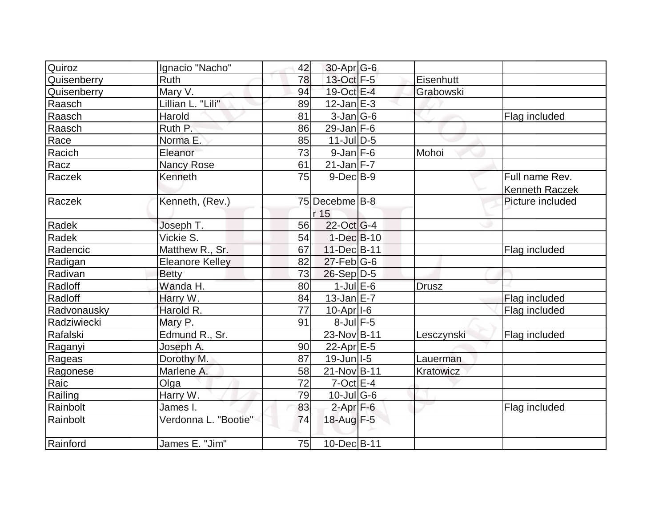|                                                                                                                                                                                                                                                                                                                                                                                                                                    |                                              |      |                                                                                                                                                                                                                                                                                                                                                                                                                                                                                                                              | Flag included                                                     |
|------------------------------------------------------------------------------------------------------------------------------------------------------------------------------------------------------------------------------------------------------------------------------------------------------------------------------------------------------------------------------------------------------------------------------------|----------------------------------------------|------|------------------------------------------------------------------------------------------------------------------------------------------------------------------------------------------------------------------------------------------------------------------------------------------------------------------------------------------------------------------------------------------------------------------------------------------------------------------------------------------------------------------------------|-------------------------------------------------------------------|
|                                                                                                                                                                                                                                                                                                                                                                                                                                    |                                              |      |                                                                                                                                                                                                                                                                                                                                                                                                                                                                                                                              |                                                                   |
| 85                                                                                                                                                                                                                                                                                                                                                                                                                                 |                                              |      |                                                                                                                                                                                                                                                                                                                                                                                                                                                                                                                              |                                                                   |
| 73                                                                                                                                                                                                                                                                                                                                                                                                                                 |                                              |      | Mohoi                                                                                                                                                                                                                                                                                                                                                                                                                                                                                                                        |                                                                   |
| 61                                                                                                                                                                                                                                                                                                                                                                                                                                 |                                              |      |                                                                                                                                                                                                                                                                                                                                                                                                                                                                                                                              |                                                                   |
| 75                                                                                                                                                                                                                                                                                                                                                                                                                                 |                                              |      |                                                                                                                                                                                                                                                                                                                                                                                                                                                                                                                              | Full name Rev.                                                    |
|                                                                                                                                                                                                                                                                                                                                                                                                                                    |                                              |      |                                                                                                                                                                                                                                                                                                                                                                                                                                                                                                                              | <b>Kenneth Raczek</b>                                             |
|                                                                                                                                                                                                                                                                                                                                                                                                                                    |                                              |      |                                                                                                                                                                                                                                                                                                                                                                                                                                                                                                                              | Picture included                                                  |
|                                                                                                                                                                                                                                                                                                                                                                                                                                    |                                              |      |                                                                                                                                                                                                                                                                                                                                                                                                                                                                                                                              |                                                                   |
| 56                                                                                                                                                                                                                                                                                                                                                                                                                                 |                                              |      |                                                                                                                                                                                                                                                                                                                                                                                                                                                                                                                              |                                                                   |
| 54                                                                                                                                                                                                                                                                                                                                                                                                                                 |                                              |      |                                                                                                                                                                                                                                                                                                                                                                                                                                                                                                                              |                                                                   |
| 67                                                                                                                                                                                                                                                                                                                                                                                                                                 |                                              |      |                                                                                                                                                                                                                                                                                                                                                                                                                                                                                                                              | Flag included                                                     |
| 82                                                                                                                                                                                                                                                                                                                                                                                                                                 |                                              |      |                                                                                                                                                                                                                                                                                                                                                                                                                                                                                                                              |                                                                   |
| 73                                                                                                                                                                                                                                                                                                                                                                                                                                 |                                              |      |                                                                                                                                                                                                                                                                                                                                                                                                                                                                                                                              |                                                                   |
| 80                                                                                                                                                                                                                                                                                                                                                                                                                                 |                                              |      |                                                                                                                                                                                                                                                                                                                                                                                                                                                                                                                              |                                                                   |
| 84                                                                                                                                                                                                                                                                                                                                                                                                                                 |                                              |      |                                                                                                                                                                                                                                                                                                                                                                                                                                                                                                                              | Flag included                                                     |
| 77                                                                                                                                                                                                                                                                                                                                                                                                                                 |                                              |      |                                                                                                                                                                                                                                                                                                                                                                                                                                                                                                                              | Flag included                                                     |
| 91                                                                                                                                                                                                                                                                                                                                                                                                                                 |                                              |      |                                                                                                                                                                                                                                                                                                                                                                                                                                                                                                                              |                                                                   |
|                                                                                                                                                                                                                                                                                                                                                                                                                                    |                                              |      |                                                                                                                                                                                                                                                                                                                                                                                                                                                                                                                              | Flag included                                                     |
|                                                                                                                                                                                                                                                                                                                                                                                                                                    |                                              |      |                                                                                                                                                                                                                                                                                                                                                                                                                                                                                                                              |                                                                   |
| 87                                                                                                                                                                                                                                                                                                                                                                                                                                 |                                              |      | Lauerman                                                                                                                                                                                                                                                                                                                                                                                                                                                                                                                     |                                                                   |
| 58                                                                                                                                                                                                                                                                                                                                                                                                                                 |                                              |      |                                                                                                                                                                                                                                                                                                                                                                                                                                                                                                                              |                                                                   |
| $\overline{72}$                                                                                                                                                                                                                                                                                                                                                                                                                    |                                              |      |                                                                                                                                                                                                                                                                                                                                                                                                                                                                                                                              |                                                                   |
| 79                                                                                                                                                                                                                                                                                                                                                                                                                                 |                                              |      |                                                                                                                                                                                                                                                                                                                                                                                                                                                                                                                              |                                                                   |
| 83                                                                                                                                                                                                                                                                                                                                                                                                                                 |                                              |      |                                                                                                                                                                                                                                                                                                                                                                                                                                                                                                                              | Flag included                                                     |
| 74                                                                                                                                                                                                                                                                                                                                                                                                                                 |                                              |      |                                                                                                                                                                                                                                                                                                                                                                                                                                                                                                                              |                                                                   |
|                                                                                                                                                                                                                                                                                                                                                                                                                                    |                                              |      |                                                                                                                                                                                                                                                                                                                                                                                                                                                                                                                              |                                                                   |
| Ignacio "Nacho"<br>Ruth<br>Mary V.<br>Lillian L. "Lili"<br>Harold<br>Ruth P.<br>Norma E.<br>Eleanor<br><b>Nancy Rose</b><br>Kenneth<br>Kenneth, (Rev.)<br>Joseph T.<br>Vickie S.<br>Matthew R., Sr.<br><b>Eleanore Kelley</b><br><b>Betty</b><br>Wanda H.<br>Harry W.<br>Harold R.<br>Mary P.<br>Edmund R., Sr.<br>Joseph A.<br>Dorothy M.<br>Marlene A.<br>Olga<br>Harry W.<br>James I.<br>Verdonna L. "Bootie"<br>James E. "Jim" | 42<br>78<br>94<br>89<br>81<br>86<br>90<br>75 | r 15 | $30$ -Apr $G$ -6<br>13-Oct F-5<br>19-Oct E-4<br>$12$ -Jan $E-3$<br>$3$ -Jan $ G$ -6<br>$29$ -Jan F-6<br>$11$ -Jul $D-5$<br>$9$ -Jan $F$ -6<br>$21$ -Jan F-7<br>$9$ -Dec $B$ -9<br>75 Decebme B-8<br>$22$ -Oct G-4<br>$1-Dec$ $B-10$<br>11-Dec B-11<br>$27$ -Feb $ G-6$<br>$26-Sep D-5$<br>$1$ -Jul $E$ -6<br>$13$ -Jan $E-7$<br>$10$ -Apr $ I-6$<br>$8$ -Jul $F$ -5<br>23-Nov B-11<br>22-Apr $E-5$<br>$19$ -Jun $ I-5 $<br>$21-Nov B-11$<br>$7$ -Oct $E - 4$<br>$10$ -Jul G-6<br>$2$ -Apr $F-6$<br>18-Aug F-5<br>10-Dec B-11 | Eisenhutt<br>Grabowski<br><b>Drusz</b><br>Lesczynski<br>Kratowicz |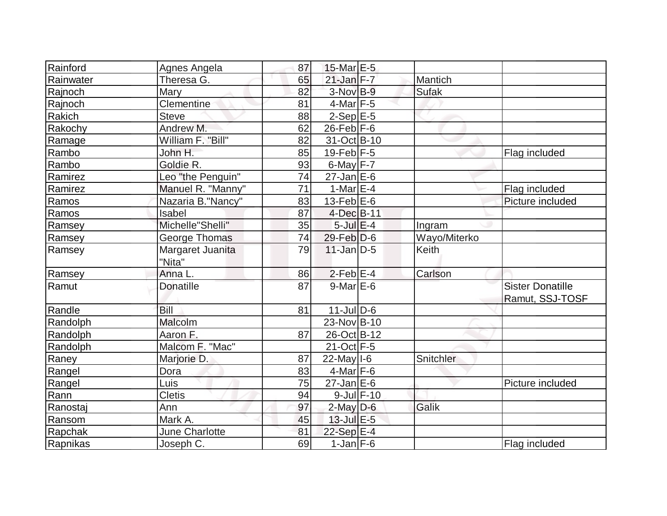| Rainford  | Agnes Angela      | 87 | 15-Mar E-5        |                 |              |                         |
|-----------|-------------------|----|-------------------|-----------------|--------------|-------------------------|
| Rainwater | Theresa G.        | 65 | $21$ -Jan $F-7$   |                 | Mantich      |                         |
| Rajnoch   | Mary              | 82 | 3-Nov B-9         |                 | <b>Sufak</b> |                         |
| Rajnoch   | Clementine        | 81 | $4$ -Mar $ F-5 $  |                 |              |                         |
| Rakich    | <b>Steve</b>      | 88 | $2-SepE-5$        |                 |              |                         |
| Rakochy   | Andrew M.         | 62 | $26$ -Feb $ F-6 $ |                 |              |                         |
| Ramage    | William F. "Bill" | 82 | 31-Oct B-10       |                 |              |                         |
| Rambo     | John H.           | 85 | $19$ -Feb $ F-5 $ |                 |              | Flag included           |
| Rambo     | Goldie R.         | 93 | $6$ -May $F-7$    |                 |              |                         |
| Ramirez   | Leo "the Penguin" | 74 | $27$ -Jan E-6     |                 |              |                         |
| Ramirez   | Manuel R. "Manny" | 71 | 1-Mar $E-4$       |                 |              | Flag included           |
| Ramos     | Nazaria B."Nancy" | 83 | 13-Feb $E-6$      |                 |              | Picture included        |
| Ramos     | Isabel            | 87 | $4$ -Dec $B-11$   |                 |              |                         |
| Ramsey    | Michelle"Shelli"  | 35 | $5$ -Jul $E$ -4   |                 | Ingram       |                         |
| Ramsey    | George Thomas     | 74 | $29$ -Feb $D$ -6  |                 | Wayo/Miterko |                         |
| Ramsey    | Margaret Juanita  | 79 | $11$ -Jan D-5     |                 | Keith        |                         |
|           | "Nita"            |    |                   |                 |              |                         |
| Ramsey    | Anna L.           | 86 | $2-Feb$ $E-4$     |                 | Carlson      |                         |
| Ramut     | <b>Donatille</b>  | 87 | $9$ -Mar $E$ -6   |                 |              | <b>Sister Donatille</b> |
|           |                   |    |                   |                 |              | Ramut, SSJ-TOSF         |
| Randle    | Bill              | 81 | $11$ -JulD-6      |                 |              |                         |
| Randolph  | Malcolm           |    | 23-Nov B-10       |                 |              |                         |
| Randolph  | Aaron F.          | 87 | 26-Oct B-12       |                 |              |                         |
| Randolph  | Malcom F. "Mac"   |    | $21-Oct$ F-5      |                 |              |                         |
| Raney     | Marjorie D.       | 87 | $22$ -May $I - 6$ |                 | Snitchler    |                         |
| Rangel    | Dora              | 83 | $4$ -Mar $F-6$    |                 |              |                         |
| Rangel    | Luis              | 75 | $27$ -Jan $E$ -6  |                 |              | Picture included        |
| Rann      | Cletis            | 94 |                   | $9$ -Jul $F-10$ |              |                         |
| Ranostaj  | Ann               | 97 | $2$ -May $D$ -6   |                 | Galik        |                         |
| Ransom    | Mark A.           | 45 | $13$ -Jul $E-5$   |                 |              |                         |
| Rapchak   | June Charlotte    | 81 | 22-Sep E-4        |                 |              |                         |
| Rapnikas  | Joseph C.         | 69 | $1-Jan$ $F-6$     |                 |              | Flag included           |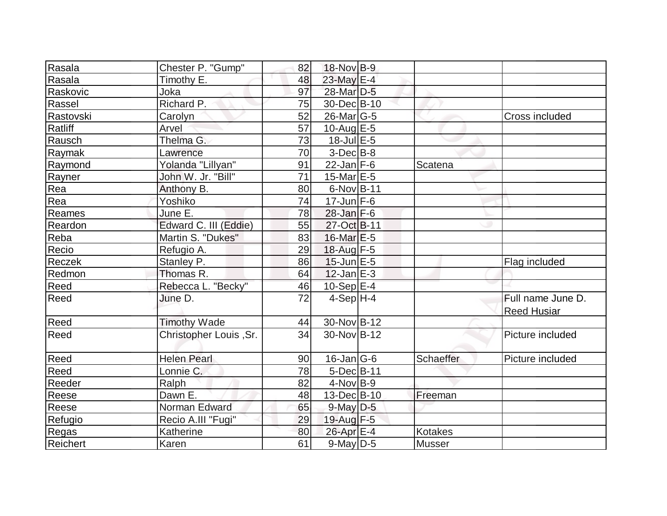| Rasala         | Chester P. "Gump"      | 82 | 18-Nov B-9        |                |                                         |
|----------------|------------------------|----|-------------------|----------------|-----------------------------------------|
| Rasala         | Timothy E.             | 48 | 23-May E-4        |                |                                         |
| Raskovic       | Joka                   | 97 | 28-Mar D-5        |                |                                         |
| Rassel         | Richard P.             | 75 | 30-Dec B-10       |                |                                         |
| Rastovski      | Carolyn                | 52 | $26$ -Mar $ G-5 $ |                | <b>Cross included</b>                   |
| Ratliff        | Arvel                  | 57 | $10$ -Aug $E - 5$ |                |                                         |
| Rausch         | Thelma G.              | 73 | $18$ -Jul $E$ -5  |                |                                         |
| Raymak         | Lawrence               | 70 | $3-Dec B-8$       |                |                                         |
| Raymond        | Yolanda "Lillyan"      | 91 | $22$ -Jan F-6     | Scatena        |                                         |
| Rayner         | John W. Jr. "Bill"     | 71 | 15-Mar E-5        |                |                                         |
| Rea            | Anthony B.             | 80 | 6-Nov B-11        |                |                                         |
| Rea            | Yoshiko                | 74 | $17$ -Jun F-6     |                |                                         |
| Reames         | June E.                | 78 | $28$ -Jan F-6     |                |                                         |
| Reardon        | Edward C. III (Eddie)  | 55 | 27-Oct B-11       |                |                                         |
| Reba           | Martin S. "Dukes"      | 83 | 16-Mar E-5        |                |                                         |
| Recio          | Refugio A.             | 29 | 18-Aug F-5        |                |                                         |
| Reczek         | Stanley P.             | 86 | $15$ -Jun $E-5$   |                | Flag included                           |
| Redmon         | Thomas R.              | 64 | $12$ -Jan $E-3$   |                |                                         |
| Reed           | Rebecca L. "Becky"     | 46 | $10-Sep$ $E-4$    |                |                                         |
| Reed           | June D.                | 72 | $4-Sep$ H-4       |                | Full name June D.<br><b>Reed Husiar</b> |
| Reed           | <b>Timothy Wade</b>    | 44 | 30-Nov B-12       |                |                                         |
| Reed           | Christopher Louis, Sr. | 34 | 30-Nov B-12       |                | Picture included                        |
| Reed           | <b>Helen Pearl</b>     | 90 | $16$ -Jan $ G-6 $ | Schaeffer      | Picture included                        |
| Reed           | Lonnie C.              | 78 | 5-Dec B-11        |                |                                         |
| Reeder         | Ralph                  | 82 | $4$ -Nov B-9      |                |                                         |
| Reese          | Dawn E.                | 48 | 13-Dec B-10       | Freeman        |                                         |
| Reese          | Norman Edward          | 65 | $9$ -May $D$ -5   |                |                                         |
| <b>Refugio</b> | Recio A.III "Fugi"     | 29 | $19$ -Aug $F - 5$ |                |                                         |
| Regas          | Katherine              | 80 | 26-Apr E-4        | <b>Kotakes</b> |                                         |
| Reichert       | Karen                  | 61 | $9$ -May $D$ -5   | <b>Musser</b>  |                                         |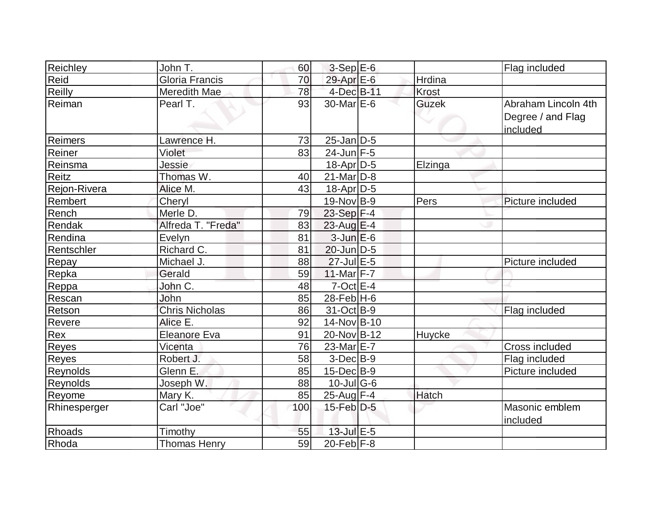| Reichley      | John T.               | 60  | $3-Sep$ E-6       |              | Flag included                                        |
|---------------|-----------------------|-----|-------------------|--------------|------------------------------------------------------|
| Reid          | Gloria Francis        | 70  | 29-Apr E-6        | Hrdina       |                                                      |
| <b>Reilly</b> | Meredith Mae          | 78  | 4-Dec B-11        | <b>Krost</b> |                                                      |
| Reiman        | Pearl T.              | 93  | $30$ -MarlE-6     | <b>Guzek</b> | Abraham Lincoln 4th<br>Degree / and Flag<br>included |
| Reimers       | Lawrence H.           | 73  | $25$ -Jan $D-5$   |              |                                                      |
| Reiner        | Violet                | 83  | $24$ -Jun F-5     |              |                                                      |
| Reinsma       | Jessie                |     | 18-Apr D-5        | Elzinga      |                                                      |
| Reitz         | Thomas W.             | 40  | $21$ -Mar $ D-8 $ |              |                                                      |
| Rejon-Rivera  | Alice M.              | 43  | $18$ -Apr $ D-5$  |              |                                                      |
| Rembert       | Cheryl                |     | 19-Nov B-9        | Pers         | Picture included                                     |
| Rench         | Merle D.              | 79  | 23-Sep F-4        |              |                                                      |
| Rendak        | Alfreda T. "Freda"    | 83  | $23$ -Aug $E-4$   |              |                                                      |
| Rendina       | Evelyn                | 81  | $3$ -Jun $E$ -6   |              |                                                      |
| Rentschler    | Richard C.            | 81  | $20$ -Jun $D-5$   |              |                                                      |
| Repay         | Michael J.            | 88  | 27-Jul E-5        |              | Picture included                                     |
| Repka         | Gerald                | 59  | 11-Mar $F-7$      |              |                                                      |
| Reppa         | John C.               | 48  | $7$ -Oct $E - 4$  |              |                                                      |
| Rescan        | John                  | 85  | $28$ -Feb $H$ -6  |              |                                                      |
| Retson        | <b>Chris Nicholas</b> | 86  | 31-Oct B-9        |              | Flag included                                        |
| Revere        | Alice E.              | 92  | 14-Nov B-10       |              |                                                      |
| Rex           | <b>Eleanore Eva</b>   | 91  | 20-Nov B-12       | Huycke       |                                                      |
| Reyes         | Vicenta               | 76  | 23-Mar E-7        |              | Cross included                                       |
| Reyes         | Robert J.             | 58  | $3-Dec B-9$       |              | Flag included                                        |
| Reynolds      | Glenn E.              | 85  | $15$ -Dec $B$ -9  |              | Picture included                                     |
| Reynolds      | Joseph W.             | 88  | $10$ -Jul G-6     |              |                                                      |
| Reyome        | Mary K.               | 85  | 25-Aug F-4        | Hatch        |                                                      |
| Rhinesperger  | Carl "Joe"            | 100 | $15$ -Feb $D-5$   |              | Masonic emblem<br>included                           |
| Rhoads        | Timothy               | 55  | 13-Jul E-5        |              |                                                      |
| Rhoda         | <b>Thomas Henry</b>   | 59  | 20-Feb $F-8$      |              |                                                      |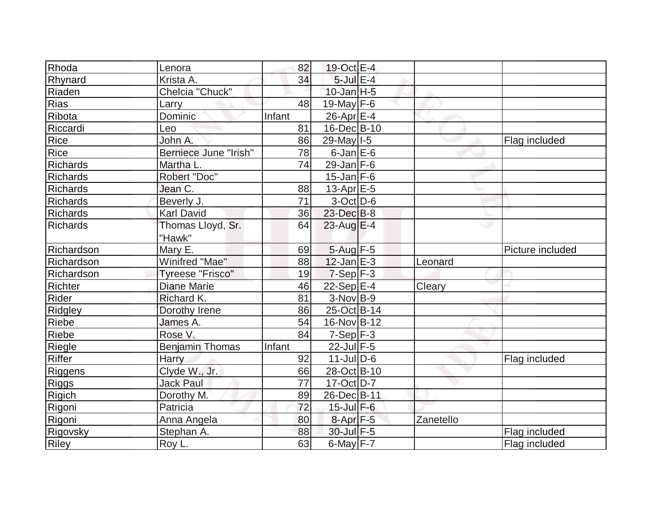| Rhoda           | Lenora                  | 82     | $19-Oct$ $E-4$    |           |                  |
|-----------------|-------------------------|--------|-------------------|-----------|------------------|
| Rhynard         | Krista A.               | 34     | $5$ -Jul $E-4$    |           |                  |
| Riaden          | Chelcia "Chuck"         |        | $10$ -Jan $H-5$   |           |                  |
| <b>Rias</b>     | Larry                   | 48     | $19$ -May F-6     |           |                  |
| Ribota          | Dominic                 | Infant | $26$ -Apr $E-4$   |           |                  |
| Riccardi        | Leo                     | 81     | 16-Dec B-10       |           |                  |
| Rice            | John A.                 | 86     | 29-May   I-5      |           | Flag included    |
| Rice            | Berniece June "Irish"   | 78     | $6$ -Jan $E$ -6   |           |                  |
| <b>Richards</b> | Martha L.               | 74     | $29$ -Jan F-6     |           |                  |
| Richards        | Robert "Doc"            |        | $15$ -Jan F-6     |           |                  |
| Richards        | Jean C.                 | 88     | $13$ -Apr $E-5$   |           |                  |
| <b>Richards</b> | Beverly J.              | 71     | $3-Oct$ D-6       |           |                  |
| <b>Richards</b> | <b>Karl David</b>       | 36     | 23-Dec B-8        |           |                  |
| Richards        | Thomas Lloyd, Sr.       | 64     | $23$ -Aug E-4     | ری        |                  |
|                 | "Hawk"                  |        |                   |           |                  |
| Richardson      | Mary E.                 | 69     | $5$ -Aug $F-5$    |           | Picture included |
| Richardson      | Winifred "Mae"          | 88     | $12$ -Jan $E-3$   | Leonard   |                  |
| Richardson      | <b>Tyreese "Frisco"</b> | 19     | $7-Sep$ F-3       |           |                  |
| Richter         | <b>Diane Marie</b>      | 46     | 22-Sep $E-4$      | Cleary    |                  |
| Rider           | Richard K.              | 81     | $3-Nov B-9$       |           |                  |
| Ridgley         | Dorothy Irene           | 86     | 25-Oct B-14       |           |                  |
| Riebe           | James A.                | 54     | 16-Nov B-12       |           |                  |
| Riebe           | Rose V.                 | 84     | $7-Sep$ F-3       |           |                  |
| Riegle          | <b>Benjamin Thomas</b>  | Infant | $22$ -Jul F-5     |           |                  |
| <b>Riffer</b>   | <b>Harry</b>            | 92     | $11$ -Jul $D$ -6  |           | Flag included    |
| Riggens         | Clyde W., Jr.           | 66     | 28-Oct B-10       |           |                  |
| <b>Riggs</b>    | <b>Jack Paul</b>        | 77     | $17-Oct$ D-7      |           |                  |
| <b>Rigich</b>   | Dorothy M.              | 89     | 26-Dec B-11       |           |                  |
| Rigoni          | Patricia                | 72     | $15$ -Jul $F-6$   |           |                  |
| Rigoni          | Anna Angela             | 80     | $8 - Apr$ $F - 5$ | Zanetello |                  |
| Rigovsky        | Stephan A.              | 88     | 30-Jul F-5        |           | Flag included    |
| <b>Riley</b>    | Roy L.                  | 63     | $6$ -May $F-7$    |           | Flag included    |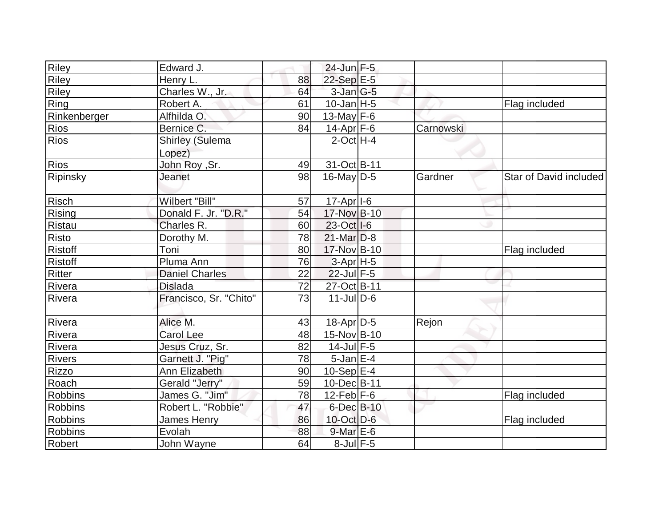| <b>Riley</b>   | Edward J.                        |    | 24-Jun F-5            |           |                        |
|----------------|----------------------------------|----|-----------------------|-----------|------------------------|
| Riley          | Henry L.                         | 88 | 22-Sep E-5            |           |                        |
| Riley          | Charles W., Jr.                  | 64 | $3$ -Jan $G-5$        |           |                        |
| Ring           | Robert A.                        | 61 | $10$ -Jan $ H-5 $     |           | Flag included          |
| Rinkenberger   | Alfhilda O.                      | 90 | 13-May $F-6$          |           |                        |
| <b>Rios</b>    | Bernice C.                       | 84 | $14$ -Apr $ F-6$      | Carnowski |                        |
| <b>Rios</b>    | <b>Shirley (Sulema</b><br>Lopez) |    | $2$ -Oct $H - 4$      |           |                        |
| <b>Rios</b>    | John Roy , Sr.                   | 49 | 31-Oct B-11           |           |                        |
| Ripinsky       | Jeanet                           | 98 | $16$ -May D-5         | Gardner   | Star of David included |
| Risch          | Wilbert "Bill"                   | 57 | 17-Apr <sub>1-6</sub> |           |                        |
| Rising         | Donald F. Jr. "D.R."             | 54 | 17-Nov B-10           |           |                        |
| Ristau         | Charles R.                       | 60 | 23-Oct   I-6          |           |                        |
| Risto          | Dorothy M.                       | 78 | $21$ -Mar $D-8$       |           |                        |
| <b>Ristoff</b> | Toni                             | 80 | 17-Nov B-10           |           | Flag included          |
| <b>Ristoff</b> | Pluma Ann                        | 76 | $3-Apr$ H-5           |           |                        |
| Ritter         | <b>Daniel Charles</b>            | 22 | $22$ -Jul F-5         |           |                        |
| Rivera         | <b>Dislada</b>                   | 72 | 27-Oct B-11           |           |                        |
| Rivera         | Francisco, Sr. "Chito"           | 73 | $11$ -Jul D-6         |           |                        |
| Rivera         | Alice M.                         | 43 | $18$ -Apr $D-5$       | Rejon     |                        |
| Rivera         | <b>Carol Lee</b>                 | 48 | 15-Nov B-10           |           |                        |
| Rivera         | Jesus Cruz, Sr.                  | 82 | $14$ -Jul $F-5$       |           |                        |
| <b>Rivers</b>  | Garnett J. "Pig"                 | 78 | $5$ -Jan $E-4$        |           |                        |
| Rizzo          | Ann Elizabeth                    | 90 | $10-Sep$ E-4          |           |                        |
| Roach          | <b>Gerald "Jerry"</b>            | 59 | 10-Dec B-11           |           |                        |
| <b>Robbins</b> | James G. "Jim"                   | 78 | $12$ -Feb $ F-6 $     |           | Flag included          |
| <b>Robbins</b> | Robert L. "Robbie"               | 47 | 6-Dec B-10            |           |                        |
| <b>Robbins</b> | <b>James Henry</b>               | 86 | 10-Oct D-6            |           | Flag included          |
| <b>Robbins</b> | Evolah                           | 88 | $9$ -Mar $E$ -6       |           |                        |
| Robert         | John Wayne                       | 64 | $8$ -Jul $F$ -5       |           |                        |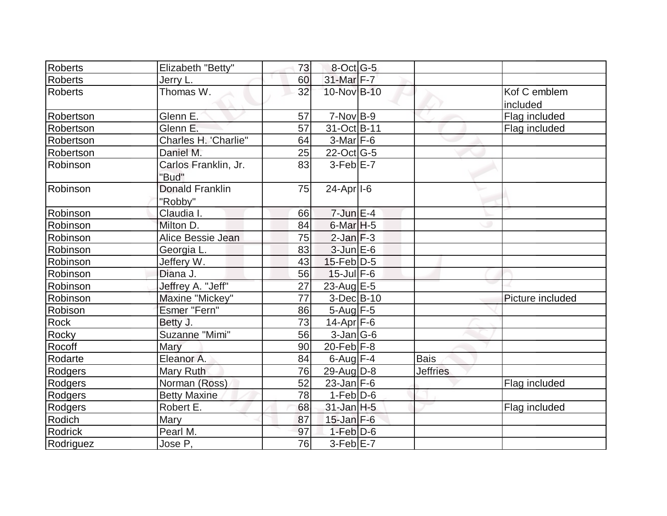| Roberts        | Elizabeth "Betty"                 | 73              | $8$ -Oct G-5            |                 |                          |
|----------------|-----------------------------------|-----------------|-------------------------|-----------------|--------------------------|
| <b>Roberts</b> | Jerry L.                          | 60              | 31-Mar F-7              |                 |                          |
| <b>Roberts</b> | Thomas W.                         | 32              | 10-Nov B-10             |                 | Kof C emblem<br>included |
| Robertson      | Glenn E.                          | 57              | $7-Nov B-9$             |                 | Flag included            |
| Robertson      | Glenn E.                          | 57              | 31-Oct B-11             |                 | Flag included            |
| Robertson      | Charles H. 'Charlie"              | 64              | $3-Mar$ F-6             |                 |                          |
| Robertson      | Daniel M.                         | 25              | $22$ -Oct G-5           |                 |                          |
| Robinson       | Carlos Franklin, Jr.<br>"Bud"     | 83              | $3-Feb$ $E-7$           |                 |                          |
| Robinson       | <b>Donald Franklin</b><br>"Robby" | 75              | $24-Apr$ <sup>1-6</sup> |                 |                          |
| Robinson       | Claudia I.                        | 66              | $7$ -Jun $E-4$          |                 |                          |
| Robinson       | Milton D.                         | 84              | 6-Mar <sub>H-5</sub>    |                 |                          |
| Robinson       | Alice Bessie Jean                 | 75              | $2$ -Jan $F-3$          |                 |                          |
| Robinson       | Georgia L.                        | 83              | $3$ -Jun $E$ -6         |                 |                          |
| Robinson       | Jeffery W.                        | 43              | $15$ -Feb $D-5$         |                 |                          |
| Robinson       | Diana J.                          | 56              | $15$ -Jul $F-6$         |                 |                          |
| Robinson       | Jeffrey A. "Jeff"                 | 27              | 23-Aug E-5              |                 |                          |
| Robinson       | Maxine "Mickey"                   | $\overline{77}$ | $3-Dec$ $B-10$          |                 | Picture included         |
| Robison        | Esmer "Fern"                      | 86              | $5 - Aug$ $F - 5$       |                 |                          |
| Rock           | Betty J.                          | 73              | $14$ -Apr $F-6$         |                 |                          |
| Rocky          | Suzanne "Mimi"                    | 56              | $3$ -Jan $ G$ -6        |                 |                          |
| Rocoff         | Mary                              | 90              | $20$ -Feb $ F-8 $       |                 |                          |
| Rodarte        | Eleanor A.                        | 84              | $6$ -Aug $F-4$          | <b>Bais</b>     |                          |
| Rodgers        | Mary Ruth                         | 76              | 29-Aug D-8              | <b>Jeffries</b> |                          |
| Rodgers        | Norman (Ross)                     | 52              | $23$ -Jan F-6           |                 | Flag included            |
| Rodgers        | <b>Betty Maxine</b>               | 78              | $1-Feb D-6$             |                 |                          |
| Rodgers        | Robert E.                         | 68              | $31$ -Jan $H - 5$       |                 | Flag included            |
| Rodich         | Mary                              | 87              | $15$ -Jan $F-6$         |                 |                          |
| <b>Rodrick</b> | Pearl M.                          | 97              | $1-Feb D-6$             |                 |                          |
| Rodriguez      | Jose P,                           | 76              | $3-Feb$ E-7             |                 |                          |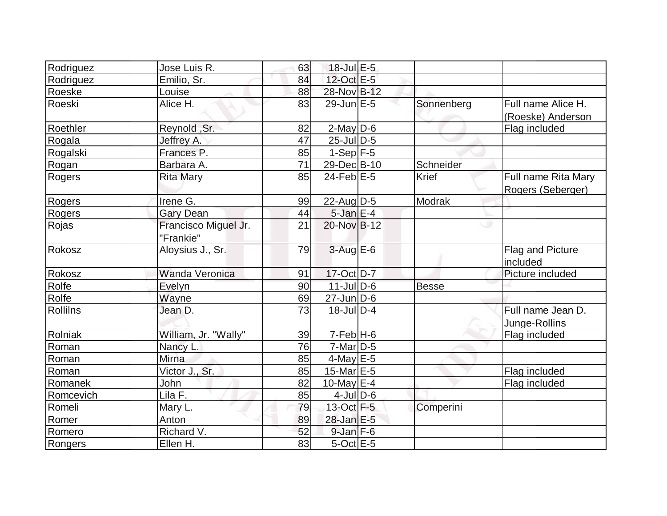| Rodriguez | Jose Luis R.                      | 63 | $18$ -Jul $E$ -5            |              |                                          |
|-----------|-----------------------------------|----|-----------------------------|--------------|------------------------------------------|
| Rodriguez | Emilio, Sr.                       | 84 | 12-Oct E-5                  |              |                                          |
| Roeske    | Louise                            | 88 | 28-Nov B-12                 |              |                                          |
| Roeski    | Alice H.                          | 83 | $29$ -Jun $E-5$             | Sonnenberg   | Full name Alice H.<br>(Roeske) Anderson  |
| Roethler  | Reynold, Sr.                      | 82 | $2$ -May $D-6$              |              | Flag included                            |
| Rogala    | Jeffrey A.                        | 47 | $25$ -Jul $\overline{D}$ -5 |              |                                          |
| Rogalski  | Frances P.                        | 85 | $1-Sep$ F-5                 |              |                                          |
| Rogan     | Barbara A.                        | 71 | 29-Dec B-10                 | Schneider    |                                          |
| Rogers    | <b>Rita Mary</b>                  | 85 | $24$ -Feb $E-5$             | Krief        | Full name Rita Mary<br>Rogers (Seberger) |
| Rogers    | Irene G.                          | 99 | $22$ -AugD-5                | Modrak       |                                          |
| Rogers    | <b>Gary Dean</b>                  | 44 | $5$ -Jan $E-4$              |              |                                          |
| Rojas     | Francisco Miguel Jr.<br>"Frankie" | 21 | 20-Nov B-12                 |              |                                          |
| Rokosz    | Aloysius J., Sr.                  | 79 | $3-Aug$ E-6                 |              | Flag and Picture<br>included             |
| Rokosz    | <b>Wanda Veronica</b>             | 91 | 17-Oct D-7                  |              | Picture included                         |
| Rolfe     | Evelyn                            | 90 | $11$ -Jul $D-6$             | <b>Besse</b> |                                          |
| Rolfe     | Wayne                             | 69 | $27$ -Jun $ D-6 $           |              |                                          |
| Rollilns  | Jean D.                           | 73 | $18$ -Jul $D-4$             |              | Full name Jean D.<br>Junge-Rollins       |
| Rolniak   | William, Jr. "Wally"              | 39 | $7-Feb$ H-6                 |              | Flag included                            |
| Roman     | Nancy L.                          | 76 | $7$ -Mar $D-5$              |              |                                          |
| Roman     | Mirna                             | 85 | $4$ -May E-5                |              |                                          |
| Roman     | Victor J., Sr.                    | 85 | 15-Mar $E-5$                |              | Flag included                            |
| Romanek   | John                              | 82 | $10$ -May $E-4$             |              | Flag included                            |
| Romcevich | Lila F.                           | 85 | $4$ -Jul $D$ -6             |              |                                          |
| Romeli    | Mary L.                           | 79 | 13-Oct F-5                  | Comperini    |                                          |
| Romer     | Anton                             | 89 | 28-Jan E-5                  |              |                                          |
| Romero    | Richard V.                        | 52 | $9$ -Jan $F$ -6             |              |                                          |
| Rongers   | Ellen H.                          | 83 | $5$ -Oct $E$ -5             |              |                                          |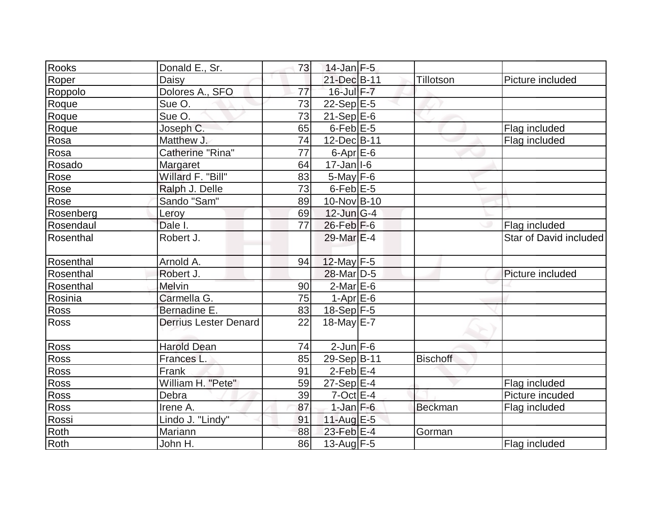| Rooks       | Donald E., Sr.               | 73              | $14$ -Jan F-5             |                 |                        |
|-------------|------------------------------|-----------------|---------------------------|-----------------|------------------------|
| Roper       | Daisy                        |                 | 21-Dec B-11               | Tillotson       | Picture included       |
| Roppolo     | Dolores A., SFO              | 77              | $16$ -Jul $F - 7$         |                 |                        |
| Roque       | Sue O.                       | 73              | $22-Sep$ <sup>E-5</sup>   |                 |                        |
| Roque       | Sue O.                       | 73              | $21-Sep$ $E-6$            |                 |                        |
| Roque       | Joseph C.                    | 65              | $6$ -Feb $E$ -5           |                 | Flag included          |
| Rosa        | Matthew J.                   | 74              | 12-Dec B-11               |                 | Flag included          |
| Rosa        | Catherine "Rina"             | $\overline{77}$ | $6 - Apr$ $E-6$           |                 |                        |
| Rosado      | Margaret                     | 64              | $17 - Jan$ <sup>1-6</sup> |                 |                        |
| Rose        | Willard F. "Bill"            | 83              | $5$ -May $F$ -6           |                 |                        |
| Rose        | Ralph J. Delle               | 73              | $6$ -Feb $E$ -5           |                 |                        |
| Rose        | Sando "Sam"                  | 89              | 10-Nov B-10               |                 |                        |
| Rosenberg   | Leroy                        | 69              | $12$ -Jun $G-4$           |                 |                        |
| Rosendaul   | Dale I.                      | 77              | $26$ -Feb $ F-6 $         |                 | Flag included          |
| Rosenthal   | Robert J.                    |                 | 29-Mar E-4                |                 | Star of David included |
| Rosenthal   | Arnold A.                    | 94              | $12$ -May F-5             |                 |                        |
| Rosenthal   | Robert J.                    |                 | 28-Mar <sub>D-5</sub>     |                 | Picture included       |
| Rosenthal   | Melvin                       | 90              | $2$ -Mar $E$ -6           |                 |                        |
| Rosinia     | Carmella G.                  | 75              | $1-Apr$ E-6               |                 |                        |
| Ross        | Bernadine E.                 | 83              | $18-Sep$ F-5              |                 |                        |
| <b>Ross</b> | <b>Derrius Lester Denard</b> | 22              | 18-May $E$ -7             |                 |                        |
| Ross        | <b>Harold Dean</b>           | 74              | $2$ -Jun $F-6$            |                 |                        |
| <b>Ross</b> | Frances L.                   | 85              | 29-Sep B-11               | <b>Bischoff</b> |                        |
| Ross        | Frank                        | 91              | $2$ -Feb $E$ -4           |                 |                        |
| Ross        | William H. "Pete"            | 59              | $27-Sep$ <sup>E-4</sup>   |                 | Flag included          |
| Ross        | Debra                        | 39              | $7$ -Oct $E - 4$          |                 | Picture incuded        |
| Ross        | Irene A.                     | 87              | $1$ -Jan $F$ -6           | <b>Beckman</b>  | Flag included          |
| Rossi       | Lindo J. "Lindy"             | 91              | 11-Aug $E-5$              |                 |                        |
| Roth        | Mariann                      | 88              | $23$ -Feb $E-4$           | Gorman          |                        |
| Roth        | John H.                      | 86              | 13-Aug $F-5$              |                 | Flag included          |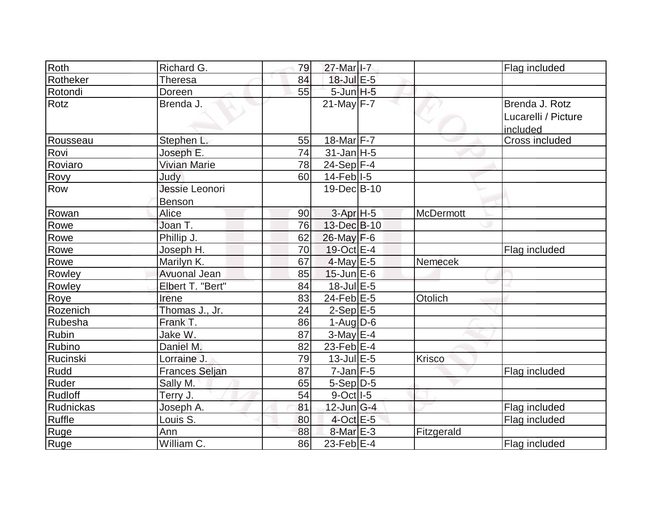| Roth           | Richard G.            | 79              | 27-Mar I-7             |                  | Flag included                   |
|----------------|-----------------------|-----------------|------------------------|------------------|---------------------------------|
| Rotheker       | <b>Theresa</b>        | 84              | 18-Jul E-5             |                  |                                 |
| Rotondi        | Doreen                | 55              | $5$ -Jun $H - 5$       |                  |                                 |
| Rotz           | Brenda J.             |                 | $21$ -May F-7          |                  | Brenda J. Rotz                  |
|                |                       |                 |                        |                  | Lucarelli / Picture<br>included |
| Rousseau       | Stephen L.            | 55              | 18-Mar F-7             |                  | Cross included                  |
| Rovi           | Joseph E.             | 74              | $31$ -Jan H-5          |                  |                                 |
| Roviaro        | Vivian Marie          | 78              | 24-Sep F-4             |                  |                                 |
| Rovy           | Judy                  | 60              | $14$ -Feb $ I-5 $      |                  |                                 |
| Row            | Jessie Leonori        |                 | 19-Dec B-10            |                  |                                 |
|                | <b>Benson</b>         |                 |                        |                  |                                 |
| Rowan          | Alice                 | 90              | $3-Apr$ H-5            | <b>McDermott</b> |                                 |
| Rowe           | Joan T.               | 76              | 13-Dec B-10            |                  |                                 |
| Rowe           | Phillip J.            | 62              | $26$ -May F-6          |                  |                                 |
| Rowe           | Joseph H.             | 70              | 19-Oct E-4             |                  | Flag included                   |
| Rowe           | Marilyn K.            | 67              | $4$ -May E-5           | Nemecek          |                                 |
| Rowley         | <b>Avuonal Jean</b>   | 85              | $15$ -Jun $E$ -6       |                  |                                 |
| Rowley         | Elbert T. "Bert"      | 84              | 18-Jul E-5             |                  |                                 |
| Roye           | Irene                 | 83              | 24-Feb $E-5$           | Otolich          |                                 |
| Rozenich       | Thomas J., Jr.        | 24              | $2-Sep$ $E-5$          |                  |                                 |
| Rubesha        | Frank T.              | 86              | $1-Aug D-6$            |                  |                                 |
| Rubin          | Jake W.               | $\overline{87}$ | $3$ -May $E-4$         |                  |                                 |
| Rubino         | Daniel M.             | 82              | 23-Feb $E-4$           |                  |                                 |
| Rucinski       | Lorraine J.           | 79              | $13$ -Jul $E-5$        | Krisco           |                                 |
| Rudd           | <b>Frances Seljan</b> | 87              | $7$ -Jan $F-5$         |                  | Flag included                   |
| Ruder          | Sally M.              | 65              | $5-Sep D-5$            |                  |                                 |
| <b>Rudloff</b> | Terry J.              | 54              | $9-Oct$ <sup>1-5</sup> |                  |                                 |
| Rudnickas      | Joseph A.             | 81              | $12$ -Jun $ G-4 $      |                  | Flag included                   |
| Ruffle         | Louis S.              | 80              | $4$ -Oct E-5           |                  | Flag included                   |
| Ruge           | Ann                   | 88              | $8$ -Mar $E - 3$       | Fitzgerald       |                                 |
| Ruge           | William C.            | 86              | 23-Feb $E-4$           |                  | Flag included                   |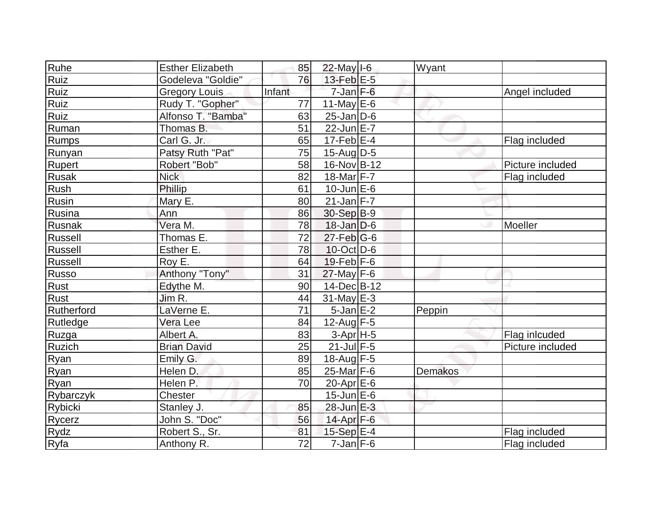| Ruhe           | <b>Esther Elizabeth</b> | 85     | 22-May I-6        | Wyant   |                  |
|----------------|-------------------------|--------|-------------------|---------|------------------|
| Ruiz           | Godeleva "Goldie"       | 76     | $13$ -Feb $E-5$   |         |                  |
| Ruiz           | <b>Gregory Louis</b>    | Infant | $7$ -Jan $F-6$    |         | Angel included   |
| Ruiz           | Rudy T. "Gopher"        | 77     | 11-May $E-6$      |         |                  |
| Ruiz           | Alfonso T. "Bamba"      | 63     | $25$ -Jan $D$ -6  |         |                  |
| Ruman          | Thomas B.               | 51     | $22$ -Jun $E-7$   |         |                  |
| Rumps          | Carl G. Jr.             | 65     | $17$ -Feb $E$ -4  |         | Flag included    |
| Runyan         | Patsy Ruth "Pat"        | 75     | $15$ -AugD-5      |         |                  |
| <b>Rupert</b>  | Robert "Bob"            | 58     | 16-Nov B-12       |         | Picture included |
| Rusak          | <b>Nick</b>             | 82     | 18-Mar F-7        |         | Flag included    |
| Rush           | Phillip                 | 61     | $10$ -Jun $E$ -6  |         |                  |
| Rusin          | Mary E.                 | 80     | $21$ -Jan F-7     |         |                  |
| Rusina         | Ann                     | 86     | 30-Sep B-9        |         |                  |
| Rusnak         | Vera M.                 | 78     | $18$ -Jan D-6     |         | Moeller          |
| Russell        | Thomas E.               | 72     | $27$ -Feb $ G$ -6 |         |                  |
| <b>Russell</b> | Esther E.               | 78     | $10$ -Oct D-6     |         |                  |
| Russell        | Roy E.                  | 64     | $19$ -Feb $ F-6$  |         |                  |
| Russo          | Anthony "Tony"          | 31     | $27$ -May F-6     |         |                  |
| Rust           | Edythe M.               | 90     | 14-Dec B-12       |         |                  |
| Rust           | Jim R.                  | 44     | $31$ -May E-3     |         |                  |
| Rutherford     | LaVerne E.              | 71     | $5$ -Jan $E-2$    | Peppin  |                  |
| Rutledge       | Vera Lee                | 84     | $12$ -Aug F-5     |         |                  |
| Ruzga          | Albert A.               | 83     | $3-Apr$ H-5       |         | Flag inlcuded    |
| Ruzich         | <b>Brian David</b>      | 25     | $21$ -Jul $F-5$   |         | Picture included |
| <b>Ryan</b>    | Emily G.                | 89     | 18-Aug F-5        |         |                  |
| Ryan           | Helen D.                | 85     | $25$ -Mar $ F-6 $ | Demakos |                  |
| Ryan           | Helen P.                | 70     | $20$ -Apr $E$ -6  |         |                  |
| Rybarczyk      | Chester                 |        | $15$ -Jun $E$ -6  |         |                  |
| Rybicki        | Stanley J.              | 85     | 28-Jun E-3        |         |                  |
| Rycerz         | John S. "Doc"           | 56     | $14$ -Apr $F-6$   |         |                  |
| Rydz           | Robert S., Sr.          | 81     | 15-Sep E-4        |         | Flag included    |
| Ryfa           | Anthony R.              | 72     | $7$ -Jan $F-6$    |         | Flag included    |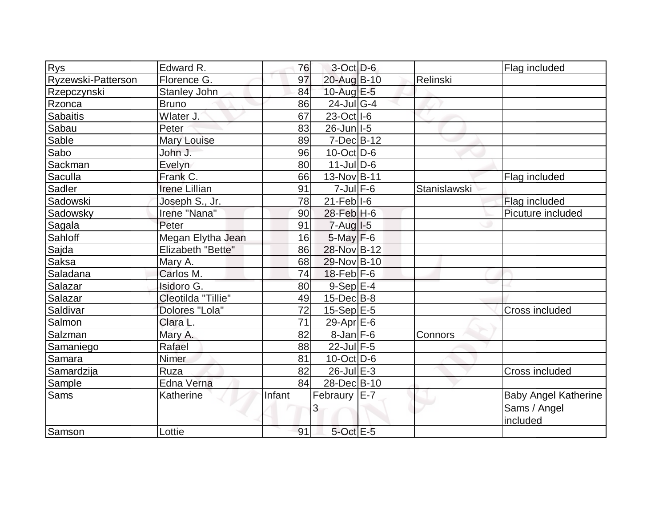| <b>Rys</b>         | Edward R.            | 76     | $3$ -Oct $D-6$          |              | Flag included               |
|--------------------|----------------------|--------|-------------------------|--------------|-----------------------------|
| Ryzewski-Patterson | Florence G.          | 97     | 20-Aug B-10             | Relinski     |                             |
| Rzepczynski        | <b>Stanley John</b>  | 84     | $10$ -Aug $E-5$         |              |                             |
| Rzonca             | <b>Bruno</b>         | 86     | $24$ -Jul G-4           |              |                             |
| Sabaitis           | Wlater J.            | 67     | $23-Oct$ <sup>1-6</sup> |              |                             |
| Sabau              | Peter                | 83     | $26$ -Jun $ I-5 $       |              |                             |
| Sable              | Mary Louise          | 89     | $7 - Dec$ $B-12$        |              |                             |
| Sabo               | John J.              | 96     | $10$ -Oct $ D-6 $       |              |                             |
| Sackman            | Evelyn               | 80     | $11$ -JulD-6            |              |                             |
| Saculla            | Frank C.             | 66     | 13-Nov B-11             |              | Flag included               |
| Sadler             | <b>Irene Lillian</b> | 91     | $7$ -Jul $F$ -6         | Stanislawski |                             |
| Sadowski           | Joseph S., Jr.       | 78     | $21$ -Feb $ I-6 $       |              | Flag included               |
| Sadowsky           | Irene "Nana"         | 90     | 28-Feb H-6              |              | Picuture included           |
| Sagala             | Peter                | 91     | $7 - Aug$ $1 - 5$       |              |                             |
| Sahloff            | Megan Elytha Jean    | 16     | $5$ -May $F-6$          |              |                             |
| Sajda              | Elizabeth "Bette"    | 86     | 28-Nov B-12             |              |                             |
| Saksa              | Mary A.              | 68     | 29-Nov B-10             |              |                             |
| Saladana           | Carlos M.            | 74     | $18$ -Feb $ F-6$        |              |                             |
| Salazar            | Isidoro G.           | 80     | 9-Sep E-4               |              |                             |
| Salazar            | Cleotilda "Tillie"   | 49     | $15$ -Dec $B$ -8        |              |                             |
| Saldivar           | Dolores "Lola"       | 72     | $15-Sep$ $E-5$          |              | <b>Cross included</b>       |
| Salmon             | Clara L.             | 71     | 29-Apr $E-6$            |              |                             |
| Salzman            | Mary A.              | 82     | $8$ -Jan $F$ -6         | Connors      |                             |
| Samaniego          | Rafael               | 88     | $22$ -Jul $F-5$         |              |                             |
| Samara             | Nimer                | 81     | $10$ -Oct D-6           |              |                             |
| Samardzija         | Ruza                 | 82     | $26$ -Jul $E-3$         |              | Cross included              |
| Sample             | Edna Verna           | 84     | 28-Dec B-10             |              |                             |
| <b>Sams</b>        | Katherine            | Infant | Febraury E-7            |              | <b>Baby Angel Katherine</b> |
|                    |                      |        | 3                       |              | Sams / Angel                |
|                    |                      |        |                         |              | included                    |
| Samson             | Lottie               | 91     | 5-Oct E-5               |              |                             |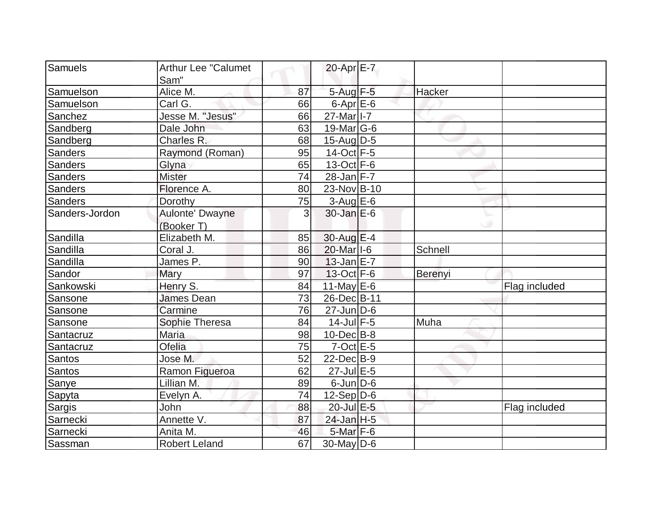| Samuels                         |                            |    |                          |         |               |
|---------------------------------|----------------------------|----|--------------------------|---------|---------------|
|                                 | <b>Arthur Lee "Calumet</b> |    | 20-Apr E-7               |         |               |
| Sam"<br>Samuelson<br>Alice M.   |                            | 87 | $5 - Aug$ $F-5$          | Hacker  |               |
| Samuelson<br>Carl G.            |                            | 66 | $6$ -Apr $E$ -6          |         |               |
| Sanchez                         | Jesse M. "Jesus"           | 66 | 27-Mar   I-7             |         |               |
| Sandberg<br>Dale John           |                            | 63 | 19-Mar $ G-6 $           |         |               |
| Charles R.<br>Sandberg          |                            | 68 | $15$ -Aug $D-5$          |         |               |
| Sanders                         |                            | 95 | $14-Oct$ F-5             |         |               |
|                                 | Raymond (Roman)            |    |                          |         |               |
| Glyna<br><b>Sanders</b>         |                            | 65 | $13-Oct$ F-6             |         |               |
| <b>Mister</b><br><b>Sanders</b> |                            | 74 | $28$ -Jan F-7            |         |               |
| Florence A.<br>Sanders          |                            | 80 | 23-Nov B-10              |         |               |
| Sanders<br>Dorothy              |                            | 75 | $3-Aug$ E-6              |         |               |
| Sanders-Jordon                  | Aulonte' Dwayne            | 3  | $30$ -Jan $E-6$          |         |               |
| (Booker T)                      |                            |    |                          |         |               |
| Sandilla<br>Elizabeth M.        |                            | 85 | 30-Aug E-4               |         |               |
| Sandilla<br>Coral J.            |                            | 86 | 20-Mar I-6               | Schnell |               |
| James P.<br>Sandilla            |                            | 90 | $13$ -Jan $E-7$          |         |               |
| Sandor<br>Mary                  |                            | 97 | $13-Oct$ F-6             | Berenyi |               |
| Sankowski<br>Henry S.           |                            | 84 | 11-May $E-6$             |         | Flag included |
| Sansone<br><b>James Dean</b>    |                            | 73 | 26-Dec B-11              |         |               |
| Carmine<br>Sansone              |                            | 76 | $27$ -Jun $ D-6$         |         |               |
| Sansone<br>Sophie Theresa       |                            | 84 | $14$ -Jul F-5            | Muha    |               |
| <b>Maria</b><br>Santacruz       |                            | 98 | $10$ -Dec $ B-8$         |         |               |
| Ofelia<br>Santacruz             |                            | 75 | $7$ -Oct $E - 5$         |         |               |
| Santos<br>Jose M.               |                            | 52 | $22$ -Dec $B-9$          |         |               |
| Santos                          | Ramon Figueroa             | 62 | $27$ -Jul $E$ -5         |         |               |
| Lillian M.<br>Sanye             |                            | 89 | $6$ -Jun $D-6$           |         |               |
| Sapyta<br>Evelyn A.             |                            | 74 | $12-Sep D-6$             |         |               |
| Sargis<br>John                  |                            | 88 | 20-Jul E-5               |         | Flag included |
| Sarnecki<br>Annette V.          |                            | 87 | 24-Jan H-5               |         |               |
| Sarnecki<br>Anita M.            |                            | 46 | $5$ -Mar $F-6$           |         |               |
| Sassman<br><b>Robert Leland</b> |                            | 67 | $\overline{30}$ -May D-6 |         |               |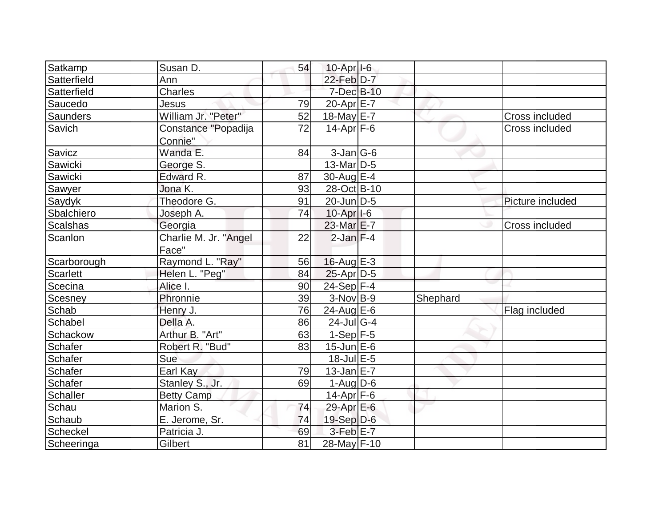| Satkamp     | Susan D.              | 54 | $10-Apr$ <sup>1-6</sup> |          |                       |
|-------------|-----------------------|----|-------------------------|----------|-----------------------|
| Satterfield | Ann                   |    | 22-Feb D-7              |          |                       |
| Satterfield | Charles               |    | 7-Dec B-10              |          |                       |
| Saucedo     | Jesus                 | 79 | $20$ -Apr $E$ -7        |          |                       |
| Saunders    | William Jr. "Peter"   | 52 | 18-May E-7              |          | Cross included        |
| Savich      | Constance "Popadija   | 72 | $14$ -Apr $ F-6 $       |          | <b>Cross included</b> |
|             | Connie"               |    |                         |          |                       |
| Savicz      | Wanda E.              | 84 | $3$ -Jan $ G$ -6        |          |                       |
| Sawicki     | George S.             |    | $13$ -Mar $ D-5$        |          |                       |
| Sawicki     | Edward R.             | 87 | $30$ -Aug $E-4$         |          |                       |
| Sawyer      | Jona K.               | 93 | 28-Oct B-10             |          |                       |
| Saydyk      | Theodore G.           | 91 | $20$ -Jun $ D-5$        |          | Picture included      |
| Sbalchiero  | Joseph A.             | 74 | $10$ -Apr $ I-6 $       |          |                       |
| Scalshas    | Georgia               |    | 23-Mar E-7              |          | Cross included        |
| Scanlon     | Charlie M. Jr. "Angel | 22 | $2$ -Jan F-4            |          |                       |
|             | Face"                 |    |                         |          |                       |
| Scarborough | Raymond L. "Ray"      | 56 | $16$ -Aug $E-3$         |          |                       |
| Scarlett    | Helen L. "Peg"        | 84 | $25$ -Apr $D-5$         |          |                       |
| Scecina     | Alice I.              | 90 | $24-Sep$ F-4            |          |                       |
| Scesney     | Phronnie              | 39 | $3-Nov$ B-9             | Shephard |                       |
| Schab       | Henry J.              | 76 | $24$ -Aug $E-6$         |          | Flag included         |
| Schabel     | Della A.              | 86 | $24$ -JulG-4            |          |                       |
| Schackow    | Arthur B. "Art"       | 63 | $1-Sep$ F-5             |          |                       |
| Schafer     | Robert R. "Bud"       | 83 | $15$ -Jun $E$ -6        |          |                       |
| Schafer     | Sue                   |    | $18$ -Jul $E$ -5        |          |                       |
| Schafer     | Earl Kay              | 79 | $13$ -Jan $E$ -7        |          |                       |
| Schafer     | Stanley S., Jr.       | 69 | $1-Auq$ D-6             |          |                       |
| Schaller    | <b>Betty Camp</b>     |    | 14-Apr F-6              |          |                       |
| Schau       | Marion S.             | 74 | 29-Apr E-6              |          |                       |
| Schaub      | E. Jerome, Sr.        | 74 | 19-Sep D-6              |          |                       |
| Scheckel    | Patricia J.           | 69 | $3-Feb$ $E-7$           |          |                       |
| Scheeringa  | Gilbert               | 81 | 28-May F-10             |          |                       |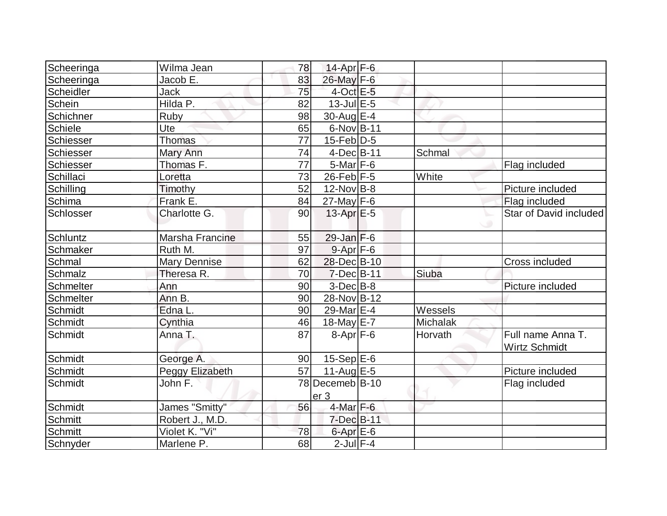| Scheeringa     | Wilma Jean      | 78 | 14-Apr $F-6$                       |          |                                    |
|----------------|-----------------|----|------------------------------------|----------|------------------------------------|
| Scheeringa     | Jacob E.        | 83 | 26-May F-6                         |          |                                    |
| Scheidler      | Jack            | 75 | $4$ -Oct $E - 5$                   |          |                                    |
| Schein         | Hilda P.        | 82 | $13$ -Jul $E-5$                    |          |                                    |
| Schichner      | Ruby            | 98 | 30-Aug $E-4$                       |          |                                    |
| <b>Schiele</b> | Ute             | 65 | $6$ -Nov $ B-11$                   |          |                                    |
| Schiesser      | <b>Thomas</b>   | 77 | $15$ -Feb $D-5$                    |          |                                    |
| Schiesser      | Mary Ann        | 74 | $4$ -Dec $B$ -11                   | Schmal   |                                    |
| Schiesser      | Thomas F.       | 77 | $5$ -Mar $ F-6 $                   |          | Flag included                      |
| Schillaci      | Loretta         | 73 | $26$ -Feb $ F-5 $                  | White    |                                    |
| Schilling      | Timothy         | 52 | $12$ -Nov B-8                      |          | Picture included                   |
| Schima         | Frank E.        | 84 | $27$ -May F-6                      |          | Flag included                      |
| Schlosser      | Charlotte G.    | 90 | $13$ -Apr $E-5$                    |          | Star of David included             |
| Schluntz       | Marsha Francine | 55 | $29$ -Jan F-6                      |          |                                    |
| Schmaker       | Ruth M.         | 97 | $9 - Apr$ $F-6$                    |          |                                    |
| Schmal         | Mary Dennise    | 62 | 28-Dec B-10                        |          | Cross included                     |
| Schmalz        | Theresa R.      | 70 | $7$ -Dec $B$ -11                   | Siuba    |                                    |
| Schmelter      | Ann             | 90 | $3$ -Dec $B$ -8                    |          | Picture included                   |
| Schmelter      | Ann B.          | 90 | 28-Nov B-12                        |          |                                    |
| Schmidt        | Edna L.         | 90 | 29-Mar E-4                         | Wessels  |                                    |
| Schmidt        | Cynthia         | 46 | 18-May E-7                         | Michalak |                                    |
| Schmidt        | Anna T.         | 87 | $8 - Apr$ $F-6$                    | Horvath  | Full name Anna T.<br>Wirtz Schmidt |
| Schmidt        | George A.       | 90 | $15-Sep$ $E-6$                     |          |                                    |
| Schmidt        | Peggy Elizabeth | 57 | 11-Aug $E-5$                       |          | Picture included                   |
| Schmidt        | John F.         |    | 78 Decemeb B-10<br>er <sub>3</sub> |          | Flag included                      |
| Schmidt        | James "Smitty"  | 56 | $4$ -Mar $F-6$                     |          |                                    |
| Schmitt        | Robert J., M.D. |    | $7$ -Dec $B-11$                    |          |                                    |
| <b>Schmitt</b> | Violet K. "Vi"  | 78 | $6$ -Apr $E$ -6                    |          |                                    |
| Schnyder       | Marlene P.      | 68 | $2$ -Jul $F-4$                     |          |                                    |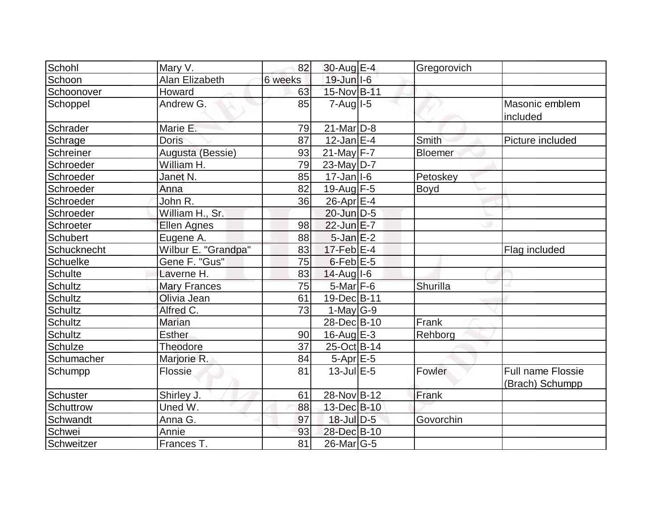| Schohl          | Mary V.               | 82      | 30-Aug E-4                | Gregorovich     |                                             |
|-----------------|-----------------------|---------|---------------------------|-----------------|---------------------------------------------|
| Schoon          | <b>Alan Elizabeth</b> | 6 weeks | $19$ -Jun $ I-6 $         |                 |                                             |
| Schoonover      | Howard                | 63      | 15-Nov B-11               |                 |                                             |
| Schoppel        | Andrew G.             | 85      | $7 - Aug$ $1 - 5$         |                 | Masonic emblem<br>included                  |
| Schrader        | Marie E.              | 79      | $21$ -Mar $ D-8 $         |                 |                                             |
| Schrage         | <b>Doris</b>          | 87      | $12$ -Jan $E-4$           | <b>Smith</b>    | Picture included                            |
| Schreiner       | Augusta (Bessie)      | 93      | $21$ -May F-7             | <b>Bloemer</b>  |                                             |
| Schroeder       | William H.            | 79      | 23-May D-7                |                 |                                             |
| Schroeder       | Janet N.              | 85      | $17 - Jan$ <sup>1-6</sup> | Petoskey        |                                             |
| Schroeder       | Anna                  | 82      | $19$ -Aug F-5             | Boyd            |                                             |
| Schroeder       | John R.               | 36      | $26$ -Apr $E-4$           |                 |                                             |
| Schroeder       | William H., Sr.       |         | $20$ -Jun $D-5$           |                 |                                             |
| Schroeter       | <b>Ellen Agnes</b>    | 98      | 22-Jun E-7                |                 |                                             |
| <b>Schubert</b> | Eugene A.             | 88      | $5$ -Jan $E-2$            |                 |                                             |
| Schucknecht     | Wilbur E. "Grandpa"   | 83      | $17$ -Feb $E-4$           |                 | Flag included                               |
| <b>Schuelke</b> | Gene F. "Gus"         | 75      | $6$ -Feb $E$ -5           |                 |                                             |
| <b>Schulte</b>  | Laverne H.            | 83      | $14$ -Augl-6              |                 |                                             |
| Schultz         | <b>Mary Frances</b>   | 75      | $5$ -Mar $F$ -6           | <b>Shurilla</b> |                                             |
| <b>Schultz</b>  | Olivia Jean           | 61      | 19-Dec B-11               |                 |                                             |
| <b>Schultz</b>  | Alfred C.             | 73      | $1-May G-9$               |                 |                                             |
| <b>Schultz</b>  | Marian                |         | 28-Dec B-10               | Frank           |                                             |
| <b>Schultz</b>  | <b>Esther</b>         | 90      | $16$ -Aug $E-3$           | Rehborg         |                                             |
| <b>Schulze</b>  | Theodore              | 37      | 25-Oct B-14               |                 |                                             |
| Schumacher      | Marjorie R.           | 84      | $5-Apr$ $E-5$             |                 |                                             |
| Schumpp         | Flossie               | 81      | $13$ -Jul E-5             | Fowler          | <b>Full name Flossie</b><br>(Brach) Schumpp |
| Schuster        | Shirley J.            | 61      | 28-Nov B-12               | Frank           |                                             |
| Schuttrow       | Uned W.               | 88      | 13-Dec B-10               |                 |                                             |
| Schwandt        | Anna G.               | 97      | $18$ -Jul $D-5$           | Govorchin       |                                             |
| Schwei          | Annie                 | 93      | 28-Dec B-10               |                 |                                             |
| Schweitzer      | Frances T.            | 81      | 26-Mar G-5                |                 |                                             |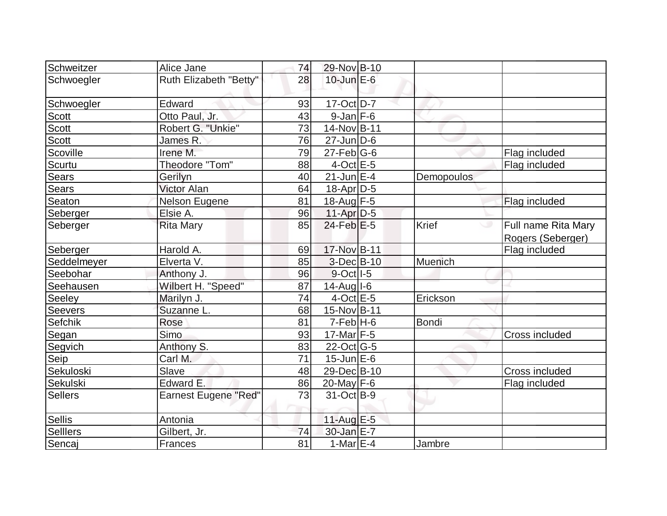| Schweitzer      | Alice Jane                  | 74 | 29-Nov B-10       |              |                                          |
|-----------------|-----------------------------|----|-------------------|--------------|------------------------------------------|
| Schwoegler      | Ruth Elizabeth "Betty"      | 28 | $10$ -Jun $E - 6$ |              |                                          |
| Schwoegler      | Edward                      | 93 | $17-Oct$ D-7      |              |                                          |
| Scott           | Otto Paul, Jr.              | 43 | $9$ -Jan $F-6$    |              |                                          |
| Scott           | Robert G. "Unkie"           | 73 | 14-Nov B-11       |              |                                          |
| <b>Scott</b>    | James R.                    | 76 | $27$ -Jun $D-6$   |              |                                          |
| Scoville        | Irene M.                    | 79 | $27$ -Feb $ G-6$  |              | Flag included                            |
| Scurtu          | Theodore "Tom"              | 88 | $4$ -Oct $E - 5$  |              | Flag included                            |
| <b>Sears</b>    | Gerilyn                     | 40 | $21$ -Jun $E-4$   | Demopoulos   |                                          |
| <b>Sears</b>    | <b>Victor Alan</b>          | 64 | $18$ -Apr $D-5$   |              |                                          |
| Seaton          | Nelson Eugene               | 81 | 18-Aug F-5        |              | Flag included                            |
| Seberger        | Elsie A.                    | 96 | $11-Apr D-5$      |              |                                          |
| Seberger        | <b>Rita Mary</b>            | 85 | $24$ -Feb $E-5$   | Krief        | Full name Rita Mary<br>Rogers (Seberger) |
| Seberger        | Harold A.                   | 69 | 17-Nov B-11       |              | Flag included                            |
| Seddelmeyer     | Elverta V.                  | 85 | $3-Dec B-10$      | Muenich      |                                          |
| Seebohar        | Anthony J.                  | 96 | $9$ -Oct $ I-5 $  |              |                                          |
| Seehausen       | Wilbert H. "Speed"          | 87 | $14$ -Aug I-6     |              |                                          |
| Seeley          | Marilyn J.                  | 74 | $4$ -Oct $E$ -5   | Erickson     |                                          |
| Seevers         | Suzanne L.                  | 68 | 15-Nov B-11       |              |                                          |
| Sefchik         | Rose                        | 81 | $7-FebH-6$        | <b>Bondi</b> |                                          |
| Segan           | Simo                        | 93 | 17-Mar $F-5$      |              | Cross included                           |
| Segvich         | Anthony S.                  | 83 | 22-Oct G-5        |              |                                          |
| Seip            | Carl M.                     | 71 | $15$ -Jun $E$ -6  |              |                                          |
| Sekuloski       | Slave                       | 48 | 29-Dec B-10       |              | Cross included                           |
| Sekulski        | Edward E.                   | 86 | 20-May F-6        |              | Flag included                            |
| Sellers         | <b>Earnest Eugene "Red"</b> | 73 | 31-Oct B-9        |              |                                          |
| Sellis          | Antonia                     |    | 11-Aug $E-5$      |              |                                          |
| <b>Selllers</b> | Gilbert, Jr.                | 74 | $30$ -Jan $E-7$   |              |                                          |
| Sencaj          | Frances                     | 81 | 1-Mar $E-4$       | Jambre       |                                          |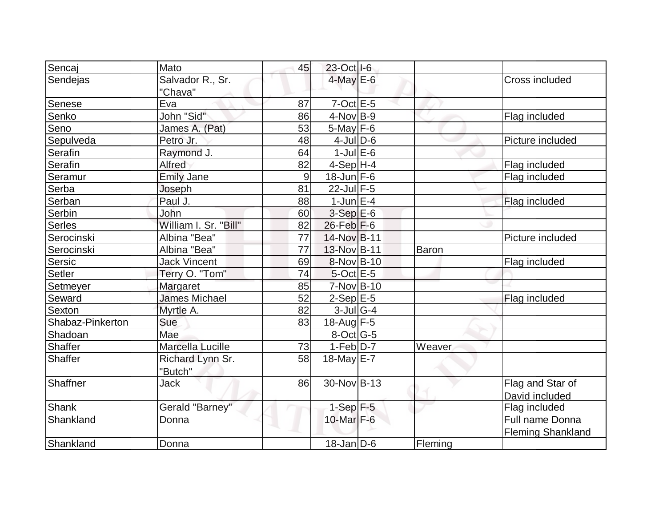| Sencaj           | Mato                  | 45             | 23-Oct I-6       |              |                          |
|------------------|-----------------------|----------------|------------------|--------------|--------------------------|
| Sendejas         | Salvador R., Sr.      |                | $4$ -May $E$ -6  |              | Cross included           |
|                  | "Chava"               |                |                  |              |                          |
| Senese           | Eva                   | 87             | $7$ -Oct $E - 5$ |              |                          |
| Senko            | John "Sid"            | 86             | $4$ -Nov $B-9$   |              | Flag included            |
| Seno             | James A. (Pat)        | 53             | $5$ -May $F$ -6  |              |                          |
| Sepulveda        | Petro Jr.             | 48             | $4$ -Jul $D$ -6  |              | Picture included         |
| Serafin          | Raymond J.            | 64             | $1$ -Jul $E$ -6  |              |                          |
| Serafin          | Alfred                | 82             | $4-Sep$ H-4      |              | Flag included            |
| Seramur          | <b>Emily Jane</b>     | $\overline{9}$ | $18$ -Jun $F-6$  |              | Flag included            |
| Serba            | Joseph                | 81             | $22$ -Jul F-5    |              |                          |
| Serban           | Paul J.               | 88             | $1$ -Jun $E - 4$ |              | Flag included            |
| Serbin           | John                  | 60             | $3-Sep$ $E-6$    |              |                          |
| Serles           | William I. Sr. "Bill" | 82             | $26$ -Feb $F-6$  |              |                          |
| Serocinski       | Albina "Bea"          | 77             | 14-Nov B-11      |              | Picture included         |
| Serocinski       | Albina "Bea"          | 77             | 13-Nov B-11      | <b>Baron</b> |                          |
| Sersic           | <b>Jack Vincent</b>   | 69             | 8-Nov B-10       |              | Flag included            |
| Setler           | Terry O. "Tom"        | 74             | $5$ -Oct $E$ -5  |              |                          |
| Setmeyer         | Margaret              | 85             | $7-Nov$ B-10     |              |                          |
| Seward           | <b>James Michael</b>  | 52             | $2-Sep$ $E-5$    |              | Flag included            |
| <b>Sexton</b>    | Myrtle A.             | 82             | $3$ -Jul G-4     |              |                          |
| Shabaz-Pinkerton | Sue                   | 83             | 18-Aug F-5       |              |                          |
| Shadoan          | Mae                   |                | $8$ -Oct $ G-5 $ |              |                          |
| Shaffer          | Marcella Lucille      | 73             | $1-Feb D-7$      | Weaver       |                          |
| Shaffer          | Richard Lynn Sr.      | 58             | $18$ -May E-7    |              |                          |
|                  | "Butch"               |                |                  |              |                          |
| Shaffner         | <b>Jack</b>           | 86             | 30-Nov B-13      |              | Flag and Star of         |
|                  |                       |                |                  |              | David included           |
| Shank            | Gerald "Barney"       |                | $1-Sep$ F-5      |              | Flag included            |
| Shankland        | Donna                 |                | 10-Mar F-6       |              | Full name Donna          |
|                  |                       |                |                  |              | <b>Fleming Shankland</b> |
| Shankland        | Donna                 |                | $18$ -Jan D-6    | Fleming      |                          |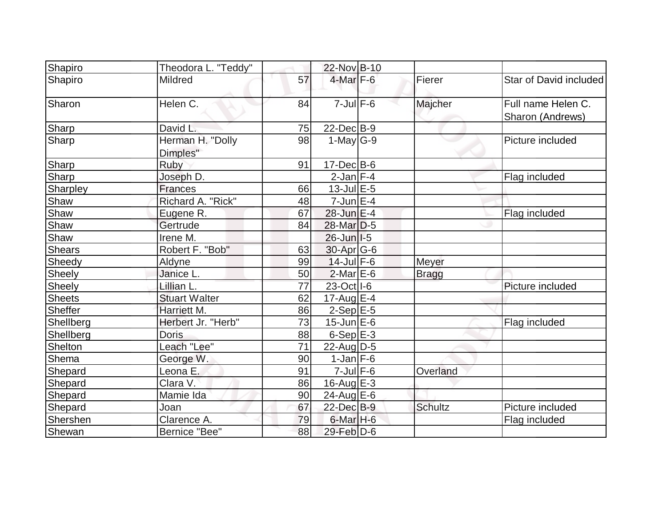| Shapiro       | Theodora L. "Teddy"          |    | 22-Nov B-10       |                |                                        |
|---------------|------------------------------|----|-------------------|----------------|----------------------------------------|
| Shapiro       | Mildred                      | 57 | 4-Mar F-6         | Fierer         | Star of David included                 |
| Sharon        | Helen C.                     | 84 | $7$ -Jul $F$ -6   | Majcher        | Full name Helen C.<br>Sharon (Andrews) |
| Sharp         | David L.                     | 75 | $22$ -Dec $B-9$   |                |                                        |
| Sharp         | Herman H. "Dolly<br>Dimples" | 98 | $1-May G-9$       |                | Picture included                       |
| Sharp         | Ruby                         | 91 | $17 - Dec$ B-6    |                |                                        |
| Sharp         | Joseph D.                    |    | $2$ -Jan $F-4$    |                | Flag included                          |
| Sharpley      | <b>Frances</b>               | 66 | $13$ -Jul $E-5$   |                |                                        |
| Shaw          | Richard A. "Rick"            | 48 | $7$ -Jun $E-4$    |                |                                        |
| Shaw          | Eugene R.                    | 67 | 28-Jun E-4        |                | Flag included                          |
| Shaw          | Gertrude                     | 84 | 28-Mar D-5        |                |                                        |
| Shaw          | Irene M.                     |    | $26$ -Jun $ I-5 $ |                |                                        |
| <b>Shears</b> | Robert F. "Bob"              | 63 | $30$ -Apr $G$ -6  |                |                                        |
| Sheedy        | Aldyne                       | 99 | $14$ -Jul $F-6$   | Meyer          |                                        |
| Sheely        | Janice L.                    | 50 | $2$ -Mar $E$ -6   | <b>Bragg</b>   |                                        |
| Sheely        | Lillian L.                   | 77 | 23-Oct   I-6      |                | Picture included                       |
| <b>Sheets</b> | <b>Stuart Walter</b>         | 62 | $17$ -Aug $E-4$   |                |                                        |
| Sheffer       | Harriett M.                  | 86 | $2-Sep$ $E-5$     |                |                                        |
| Shellberg     | Herbert Jr. "Herb"           | 73 | $15$ -Jun $E$ -6  |                | Flag included                          |
| Shellberg     | <b>Doris</b>                 | 88 | $6-Sep$ $E-3$     |                |                                        |
| Shelton       | Leach "Lee"                  | 71 | 22-Aug $D-5$      |                |                                        |
| Shema         | George W.                    | 90 | $1$ -Jan $ F-6 $  |                |                                        |
| Shepard       | Leona E.                     | 91 | $7$ -Jul $F$ -6   | Overland       |                                        |
| Shepard       | Clara V.                     | 86 | $16$ -Aug $E-3$   |                |                                        |
| Shepard       | Mamie Ida                    | 90 | 24-Aug $E-6$      |                |                                        |
| Shepard       | Joan                         | 67 | 22-Dec B-9        | <b>Schultz</b> | Picture included                       |
| Shershen      | Clarence A.                  | 79 | $6$ -Mar $H$ -6   |                | Flag included                          |
| Shewan        | Bernice "Bee"                | 88 | 29-Feb D-6        |                |                                        |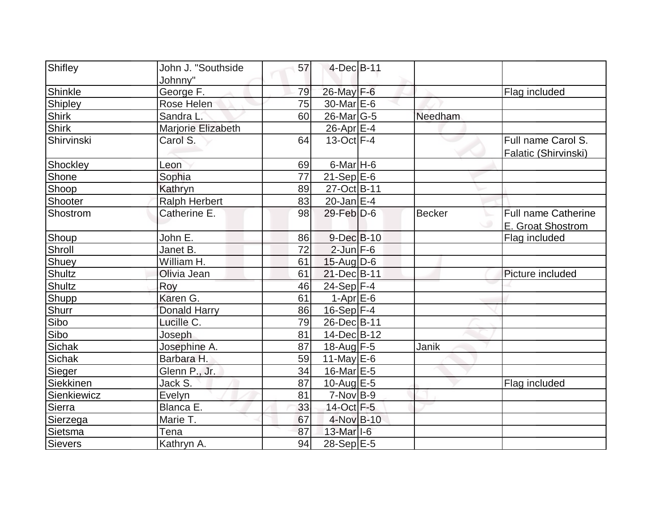| Shifley        | John J. "Southside   | 57 | $4-Dec$ B-11              |               |                      |
|----------------|----------------------|----|---------------------------|---------------|----------------------|
|                | Johnny"              |    |                           |               |                      |
| Shinkle        | George F.            | 79 | 26-May F-6                |               | Flag included        |
| Shipley        | Rose Helen           | 75 | 30-Mar E-6                |               |                      |
| <b>Shirk</b>   | Sandra L.            | 60 | 26-Mar <sub>G-5</sub>     | Needham       |                      |
| <b>Shirk</b>   | Marjorie Elizabeth   |    | $26$ -Apr $E-4$           |               |                      |
| Shirvinski     | Carol S.             | 64 | $13-Oct$ F-4              |               | Full name Carol S.   |
|                |                      |    |                           |               | Falatic (Shirvinski) |
| Shockley       | Leon                 | 69 | $6$ -Mar H-6              |               |                      |
| Shone          | Sophia               | 77 | $21-Sep$ $E-6$            |               |                      |
| Shoop          | Kathryn              | 89 | 27-Oct B-11               |               |                      |
| Shooter        | <b>Ralph Herbert</b> | 83 | $20$ -Jan $E-4$           |               |                      |
| Shostrom       | Catherine E.         | 98 | 29-Feb D-6                | <b>Becker</b> | Full name Catherine  |
|                |                      |    |                           |               | E. Groat Shostrom    |
| Shoup          | John E.              | 86 | $9$ -Dec $B$ -10          |               | Flag included        |
| Shroll         | Janet B.             | 72 | $2$ -Jun $F-6$            |               |                      |
| Shuey          | William H.           | 61 | $15$ -Aug D-6             |               |                      |
| <b>Shultz</b>  | Olivia Jean          | 61 | 21-Dec B-11               |               | Picture included     |
| <b>Shultz</b>  | Roy                  | 46 | 24-Sep F-4                |               |                      |
| Shupp          | Karen G.             | 61 | $1-AprE-6$                |               |                      |
| <b>Shurr</b>   | <b>Donald Harry</b>  | 86 | $16-Sep$ F-4              |               |                      |
| Sibo           | Lucille C.           | 79 | 26-Dec B-11               |               |                      |
| Sibo           | Joseph               | 81 | 14-Dec B-12               |               |                      |
| <b>Sichak</b>  | Josephine A.         | 87 | $18$ -Aug F-5             | Janik         |                      |
| Sichak         | Barbara H.           | 59 | 11-May $E-6$              |               |                      |
| Sieger         | Glenn P., Jr.        | 34 | 16-Mar $E-5$              |               |                      |
| Siekkinen      | Jack S.              | 87 | $10$ -Aug $E - 5$         |               | Flag included        |
| Sienkiewicz    | Evelyn               | 81 | $7-Nov$ B-9               |               |                      |
| Sierra         | Blanca E.            | 33 | 14-Oct F-5                |               |                      |
| Sierzega       | Marie T.             | 67 | 4-Nov B-10                |               |                      |
| Sietsma        | Tena                 | 87 | $13$ -Mar <sub>1</sub> -6 |               |                      |
| <b>Sievers</b> | Kathryn A.           | 94 | 28-Sep E-5                |               |                      |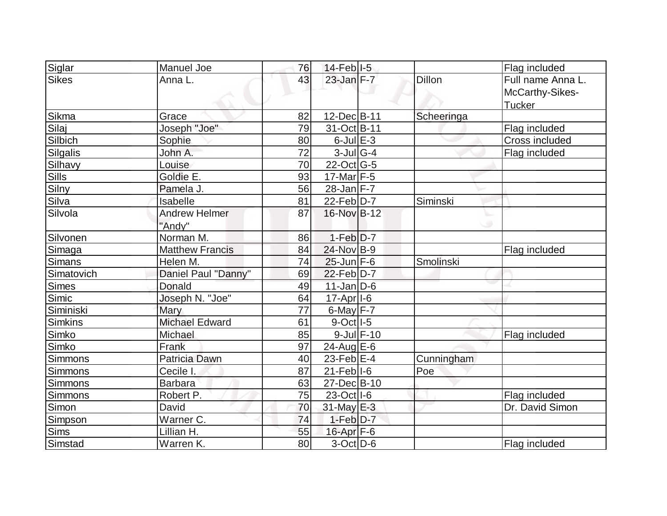|                | Manuel Joe             |                 |                        |            |                   |
|----------------|------------------------|-----------------|------------------------|------------|-------------------|
| Siglar         |                        | 76              | $14$ -Feb $ I-5 $      |            | Flag included     |
| <b>Sikes</b>   | Anna L.                | 43              | 23-Jan F-7             | Dillon     | Full name Anna L. |
|                |                        |                 |                        |            | McCarthy-Sikes-   |
|                |                        |                 |                        |            | Tucker            |
| Sikma          | Grace                  | 82              | 12-Dec B-11            | Scheeringa |                   |
| Silaj          | Joseph "Joe"           | 79              | 31-Oct B-11            |            | Flag included     |
| Silbich        | Sophie                 | 80              | $6$ -Jul $E-3$         |            | Cross included    |
| Silgalis       | John A.                | $\overline{72}$ | $3$ -JulG-4            |            | Flag included     |
| Silhavy        | Louise                 | 70              | $22$ -Oct G-5          |            |                   |
| <b>Sills</b>   | Goldie E.              | 93              | $17$ -Mar F-5          |            |                   |
| Silny          | Pamela J.              | 56              | $28$ -Jan F-7          |            |                   |
| Silva          | Isabelle               | 81              | $22$ -Feb $ D-7 $      | Siminski   |                   |
| Silvola        | <b>Andrew Helmer</b>   | 87              | 16-Nov B-12            |            |                   |
|                | "Andy"                 |                 |                        | ی          |                   |
| Silvonen       | Norman M.              | 86              | $1-Feb$ $D-7$          |            |                   |
| Simaga         | <b>Matthew Francis</b> | 84              | 24-Nov B-9             |            | Flag included     |
| <b>Simans</b>  | Helen M.               | 74              | $25$ -Jun F-6          | Smolinski  |                   |
| Simatovich     | Daniel Paul "Danny"    | 69              | $22$ -Feb $ D-7$       |            |                   |
| <b>Simes</b>   | Donald                 | 49              | $11$ -Jan D-6          |            |                   |
| Simic          | Joseph N. "Joe"        | 64              | $17-Apr$   $1-6$       |            |                   |
| Siminiski      | Mary                   | 77              | $6$ -May $F - 7$       |            |                   |
| <b>Simkins</b> | <b>Michael Edward</b>  | 61              | $9-Oct$ <sup>1-5</sup> |            |                   |
| Simko          | Michael                | 85              | $9$ -Jul $F-10$        |            | Flag included     |
| Simko          | Frank                  | 97              | $24$ -Aug $E$ -6       |            |                   |
| Simmons        | Patricia Dawn          | 40              | 23-Feb $E-4$           | Cunningham |                   |
| Simmons        | Cecile I.              | 87              | $21$ -Feb $ I-6$       | Poe        |                   |
| <b>Simmons</b> | <b>Barbara</b>         | 63              | 27-Dec B-10            |            |                   |
| Simmons        | Robert P.              | 75              | 23-Oct   I-6           |            | Flag included     |
| <b>Simon</b>   | David                  | 70              | $31$ -May $E-3$        |            | Dr. David Simon   |
| Simpson        | Warner C.              | 74              | $1-Feb$ $D-7$          |            |                   |
| <b>Sims</b>    | Lillian H.             | 55              | $16$ -Apr $F$ -6       |            |                   |
| Simstad        | Warren K.              | 80              | $3-Oct$ D-6            |            | Flag included     |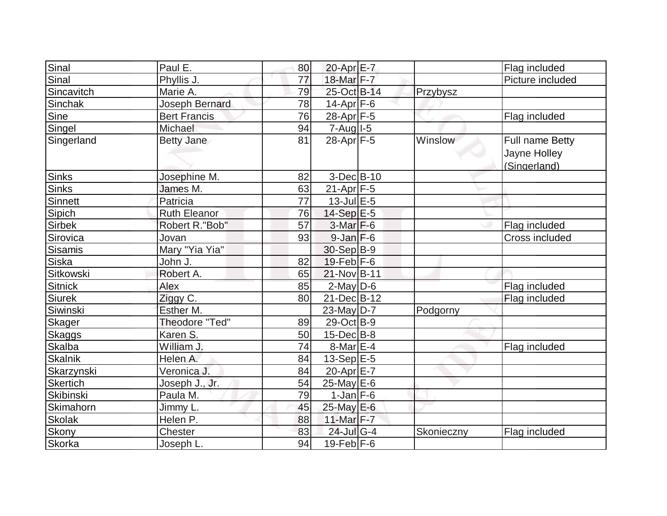| Sinal            | Paul E.             | 80 | 20-Apr E-7            |            | Flag included                                   |
|------------------|---------------------|----|-----------------------|------------|-------------------------------------------------|
| Sinal            | Phyllis J.          | 77 | 18-Mar F-7            |            | Picture included                                |
| Sincavitch       | Marie A.            | 79 | 25-Oct B-14           | Przybysz   |                                                 |
| Sinchak          | Joseph Bernard      | 78 | $14$ -Apr $ F-6$      |            |                                                 |
| Sine             | <b>Bert Francis</b> | 76 | 28-Apr <sub>F-5</sub> |            | Flag included                                   |
| Singel           | Michael             | 94 | $7 - Aug$ $1 - 5$     |            |                                                 |
| Singerland       | <b>Betty Jane</b>   | 81 | $28$ -Apr $F-5$       | Winslow    | Full name Betty<br>Jayne Holley<br>(Singerland) |
| <b>Sinks</b>     | Josephine M.        | 82 | $3-Dec$ B-10          |            |                                                 |
| <b>Sinks</b>     | James M.            | 63 | $21-Apr$ F-5          |            |                                                 |
| Sinnett          | Patricia            | 77 | $13$ -Jul $E-5$       |            |                                                 |
| Sipich           | <b>Ruth Eleanor</b> | 76 | 14-Sep E-5            |            |                                                 |
| Sirbek           | Robert R."Bob"      | 57 | $3-Mar$ F-6           |            | Flag included                                   |
| Sirovica         | Jovan               | 93 | $9$ -Jan $F$ -6       |            | Cross included                                  |
| Sisamis          | Mary "Yia Yia"      |    | 30-Sep B-9            |            |                                                 |
| Siska            | John J.             | 82 | $19$ -Feb $ F-6$      |            |                                                 |
| Sitkowski        | Robert A.           | 65 | 21-Nov B-11           |            |                                                 |
| <b>Sitnick</b>   | Alex                | 85 | $2$ -May $D$ -6       |            | Flag included                                   |
| <b>Siurek</b>    | Ziggy C.            | 80 | 21-Dec B-12           |            | Flag included                                   |
| Siwinski         | Esther M.           |    | 23-May D-7            | Podgorny   |                                                 |
| Skager           | Theodore "Ted"      | 89 | 29-Oct B-9            |            |                                                 |
| Skaggs           | Karen S.            | 50 | $15$ -Dec $B$ -8      |            |                                                 |
| <b>Skalba</b>    | William J.          | 74 | $8$ -Mar $E-4$        |            | Flag included                                   |
| <b>Skalnik</b>   | Helen A.            | 84 | 13-Sep E-5            |            |                                                 |
| Skarzynski       | Veronica J.         | 84 | 20-Apr E-7            |            |                                                 |
| Skertich         | Joseph J., Jr.      | 54 | $25$ -May E-6         |            |                                                 |
| Skibinski        | Paula M.            | 79 | $1$ -Jan $ F-6 $      |            |                                                 |
| <b>Skimahorn</b> | Jimmy L.            | 45 | 25-May E-6            |            |                                                 |
| <b>Skolak</b>    | Helen P.            | 88 | 11-Mar F-7            |            |                                                 |
| Skony            | Chester             | 83 | 24-Jul G-4            | Skonieczny | Flag included                                   |
| Skorka           | Joseph L.           | 94 | $19 - \text{Feb}$ F-6 |            |                                                 |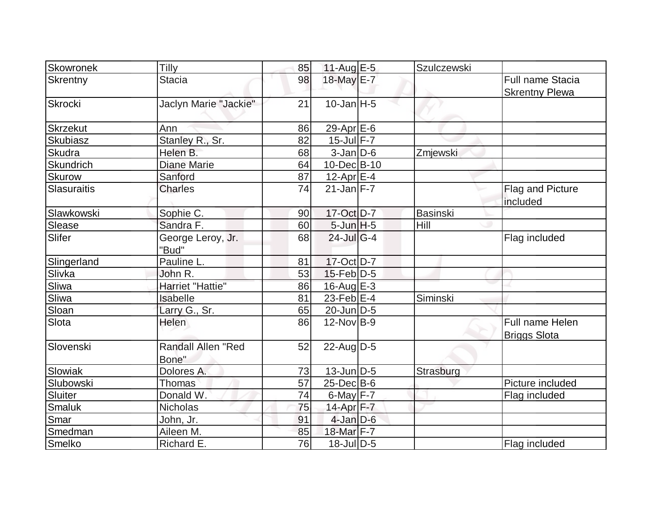| Skowronek          | Tilly                     | 85 | 11-Aug $E-5$              | Szulczewski     |                       |
|--------------------|---------------------------|----|---------------------------|-----------------|-----------------------|
| Skrentny           | <b>Stacia</b>             | 98 | 18-May E-7                |                 | Full name Stacia      |
|                    |                           |    |                           |                 | <b>Skrentny Plewa</b> |
| Skrocki            | Jaclyn Marie "Jackie"     | 21 | $10$ -Jan $ H-5 $         |                 |                       |
|                    |                           |    |                           |                 |                       |
| <b>Skrzekut</b>    | Ann                       | 86 | 29-Apr $E-6$              |                 |                       |
| Skubiasz           | Stanley R., Sr.           | 82 | $15$ -Jul $F - 7$         |                 |                       |
| <b>Skudra</b>      | Helen B.                  | 68 | $3$ -Jan $D$ -6           | Zmjewski        |                       |
| Skundrich          | <b>Diane Marie</b>        | 64 | 10-Dec B-10               |                 |                       |
| <b>Skurow</b>      | Sanford                   | 87 | $12$ -Apr $E-4$           |                 |                       |
| <b>Slasuraitis</b> | <b>Charles</b>            | 74 | $21$ -Jan $F - 7$         |                 | Flag and Picture      |
|                    |                           |    |                           |                 | included              |
| Slawkowski         | Sophie C.                 | 90 | 17-Oct D-7                | <b>Basinski</b> |                       |
| <b>Slease</b>      | Sandra F.                 | 60 | $5$ -Jun $H - 5$          | Hill            |                       |
| Slifer             | George Leroy, Jr.         | 68 | $24$ -Jul <sub>G</sub> -4 |                 | Flag included         |
|                    | "Bud"                     |    |                           |                 |                       |
| Slingerland        | Pauline L.                | 81 | $17-Cct$ D-7              |                 |                       |
| Slivka             | John R.                   | 53 | $15$ -Feb $ D-5 $         |                 |                       |
| Sliwa              | Harriet "Hattie"          | 86 | $16$ -Aug $E-3$           |                 |                       |
| Sliwa              | Isabelle                  | 81 | $23$ -Feb $E-4$           | Siminski        |                       |
| Sloan              | Larry G., Sr.             | 65 | $20$ -Jun $D-5$           |                 |                       |
| Slota              | <b>Helen</b>              | 86 | $12$ -Nov $ B-9 $         |                 | Full name Helen       |
|                    |                           |    |                           |                 | <b>Briggs Slota</b>   |
| Slovenski          | <b>Randall Allen "Red</b> | 52 | $22$ -Aug $D-5$           |                 |                       |
|                    | Bone"                     |    |                           |                 |                       |
| Slowiak            | Dolores A.                | 73 | $13$ -Jun $D-5$           | Strasburg       |                       |
| Slubowski          | <b>Thomas</b>             | 57 | $25$ -Dec $B$ -6          |                 | Picture included      |
| Sluiter            | Donald W.                 | 74 | $6$ -May $F - 7$          |                 | Flag included         |
| Smaluk             | <b>Nicholas</b>           | 75 | 14-Apr F-7                |                 |                       |
| Smar               | John, Jr.                 | 91 | $4$ -Jan $D-6$            |                 |                       |
| Smedman            | Aileen M.                 | 85 | 18-Mar F-7                |                 |                       |
| Smelko             | Richard E.                | 76 | $18$ -Jul $ D-5$          |                 | Flag included         |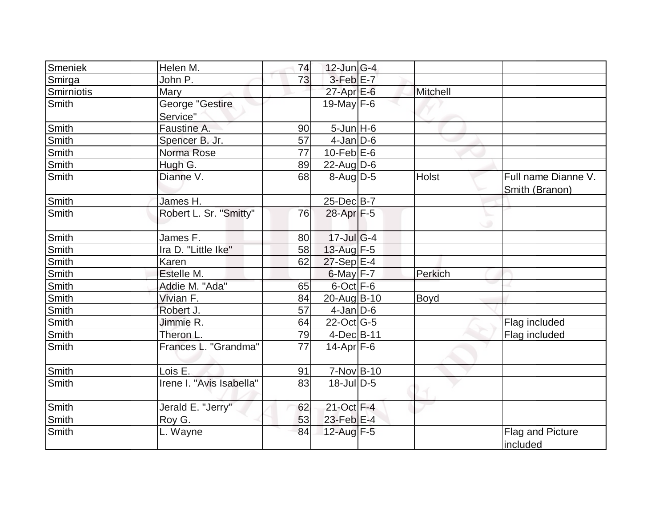| Smeniek      | Helen M.                    | 74              | $12$ -Jun $ G-4 $ |          |                                       |
|--------------|-----------------------------|-----------------|-------------------|----------|---------------------------------------|
| Smirga       | John P.                     | 73              | $3-FebE-7$        |          |                                       |
| Smirniotis   | <b>Mary</b>                 |                 | $27$ -Apr $E$ -6  | Mitchell |                                       |
| Smith        | George "Gestire<br>Service" |                 | 19-May $F-6$      |          |                                       |
| <b>Smith</b> | Faustine A.                 | 90              | $5$ -Jun $H$ -6   |          |                                       |
| Smith        | Spencer B. Jr.              | 57              | $4$ -Jan $D$ -6   |          |                                       |
| Smith        | Norma Rose                  | $\overline{77}$ | $10$ -Feb $E$ -6  |          |                                       |
| <b>Smith</b> | Hugh G.                     | 89              | 22-Aug D-6        |          |                                       |
| Smith        | Dianne V.                   | 68              | $8-Auq$ D-5       | Holst    | Full name Dianne V.<br>Smith (Branon) |
| Smith        | James H.                    |                 | $25$ -Dec $B-7$   |          |                                       |
| Smith        | Robert L. Sr. "Smitty"      | 76              | 28-Apr F-5        |          |                                       |
| Smith        | James F.                    | 80              | $17 -$ Jul G-4    |          |                                       |
| Smith        | Ira D. "Little Ike"         | 58              | 13-Aug $F-5$      |          |                                       |
| Smith        | Karen                       | 62              | $27-Sep$ E-4      |          |                                       |
| <b>Smith</b> | Estelle M.                  |                 | $6$ -May $F - 7$  | Perkich  |                                       |
| Smith        | Addie M. "Ada"              | 65              | $6$ -Oct $F-6$    |          |                                       |
| <b>Smith</b> | Vivian F.                   | 84              | 20-Aug B-10       | Boyd     |                                       |
| <b>Smith</b> | Robert J.                   | 57              | $4$ -Jan D-6      |          |                                       |
| Smith        | Jimmie R.                   | 64              | $22$ -Oct G-5     |          | Flag included                         |
| Smith        | Theron L.                   | 79              | $4$ -Dec $ B-11 $ |          | Flag included                         |
| Smith        | Frances L. "Grandma"        | 77              | $14$ -Apr $F$ -6  |          |                                       |
| <b>Smith</b> | Lois E.                     | 91              | 7-Nov B-10        |          |                                       |
| <b>Smith</b> | Irene I. "Avis Isabella"    | 83              | $18$ -Jul $D-5$   |          |                                       |
| Smith        | Jerald E. "Jerry"           | 62              | 21-Oct F-4        |          |                                       |
| Smith        | Roy G.                      | 53              | 23-Feb E-4        |          |                                       |
| Smith        | L. Wayne                    | 84              | 12-Aug F-5        |          | Flag and Picture<br>included          |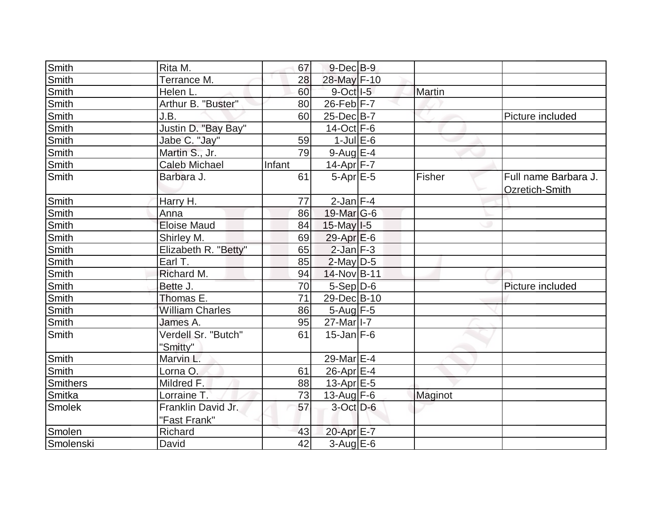| Smith        | Rita M.                         | 67     | $9$ -Dec $B$ -9       |               |                      |
|--------------|---------------------------------|--------|-----------------------|---------------|----------------------|
| Smith        | Terrance M.                     | 28     | 28-May F-10           |               |                      |
| Smith        | Helen L.                        | 60     | $9$ -Oct $ I-5 $      | <b>Martin</b> |                      |
| <b>Smith</b> | Arthur B. "Buster"              | 80     | $26$ -Feb $ F-7 $     |               |                      |
| <b>Smith</b> | J.B.                            | 60     | 25-Dec B-7            |               | Picture included     |
| Smith        | Justin D. "Bay Bay"             |        | $14-Oct$ F-6          |               |                      |
| <b>Smith</b> | Jabe C. "Jay"                   | 59     | $1$ -Jul $E$ -6       |               |                      |
| Smith        | Martin S., Jr.                  | 79     | $9$ -Aug E-4          |               |                      |
| Smith        | <b>Caleb Michael</b>            | Infant | 14-Apr $F-7$          |               |                      |
| Smith        | Barbara J.                      | 61     | $5-Apr$ $E-5$         | Fisher        | Full name Barbara J. |
|              |                                 |        |                       |               | Ozretich-Smith       |
| Smith        | Harry H.                        | 77     | $2$ -Jan $F-4$        |               |                      |
| Smith        | Anna                            | 86     | 19-Mar $G-6$          |               |                      |
| <b>Smith</b> | <b>Eloise Maud</b>              | 84     | $15$ -May $ I-5 $     |               |                      |
| Smith        | Shirley M.                      | 69     | $29-Apr \mathsf{E}-6$ |               |                      |
| Smith        | Elizabeth R. "Betty"            | 65     | $2$ -Jan $F-3$        |               |                      |
| Smith        | Earl T.                         | 85     | $2$ -May $D-5$        |               |                      |
| Smith        | Richard M.                      | 94     | 14-Nov B-11           |               |                      |
| Smith        | Bette J.                        | 70     | $5-Sep D-6$           |               | Picture included     |
| Smith        | Thomas E.                       | 71     | 29-Dec B-10           |               |                      |
| <b>Smith</b> | <b>William Charles</b>          | 86     | $5-Aug$ F-5           |               |                      |
| Smith        | James A.                        | 95     | 27-Mar <sub>1-7</sub> |               |                      |
| Smith        | Verdell Sr. "Butch"<br>"Smitty" | 61     | $15$ -Jan $F-6$       |               |                      |
| Smith        | Marvin L.                       |        | 29-Mar <sub>E-4</sub> |               |                      |
| Smith        | Lorna O.                        | 61     | 26-Apr E-4            |               |                      |
| Smithers     | Mildred F.                      | 88     | $13$ -Apr $E-5$       |               |                      |
| Smitka       | Lorraine T.                     | 73     | $13$ -Aug $F-6$       | Maginot       |                      |
| Smolek       | Franklin David Jr.              | 57     | $3$ -Oct $D$ -6       |               |                      |
|              | "Fast Frank"                    |        |                       |               |                      |
| Smolen       | Richard                         | 43     | 20-Apr E-7            |               |                      |
| Smolenski    | David                           | 42     | $3-Aug$ E-6           |               |                      |
|              |                                 |        |                       |               |                      |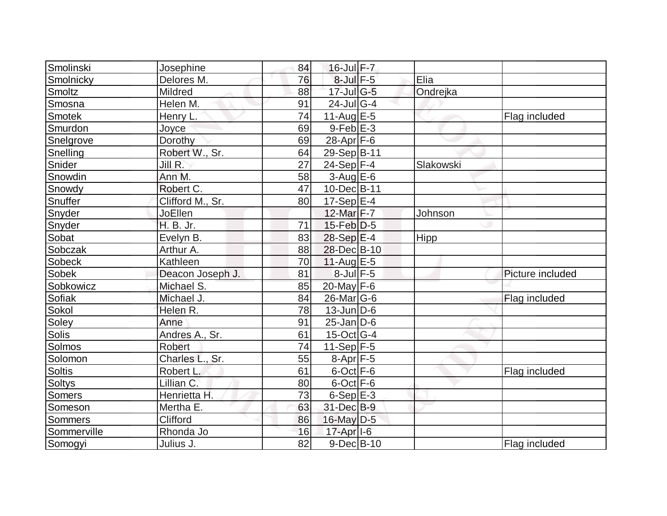| Smolinski      | Josephine        | 84 | 16-Jul F-7            |           |                  |
|----------------|------------------|----|-----------------------|-----------|------------------|
| Smolnicky      | Delores M.       | 76 | $8$ -Jul $F - 5$      | Elia      |                  |
| Smoltz         | Mildred          | 88 | $17$ -Jul G-5         | Ondrejka  |                  |
| Smosna         | Helen M.         | 91 | $24$ -Jul $ G-4$      |           |                  |
| <b>Smotek</b>  | Henry L.         | 74 | 11-Aug $E-5$          |           | Flag included    |
| Smurdon        | Joyce            | 69 | $9$ -Feb $E-3$        |           |                  |
| Snelgrove      | Dorothy          | 69 | 28-Apr $F-6$          |           |                  |
| Snelling       | Robert W., Sr.   | 64 | 29-Sep B-11           |           |                  |
|                |                  | 27 |                       |           |                  |
| Snider         | Jill R.          |    | $24-Sep$ F-4          | Slakowski |                  |
| Snowdin        | Ann M.           | 58 | $3$ -Aug E-6          |           |                  |
| Snowdy         | Robert C.        | 47 | 10-Dec B-11           |           |                  |
| Snuffer        | Clifford M., Sr. | 80 | 17-Sep E-4            |           |                  |
| Snyder         | JoEllen          |    | 12-Mar F-7            | Johnson   |                  |
| Snyder         | H. B. Jr.        | 71 | $15$ -Feb $D-5$       |           |                  |
| Sobat          | Evelyn B.        | 83 | $28-Sep$ $E-4$        | Hipp      |                  |
| Sobczak        | Arthur A.        | 88 | 28-Dec B-10           |           |                  |
| Sobeck         | Kathleen         | 70 | $11-Auq$ $E-5$        |           |                  |
| Sobek          | Deacon Joseph J. | 81 | $8$ -Jul F-5          |           | Picture included |
| Sobkowicz      | Michael S.       | 85 | 20-May F-6            |           |                  |
| Sofiak         | Michael J.       | 84 | $26$ -Mar $ G-6$      |           | Flag included    |
| Sokol          | Helen R.         | 78 | $13$ -Jun $ D-6$      |           |                  |
| Soley          | Anne             | 91 | $25$ -Jan D-6         |           |                  |
| <b>Solis</b>   | Andres A., Sr.   | 61 | $15$ -Oct $ G-4 $     |           |                  |
| Solmos         | <b>Robert</b>    | 74 | $11-Sep$ F-5          |           |                  |
| Solomon        | Charles L., Sr.  | 55 | $8-Apr$ F-5           |           |                  |
| Soltis         | Robert L.        | 61 | $6$ -Oct $F$ -6       |           | Flag included    |
| <b>Soltys</b>  | Lillian C.       | 80 | $6$ -Oct $ F-6 $      |           |                  |
| Somers         | Henrietta H.     | 73 | $6-Sep$ $E-3$         |           |                  |
| Someson        | Mertha E.        | 63 | 31-Dec B-9            |           |                  |
| <b>Sommers</b> | Clifford         | 86 | 16-May D-5            |           |                  |
| Sommerville    | Rhonda Jo        | 16 | 17-Apr <sub>1-6</sub> |           |                  |
| Somogyi        | Julius J.        | 82 | $9$ -Dec $B$ -10      |           | Flag included    |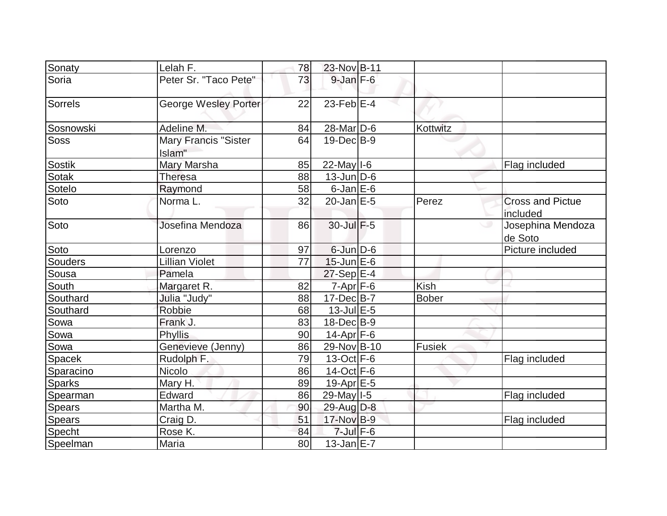| Sonaty        | Lelah F.                       | 78 | 23-Nov B-11       |              |                                     |
|---------------|--------------------------------|----|-------------------|--------------|-------------------------------------|
| Soria         | Peter Sr. "Taco Pete"          | 73 | $9$ -Jan $F-6$    |              |                                     |
| Sorrels       | George Wesley Porter           | 22 | $23$ -Feb $E-4$   |              |                                     |
| Sosnowski     | Adeline M.                     | 84 | $28$ -Mar $ D-6 $ | Kottwitz     |                                     |
| <b>Soss</b>   | Mary Francis "Sister<br>Islam" | 64 | $19$ -Dec $B$ -9  |              |                                     |
| <b>Sostik</b> | Mary Marsha                    | 85 | $22$ -May $I$ -6  |              | Flag included                       |
| <b>Sotak</b>  | Theresa                        | 88 | $13$ -Jun $D-6$   |              |                                     |
| Sotelo        | Raymond                        | 58 | $6$ -Jan $E$ -6   |              |                                     |
| Soto          | Norma L.                       | 32 | $20$ -Jan $E-5$   | Perez        | <b>Cross and Pictue</b><br>included |
| Soto          | Josefina Mendoza               | 86 | $30$ -Jul $F-5$   |              | Josephina Mendoza<br>de Soto        |
| Soto          | Lorenzo                        | 97 | $6$ -Jun $D-6$    |              | Picture included                    |
| Souders       | <b>Lillian Violet</b>          | 77 | $15$ -Jun $E$ -6  |              |                                     |
| Sousa         | Pamela                         |    | $27-Sep$ $E-4$    |              |                                     |
| South         | Margaret R.                    | 82 | $7 - Apr$ $F - 6$ | <b>Kish</b>  |                                     |
| Southard      | Julia "Judy"                   | 88 | $17 - Dec$ B-7    | <b>Bober</b> |                                     |
| Southard      | Robbie                         | 68 | $13$ -Jul $E-5$   |              |                                     |
| Sowa          | Frank J.                       | 83 | $18$ -Dec $ B-9 $ |              |                                     |
| Sowa          | <b>Phyllis</b>                 | 90 | $14$ -Apr $F-6$   |              |                                     |
| Sowa          | Genevieve (Jenny)              | 86 | 29-Nov B-10       | Fusiek       |                                     |
| Spacek        | Rudolph F.                     | 79 | $13-Oct$ F-6      |              | Flag included                       |
| Sparacino     | <b>Nicolo</b>                  | 86 | $14-Oct$ F-6      |              |                                     |
| <b>Sparks</b> | Mary H.                        | 89 | 19-Apr $E-5$      |              |                                     |
| Spearman      | Edward                         | 86 | 29-May   I-5      |              | Flag included                       |
| <b>Spears</b> | Martha M.                      | 90 | $29$ -Aug $D-8$   |              |                                     |
| <b>Spears</b> | Craig D.                       | 51 | 17-Nov B-9        |              | Flag included                       |
| Specht        | Rose K.                        | 84 | $7$ -Jul $F$ -6   |              |                                     |
| Speelman      | Maria                          | 80 | $13$ -Jan $E-7$   |              |                                     |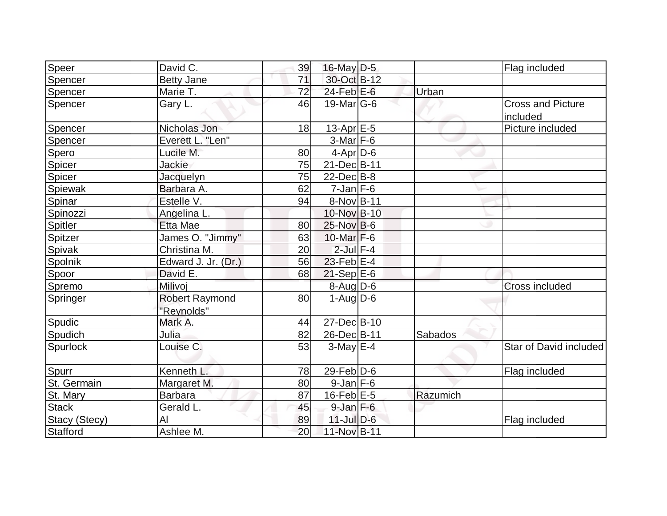| Speer         | David C.                            | 39 | 16-May $D-5$      |          | Flag included                        |
|---------------|-------------------------------------|----|-------------------|----------|--------------------------------------|
| Spencer       | <b>Betty Jane</b>                   | 71 | 30-Oct B-12       |          |                                      |
| Spencer       | Marie T.                            | 72 | $24$ -Feb $E$ -6  | Urban    |                                      |
| Spencer       | Gary L.                             | 46 | $19$ -Mar $ G-6$  |          | <b>Cross and Picture</b><br>included |
| Spencer       | Nicholas Jon                        | 18 | $13$ -Apr $E-5$   |          | Picture included                     |
| Spencer       | Everett L. "Len"                    |    | $3-Mar$ F-6       |          |                                      |
| Spero         | Lucile M.                           | 80 | $4-Apr D-6$       |          |                                      |
| Spicer        | <b>Jackie</b>                       | 75 | 21-Dec B-11       |          |                                      |
| Spicer        | Jacquelyn                           | 75 | $22$ -Dec $B$ -8  |          |                                      |
| Spiewak       | Barbara A.                          | 62 | $7$ -Jan $F-6$    |          |                                      |
| Spinar        | Estelle V.                          | 94 | 8-Nov B-11        |          |                                      |
| Spinozzi      | Angelina L.                         |    | 10-Nov B-10       |          |                                      |
| Spitler       | Etta Mae                            | 80 | $25$ -Nov B-6     |          |                                      |
| Spitzer       | James O. "Jimmy"                    | 63 | $10$ -Mar $F-6$   |          |                                      |
| <b>Spivak</b> | Christina M.                        | 20 | $2$ -Jul $F-4$    |          |                                      |
| Spolnik       | Edward J. Jr. (Dr.)                 | 56 | 23-Feb $E-4$      |          |                                      |
| Spoor         | David E.                            | 68 | $21-Sep$ $E-6$    |          |                                      |
| Spremo        | Milivoj                             |    | 8-Aug D-6         |          | <b>Cross included</b>                |
| Springer      | <b>Robert Raymond</b><br>"Reynolds" | 80 | $1-Auq$ D-6       |          |                                      |
| Spudic        | Mark A.                             | 44 | 27-Dec B-10       |          |                                      |
| Spudich       | Julia                               | 82 | 26-Dec B-11       | Sabados  |                                      |
| Spurlock      | Louise C.                           | 53 | $3-May$ $E-4$     |          | Star of David included               |
| Spurr         | Kenneth L.                          | 78 | $29$ -Feb $ D$ -6 |          | Flag included                        |
| St. Germain   | Margaret M.                         | 80 | $9$ -Jan $F$ -6   |          |                                      |
| St. Mary      | <b>Barbara</b>                      | 87 | $16$ -Feb $E$ -5  | Razumich |                                      |
| Stack         | Gerald L.                           | 45 | $9$ -Jan $F$ -6   |          |                                      |
| Stacy (Stecy) | AI                                  | 89 | $11$ -Jul $D-6$   |          | Flag included                        |
| Stafford      | Ashlee M.                           | 20 | 11-Nov B-11       |          |                                      |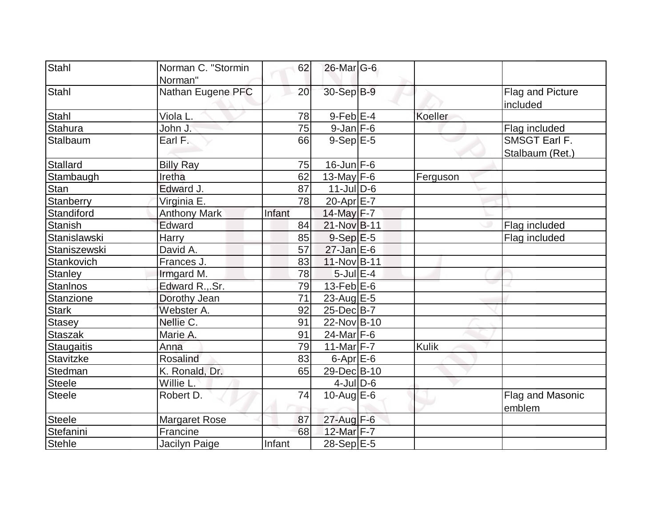| Stahl           | Norman C. "Stormin<br>Norman" | 62     | $26$ -Mar $G$ -6          |          |                                  |
|-----------------|-------------------------------|--------|---------------------------|----------|----------------------------------|
| Stahl           | Nathan Eugene PFC             | 20     | 30-Sep B-9                |          | Flag and Picture<br>included     |
| Stahl           | Viola L.                      | 78     | $9$ -Feb $E-4$            | Koeller  |                                  |
| <b>Stahura</b>  | John J.                       | 75     | $9$ -Jan $F$ -6           |          | Flag included                    |
| Stalbaum        | Earl F.                       | 66     | $9-Sep$ $E-5$             |          | SMSGT Earl F.<br>Stalbaum (Ret.) |
| <b>Stallard</b> | <b>Billy Ray</b>              | 75     | $16$ -Jun $F-6$           |          |                                  |
| Stambaugh       | Iretha                        | 62     | 13-May $F-6$              | Ferguson |                                  |
| Stan            | Edward J.                     | 87     | $11$ -JulD-6              |          |                                  |
| Stanberry       | Virginia E.                   | 78     | 20-Apr E-7                |          |                                  |
| Standiford      | <b>Anthony Mark</b>           | Infant | 14-May F-7                |          |                                  |
| <b>Stanish</b>  | Edward                        | 84     | 21-Nov B-11               |          | Flag included                    |
| Stanislawski    | <b>Harry</b>                  | 85     | $9-Sep$ $E-5$             |          | Flag included                    |
| Staniszewski    | David A.                      | 57     | $27 - Jan \, \boxed{E-6}$ |          |                                  |
| Stankovich      | Frances J.                    | 83     | 11-Nov B-11               |          |                                  |
| Stanley         | Irmgard M.                    | 78     | $5$ -Jul $E-4$            |          |                                  |
| <b>Stanlnos</b> | Edward R.,.Sr.                | 79     | $13$ -Feb $E$ -6          |          |                                  |
| Stanzione       | Dorothy Jean                  | 71     | 23-Aug $E-5$              |          |                                  |
| <b>Stark</b>    | Webster A.                    | 92     | 25-Dec B-7                |          |                                  |
| <b>Stasey</b>   | Nellie C.                     | 91     | 22-Nov B-10               |          |                                  |
| <b>Staszak</b>  | Marie A.                      | 91     | $24$ -Mar F-6             |          |                                  |
| Staugaitis      | Anna                          | 79     | $11-Mar$ F-7              | Kulik    |                                  |
| Stavitzke       | <b>Rosalind</b>               | 83     | $6$ -Apr $E$ -6           |          |                                  |
| Stedman         | K. Ronald, Dr.                | 65     | 29-Dec B-10               |          |                                  |
| <b>Steele</b>   | Willie L.                     |        | $4$ -Jul $D$ -6           |          |                                  |
| <b>Steele</b>   | Robert D.                     | 74     | $10$ -Aug $E$ -6          |          | Flag and Masonic<br>emblem       |
| <b>Steele</b>   | <b>Margaret Rose</b>          | 87     | $27$ -Aug $F-6$           |          |                                  |
| Stefanini       | Francine                      | 68     | 12-Mar F-7                |          |                                  |
| Stehle          | Jacilyn Paige                 | Infant | 28-Sep E-5                |          |                                  |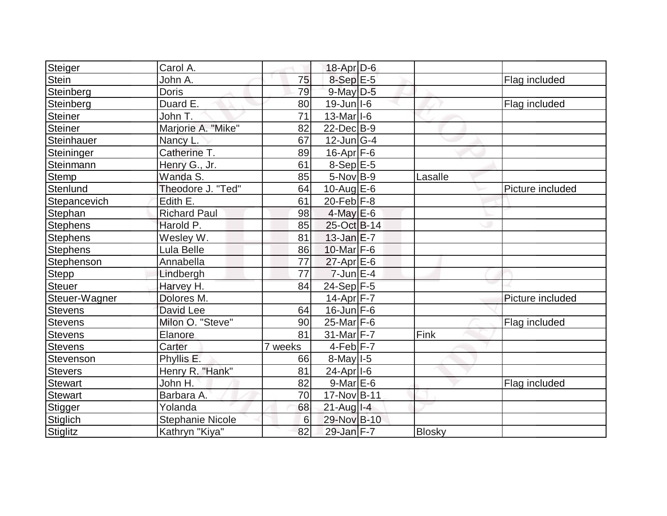| Steiger         | Carol A.                |         | $18$ -Apr $D-6$                        |               |                  |
|-----------------|-------------------------|---------|----------------------------------------|---------------|------------------|
| Stein           | John A.                 | 75      | $8-Sep$ $E-5$                          |               | Flag included    |
| Steinberg       | <b>Doris</b>            | 79      | $9$ -May $D$ -5                        |               |                  |
| Steinberg       | Duard E.                | 80      | $19$ -Jun $ I-6 $                      |               | Flag included    |
| <b>Steiner</b>  | John T.                 | 71      | $13$ -Mar <sub><math> I-6</math></sub> |               |                  |
| <b>Steiner</b>  | Marjorie A. "Mike"      | 82      | $22$ -Dec $B-9$                        |               |                  |
| Steinhauer      | Nancy L.                | 67      | $12$ -Jun $ G-4 $                      |               |                  |
| Steininger      | Catherine T.            | 89      | $16$ -Apr $ F-6 $                      |               |                  |
| Steinmann       | Henry G., Jr.           | 61      | $8-Sep$ $E-5$                          |               |                  |
| <b>Stemp</b>    | Wanda S.                | 85      | $5$ -Nov B-9                           | Lasalle       |                  |
| Stenlund        | Theodore J. "Ted"       | 64      | $10$ -AuglE-6                          |               | Picture included |
| Stepancevich    | Edith E.                | 61      | $20$ -Feb $ F-8 $                      |               |                  |
| Stephan         | <b>Richard Paul</b>     | 98      | $4$ -May $E$ -6                        |               |                  |
| Stephens        | Harold P.               | 85      | 25-Oct B-14                            |               |                  |
| <b>Stephens</b> | Wesley W.               | 81      | $13$ -Jan $E-7$                        |               |                  |
| <b>Stephens</b> | Lula Belle              | 86      | 10-Mar $F-6$                           |               |                  |
| Stephenson      | Annabella               | 77      | $27$ -Apr $E$ -6                       |               |                  |
| <b>Stepp</b>    | Lindbergh               | 77      | $7$ -Jun $E-4$                         |               |                  |
| Steuer          | Harvey H.               | 84      | 24-Sep F-5                             |               |                  |
| Steuer-Wagner   | Dolores M.              |         | 14-Apr $F-7$                           |               | Picture included |
| <b>Stevens</b>  | David Lee               | 64      | $16$ -Jun $F-6$                        |               |                  |
| <b>Stevens</b>  | Milon O. "Steve"        | 90      | $25$ -Mar $F-6$                        |               | Flag included    |
| <b>Stevens</b>  | Elanore                 | 81      | $31$ -Mar F-7                          | Fink          |                  |
| Stevens         | Carter                  | 7 weeks | $4-Feb$ $F-7$                          |               |                  |
| Stevenson       | Phyllis E.              | 66      | $8$ -May $1-5$                         |               |                  |
| <b>Stevers</b>  | Henry R. "Hank"         | 81      | 24-Apr <sub>1-6</sub>                  |               |                  |
| Stewart         | John H.                 | 82      | $9$ -Mar $E$ -6                        |               | Flag included    |
| <b>Stewart</b>  | Barbara A.              | 70      | 17-Nov B-11                            |               |                  |
| Stigger         | Yolanda                 | 68      | $21$ -Aug I-4                          |               |                  |
| Stiglich        | <b>Stephanie Nicole</b> | 6       | 29-Nov B-10                            |               |                  |
| <b>Stiglitz</b> | Kathryn "Kiya"          | 82      | 29-Jan F-7                             | <b>Blosky</b> |                  |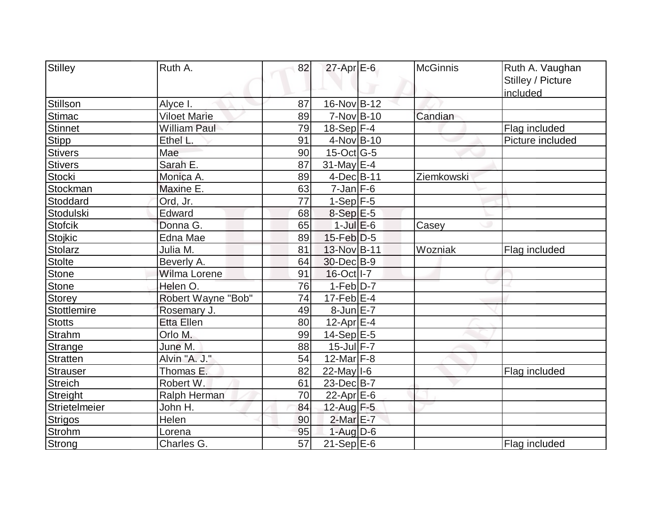| Stilley         | Ruth A.             | 82              | $27$ -Apr $E$ -6  | <b>McGinnis</b> | Ruth A. Vaughan   |
|-----------------|---------------------|-----------------|-------------------|-----------------|-------------------|
|                 |                     |                 |                   |                 | Stilley / Picture |
|                 |                     |                 |                   |                 | included          |
| Stillson        | Alyce I.            | 87              | 16-Nov B-12       |                 |                   |
| <b>Stimac</b>   | <b>Viloet Marie</b> | 89              | $7-Nov$ B-10      | Candian         |                   |
| <b>Stinnet</b>  | <b>William Paul</b> | 79              | $18-Sep$ F-4      |                 | Flag included     |
| <b>Stipp</b>    | Ethel L.            | 91              | 4-Nov B-10        |                 | Picture included  |
| <b>Stivers</b>  | Mae                 | 90              | $15$ -Oct G-5     |                 |                   |
| <b>Stivers</b>  | Sarah E.            | 87              | $31$ -May E-4     |                 |                   |
| <b>Stocki</b>   | Monica A.           | 89              | 4-Dec B-11        | Ziemkowski      |                   |
| Stockman        | Maxine E.           | 63              | $7$ -Jan $F$ -6   |                 |                   |
| Stoddard        | Ord, Jr.            | 77              | $1-Sep$ F-5       |                 |                   |
| Stodulski       | Edward              | 68              | $8-Sep$ E-5       |                 |                   |
| <b>Stofcik</b>  | Donna G.            | 65              | $1$ -Jul $E$ -6   | Casey           |                   |
| Stojkic         | Edna Mae            | 89              | $15$ -Feb $D-5$   |                 |                   |
| <b>Stolarz</b>  | Julia M.            | 81              | 13-Nov B-11       | Wozniak         | Flag included     |
| <b>Stolte</b>   | Beverly A.          | 64              | 30-Dec B-9        |                 |                   |
| <b>Stone</b>    | Wilma Lorene        | 91              | 16-Oct I-7        |                 |                   |
| <b>Stone</b>    | Helen O.            | 76              | $1-Feb D-7$       |                 |                   |
| Storey          | Robert Wayne "Bob"  | 74              | $17$ -Feb $E-4$   |                 |                   |
| Stottlemire     | Rosemary J.         | 49              | $8$ -Jun $E - 7$  |                 |                   |
| <b>Stotts</b>   | <b>Etta Ellen</b>   | 80              | $12$ -Apr $E-4$   |                 |                   |
| <b>Strahm</b>   | Orlo M.             | 99              | $14-Sep$ E-5      |                 |                   |
| Strange         | June M.             | 88              | $15$ -Jul $F - 7$ |                 |                   |
| <b>Stratten</b> | Alvin "A. J."       | 54              | 12-Mar $F-8$      |                 |                   |
| <b>Strauser</b> | Thomas E.           | 82              | $22$ -May $I$ -6  |                 | Flag included     |
| <b>Streich</b>  | Robert W.           | 61              | 23-Dec B-7        |                 |                   |
| Streight        | Ralph Herman        | 70              | $22$ -Apr $E$ -6  |                 |                   |
| Strietelmeier   | John H.             | 84              | 12-Aug F-5        |                 |                   |
| <b>Strigos</b>  | Helen               | 90              | $2$ -Mar $E$ -7   |                 |                   |
| <b>Strohm</b>   | Lorena              | 95              | $1-Auq$ D-6       |                 |                   |
| Strong          | Charles G.          | $\overline{57}$ | $21-SepE-6$       |                 | Flag included     |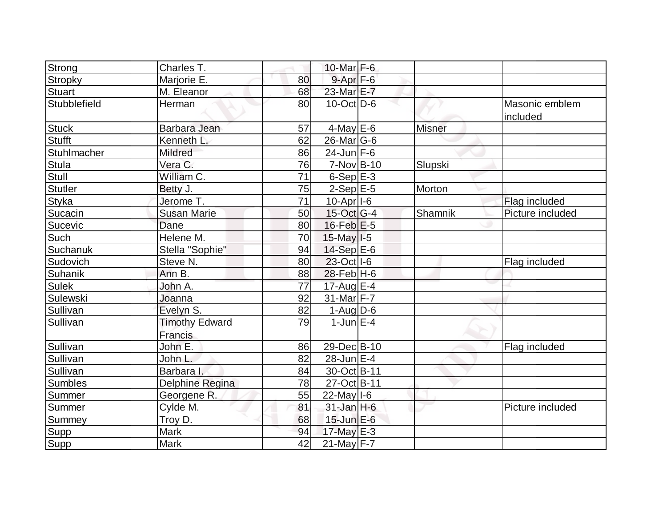| Strong         | Charles T.                       |    | 10-Mar $F-6$      |               |                            |
|----------------|----------------------------------|----|-------------------|---------------|----------------------------|
| <b>Stropky</b> | Marjorie E.                      | 80 | $9 - Apr$ $F-6$   |               |                            |
| Stuart         | M. Eleanor                       | 68 | 23-Mar E-7        |               |                            |
| Stubblefield   | Herman                           | 80 | $10$ -Oct $ D-6 $ |               | Masonic emblem<br>included |
| <b>Stuck</b>   | Barbara Jean                     | 57 | $4$ -May E-6      | <b>Misner</b> |                            |
| <b>Stufft</b>  | Kenneth L.                       | 62 | $26$ -Mar $ G$ -6 |               |                            |
| Stuhlmacher    | <b>Mildred</b>                   | 86 | $24$ -Jun F-6     |               |                            |
| Stula          | Vera C.                          | 76 | $7-Nov$ B-10      | Slupski       |                            |
| <b>Stull</b>   | William C.                       | 71 | $6-Sep$ $E-3$     |               |                            |
| <b>Stutler</b> | Betty J.                         | 75 | $2-Sep$ $E-5$     | Morton        |                            |
| Styka          | Jerome T.                        | 71 | $10$ -Apr $ I-6 $ |               | Flag included              |
| Sucacin        | <b>Susan Marie</b>               | 50 | 15-Oct G-4        | Shamnik       | Picture included           |
| Sucevic        | Dane                             | 80 | $16$ -Feb $E-5$   |               |                            |
| Such           | Helene M.                        | 70 | $15$ -May $I-5$   |               |                            |
| Suchanuk       | Stella "Sophie"                  | 94 | $14-Sep$ E-6      |               |                            |
| Sudovich       | Steve N.                         | 80 | 23-Oct   I-6      |               | Flag included              |
| Suhanik        | Ann B.                           | 88 | $28$ -Feb H-6     |               |                            |
| <b>Sulek</b>   | John A.                          | 77 | 17-Aug E-4        |               |                            |
| Sulewski       | Joanna                           | 92 | 31-Mar F-7        |               |                            |
| Sullivan       | Evelyn S.                        | 82 | $1-Aug D-6$       |               |                            |
| Sullivan       | <b>Timothy Edward</b><br>Francis | 79 | $1$ -Jun $E - 4$  |               |                            |
| Sullivan       | John E.                          | 86 | 29-Dec B-10       |               | Flag included              |
| Sullivan       | John L.                          | 82 | 28-Jun E-4        |               |                            |
| Sullivan       | Barbara I.                       | 84 | 30-Oct B-11       |               |                            |
| <b>Sumbles</b> | Delphine Regina                  | 78 | 27-Oct B-11       |               |                            |
| Summer         | Georgene R.                      | 55 | $22$ -May $I$ -6  |               |                            |
| Summer         | Cylde M.                         | 81 | $31$ -Jan H-6     |               | Picture included           |
| Summey         | Troy D.                          | 68 | $15$ -Jun $E$ -6  |               |                            |
| Supp           | <b>Mark</b>                      | 94 | 17-May $E-3$      |               |                            |
| Supp           | <b>Mark</b>                      | 42 | $21$ -May F-7     |               |                            |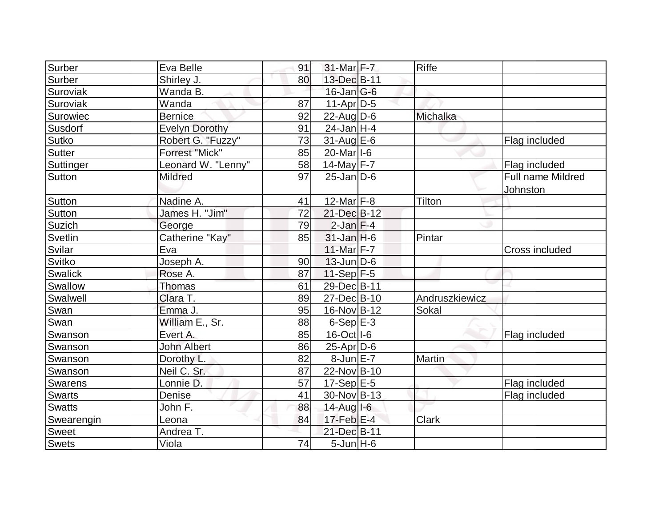| Surber         | Eva Belle             | 91 | $31$ -Mar F-7           | Riffe          |                          |
|----------------|-----------------------|----|-------------------------|----------------|--------------------------|
| Surber         | Shirley J.            | 80 | 13-Dec B-11             |                |                          |
| Suroviak       | Wanda B.              |    | $16$ -Jan $ G-6 $       |                |                          |
| Suroviak       | Wanda                 | 87 | $11-Apr D-5$            |                |                          |
| Surowiec       | <b>Bernice</b>        | 92 | $22$ -AugD-6            | Michalka       |                          |
| Susdorf        | <b>Evelyn Dorothy</b> | 91 | $24$ -Jan H-4           |                |                          |
| Sutko          | Robert G. "Fuzzy"     | 73 | $31$ -Aug $E$ -6        |                | Flag included            |
| Sutter         | <b>Forrest "Mick"</b> | 85 | 20-Mar <sub>1-6</sub>   |                |                          |
| Suttinger      | Leonard W. "Lenny"    | 58 | 14-May F-7              |                | Flag included            |
| Sutton         | <b>Mildred</b>        | 97 | $25$ -Jan D-6           |                | <b>Full name Mildred</b> |
|                |                       |    |                         |                | Johnston                 |
| Sutton         | Nadine A.             | 41 | $12$ -Mar $ F-8 $       | Tilton         |                          |
| Sutton         | James H. "Jim"        | 72 | 21-Dec B-12             |                |                          |
| Suzich         | George                | 79 | $2$ -Jan $F-4$          |                |                          |
| Svetlin        | Catherine "Kay"       | 85 | $31$ -Jan H-6           | Pintar         |                          |
| Svilar         | Eva                   |    | 11-Mar F-7              |                | <b>Cross included</b>    |
| Svitko         | Joseph A.             | 90 | $13$ -Jun $ D-6$        |                |                          |
| Swalick        | Rose A.               | 87 | $11-Sep$ F-5            |                |                          |
| Swallow        | Thomas                | 61 | 29-DecB-11              |                |                          |
| Swalwell       | Clara T.              | 89 | 27-Dec B-10             | Andruszkiewicz |                          |
| Swan           | Emma J.               | 95 | 16-Nov B-12             | Sokal          |                          |
| Swan           | William E., Sr.       | 88 | $6-Sep$ $E-3$           |                |                          |
| Swanson        | Evert A.              | 85 | 16-Oct   I-6            |                | Flag included            |
| Swanson        | <b>John Albert</b>    | 86 | $25$ -Apr $D$ -6        |                |                          |
| Swanson        | Dorothy L.            | 82 | $8$ -Jun $E - 7$        | Martin         |                          |
| Swanson        | Neil C. Sr.           | 87 | 22-Nov B-10             |                |                          |
| <b>Swarens</b> | Lonnie D.             | 57 | $17-Sep$ <sup>E-5</sup> |                | Flag included            |
| <b>Swarts</b>  | Denise                | 41 | $30$ -Nov B-13          |                | Flag included            |
| <b>Swatts</b>  | John F.               | 88 | $14$ -Aug $I$ -6        |                |                          |
| Swearengin     | Leona                 | 84 | $17$ -Feb $E-4$         | <b>Clark</b>   |                          |
| <b>Sweet</b>   | Andrea T.             |    | 21-Dec B-11             |                |                          |
| <b>Swets</b>   | Viola                 | 74 | $5$ -Jun $H$ -6         |                |                          |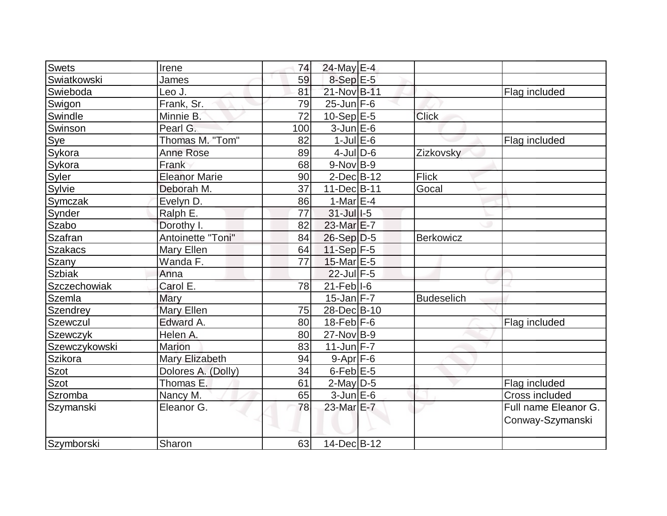| Swets          | Irene                | 74  | $24$ -May E-4     |                   |                      |
|----------------|----------------------|-----|-------------------|-------------------|----------------------|
| Swiatkowski    | James                | 59  | $8-SepE-5$        |                   |                      |
| Swieboda       | Leo J.               | 81  | 21-Nov B-11       |                   | Flag included        |
| Swigon         | Frank, Sr.           | 79  | $25$ -Jun F-6     |                   |                      |
| Swindle        | Minnie B.            | 72  | $10-Sep$ $E-5$    | <b>Click</b>      |                      |
| Swinson        | Pearl G.             | 100 | $3$ -Jun $E$ -6   |                   |                      |
| Sye            | Thomas M. "Tom"      | 82  | $1$ -Jul $E$ -6   |                   | Flag included        |
| Sykora         | <b>Anne Rose</b>     | 89  | $4$ -JulD-6       | Zizkovsky         |                      |
| Sykora         | Frank                | 68  | $9-Nov B-9$       |                   |                      |
| Syler          | <b>Eleanor Marie</b> | 90  | $2$ -Dec $B-12$   | <b>Flick</b>      |                      |
| Sylvie         | Deborah M.           | 37  | 11-Dec B-11       | Gocal             |                      |
| Symczak        | Evelyn D.            | 86  | 1-Mar $E-4$       |                   |                      |
| Synder         | Ralph E.             | 77  | $31$ -Jul $I-5$   |                   |                      |
| Szabo          | Dorothy I.           | 82  | 23-Mar E-7        |                   |                      |
| <b>Szafran</b> | Antoinette "Toni"    | 84  | $26-Sep D-5$      | <b>Berkowicz</b>  |                      |
| Szakacs        | Mary Ellen           | 64  | $11-Sep$ F-5      |                   |                      |
| Szany          | Wanda F.             | 77  | 15-Mar E-5        |                   |                      |
| <b>Szbiak</b>  | Anna                 |     | 22-Jul F-5        |                   |                      |
| Szczechowiak   | Carol E.             | 78  | $21$ -Feb $ I-6 $ |                   |                      |
| Szemla         | Mary                 |     | $15$ -Jan $F - 7$ | <b>Budeselich</b> |                      |
| Szendrey       | Mary Ellen           | 75  | 28-DecB-10        |                   |                      |
| Szewczul       | Edward A.            | 80  | $18$ -Feb $ F-6$  |                   | Flag included        |
| Szewczyk       | Helen A.             | 80  | $27$ -Nov B-9     |                   |                      |
| Szewczykowski  | <b>Marion</b>        | 83  | $11$ -Jun F-7     |                   |                      |
| Szikora        | Mary Elizabeth       | 94  | $9-Apr$ F-6       |                   |                      |
| Szot           | Dolores A. (Dolly)   | 34  | $6$ -Feb $E$ -5   |                   |                      |
| Szot           | Thomas E.            | 61  | $2$ -May $D-5$    |                   | Flag included        |
| Szromba        | Nancy M.             | 65  | $3$ -Jun $E$ -6   |                   | Cross included       |
| Szymanski      | Eleanor G.           | 78  | 23-Mar E-7        |                   | Full name Eleanor G. |
|                |                      |     |                   |                   | Conway-Szymanski     |
| Szymborski     | Sharon               | 63  | 14-Dec B-12       |                   |                      |
|                |                      |     |                   |                   |                      |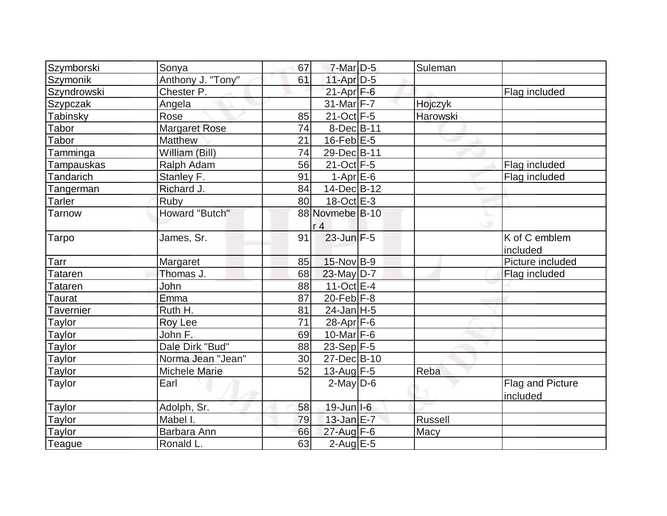| Szymborski     | Sonya                 | 67 | $7$ -Mar $D-5$   | Suleman  |                  |
|----------------|-----------------------|----|------------------|----------|------------------|
| Szymonik       | Anthony J. "Tony"     | 61 | 11-Apr D-5       |          |                  |
| Szyndrowski    | Chester P.            |    | $21-Apr$ F-6     |          | Flag included    |
| Szypczak       | Angela                |    | $31$ -Mar $F-7$  | Hojczyk  |                  |
| Tabinsky       | Rose                  | 85 | $21-Oct$ F-5     | Harowski |                  |
| Tabor          | <b>Margaret Rose</b>  | 74 | 8-Dec B-11       |          |                  |
| Tabor          | <b>Matthew</b>        | 21 | $16$ -Feb $E-5$  |          |                  |
| Tamminga       | William (Bill)        | 74 | 29-Dec B-11      |          |                  |
| Tampauskas     | Ralph Adam            | 56 | $21-Oct$ F-5     |          | Flag included    |
| Tandarich      | Stanley F.            | 91 | $1-AprE-6$       |          | Flag included    |
| Tangerman      | Richard J.            | 84 | 14-Dec B-12      |          |                  |
| Tarler         | Ruby                  | 80 | $18-Oct$ E-3     |          |                  |
| Tarnow         | <b>Howard "Butch"</b> |    | 88 Novmebe B-10  |          |                  |
|                |                       |    | r <sub>4</sub>   |          |                  |
| Tarpo          | James, Sr.            | 91 | $23$ -Jun $F-5$  |          | K of C emblem    |
|                |                       |    |                  |          | included         |
| Tarr           | Margaret              | 85 | $15$ -Nov B-9    |          | Picture included |
| <b>Tataren</b> | Thomas J.             | 68 | $23$ -May D-7    |          | Flag included    |
| Tataren        | John                  | 88 | $11-Oct$ E-4     |          |                  |
| Taurat         | Emma                  | 87 | $20$ -Feb $F-8$  |          |                  |
| Tavernier      | Ruth H.               | 81 | $24$ -Jan H-5    |          |                  |
| Taylor         | <b>Roy Lee</b>        | 71 | $28$ -Apr $F$ -6 |          |                  |
| Taylor         | John F.               | 69 | 10-Mar $F-6$     |          |                  |
| Taylor         | Dale Dirk "Bud"       | 88 | $23-Sep$ F-5     |          |                  |
| <b>Taylor</b>  | Norma Jean "Jean"     | 30 | 27-Dec B-10      |          |                  |
| Taylor         | <b>Michele Marie</b>  | 52 | 13-Aug F-5       | Reba     |                  |
| Taylor         | Earl                  |    | $2$ -May $D$ -6  |          | Flag and Picture |
|                |                       |    |                  |          | included         |
| <b>Taylor</b>  | Adolph, Sr.           | 58 | 19-Jun I-6       |          |                  |
| Taylor         | Mabel I.              | 79 | $13$ -Jan $E-7$  | Russell  |                  |
| <b>Taylor</b>  | Barbara Ann           | 66 | $27$ -Aug $F-6$  | Macy     |                  |
| Teague         | Ronald L.             | 63 | $2$ -Aug E-5     |          |                  |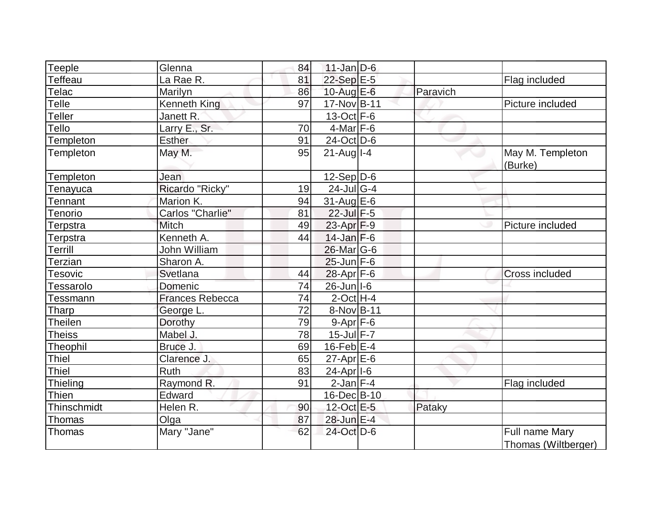| eeple <sup>-</sup> | Glenna           | 84 | $11$ -Jan D-6           |          |                                       |
|--------------------|------------------|----|-------------------------|----------|---------------------------------------|
| <b>Teffeau</b>     | La Rae R.        | 81 | $22-Sep$ E-5            |          | Flag included                         |
| Telac              | Marilyn          | 86 | 10-Aug E-6              | Paravich |                                       |
| Telle              | Kenneth King     | 97 | 17-Nov B-11             |          | Picture included                      |
| Teller             | Janett R.        |    | $13-Oct$ F-6            |          |                                       |
| Tello              | Larry E., Sr.    | 70 | $4$ -Mar $F-6$          |          |                                       |
| Templeton          | <b>Esther</b>    | 91 | $24$ -Oct $D-6$         |          |                                       |
| Templeton          | May M.           | 95 | $21$ -Augll-4           |          | May M. Templeton<br>(Burke)           |
| Templeton          | Jean             |    | $12-Sep D-6$            |          |                                       |
| Tenayuca           | Ricardo "Ricky"  | 19 | $24$ -Jul G-4           |          |                                       |
| <b>Fennant</b>     | Marion K.        | 94 | $31$ -Aug E-6           |          |                                       |
| <b>Tenorio</b>     | Carlos "Charlie" | 81 | $22$ -Jul $F-5$         |          |                                       |
| Terpstra           | Mitch            | 49 | 23-Apr F-9              |          | Picture included                      |
| Terpstra           | Kenneth A.       | 44 | $14$ -Jan $F-6$         |          |                                       |
| Terrill            | John William     |    | 26-Mar G-6              |          |                                       |
| Terzian            | Sharon A.        |    | $25$ -Jun $F-6$         |          |                                       |
| Tesovic            | Svetlana         | 44 | 28-Apr F-6              |          | <b>Cross included</b>                 |
| <b>Fessarolo</b>   | Domenic          | 74 | 26-Jun I-6              |          |                                       |
| Tessmann           | Frances Rebecca  | 74 | $2$ -Oct H-4            |          |                                       |
| Tharp              | George L.        | 72 | 8-Nov B-11              |          |                                       |
| <b>Theilen</b>     | Dorothy          | 79 | $9 - Apr$ $F-6$         |          |                                       |
| <b>Theiss</b>      | Mabel J.         | 78 | $15$ -Jul $F - 7$       |          |                                       |
| Theophil           | Bruce J.         | 69 | $16$ -Feb $E-4$         |          |                                       |
| <b>Thiel</b>       | Clarence J.      | 65 | $27$ -Apr $E$ -6        |          |                                       |
| <b>Thiel</b>       | Ruth             | 83 | $24-Apr$ <sup>1-6</sup> |          |                                       |
| Thieling           | Raymond R.       | 91 | $2$ -Jan $F-4$          |          | Flag included                         |
| <b>Thien</b>       | Edward           |    | 16-Dec B-10             |          |                                       |
| Thinschmidt        | Helen R.         | 90 | 12-Oct E-5              | Pataky   |                                       |
| Thomas             | Olga             | 87 | 28-Jun E-4              |          |                                       |
| Thomas             | Mary "Jane"      | 62 | 24-Oct D-6              |          | Full name Mary<br>Thomas (Wiltberger) |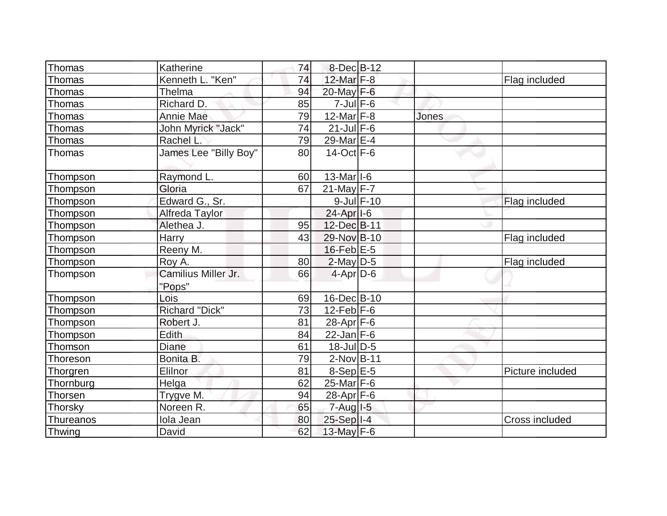| Thomas           | Katherine             | 74 | 8-Dec B-12              |       |                  |
|------------------|-----------------------|----|-------------------------|-------|------------------|
| Thomas           | Kenneth L. "Ken"      | 74 | $12$ -Mar $F-8$         |       | Flag included    |
| Thomas           | Thelma                | 94 | 20-May F-6              |       |                  |
| Thomas           | Richard D.            | 85 | $7$ -Jul $F$ -6         |       |                  |
| Thomas           | <b>Annie Mae</b>      | 79 | $12$ -Mar $F-8$         | Jones |                  |
| Thomas           | John Myrick "Jack"    | 74 | $21$ -Jul $F-6$         |       |                  |
| Thomas           | Rachel L.             | 79 | 29-Mar E-4              |       |                  |
| Thomas           | James Lee "Billy Boy" | 80 | 14-Oct F-6              |       |                  |
| Thompson         | Raymond L.            | 60 | $13$ -Mar $ I-6 $       |       |                  |
| Thompson         | Gloria                | 67 | $21$ -May F-7           |       |                  |
| Thompson         | Edward G., Sr.        |    | $9$ -Jul $F-10$         |       | Flag included    |
| Thompson         | Alfreda Taylor        |    | 24-Apr <sub>1-6</sub>   |       |                  |
| Thompson         | Alethea J.            | 95 | 12-Dec B-11             |       |                  |
| Thompson         | <b>Harry</b>          | 43 | 29-Nov B-10             |       | Flag included    |
| Thompson         | Reeny M.              |    | $16$ -Feb $E-5$         |       |                  |
| Thompson         | Roy A.                | 80 | $2$ -May D-5            |       | Flag included    |
| Thompson         | Camilius Miller Jr.   | 66 | $4-Apr$ D-6             |       |                  |
|                  | "Pops"                |    |                         |       |                  |
| Thompson         | Lois                  | 69 | 16-Dec B-10             |       |                  |
| Thompson         | <b>Richard "Dick"</b> | 73 | $12$ -Feb F-6           |       |                  |
| Thompson         | Robert J.             | 81 | $28$ -Apr $ F-6 $       |       |                  |
| Thompson         | <b>Edith</b>          | 84 | $22$ -Jan F-6           |       |                  |
| Thomson          | Diane                 | 61 | $18$ -Jul $ D-5 $       |       |                  |
| Thoreson         | Bonita B.             | 79 | $2$ -Nov $ B-11 $       |       |                  |
| Thorgren         | Elilnor               | 81 | $8-Sep$ $E-5$           |       | Picture included |
| Thornburg        | Helga                 | 62 | $25$ -Mar $F-6$         |       |                  |
| Thorsen          | Trygve M.             | 94 | $28$ -Apr $F$ -6        |       |                  |
| Thorsky          | Noreen R.             | 65 | $7 - Aug$ $1 - 5$       |       |                  |
| <b>Thureanos</b> | Iola Jean             | 80 | $25-Sep$ <sup>1-4</sup> |       | Cross included   |
| Thwing           | David                 | 62 | 13-May F-6              |       |                  |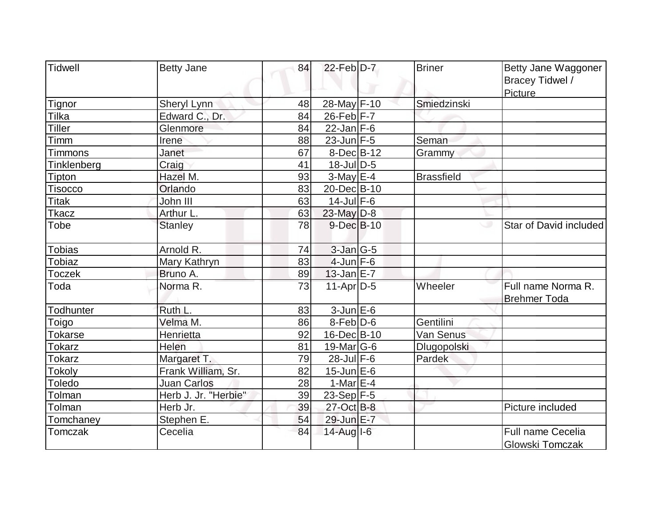| <b>Tidwell</b> | <b>Betty Jane</b>    | 84 | $22$ -Feb $D-7$  | <b>Briner</b>     | Betty Jane Waggoner<br>Bracey Tidwel /<br>Picture |
|----------------|----------------------|----|------------------|-------------------|---------------------------------------------------|
| Tignor         | <b>Sheryl Lynn</b>   | 48 | 28-May F-10      | Smiedzinski       |                                                   |
| Tilka          | Edward C., Dr.       | 84 | $26$ -Feb $F-7$  |                   |                                                   |
| <b>Tiller</b>  | Glenmore             | 84 | $22$ -Jan $F-6$  |                   |                                                   |
| Timm           | Irene                | 88 | $23$ -Jun F-5    | Seman             |                                                   |
| Timmons        | Janet                | 67 | $8$ -Dec $B$ -12 | Grammy            |                                                   |
| Tinklenberg    | Craig                | 41 | $18$ -Jul $D-5$  |                   |                                                   |
| Tipton         | Hazel M.             | 93 | $3-May$ $E-4$    | <b>Brassfield</b> |                                                   |
| <b>Tisocco</b> | Orlando              | 83 | 20-Dec B-10      |                   |                                                   |
| <b>Titak</b>   | John III             | 63 | $14$ -Jul $F-6$  |                   |                                                   |
| <b>Tkacz</b>   | Arthur L.            | 63 | 23-May D-8       |                   |                                                   |
| Tobe           | <b>Stanley</b>       | 78 | $9$ -Dec $B$ -10 |                   | Star of David included                            |
| <b>Tobias</b>  | Arnold R.            | 74 | $3$ -Jan $G-5$   |                   |                                                   |
| Tobiaz         | Mary Kathryn         | 83 | $4$ -Jun $F-6$   |                   |                                                   |
| <b>Toczek</b>  | Bruno A.             | 89 | $13$ -Jan $E-7$  |                   |                                                   |
| Toda           | Norma R.             | 73 | $11-Apr D-5$     | Wheeler           | Full name Norma R.<br><b>Brehmer Toda</b>         |
| Todhunter      | Ruth L.              | 83 | $3$ -Jun $E$ -6  |                   |                                                   |
| Toigo          | Velma M.             | 86 | $8-Feb D-6$      | Gentilini         |                                                   |
| <b>Tokarse</b> | Henrietta            | 92 | 16-Dec B-10      | Van Senus         |                                                   |
| Tokarz         | Helen                | 81 | 19-Mar $ G-6 $   | Dlugopolski       |                                                   |
| <b>Tokarz</b>  | Margaret T.          | 79 | $28$ -Jul $F-6$  | Pardek            |                                                   |
| Tokoly         | Frank William, Sr.   | 82 | $15$ -Jun $E$ -6 |                   |                                                   |
| Toledo         | <b>Juan Carlos</b>   | 28 | 1-Mar $E-4$      |                   |                                                   |
| Tolman         | Herb J. Jr. "Herbie" | 39 | $23-Sep$ F-5     |                   |                                                   |
| Tolman         | Herb Jr.             | 39 | 27-Oct B-8       |                   | Picture included                                  |
| Tomchaney      | Stephen E.           | 54 | 29-Jun E-7       |                   |                                                   |
| <b>Tomczak</b> | Cecelia              | 84 | $14$ -Aug $I$ -6 |                   | <b>Full name Cecelia</b><br>Glowski Tomczak       |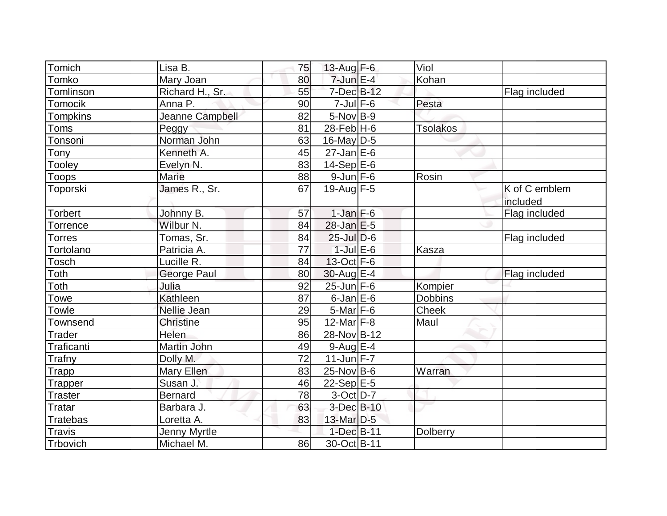| Tomich          | Lisa B.          | 75 | 13-Aug $F-6$            | Viol            |                           |
|-----------------|------------------|----|-------------------------|-----------------|---------------------------|
| Tomko           | Mary Joan        | 80 | $7$ -Jun $E-4$          | Kohan           |                           |
| Tomlinson       | Richard H., Sr.  | 55 | $7$ -Dec $B-12$         |                 | Flag included             |
| Tomocik         | Anna P.          | 90 | $7$ -Jul $F$ -6         | Pesta           |                           |
| <b>Tompkins</b> | Jeanne Campbell  | 82 | $5-Nov$ B-9             |                 |                           |
| Toms            | Peggy            | 81 | $28$ -Feb $H$ -6        | <b>Tsolakos</b> |                           |
| Tonsoni         | Norman John      | 63 | $16$ -May D-5           |                 |                           |
| Tony            | Kenneth A.       | 45 | $27$ -Jan $E$ -6        |                 |                           |
| Tooley          | Evelyn N.        | 83 | $14-Sep$ $E-6$          |                 |                           |
| Toops           | <b>Marie</b>     | 88 | $9$ -Jun $F$ -6         | Rosin           |                           |
| Toporski        | James R., Sr.    | 67 | $19$ -Aug F-5           |                 | K of C emblem<br>included |
| Torbert         | Johnny B.        | 57 | $1-Jan$ F-6             |                 | Flag included             |
| Torrence        | Wilbur N.        | 84 | $28$ -Jan $E-5$         |                 |                           |
| <b>Torres</b>   | Tomas, Sr.       | 84 | $25$ -Jul $D-6$         |                 | Flag included             |
| Tortolano       | Patricia A.      | 77 | $1$ -Jul $E$ -6         | <b>Kasza</b>    |                           |
| Tosch           | Lucille R.       | 84 | $13-Oct$ F-6            |                 |                           |
| Toth            | George Paul      | 80 | 30-Aug E-4              |                 | Flag included             |
| Toth            | Julia            | 92 | $25$ -Jun $F-6$         | Kompier         |                           |
| Towe            | Kathleen         | 87 | $6$ -Jan $E$ -6         | <b>Dobbins</b>  |                           |
| Towle           | Nellie Jean      | 29 | $5$ -Mar $ F-6 $        | <b>Cheek</b>    |                           |
| <b>Townsend</b> | <b>Christine</b> | 95 | 12-Mar $F-8$            | Maul            |                           |
| <b>Trader</b>   | <b>Helen</b>     | 86 | 28-Nov B-12             |                 |                           |
| Traficanti      | Martin John      | 49 | $9$ -Aug $E-4$          |                 |                           |
| Trafny          | Dolly M.         | 72 | 11-Jun $F-7$            |                 |                           |
| Trapp           | Mary Ellen       | 83 | $25$ -Nov B-6           | Warran          |                           |
| Trapper         | Susan J.         | 46 | $22-Sep$ <sup>E-5</sup> |                 |                           |
| <b>Traster</b>  | <b>Bernard</b>   | 78 | $3-Oct$ D-7             |                 |                           |
| Tratar          | Barbara J.       | 63 | $3-Dec$ $B-10$          |                 |                           |
| Tratebas        | Loretta A.       | 83 | 13-Mar $D-5$            |                 |                           |
| <b>Travis</b>   | Jenny Myrtle     |    | $1-Dec$ $B-11$          | Dolberry        |                           |
| Trbovich        | Michael M.       | 86 | 30-Oct B-11             |                 |                           |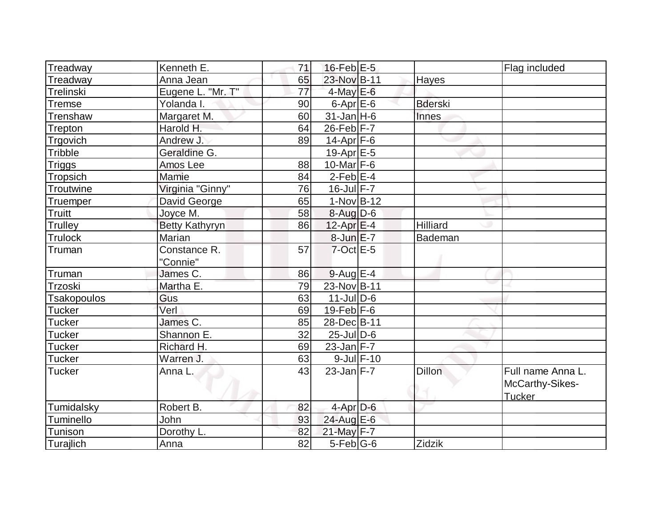| Treadway           | Kenneth E.            | 71              | $16$ -Feb $E-5$     |                 |                | Flag included                                         |
|--------------------|-----------------------|-----------------|---------------------|-----------------|----------------|-------------------------------------------------------|
| Treadway           | Anna Jean             | 65              | 23-Nov B-11         |                 | Hayes          |                                                       |
| Trelinski          | Eugene L. "Mr. T"     | $\overline{77}$ | $4$ -May E-6        |                 |                |                                                       |
| <b>Tremse</b>      | Yolanda I.            | 90              | $6 - Apr$ $E - 6$   |                 | <b>Bderski</b> |                                                       |
| Trenshaw           | Margaret M.           | 60              | $31$ -Jan $H-6$     |                 | Innes          |                                                       |
| Trepton            | Harold H.             | 64              | $26$ -Feb $F-7$     |                 |                |                                                       |
| Trgovich           | Andrew J.             | 89              | $14$ -Apr $F-6$     |                 |                |                                                       |
| Tribble            | Geraldine G.          |                 | $19$ -Apr $E$ -5    |                 |                |                                                       |
| <b>Triggs</b>      | Amos Lee              | 88              | 10-Mar $F-6$        |                 |                |                                                       |
| Tropsich           | <b>Mamie</b>          | 84              | $2-Feb$ E-4         |                 |                |                                                       |
| Troutwine          | Virginia "Ginny"      | 76              | $16$ -Jul $F - 7$   |                 |                |                                                       |
| <b>Truemper</b>    | David George          | 65              | $1-Nov$ B-12        |                 |                |                                                       |
| Truitt             | Joyce M.              | 58              | 8-Aug D-6           |                 |                |                                                       |
| Trulley            | <b>Betty Kathyryn</b> | 86              | $12$ -Apr $E-4$     |                 | Hilliard       |                                                       |
| <b>Trulock</b>     | Marian                |                 | 8-Jun E-7           |                 | Bademan        |                                                       |
| Truman             | Constance R.          | 57              | $7$ -Oct $E - 5$    |                 |                |                                                       |
|                    | "Connie"              |                 |                     |                 |                |                                                       |
| Truman             | James C.              | 86              | $9$ -Aug E-4        |                 |                |                                                       |
| Trzoski            | Martha E.             | 79              | 23-Nov B-11         |                 |                |                                                       |
| <b>Tsakopoulos</b> | Gus                   | 63              | $11$ -Jul $D-6$     |                 |                |                                                       |
| <b>Tucker</b>      | Verl                  | 69              | $19$ -Feb $ F-6$    |                 |                |                                                       |
| <b>Tucker</b>      | James C.              | 85              | 28-DecB-11          |                 |                |                                                       |
| Tucker             | Shannon E.            | 32              | $25$ -Jul $D$ -6    |                 |                |                                                       |
| <b>Tucker</b>      | Richard H.            | 69              | $23$ -Jan F-7       |                 |                |                                                       |
| <b>Tucker</b>      | Warren J.             | 63              |                     | $9$ -Jul $F-10$ |                |                                                       |
| <b>Tucker</b>      | Anna L.               | 43              | $23$ -Jan $ F - 7 $ |                 | Dillon         | Full name Anna L.<br>McCarthy-Sikes-<br><b>Tucker</b> |
| Tumidalsky         | Robert B.             | 82              | $4$ -Apr $D-6$      |                 |                |                                                       |
| Tuminello          | John                  | 93              | 24-Aug E-6          |                 |                |                                                       |
|                    |                       |                 |                     |                 |                |                                                       |
| Tunison            | Dorothy L.            | 82              | 21-May F-7          |                 |                |                                                       |
| Turajlich          | Anna                  | 82              | $5$ -Feb $ G$ -6    |                 | Zidzik         |                                                       |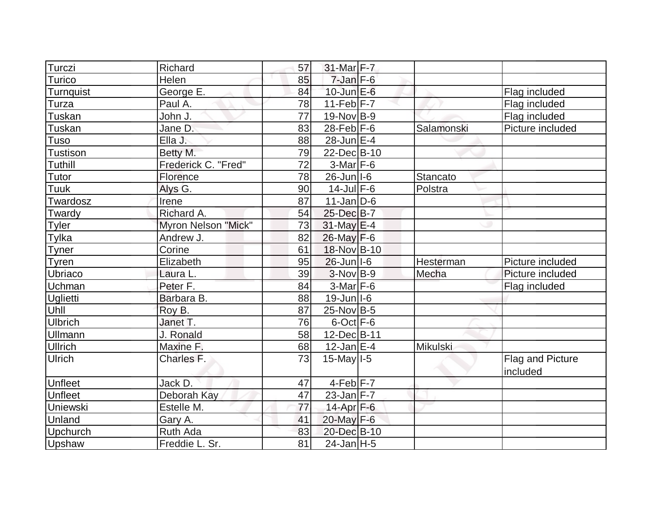| Turczi          | Richard             | 57 | $31$ -Mar F-7     |            |                              |
|-----------------|---------------------|----|-------------------|------------|------------------------------|
| Turico          | Helen               | 85 | $7$ -Jan $F$ -6   |            |                              |
| Turnquist       | George E.           | 84 | $10$ -Jun $E - 6$ |            | Flag included                |
| Turza           | Paul A.             | 78 | $11-Feb$ $F-7$    |            | Flag included                |
| Tuskan          | John J.             | 77 | $19-Nov$ B-9      |            | Flag included                |
| Tuskan          | Jane D.             | 83 | $28$ -Feb $F-6$   | Salamonski | Picture included             |
| Tuso            | Ella J.             | 88 | $28$ -Jun $E-4$   |            |                              |
| <b>Tustison</b> | Betty M.            | 79 | 22-Dec B-10       |            |                              |
| Tuthill         | Frederick C. "Fred" | 72 | $3-Mar$ F-6       |            |                              |
| Tutor           | Florence            | 78 | $26$ -Jun $ I-6 $ | Stancato   |                              |
| Tuuk            | Alys G.             | 90 | $14$ -Jul F-6     | Polstra    |                              |
| Twardosz        | Irene               | 87 | $11$ -Jan $ D-6$  |            |                              |
| Twardy          | Richard A.          | 54 | 25-Dec B-7        |            |                              |
| Tyler           | Myron Nelson "Mick" | 73 | $31$ -May $E-4$   |            |                              |
| Tylka           | Andrew J.           | 82 | $26$ -May $F-6$   |            |                              |
| <b>Tyner</b>    | Corine              | 61 | 18-Nov B-10       |            |                              |
|                 |                     |    |                   |            |                              |
| <b>Tyren</b>    | Elizabeth           | 95 | $26$ -Jun $ I-6 $ | Hesterman  | Picture included             |
| Ubriaco         | Laura L.            | 39 | $3-Nov B-9$       | Mecha      | Picture included             |
| Uchman          | Peter F.            | 84 | 3-Mar F-6         |            | Flag included                |
| Uglietti        | Barbara B.          | 88 | $19$ -Jun $ I-6 $ |            |                              |
| Uhll            | Roy B.              | 87 | 25-Nov B-5        |            |                              |
| <b>Ulbrich</b>  | Janet T.            | 76 | $6$ -Oct $ F-6 $  |            |                              |
| <b>Ullmann</b>  | J. Ronald           | 58 | 12-Dec B-11       |            |                              |
| <b>Ullrich</b>  | Maxine F.           | 68 | $12$ -Jan $E-4$   | Mikulski   |                              |
| <b>Ulrich</b>   | Charles F.          | 73 | $15$ -May $I - 5$ |            | Flag and Picture<br>included |
| Unfleet         | Jack D.             | 47 | $4-Feb$ $F-7$     |            |                              |
| <b>Unfleet</b>  | Deborah Kay         | 47 | $23$ -Jan $F-7$   |            |                              |
| <b>Uniewski</b> | Estelle M.          | 77 | 14-Apr F-6        |            |                              |
| Unland          | Gary A.             | 41 | 20-May F-6        |            |                              |
| Upchurch        | Ruth Ada            | 83 | 20-Dec B-10       |            |                              |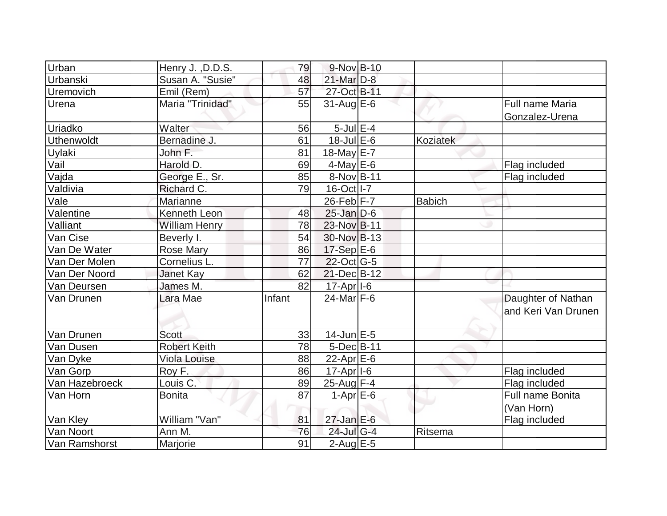| Urban             | Henry J., D.D.S.     | 79     | $9-Nov$ B-10          |               |                     |
|-------------------|----------------------|--------|-----------------------|---------------|---------------------|
| Urbanski          | Susan A. "Susie"     | 48     | $21$ -Mar $D-8$       |               |                     |
| Uremovich         | Emil (Rem)           | 57     | 27-Oct B-11           |               |                     |
| Urena             | Maria "Trinidad"     | 55     | $31$ -Aug E-6         |               | Full name Maria     |
|                   |                      |        |                       |               | Gonzalez-Urena      |
| Uriadko           | Walter               | 56     | $5$ -Jul $E$ -4       |               |                     |
| <b>Uthenwoldt</b> | Bernadine J.         | 61     | $18$ -Jul $E$ -6      | Koziatek      |                     |
| Uylaki            | John F.              | 81     | 18-May E-7            |               |                     |
| Vail              | Harold D.            | 69     | $4$ -May E-6          |               | Flag included       |
| Vajda             | George E., Sr.       | 85     | 8-Nov B-11            |               | Flag included       |
| Valdivia          | Richard C.           | 79     | 16-Oct I-7            |               |                     |
| Vale              | Marianne             |        | $26$ -Feb F-7         | <b>Babich</b> |                     |
| Valentine         | Kenneth Leon         | 48     | $25$ -Jan $D$ -6      |               |                     |
| Valliant          | <b>William Henry</b> | 78     | 23-Nov B-11           |               |                     |
| Van Cise          | Beverly I.           | 54     | 30-Nov B-13           |               |                     |
| Van De Water      | <b>Rose Mary</b>     | 86     | $17-Sep$ E-6          |               |                     |
| Van Der Molen     | Cornelius L.         | 77     | $22$ -Oct G-5         |               |                     |
| Van Der Noord     | Janet Kay            | 62     | 21-Dec B-12           |               |                     |
| Van Deursen       | James M.             | 82     | $17 - Apr$ $I-6$      |               |                     |
| Van Drunen        | Lara Mae             | Infant | $24$ -Mar $ F-6$      |               | Daughter of Nathan  |
|                   |                      |        |                       |               | and Keri Van Drunen |
|                   |                      |        |                       |               |                     |
| Van Drunen        | <b>Scott</b>         | 33     | $14$ -Jun $E-5$       |               |                     |
| Van Dusen         | <b>Robert Keith</b>  | 78     | $5$ -Dec $B$ -11      |               |                     |
| Van Dyke          | <b>Viola Louise</b>  | 88     | 22-Apr $E-6$          |               |                     |
| Van Gorp          | Roy F.               | 86     | 17-Apr <sub>1-6</sub> |               | Flag included       |
| Van Hazebroeck    | Louis C.             | 89     | 25-Aug F-4            |               | Flag included       |
| Van Horn          | <b>Bonita</b>        | 87     | $1-Apr \, E-6$        |               | Full name Bonita    |
|                   |                      |        |                       |               | (Van Horn)          |
| Van Kley          | William "Van"        | 81     | $27$ -Jan $E$ -6      |               | Flag included       |
| Van Noort         | Ann M.               | 76     | $24$ -Jul G-4         | Ritsema       |                     |
| Van Ramshorst     | Marjorie             | 91     | $2$ -Aug $E - 5$      |               |                     |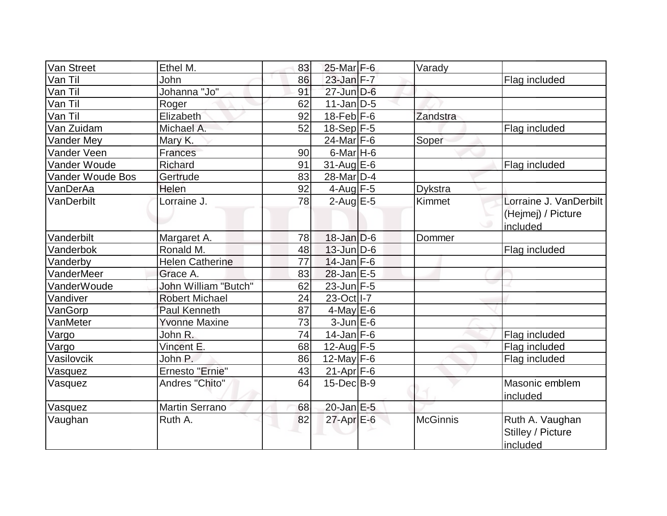|                        |                                                                                                                                                       |                                                    |                                                                                                                                                                                                                                                                                                                                                                                                                                                                                                         | Flag included                                    |
|------------------------|-------------------------------------------------------------------------------------------------------------------------------------------------------|----------------------------------------------------|---------------------------------------------------------------------------------------------------------------------------------------------------------------------------------------------------------------------------------------------------------------------------------------------------------------------------------------------------------------------------------------------------------------------------------------------------------------------------------------------------------|--------------------------------------------------|
|                        |                                                                                                                                                       |                                                    |                                                                                                                                                                                                                                                                                                                                                                                                                                                                                                         |                                                  |
|                        |                                                                                                                                                       |                                                    |                                                                                                                                                                                                                                                                                                                                                                                                                                                                                                         |                                                  |
|                        | 92                                                                                                                                                    |                                                    |                                                                                                                                                                                                                                                                                                                                                                                                                                                                                                         |                                                  |
| Michael A.             | 52                                                                                                                                                    |                                                    |                                                                                                                                                                                                                                                                                                                                                                                                                                                                                                         | Flag included                                    |
| Mary K.                |                                                                                                                                                       |                                                    | Soper                                                                                                                                                                                                                                                                                                                                                                                                                                                                                                   |                                                  |
| Frances                | 90                                                                                                                                                    |                                                    |                                                                                                                                                                                                                                                                                                                                                                                                                                                                                                         |                                                  |
| <b>Richard</b>         | 91                                                                                                                                                    |                                                    |                                                                                                                                                                                                                                                                                                                                                                                                                                                                                                         | Flag included                                    |
| Gertrude               | 83                                                                                                                                                    |                                                    |                                                                                                                                                                                                                                                                                                                                                                                                                                                                                                         |                                                  |
| Helen                  | 92                                                                                                                                                    |                                                    |                                                                                                                                                                                                                                                                                                                                                                                                                                                                                                         |                                                  |
| Lorraine J.            | 78                                                                                                                                                    |                                                    | Kimmet                                                                                                                                                                                                                                                                                                                                                                                                                                                                                                  | Lorraine J. VanDerbilt                           |
|                        |                                                                                                                                                       |                                                    |                                                                                                                                                                                                                                                                                                                                                                                                                                                                                                         | (Hejmej) / Picture                               |
|                        |                                                                                                                                                       |                                                    |                                                                                                                                                                                                                                                                                                                                                                                                                                                                                                         | included                                         |
|                        | 78                                                                                                                                                    |                                                    | Dommer                                                                                                                                                                                                                                                                                                                                                                                                                                                                                                  |                                                  |
| Ronald M.              | 48                                                                                                                                                    |                                                    |                                                                                                                                                                                                                                                                                                                                                                                                                                                                                                         | Flag included                                    |
| <b>Helen Catherine</b> | 77                                                                                                                                                    |                                                    |                                                                                                                                                                                                                                                                                                                                                                                                                                                                                                         |                                                  |
| Grace A.               | 83                                                                                                                                                    |                                                    |                                                                                                                                                                                                                                                                                                                                                                                                                                                                                                         |                                                  |
| John William "Butch"   | 62                                                                                                                                                    |                                                    |                                                                                                                                                                                                                                                                                                                                                                                                                                                                                                         |                                                  |
| <b>Robert Michael</b>  |                                                                                                                                                       |                                                    |                                                                                                                                                                                                                                                                                                                                                                                                                                                                                                         |                                                  |
| <b>Paul Kenneth</b>    |                                                                                                                                                       |                                                    |                                                                                                                                                                                                                                                                                                                                                                                                                                                                                                         |                                                  |
| <b>Yvonne Maxine</b>   | 73                                                                                                                                                    |                                                    |                                                                                                                                                                                                                                                                                                                                                                                                                                                                                                         |                                                  |
| John R.                | 74                                                                                                                                                    |                                                    |                                                                                                                                                                                                                                                                                                                                                                                                                                                                                                         | Flag included                                    |
|                        | 68                                                                                                                                                    |                                                    |                                                                                                                                                                                                                                                                                                                                                                                                                                                                                                         | Flag included                                    |
| John P.                | 86                                                                                                                                                    |                                                    |                                                                                                                                                                                                                                                                                                                                                                                                                                                                                                         | Flag included                                    |
|                        |                                                                                                                                                       |                                                    |                                                                                                                                                                                                                                                                                                                                                                                                                                                                                                         |                                                  |
|                        | 64                                                                                                                                                    |                                                    |                                                                                                                                                                                                                                                                                                                                                                                                                                                                                                         | Masonic emblem                                   |
|                        |                                                                                                                                                       |                                                    |                                                                                                                                                                                                                                                                                                                                                                                                                                                                                                         | included                                         |
|                        |                                                                                                                                                       |                                                    |                                                                                                                                                                                                                                                                                                                                                                                                                                                                                                         |                                                  |
|                        |                                                                                                                                                       |                                                    |                                                                                                                                                                                                                                                                                                                                                                                                                                                                                                         | Ruth A. Vaughan                                  |
|                        |                                                                                                                                                       |                                                    |                                                                                                                                                                                                                                                                                                                                                                                                                                                                                                         | Stilley / Picture                                |
|                        |                                                                                                                                                       |                                                    |                                                                                                                                                                                                                                                                                                                                                                                                                                                                                                         | included                                         |
|                        | Ethel M.<br>John<br>Johanna "Jo"<br>Roger<br>Elizabeth<br>Margaret A.<br>Vincent E.<br>Ernesto "Ernie"<br>Andres "Chito"<br>Martin Serrano<br>Ruth A. | 83<br>86<br>91<br>62<br>24<br>87<br>43<br>68<br>82 | 25-Mar F-6<br>$23$ -Jan $F-7$<br>$27$ -Jun $D-6$<br>$11$ -Jan D-5<br>$18$ -Feb $F-6$<br>18-Sep F-5<br>$24$ -Mar F-6<br>$6$ -Mar H-6<br>$31$ -Aug $E$ -6<br>28-Mar <sub>D-4</sub><br>$4$ -Aug F-5<br>$2$ -Aug $E$ -5<br>$18$ -Jan $D-6$<br>$13$ -Jun $D-6$<br>$14$ -Jan F-6<br>$28$ -Jan $E-5$<br>$23$ -Jun F-5<br>23-Oct   I-7<br>$4$ -May $E$ -6<br>$3$ -Jun $E$ -6<br>$14$ -Jan $F-6$<br>12-Aug F-5<br>12-May $F-6$<br>21-Apr <sub>F-6</sub><br>$15$ -Dec $B$ -9<br>$20$ -Jan E-5<br>$27$ -Apr $E$ -6 | Varady<br>Zandstra<br>Dykstra<br><b>McGinnis</b> |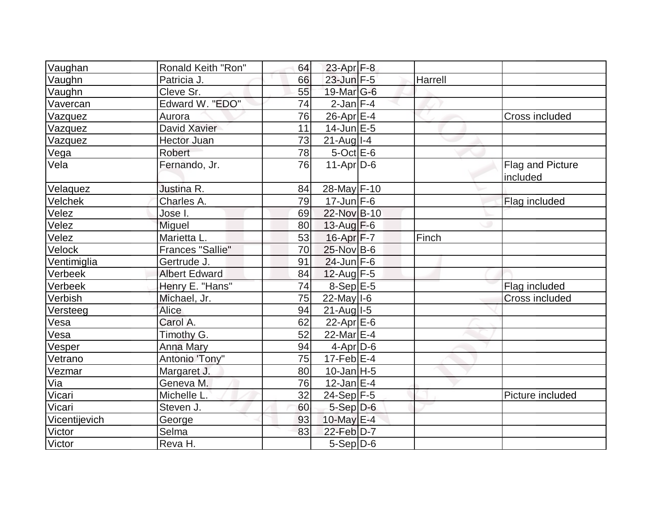| Vaughan       | Ronald Keith "Ron"      | 64 | $23$ -Apr $F-8$   |         |                                     |
|---------------|-------------------------|----|-------------------|---------|-------------------------------------|
| Vaughn        | Patricia J.             | 66 | 23-Jun F-5        | Harrell |                                     |
| Vaughn        | Cleve Sr.               | 55 | 19-Mar G-6        |         |                                     |
| Vavercan      | Edward W. "EDO"         | 74 | $2$ -Jan $F-4$    |         |                                     |
| Vazquez       | Aurora                  | 76 | $26$ -Apr $E-4$   |         | <b>Cross included</b>               |
| Vazquez       | David Xavier            | 11 | $14$ -Jun $E-5$   |         |                                     |
| Vazquez       | <b>Hector Juan</b>      | 73 | $21$ -Aug I-4     |         |                                     |
| Vega          | Robert                  | 78 | $5$ -Oct $E$ -6   |         |                                     |
| Vela          | Fernando, Jr.           | 76 | $11-Apr D-6$      |         | <b>Flag and Picture</b><br>included |
| Velaquez      | Justina R.              | 84 | 28-May F-10       |         |                                     |
| Velchek       | Charles A.              | 79 | $17$ -Jun $F-6$   |         | Flag included                       |
| Velez         | Jose I.                 | 69 | 22-Nov B-10       |         |                                     |
| Velez         | Miguel                  | 80 | $13$ -Aug $F-6$   |         |                                     |
| Velez         | Marietta L.             | 53 | $16$ -Apr $F - 7$ | Finch   |                                     |
| Velock        | <b>Frances "Sallie"</b> | 70 | 25-Nov B-6        |         |                                     |
| Ventimiglia   | Gertrude J.             | 91 | $24$ -Jun F-6     |         |                                     |
| Verbeek       | <b>Albert Edward</b>    | 84 | $12$ -Aug F-5     |         |                                     |
| Verbeek       | Henry E. "Hans"         | 74 | $8-Sep$ E-5       |         | Flag included                       |
| Verbish       | Michael, Jr.            | 75 | $22$ -May $I - 6$ |         | <b>Cross included</b>               |
| Versteeg      | Alice                   | 94 | $21$ -Aug $I-5$   |         |                                     |
| Vesa          | Carol A.                | 62 | 22-Apr $E-6$      |         |                                     |
| Vesa          | Timothy G.              | 52 | 22-Mar E-4        |         |                                     |
| Vesper        | <b>Anna Mary</b>        | 94 | $4$ -Apr $D-6$    |         |                                     |
| Vetrano       | Antonio 'Tony"          | 75 | $17$ -Feb $E-4$   |         |                                     |
| Vezmar        | Margaret J.             | 80 | $10$ -Jan H-5     |         |                                     |
| Via           | Geneva M.               | 76 | $12$ -Jan $E-4$   |         |                                     |
| Vicari        | Michelle L.             | 32 | 24-Sep F-5        |         | Picture included                    |
| Vicari        | Steven J.               | 60 | $5-Sep$ D-6       |         |                                     |
| Vicentijevich | George                  | 93 | 10-May E-4        |         |                                     |
| Victor        | Selma                   | 83 | $22$ -Feb $D-7$   |         |                                     |
| Victor        | Reva H.                 |    | 5-Sep D-6         |         |                                     |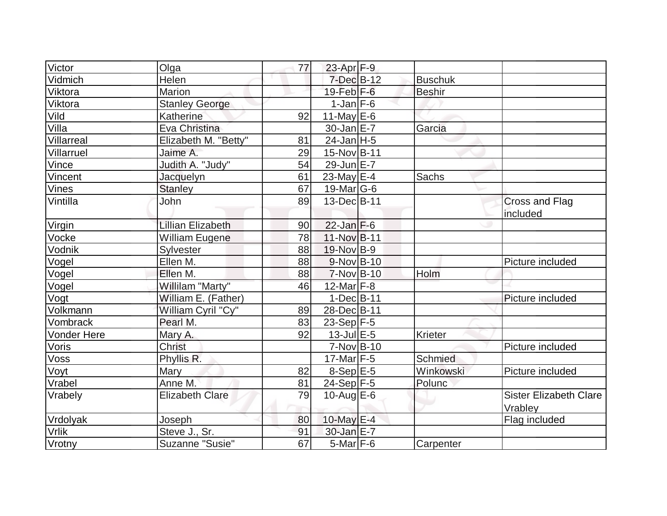| Victor             | Olga                     | 77 | $23$ -Apr $F-9$   |                |                                   |
|--------------------|--------------------------|----|-------------------|----------------|-----------------------------------|
| Vidmich            | Helen                    |    | $7$ -Dec $B-12$   | <b>Buschuk</b> |                                   |
| Viktora            | <b>Marion</b>            |    | $19$ -Feb $ F-6 $ | <b>Beshir</b>  |                                   |
| Viktora            | <b>Stanley George</b>    |    | $1$ -Jan $ F-6 $  |                |                                   |
| Vild               | Katherine                | 92 | $11$ -May E-6     |                |                                   |
| Villa              | Eva Christina            |    | $30$ -Jan $E-7$   | Garcia         |                                   |
| Villarreal         | Elizabeth M. "Betty"     | 81 | $24$ -Jan H-5     |                |                                   |
| Villarruel         | Jaime A.                 | 29 | 15-Nov B-11       |                |                                   |
| Vince              | Judith A. "Judy"         | 54 | 29-Jun E-7        |                |                                   |
| Vincent            | Jacquelyn                | 61 | 23-May $E-4$      | Sachs          |                                   |
| Vines              | <b>Stanley</b>           | 67 | 19-Mar $ G-6 $    |                |                                   |
| Vintilla           | John                     | 89 | 13-Dec B-11       |                | <b>Cross and Flag</b><br>included |
| Virgin             | <b>Lillian Elizabeth</b> | 90 | $22$ -Jan $F-6$   |                |                                   |
| Vocke              | <b>William Eugene</b>    | 78 | 11-Nov B-11       |                |                                   |
| Vodnik             | Sylvester                | 88 | 19-Nov B-9        |                |                                   |
| Vogel              | Ellen M.                 | 88 | $9-Nov$ B-10      |                | Picture included                  |
| Vogel              | Ellen M.                 | 88 | $7-Nov$ B-10      | Holm           |                                   |
| Vogel              | Willilam "Marty"         | 46 | $12$ -Mar $F-8$   |                |                                   |
| Vogt               | William E. (Father)      |    | $1-Dec$ B-11      |                | Picture included                  |
| Volkmann           | William Cyril "Cy"       | 89 | 28-Dec B-11       |                |                                   |
| Vombrack           | Pearl M.                 | 83 | $23-Sep$ F-5      |                |                                   |
| <b>Vonder Here</b> | Mary A.                  | 92 | $13$ -Jul $E-5$   | Krieter        |                                   |
| Voris              | <b>Christ</b>            |    | $7-Nov B-10$      |                | Picture included                  |
| Voss               | Phyllis R.               |    | $17$ -Mar $ F-5 $ | Schmied        |                                   |
| Voyt               | <b>Mary</b>              | 82 | $8-Sep$ E-5       | Winkowski      | Picture included                  |
| Vrabel             | Anne M.                  | 81 | $24-Sep$ F-5      | Polunc         |                                   |
| Vrabely            | <b>Elizabeth Clare</b>   | 79 | $10$ -Aug $E$ -6  |                | <b>Sister Elizabeth Clare</b>     |
|                    |                          |    |                   |                | Vrabley                           |
| Vrdolyak           | Joseph                   | 80 | 10-May E-4        |                | Flag included                     |
| <b>Vrlik</b>       | Steve J., Sr.            | 91 | $30$ -Jan $E-7$   |                |                                   |
| Vrotny             | Suzanne "Susie"          | 67 | $5$ -Mar $F$ -6   | Carpenter      |                                   |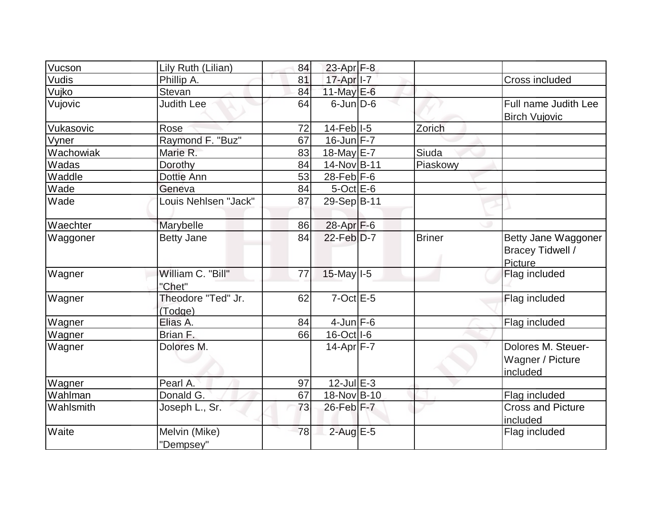| Vucson    | Lily Ruth (Lilian)            | 84 | 23-Apr $F-8$                           |               |                                                           |
|-----------|-------------------------------|----|----------------------------------------|---------------|-----------------------------------------------------------|
| Vudis     | Phillip A.                    | 81 | 17-Apr <sub>1-7</sub>                  |               | Cross included                                            |
| Vujko     | Stevan                        | 84 | 11-May $E-6$                           |               |                                                           |
| Vujovic   | <b>Judith Lee</b>             | 64 | $6$ -Jun $D-6$                         |               | Full name Judith Lee<br><b>Birch Vujovic</b>              |
| Vukasovic | Rose                          | 72 | $14$ -Feb <sup><math> </math></sup> -5 | Zorich        |                                                           |
| Vyner     | Raymond F. "Buz"              | 67 | $16$ -Jun $F - 7$                      |               |                                                           |
| Wachowiak | Marie R.                      | 83 | 18-May E-7                             | Siuda         |                                                           |
| Wadas     | Dorothy                       | 84 | 14-Nov B-11                            | Piaskowy      |                                                           |
| Waddle    | Dottie Ann                    | 53 | $28$ -Feb $ F-6$                       |               |                                                           |
| Wade      | Geneva                        | 84 | $5$ -Oct $E$ -6                        |               |                                                           |
| Wade      | Louis Nehlsen "Jack"          | 87 | 29-Sep B-11                            |               |                                                           |
| Waechter  | Marybelle                     | 86 | 28-Apr F-6                             |               |                                                           |
| Waggoner  | <b>Betty Jane</b>             | 84 | $22$ -Feb $D-7$                        | <b>Briner</b> | Betty Jane Waggoner<br><b>Bracey Tidwell /</b><br>Picture |
| Wagner    | William C. "Bill"<br>"Chet"   | 77 | $15$ -May $I - 5$                      |               | Flag included                                             |
| Wagner    | Theodore "Ted" Jr.<br>(Todge) | 62 | $7$ -Oct $E$ -5                        |               | Flag included                                             |
| Wagner    | Elias A.                      | 84 | $4$ -Jun $F-6$                         |               | Flag included                                             |
| Wagner    | Brian F.                      | 66 | $16$ -Oct $ I-6 $                      |               |                                                           |
| Wagner    | Dolores M.                    |    | $14$ -Apr $ F - 7 $                    |               | Dolores M. Steuer-<br>Wagner / Picture<br>included        |
| Wagner    | Pearl A.                      | 97 | $12$ -Jul $E-3$                        |               |                                                           |
| Wahlman   | Donald G.                     | 67 | 18-Nov B-10                            |               | Flag included                                             |
| Wahlsmith | Joseph L., Sr.                | 73 | $26$ -Feb $F-7$                        |               | <b>Cross and Picture</b><br>included                      |
| Waite     | Melvin (Mike)<br>"Dempsey"    | 78 | $2$ -Aug E-5                           |               | Flag included                                             |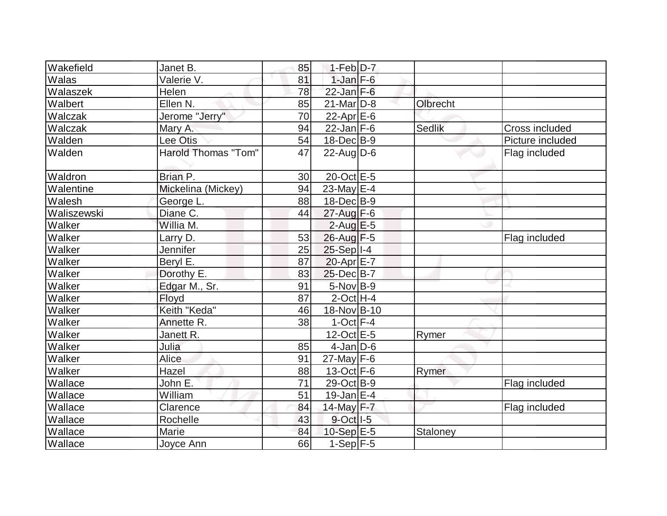| Wakefield   | Janet B.            | 85 | $1-Feb D-7$             |               |                  |
|-------------|---------------------|----|-------------------------|---------------|------------------|
| Walas       | Valerie V.          | 81 | $1$ -Jan $F-6$          |               |                  |
| Walaszek    | Helen               | 78 | $22$ -Jan F-6           |               |                  |
| Walbert     | Ellen N.            | 85 | $21$ -Mar $D-8$         | Olbrecht      |                  |
| Walczak     | Jerome "Jerry"      | 70 | 22-Apr E-6              |               |                  |
| Walczak     | Mary A.             | 94 | $22$ -Jan F-6           | <b>Sedlik</b> | Cross included   |
| Walden      | Lee Otis            | 54 | $18$ -Dec $B$ -9        |               | Picture included |
| Walden      | Harold Thomas "Tom" | 47 | $22$ -Aug $D-6$         |               | Flag included    |
| Waldron     | Brian P.            | 30 | 20-Oct E-5              |               |                  |
| Walentine   | Mickelina (Mickey)  | 94 | 23-May $E-4$            |               |                  |
| Walesh      | George L.           | 88 | 18-Dec B-9              |               |                  |
| Waliszewski | Diane C.            | 44 | 27-Aug F-6              |               |                  |
| Walker      | Willia M.           |    | $2$ -Aug E-5            |               |                  |
| Walker      | Larry D.            | 53 | 26-Aug F-5              |               | Flag included    |
| Walker      | <b>Jennifer</b>     | 25 | $25-Sep$ <sup>1-4</sup> |               |                  |
| Walker      | Beryl E.            | 87 | $20$ -Apr $E$ -7        |               |                  |
| Walker      | Dorothy E.          | 83 | 25-Dec B-7              |               |                  |
| Walker      | Edgar M., Sr.       | 91 | $5-Nov$ B-9             |               |                  |
| Walker      | Floyd               | 87 | $2$ -Oct H-4            |               |                  |
| Walker      | Keith "Keda"        | 46 | 18-Nov B-10             |               |                  |
| Walker      | Annette R.          | 38 | $1-Oct$ F-4             |               |                  |
| Walker      | Janett R.           |    | $12$ -Oct $E-5$         | Rymer         |                  |
| Walker      | Julia               | 85 | $4$ -Jan D-6            |               |                  |
| Walker      | <b>Alice</b>        | 91 | $27$ -May F-6           |               |                  |
| Walker      | Hazel               | 88 | $13-Oct$ F-6            | Rymer         |                  |
| Wallace     | John E.             | 71 | 29-Oct B-9              |               | Flag included    |
| Wallace     | William             | 51 | $19$ -Jan $E-4$         |               |                  |
| Wallace     | Clarence            | 84 | 14-May F-7              |               | Flag included    |
| Wallace     | Rochelle            | 43 | 9-Oct I-5               |               |                  |
| Wallace     | Marie               | 84 | $10-Sep$ $E-5$          | Staloney      |                  |
| Wallace     | Joyce Ann           | 66 | $1-Sep$ F-5             |               |                  |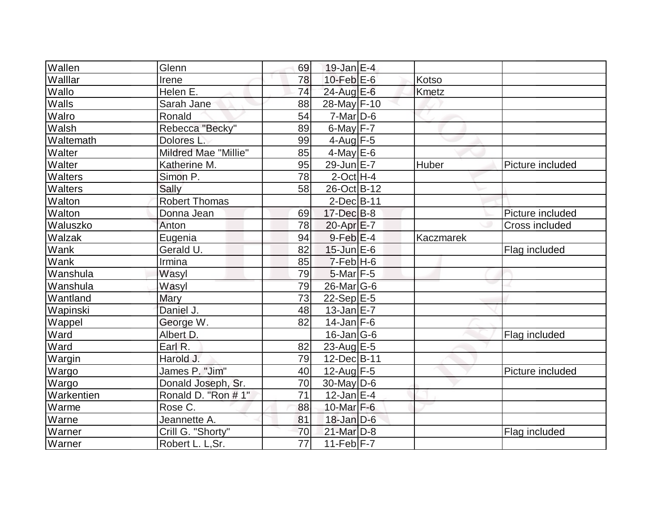| Wallen         | Glenn                | 69              | $19$ -Jan $E-4$         |           |                  |
|----------------|----------------------|-----------------|-------------------------|-----------|------------------|
| Walllar        | Irene                | 78              | 10-Feb $E-6$            | Kotso     |                  |
| Wallo          | Helen E.             | 74              | $24$ -Aug E-6           | Kmetz     |                  |
| Walls          | Sarah Jane           | 88              | 28-May F-10             |           |                  |
| Walro          | Ronald               | 54              | $7$ -Mar $ D-6$         |           |                  |
| Walsh          | Rebecca "Becky"      | 89              | $6$ -May $F - 7$        |           |                  |
| Waltemath      | Dolores L.           | 99              | 4-Aug $F-5$             |           |                  |
| Walter         | Mildred Mae "Millie" | 85              | $4$ -May $E$ -6         |           |                  |
| Walter         | Katherine M.         | 95              | $29$ -Jun $E - 7$       | Huber     | Picture included |
| <b>Walters</b> | Simon P.             | 78              | $2$ -Oct H-4            |           |                  |
| Walters        | Sally                | 58              | 26-Oct B-12             |           |                  |
| Walton         | <b>Robert Thomas</b> |                 | $2$ -Dec $B$ -11        |           |                  |
| Walton         | Donna Jean           | 69              | $17 - Dec$ B-8          |           | Picture included |
| Waluszko       | Anton                | 78              | $20$ -Apr $E$ -7        |           | Cross included   |
| Walzak         | Eugenia              | 94              | $9$ -Feb $E-4$          | Kaczmarek |                  |
| Wank           | Gerald U.            | 82              | $15$ -Jun $E$ -6        |           | Flag included    |
| Wank           | Irmina               | 85              | $7-FebH-6$              |           |                  |
| Wanshula       | Wasyl                | 79              | $5$ -Mar $ F-5 $        |           |                  |
| Wanshula       | Wasyl                | 79              | 26-Mar G-6              |           |                  |
| Wantland       | Mary                 | $\overline{73}$ | $22-Sep$ <sup>E-5</sup> |           |                  |
| Wapinski       | Daniel J.            | 48              | $13$ -Jan $E$ -7        |           |                  |
| Wappel         | George W.            | 82              | $14$ -Jan F-6           |           |                  |
| Ward           | Albert D.            |                 | $16$ -Jan $ G-6$        |           | Flag included    |
| Ward           | Earl R.              | 82              | 23-Aug E-5              |           |                  |
| Wargin         | Harold J.            | 79              | 12-Dec B-11             |           |                  |
| Wargo          | James P. "Jim"       | 40              | $12$ -Aug F-5           |           | Picture included |
| Wargo          | Donald Joseph, Sr.   | 70              | $30$ -May D-6           |           |                  |
| Warkentien     | Ronald D. "Ron # 1"  | 71              | $12$ -Jan $ E-4 $       |           |                  |
| Warme          | Rose C.              | 88              | 10-Mar $F-6$            |           |                  |
| Warne          | Jeannette A.         | 81              | $18$ -Jan D-6           |           |                  |
| Warner         | Crill G. "Shorty"    | 70              | 21-Mar D-8              |           | Flag included    |
| Warner         | Robert L. L, Sr.     | 77              | $11-Feb$ F-7            |           |                  |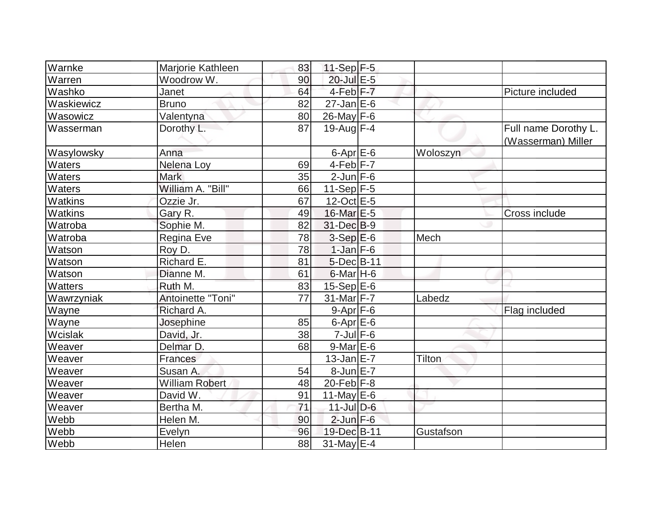| Warnke         | Marjorie Kathleen     | 83 | 11-Sep $F-5$         |           |                                            |
|----------------|-----------------------|----|----------------------|-----------|--------------------------------------------|
| Warren         | Woodrow W.            | 90 | 20-Jul E-5           |           |                                            |
| Washko         | Janet                 | 64 | 4-Feb <sup>F-7</sup> |           | Picture included                           |
| Waskiewicz     | <b>Bruno</b>          | 82 | $27$ -Jan $E$ -6     |           |                                            |
| Wasowicz       | Valentyna             | 80 | $26$ -May F-6        |           |                                            |
| Wasserman      | Dorothy L.            | 87 | 19-Aug $F-4$         |           | Full name Dorothy L.<br>(Wasserman) Miller |
| Wasylowsky     | Anna                  |    | $6$ -Apr $E$ -6      | Woloszyn  |                                            |
| <b>Waters</b>  | Nelena Loy            | 69 | $4-Feb$ $F-7$        |           |                                            |
| Waters         | <b>Mark</b>           | 35 | $2$ -Jun $F-6$       |           |                                            |
| Waters         | William A. "Bill"     | 66 | 11-Sep $ F-5 $       |           |                                            |
| <b>Watkins</b> | Ozzie Jr.             | 67 | $12$ -Oct $E - 5$    |           |                                            |
| <b>Watkins</b> | Gary R.               | 49 | 16-Mar E-5           |           | Cross include                              |
| Watroba        | Sophie M.             | 82 | 31-Dec B-9           |           |                                            |
| Watroba        | Regina Eve            | 78 | $3-SepE-6$           | Mech      |                                            |
| Watson         | Roy D.                | 78 | $1$ -Jan $F-6$       |           |                                            |
| Watson         | Richard E.            | 81 | $5$ -Dec $B$ -11     |           |                                            |
| Watson         | Dianne M.             | 61 | $6$ -Mar H-6         |           |                                            |
| Watters        | Ruth M.               | 83 | $15-Sep$ E-6         |           |                                            |
| Wawrzyniak     | Antoinette "Toni"     | 77 | 31-Mar F-7           | Labedz    |                                            |
| Wayne          | Richard A.            |    | $9-Apr$ $F-6$        |           | Flag included                              |
| Wayne          | Josephine             | 85 | $6$ -Apr $E$ -6      |           |                                            |
| Wcislak        | David, Jr.            | 38 | $7$ -Jul $F$ -6      |           |                                            |
| Weaver         | Delmar D.             | 68 | $9$ -Mar $E$ -6      |           |                                            |
| Weaver         | Frances               |    | $13$ -Jan $E-7$      | Tilton    |                                            |
| Weaver         | Susan A.              | 54 | $8$ -Jun $E - 7$     |           |                                            |
| Weaver         | <b>William Robert</b> | 48 | $20$ -Feb $F-8$      |           |                                            |
| Weaver         | David W.              | 91 | 11-May $E-6$         |           |                                            |
| Weaver         | Bertha M.             | 71 | $11$ -Jul $D-6$      |           |                                            |
| Webb           | Helen M.              | 90 | $2$ -Jun $F-6$       |           |                                            |
| Webb           | Evelyn                | 96 | 19-Dec B-11          | Gustafson |                                            |
| Webb           | Helen                 | 88 | $31$ -May E-4        |           |                                            |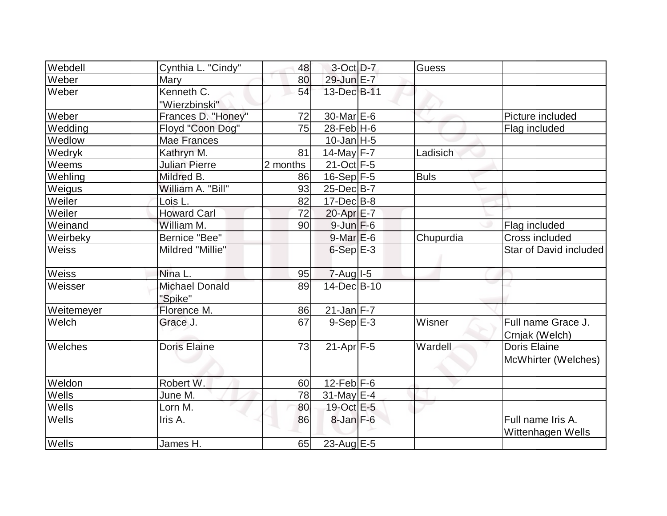| Webdell        | Cynthia L. "Cindy"               | 48       | $3-Oct$ D-7       | <b>Guess</b> |                                        |
|----------------|----------------------------------|----------|-------------------|--------------|----------------------------------------|
| Weber          | Mary                             | 80       | 29-Jun E-7        |              |                                        |
| Weber          | Kenneth C.                       | 54       | 13-Dec B-11       |              |                                        |
|                | "Wierzbinski"                    |          |                   |              |                                        |
| Weber          | Frances D. "Honey"               | 72       | $30$ -Mar $E-6$   |              | Picture included                       |
| Wedding        | Floyd "Coon Dog"                 | 75       | $28$ -Feb H-6     |              | Flag included                          |
| Wedlow         | <b>Mae Frances</b>               |          | $10$ -Jan $ H-5 $ |              |                                        |
| Wedryk         | Kathryn M.                       | 81       | 14-May $F-7$      | Ladisich     |                                        |
| Weems          | <b>Julian Pierre</b>             | 2 months | 21-Oct F-5        |              |                                        |
| Wehling        | Mildred B.                       | 86       | $16-Sep$ F-5      | <b>Buls</b>  |                                        |
| Weigus         | William A. "Bill"                | 93       | $25$ -Dec $B$ -7  |              |                                        |
| Weiler         | Lois L.                          | 82       | $17 - Dec$ B-8    |              |                                        |
| Weiler         | <b>Howard Carl</b>               | 72       | 20-Apr E-7        |              |                                        |
| Weinand        | William M.                       | 90       | $9$ -Jun $F$ -6   |              | Flag included                          |
| Weirbeky       | Bernice "Bee"                    |          | $9$ -Mar $E$ -6   | Chupurdia    | <b>Cross included</b>                  |
| <b>Weiss</b>   | Mildred "Millie"                 |          | $6-Sep$ $E-3$     |              | Star of David included                 |
| Weiss          | Nina L.                          | 95       | $7 - Aug$ $1 - 5$ |              |                                        |
| Weisser        | <b>Michael Donald</b><br>"Spike" | 89       | 14-Dec B-10       |              |                                        |
| Weitemeyer     | Florence M.                      | 86       | $21$ -Jan F-7     |              |                                        |
| Welch          | Grace J.                         | 67       | $9-Sep$ $E-3$     | Wisner       | Full name Grace J.<br>Crnjak (Welch)   |
| <b>Welches</b> | <b>Doris Elaine</b>              | 73       | $21-Apr$ F-5      | Wardell      | Doris Elaine<br>McWhirter (Welches)    |
| Weldon         | Robert W.                        | 60       | 12-Feb $F-6$      |              |                                        |
| Wells          | June M.                          | 78       | $31$ -May E-4     |              |                                        |
| Wells          | Lorn M.                          | 80       | 19-Oct E-5        |              |                                        |
| Wells          | Iris A.                          | 86       | $8$ -Jan $F-6$    |              | Full name Iris A.<br>Wittenhagen Wells |
| <b>Wells</b>   | James H.                         | 65       | 23-Aug E-5        |              |                                        |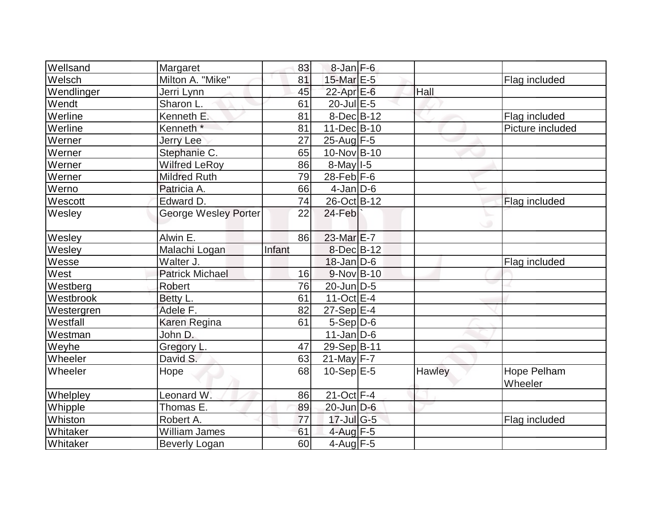| Wellsand   | Margaret                    | 83     | $8$ -Jan $F-6$          |        |                        |
|------------|-----------------------------|--------|-------------------------|--------|------------------------|
| Welsch     | Milton A. "Mike"            | 81     | 15-Mar E-5              |        | Flag included          |
| Wendlinger | Jerri Lynn                  | 45     | $22$ -Apr $E$ -6        | Hall   |                        |
| Wendt      | Sharon L.                   | 61     | $20$ -Jul $E-5$         |        |                        |
| Werline    | Kenneth E.                  | 81     | $8$ -Dec $B$ -12        |        | Flag included          |
| Werline    | Kenneth <sup>*</sup>        | 81     | 11-Dec B-10             |        | Picture included       |
| Werner     | Jerry Lee                   | 27     | 25-Aug F-5              |        |                        |
| Werner     | Stephanie C.                | 65     | 10-Nov B-10             |        |                        |
| Werner     | <b>Wilfred LeRoy</b>        | 86     | $8$ -May $1-5$          |        |                        |
| Werner     | <b>Mildred Ruth</b>         | 79     | 28-Feb $F-6$            |        |                        |
| Werno      | Patricia A.                 | 66     | $4$ -Jan $D$ -6         |        |                        |
| Wescott    | Edward D.                   | 74     | 26-Oct B-12             |        | Flag included          |
| Wesley     | <b>George Wesley Porter</b> | 22     | 24-Feb                  |        |                        |
| Wesley     | Alwin E.                    | 86     | $23$ -Mar $E-7$         |        |                        |
| Wesley     | Malachi Logan               | Infant | $8$ -Dec $B$ -12        |        |                        |
| Wesse      | Walter J.                   |        | $18$ -Jan D-6           |        | Flag included          |
| West       | <b>Patrick Michael</b>      | 16     | $9-Nov$ B-10            |        |                        |
| Westberg   | Robert                      | 76     | 20-Jun D-5              |        |                        |
| Westbrook  | Betty L.                    | 61     | $11-Oct$ E-4            |        |                        |
| Westergren | Adele F.                    | 82     | $27-Sep$ <sup>E-4</sup> |        |                        |
| Westfall   | Karen Regina                | 61     | $5-Sep D-6$             |        |                        |
| Westman    | John D.                     |        | $11$ -Jan $ D-6 $       |        |                        |
| Weyhe      | Gregory L.                  | 47     | 29-Sep B-11             |        |                        |
| Wheeler    | David S.                    | 63     | $21$ -May F-7           |        |                        |
| Wheeler    | Hope                        | 68     | $10-Sep$ $E-5$          | Hawley | Hope Pelham<br>Wheeler |
| Whelpley   | Leonard W.                  | 86     | $21$ -Oct F-4           |        |                        |
| Whipple    | Thomas E.                   | 89     | 20-Jun D-6              |        |                        |
| Whiston    | Robert A.                   | 77     | $17$ -Jul G-5           |        | Flag included          |
| Whitaker   | William James               | 61     | 4-Aug $F-5$             |        |                        |
| Whitaker   | <b>Beverly Logan</b>        | 60     | $4$ -Aug $F-5$          |        |                        |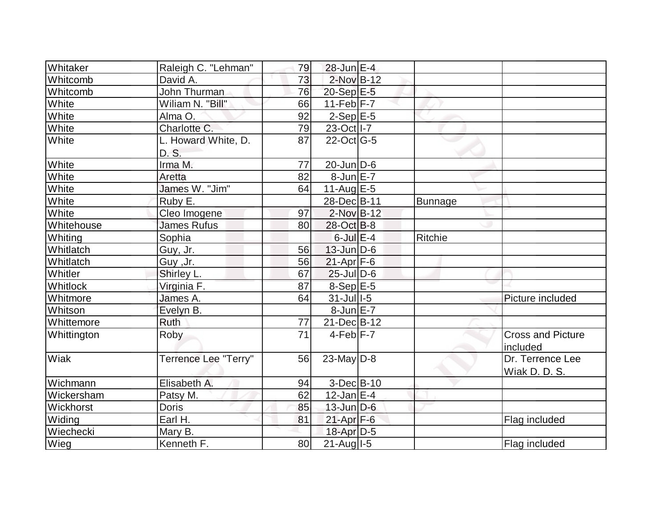| Whitaker    | Raleigh C. "Lehman"         | 79 | 28-Jun E-4        |                |                          |
|-------------|-----------------------------|----|-------------------|----------------|--------------------------|
| Whitcomb    | David A.                    | 73 | 2-Nov B-12        |                |                          |
| Whitcomb    | John Thurman                | 76 | $20-Sep$ $E-5$    |                |                          |
| White       | Wiliam N. "Bill"            | 66 | $11-Feb$ F-7      |                |                          |
| White       | Alma O.                     | 92 | $2-Sep$ E-5       |                |                          |
| White       | Charlotte C.                | 79 | 23-Oct   I-7      |                |                          |
| White       | L. Howard White, D.         | 87 | $22$ -Oct G-5     |                |                          |
|             | D. S.                       |    |                   |                |                          |
| White       | Irma M.                     | 77 | $20$ -Jun $ D-6$  |                |                          |
| White       | Aretta                      | 82 | $8$ -Jun $E - 7$  |                |                          |
| White       | James W. "Jim"              | 64 | $11$ -Aug $E-5$   |                |                          |
| White       | Ruby E.                     |    | 28-DecB-11        | <b>Bunnage</b> |                          |
| White       | Cleo Imogene                | 97 | $2$ -Nov $B-12$   |                |                          |
| Whitehouse  | James Rufus                 | 80 | $28$ -Oct B-8     |                |                          |
| Whiting     | Sophia                      |    | $6$ -Jul $E-4$    | Ritchie        |                          |
| Whitlatch   | Guy, Jr.                    | 56 | $13$ -Jun $D-6$   |                |                          |
| Whitlatch   | Guy ,Jr.                    | 56 | $21-Apr$ F-6      |                |                          |
| Whitler     | Shirley L.                  | 67 | $25$ -Jul $D$ -6  |                |                          |
| Whitlock    | Virginia F.                 | 87 | 8-Sep E-5         |                |                          |
| Whitmore    | James A.                    | 64 | $31$ -Jul $I-5$   |                | Picture included         |
| Whitson     | Evelyn B.                   |    | $8$ -Jun $E - 7$  |                |                          |
| Whittemore  | <b>Ruth</b>                 | 77 | $21$ -Dec $B$ -12 |                |                          |
| Whittington | Roby                        | 71 | $4-Feb$ $F-7$     |                | <b>Cross and Picture</b> |
|             |                             |    |                   |                | included                 |
| Wiak        | <b>Terrence Lee "Terry"</b> | 56 | $23$ -May D-8     |                | Dr. Terrence Lee         |
|             |                             |    |                   |                | Wiak D. D. S.            |
| Wichmann    | Elisabeth A.                | 94 | $3-Dec B-10$      |                |                          |
| Wickersham  | Patsy M.                    | 62 | $12$ -Jan $E-4$   |                |                          |
| Wickhorst   | Doris                       | 85 | $13$ -Jun $D-6$   |                |                          |
| Widing      | Earl H.                     | 81 | $21$ -Apr $F-6$   |                | Flag included            |
| Wiechecki   | Mary B.                     |    | 18-Apr D-5        |                |                          |
| Wieg        | Kenneth <sub>F.</sub>       | 80 | $21$ -Aug $I-5$   |                | Flag included            |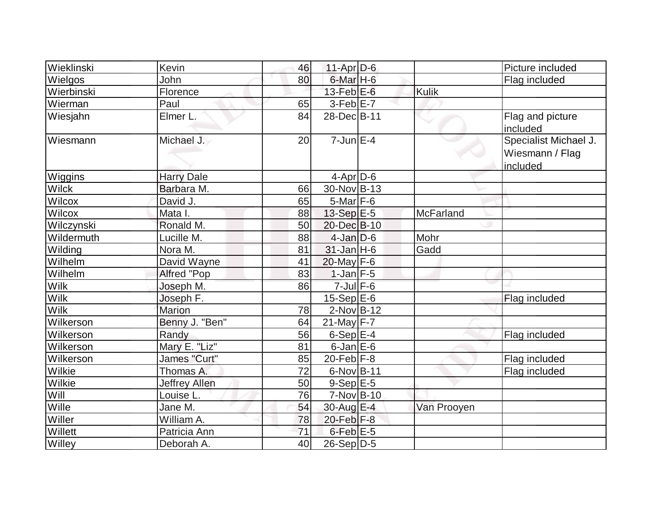| Wieklinski   | Kevin                | 46              | $11-Apr D-6$         |                  | Picture included                                     |
|--------------|----------------------|-----------------|----------------------|------------------|------------------------------------------------------|
| Wielgos      | John                 | 80              | 6-Mar <sub>H-6</sub> |                  | Flag included                                        |
| Wierbinski   | Florence             |                 | $13$ -Feb $E$ -6     | <b>Kulik</b>     |                                                      |
| Wierman      | Paul                 | 65              | $3-Feb$ $E-7$        |                  |                                                      |
| Wiesjahn     | Elmer L.             | 84              | 28-Dec B-11          |                  | Flag and picture<br>included                         |
| Wiesmann     | Michael J.           | 20 <sup>1</sup> | $7 - Jun$ E-4        |                  | Specialist Michael J.<br>Wiesmann / Flag<br>included |
| Wiggins      | <b>Harry Dale</b>    |                 | $4-Apr D-6$          |                  |                                                      |
| <b>Wilck</b> | Barbara M.           | 66              | $30$ -Nov $ B-13 $   |                  |                                                      |
| Wilcox       | David J.             | 65              | $5$ -Mar $F$ -6      |                  |                                                      |
| Wilcox       | Mata I.              | 88              | 13-Sep E-5           | <b>McFarland</b> |                                                      |
| Wilczynski   | Ronald M.            | 50              | 20-Dec B-10          |                  |                                                      |
| Wildermuth   | Lucille M.           | 88              | $4$ -Jan $D$ -6      | Mohr             |                                                      |
| Wilding      | Nora M.              | 81              | $31$ -Jan H-6        | Gadd             |                                                      |
| Wilhelm      | David Wayne          | 41              | $20$ -May F-6        |                  |                                                      |
| Wilhelm      | Alfred "Pop          | 83              | $1$ -Jan $F-5$       |                  |                                                      |
| <b>Wilk</b>  | Joseph M.            | 86              | $7$ -Jul $F$ -6      |                  |                                                      |
| Wilk         | Joseph F.            |                 | $15-Sep$ $E-6$       |                  | Flag included                                        |
| <b>Wilk</b>  | <b>Marion</b>        | 78              | $2$ -Nov $B-12$      |                  |                                                      |
| Wilkerson    | Benny J. "Ben"       | 64              | $21$ -May F-7        |                  |                                                      |
| Wilkerson    | Randy                | 56              | $6-Sep$ $E-4$        |                  | Flag included                                        |
| Wilkerson    | Mary E. "Liz"        | 81              | $6$ -Jan $E$ -6      |                  |                                                      |
| Wilkerson    | James "Curt"         | 85              | $20$ -Feb $ F-8 $    |                  | Flag included                                        |
| Wilkie       | Thomas A.            | 72              | $6$ -Nov $B$ -11     |                  | Flag included                                        |
| Wilkie       | <b>Jeffrey Allen</b> | 50              | $9-Sep$ $E-5$        |                  |                                                      |
| Will         | Louise L.            | 76              | $7-Nov B-10$         |                  |                                                      |
| Wille        | Jane M.              | 54              | 30-Aug E-4           | Van Prooyen      |                                                      |
| Willer       | William A.           | 78              | $20$ -Feb $ F-8 $    |                  |                                                      |
| Willett      | Patricia Ann         | 71              | $6$ -Feb $E$ -5      |                  |                                                      |
| Willey       | Deborah A.           | 40              | 26-Sep D-5           |                  |                                                      |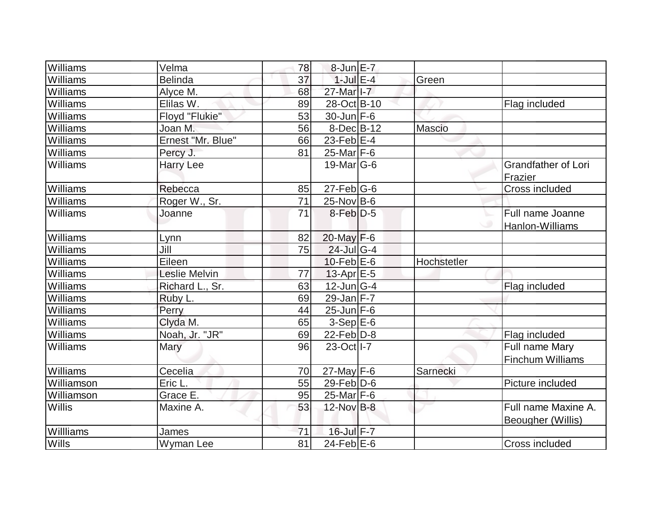| Williams      | Velma             | 78              | $8$ -Jun $E - 7$      |               |                                           |
|---------------|-------------------|-----------------|-----------------------|---------------|-------------------------------------------|
| Williams      | <b>Belinda</b>    | 37              | $1$ -Jul $E-4$        | Green         |                                           |
| Williams      | Alyce M.          | 68              | 27-Mar <sub>1-7</sub> |               |                                           |
| Williams      | Elilas W.         | 89              | 28-Oct B-10           |               | Flag included                             |
| Williams      | Floyd "Flukie"    | 53              | $30$ -Jun F-6         |               |                                           |
| Williams      | Joan M.           | 56              | $8$ -Dec $B$ -12      | <b>Mascio</b> |                                           |
| Williams      | Ernest "Mr. Blue" | 66              | $23$ -Feb $ E-4$      |               |                                           |
| Williams      | Percy J.          | 81              | $25$ -Mar $ F-6 $     |               |                                           |
| Williams      | <b>Harry Lee</b>  |                 | $19$ -Mar $ G-6$      |               | <b>Grandfather of Lori</b><br>Frazier     |
| Williams      | Rebecca           | 85              | $27$ -Feb $ G$ -6     |               | Cross included                            |
| Williams      | Roger W., Sr.     | 71              | $25$ -Nov B-6         |               |                                           |
| Williams      | Joanne            | 71              | $8$ -Feb $D-5$        |               | Full name Joanne<br>◡<br>Hanlon-Williams  |
| Williams      | Lynn              | 82              | 20-May F-6            |               |                                           |
| Williams      | Jill              | 75              | $24$ -Jul G-4         |               |                                           |
| Williams      | Eileen            |                 | $10$ -Feb $E$ -6      | Hochstetler   |                                           |
| Williams      | Leslie Melvin     | 77              | $13$ -Apr $E-5$       |               |                                           |
| Williams      | Richard L., Sr.   | 63              | $12$ -Jun $G-4$       |               | Flag included                             |
| Williams      | Ruby L.           | 69              | 29-Jan $F-7$          |               |                                           |
| Williams      | Perry             | 44              | $25$ -Jun $F$ -6      |               |                                           |
| Williams      | Clyda M.          | 65              | $3-Sep$ $E-6$         |               |                                           |
| Williams      | Noah, Jr. "JR"    | 69              | $22$ -Feb $ D-8$      |               | Flag included                             |
| Williams      | Mary              | 96              | 23-Oct I-7            |               | Full name Mary<br><b>Finchum Williams</b> |
| Williams      | Cecelia           | 70              | $27$ -May $F-6$       | Sarnecki      |                                           |
| Williamson    | Eric L.           | 55              | $29$ -Feb $ D$ -6     |               | Picture included                          |
| Williamson    | Grace E.          | 95              | $25$ -Mar F-6         |               |                                           |
| <b>Willis</b> | Maxine A.         | 53              | 12-Nov B-8            |               | Full name Maxine A.<br>Beougher (Willis)  |
| Willliams     | James             | 71              | 16-Jul F-7            |               |                                           |
| Wills         | Wyman Lee         | $\overline{81}$ | $24$ -Feb $E$ -6      |               | Cross included                            |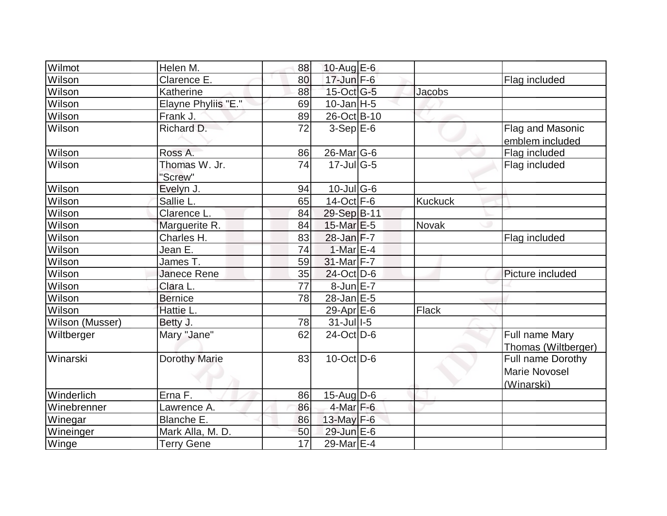| Wilmot          | Helen M.                       | 88              | 10-Aug $E-6$                 |                |                      |
|-----------------|--------------------------------|-----------------|------------------------------|----------------|----------------------|
| Wilson          | Clarence E.                    | 80              | $17$ -Jun $F-6$              |                | Flag included        |
| Wilson          | Katherine                      | 88              | 15-Oct G-5                   | <b>Jacobs</b>  |                      |
| Wilson          | Elayne Phyliis "E."            | 69              | $10$ -Jan $ H-5 $            |                |                      |
| Wilson          | Frank J.                       | 89              | 26-Oct B-10                  |                |                      |
| Wilson          | Richard D.                     | 72              | $3-Sep$ $E-6$                |                | Flag and Masonic     |
|                 |                                |                 |                              |                | emblem included      |
| Wilson          | Ross A.                        | 86              | $26$ -Mar $ G-6 $            |                | Flag included        |
| Wilson          | Thomas W. Jr.                  | 74              | $17 -$ Jul $\overline{G}$ -5 |                | Flag included        |
|                 | "Screw"                        |                 |                              |                |                      |
| Wilson          | Evelyn J.                      | 94              | $10$ -Jul G-6                |                |                      |
| Wilson          | Sallie L.                      | 65              | $14$ -Oct F-6                | <b>Kuckuck</b> |                      |
| Wilson          | Clarence L.                    | 84              | 29-Sep B-11                  |                |                      |
| Wilson          | Marguerite R.                  | 84              | $15$ -Mar $E$ -5             | Novak          |                      |
| Wilson          | Charles H.                     | 83              | $28$ -Jan $F-7$              |                | Flag included        |
| Wilson          | Jean E.                        | 74              | $1-MarE-4$                   |                |                      |
| Wilson          | James $\overline{\mathsf{T}.}$ | 59              | 31-Mar F-7                   |                |                      |
| Wilson          | <b>Janece Rene</b>             | 35              | 24-Oct D-6                   |                | Picture included     |
| Wilson          | Clara L.                       | 77              | $8$ -Jun $E - 7$             |                |                      |
| Wilson          | <b>Bernice</b>                 | 78              | $28$ -Jan $E$ -5             |                |                      |
| Wilson          | Hattie L.                      |                 | 29-Apr $E-6$                 | Flack          |                      |
| Wilson (Musser) | Betty J.                       | 78              | $31$ -Jul I-5                |                |                      |
| Wiltberger      | Mary "Jane"                    | 62              | $24$ -Oct $ D-6 $            |                | Full name Mary       |
|                 |                                |                 |                              |                | Thomas (Wiltberger)  |
| Winarski        | <b>Dorothy Marie</b>           | 83              | $10$ -Oct $ D-6$             |                | Full name Dorothy    |
|                 |                                |                 |                              |                | <b>Marie Novosel</b> |
|                 |                                |                 |                              |                | (Winarski)           |
| Winderlich      | Erna F.                        | 86              | $15$ -Aug $D$ -6             |                |                      |
| Winebrenner     | Lawrence A.                    | 86              | $4$ -Mar $F-6$               |                |                      |
| Winegar         | Blanche E.                     | 86              | $13$ -May F-6                |                |                      |
| Wineinger       | Mark Alla, M. D.               | 50              | 29-Jun E-6                   |                |                      |
| Winge           | <b>Terry Gene</b>              | $\overline{17}$ | 29-Mar E-4                   |                |                      |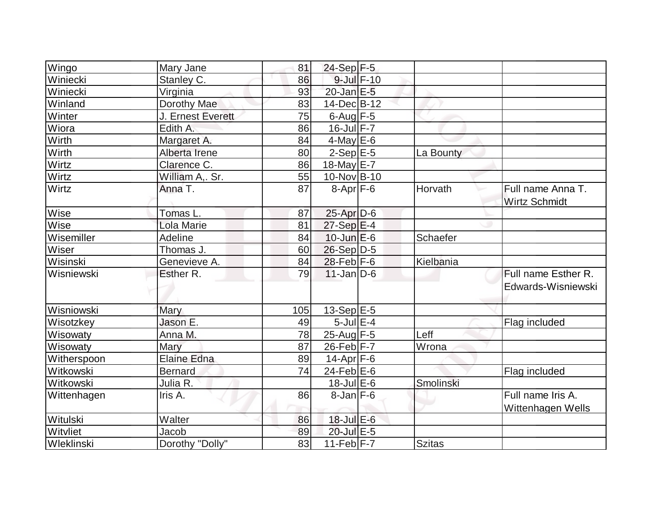|                      |                   | 81  | $24-Sep$ F-5      |                 |               |                                           |
|----------------------|-------------------|-----|-------------------|-----------------|---------------|-------------------------------------------|
| Wingo                | Mary Jane         |     |                   | $9$ -Jul $F-10$ |               |                                           |
| Winiecki<br>Winiecki | Stanley C.        | 86  | $20$ -Jan $E-5$   |                 |               |                                           |
|                      | Virginia          | 93  |                   |                 |               |                                           |
| Winland              | Dorothy Mae       | 83  | 14-Dec B-12       |                 |               |                                           |
| <b>Winter</b>        | J. Ernest Everett | 75  | $6$ -Aug $F-5$    |                 |               |                                           |
| Wiora                | Edith A.          | 86  | $16$ -Jul $F - 7$ |                 |               |                                           |
| Wirth                | Margaret A.       | 84  | $4$ -May $E$ -6   |                 |               |                                           |
| Wirth                | Alberta Irene     | 80  | $2-Sep$ $E-5$     |                 | La Bounty     |                                           |
| Wirtz                | Clarence C.       | 86  | 18-May $E-7$      |                 |               |                                           |
| Wirtz                | William A,. Sr.   | 55  | 10-Nov B-10       |                 |               |                                           |
| Wirtz                | Anna T.           | 87  | $8-Apr$ F-6       |                 | Horvath       | Full name Anna T.<br><b>Wirtz Schmidt</b> |
| Wise                 | Tomas L.          | 87  | $25$ -Apr $D-6$   |                 |               |                                           |
| Wise                 | Lola Marie        | 81  | $27-Sep$ $E-4$    |                 |               |                                           |
| Wisemiller           | Adeline           | 84  | $10$ -Jun $E$ -6  |                 | Schaefer      |                                           |
| Wiser                | Thomas J.         | 60  | 26-Sep D-5        |                 |               |                                           |
| Wisinski             | Genevieve A.      | 84  | $28$ -Feb F-6     |                 | Kielbania     |                                           |
| Wisniewski           | Esther R.         | 79  | $11$ -Jan D-6     |                 |               | Full name Esther R.                       |
|                      |                   |     |                   |                 |               | Edwards-Wisniewski                        |
| Wisniowski           | Mary              | 105 | $13-Sep$ E-5      |                 |               |                                           |
| Wisotzkey            | Jason E.          | 49  | 5-Jul $E-4$       |                 |               | Flag included                             |
| Wisowaty             | Anna M.           | 78  | $25$ -Aug F-5     |                 | Leff          |                                           |
| Wisowaty             | Mary              | 87  | 26-Feb F-7        |                 | Wrona         |                                           |
| Witherspoon          | Elaine Edna       | 89  | $14$ -Apr $ F-6$  |                 |               |                                           |
| Witkowski            | <b>Bernard</b>    | 74  | $24$ -Feb $E$ -6  |                 |               | Flag included                             |
| Witkowski            | Julia R.          |     | $18$ -Jul $E$ -6  |                 | Smolinski     |                                           |
| Wittenhagen          | Iris A.           | 86  | $8$ -Jan $F$ -6   |                 |               | Full name Iris A.                         |
|                      |                   |     |                   |                 |               | Wittenhagen Wells                         |
| Witulski             | Walter            | 86  | 18-Jul E-6        |                 |               |                                           |
| Witvliet             | Jacob             | 89  | 20-Jul E-5        |                 |               |                                           |
| <b>Wleklinski</b>    | Dorothy "Dolly"   | 83  | 11-Feb $F-7$      |                 | <b>Szitas</b> |                                           |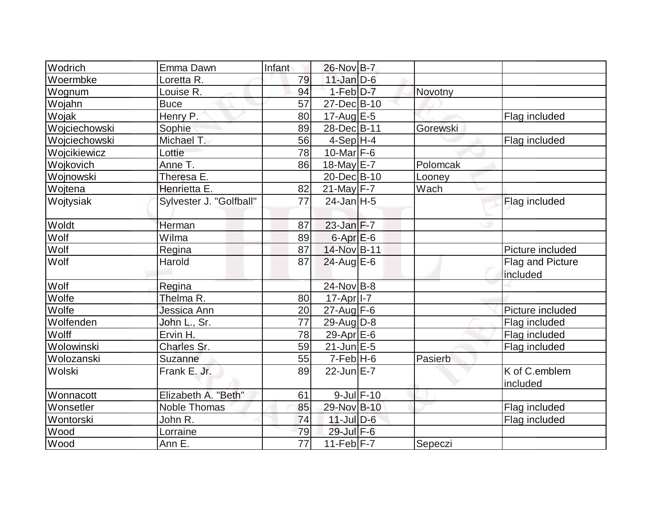| Wodrich       | Emma Dawn               | Infant | 26-Nov B-7        |                 |          |                  |
|---------------|-------------------------|--------|-------------------|-----------------|----------|------------------|
| Woermbke      | Loretta R.              | 79     | $11$ -Jan $D-6$   |                 |          |                  |
| Wognum        | Louise R.               | 94     | $1-Feb$ $D-7$     |                 | Novotny  |                  |
| Wojahn        | <b>Buce</b>             | 57     | 27-Dec B-10       |                 |          |                  |
| Wojak         | Henry P.                | 80     | 17-Aug $E-5$      |                 |          | Flag included    |
| Wojciechowski | Sophie                  | 89     | 28-Dec B-11       |                 | Gorewski |                  |
| Wojciechowski | Michael T.              | 56     | 4-Sep H-4         |                 |          | Flag included    |
| Wojcikiewicz  | Lottie                  | 78     | 10-Mar $F-6$      |                 |          |                  |
| Wojkovich     | Anne T.                 | 86     | 18-May $E$ -7     |                 | Polomcak |                  |
| Wojnowski     | Theresa E.              |        | 20-Dec B-10       |                 | Looney   |                  |
| Wojtena       | Henrietta E.            | 82     | $21$ -May F-7     |                 | Wach     |                  |
| Wojtysiak     | Sylvester J. "Golfball" | 77     | $24$ -Jan $H-5$   |                 |          | Flag included    |
|               |                         |        |                   |                 |          |                  |
| Woldt         | Herman                  | 87     | $23$ -Jan $F-7$   |                 |          |                  |
| Wolf          | Wilma                   | 89     | $6$ -Apr $E$ -6   |                 |          |                  |
| Wolf          | Regina                  | 87     | 14-Nov B-11       |                 |          | Picture included |
| Wolf          | Harold                  | 87     | $24$ -Aug $E$ -6  |                 |          | Flag and Picture |
|               |                         |        |                   |                 |          | included         |
| Wolf          | Regina                  |        | 24-Nov B-8        |                 |          |                  |
| Wolfe         | Thelma R.               | 80     | $17$ -Apr $ I-7 $ |                 |          |                  |
| Wolfe         | Jessica Ann             | 20     | $27$ -Aug F-6     |                 |          | Picture included |
| Wolfenden     | John L., Sr.            | 77     | 29-Aug $D-8$      |                 |          | Flag included    |
| Wolff         | Ervin H.                | 78     | 29-Apr $E-6$      |                 |          | Flag included    |
| Wolowinski    | Charles Sr.             | 59     | $21$ -Jun $E-5$   |                 |          | Flag included    |
| Wolozanski    | Suzanne                 | 55     | $7-Feb$ H-6       |                 | Pasierb  |                  |
| Wolski        | Frank E. Jr.            | 89     | $22$ -Jun $E-7$   |                 |          | K of C.emblem    |
|               |                         |        |                   |                 |          | included         |
| Wonnacott     | Elizabeth A. "Beth"     | 61     |                   | $9$ -Jul $F-10$ |          |                  |
| Wonsetler     | <b>Noble Thomas</b>     | 85     | 29-Nov B-10       |                 |          | Flag included    |
| Wontorski     | John R.                 | 74     | $11$ -Jul $D-6$   |                 |          | Flag included    |
| Wood          | Lorraine                | 79     | 29-Jul F-6        |                 |          |                  |
| Wood          | Ann E.                  | 77     | 11-Feb $F-7$      |                 | Sepeczi  |                  |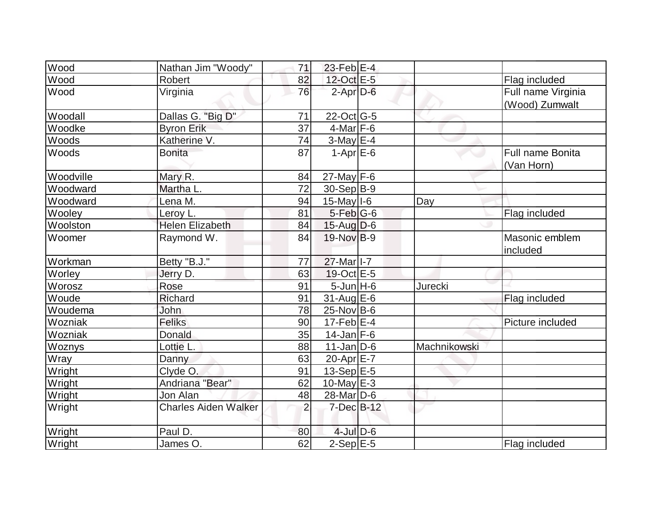| Wood        | Nathan Jim "Woody"          | 71             | $23$ -Feb $E-4$       |              |                         |
|-------------|-----------------------------|----------------|-----------------------|--------------|-------------------------|
| Wood        | Robert                      | 82             | 12-Oct E-5            |              | Flag included           |
| Wood        | Virginia                    | 76             | $2$ -Apr $D-6$        |              | Full name Virginia      |
|             |                             |                |                       |              | (Wood) Zumwalt          |
| Woodall     | Dallas G. "Big D"           | 71             | 22-Oct G-5            |              |                         |
| Woodke      | <b>Byron Erik</b>           | 37             | $4$ -Mar $F-6$        |              |                         |
| Woods       | Katherine V.                | 74             | $3-May$ $E-4$         |              |                         |
| Woods       | <b>Bonita</b>               | 87             | $1-Apr$ E-6           |              | <b>Full name Bonita</b> |
|             |                             |                |                       |              | (Van Horn)              |
| Woodville   | Mary R.                     | 84             | $27$ -May F-6         |              |                         |
| Woodward    | Martha L.                   | 72             | $30-Sep B-9$          |              |                         |
| Woodward    | Lena M.                     | 94             | $15$ -May $I$ -6      | Day          |                         |
| Wooley      | Leroy L.                    | 81             | $5-Feb$ G-6           |              | Flag included           |
| Woolston    | <b>Helen Elizabeth</b>      | 84             | $15$ -Aug D-6         |              |                         |
| Woomer      | Raymond W.                  | 84             | $19-NovB-9$           |              | Masonic emblem          |
|             |                             |                |                       |              | included                |
| Workman     | Betty "B.J."                | 77             | 27-Mar I-7            |              |                         |
| Worley      | Jerry D.                    | 63             | $19-Oct$ $E-5$        |              |                         |
| Worosz      | Rose                        | 91             | $5$ -Jun $H$ -6       | Jurecki      |                         |
| Woude       | <b>Richard</b>              | 91             | $31$ -Aug $E-6$       |              | Flag included           |
| Woudema     | John                        | 78             | $25$ -Nov B-6         |              |                         |
| Wozniak     | Feliks                      | 90             | $17$ -Feb $ E-4 $     |              | Picture included        |
| Wozniak     | Donald                      | 35             | $14$ -Jan F-6         |              |                         |
| Woznys      | Lottie L                    | 88             | $11$ -Jan $ D-6 $     | Machnikowski |                         |
| <b>Wray</b> | Danny                       | 63             | 20-Apr $E-7$          |              |                         |
| Wright      | Clyde O.                    | 91             | 13-Sep $E-5$          |              |                         |
| Wright      | Andriana "Bear"             | 62             | 10-May $E-3$          |              |                         |
| Wright      | Jon Alan                    | 48             | 28-Mar <sub>D-6</sub> |              |                         |
| Wright      | <b>Charles Aiden Walker</b> | $\overline{2}$ | 7-Dec B-12            |              |                         |
| Wright      | Paul D.                     | 80             | $4$ -Jul $D-6$        |              |                         |
| Wright      | James O.                    | 62             | $2-Sep$ $E-5$         |              | Flag included           |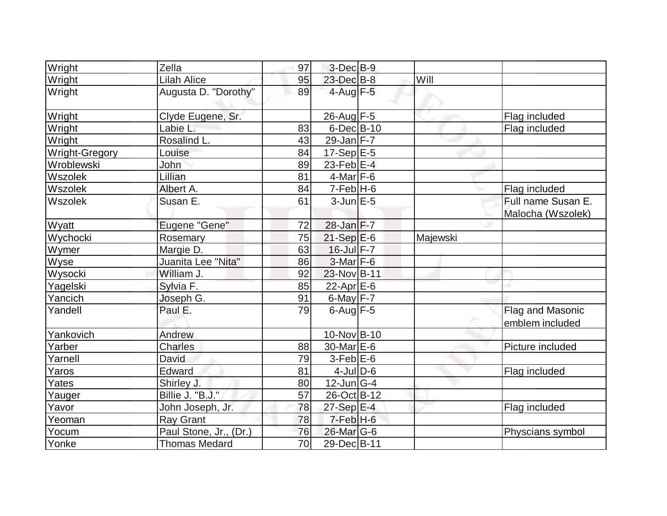| Wright         | Zella                  | 97              | $3-Dec$ B-9                |          |                    |
|----------------|------------------------|-----------------|----------------------------|----------|--------------------|
| Wright         | <b>Lilah Alice</b>     | 95              | 23-Dec B-8                 | Will     |                    |
| Wright         | Augusta D. "Dorothy"   | 89              | $4$ -Aug $F-5$             |          |                    |
| Wright         | Clyde Eugene, Sr.      |                 | $26$ -Aug F-5              |          | Flag included      |
| Wright         | Labie L.               | 83              | $6$ -Dec $B$ -10           |          | Flag included      |
| Wright         | Rosalind L.            | 43              | $29$ -Jan $F-7$            |          |                    |
| Wright-Gregory | Louise                 | 84              | $17-Sep \, \overline{E-5}$ |          |                    |
| Wroblewski     | John                   | 89              | 23-Feb $E-4$               |          |                    |
| Wszolek        | Lillian                | 81              | $4$ -Mar $ F-6$            |          |                    |
| Wszolek        | Albert A.              | 84              | $7-Feb$ H-6                |          | Flag included      |
| Wszolek        | Susan E.               | 61              | $3$ -Jun $E - 5$           |          | Full name Susan E. |
|                |                        |                 |                            |          | Malocha (Wszolek)  |
| Wyatt          | Eugene "Gene"          | 72              | 28-Jan F-7                 |          |                    |
| Wychocki       | Rosemary               | 75              | $21-Sep$ $E-6$             | Majewski |                    |
| Wymer          | Margie D.              | 63              | $16$ -Jul $F - 7$          |          |                    |
| <b>Wyse</b>    | Juanita Lee "Nita"     | 86              | $3-Mar$ F-6                |          |                    |
| Wysocki        | William J.             | 92              | 23-Nov B-11                |          |                    |
| Yagelski       | Sylvia F.              | 85              | $22$ -Apr $E$ -6           |          |                    |
| Yancich        | Joseph G.              | 91              | $6$ -May $F - 7$           |          |                    |
| Yandell        | Paul E.                | 79              | $6$ -Aug $F-5$             |          | Flag and Masonic   |
|                |                        |                 |                            |          | emblem included    |
| Yankovich      | Andrew                 |                 | 10-Nov B-10                |          |                    |
| Yarber         | <b>Charles</b>         | 88              | $30$ -Mar $E$ -6           |          | Picture included   |
| Yarnell        | David                  | 79              | $3-Feb$ $E-6$              |          |                    |
| Yaros          | Edward                 | 81              | $4$ -JulD-6                |          | Flag included      |
| Yates          | Shirley J.             | 80              | $12$ -Jun $ G-4 $          |          |                    |
| Yauger         | Billie J. "B.J."       | 57              | 26-Oct B-12                |          |                    |
| Yavor          | John Joseph, Jr.       | 78              | $27-Sep \tE-4$             |          | Flag included      |
| Yeoman         | <b>Ray Grant</b>       | 78              | $7-FebH-6$                 |          |                    |
| Yocum          | Paul Stone, Jr., (Dr.) | 76              | $26$ -Mar $G$ -6           |          | Physcians symbol   |
| Yonke          | <b>Thomas Medard</b>   | $\overline{70}$ | 29-Dec B-11                |          |                    |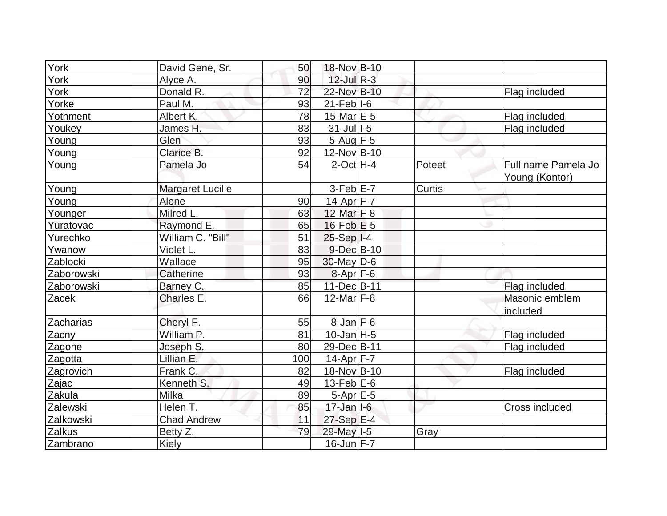| York       | David Gene, Sr.         | 50  | 18-Nov B-10         |        |                                       |
|------------|-------------------------|-----|---------------------|--------|---------------------------------------|
| York       | Alyce A.                | 90  | $12$ -JulR-3        |        |                                       |
| York       | Donald R.               | 72  | 22-Nov B-10         |        | Flag included                         |
| Yorke      | Paul M.                 | 93  | $21$ -Feb $ I-6 $   |        |                                       |
| Yothment   | Albert K.               | 78  | $15$ -Mar $E$ -5    |        | Flag included                         |
| Youkey     | James H.                | 83  | $31$ -Jull-5        |        | Flag included                         |
| Young      | Glen                    | 93  | $5$ -Aug $F$ -5     |        |                                       |
| Young      | Clarice B.              | 92  | 12-Nov B-10         |        |                                       |
| Young      | Pamela Jo               | 54  | $2$ -Oct $H - 4$    | Poteet | Full name Pamela Jo<br>Young (Kontor) |
| Young      | <b>Margaret Lucille</b> |     | $3-Feb$ $E-7$       | Curtis |                                       |
| Young      | Alene                   | 90  | 14-Apr F-7          |        |                                       |
| Younger    | Milred L.               | 63  | 12-Mar F-8          |        |                                       |
| Yuratovac  | Raymond E.              | 65  | $16$ -Feb $E-5$     |        |                                       |
| Yurechko   | William C. "Bill"       | 51  | $25-Sep$  I-4       |        |                                       |
| Ywanow     | Violet L.               | 83  | $9$ -Dec $B$ -10    |        |                                       |
| Zablocki   | Wallace                 | 95  | $30$ -May D-6       |        |                                       |
| Zaborowski | Catherine               | 93  | $8 - Apr$ F-6       |        |                                       |
| Zaborowski | Barney C.               | 85  | 11-Dec B-11         |        | Flag included                         |
| Zacek      | Charles E.              | 66  | 12-Mar $F-8$        |        | Masonic emblem                        |
|            |                         |     |                     |        | included                              |
| Zacharias  | Cheryl F.               | 55  | $8$ -Jan $F$ -6     |        |                                       |
| Zacny      | William P.              | 81  | $10$ -Jan $ H-5 $   |        | Flag included                         |
| Zagone     | Joseph S.               | 80  | 29-Dec B-11         |        | Flag included                         |
| Zagotta    | Lillian E.              | 100 | $14$ -Apr $ F - 7 $ |        |                                       |
| Zagrovich  | Frank C.                | 82  | 18-Nov B-10         |        | Flag included                         |
| Zajac      | Kenneth S.              | 49  | 13-Feb $E-6$        |        |                                       |
| Zakula     | Milka                   | 89  | $5-Apr$ $E-5$       |        |                                       |
| Zalewski   | Helen T.                | 85  | $17$ -Jan $ 1-6$    |        | Cross included                        |
| Zalkowski  | <b>Chad Andrew</b>      | 11  | 27-Sep E-4          |        |                                       |
| Zalkus     | Betty Z.                | 79  | 29-May I-5          | Gray   |                                       |
| Zambrano   | <b>Kiely</b>            |     | $16$ -Jun $F - 7$   |        |                                       |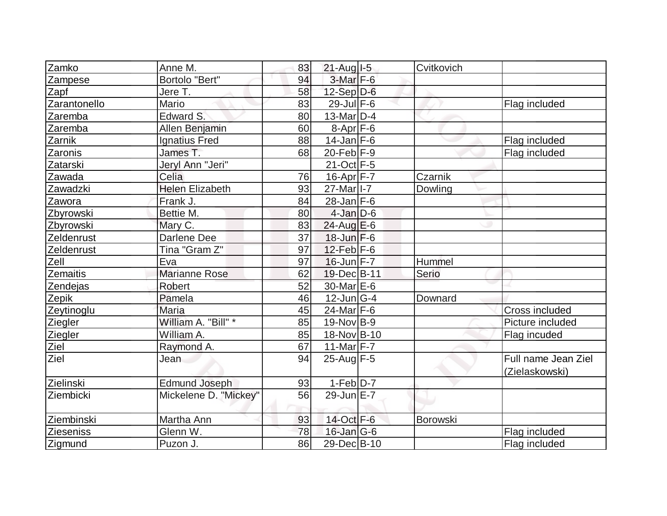| Zamko            | Anne M.                | 83 | $21$ -Aug $I-5$       | Cvitkovich |                       |
|------------------|------------------------|----|-----------------------|------------|-----------------------|
| Zampese          | Bortolo "Bert"         | 94 | $3-Mar$ F-6           |            |                       |
| Zapf             | Jere T.                | 58 | $12-Sep D-6$          |            |                       |
| Zarantonello     | Mario                  | 83 | $29$ -Jul $F-6$       |            | Flag included         |
| Zaremba          | Edward S.              | 80 | $13$ -Mar $ D-4$      |            |                       |
| Zaremba          | Allen Benjamin         | 60 | $8-Apr$ F-6           |            |                       |
| Zarnik           | <b>Ignatius Fred</b>   | 88 | $14$ -Jan F-6         |            | Flag included         |
| Zaronis          | James T.               | 68 | $20$ -Feb F-9         |            | Flag included         |
| Zatarski         | Jeryl Ann "Jeri"       |    | $21-Oct$ F-5          |            |                       |
| Zawada           | Celia                  | 76 | 16-Apr F-7            | Czarnik    |                       |
| Zawadzki         | <b>Helen Elizabeth</b> | 93 | 27-Mar <sub>1-7</sub> | Dowling    |                       |
| Zawora           | Frank J.               | 84 | $28$ -Jan $F-6$       |            |                       |
| Zbyrowski        | Bettie M.              | 80 | $4$ -Jan $D-6$        |            |                       |
| Zbyrowski        | Mary C.                | 83 | $24$ -Aug $E$ -6      |            |                       |
| Zeldenrust       | Darlene Dee            | 37 | $18$ -Jun $F-6$       |            |                       |
| Zeldenrust       | Tina "Gram Z"          | 97 | $12$ -Feb $ F-6$      |            |                       |
| Zell             | Eva                    | 97 | $16$ -Jun $F - 7$     | Hummel     |                       |
| <b>Zemaitis</b>  | <b>Marianne Rose</b>   | 62 | 19-Dec B-11           | Serio      |                       |
| Zendejas         | Robert                 | 52 | 30-Mar E-6            |            |                       |
| Zepik            | Pamela                 | 46 | $12$ -Jun $ G-4 $     | Downard    |                       |
| Zeytinoglu       | <b>Maria</b>           | 45 | $24$ -Mar $F-6$       |            | <b>Cross included</b> |
| Ziegler          | William A. "Bill" *    | 85 | $19-Nov$ B-9          |            | Picture included      |
| Ziegler          | William A.             | 85 | 18-Nov B-10           |            | Flag incuded          |
| Ziel             | Raymond A.             | 67 | $11-Mar$ F-7          |            |                       |
| Ziel             | Jean                   | 94 | $25$ -Aug F-5         |            | Full name Jean Ziel   |
|                  |                        |    |                       |            | (Zielaskowski)        |
| Zielinski        | <b>Edmund Joseph</b>   | 93 | $1-Feb$ D-7           |            |                       |
| Ziembicki        | Mickelene D. "Mickey"  | 56 | 29-Jun E-7            |            |                       |
| Ziembinski       | Martha Ann             | 93 | 14-Oct F-6            | Borowski   |                       |
| <b>Zieseniss</b> | Glenn W.               | 78 | $16$ -Jan $ G-6 $     |            | Flag included         |
| Zigmund          | Puzon J.               | 86 | 29-Dec B-10           |            | Flag included         |